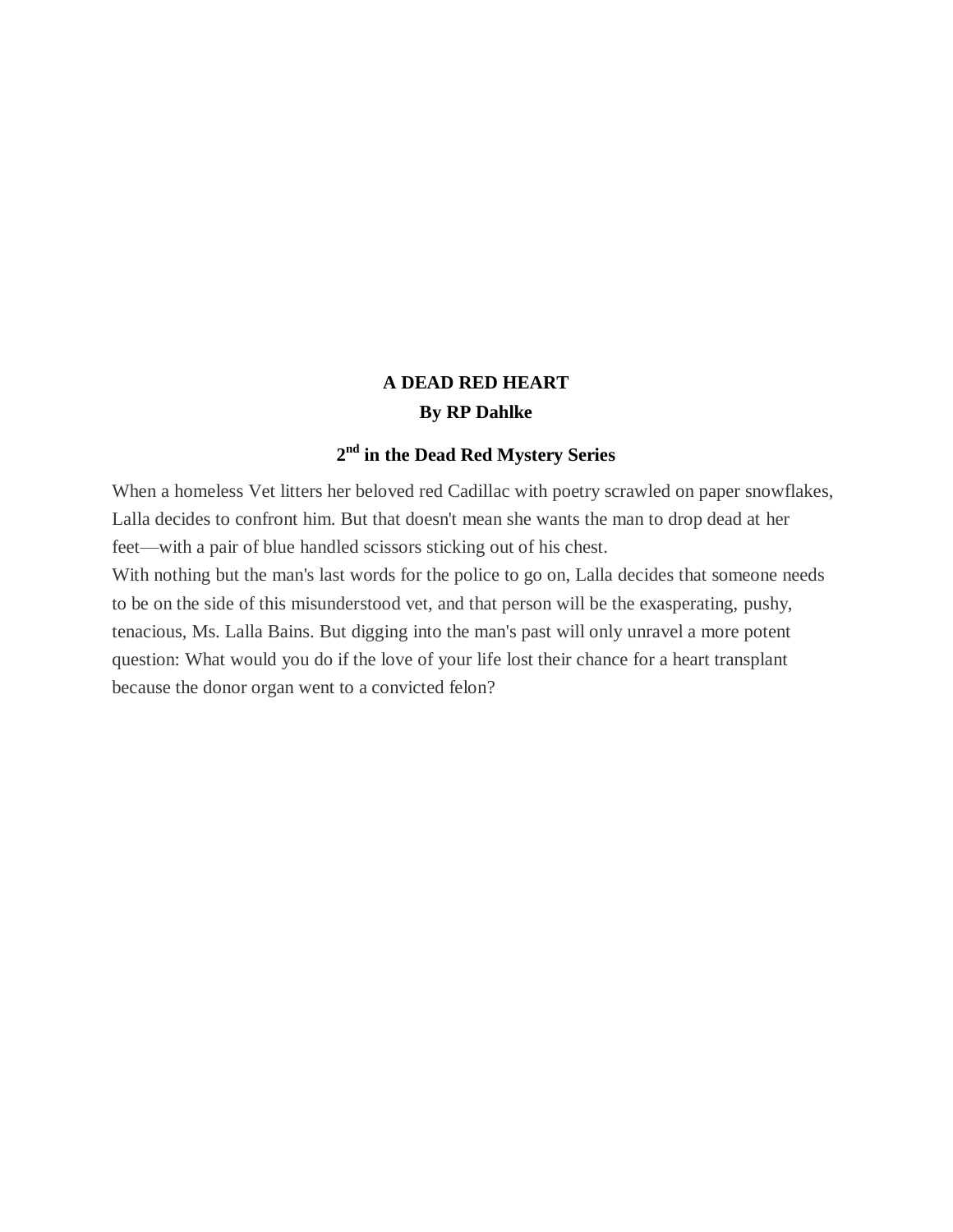# **A DEAD RED HEART By RP Dahlke**

# **2 nd in the Dead Red Mystery Series**

When a homeless Vet litters her beloved red Cadillac with poetry scrawled on paper snowflakes, Lalla decides to confront him. But that doesn't mean she wants the man to drop dead at her feet—with a pair of blue handled scissors sticking out of his chest.

With nothing but the man's last words for the police to go on, Lalla decides that someone needs to be on the side of this misunderstood vet, and that person will be the exasperating, pushy, tenacious, Ms. Lalla Bains. But digging into the man's past will only unravel a more potent question: What would you do if the love of your life lost their chance for a heart transplant because the donor organ went to a convicted felon?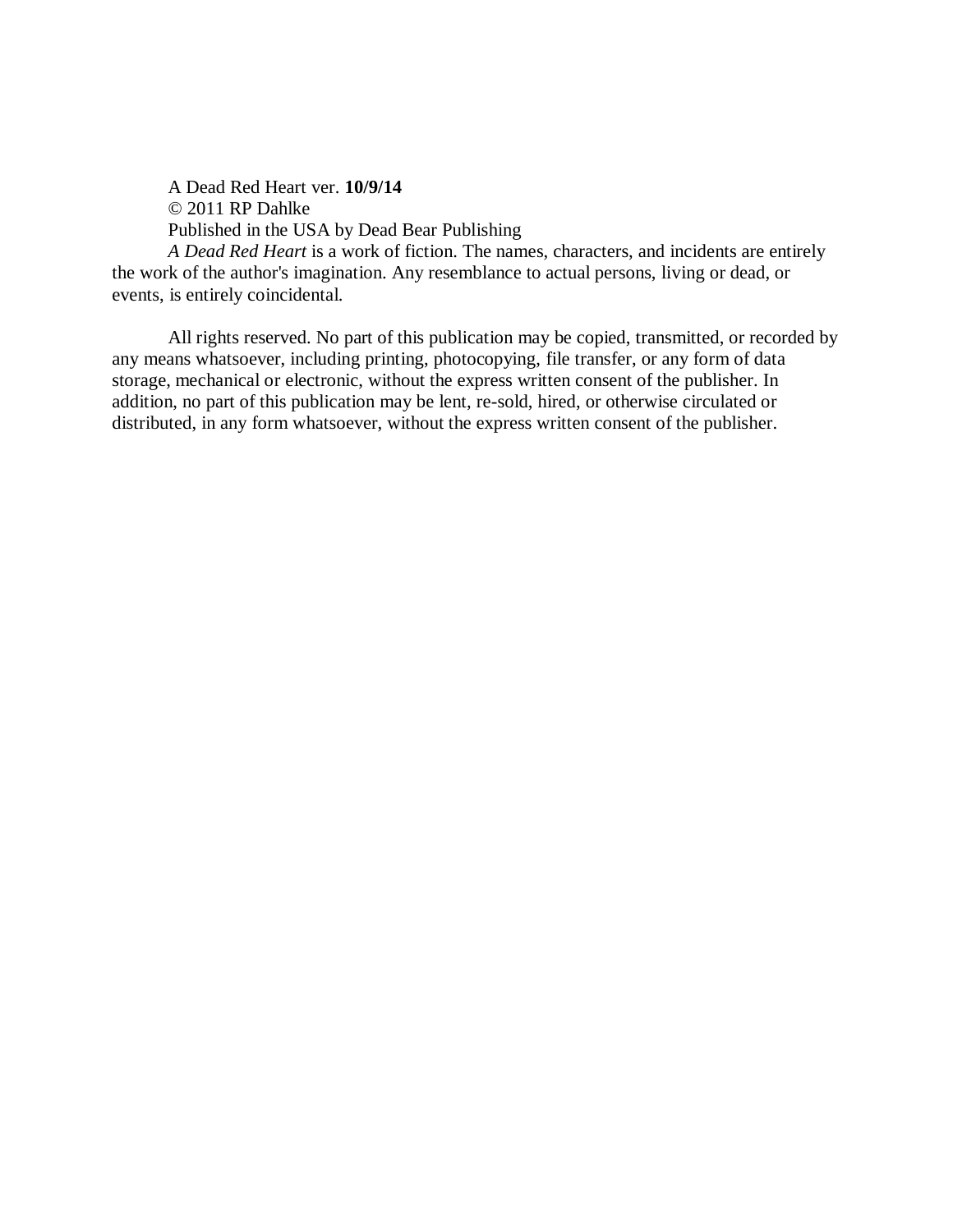A Dead Red Heart ver. **10/9/14** © 2011 RP Dahlke Published in the USA by Dead Bear Publishing

*A Dead Red Heart* is a work of fiction. The names, characters, and incidents are entirely the work of the author's imagination. Any resemblance to actual persons, living or dead, or events, is entirely coincidental.

All rights reserved. No part of this publication may be copied, transmitted, or recorded by any means whatsoever, including printing, photocopying, file transfer, or any form of data storage, mechanical or electronic, without the express written consent of the publisher. In addition, no part of this publication may be lent, re-sold, hired, or otherwise circulated or distributed, in any form whatsoever, without the express written consent of the publisher.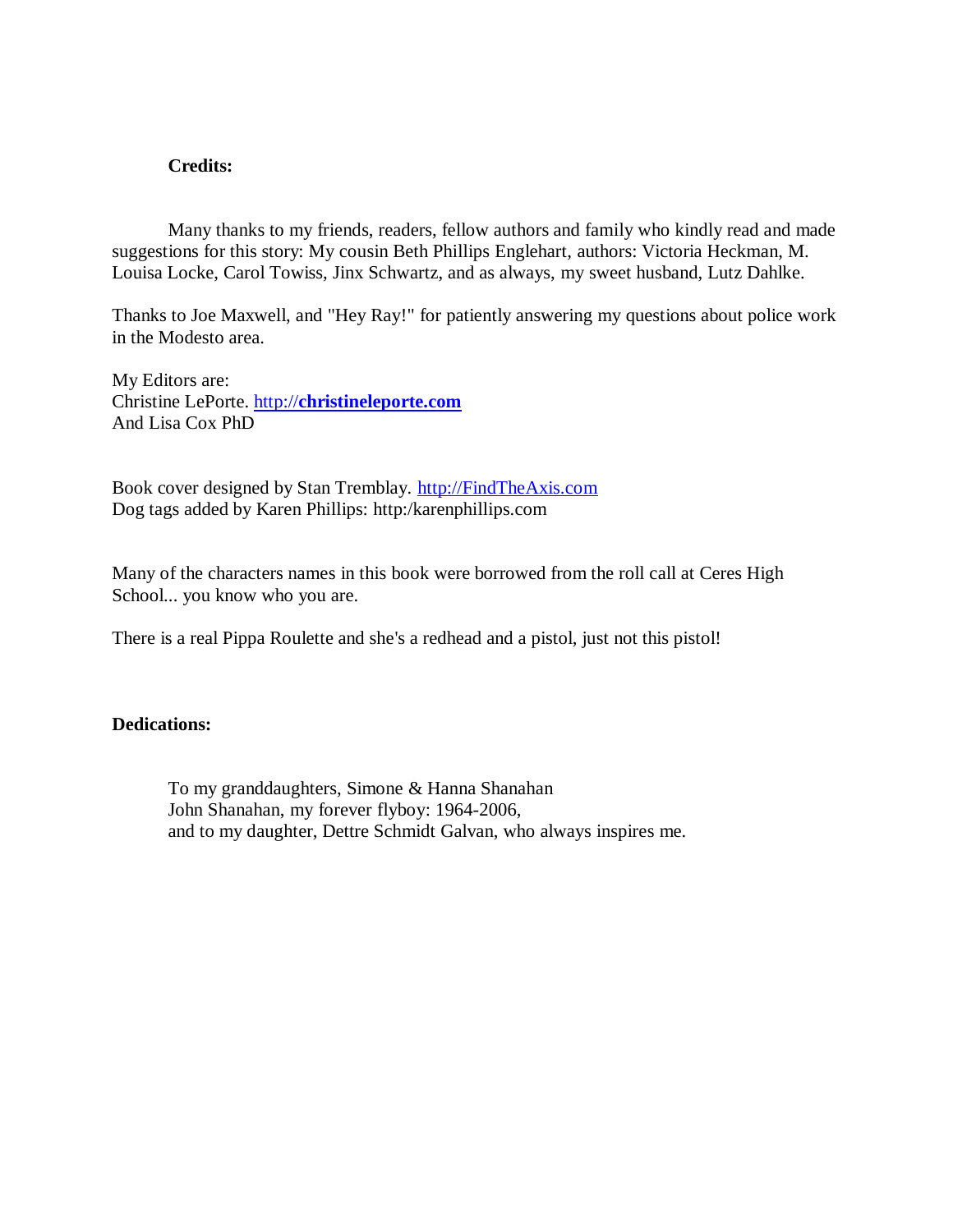# **Credits:**

Many thanks to my friends, readers, fellow authors and family who kindly read and made suggestions for this story: My cousin Beth Phillips Englehart, authors: Victoria Heckman, M. Louisa Locke, Carol Towiss, Jinx Schwartz, and as always, my sweet husband, Lutz Dahlke.

Thanks to Joe Maxwell, and "Hey Ray!" for patiently answering my questions about police work in the Modesto area.

My Editors are: Christine LePorte. http://**[christineleporte.com](http://christineleporte.com/)** And Lisa Cox PhD

Book cover designed by Stan Tremblay. [http://FindTheAxis.com](http://findtheaxis.com/) Dog tags added by Karen Phillips: http:/karenphillips.com

Many of the characters names in this book were borrowed from the roll call at Ceres High School... you know who you are.

There is a real Pippa Roulette and she's a redhead and a pistol, just not this pistol!

# **Dedications:**

To my granddaughters, Simone & Hanna Shanahan John Shanahan, my forever flyboy: 1964-2006, and to my daughter, Dettre Schmidt Galvan, who always inspires me.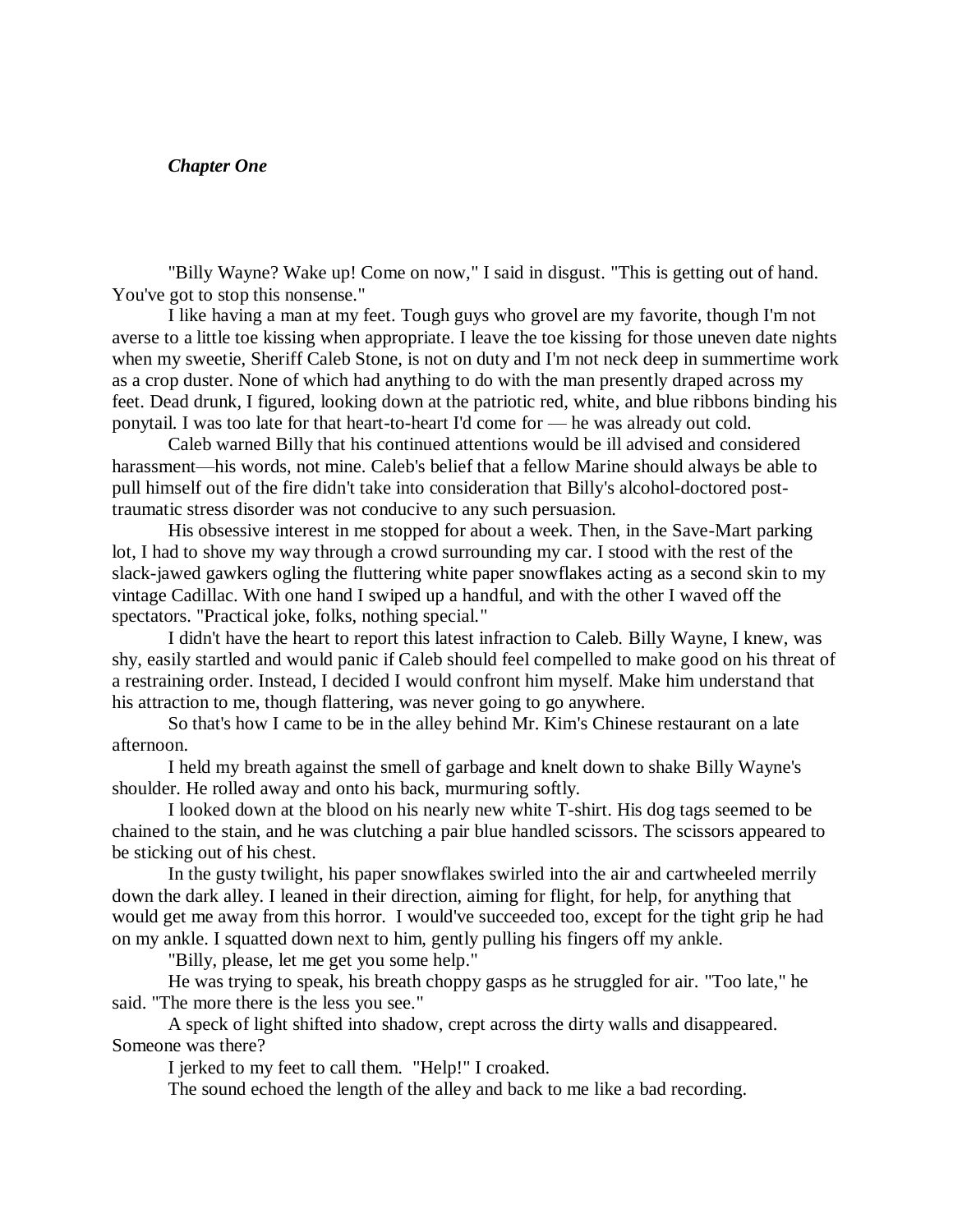#### *Chapter One*

"Billy Wayne? Wake up! Come on now," I said in disgust. "This is getting out of hand. You've got to stop this nonsense."

I like having a man at my feet. Tough guys who grovel are my favorite, though I'm not averse to a little toe kissing when appropriate. I leave the toe kissing for those uneven date nights when my sweetie, Sheriff Caleb Stone, is not on duty and I'm not neck deep in summertime work as a crop duster. None of which had anything to do with the man presently draped across my feet. Dead drunk, I figured, looking down at the patriotic red, white, and blue ribbons binding his ponytail. I was too late for that heart-to-heart I'd come for — he was already out cold.

Caleb warned Billy that his continued attentions would be ill advised and considered harassment—his words, not mine. Caleb's belief that a fellow Marine should always be able to pull himself out of the fire didn't take into consideration that Billy's alcohol-doctored posttraumatic stress disorder was not conducive to any such persuasion.

His obsessive interest in me stopped for about a week. Then, in the Save-Mart parking lot, I had to shove my way through a crowd surrounding my car. I stood with the rest of the slack-jawed gawkers ogling the fluttering white paper snowflakes acting as a second skin to my vintage Cadillac. With one hand I swiped up a handful, and with the other I waved off the spectators. "Practical joke, folks, nothing special."

I didn't have the heart to report this latest infraction to Caleb. Billy Wayne, I knew, was shy, easily startled and would panic if Caleb should feel compelled to make good on his threat of a restraining order. Instead, I decided I would confront him myself. Make him understand that his attraction to me, though flattering, was never going to go anywhere.

So that's how I came to be in the alley behind Mr. Kim's Chinese restaurant on a late afternoon.

I held my breath against the smell of garbage and knelt down to shake Billy Wayne's shoulder. He rolled away and onto his back, murmuring softly.

I looked down at the blood on his nearly new white T-shirt. His dog tags seemed to be chained to the stain, and he was clutching a pair blue handled scissors. The scissors appeared to be sticking out of his chest.

In the gusty twilight, his paper snowflakes swirled into the air and cartwheeled merrily down the dark alley. I leaned in their direction, aiming for flight, for help, for anything that would get me away from this horror. I would've succeeded too, except for the tight grip he had on my ankle. I squatted down next to him, gently pulling his fingers off my ankle.

"Billy, please, let me get you some help."

He was trying to speak, his breath choppy gasps as he struggled for air. "Too late," he said. "The more there is the less you see."

A speck of light shifted into shadow, crept across the dirty walls and disappeared. Someone was there?

I jerked to my feet to call them. "Help!" I croaked.

The sound echoed the length of the alley and back to me like a bad recording.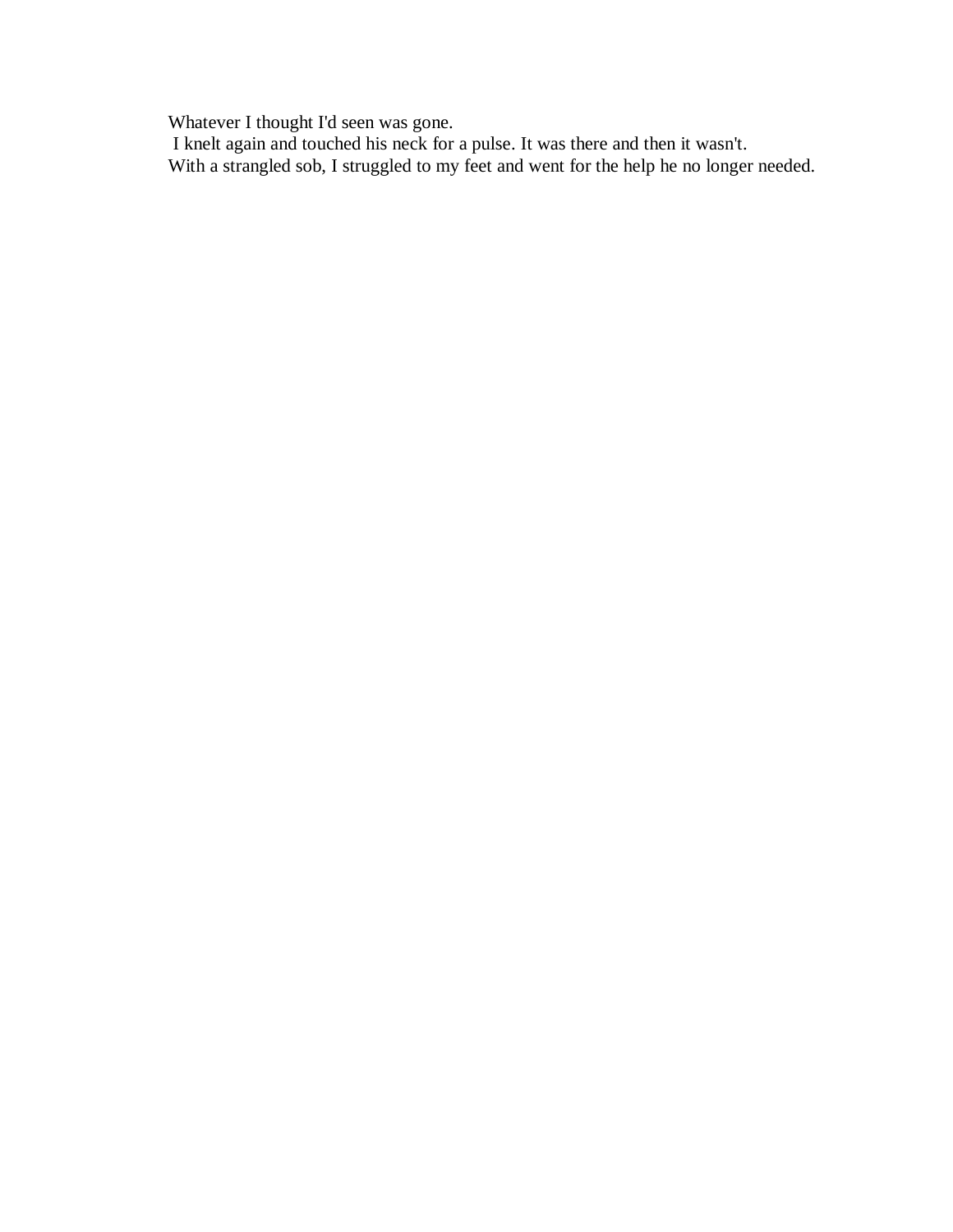Whatever I thought I'd seen was gone.

I knelt again and touched his neck for a pulse. It was there and then it wasn't. With a strangled sob, I struggled to my feet and went for the help he no longer needed.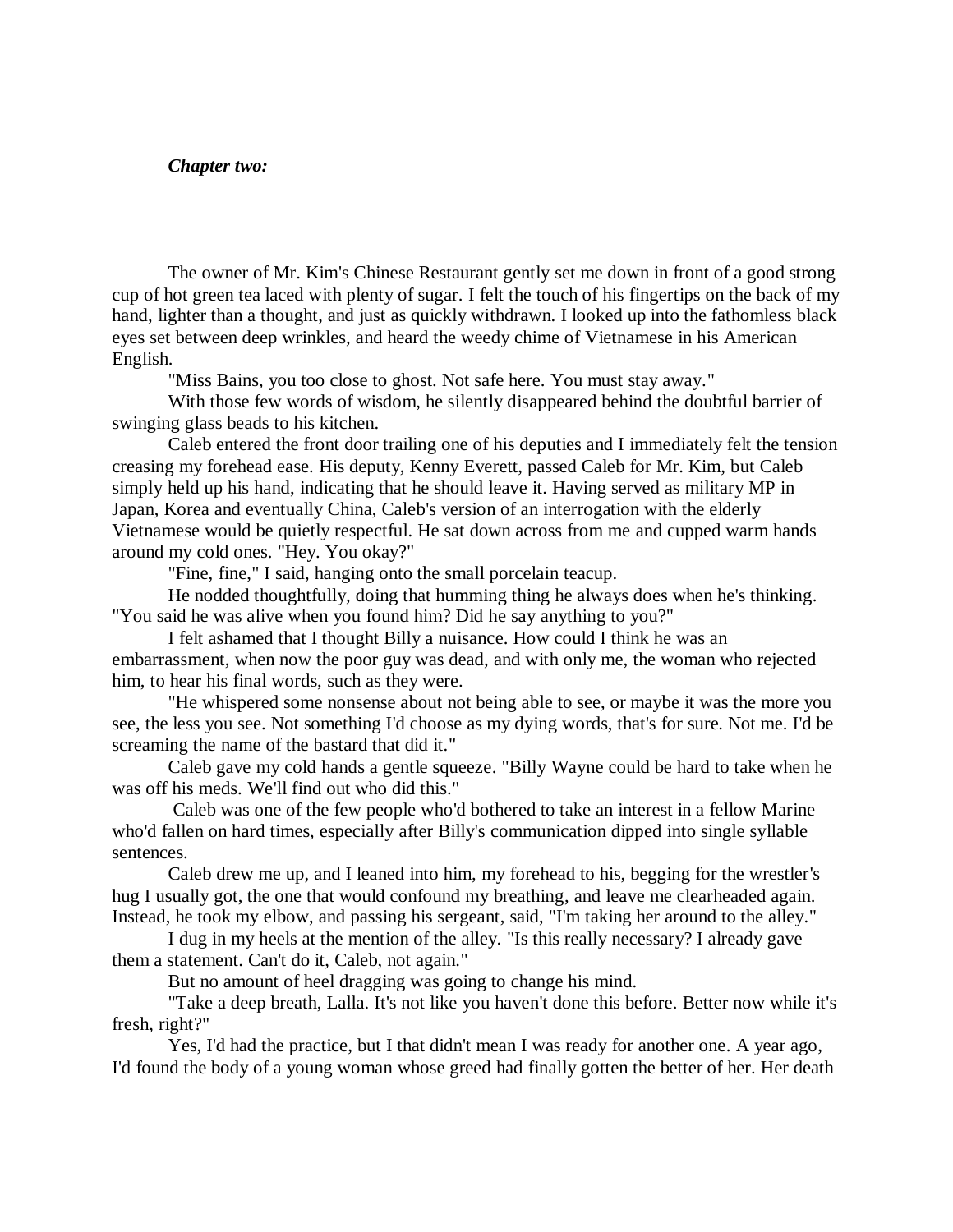#### *Chapter two:*

The owner of Mr. Kim's Chinese Restaurant gently set me down in front of a good strong cup of hot green tea laced with plenty of sugar. I felt the touch of his fingertips on the back of my hand, lighter than a thought, and just as quickly withdrawn. I looked up into the fathomless black eyes set between deep wrinkles, and heard the weedy chime of Vietnamese in his American English.

"Miss Bains, you too close to ghost. Not safe here. You must stay away."

With those few words of wisdom, he silently disappeared behind the doubtful barrier of swinging glass beads to his kitchen.

Caleb entered the front door trailing one of his deputies and I immediately felt the tension creasing my forehead ease. His deputy, Kenny Everett, passed Caleb for Mr. Kim, but Caleb simply held up his hand, indicating that he should leave it. Having served as military MP in Japan, Korea and eventually China, Caleb's version of an interrogation with the elderly Vietnamese would be quietly respectful. He sat down across from me and cupped warm hands around my cold ones. "Hey. You okay?"

"Fine, fine," I said, hanging onto the small porcelain teacup.

He nodded thoughtfully, doing that humming thing he always does when he's thinking. "You said he was alive when you found him? Did he say anything to you?"

I felt ashamed that I thought Billy a nuisance. How could I think he was an embarrassment, when now the poor guy was dead, and with only me, the woman who rejected him, to hear his final words, such as they were.

"He whispered some nonsense about not being able to see, or maybe it was the more you see, the less you see. Not something I'd choose as my dying words, that's for sure. Not me. I'd be screaming the name of the bastard that did it."

Caleb gave my cold hands a gentle squeeze. "Billy Wayne could be hard to take when he was off his meds. We'll find out who did this."

Caleb was one of the few people who'd bothered to take an interest in a fellow Marine who'd fallen on hard times, especially after Billy's communication dipped into single syllable sentences.

Caleb drew me up, and I leaned into him, my forehead to his, begging for the wrestler's hug I usually got, the one that would confound my breathing, and leave me clearheaded again. Instead, he took my elbow, and passing his sergeant, said, "I'm taking her around to the alley."

I dug in my heels at the mention of the alley. "Is this really necessary? I already gave them a statement. Can't do it, Caleb, not again."

But no amount of heel dragging was going to change his mind.

"Take a deep breath, Lalla. It's not like you haven't done this before. Better now while it's fresh, right?"

Yes, I'd had the practice, but I that didn't mean I was ready for another one. A year ago, I'd found the body of a young woman whose greed had finally gotten the better of her. Her death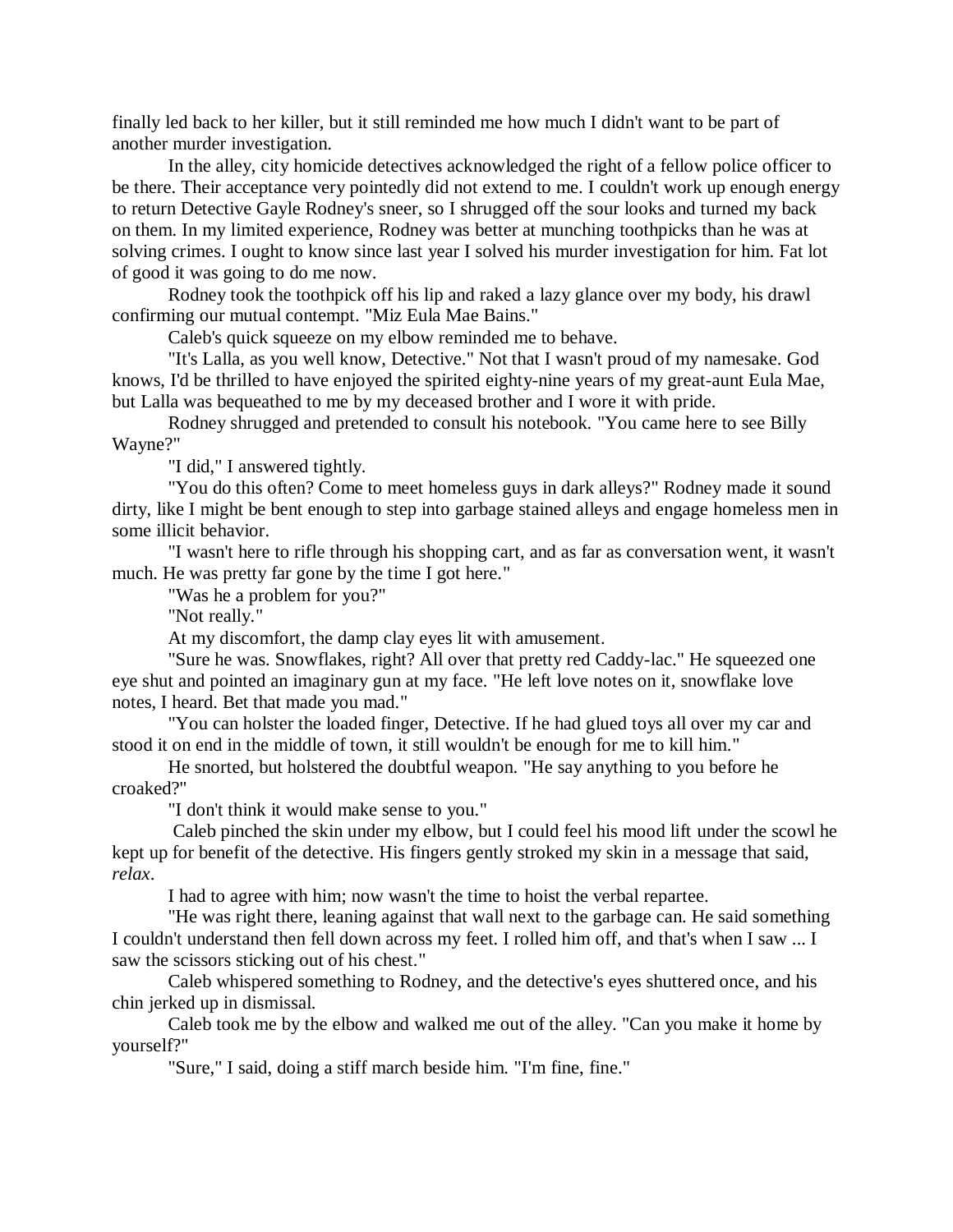finally led back to her killer, but it still reminded me how much I didn't want to be part of another murder investigation.

In the alley, city homicide detectives acknowledged the right of a fellow police officer to be there. Their acceptance very pointedly did not extend to me. I couldn't work up enough energy to return Detective Gayle Rodney's sneer, so I shrugged off the sour looks and turned my back on them. In my limited experience, Rodney was better at munching toothpicks than he was at solving crimes. I ought to know since last year I solved his murder investigation for him. Fat lot of good it was going to do me now.

Rodney took the toothpick off his lip and raked a lazy glance over my body, his drawl confirming our mutual contempt. "Miz Eula Mae Bains."

Caleb's quick squeeze on my elbow reminded me to behave.

"It's Lalla, as you well know, Detective." Not that I wasn't proud of my namesake. God knows, I'd be thrilled to have enjoyed the spirited eighty-nine years of my great-aunt Eula Mae, but Lalla was bequeathed to me by my deceased brother and I wore it with pride.

Rodney shrugged and pretended to consult his notebook. "You came here to see Billy Wayne?"

"I did," I answered tightly.

"You do this often? Come to meet homeless guys in dark alleys?" Rodney made it sound dirty, like I might be bent enough to step into garbage stained alleys and engage homeless men in some illicit behavior.

"I wasn't here to rifle through his shopping cart, and as far as conversation went, it wasn't much. He was pretty far gone by the time I got here."

"Was he a problem for you?"

"Not really."

At my discomfort, the damp clay eyes lit with amusement.

"Sure he was. Snowflakes, right? All over that pretty red Caddy-lac." He squeezed one eye shut and pointed an imaginary gun at my face. "He left love notes on it, snowflake love notes, I heard. Bet that made you mad."

"You can holster the loaded finger, Detective. If he had glued toys all over my car and stood it on end in the middle of town, it still wouldn't be enough for me to kill him."

He snorted, but holstered the doubtful weapon. "He say anything to you before he croaked?"

"I don't think it would make sense to you."

Caleb pinched the skin under my elbow, but I could feel his mood lift under the scowl he kept up for benefit of the detective. His fingers gently stroked my skin in a message that said, *relax*.

I had to agree with him; now wasn't the time to hoist the verbal repartee.

"He was right there, leaning against that wall next to the garbage can. He said something I couldn't understand then fell down across my feet. I rolled him off, and that's when I saw ... I saw the scissors sticking out of his chest."

Caleb whispered something to Rodney, and the detective's eyes shuttered once, and his chin jerked up in dismissal.

Caleb took me by the elbow and walked me out of the alley. "Can you make it home by yourself?"

"Sure," I said, doing a stiff march beside him. "I'm fine, fine."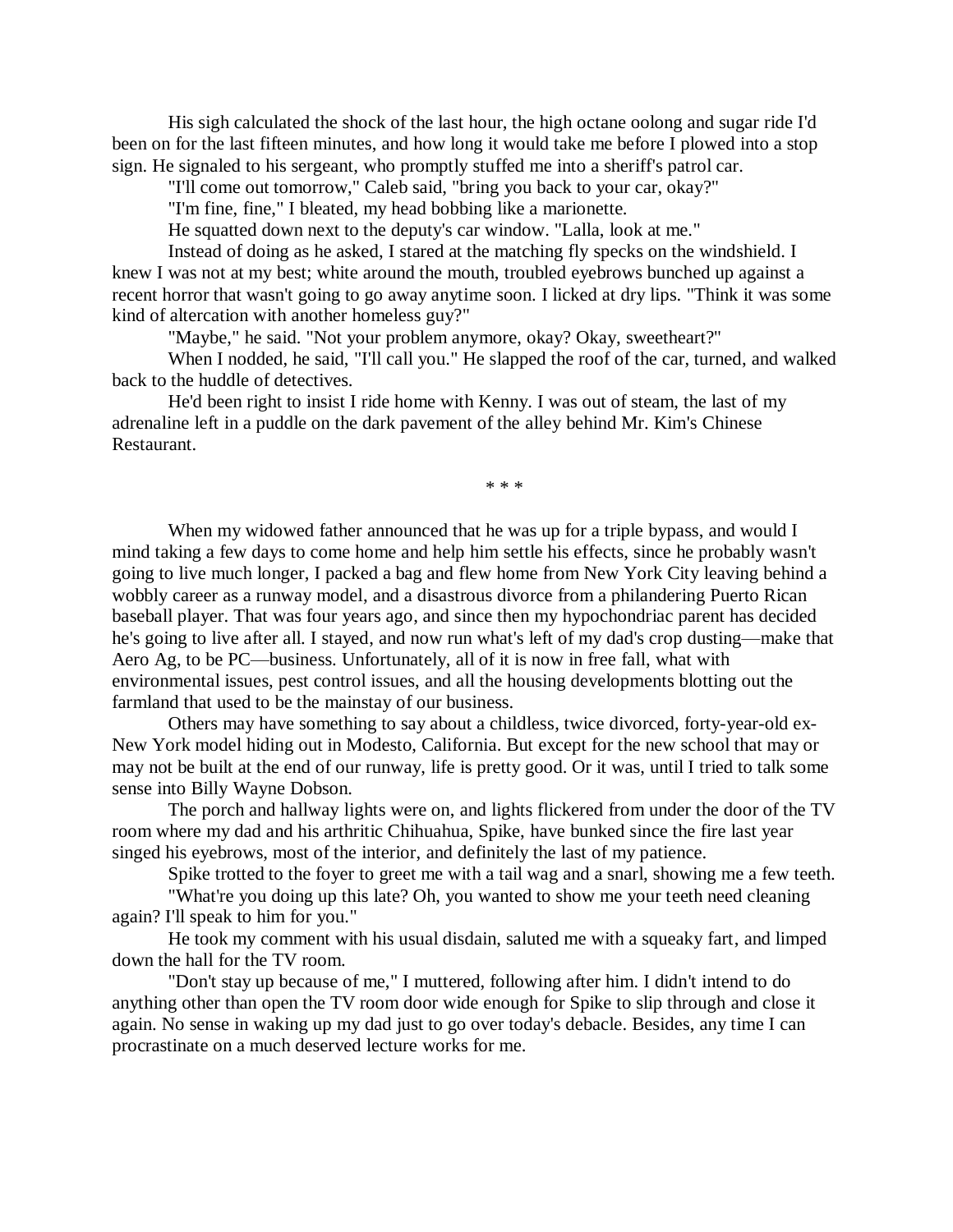His sigh calculated the shock of the last hour, the high octane oolong and sugar ride I'd been on for the last fifteen minutes, and how long it would take me before I plowed into a stop sign. He signaled to his sergeant, who promptly stuffed me into a sheriff's patrol car.

"I'll come out tomorrow," Caleb said, "bring you back to your car, okay?"

"I'm fine, fine," I bleated, my head bobbing like a marionette.

He squatted down next to the deputy's car window. "Lalla, look at me."

Instead of doing as he asked, I stared at the matching fly specks on the windshield. I knew I was not at my best; white around the mouth, troubled eyebrows bunched up against a recent horror that wasn't going to go away anytime soon. I licked at dry lips. "Think it was some kind of altercation with another homeless guy?"

"Maybe," he said. "Not your problem anymore, okay? Okay, sweetheart?"

When I nodded, he said, "I'll call you." He slapped the roof of the car, turned, and walked back to the huddle of detectives.

He'd been right to insist I ride home with Kenny. I was out of steam, the last of my adrenaline left in a puddle on the dark pavement of the alley behind Mr. Kim's Chinese Restaurant.

\* \* \*

When my widowed father announced that he was up for a triple bypass, and would I mind taking a few days to come home and help him settle his effects, since he probably wasn't going to live much longer, I packed a bag and flew home from New York City leaving behind a wobbly career as a runway model, and a disastrous divorce from a philandering Puerto Rican baseball player. That was four years ago, and since then my hypochondriac parent has decided he's going to live after all. I stayed, and now run what's left of my dad's crop dusting—make that Aero Ag, to be PC—business. Unfortunately, all of it is now in free fall, what with environmental issues, pest control issues, and all the housing developments blotting out the farmland that used to be the mainstay of our business.

Others may have something to say about a childless, twice divorced, forty-year-old ex-New York model hiding out in Modesto, California. But except for the new school that may or may not be built at the end of our runway, life is pretty good. Or it was, until I tried to talk some sense into Billy Wayne Dobson.

The porch and hallway lights were on, and lights flickered from under the door of the TV room where my dad and his arthritic Chihuahua, Spike, have bunked since the fire last year singed his eyebrows, most of the interior, and definitely the last of my patience.

Spike trotted to the foyer to greet me with a tail wag and a snarl, showing me a few teeth.

"What're you doing up this late? Oh, you wanted to show me your teeth need cleaning again? I'll speak to him for you."

He took my comment with his usual disdain, saluted me with a squeaky fart, and limped down the hall for the TV room.

"Don't stay up because of me," I muttered, following after him. I didn't intend to do anything other than open the TV room door wide enough for Spike to slip through and close it again. No sense in waking up my dad just to go over today's debacle. Besides, any time I can procrastinate on a much deserved lecture works for me.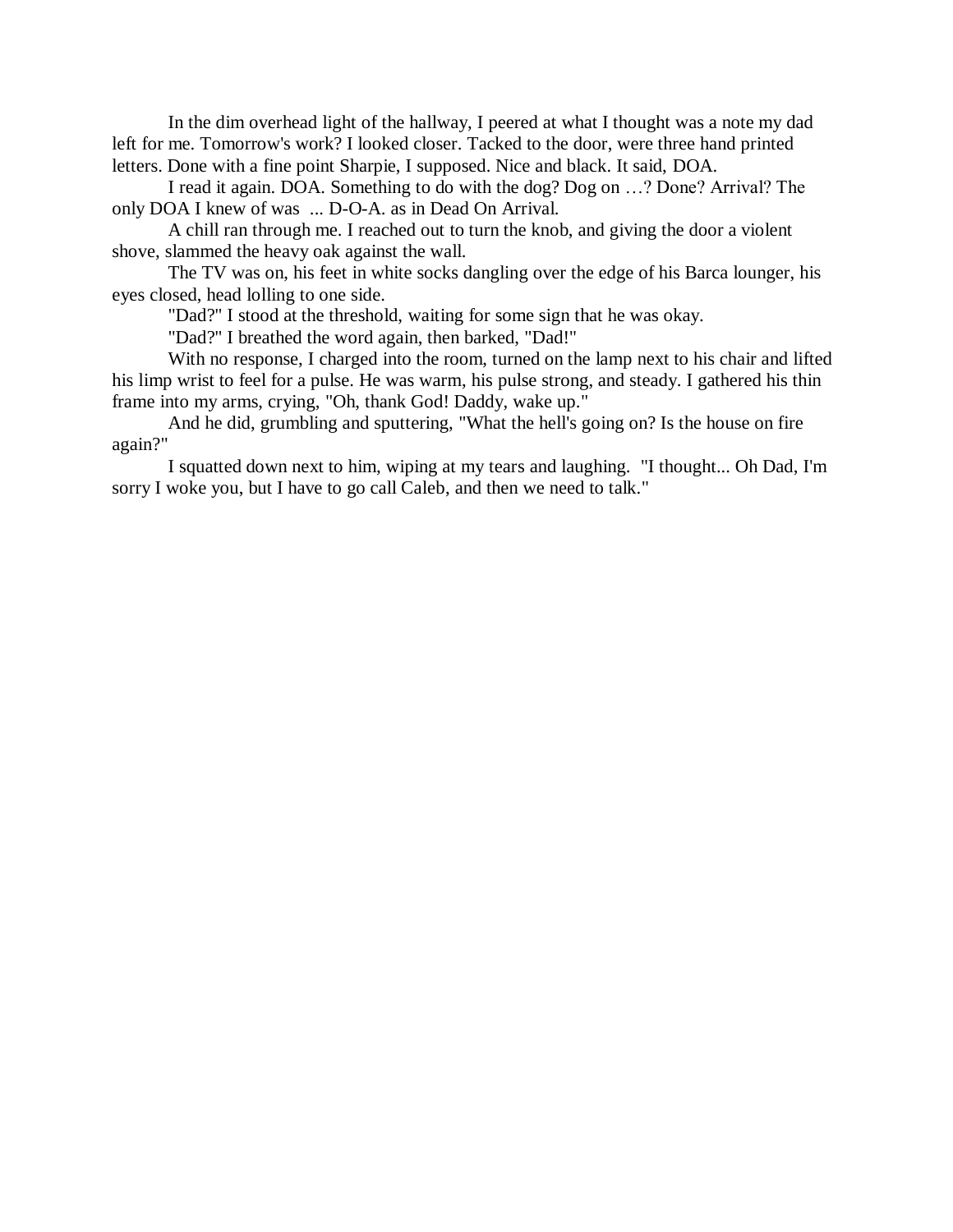In the dim overhead light of the hallway, I peered at what I thought was a note my dad left for me. Tomorrow's work? I looked closer. Tacked to the door, were three hand printed letters. Done with a fine point Sharpie, I supposed. Nice and black. It said, DOA.

I read it again. DOA. Something to do with the dog? Dog on …? Done? Arrival? The only DOA I knew of was ... D-O-A. as in Dead On Arrival.

A chill ran through me. I reached out to turn the knob, and giving the door a violent shove, slammed the heavy oak against the wall.

The TV was on, his feet in white socks dangling over the edge of his Barca lounger, his eyes closed, head lolling to one side.

"Dad?" I stood at the threshold, waiting for some sign that he was okay.

"Dad?" I breathed the word again, then barked, "Dad!"

With no response, I charged into the room, turned on the lamp next to his chair and lifted his limp wrist to feel for a pulse. He was warm, his pulse strong, and steady. I gathered his thin frame into my arms, crying, "Oh, thank God! Daddy, wake up."

And he did, grumbling and sputtering, "What the hell's going on? Is the house on fire again?"

I squatted down next to him, wiping at my tears and laughing. "I thought... Oh Dad, I'm sorry I woke you, but I have to go call Caleb, and then we need to talk."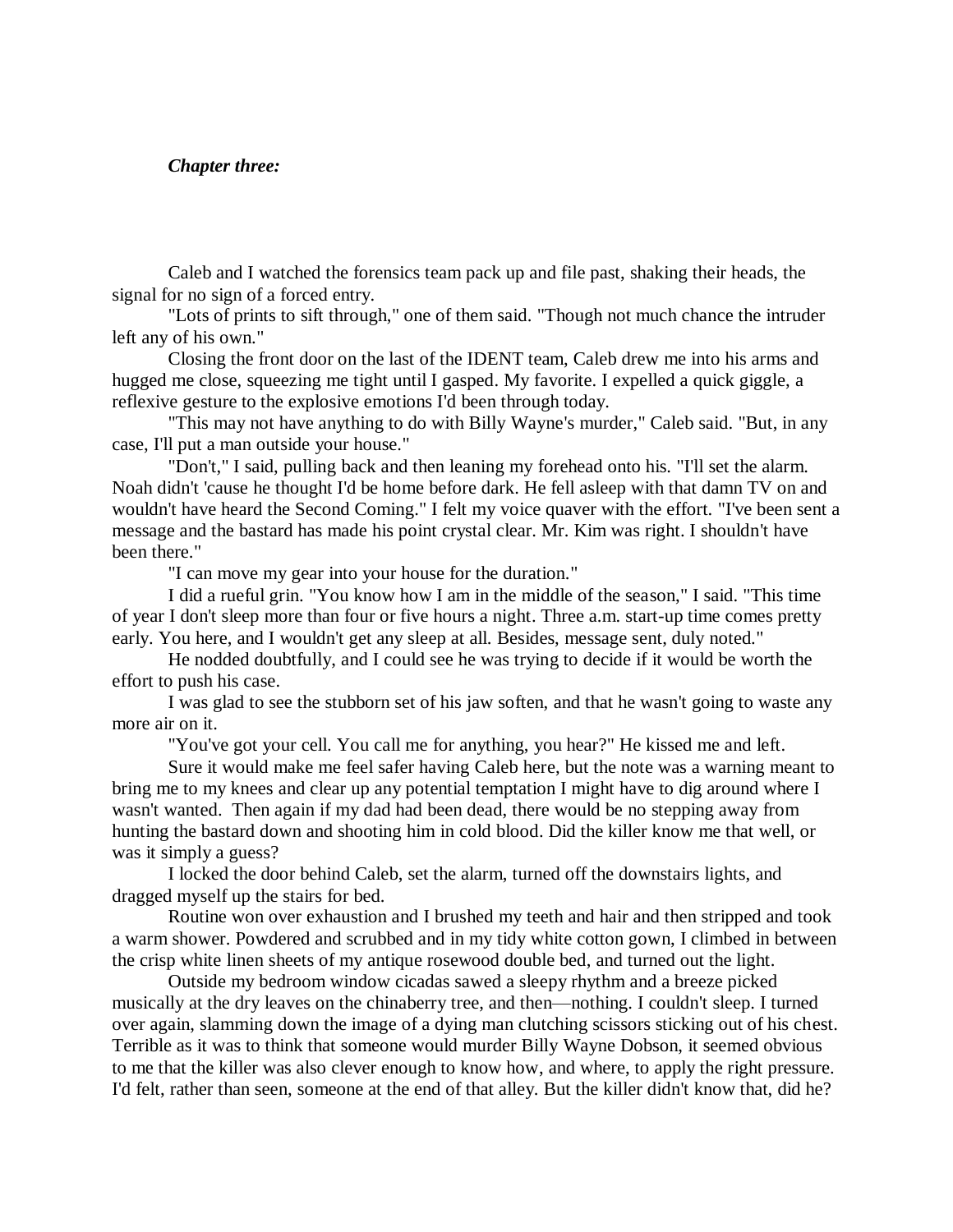#### *Chapter three:*

Caleb and I watched the forensics team pack up and file past, shaking their heads, the signal for no sign of a forced entry.

"Lots of prints to sift through," one of them said. "Though not much chance the intruder left any of his own."

Closing the front door on the last of the IDENT team, Caleb drew me into his arms and hugged me close, squeezing me tight until I gasped. My favorite. I expelled a quick giggle, a reflexive gesture to the explosive emotions I'd been through today.

"This may not have anything to do with Billy Wayne's murder," Caleb said. "But, in any case, I'll put a man outside your house."

"Don't," I said, pulling back and then leaning my forehead onto his. "I'll set the alarm. Noah didn't 'cause he thought I'd be home before dark. He fell asleep with that damn TV on and wouldn't have heard the Second Coming." I felt my voice quaver with the effort. "I've been sent a message and the bastard has made his point crystal clear. Mr. Kim was right. I shouldn't have been there."

"I can move my gear into your house for the duration."

I did a rueful grin. "You know how I am in the middle of the season," I said. "This time of year I don't sleep more than four or five hours a night. Three a.m. start-up time comes pretty early. You here, and I wouldn't get any sleep at all. Besides, message sent, duly noted."

He nodded doubtfully, and I could see he was trying to decide if it would be worth the effort to push his case.

I was glad to see the stubborn set of his jaw soften, and that he wasn't going to waste any more air on it.

"You've got your cell. You call me for anything, you hear?" He kissed me and left.

Sure it would make me feel safer having Caleb here, but the note was a warning meant to bring me to my knees and clear up any potential temptation I might have to dig around where I wasn't wanted. Then again if my dad had been dead, there would be no stepping away from hunting the bastard down and shooting him in cold blood. Did the killer know me that well, or was it simply a guess?

I locked the door behind Caleb, set the alarm, turned off the downstairs lights, and dragged myself up the stairs for bed.

Routine won over exhaustion and I brushed my teeth and hair and then stripped and took a warm shower. Powdered and scrubbed and in my tidy white cotton gown, I climbed in between the crisp white linen sheets of my antique rosewood double bed, and turned out the light.

Outside my bedroom window cicadas sawed a sleepy rhythm and a breeze picked musically at the dry leaves on the chinaberry tree, and then—nothing. I couldn't sleep. I turned over again, slamming down the image of a dying man clutching scissors sticking out of his chest. Terrible as it was to think that someone would murder Billy Wayne Dobson, it seemed obvious to me that the killer was also clever enough to know how, and where, to apply the right pressure. I'd felt, rather than seen, someone at the end of that alley. But the killer didn't know that, did he?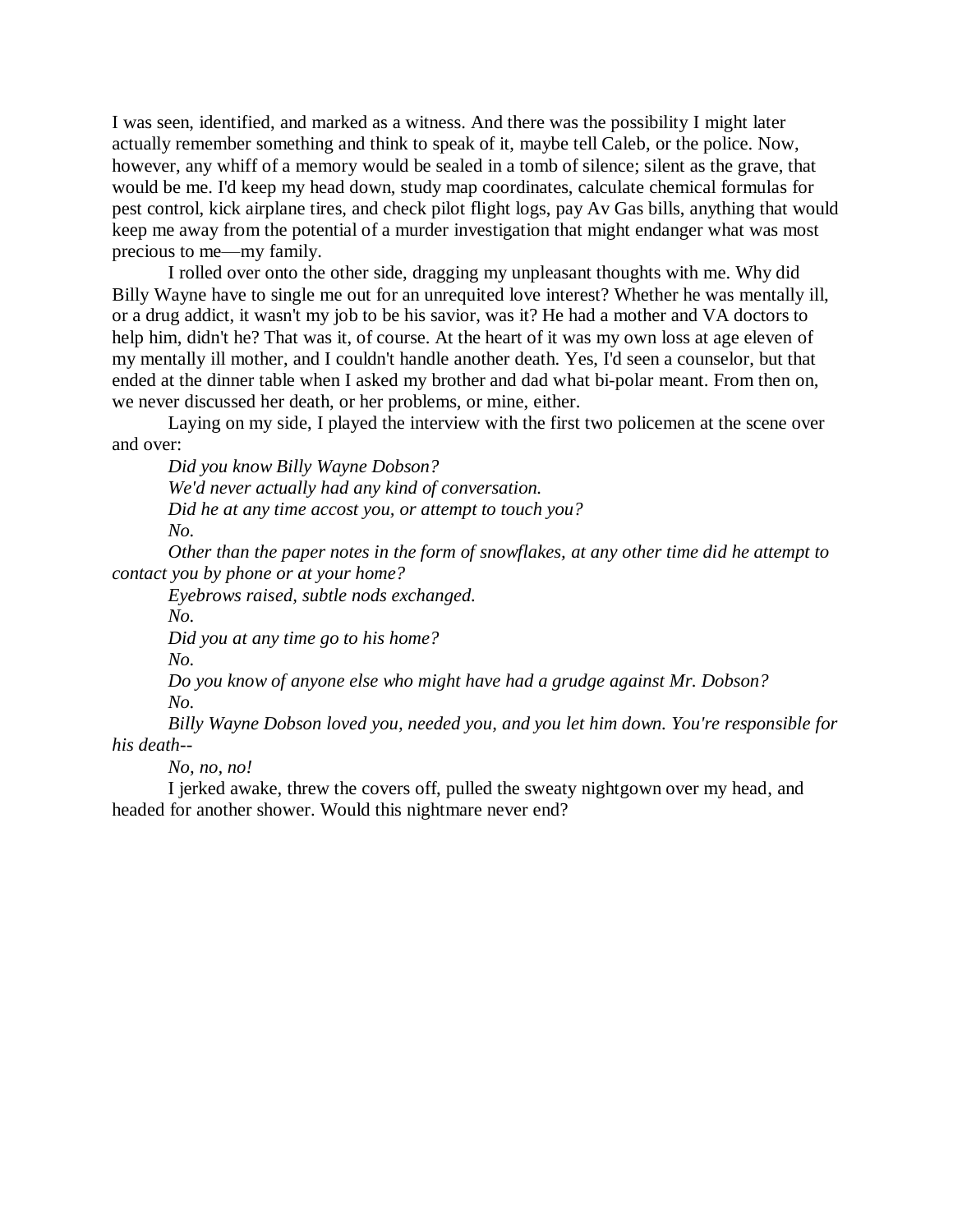I was seen, identified, and marked as a witness. And there was the possibility I might later actually remember something and think to speak of it, maybe tell Caleb, or the police. Now, however, any whiff of a memory would be sealed in a tomb of silence; silent as the grave, that would be me. I'd keep my head down, study map coordinates, calculate chemical formulas for pest control, kick airplane tires, and check pilot flight logs, pay Av Gas bills, anything that would keep me away from the potential of a murder investigation that might endanger what was most precious to me—my family.

I rolled over onto the other side, dragging my unpleasant thoughts with me. Why did Billy Wayne have to single me out for an unrequited love interest? Whether he was mentally ill, or a drug addict, it wasn't my job to be his savior, was it? He had a mother and VA doctors to help him, didn't he? That was it, of course. At the heart of it was my own loss at age eleven of my mentally ill mother, and I couldn't handle another death. Yes, I'd seen a counselor, but that ended at the dinner table when I asked my brother and dad what bi-polar meant. From then on, we never discussed her death, or her problems, or mine, either.

Laying on my side, I played the interview with the first two policemen at the scene over and over:

*Did you know Billy Wayne Dobson? We'd never actually had any kind of conversation.*

*Did he at any time accost you, or attempt to touch you?*

*No.*

*Other than the paper notes in the form of snowflakes, at any other time did he attempt to contact you by phone or at your home?*

*Eyebrows raised, subtle nods exchanged.* 

*No.*

*Did you at any time go to his home?*

*No.*

*Do you know of anyone else who might have had a grudge against Mr. Dobson? No.*

*Billy Wayne Dobson loved you, needed you, and you let him down. You're responsible for his death--*

*No, no, no!*

I jerked awake, threw the covers off, pulled the sweaty nightgown over my head, and headed for another shower. Would this nightmare never end?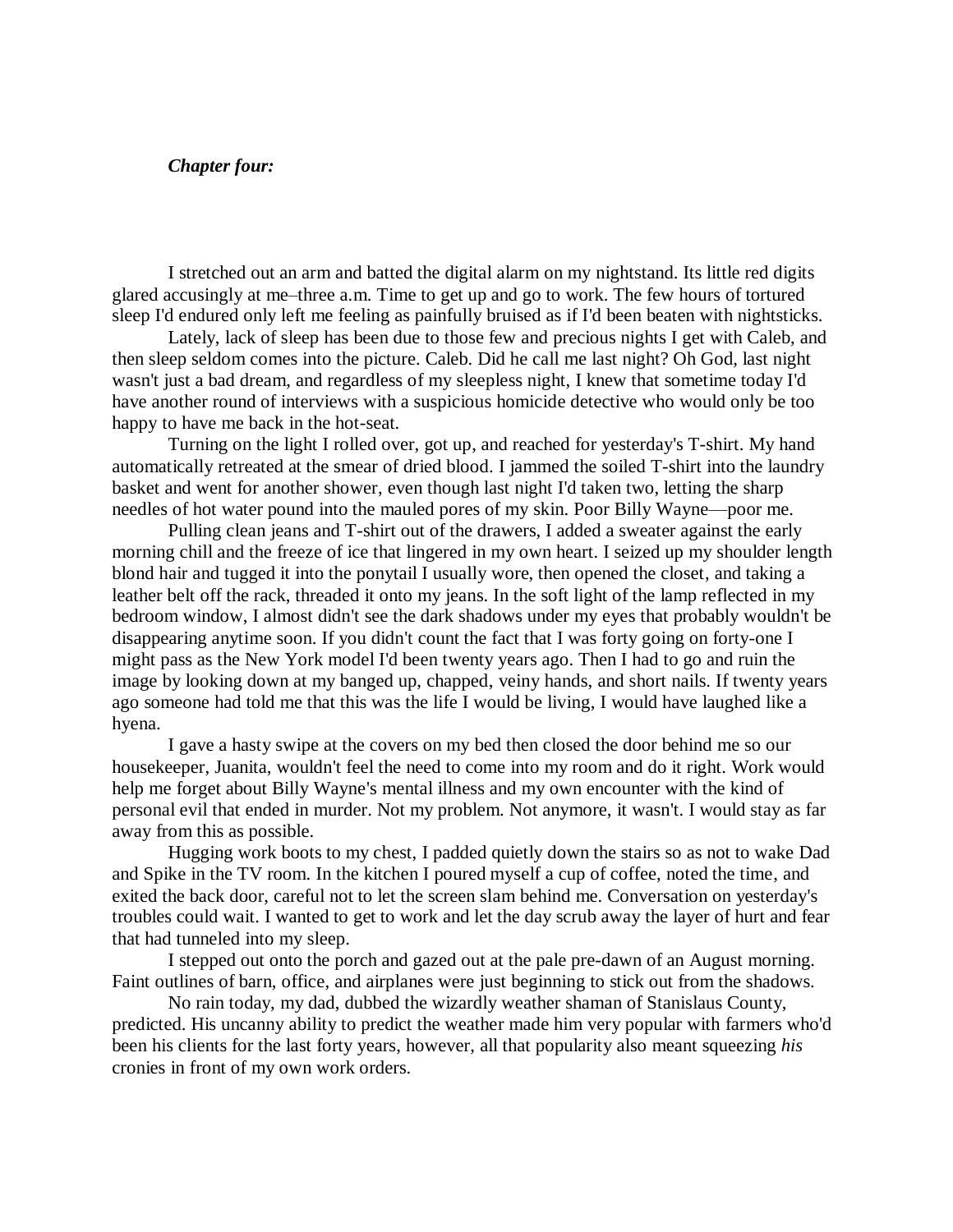### *Chapter four:*

I stretched out an arm and batted the digital alarm on my nightstand. Its little red digits glared accusingly at me–three a.m. Time to get up and go to work. The few hours of tortured sleep I'd endured only left me feeling as painfully bruised as if I'd been beaten with nightsticks.

Lately, lack of sleep has been due to those few and precious nights I get with Caleb, and then sleep seldom comes into the picture. Caleb. Did he call me last night? Oh God, last night wasn't just a bad dream, and regardless of my sleepless night, I knew that sometime today I'd have another round of interviews with a suspicious homicide detective who would only be too happy to have me back in the hot-seat.

Turning on the light I rolled over, got up, and reached for yesterday's T-shirt. My hand automatically retreated at the smear of dried blood. I jammed the soiled T-shirt into the laundry basket and went for another shower, even though last night I'd taken two, letting the sharp needles of hot water pound into the mauled pores of my skin. Poor Billy Wayne—poor me.

Pulling clean jeans and T-shirt out of the drawers, I added a sweater against the early morning chill and the freeze of ice that lingered in my own heart. I seized up my shoulder length blond hair and tugged it into the ponytail I usually wore, then opened the closet, and taking a leather belt off the rack, threaded it onto my jeans. In the soft light of the lamp reflected in my bedroom window, I almost didn't see the dark shadows under my eyes that probably wouldn't be disappearing anytime soon. If you didn't count the fact that I was forty going on forty-one I might pass as the New York model I'd been twenty years ago. Then I had to go and ruin the image by looking down at my banged up, chapped, veiny hands, and short nails. If twenty years ago someone had told me that this was the life I would be living, I would have laughed like a hyena.

I gave a hasty swipe at the covers on my bed then closed the door behind me so our housekeeper, Juanita, wouldn't feel the need to come into my room and do it right. Work would help me forget about Billy Wayne's mental illness and my own encounter with the kind of personal evil that ended in murder. Not my problem. Not anymore, it wasn't. I would stay as far away from this as possible.

Hugging work boots to my chest, I padded quietly down the stairs so as not to wake Dad and Spike in the TV room. In the kitchen I poured myself a cup of coffee, noted the time, and exited the back door, careful not to let the screen slam behind me. Conversation on yesterday's troubles could wait. I wanted to get to work and let the day scrub away the layer of hurt and fear that had tunneled into my sleep.

I stepped out onto the porch and gazed out at the pale pre-dawn of an August morning. Faint outlines of barn, office, and airplanes were just beginning to stick out from the shadows.

No rain today, my dad, dubbed the wizardly weather shaman of Stanislaus County, predicted. His uncanny ability to predict the weather made him very popular with farmers who'd been his clients for the last forty years, however, all that popularity also meant squeezing *his* cronies in front of my own work orders.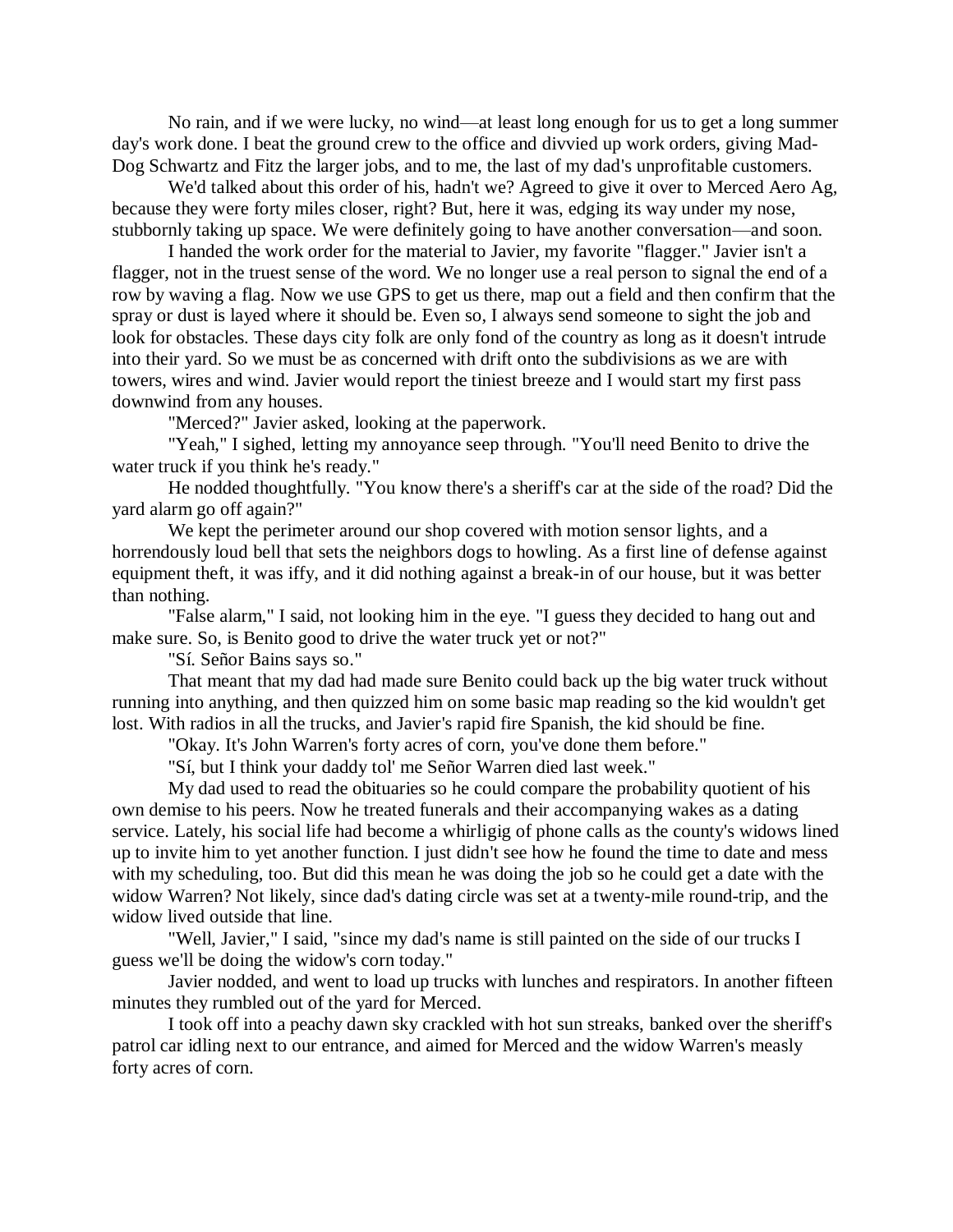No rain, and if we were lucky, no wind—at least long enough for us to get a long summer day's work done. I beat the ground crew to the office and divvied up work orders, giving Mad-Dog Schwartz and Fitz the larger jobs, and to me, the last of my dad's unprofitable customers.

We'd talked about this order of his, hadn't we? Agreed to give it over to Merced Aero Ag, because they were forty miles closer, right? But, here it was, edging its way under my nose, stubbornly taking up space. We were definitely going to have another conversation—and soon.

I handed the work order for the material to Javier, my favorite "flagger." Javier isn't a flagger, not in the truest sense of the word. We no longer use a real person to signal the end of a row by waving a flag. Now we use GPS to get us there, map out a field and then confirm that the spray or dust is layed where it should be. Even so, I always send someone to sight the job and look for obstacles. These days city folk are only fond of the country as long as it doesn't intrude into their yard. So we must be as concerned with drift onto the subdivisions as we are with towers, wires and wind. Javier would report the tiniest breeze and I would start my first pass downwind from any houses.

"Merced?" Javier asked, looking at the paperwork.

"Yeah," I sighed, letting my annoyance seep through. "You'll need Benito to drive the water truck if you think he's ready."

He nodded thoughtfully. "You know there's a sheriff's car at the side of the road? Did the yard alarm go off again?"

We kept the perimeter around our shop covered with motion sensor lights, and a horrendously loud bell that sets the neighbors dogs to howling. As a first line of defense against equipment theft, it was iffy, and it did nothing against a break-in of our house, but it was better than nothing.

"False alarm," I said, not looking him in the eye. "I guess they decided to hang out and make sure. So, is Benito good to drive the water truck yet or not?"

"Sí. Señor Bains says so."

That meant that my dad had made sure Benito could back up the big water truck without running into anything, and then quizzed him on some basic map reading so the kid wouldn't get lost. With radios in all the trucks, and Javier's rapid fire Spanish, the kid should be fine.

"Okay. It's John Warren's forty acres of corn, you've done them before."

"Sí, but I think your daddy tol' me Señor Warren died last week."

My dad used to read the obituaries so he could compare the probability quotient of his own demise to his peers. Now he treated funerals and their accompanying wakes as a dating service. Lately, his social life had become a whirligig of phone calls as the county's widows lined up to invite him to yet another function. I just didn't see how he found the time to date and mess with my scheduling, too. But did this mean he was doing the job so he could get a date with the widow Warren? Not likely, since dad's dating circle was set at a twenty-mile round-trip, and the widow lived outside that line.

"Well, Javier," I said, "since my dad's name is still painted on the side of our trucks I guess we'll be doing the widow's corn today."

Javier nodded, and went to load up trucks with lunches and respirators. In another fifteen minutes they rumbled out of the yard for Merced.

I took off into a peachy dawn sky crackled with hot sun streaks, banked over the sheriff's patrol car idling next to our entrance, and aimed for Merced and the widow Warren's measly forty acres of corn.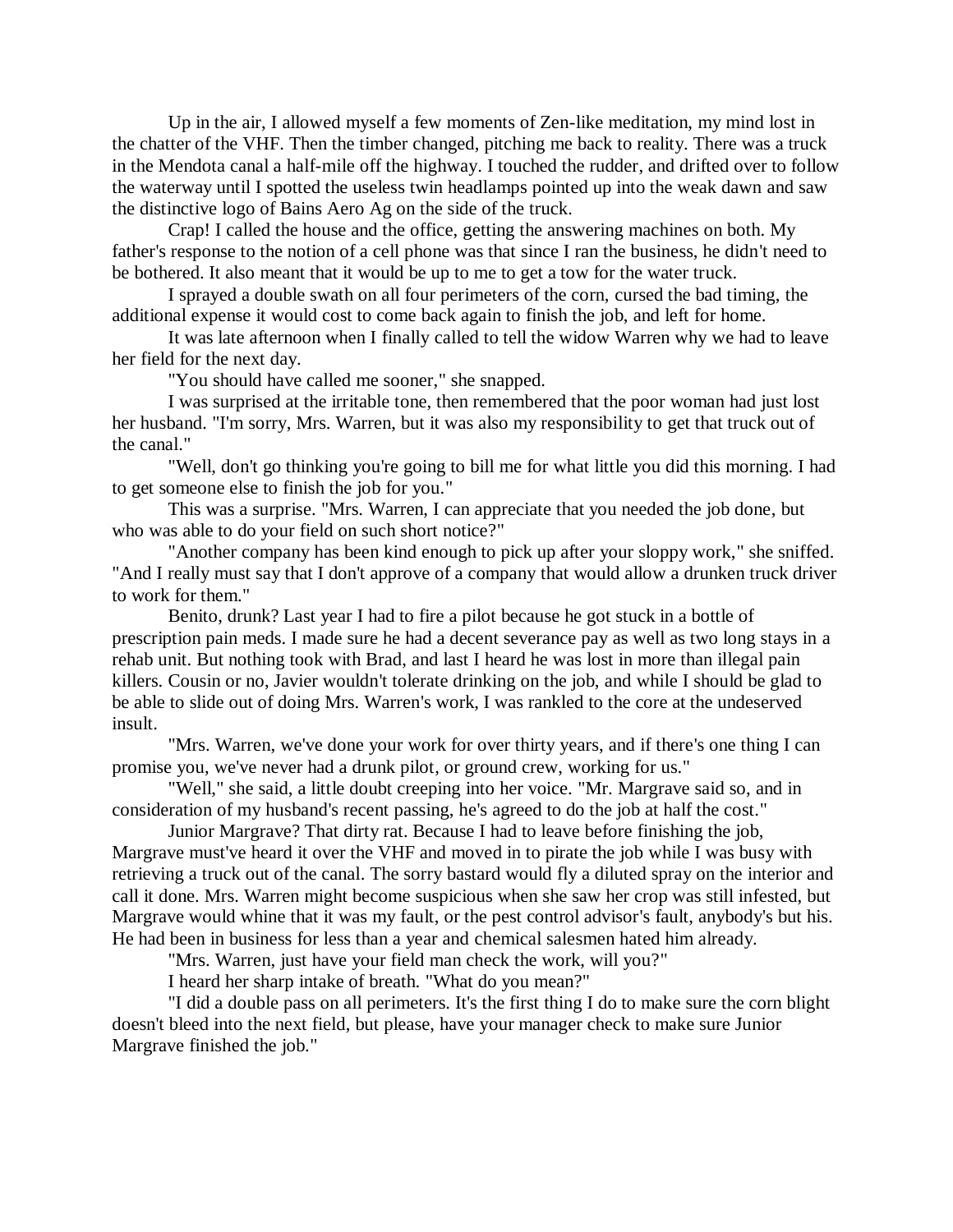Up in the air, I allowed myself a few moments of Zen-like meditation, my mind lost in the chatter of the VHF. Then the timber changed, pitching me back to reality. There was a truck in the Mendota canal a half-mile off the highway. I touched the rudder, and drifted over to follow the waterway until I spotted the useless twin headlamps pointed up into the weak dawn and saw the distinctive logo of Bains Aero Ag on the side of the truck.

Crap! I called the house and the office, getting the answering machines on both. My father's response to the notion of a cell phone was that since I ran the business, he didn't need to be bothered. It also meant that it would be up to me to get a tow for the water truck.

I sprayed a double swath on all four perimeters of the corn, cursed the bad timing, the additional expense it would cost to come back again to finish the job, and left for home.

It was late afternoon when I finally called to tell the widow Warren why we had to leave her field for the next day.

"You should have called me sooner," she snapped.

I was surprised at the irritable tone, then remembered that the poor woman had just lost her husband. "I'm sorry, Mrs. Warren, but it was also my responsibility to get that truck out of the canal."

"Well, don't go thinking you're going to bill me for what little you did this morning. I had to get someone else to finish the job for you."

This was a surprise. "Mrs. Warren, I can appreciate that you needed the job done, but who was able to do your field on such short notice?"

"Another company has been kind enough to pick up after your sloppy work," she sniffed. "And I really must say that I don't approve of a company that would allow a drunken truck driver to work for them."

Benito, drunk? Last year I had to fire a pilot because he got stuck in a bottle of prescription pain meds. I made sure he had a decent severance pay as well as two long stays in a rehab unit. But nothing took with Brad, and last I heard he was lost in more than illegal pain killers. Cousin or no, Javier wouldn't tolerate drinking on the job, and while I should be glad to be able to slide out of doing Mrs. Warren's work, I was rankled to the core at the undeserved insult.

"Mrs. Warren, we've done your work for over thirty years, and if there's one thing I can promise you, we've never had a drunk pilot, or ground crew, working for us."

"Well," she said, a little doubt creeping into her voice. "Mr. Margrave said so, and in consideration of my husband's recent passing, he's agreed to do the job at half the cost."

Junior Margrave? That dirty rat. Because I had to leave before finishing the job, Margrave must've heard it over the VHF and moved in to pirate the job while I was busy with retrieving a truck out of the canal. The sorry bastard would fly a diluted spray on the interior and call it done. Mrs. Warren might become suspicious when she saw her crop was still infested, but Margrave would whine that it was my fault, or the pest control advisor's fault, anybody's but his. He had been in business for less than a year and chemical salesmen hated him already.

"Mrs. Warren, just have your field man check the work, will you?"

I heard her sharp intake of breath. "What do you mean?"

"I did a double pass on all perimeters. It's the first thing I do to make sure the corn blight doesn't bleed into the next field, but please, have your manager check to make sure Junior Margrave finished the job."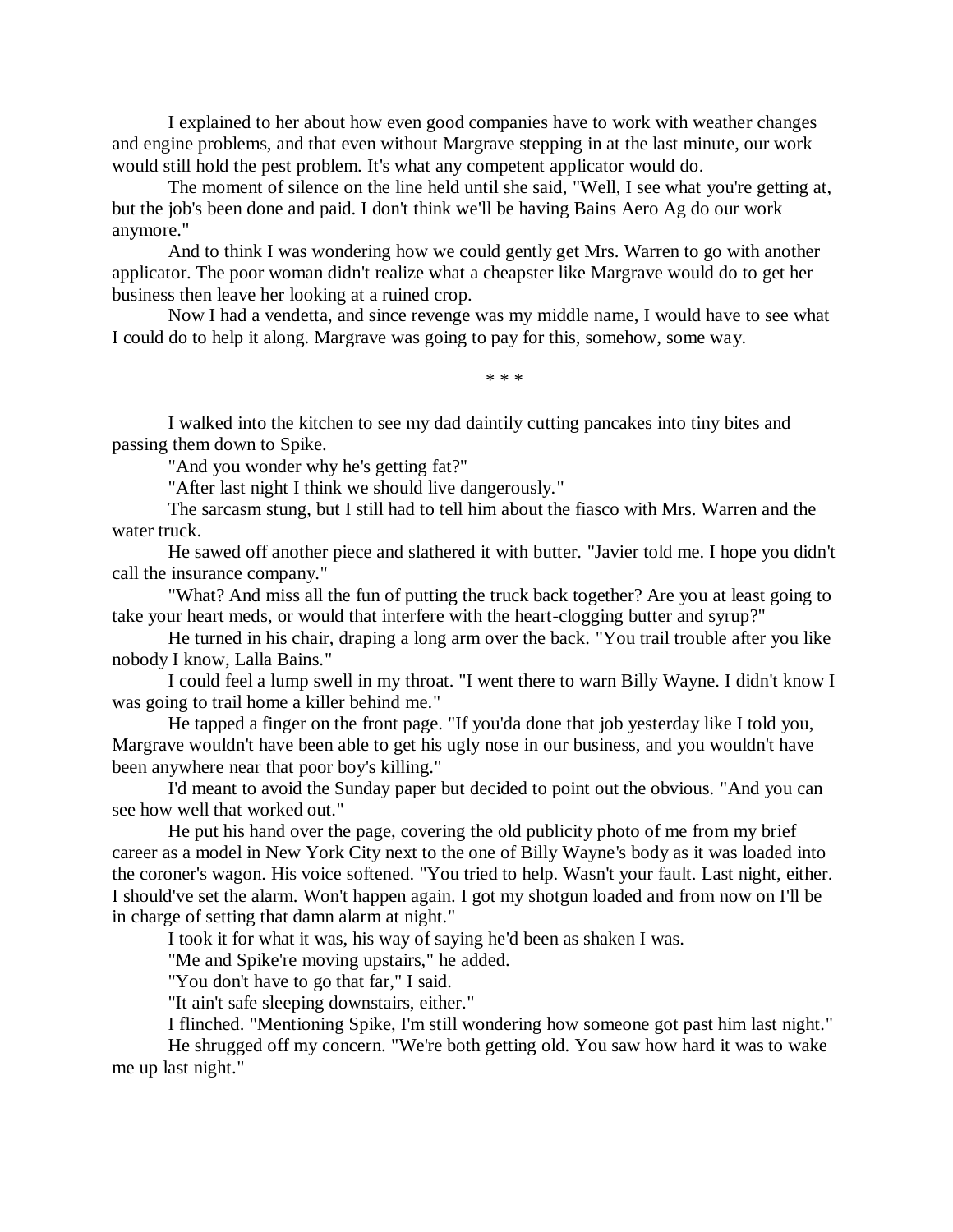I explained to her about how even good companies have to work with weather changes and engine problems, and that even without Margrave stepping in at the last minute, our work would still hold the pest problem. It's what any competent applicator would do.

The moment of silence on the line held until she said, "Well, I see what you're getting at, but the job's been done and paid. I don't think we'll be having Bains Aero Ag do our work anymore."

And to think I was wondering how we could gently get Mrs. Warren to go with another applicator. The poor woman didn't realize what a cheapster like Margrave would do to get her business then leave her looking at a ruined crop.

Now I had a vendetta, and since revenge was my middle name, I would have to see what I could do to help it along. Margrave was going to pay for this, somehow, some way.

\* \* \*

I walked into the kitchen to see my dad daintily cutting pancakes into tiny bites and passing them down to Spike.

"And you wonder why he's getting fat?"

"After last night I think we should live dangerously."

The sarcasm stung, but I still had to tell him about the fiasco with Mrs. Warren and the water truck.

He sawed off another piece and slathered it with butter. "Javier told me. I hope you didn't call the insurance company."

"What? And miss all the fun of putting the truck back together? Are you at least going to take your heart meds, or would that interfere with the heart-clogging butter and syrup?"

He turned in his chair, draping a long arm over the back. "You trail trouble after you like nobody I know, Lalla Bains."

I could feel a lump swell in my throat. "I went there to warn Billy Wayne. I didn't know I was going to trail home a killer behind me."

He tapped a finger on the front page. "If you'da done that job yesterday like I told you, Margrave wouldn't have been able to get his ugly nose in our business, and you wouldn't have been anywhere near that poor boy's killing."

I'd meant to avoid the Sunday paper but decided to point out the obvious. "And you can see how well that worked out."

He put his hand over the page, covering the old publicity photo of me from my brief career as a model in New York City next to the one of Billy Wayne's body as it was loaded into the coroner's wagon. His voice softened. "You tried to help. Wasn't your fault. Last night, either. I should've set the alarm. Won't happen again. I got my shotgun loaded and from now on I'll be in charge of setting that damn alarm at night."

I took it for what it was, his way of saying he'd been as shaken I was.

"Me and Spike're moving upstairs," he added.

"You don't have to go that far," I said.

"It ain't safe sleeping downstairs, either."

I flinched. "Mentioning Spike, I'm still wondering how someone got past him last night."

He shrugged off my concern. "We're both getting old. You saw how hard it was to wake me up last night."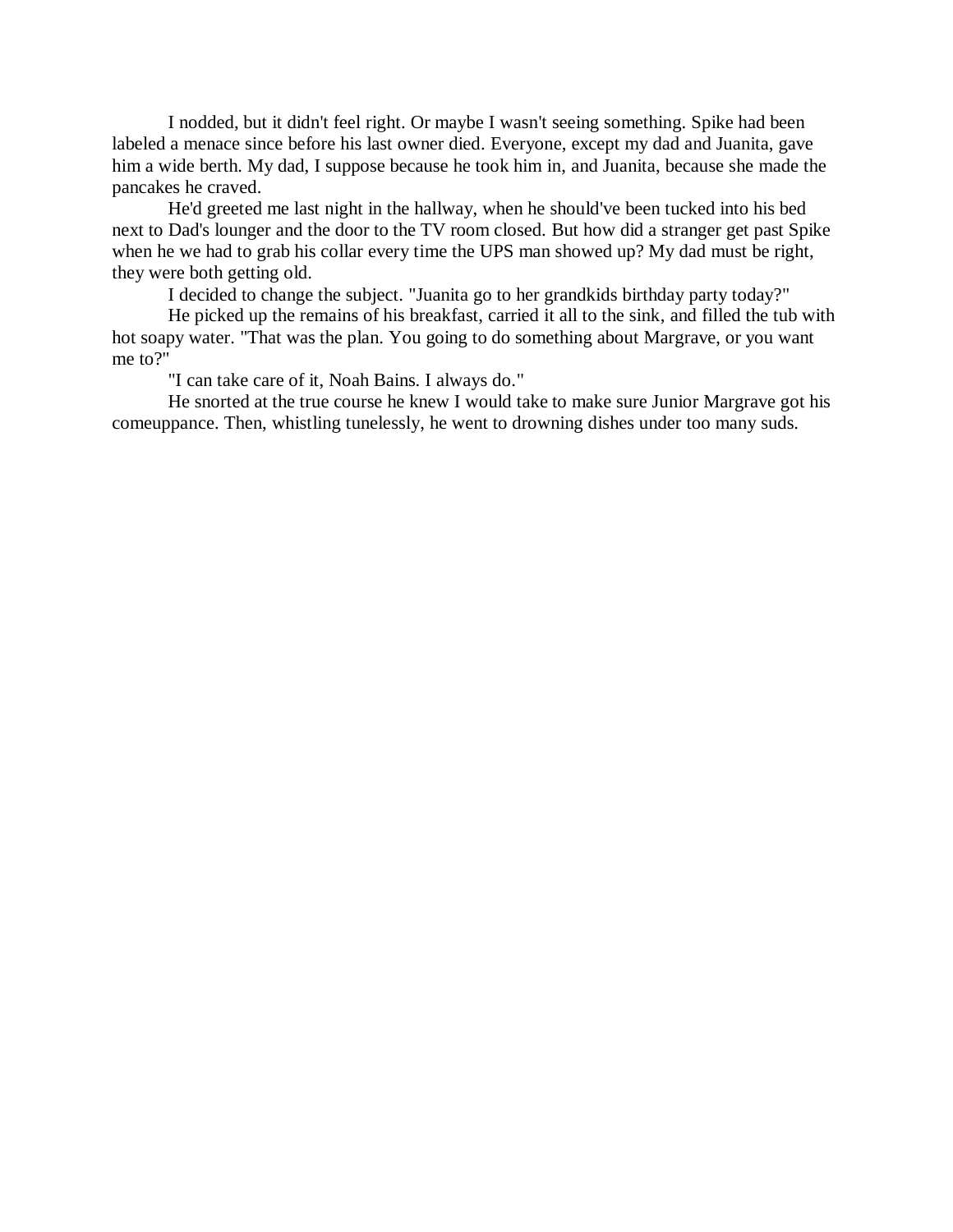I nodded, but it didn't feel right. Or maybe I wasn't seeing something. Spike had been labeled a menace since before his last owner died. Everyone, except my dad and Juanita, gave him a wide berth. My dad, I suppose because he took him in, and Juanita, because she made the pancakes he craved.

He'd greeted me last night in the hallway, when he should've been tucked into his bed next to Dad's lounger and the door to the TV room closed. But how did a stranger get past Spike when he we had to grab his collar every time the UPS man showed up? My dad must be right, they were both getting old.

I decided to change the subject. "Juanita go to her grandkids birthday party today?"

He picked up the remains of his breakfast, carried it all to the sink, and filled the tub with hot soapy water. "That was the plan. You going to do something about Margrave, or you want me to?"

"I can take care of it, Noah Bains. I always do."

He snorted at the true course he knew I would take to make sure Junior Margrave got his comeuppance. Then, whistling tunelessly, he went to drowning dishes under too many suds.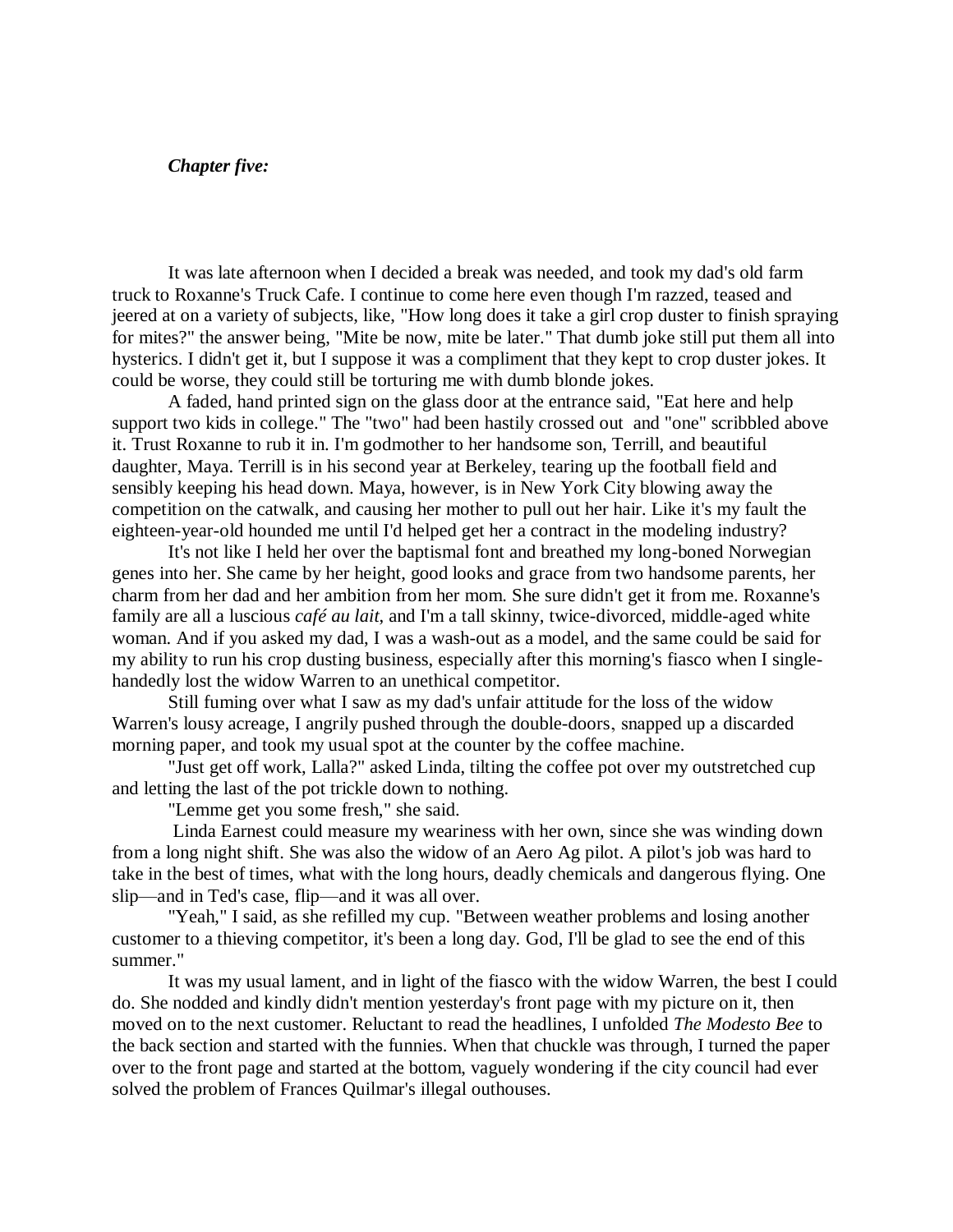#### *Chapter five:*

It was late afternoon when I decided a break was needed, and took my dad's old farm truck to Roxanne's Truck Cafe. I continue to come here even though I'm razzed, teased and jeered at on a variety of subjects, like, "How long does it take a girl crop duster to finish spraying for mites?" the answer being, "Mite be now, mite be later." That dumb joke still put them all into hysterics. I didn't get it, but I suppose it was a compliment that they kept to crop duster jokes. It could be worse, they could still be torturing me with dumb blonde jokes.

A faded, hand printed sign on the glass door at the entrance said, "Eat here and help support two kids in college." The "two" had been hastily crossed out and "one" scribbled above it. Trust Roxanne to rub it in. I'm godmother to her handsome son, Terrill, and beautiful daughter, Maya. Terrill is in his second year at Berkeley, tearing up the football field and sensibly keeping his head down. Maya, however, is in New York City blowing away the competition on the catwalk, and causing her mother to pull out her hair. Like it's my fault the eighteen-year-old hounded me until I'd helped get her a contract in the modeling industry?

It's not like I held her over the baptismal font and breathed my long-boned Norwegian genes into her. She came by her height, good looks and grace from two handsome parents, her charm from her dad and her ambition from her mom. She sure didn't get it from me. Roxanne's family are all a luscious *café au lait*, and I'm a tall skinny, twice-divorced, middle-aged white woman. And if you asked my dad, I was a wash-out as a model, and the same could be said for my ability to run his crop dusting business, especially after this morning's fiasco when I singlehandedly lost the widow Warren to an unethical competitor.

Still fuming over what I saw as my dad's unfair attitude for the loss of the widow Warren's lousy acreage, I angrily pushed through the double-doors, snapped up a discarded morning paper, and took my usual spot at the counter by the coffee machine.

"Just get off work, Lalla?" asked Linda, tilting the coffee pot over my outstretched cup and letting the last of the pot trickle down to nothing.

"Lemme get you some fresh," she said.

Linda Earnest could measure my weariness with her own, since she was winding down from a long night shift. She was also the widow of an Aero Ag pilot. A pilot's job was hard to take in the best of times, what with the long hours, deadly chemicals and dangerous flying. One slip—and in Ted's case, flip—and it was all over.

"Yeah," I said, as she refilled my cup. "Between weather problems and losing another customer to a thieving competitor, it's been a long day. God, I'll be glad to see the end of this summer."

It was my usual lament, and in light of the fiasco with the widow Warren, the best I could do. She nodded and kindly didn't mention yesterday's front page with my picture on it, then moved on to the next customer. Reluctant to read the headlines, I unfolded *The Modesto Bee* to the back section and started with the funnies. When that chuckle was through, I turned the paper over to the front page and started at the bottom, vaguely wondering if the city council had ever solved the problem of Frances Quilmar's illegal outhouses.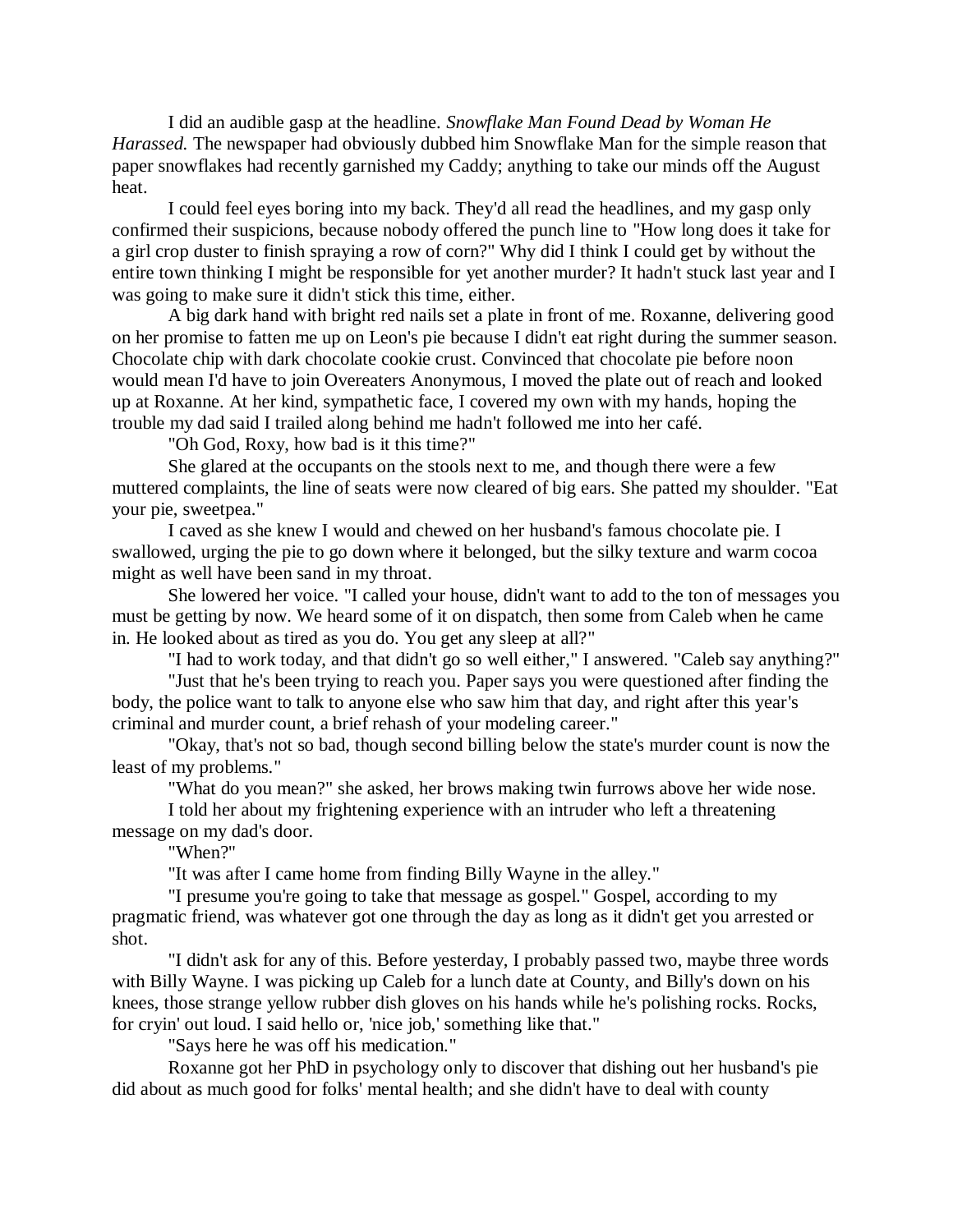I did an audible gasp at the headline. *Snowflake Man Found Dead by Woman He Harassed.* The newspaper had obviously dubbed him Snowflake Man for the simple reason that paper snowflakes had recently garnished my Caddy; anything to take our minds off the August heat.

I could feel eyes boring into my back. They'd all read the headlines, and my gasp only confirmed their suspicions, because nobody offered the punch line to "How long does it take for a girl crop duster to finish spraying a row of corn?" Why did I think I could get by without the entire town thinking I might be responsible for yet another murder? It hadn't stuck last year and I was going to make sure it didn't stick this time, either.

A big dark hand with bright red nails set a plate in front of me. Roxanne, delivering good on her promise to fatten me up on Leon's pie because I didn't eat right during the summer season. Chocolate chip with dark chocolate cookie crust. Convinced that chocolate pie before noon would mean I'd have to join Overeaters Anonymous, I moved the plate out of reach and looked up at Roxanne. At her kind, sympathetic face, I covered my own with my hands, hoping the trouble my dad said I trailed along behind me hadn't followed me into her café.

"Oh God, Roxy, how bad is it this time?"

She glared at the occupants on the stools next to me, and though there were a few muttered complaints, the line of seats were now cleared of big ears. She patted my shoulder. "Eat your pie, sweetpea."

I caved as she knew I would and chewed on her husband's famous chocolate pie. I swallowed, urging the pie to go down where it belonged, but the silky texture and warm cocoa might as well have been sand in my throat.

She lowered her voice. "I called your house, didn't want to add to the ton of messages you must be getting by now. We heard some of it on dispatch, then some from Caleb when he came in. He looked about as tired as you do. You get any sleep at all?"

"I had to work today, and that didn't go so well either," I answered. "Caleb say anything?"

"Just that he's been trying to reach you. Paper says you were questioned after finding the body, the police want to talk to anyone else who saw him that day, and right after this year's criminal and murder count, a brief rehash of your modeling career."

"Okay, that's not so bad, though second billing below the state's murder count is now the least of my problems."

"What do you mean?" she asked, her brows making twin furrows above her wide nose.

I told her about my frightening experience with an intruder who left a threatening message on my dad's door.

"When?"

"It was after I came home from finding Billy Wayne in the alley."

"I presume you're going to take that message as gospel." Gospel, according to my pragmatic friend, was whatever got one through the day as long as it didn't get you arrested or shot.

"I didn't ask for any of this. Before yesterday, I probably passed two, maybe three words with Billy Wayne. I was picking up Caleb for a lunch date at County, and Billy's down on his knees, those strange yellow rubber dish gloves on his hands while he's polishing rocks. Rocks, for cryin' out loud. I said hello or, 'nice job,' something like that."

"Says here he was off his medication."

Roxanne got her PhD in psychology only to discover that dishing out her husband's pie did about as much good for folks' mental health; and she didn't have to deal with county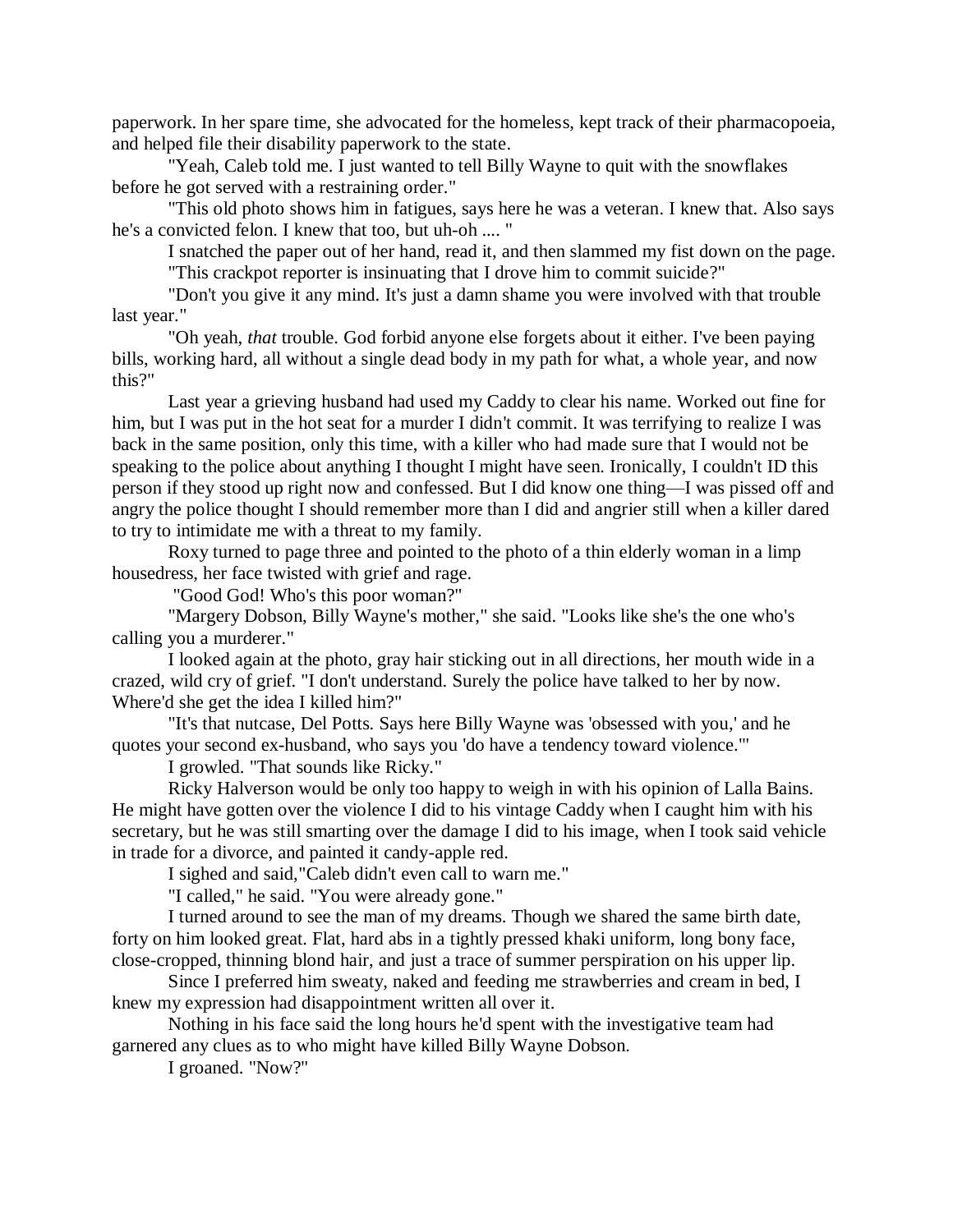paperwork. In her spare time, she advocated for the homeless, kept track of their pharmacopoeia, and helped file their disability paperwork to the state.

"Yeah, Caleb told me. I just wanted to tell Billy Wayne to quit with the snowflakes before he got served with a restraining order."

"This old photo shows him in fatigues, says here he was a veteran. I knew that. Also says he's a convicted felon. I knew that too, but uh-oh .... "

I snatched the paper out of her hand, read it, and then slammed my fist down on the page. "This crackpot reporter is insinuating that I drove him to commit suicide?"

"Don't you give it any mind. It's just a damn shame you were involved with that trouble last year."

"Oh yeah, *that* trouble. God forbid anyone else forgets about it either. I've been paying bills, working hard, all without a single dead body in my path for what, a whole year, and now this?"

Last year a grieving husband had used my Caddy to clear his name. Worked out fine for him, but I was put in the hot seat for a murder I didn't commit. It was terrifying to realize I was back in the same position, only this time, with a killer who had made sure that I would not be speaking to the police about anything I thought I might have seen. Ironically, I couldn't ID this person if they stood up right now and confessed. But I did know one thing—I was pissed off and angry the police thought I should remember more than I did and angrier still when a killer dared to try to intimidate me with a threat to my family.

Roxy turned to page three and pointed to the photo of a thin elderly woman in a limp housedress, her face twisted with grief and rage.

"Good God! Who's this poor woman?"

"Margery Dobson, Billy Wayne's mother," she said. "Looks like she's the one who's calling you a murderer."

I looked again at the photo, gray hair sticking out in all directions, her mouth wide in a crazed, wild cry of grief. "I don't understand. Surely the police have talked to her by now. Where'd she get the idea I killed him?"

"It's that nutcase, Del Potts. Says here Billy Wayne was 'obsessed with you,' and he quotes your second ex-husband, who says you 'do have a tendency toward violence.'"

I growled. "That sounds like Ricky."

Ricky Halverson would be only too happy to weigh in with his opinion of Lalla Bains. He might have gotten over the violence I did to his vintage Caddy when I caught him with his secretary, but he was still smarting over the damage I did to his image, when I took said vehicle in trade for a divorce, and painted it candy-apple red.

I sighed and said,"Caleb didn't even call to warn me."

"I called," he said. "You were already gone."

I turned around to see the man of my dreams. Though we shared the same birth date, forty on him looked great. Flat, hard abs in a tightly pressed khaki uniform, long bony face, close-cropped, thinning blond hair, and just a trace of summer perspiration on his upper lip.

Since I preferred him sweaty, naked and feeding me strawberries and cream in bed, I knew my expression had disappointment written all over it.

Nothing in his face said the long hours he'd spent with the investigative team had garnered any clues as to who might have killed Billy Wayne Dobson.

I groaned. "Now?"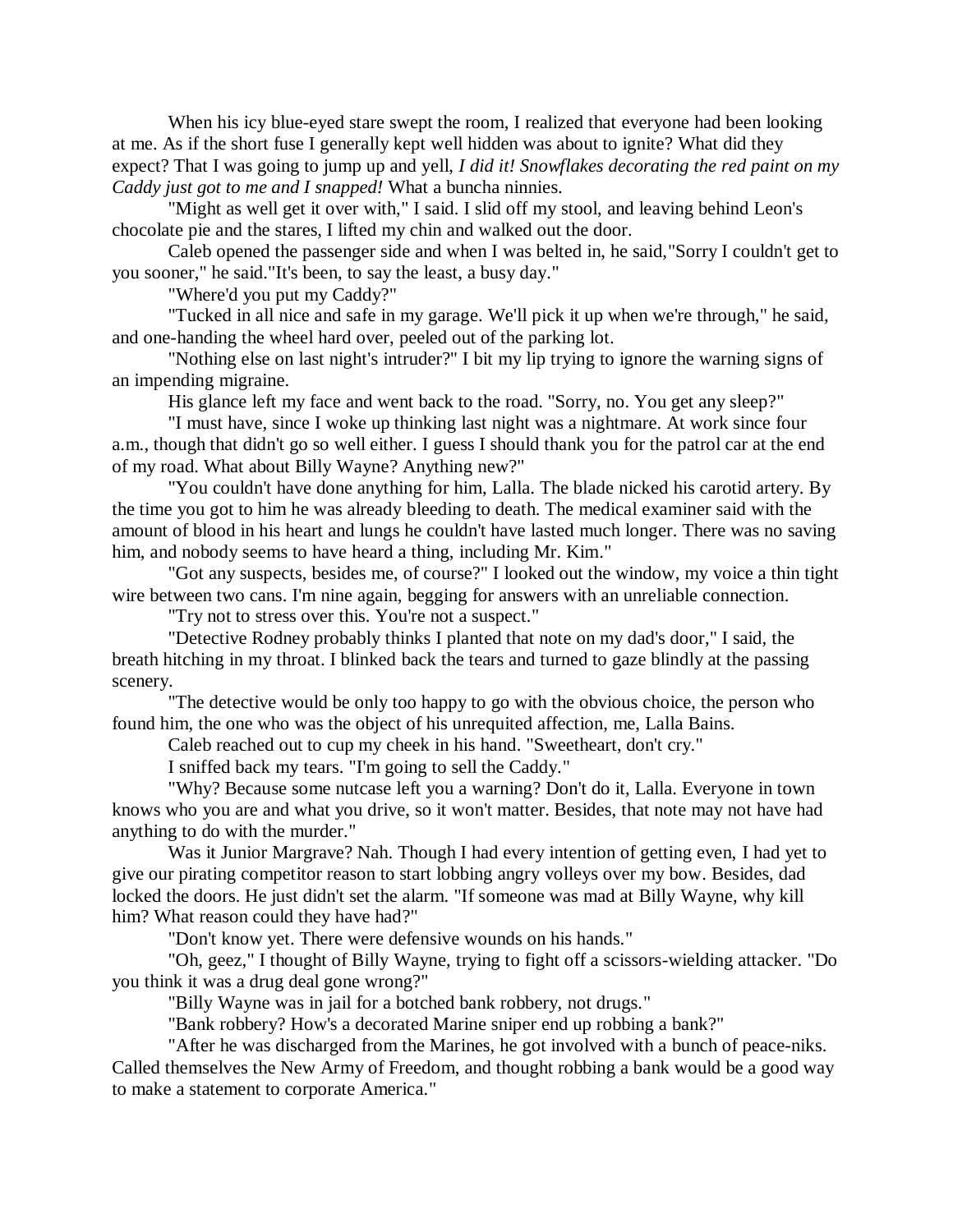When his icy blue-eyed stare swept the room, I realized that everyone had been looking at me. As if the short fuse I generally kept well hidden was about to ignite? What did they expect? That I was going to jump up and yell, *I did it! Snowflakes decorating the red paint on my Caddy just got to me and I snapped!* What a buncha ninnies.

"Might as well get it over with," I said. I slid off my stool, and leaving behind Leon's chocolate pie and the stares, I lifted my chin and walked out the door.

Caleb opened the passenger side and when I was belted in, he said,"Sorry I couldn't get to you sooner," he said."It's been, to say the least, a busy day."

"Where'd you put my Caddy?"

"Tucked in all nice and safe in my garage. We'll pick it up when we're through," he said, and one-handing the wheel hard over, peeled out of the parking lot.

"Nothing else on last night's intruder?" I bit my lip trying to ignore the warning signs of an impending migraine.

His glance left my face and went back to the road. "Sorry, no. You get any sleep?"

"I must have, since I woke up thinking last night was a nightmare. At work since four a.m., though that didn't go so well either. I guess I should thank you for the patrol car at the end of my road. What about Billy Wayne? Anything new?"

"You couldn't have done anything for him, Lalla. The blade nicked his carotid artery. By the time you got to him he was already bleeding to death. The medical examiner said with the amount of blood in his heart and lungs he couldn't have lasted much longer. There was no saving him, and nobody seems to have heard a thing, including Mr. Kim."

"Got any suspects, besides me, of course?" I looked out the window, my voice a thin tight wire between two cans. I'm nine again, begging for answers with an unreliable connection.

"Try not to stress over this. You're not a suspect."

"Detective Rodney probably thinks I planted that note on my dad's door," I said, the breath hitching in my throat. I blinked back the tears and turned to gaze blindly at the passing scenery.

"The detective would be only too happy to go with the obvious choice, the person who found him, the one who was the object of his unrequited affection, me, Lalla Bains.

Caleb reached out to cup my cheek in his hand. "Sweetheart, don't cry."

I sniffed back my tears. "I'm going to sell the Caddy."

"Why? Because some nutcase left you a warning? Don't do it, Lalla. Everyone in town knows who you are and what you drive, so it won't matter. Besides, that note may not have had anything to do with the murder."

Was it Junior Margrave? Nah. Though I had every intention of getting even, I had yet to give our pirating competitor reason to start lobbing angry volleys over my bow. Besides, dad locked the doors. He just didn't set the alarm. "If someone was mad at Billy Wayne, why kill him? What reason could they have had?"

"Don't know yet. There were defensive wounds on his hands."

"Oh, geez," I thought of Billy Wayne, trying to fight off a scissors-wielding attacker. "Do you think it was a drug deal gone wrong?"

"Billy Wayne was in jail for a botched bank robbery, not drugs."

"Bank robbery? How's a decorated Marine sniper end up robbing a bank?"

"After he was discharged from the Marines, he got involved with a bunch of peace-niks. Called themselves the New Army of Freedom, and thought robbing a bank would be a good way to make a statement to corporate America."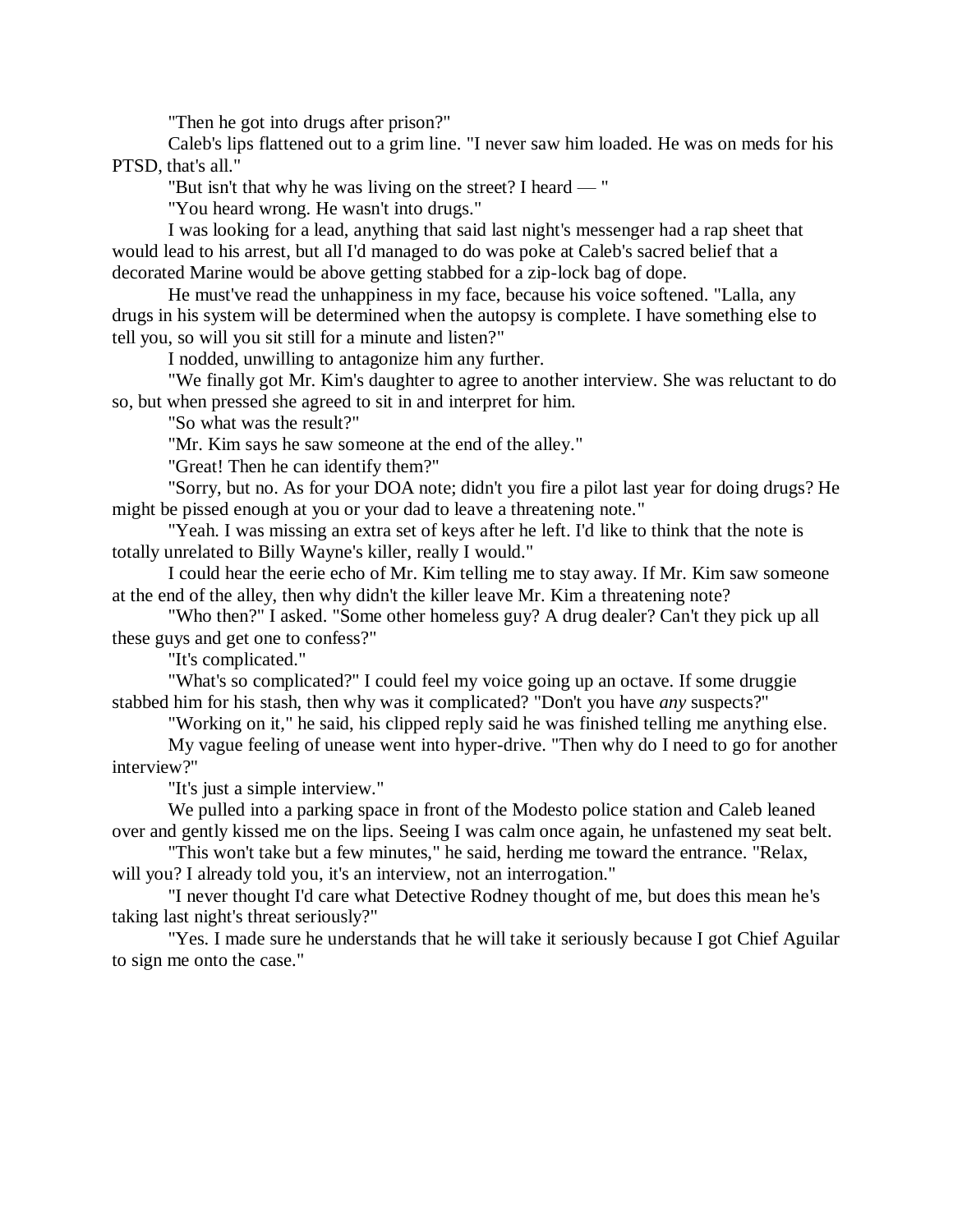"Then he got into drugs after prison?"

Caleb's lips flattened out to a grim line. "I never saw him loaded. He was on meds for his PTSD, that's all."

"But isn't that why he was living on the street? I heard — "

"You heard wrong. He wasn't into drugs."

I was looking for a lead, anything that said last night's messenger had a rap sheet that would lead to his arrest, but all I'd managed to do was poke at Caleb's sacred belief that a decorated Marine would be above getting stabbed for a zip-lock bag of dope.

He must've read the unhappiness in my face, because his voice softened. "Lalla, any drugs in his system will be determined when the autopsy is complete. I have something else to tell you, so will you sit still for a minute and listen?"

I nodded, unwilling to antagonize him any further.

"We finally got Mr. Kim's daughter to agree to another interview. She was reluctant to do so, but when pressed she agreed to sit in and interpret for him.

"So what was the result?"

"Mr. Kim says he saw someone at the end of the alley."

"Great! Then he can identify them?"

"Sorry, but no. As for your DOA note; didn't you fire a pilot last year for doing drugs? He might be pissed enough at you or your dad to leave a threatening note."

"Yeah. I was missing an extra set of keys after he left. I'd like to think that the note is totally unrelated to Billy Wayne's killer, really I would."

I could hear the eerie echo of Mr. Kim telling me to stay away. If Mr. Kim saw someone at the end of the alley, then why didn't the killer leave Mr. Kim a threatening note?

"Who then?" I asked. "Some other homeless guy? A drug dealer? Can't they pick up all these guys and get one to confess?"

"It's complicated."

"What's so complicated?" I could feel my voice going up an octave. If some druggie stabbed him for his stash, then why was it complicated? "Don't you have *any* suspects?"

"Working on it," he said, his clipped reply said he was finished telling me anything else.

My vague feeling of unease went into hyper-drive. "Then why do I need to go for another interview?"

"It's just a simple interview."

We pulled into a parking space in front of the Modesto police station and Caleb leaned over and gently kissed me on the lips. Seeing I was calm once again, he unfastened my seat belt.

"This won't take but a few minutes," he said, herding me toward the entrance. "Relax, will you? I already told you, it's an interview, not an interrogation."

"I never thought I'd care what Detective Rodney thought of me, but does this mean he's taking last night's threat seriously?"

"Yes. I made sure he understands that he will take it seriously because I got Chief Aguilar to sign me onto the case."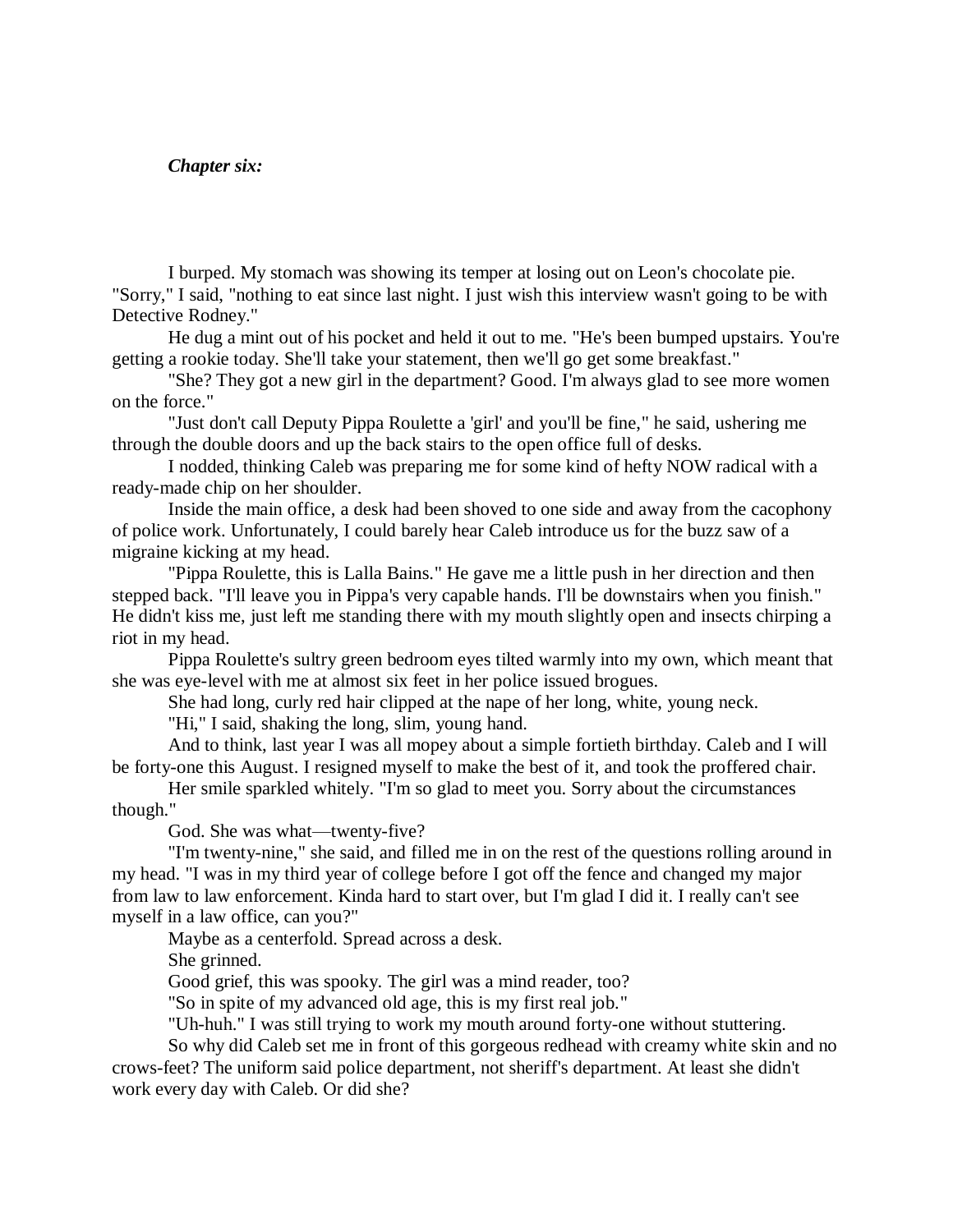#### *Chapter six:*

I burped. My stomach was showing its temper at losing out on Leon's chocolate pie. "Sorry," I said, "nothing to eat since last night. I just wish this interview wasn't going to be with Detective Rodney."

He dug a mint out of his pocket and held it out to me. "He's been bumped upstairs. You're getting a rookie today. She'll take your statement, then we'll go get some breakfast."

"She? They got a new girl in the department? Good. I'm always glad to see more women on the force."

"Just don't call Deputy Pippa Roulette a 'girl' and you'll be fine," he said, ushering me through the double doors and up the back stairs to the open office full of desks.

I nodded, thinking Caleb was preparing me for some kind of hefty NOW radical with a ready-made chip on her shoulder.

Inside the main office, a desk had been shoved to one side and away from the cacophony of police work. Unfortunately, I could barely hear Caleb introduce us for the buzz saw of a migraine kicking at my head.

"Pippa Roulette, this is Lalla Bains." He gave me a little push in her direction and then stepped back. "I'll leave you in Pippa's very capable hands. I'll be downstairs when you finish." He didn't kiss me, just left me standing there with my mouth slightly open and insects chirping a riot in my head.

Pippa Roulette's sultry green bedroom eyes tilted warmly into my own, which meant that she was eye-level with me at almost six feet in her police issued brogues.

She had long, curly red hair clipped at the nape of her long, white, young neck.

"Hi," I said, shaking the long, slim, young hand.

And to think, last year I was all mopey about a simple fortieth birthday. Caleb and I will be forty-one this August. I resigned myself to make the best of it, and took the proffered chair.

Her smile sparkled whitely. "I'm so glad to meet you. Sorry about the circumstances though."

God. She was what—twenty-five?

"I'm twenty-nine," she said, and filled me in on the rest of the questions rolling around in my head. "I was in my third year of college before I got off the fence and changed my major from law to law enforcement. Kinda hard to start over, but I'm glad I did it. I really can't see myself in a law office, can you?"

Maybe as a centerfold. Spread across a desk.

She grinned.

Good grief, this was spooky. The girl was a mind reader, too?

"So in spite of my advanced old age, this is my first real job."

"Uh-huh." I was still trying to work my mouth around forty-one without stuttering.

So why did Caleb set me in front of this gorgeous redhead with creamy white skin and no crows-feet? The uniform said police department, not sheriff's department. At least she didn't work every day with Caleb. Or did she?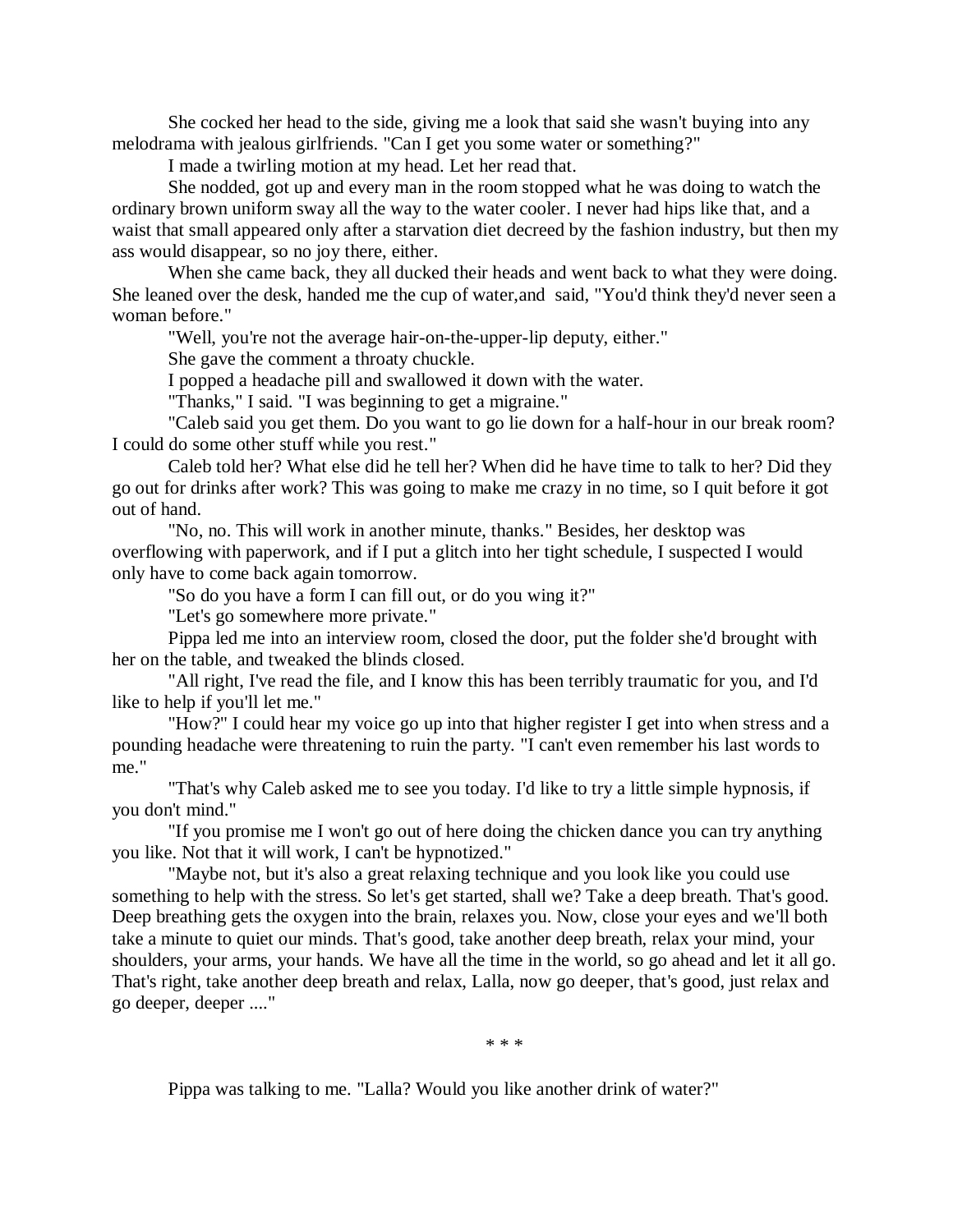She cocked her head to the side, giving me a look that said she wasn't buying into any melodrama with jealous girlfriends. "Can I get you some water or something?"

I made a twirling motion at my head. Let her read that.

She nodded, got up and every man in the room stopped what he was doing to watch the ordinary brown uniform sway all the way to the water cooler. I never had hips like that, and a waist that small appeared only after a starvation diet decreed by the fashion industry, but then my ass would disappear, so no joy there, either.

When she came back, they all ducked their heads and went back to what they were doing. She leaned over the desk, handed me the cup of water,and said, "You'd think they'd never seen a woman before."

"Well, you're not the average hair-on-the-upper-lip deputy, either."

She gave the comment a throaty chuckle.

I popped a headache pill and swallowed it down with the water.

"Thanks," I said. "I was beginning to get a migraine."

"Caleb said you get them. Do you want to go lie down for a half-hour in our break room? I could do some other stuff while you rest."

Caleb told her? What else did he tell her? When did he have time to talk to her? Did they go out for drinks after work? This was going to make me crazy in no time, so I quit before it got out of hand.

"No, no. This will work in another minute, thanks." Besides, her desktop was overflowing with paperwork, and if I put a glitch into her tight schedule, I suspected I would only have to come back again tomorrow.

"So do you have a form I can fill out, or do you wing it?"

"Let's go somewhere more private."

Pippa led me into an interview room, closed the door, put the folder she'd brought with her on the table, and tweaked the blinds closed.

"All right, I've read the file, and I know this has been terribly traumatic for you, and I'd like to help if you'll let me."

"How?" I could hear my voice go up into that higher register I get into when stress and a pounding headache were threatening to ruin the party. "I can't even remember his last words to me."

"That's why Caleb asked me to see you today. I'd like to try a little simple hypnosis, if you don't mind."

"If you promise me I won't go out of here doing the chicken dance you can try anything you like. Not that it will work, I can't be hypnotized."

"Maybe not, but it's also a great relaxing technique and you look like you could use something to help with the stress. So let's get started, shall we? Take a deep breath. That's good. Deep breathing gets the oxygen into the brain, relaxes you. Now, close your eyes and we'll both take a minute to quiet our minds. That's good, take another deep breath, relax your mind, your shoulders, your arms, your hands. We have all the time in the world, so go ahead and let it all go. That's right, take another deep breath and relax, Lalla, now go deeper, that's good, just relax and go deeper, deeper ...."

\* \* \*

Pippa was talking to me. "Lalla? Would you like another drink of water?"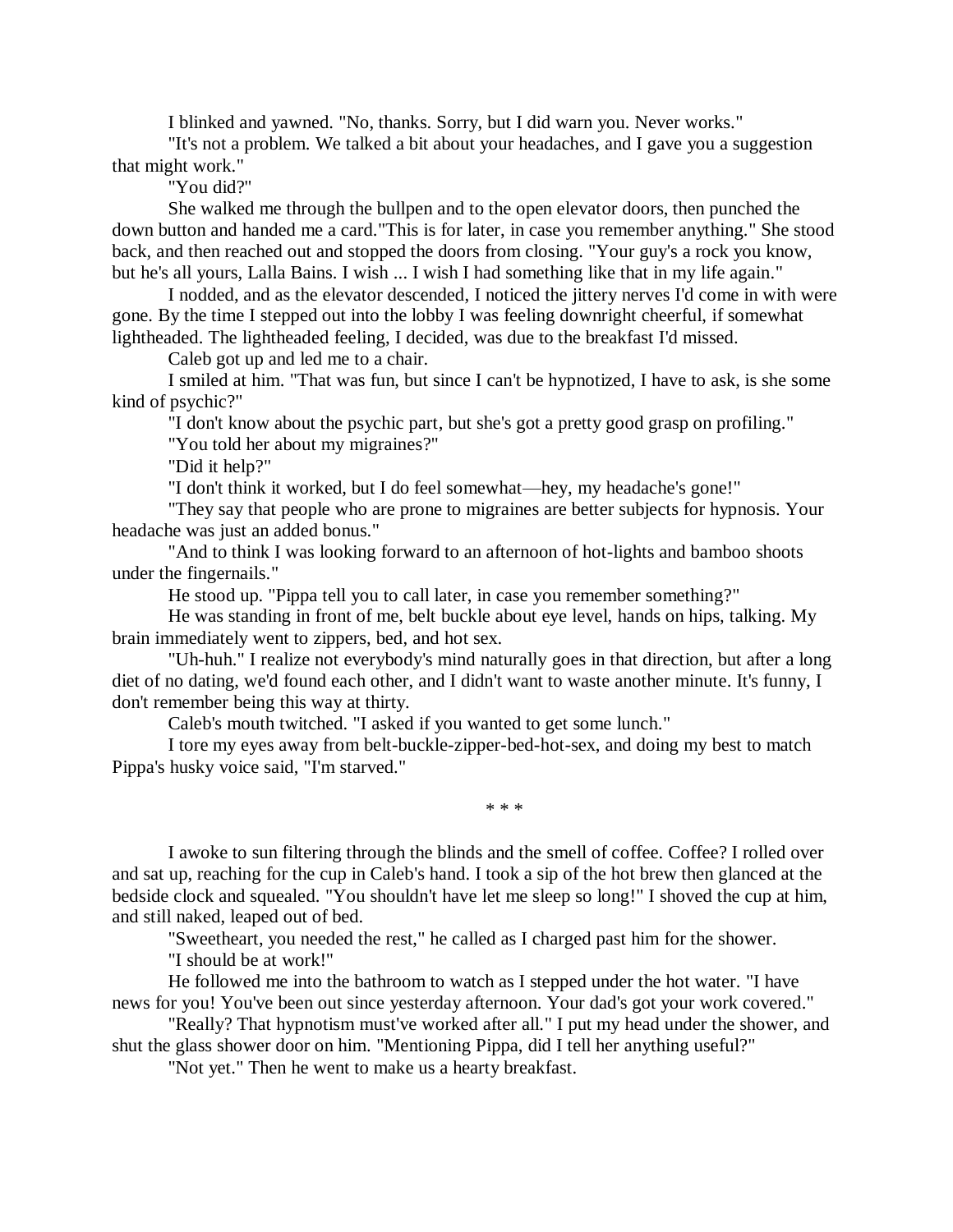I blinked and yawned. "No, thanks. Sorry, but I did warn you. Never works."

"It's not a problem. We talked a bit about your headaches, and I gave you a suggestion that might work."

"You did?"

She walked me through the bullpen and to the open elevator doors, then punched the down button and handed me a card."This is for later, in case you remember anything." She stood back, and then reached out and stopped the doors from closing. "Your guy's a rock you know, but he's all yours, Lalla Bains. I wish ... I wish I had something like that in my life again."

I nodded, and as the elevator descended, I noticed the jittery nerves I'd come in with were gone. By the time I stepped out into the lobby I was feeling downright cheerful, if somewhat lightheaded. The lightheaded feeling, I decided, was due to the breakfast I'd missed.

Caleb got up and led me to a chair.

I smiled at him. "That was fun, but since I can't be hypnotized, I have to ask, is she some kind of psychic?"

"I don't know about the psychic part, but she's got a pretty good grasp on profiling."

"You told her about my migraines?"

"Did it help?"

"I don't think it worked, but I do feel somewhat—hey, my headache's gone!"

"They say that people who are prone to migraines are better subjects for hypnosis. Your headache was just an added bonus."

"And to think I was looking forward to an afternoon of hot-lights and bamboo shoots under the fingernails."

He stood up. "Pippa tell you to call later, in case you remember something?"

He was standing in front of me, belt buckle about eye level, hands on hips, talking. My brain immediately went to zippers, bed, and hot sex.

"Uh-huh." I realize not everybody's mind naturally goes in that direction, but after a long diet of no dating, we'd found each other, and I didn't want to waste another minute. It's funny, I don't remember being this way at thirty.

Caleb's mouth twitched. "I asked if you wanted to get some lunch."

I tore my eyes away from belt-buckle-zipper-bed-hot-sex, and doing my best to match Pippa's husky voice said, "I'm starved."

\* \* \*

I awoke to sun filtering through the blinds and the smell of coffee. Coffee? I rolled over and sat up, reaching for the cup in Caleb's hand. I took a sip of the hot brew then glanced at the bedside clock and squealed. "You shouldn't have let me sleep so long!" I shoved the cup at him, and still naked, leaped out of bed.

"Sweetheart, you needed the rest," he called as I charged past him for the shower.

"I should be at work!"

He followed me into the bathroom to watch as I stepped under the hot water. "I have news for you! You've been out since yesterday afternoon. Your dad's got your work covered."

"Really? That hypnotism must've worked after all." I put my head under the shower, and shut the glass shower door on him. "Mentioning Pippa, did I tell her anything useful?"

"Not yet." Then he went to make us a hearty breakfast.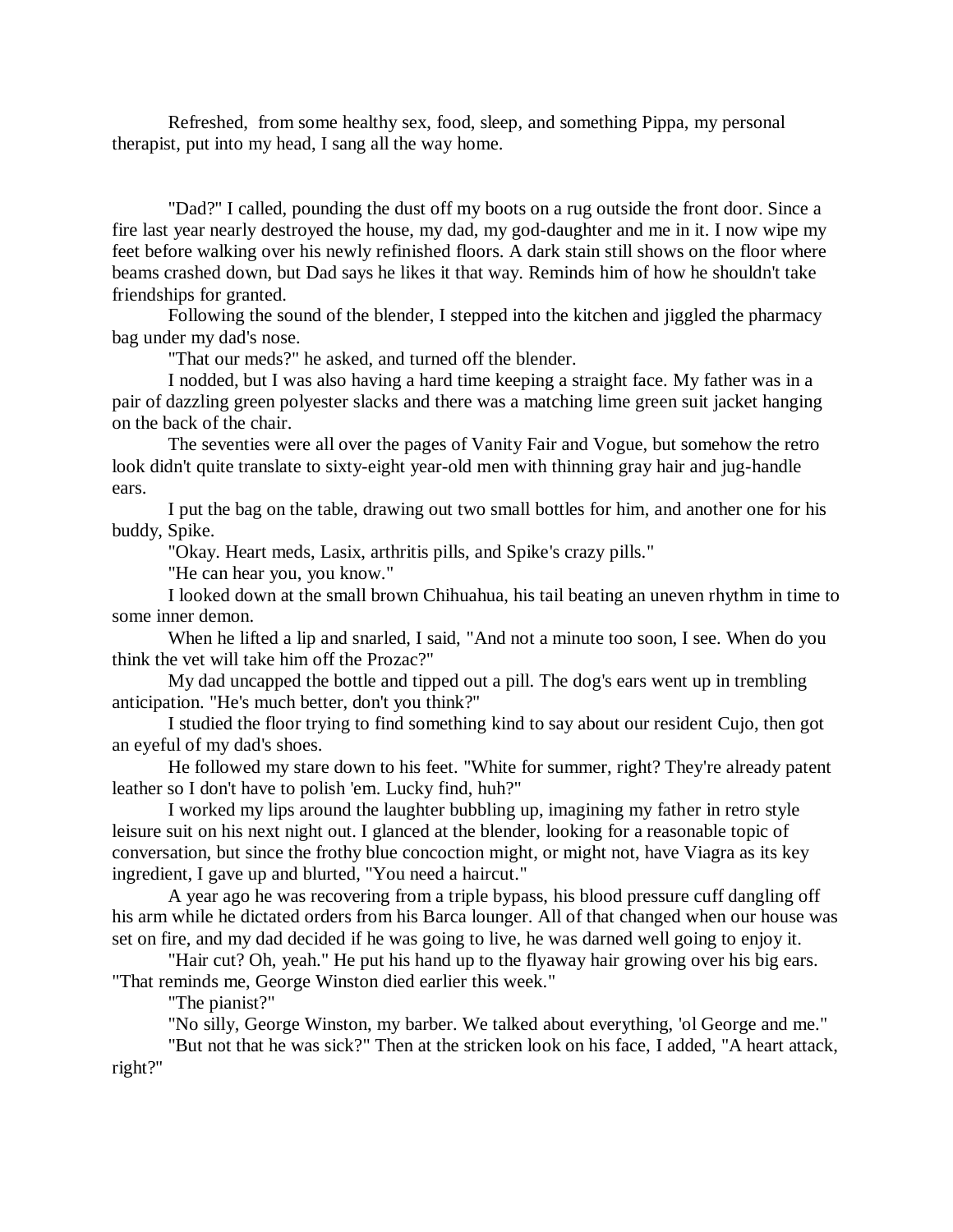Refreshed, from some healthy sex, food, sleep, and something Pippa, my personal therapist, put into my head, I sang all the way home.

"Dad?" I called, pounding the dust off my boots on a rug outside the front door. Since a fire last year nearly destroyed the house, my dad, my god-daughter and me in it. I now wipe my feet before walking over his newly refinished floors. A dark stain still shows on the floor where beams crashed down, but Dad says he likes it that way. Reminds him of how he shouldn't take friendships for granted.

Following the sound of the blender, I stepped into the kitchen and jiggled the pharmacy bag under my dad's nose.

"That our meds?" he asked, and turned off the blender.

I nodded, but I was also having a hard time keeping a straight face. My father was in a pair of dazzling green polyester slacks and there was a matching lime green suit jacket hanging on the back of the chair.

The seventies were all over the pages of Vanity Fair and Vogue, but somehow the retro look didn't quite translate to sixty-eight year-old men with thinning gray hair and jug-handle ears.

I put the bag on the table, drawing out two small bottles for him, and another one for his buddy, Spike.

"Okay. Heart meds, Lasix, arthritis pills, and Spike's crazy pills."

"He can hear you, you know."

I looked down at the small brown Chihuahua, his tail beating an uneven rhythm in time to some inner demon.

When he lifted a lip and snarled, I said, "And not a minute too soon, I see. When do you think the vet will take him off the Prozac?"

My dad uncapped the bottle and tipped out a pill. The dog's ears went up in trembling anticipation. "He's much better, don't you think?"

I studied the floor trying to find something kind to say about our resident Cujo, then got an eyeful of my dad's shoes.

He followed my stare down to his feet. "White for summer, right? They're already patent leather so I don't have to polish 'em. Lucky find, huh?"

I worked my lips around the laughter bubbling up, imagining my father in retro style leisure suit on his next night out. I glanced at the blender, looking for a reasonable topic of conversation, but since the frothy blue concoction might, or might not, have Viagra as its key ingredient, I gave up and blurted, "You need a haircut."

A year ago he was recovering from a triple bypass, his blood pressure cuff dangling off his arm while he dictated orders from his Barca lounger. All of that changed when our house was set on fire, and my dad decided if he was going to live, he was darned well going to enjoy it.

"Hair cut? Oh, yeah." He put his hand up to the flyaway hair growing over his big ears. "That reminds me, George Winston died earlier this week."

"The pianist?"

"No silly, George Winston, my barber. We talked about everything, 'ol George and me."

"But not that he was sick?" Then at the stricken look on his face, I added, "A heart attack, right?"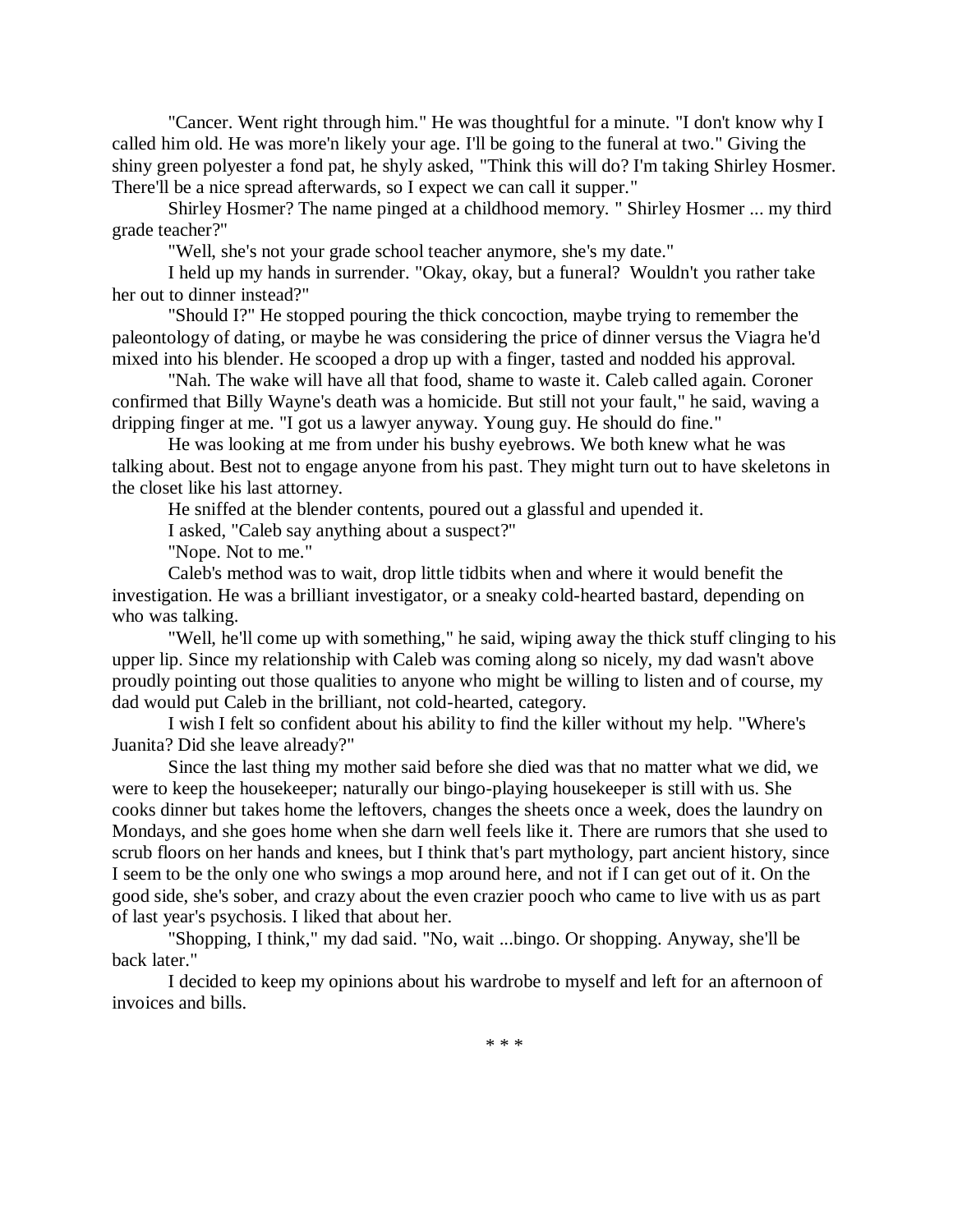"Cancer. Went right through him." He was thoughtful for a minute. "I don't know why I called him old. He was more'n likely your age. I'll be going to the funeral at two." Giving the shiny green polyester a fond pat, he shyly asked, "Think this will do? I'm taking Shirley Hosmer. There'll be a nice spread afterwards, so I expect we can call it supper."

Shirley Hosmer? The name pinged at a childhood memory. " Shirley Hosmer ... my third grade teacher?"

"Well, she's not your grade school teacher anymore, she's my date."

I held up my hands in surrender. "Okay, okay, but a funeral? Wouldn't you rather take her out to dinner instead?"

"Should I?" He stopped pouring the thick concoction, maybe trying to remember the paleontology of dating, or maybe he was considering the price of dinner versus the Viagra he'd mixed into his blender. He scooped a drop up with a finger, tasted and nodded his approval.

"Nah. The wake will have all that food, shame to waste it. Caleb called again. Coroner confirmed that Billy Wayne's death was a homicide. But still not your fault," he said, waving a dripping finger at me. "I got us a lawyer anyway. Young guy. He should do fine."

He was looking at me from under his bushy eyebrows. We both knew what he was talking about. Best not to engage anyone from his past. They might turn out to have skeletons in the closet like his last attorney.

He sniffed at the blender contents, poured out a glassful and upended it.

I asked, "Caleb say anything about a suspect?"

"Nope. Not to me."

Caleb's method was to wait, drop little tidbits when and where it would benefit the investigation. He was a brilliant investigator, or a sneaky cold-hearted bastard, depending on who was talking.

"Well, he'll come up with something," he said, wiping away the thick stuff clinging to his upper lip. Since my relationship with Caleb was coming along so nicely, my dad wasn't above proudly pointing out those qualities to anyone who might be willing to listen and of course, my dad would put Caleb in the brilliant, not cold-hearted, category.

I wish I felt so confident about his ability to find the killer without my help. "Where's Juanita? Did she leave already?"

Since the last thing my mother said before she died was that no matter what we did, we were to keep the housekeeper; naturally our bingo-playing housekeeper is still with us. She cooks dinner but takes home the leftovers, changes the sheets once a week, does the laundry on Mondays, and she goes home when she darn well feels like it. There are rumors that she used to scrub floors on her hands and knees, but I think that's part mythology, part ancient history, since I seem to be the only one who swings a mop around here, and not if I can get out of it. On the good side, she's sober, and crazy about the even crazier pooch who came to live with us as part of last year's psychosis. I liked that about her.

"Shopping, I think," my dad said. "No, wait ...bingo. Or shopping. Anyway, she'll be back later."

I decided to keep my opinions about his wardrobe to myself and left for an afternoon of invoices and bills.

\* \* \*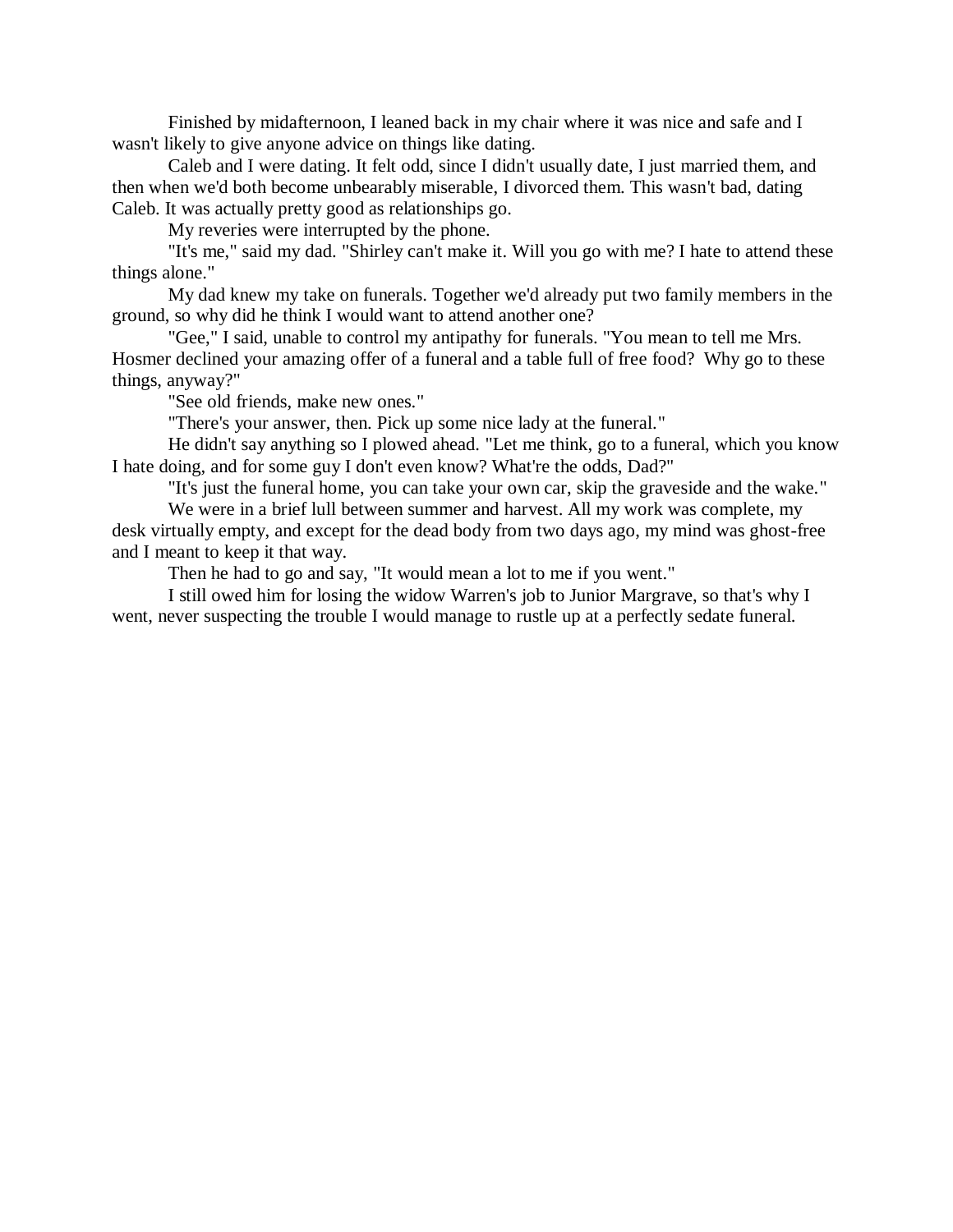Finished by midafternoon, I leaned back in my chair where it was nice and safe and I wasn't likely to give anyone advice on things like dating.

Caleb and I were dating. It felt odd, since I didn't usually date, I just married them, and then when we'd both become unbearably miserable, I divorced them. This wasn't bad, dating Caleb. It was actually pretty good as relationships go.

My reveries were interrupted by the phone.

"It's me," said my dad. "Shirley can't make it. Will you go with me? I hate to attend these things alone."

My dad knew my take on funerals. Together we'd already put two family members in the ground, so why did he think I would want to attend another one?

"Gee," I said, unable to control my antipathy for funerals. "You mean to tell me Mrs. Hosmer declined your amazing offer of a funeral and a table full of free food? Why go to these things, anyway?"

"See old friends, make new ones."

"There's your answer, then. Pick up some nice lady at the funeral."

He didn't say anything so I plowed ahead. "Let me think, go to a funeral, which you know I hate doing, and for some guy I don't even know? What're the odds, Dad?"

"It's just the funeral home, you can take your own car, skip the graveside and the wake."

We were in a brief lull between summer and harvest. All my work was complete, my desk virtually empty, and except for the dead body from two days ago, my mind was ghost-free and I meant to keep it that way.

Then he had to go and say, "It would mean a lot to me if you went."

I still owed him for losing the widow Warren's job to Junior Margrave, so that's why I went, never suspecting the trouble I would manage to rustle up at a perfectly sedate funeral.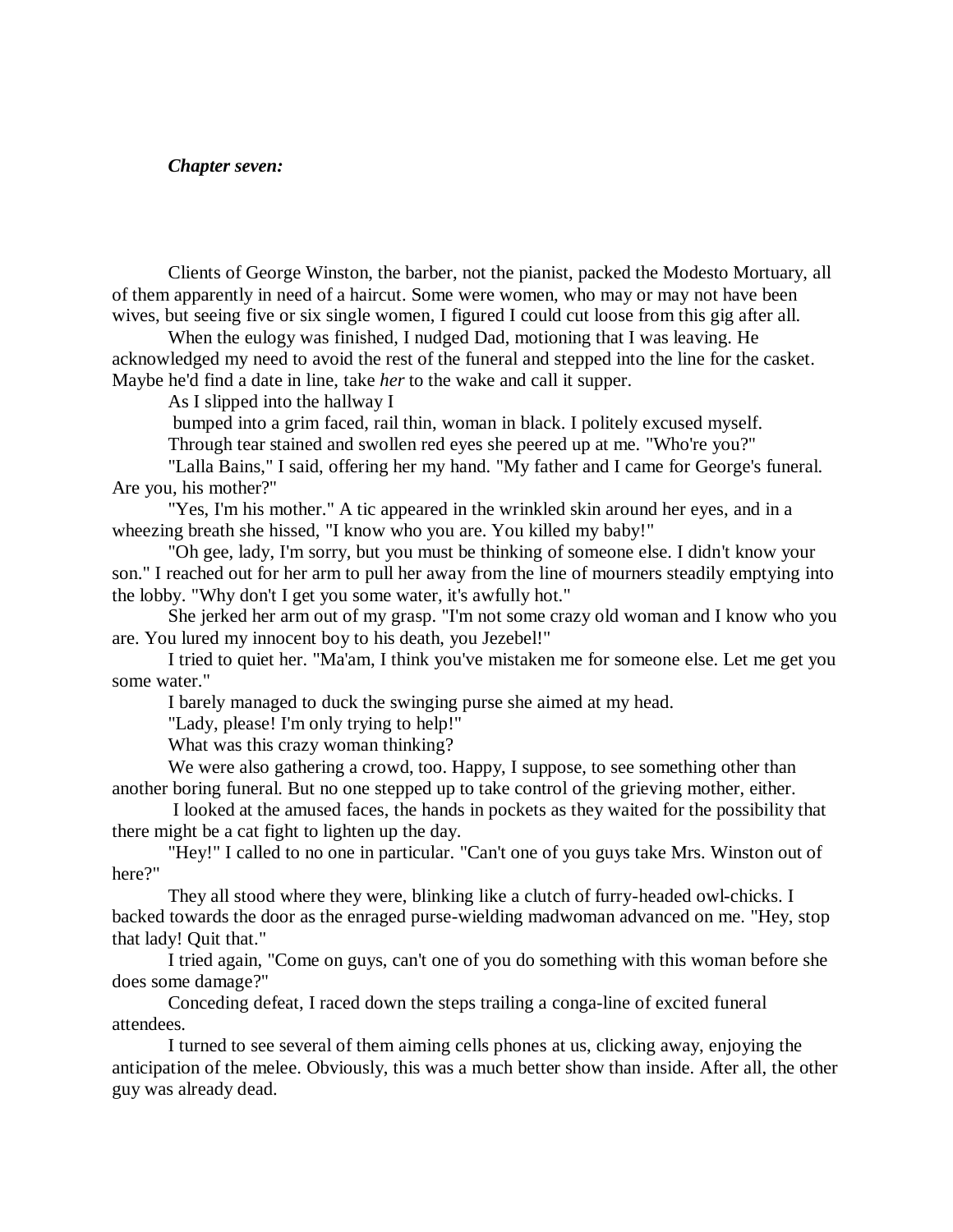#### *Chapter seven:*

Clients of George Winston, the barber, not the pianist, packed the Modesto Mortuary, all of them apparently in need of a haircut. Some were women, who may or may not have been wives, but seeing five or six single women, I figured I could cut loose from this gig after all.

When the eulogy was finished, I nudged Dad, motioning that I was leaving. He acknowledged my need to avoid the rest of the funeral and stepped into the line for the casket. Maybe he'd find a date in line, take *her* to the wake and call it supper.

As I slipped into the hallway I

bumped into a grim faced, rail thin, woman in black. I politely excused myself.

Through tear stained and swollen red eyes she peered up at me. "Who're you?"

"Lalla Bains," I said, offering her my hand. "My father and I came for George's funeral. Are you, his mother?"

"Yes, I'm his mother." A tic appeared in the wrinkled skin around her eyes, and in a wheezing breath she hissed, "I know who you are. You killed my baby!"

"Oh gee, lady, I'm sorry, but you must be thinking of someone else. I didn't know your son." I reached out for her arm to pull her away from the line of mourners steadily emptying into the lobby. "Why don't I get you some water, it's awfully hot."

She jerked her arm out of my grasp. "I'm not some crazy old woman and I know who you are. You lured my innocent boy to his death, you Jezebel!"

I tried to quiet her. "Ma'am, I think you've mistaken me for someone else. Let me get you some water."

I barely managed to duck the swinging purse she aimed at my head.

"Lady, please! I'm only trying to help!"

What was this crazy woman thinking?

We were also gathering a crowd, too. Happy, I suppose, to see something other than another boring funeral. But no one stepped up to take control of the grieving mother, either.

I looked at the amused faces, the hands in pockets as they waited for the possibility that there might be a cat fight to lighten up the day.

"Hey!" I called to no one in particular. "Can't one of you guys take Mrs. Winston out of here?"

They all stood where they were, blinking like a clutch of furry-headed owl-chicks. I backed towards the door as the enraged purse-wielding madwoman advanced on me. "Hey, stop that lady! Quit that."

I tried again, "Come on guys, can't one of you do something with this woman before she does some damage?"

Conceding defeat, I raced down the steps trailing a conga-line of excited funeral attendees.

I turned to see several of them aiming cells phones at us, clicking away, enjoying the anticipation of the melee. Obviously, this was a much better show than inside. After all, the other guy was already dead.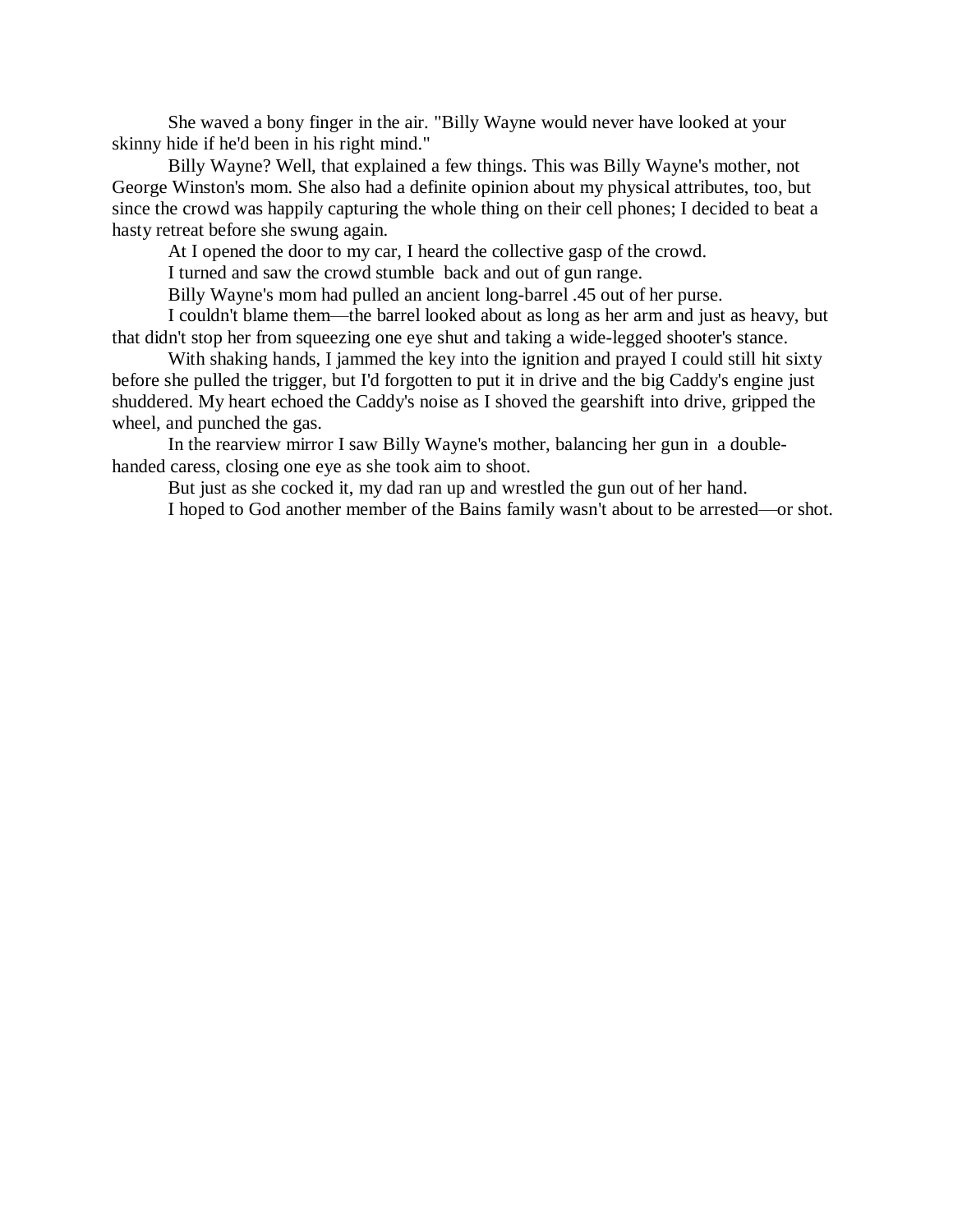She waved a bony finger in the air. "Billy Wayne would never have looked at your skinny hide if he'd been in his right mind."

Billy Wayne? Well, that explained a few things. This was Billy Wayne's mother, not George Winston's mom. She also had a definite opinion about my physical attributes, too, but since the crowd was happily capturing the whole thing on their cell phones; I decided to beat a hasty retreat before she swung again.

At I opened the door to my car, I heard the collective gasp of the crowd.

I turned and saw the crowd stumble back and out of gun range.

Billy Wayne's mom had pulled an ancient long-barrel .45 out of her purse.

I couldn't blame them—the barrel looked about as long as her arm and just as heavy, but that didn't stop her from squeezing one eye shut and taking a wide-legged shooter's stance.

With shaking hands, I jammed the key into the ignition and prayed I could still hit sixty before she pulled the trigger, but I'd forgotten to put it in drive and the big Caddy's engine just shuddered. My heart echoed the Caddy's noise as I shoved the gearshift into drive, gripped the wheel, and punched the gas.

In the rearview mirror I saw Billy Wayne's mother, balancing her gun in a doublehanded caress, closing one eye as she took aim to shoot.

But just as she cocked it, my dad ran up and wrestled the gun out of her hand.

I hoped to God another member of the Bains family wasn't about to be arrested—or shot.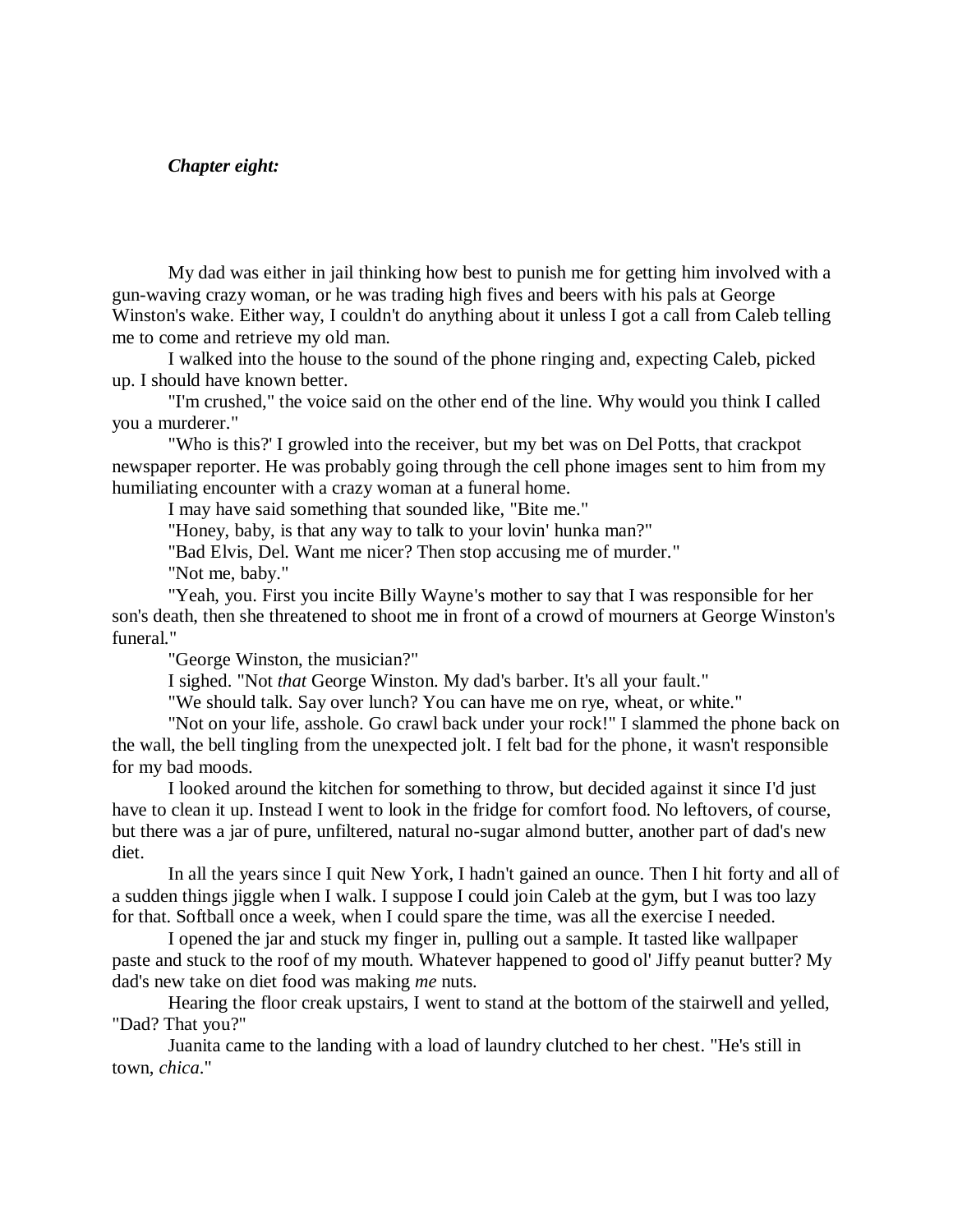### *Chapter eight:*

My dad was either in jail thinking how best to punish me for getting him involved with a gun-waving crazy woman, or he was trading high fives and beers with his pals at George Winston's wake. Either way, I couldn't do anything about it unless I got a call from Caleb telling me to come and retrieve my old man.

I walked into the house to the sound of the phone ringing and, expecting Caleb, picked up. I should have known better.

"I'm crushed," the voice said on the other end of the line. Why would you think I called you a murderer."

"Who is this?' I growled into the receiver, but my bet was on Del Potts, that crackpot newspaper reporter. He was probably going through the cell phone images sent to him from my humiliating encounter with a crazy woman at a funeral home.

I may have said something that sounded like, "Bite me."

"Honey, baby, is that any way to talk to your lovin' hunka man?"

"Bad Elvis, Del. Want me nicer? Then stop accusing me of murder."

"Not me, baby."

"Yeah, you. First you incite Billy Wayne's mother to say that I was responsible for her son's death, then she threatened to shoot me in front of a crowd of mourners at George Winston's funeral."

"George Winston, the musician?"

I sighed. "Not *that* George Winston. My dad's barber. It's all your fault."

"We should talk. Say over lunch? You can have me on rye, wheat, or white."

"Not on your life, asshole. Go crawl back under your rock!" I slammed the phone back on the wall, the bell tingling from the unexpected jolt. I felt bad for the phone, it wasn't responsible for my bad moods.

I looked around the kitchen for something to throw, but decided against it since I'd just have to clean it up. Instead I went to look in the fridge for comfort food. No leftovers, of course, but there was a jar of pure, unfiltered, natural no-sugar almond butter, another part of dad's new diet.

In all the years since I quit New York, I hadn't gained an ounce. Then I hit forty and all of a sudden things jiggle when I walk. I suppose I could join Caleb at the gym, but I was too lazy for that. Softball once a week, when I could spare the time, was all the exercise I needed.

I opened the jar and stuck my finger in, pulling out a sample. It tasted like wallpaper paste and stuck to the roof of my mouth. Whatever happened to good ol' Jiffy peanut butter? My dad's new take on diet food was making *me* nuts.

Hearing the floor creak upstairs, I went to stand at the bottom of the stairwell and yelled, "Dad? That you?"

Juanita came to the landing with a load of laundry clutched to her chest. "He's still in town, *chica*."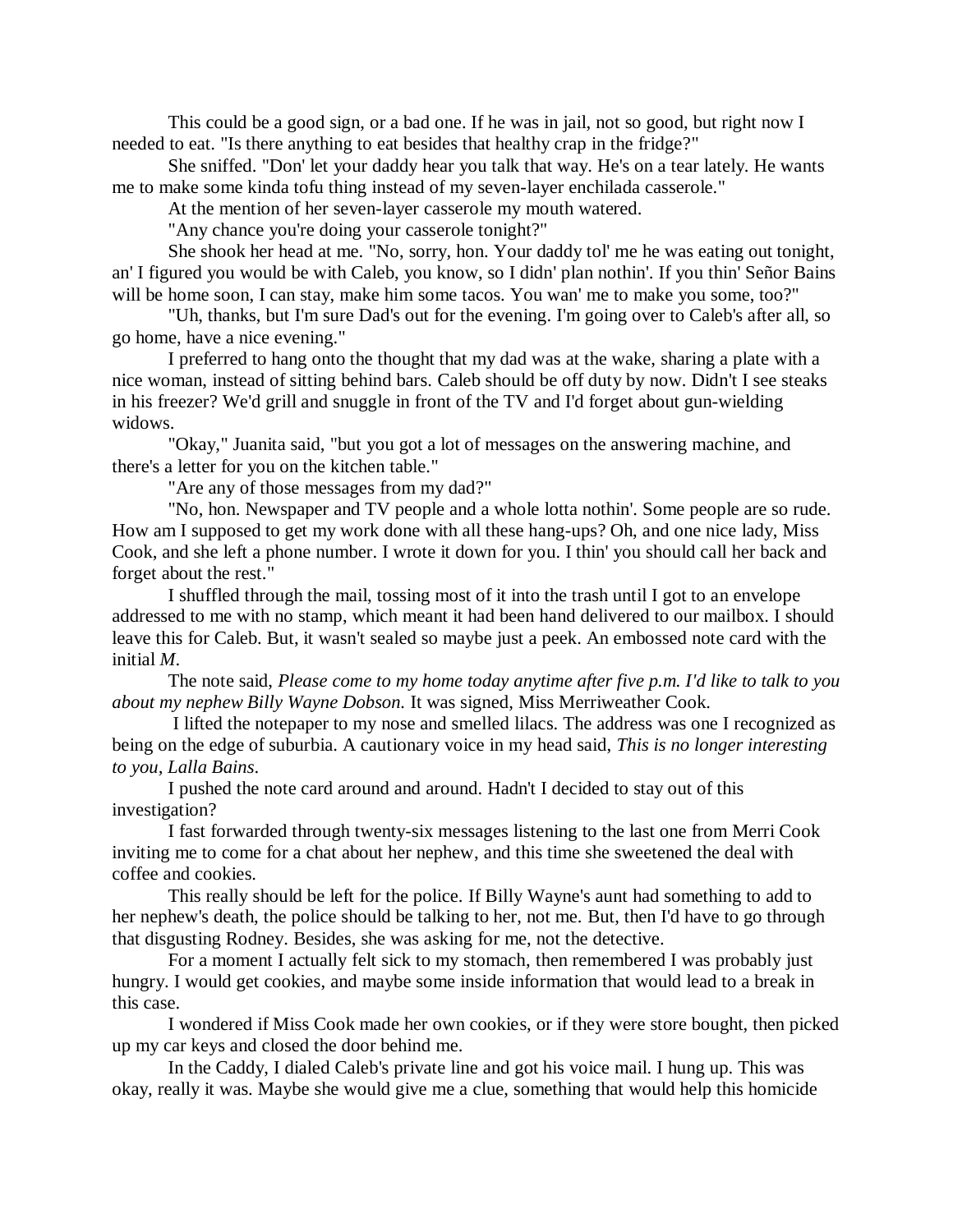This could be a good sign, or a bad one. If he was in jail, not so good, but right now I needed to eat. "Is there anything to eat besides that healthy crap in the fridge?"

She sniffed. "Don' let your daddy hear you talk that way. He's on a tear lately. He wants me to make some kinda tofu thing instead of my seven-layer enchilada casserole."

At the mention of her seven-layer casserole my mouth watered.

"Any chance you're doing your casserole tonight?"

She shook her head at me. "No, sorry, hon. Your daddy tol' me he was eating out tonight, an' I figured you would be with Caleb, you know, so I didn' plan nothin'. If you thin' Señor Bains will be home soon, I can stay, make him some tacos. You wan' me to make you some, too?"

"Uh, thanks, but I'm sure Dad's out for the evening. I'm going over to Caleb's after all, so go home, have a nice evening."

I preferred to hang onto the thought that my dad was at the wake, sharing a plate with a nice woman, instead of sitting behind bars. Caleb should be off duty by now. Didn't I see steaks in his freezer? We'd grill and snuggle in front of the TV and I'd forget about gun-wielding widows.

"Okay," Juanita said, "but you got a lot of messages on the answering machine, and there's a letter for you on the kitchen table."

"Are any of those messages from my dad?"

"No, hon. Newspaper and TV people and a whole lotta nothin'. Some people are so rude. How am I supposed to get my work done with all these hang-ups? Oh, and one nice lady, Miss Cook, and she left a phone number. I wrote it down for you. I thin' you should call her back and forget about the rest."

I shuffled through the mail, tossing most of it into the trash until I got to an envelope addressed to me with no stamp, which meant it had been hand delivered to our mailbox. I should leave this for Caleb. But, it wasn't sealed so maybe just a peek. An embossed note card with the initial *M*.

The note said, *Please come to my home today anytime after five p.m. I'd like to talk to you about my nephew Billy Wayne Dobson.* It was signed, Miss Merriweather Cook.

I lifted the notepaper to my nose and smelled lilacs. The address was one I recognized as being on the edge of suburbia. A cautionary voice in my head said, *This is no longer interesting to you, Lalla Bains*.

I pushed the note card around and around. Hadn't I decided to stay out of this investigation?

I fast forwarded through twenty-six messages listening to the last one from Merri Cook inviting me to come for a chat about her nephew, and this time she sweetened the deal with coffee and cookies.

This really should be left for the police. If Billy Wayne's aunt had something to add to her nephew's death, the police should be talking to her, not me. But, then I'd have to go through that disgusting Rodney. Besides, she was asking for me, not the detective.

For a moment I actually felt sick to my stomach, then remembered I was probably just hungry. I would get cookies, and maybe some inside information that would lead to a break in this case.

I wondered if Miss Cook made her own cookies, or if they were store bought, then picked up my car keys and closed the door behind me.

In the Caddy, I dialed Caleb's private line and got his voice mail. I hung up. This was okay, really it was. Maybe she would give me a clue, something that would help this homicide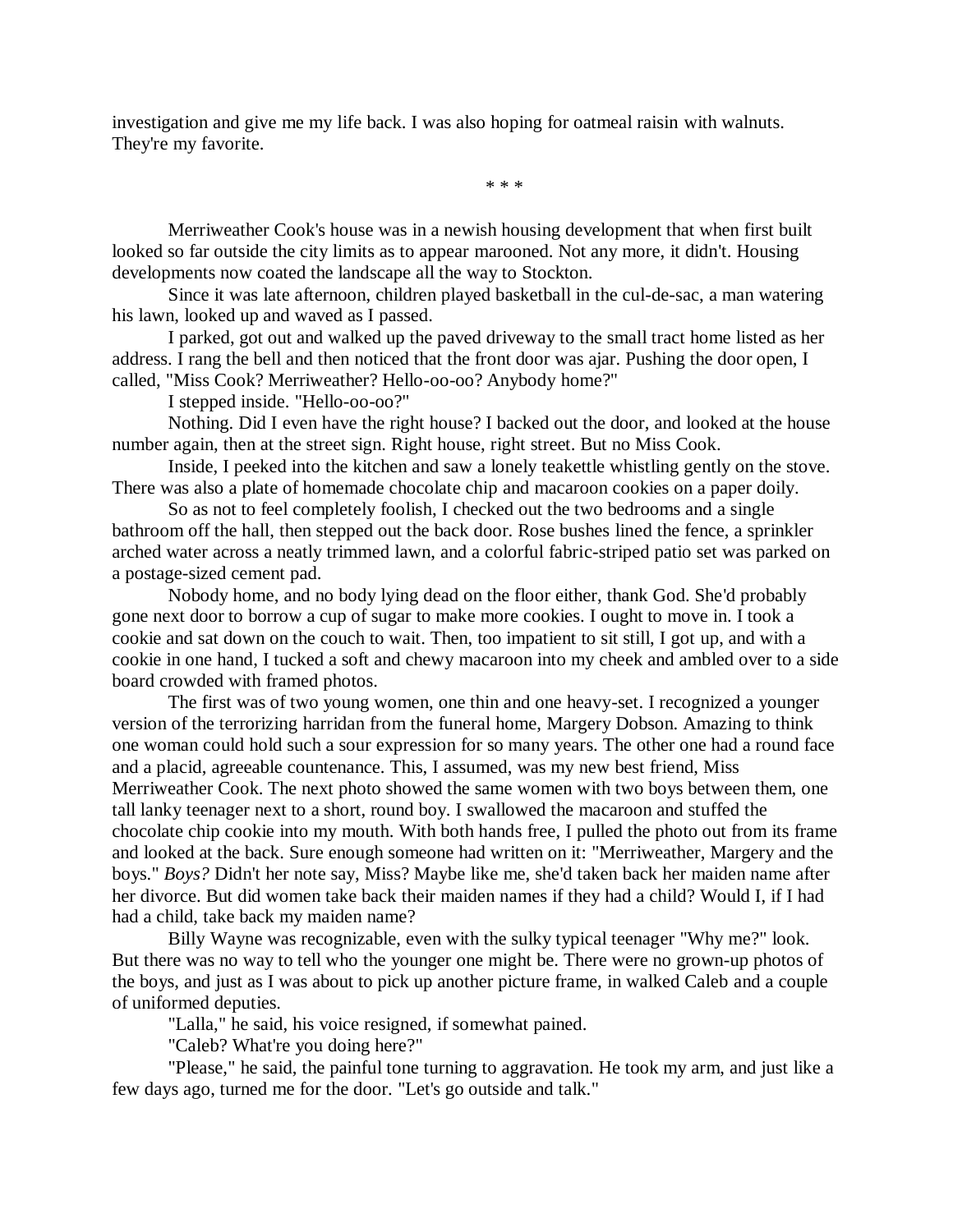investigation and give me my life back. I was also hoping for oatmeal raisin with walnuts. They're my favorite.

\* \* \*

Merriweather Cook's house was in a newish housing development that when first built looked so far outside the city limits as to appear marooned. Not any more, it didn't. Housing developments now coated the landscape all the way to Stockton.

Since it was late afternoon, children played basketball in the cul-de-sac, a man watering his lawn, looked up and waved as I passed.

I parked, got out and walked up the paved driveway to the small tract home listed as her address. I rang the bell and then noticed that the front door was ajar. Pushing the door open, I called, "Miss Cook? Merriweather? Hello-oo-oo? Anybody home?"

I stepped inside. "Hello-oo-oo?"

Nothing. Did I even have the right house? I backed out the door, and looked at the house number again, then at the street sign. Right house, right street. But no Miss Cook.

Inside, I peeked into the kitchen and saw a lonely teakettle whistling gently on the stove. There was also a plate of homemade chocolate chip and macaroon cookies on a paper doily.

So as not to feel completely foolish, I checked out the two bedrooms and a single bathroom off the hall, then stepped out the back door. Rose bushes lined the fence, a sprinkler arched water across a neatly trimmed lawn, and a colorful fabric-striped patio set was parked on a postage-sized cement pad.

Nobody home, and no body lying dead on the floor either, thank God. She'd probably gone next door to borrow a cup of sugar to make more cookies. I ought to move in. I took a cookie and sat down on the couch to wait. Then, too impatient to sit still, I got up, and with a cookie in one hand, I tucked a soft and chewy macaroon into my cheek and ambled over to a side board crowded with framed photos.

The first was of two young women, one thin and one heavy-set. I recognized a younger version of the terrorizing harridan from the funeral home, Margery Dobson. Amazing to think one woman could hold such a sour expression for so many years. The other one had a round face and a placid, agreeable countenance. This, I assumed, was my new best friend, Miss Merriweather Cook. The next photo showed the same women with two boys between them, one tall lanky teenager next to a short, round boy. I swallowed the macaroon and stuffed the chocolate chip cookie into my mouth. With both hands free, I pulled the photo out from its frame and looked at the back. Sure enough someone had written on it: "Merriweather, Margery and the boys." *Boys?* Didn't her note say, Miss? Maybe like me, she'd taken back her maiden name after her divorce. But did women take back their maiden names if they had a child? Would I, if I had had a child, take back my maiden name?

Billy Wayne was recognizable, even with the sulky typical teenager "Why me?" look. But there was no way to tell who the younger one might be. There were no grown-up photos of the boys, and just as I was about to pick up another picture frame, in walked Caleb and a couple of uniformed deputies.

"Lalla," he said, his voice resigned, if somewhat pained.

"Caleb? What're you doing here?"

"Please," he said, the painful tone turning to aggravation. He took my arm, and just like a few days ago, turned me for the door. "Let's go outside and talk."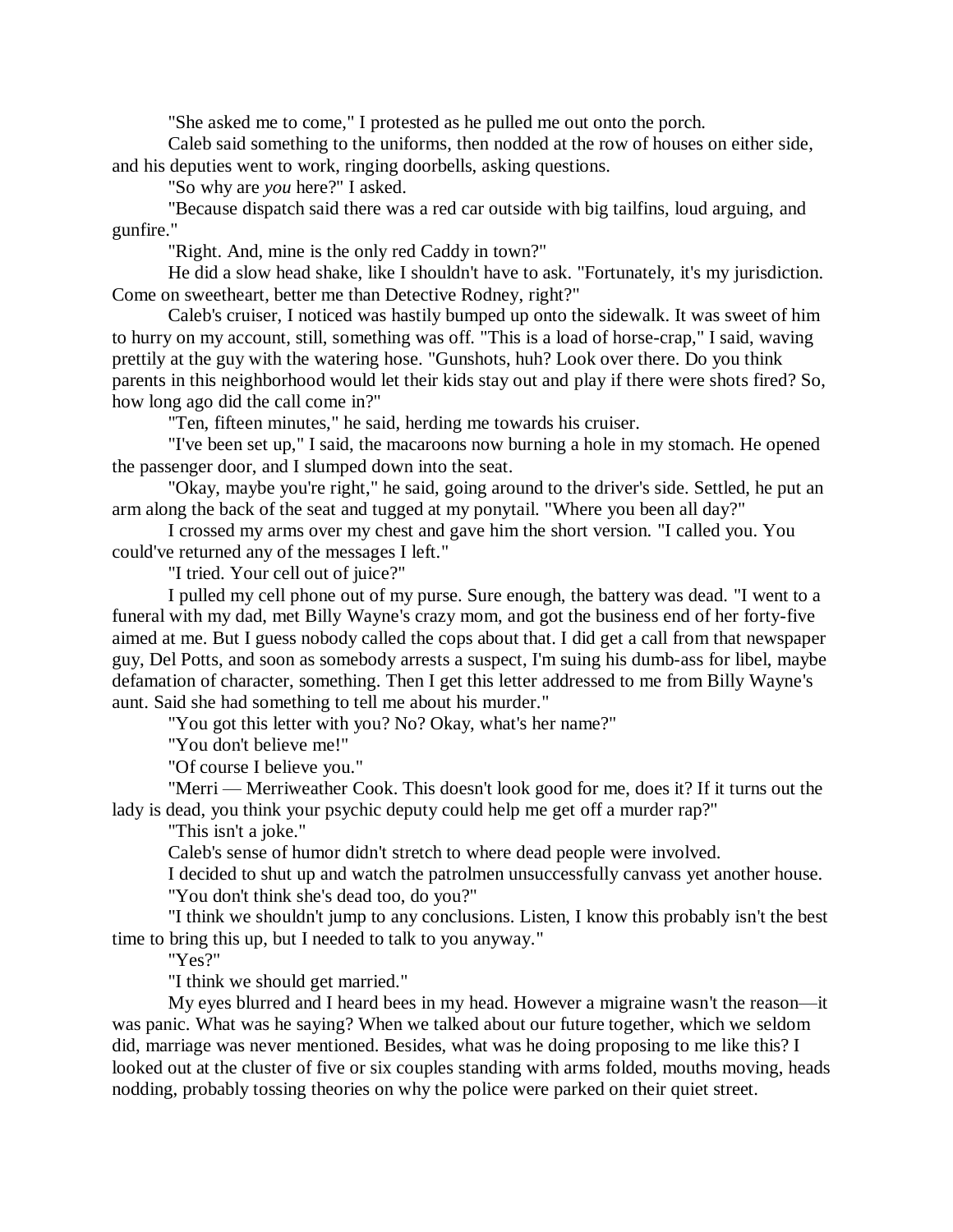"She asked me to come," I protested as he pulled me out onto the porch.

Caleb said something to the uniforms, then nodded at the row of houses on either side, and his deputies went to work, ringing doorbells, asking questions.

"So why are *you* here?" I asked.

"Because dispatch said there was a red car outside with big tailfins, loud arguing, and gunfire."

"Right. And, mine is the only red Caddy in town?"

He did a slow head shake, like I shouldn't have to ask. "Fortunately, it's my jurisdiction. Come on sweetheart, better me than Detective Rodney, right?"

Caleb's cruiser, I noticed was hastily bumped up onto the sidewalk. It was sweet of him to hurry on my account, still, something was off. "This is a load of horse-crap," I said, waving prettily at the guy with the watering hose. "Gunshots, huh? Look over there. Do you think parents in this neighborhood would let their kids stay out and play if there were shots fired? So, how long ago did the call come in?"

"Ten, fifteen minutes," he said, herding me towards his cruiser.

"I've been set up," I said, the macaroons now burning a hole in my stomach. He opened the passenger door, and I slumped down into the seat.

"Okay, maybe you're right," he said, going around to the driver's side. Settled, he put an arm along the back of the seat and tugged at my ponytail. "Where you been all day?"

I crossed my arms over my chest and gave him the short version. "I called you. You could've returned any of the messages I left."

"I tried. Your cell out of juice?"

I pulled my cell phone out of my purse. Sure enough, the battery was dead. "I went to a funeral with my dad, met Billy Wayne's crazy mom, and got the business end of her forty-five aimed at me. But I guess nobody called the cops about that. I did get a call from that newspaper guy, Del Potts, and soon as somebody arrests a suspect, I'm suing his dumb-ass for libel, maybe defamation of character, something. Then I get this letter addressed to me from Billy Wayne's aunt. Said she had something to tell me about his murder."

"You got this letter with you? No? Okay, what's her name?"

"You don't believe me!"

"Of course I believe you."

"Merri — Merriweather Cook. This doesn't look good for me, does it? If it turns out the lady is dead, you think your psychic deputy could help me get off a murder rap?"

"This isn't a joke."

Caleb's sense of humor didn't stretch to where dead people were involved.

I decided to shut up and watch the patrolmen unsuccessfully canvass yet another house. "You don't think she's dead too, do you?"

"I think we shouldn't jump to any conclusions. Listen, I know this probably isn't the best time to bring this up, but I needed to talk to you anyway."

"Yes?"

"I think we should get married."

My eyes blurred and I heard bees in my head. However a migraine wasn't the reason—it was panic. What was he saying? When we talked about our future together, which we seldom did, marriage was never mentioned. Besides, what was he doing proposing to me like this? I looked out at the cluster of five or six couples standing with arms folded, mouths moving, heads nodding, probably tossing theories on why the police were parked on their quiet street.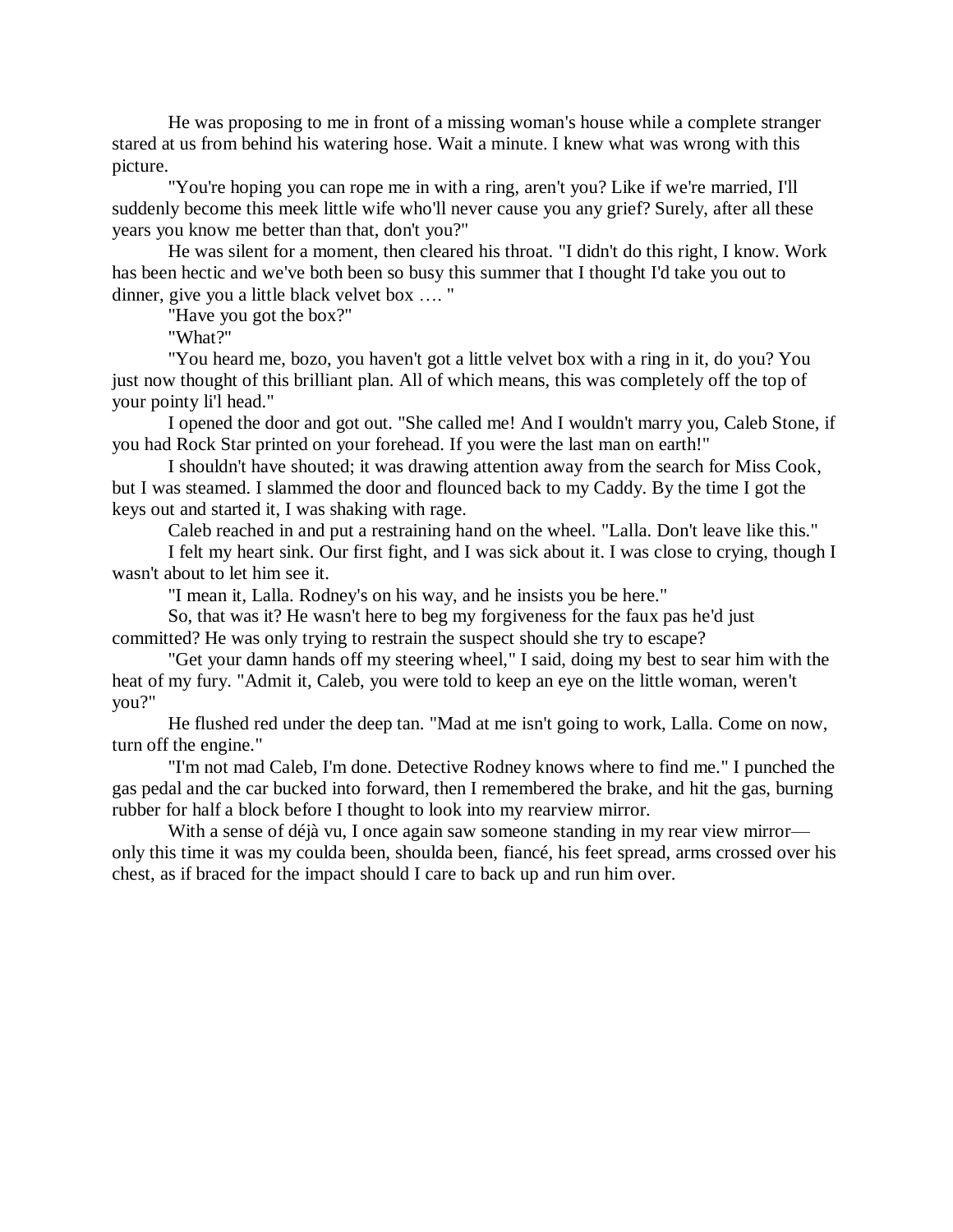He was proposing to me in front of a missing woman's house while a complete stranger stared at us from behind his watering hose. Wait a minute. I knew what was wrong with this picture.

"You're hoping you can rope me in with a ring, aren't you? Like if we're married, I'll suddenly become this meek little wife who'll never cause you any grief? Surely, after all these years you know me better than that, don't you?"

He was silent for a moment, then cleared his throat. "I didn't do this right, I know. Work has been hectic and we've both been so busy this summer that I thought I'd take you out to dinner, give you a little black velvet box …. "

"Have you got the box?"

"What?"

"You heard me, bozo, you haven't got a little velvet box with a ring in it, do you? You just now thought of this brilliant plan. All of which means, this was completely off the top of your pointy li'l head."

I opened the door and got out. "She called me! And I wouldn't marry you, Caleb Stone, if you had Rock Star printed on your forehead. If you were the last man on earth!"

I shouldn't have shouted; it was drawing attention away from the search for Miss Cook, but I was steamed. I slammed the door and flounced back to my Caddy. By the time I got the keys out and started it, I was shaking with rage.

Caleb reached in and put a restraining hand on the wheel. "Lalla. Don't leave like this."

I felt my heart sink. Our first fight, and I was sick about it. I was close to crying, though I wasn't about to let him see it.

"I mean it, Lalla. Rodney's on his way, and he insists you be here."

So, that was it? He wasn't here to beg my forgiveness for the faux pas he'd just committed? He was only trying to restrain the suspect should she try to escape?

"Get your damn hands off my steering wheel," I said, doing my best to sear him with the heat of my fury. "Admit it, Caleb, you were told to keep an eye on the little woman, weren't you?"

He flushed red under the deep tan. "Mad at me isn't going to work, Lalla. Come on now, turn off the engine."

"I'm not mad Caleb, I'm done. Detective Rodney knows where to find me." I punched the gas pedal and the car bucked into forward, then I remembered the brake, and hit the gas, burning rubber for half a block before I thought to look into my rearview mirror.

With a sense of déjà vu, I once again saw someone standing in my rear view mirror only this time it was my coulda been, shoulda been, fiancé, his feet spread, arms crossed over his chest, as if braced for the impact should I care to back up and run him over.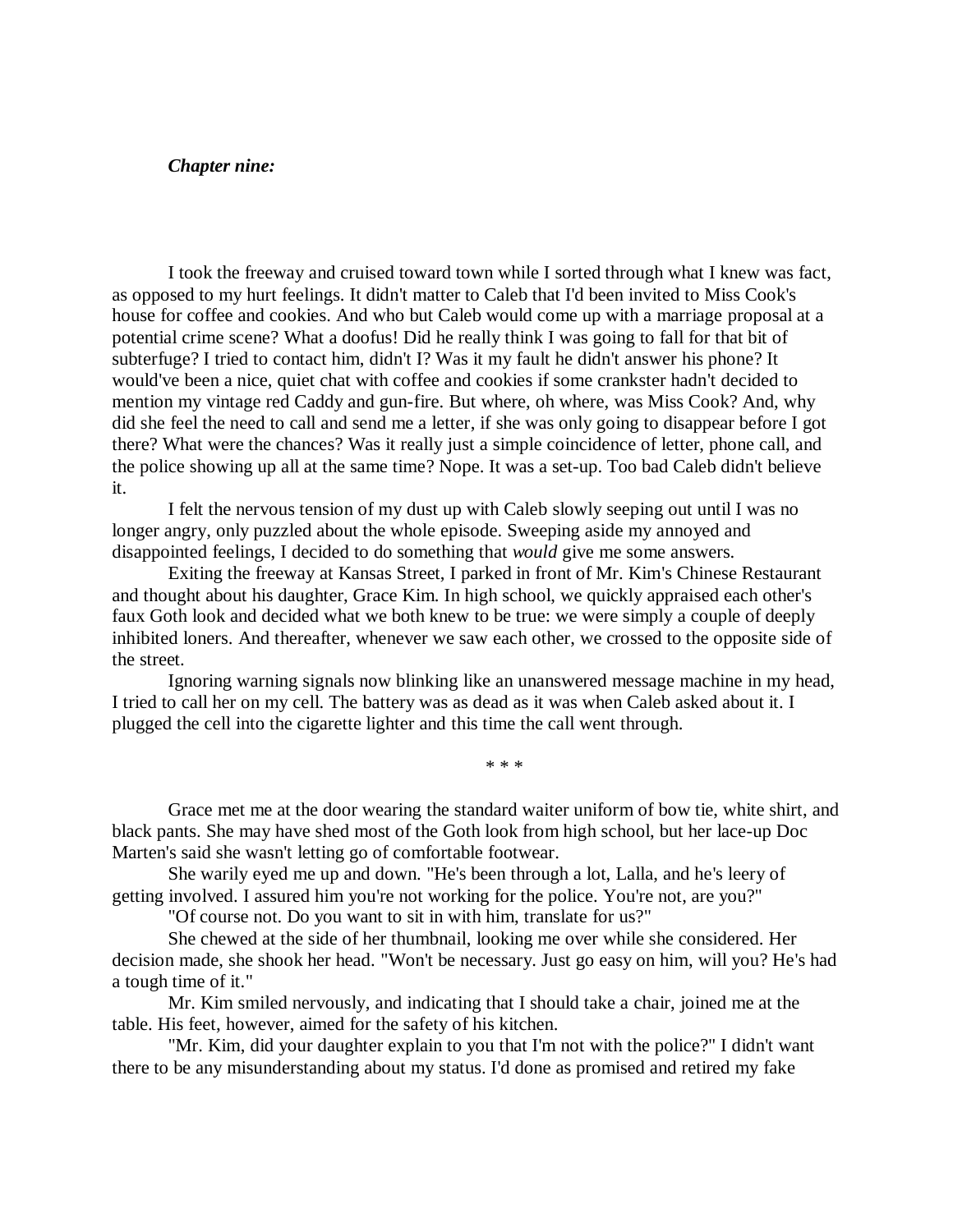#### *Chapter nine:*

I took the freeway and cruised toward town while I sorted through what I knew was fact, as opposed to my hurt feelings. It didn't matter to Caleb that I'd been invited to Miss Cook's house for coffee and cookies. And who but Caleb would come up with a marriage proposal at a potential crime scene? What a doofus! Did he really think I was going to fall for that bit of subterfuge? I tried to contact him, didn't I? Was it my fault he didn't answer his phone? It would've been a nice, quiet chat with coffee and cookies if some crankster hadn't decided to mention my vintage red Caddy and gun-fire. But where, oh where, was Miss Cook? And, why did she feel the need to call and send me a letter, if she was only going to disappear before I got there? What were the chances? Was it really just a simple coincidence of letter, phone call, and the police showing up all at the same time? Nope. It was a set-up. Too bad Caleb didn't believe it.

I felt the nervous tension of my dust up with Caleb slowly seeping out until I was no longer angry, only puzzled about the whole episode. Sweeping aside my annoyed and disappointed feelings, I decided to do something that *would* give me some answers.

Exiting the freeway at Kansas Street, I parked in front of Mr. Kim's Chinese Restaurant and thought about his daughter, Grace Kim. In high school, we quickly appraised each other's faux Goth look and decided what we both knew to be true: we were simply a couple of deeply inhibited loners. And thereafter, whenever we saw each other, we crossed to the opposite side of the street.

Ignoring warning signals now blinking like an unanswered message machine in my head, I tried to call her on my cell. The battery was as dead as it was when Caleb asked about it. I plugged the cell into the cigarette lighter and this time the call went through.

\* \* \*

Grace met me at the door wearing the standard waiter uniform of bow tie, white shirt, and black pants. She may have shed most of the Goth look from high school, but her lace-up Doc Marten's said she wasn't letting go of comfortable footwear.

She warily eyed me up and down. "He's been through a lot, Lalla, and he's leery of getting involved. I assured him you're not working for the police. You're not, are you?"

"Of course not. Do you want to sit in with him, translate for us?"

She chewed at the side of her thumbnail, looking me over while she considered. Her decision made, she shook her head. "Won't be necessary. Just go easy on him, will you? He's had a tough time of it."

Mr. Kim smiled nervously, and indicating that I should take a chair, joined me at the table. His feet, however, aimed for the safety of his kitchen.

"Mr. Kim, did your daughter explain to you that I'm not with the police?" I didn't want there to be any misunderstanding about my status. I'd done as promised and retired my fake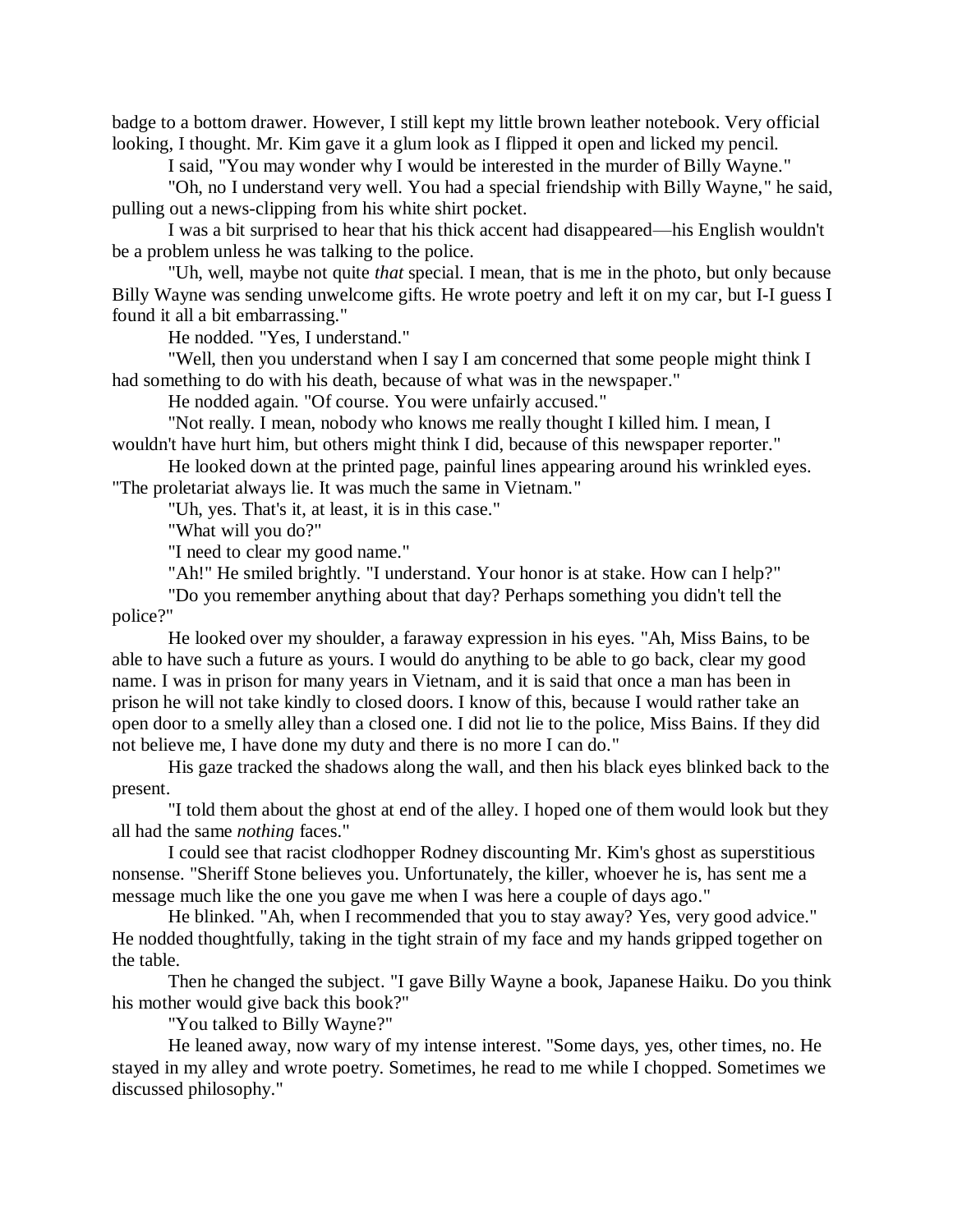badge to a bottom drawer. However, I still kept my little brown leather notebook. Very official looking, I thought. Mr. Kim gave it a glum look as I flipped it open and licked my pencil.

I said, "You may wonder why I would be interested in the murder of Billy Wayne."

"Oh, no I understand very well. You had a special friendship with Billy Wayne," he said, pulling out a news-clipping from his white shirt pocket.

I was a bit surprised to hear that his thick accent had disappeared—his English wouldn't be a problem unless he was talking to the police.

"Uh, well, maybe not quite *that* special. I mean, that is me in the photo, but only because Billy Wayne was sending unwelcome gifts. He wrote poetry and left it on my car, but I-I guess I found it all a bit embarrassing."

He nodded. "Yes, I understand."

"Well, then you understand when I say I am concerned that some people might think I had something to do with his death, because of what was in the newspaper."

He nodded again. "Of course. You were unfairly accused."

"Not really. I mean, nobody who knows me really thought I killed him. I mean, I wouldn't have hurt him, but others might think I did, because of this newspaper reporter."

He looked down at the printed page, painful lines appearing around his wrinkled eyes. "The proletariat always lie. It was much the same in Vietnam."

"Uh, yes. That's it, at least, it is in this case."

"What will you do?"

"I need to clear my good name."

"Ah!" He smiled brightly. "I understand. Your honor is at stake. How can I help?"

"Do you remember anything about that day? Perhaps something you didn't tell the police?"

He looked over my shoulder, a faraway expression in his eyes. "Ah, Miss Bains, to be able to have such a future as yours. I would do anything to be able to go back, clear my good name. I was in prison for many years in Vietnam, and it is said that once a man has been in prison he will not take kindly to closed doors. I know of this, because I would rather take an open door to a smelly alley than a closed one. I did not lie to the police, Miss Bains. If they did not believe me, I have done my duty and there is no more I can do."

His gaze tracked the shadows along the wall, and then his black eyes blinked back to the present.

"I told them about the ghost at end of the alley. I hoped one of them would look but they all had the same *nothing* faces."

I could see that racist clodhopper Rodney discounting Mr. Kim's ghost as superstitious nonsense. "Sheriff Stone believes you. Unfortunately, the killer, whoever he is, has sent me a message much like the one you gave me when I was here a couple of days ago."

He blinked. "Ah, when I recommended that you to stay away? Yes, very good advice." He nodded thoughtfully, taking in the tight strain of my face and my hands gripped together on the table.

Then he changed the subject. "I gave Billy Wayne a book, Japanese Haiku. Do you think his mother would give back this book?"

"You talked to Billy Wayne?"

He leaned away, now wary of my intense interest. "Some days, yes, other times, no. He stayed in my alley and wrote poetry. Sometimes, he read to me while I chopped. Sometimes we discussed philosophy."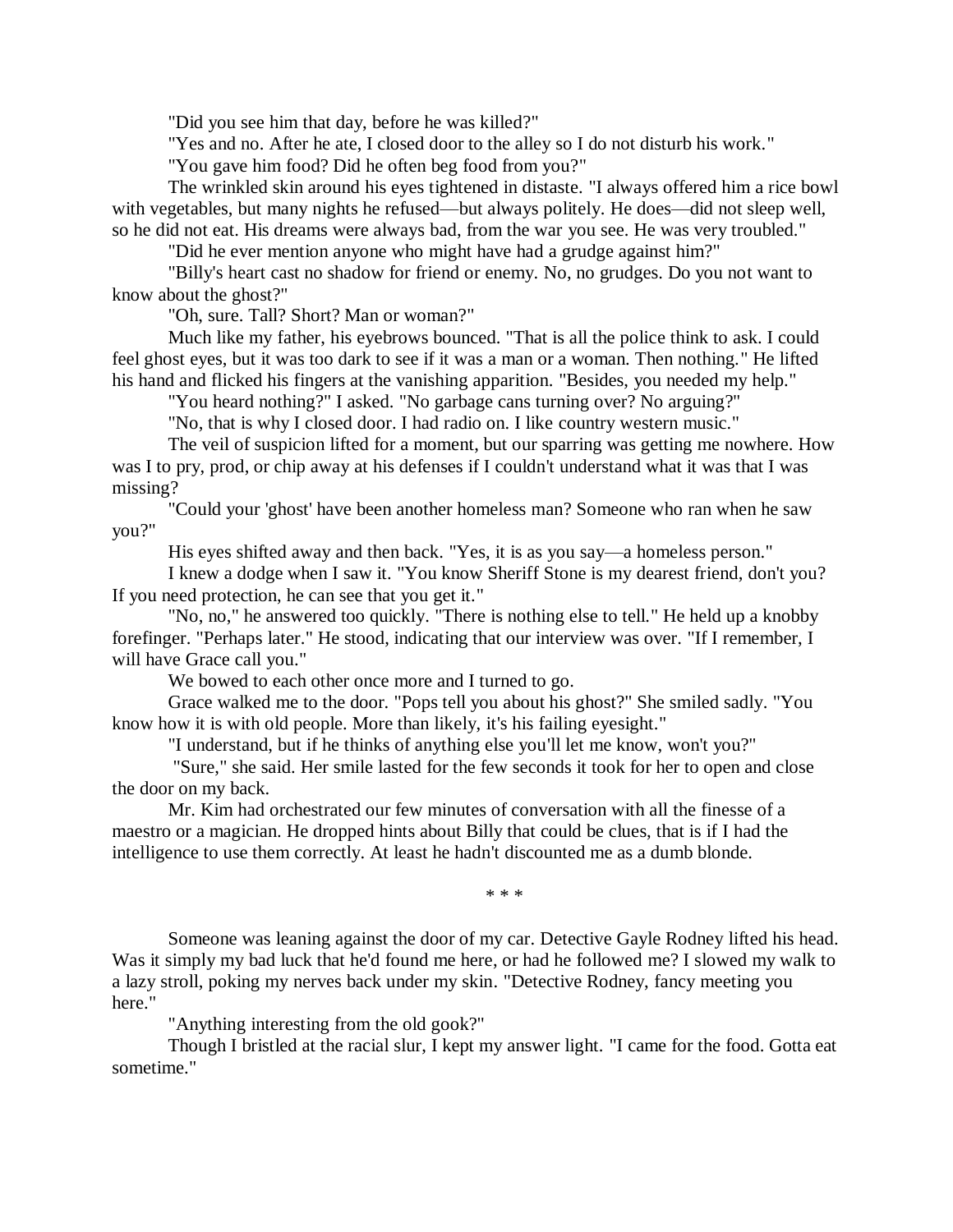"Did you see him that day, before he was killed?"

"Yes and no. After he ate, I closed door to the alley so I do not disturb his work."

"You gave him food? Did he often beg food from you?"

The wrinkled skin around his eyes tightened in distaste. "I always offered him a rice bowl with vegetables, but many nights he refused—but always politely. He does—did not sleep well, so he did not eat. His dreams were always bad, from the war you see. He was very troubled."

"Did he ever mention anyone who might have had a grudge against him?"

"Billy's heart cast no shadow for friend or enemy. No, no grudges. Do you not want to know about the ghost?"

"Oh, sure. Tall? Short? Man or woman?"

Much like my father, his eyebrows bounced. "That is all the police think to ask. I could feel ghost eyes, but it was too dark to see if it was a man or a woman. Then nothing." He lifted his hand and flicked his fingers at the vanishing apparition. "Besides, you needed my help."

"You heard nothing?" I asked. "No garbage cans turning over? No arguing?"

"No, that is why I closed door. I had radio on. I like country western music."

The veil of suspicion lifted for a moment, but our sparring was getting me nowhere. How was I to pry, prod, or chip away at his defenses if I couldn't understand what it was that I was missing?

"Could your 'ghost' have been another homeless man? Someone who ran when he saw you?"

His eyes shifted away and then back. "Yes, it is as you say—a homeless person."

I knew a dodge when I saw it. "You know Sheriff Stone is my dearest friend, don't you? If you need protection, he can see that you get it."

"No, no," he answered too quickly. "There is nothing else to tell." He held up a knobby forefinger. "Perhaps later." He stood, indicating that our interview was over. "If I remember, I will have Grace call you."

We bowed to each other once more and I turned to go.

Grace walked me to the door. "Pops tell you about his ghost?" She smiled sadly. "You know how it is with old people. More than likely, it's his failing eyesight."

"I understand, but if he thinks of anything else you'll let me know, won't you?"

"Sure," she said. Her smile lasted for the few seconds it took for her to open and close the door on my back.

Mr. Kim had orchestrated our few minutes of conversation with all the finesse of a maestro or a magician. He dropped hints about Billy that could be clues, that is if I had the intelligence to use them correctly. At least he hadn't discounted me as a dumb blonde.

\* \* \*

Someone was leaning against the door of my car. Detective Gayle Rodney lifted his head. Was it simply my bad luck that he'd found me here, or had he followed me? I slowed my walk to a lazy stroll, poking my nerves back under my skin. "Detective Rodney, fancy meeting you here."

"Anything interesting from the old gook?"

Though I bristled at the racial slur, I kept my answer light. "I came for the food. Gotta eat sometime."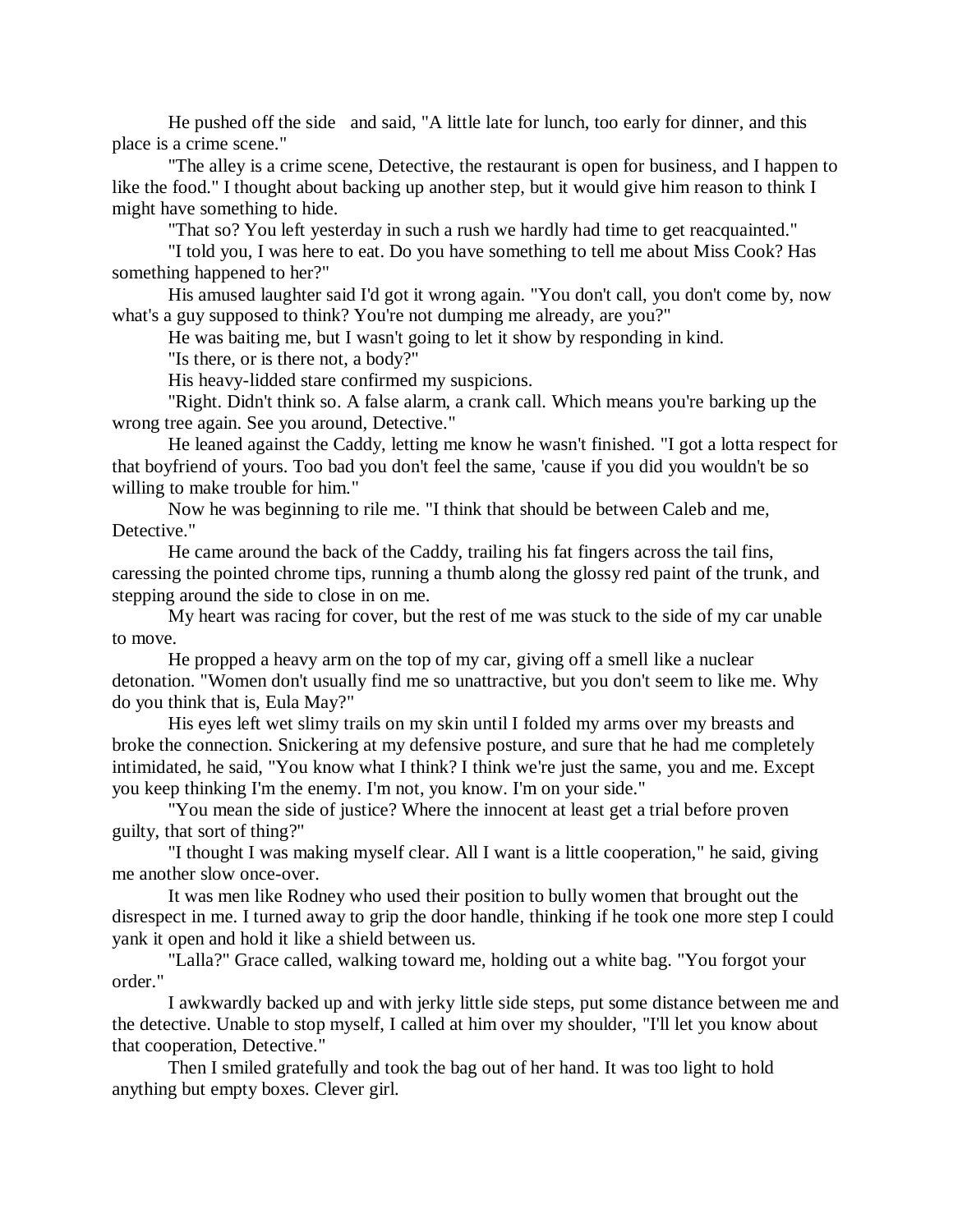He pushed off the side and said, "A little late for lunch, too early for dinner, and this place is a crime scene."

"The alley is a crime scene, Detective, the restaurant is open for business, and I happen to like the food." I thought about backing up another step, but it would give him reason to think I might have something to hide.

"That so? You left yesterday in such a rush we hardly had time to get reacquainted."

"I told you, I was here to eat. Do you have something to tell me about Miss Cook? Has something happened to her?"

His amused laughter said I'd got it wrong again. "You don't call, you don't come by, now what's a guy supposed to think? You're not dumping me already, are you?"

He was baiting me, but I wasn't going to let it show by responding in kind.

"Is there, or is there not, a body?"

His heavy-lidded stare confirmed my suspicions.

"Right. Didn't think so. A false alarm, a crank call. Which means you're barking up the wrong tree again. See you around, Detective."

He leaned against the Caddy, letting me know he wasn't finished. "I got a lotta respect for that boyfriend of yours. Too bad you don't feel the same, 'cause if you did you wouldn't be so willing to make trouble for him."

Now he was beginning to rile me. "I think that should be between Caleb and me, Detective."

He came around the back of the Caddy, trailing his fat fingers across the tail fins, caressing the pointed chrome tips, running a thumb along the glossy red paint of the trunk, and stepping around the side to close in on me.

My heart was racing for cover, but the rest of me was stuck to the side of my car unable to move.

He propped a heavy arm on the top of my car, giving off a smell like a nuclear detonation. "Women don't usually find me so unattractive, but you don't seem to like me. Why do you think that is, Eula May?"

His eyes left wet slimy trails on my skin until I folded my arms over my breasts and broke the connection. Snickering at my defensive posture, and sure that he had me completely intimidated, he said, "You know what I think? I think we're just the same, you and me. Except you keep thinking I'm the enemy. I'm not, you know. I'm on your side."

"You mean the side of justice? Where the innocent at least get a trial before proven guilty, that sort of thing?"

"I thought I was making myself clear. All I want is a little cooperation," he said, giving me another slow once-over.

It was men like Rodney who used their position to bully women that brought out the disrespect in me. I turned away to grip the door handle, thinking if he took one more step I could yank it open and hold it like a shield between us.

"Lalla?" Grace called, walking toward me, holding out a white bag. "You forgot your order."

I awkwardly backed up and with jerky little side steps, put some distance between me and the detective. Unable to stop myself, I called at him over my shoulder, "I'll let you know about that cooperation, Detective."

Then I smiled gratefully and took the bag out of her hand. It was too light to hold anything but empty boxes. Clever girl.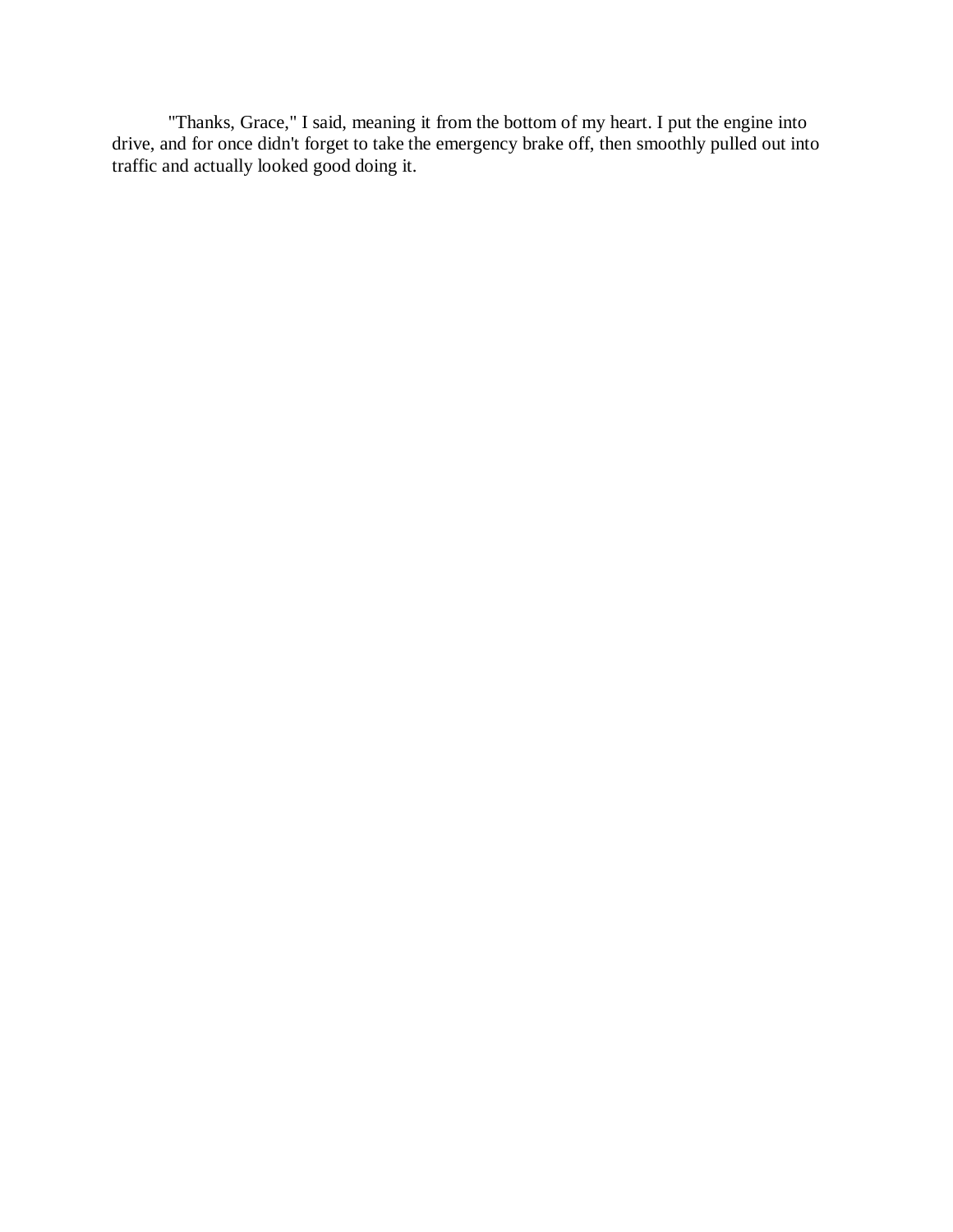"Thanks, Grace," I said, meaning it from the bottom of my heart. I put the engine into drive, and for once didn't forget to take the emergency brake off, then smoothly pulled out into traffic and actually looked good doing it.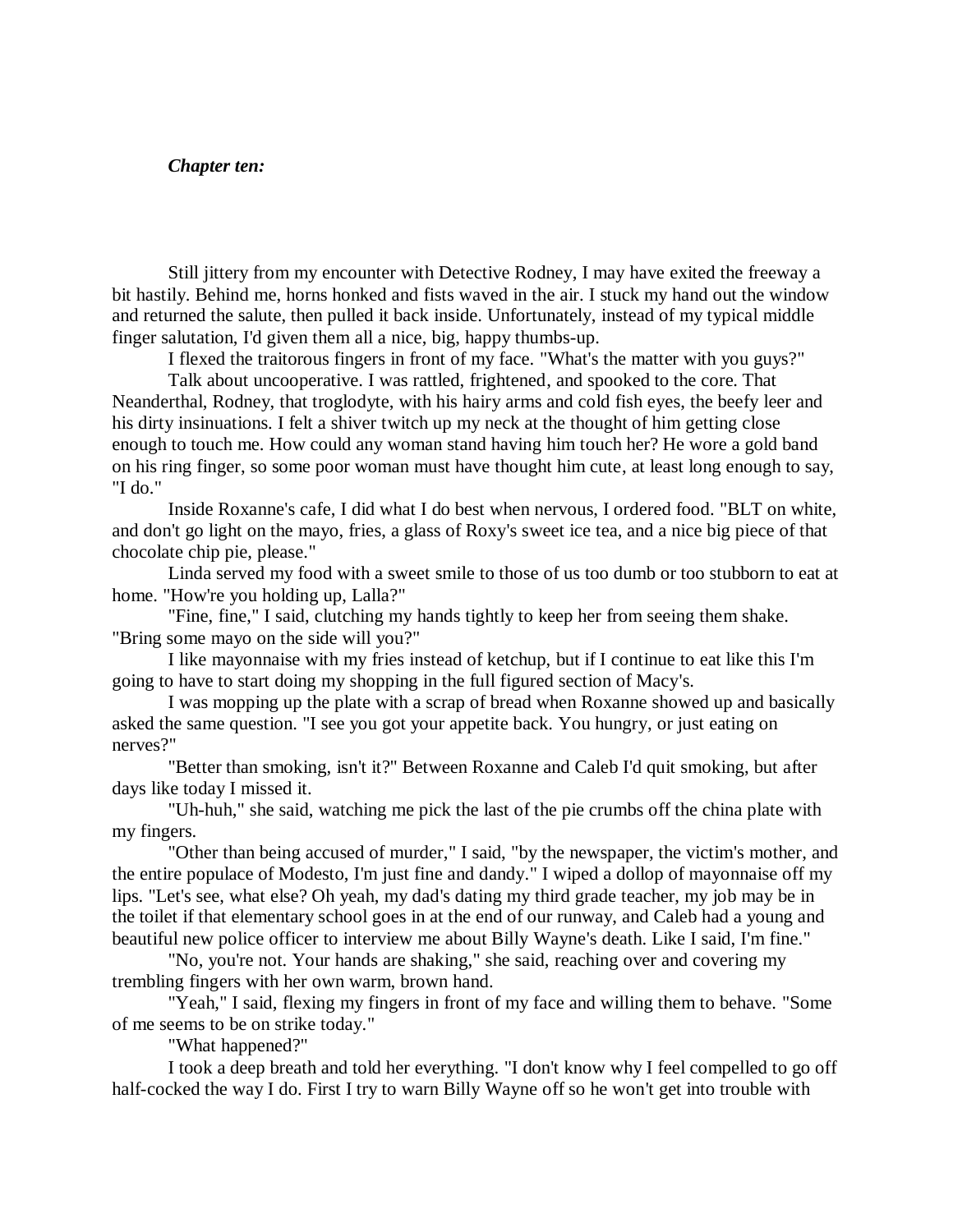#### *Chapter ten:*

Still jittery from my encounter with Detective Rodney, I may have exited the freeway a bit hastily. Behind me, horns honked and fists waved in the air. I stuck my hand out the window and returned the salute, then pulled it back inside. Unfortunately, instead of my typical middle finger salutation, I'd given them all a nice, big, happy thumbs-up.

I flexed the traitorous fingers in front of my face. "What's the matter with you guys?"

Talk about uncooperative. I was rattled, frightened, and spooked to the core. That Neanderthal, Rodney, that troglodyte, with his hairy arms and cold fish eyes, the beefy leer and his dirty insinuations. I felt a shiver twitch up my neck at the thought of him getting close enough to touch me. How could any woman stand having him touch her? He wore a gold band on his ring finger, so some poor woman must have thought him cute, at least long enough to say, "I do."

Inside Roxanne's cafe, I did what I do best when nervous, I ordered food. "BLT on white, and don't go light on the mayo, fries, a glass of Roxy's sweet ice tea, and a nice big piece of that chocolate chip pie, please."

Linda served my food with a sweet smile to those of us too dumb or too stubborn to eat at home. "How're you holding up, Lalla?"

"Fine, fine," I said, clutching my hands tightly to keep her from seeing them shake. "Bring some mayo on the side will you?"

I like mayonnaise with my fries instead of ketchup, but if I continue to eat like this I'm going to have to start doing my shopping in the full figured section of Macy's.

I was mopping up the plate with a scrap of bread when Roxanne showed up and basically asked the same question. "I see you got your appetite back. You hungry, or just eating on nerves?"

"Better than smoking, isn't it?" Between Roxanne and Caleb I'd quit smoking, but after days like today I missed it.

"Uh-huh," she said, watching me pick the last of the pie crumbs off the china plate with my fingers.

"Other than being accused of murder," I said, "by the newspaper, the victim's mother, and the entire populace of Modesto, I'm just fine and dandy." I wiped a dollop of mayonnaise off my lips. "Let's see, what else? Oh yeah, my dad's dating my third grade teacher, my job may be in the toilet if that elementary school goes in at the end of our runway, and Caleb had a young and beautiful new police officer to interview me about Billy Wayne's death. Like I said, I'm fine."

"No, you're not. Your hands are shaking," she said, reaching over and covering my trembling fingers with her own warm, brown hand.

"Yeah," I said, flexing my fingers in front of my face and willing them to behave. "Some of me seems to be on strike today."

"What happened?"

I took a deep breath and told her everything. "I don't know why I feel compelled to go off half-cocked the way I do. First I try to warn Billy Wayne off so he won't get into trouble with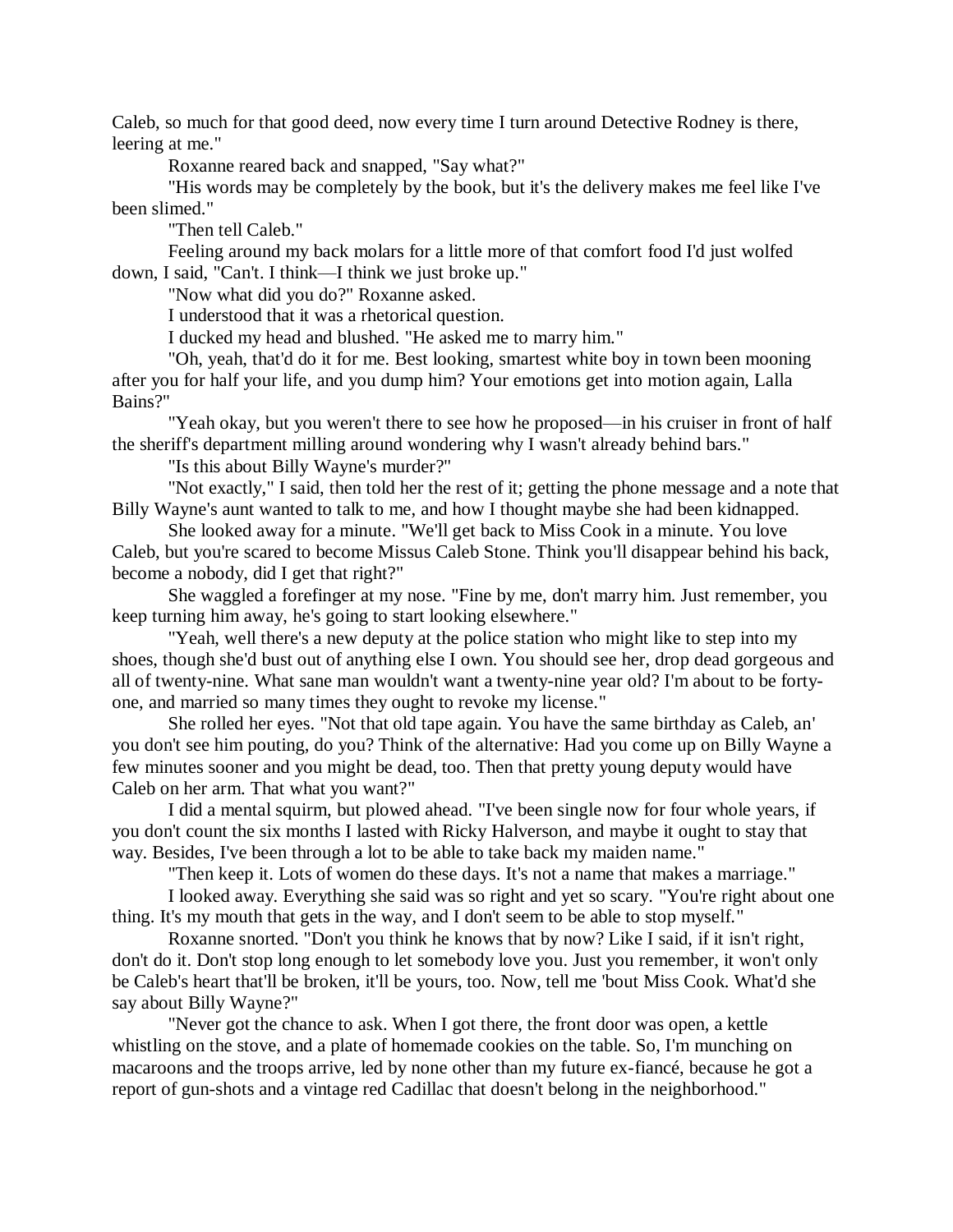Caleb, so much for that good deed, now every time I turn around Detective Rodney is there, leering at me."

Roxanne reared back and snapped, "Say what?"

"His words may be completely by the book, but it's the delivery makes me feel like I've been slimed."

"Then tell Caleb."

Feeling around my back molars for a little more of that comfort food I'd just wolfed down, I said, "Can't. I think—I think we just broke up."

"Now what did you do?" Roxanne asked.

I understood that it was a rhetorical question.

I ducked my head and blushed. "He asked me to marry him."

"Oh, yeah, that'd do it for me. Best looking, smartest white boy in town been mooning after you for half your life, and you dump him? Your emotions get into motion again, Lalla Bains?"

"Yeah okay, but you weren't there to see how he proposed—in his cruiser in front of half the sheriff's department milling around wondering why I wasn't already behind bars."

"Is this about Billy Wayne's murder?"

"Not exactly," I said, then told her the rest of it; getting the phone message and a note that Billy Wayne's aunt wanted to talk to me, and how I thought maybe she had been kidnapped.

She looked away for a minute. "We'll get back to Miss Cook in a minute. You love Caleb, but you're scared to become Missus Caleb Stone. Think you'll disappear behind his back, become a nobody, did I get that right?"

She waggled a forefinger at my nose. "Fine by me, don't marry him. Just remember, you keep turning him away, he's going to start looking elsewhere."

"Yeah, well there's a new deputy at the police station who might like to step into my shoes, though she'd bust out of anything else I own. You should see her, drop dead gorgeous and all of twenty-nine. What sane man wouldn't want a twenty-nine year old? I'm about to be fortyone, and married so many times they ought to revoke my license."

She rolled her eyes. "Not that old tape again. You have the same birthday as Caleb, an' you don't see him pouting, do you? Think of the alternative: Had you come up on Billy Wayne a few minutes sooner and you might be dead, too. Then that pretty young deputy would have Caleb on her arm. That what you want?"

I did a mental squirm, but plowed ahead. "I've been single now for four whole years, if you don't count the six months I lasted with Ricky Halverson, and maybe it ought to stay that way. Besides, I've been through a lot to be able to take back my maiden name."

"Then keep it. Lots of women do these days. It's not a name that makes a marriage."

I looked away. Everything she said was so right and yet so scary. "You're right about one thing. It's my mouth that gets in the way, and I don't seem to be able to stop myself."

Roxanne snorted. "Don't you think he knows that by now? Like I said, if it isn't right, don't do it. Don't stop long enough to let somebody love you. Just you remember, it won't only be Caleb's heart that'll be broken, it'll be yours, too. Now, tell me 'bout Miss Cook. What'd she say about Billy Wayne?"

"Never got the chance to ask. When I got there, the front door was open, a kettle whistling on the stove, and a plate of homemade cookies on the table. So, I'm munching on macaroons and the troops arrive, led by none other than my future ex-fiancé, because he got a report of gun-shots and a vintage red Cadillac that doesn't belong in the neighborhood."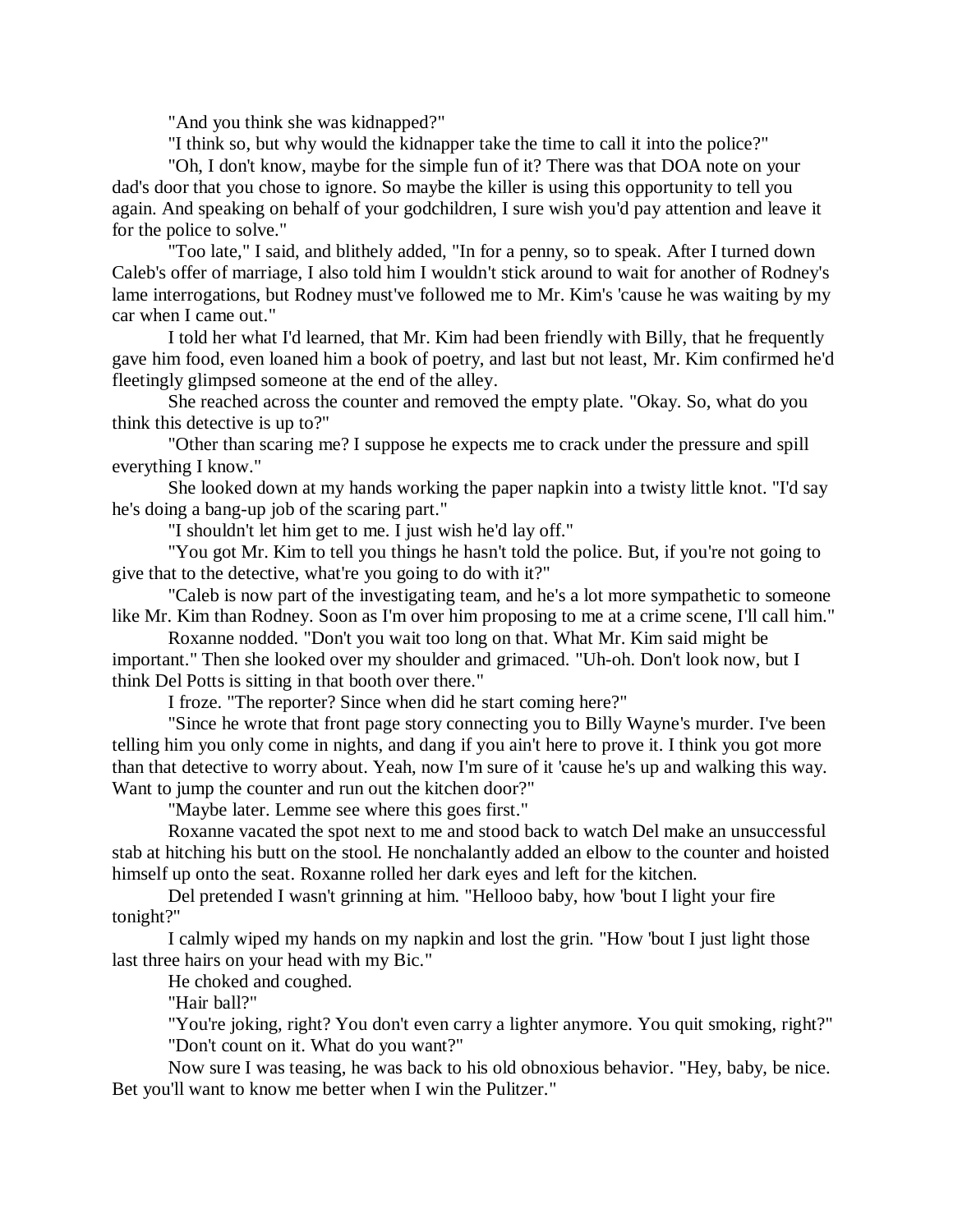"And you think she was kidnapped?"

"I think so, but why would the kidnapper take the time to call it into the police?"

"Oh, I don't know, maybe for the simple fun of it? There was that DOA note on your dad's door that you chose to ignore. So maybe the killer is using this opportunity to tell you again. And speaking on behalf of your godchildren, I sure wish you'd pay attention and leave it for the police to solve."

"Too late," I said, and blithely added, "In for a penny, so to speak. After I turned down Caleb's offer of marriage, I also told him I wouldn't stick around to wait for another of Rodney's lame interrogations, but Rodney must've followed me to Mr. Kim's 'cause he was waiting by my car when I came out."

I told her what I'd learned, that Mr. Kim had been friendly with Billy, that he frequently gave him food, even loaned him a book of poetry, and last but not least, Mr. Kim confirmed he'd fleetingly glimpsed someone at the end of the alley.

She reached across the counter and removed the empty plate. "Okay. So, what do you think this detective is up to?"

"Other than scaring me? I suppose he expects me to crack under the pressure and spill everything I know."

She looked down at my hands working the paper napkin into a twisty little knot. "I'd say he's doing a bang-up job of the scaring part."

"I shouldn't let him get to me. I just wish he'd lay off."

"You got Mr. Kim to tell you things he hasn't told the police. But, if you're not going to give that to the detective, what're you going to do with it?"

"Caleb is now part of the investigating team, and he's a lot more sympathetic to someone like Mr. Kim than Rodney. Soon as I'm over him proposing to me at a crime scene, I'll call him."

Roxanne nodded. "Don't you wait too long on that. What Mr. Kim said might be important." Then she looked over my shoulder and grimaced. "Uh-oh. Don't look now, but I think Del Potts is sitting in that booth over there."

I froze. "The reporter? Since when did he start coming here?"

"Since he wrote that front page story connecting you to Billy Wayne's murder. I've been telling him you only come in nights, and dang if you ain't here to prove it. I think you got more than that detective to worry about. Yeah, now I'm sure of it 'cause he's up and walking this way. Want to jump the counter and run out the kitchen door?"

"Maybe later. Lemme see where this goes first."

Roxanne vacated the spot next to me and stood back to watch Del make an unsuccessful stab at hitching his butt on the stool. He nonchalantly added an elbow to the counter and hoisted himself up onto the seat. Roxanne rolled her dark eyes and left for the kitchen.

Del pretended I wasn't grinning at him. "Hellooo baby, how 'bout I light your fire tonight?"

I calmly wiped my hands on my napkin and lost the grin. "How 'bout I just light those last three hairs on your head with my Bic."

He choked and coughed.

"Hair ball?"

"You're joking, right? You don't even carry a lighter anymore. You quit smoking, right?" "Don't count on it. What do you want?"

Now sure I was teasing, he was back to his old obnoxious behavior. "Hey, baby, be nice. Bet you'll want to know me better when I win the Pulitzer."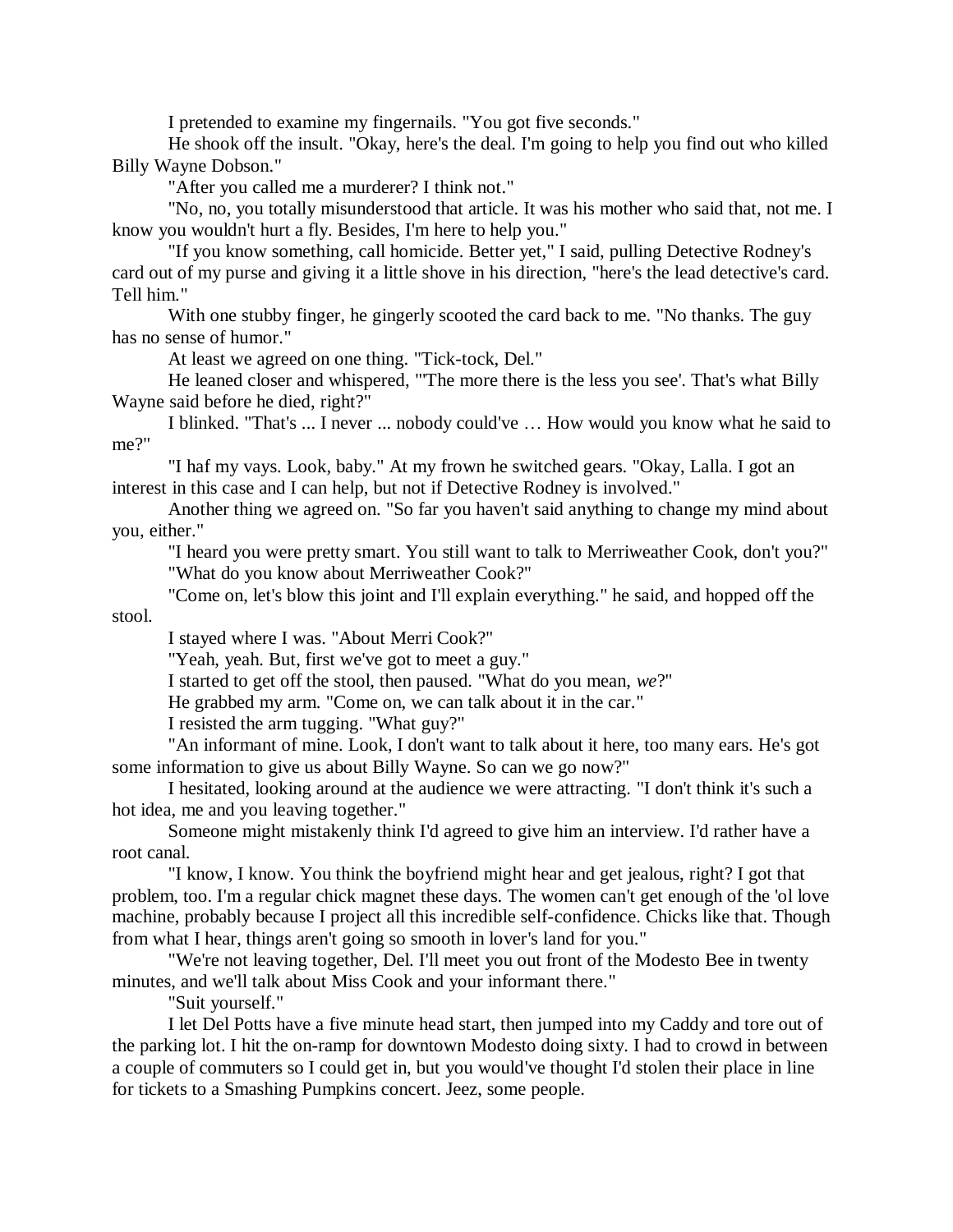I pretended to examine my fingernails. "You got five seconds."

He shook off the insult. "Okay, here's the deal. I'm going to help you find out who killed Billy Wayne Dobson."

"After you called me a murderer? I think not."

"No, no, you totally misunderstood that article. It was his mother who said that, not me. I know you wouldn't hurt a fly. Besides, I'm here to help you."

"If you know something, call homicide. Better yet," I said, pulling Detective Rodney's card out of my purse and giving it a little shove in his direction, "here's the lead detective's card. Tell him."

With one stubby finger, he gingerly scooted the card back to me. "No thanks. The guy has no sense of humor."

At least we agreed on one thing. "Tick-tock, Del."

He leaned closer and whispered, "'The more there is the less you see'. That's what Billy Wayne said before he died, right?"

I blinked. "That's ... I never ... nobody could've … How would you know what he said to me?"

"I haf my vays. Look, baby." At my frown he switched gears. "Okay, Lalla. I got an interest in this case and I can help, but not if Detective Rodney is involved."

Another thing we agreed on. "So far you haven't said anything to change my mind about you, either."

"I heard you were pretty smart. You still want to talk to Merriweather Cook, don't you?" "What do you know about Merriweather Cook?"

"Come on, let's blow this joint and I'll explain everything." he said, and hopped off the

stool.

I stayed where I was. "About Merri Cook?"

"Yeah, yeah. But, first we've got to meet a guy."

I started to get off the stool, then paused. "What do you mean, *we*?"

He grabbed my arm. "Come on, we can talk about it in the car."

I resisted the arm tugging. "What guy?"

"An informant of mine. Look, I don't want to talk about it here, too many ears. He's got some information to give us about Billy Wayne. So can we go now?"

I hesitated, looking around at the audience we were attracting. "I don't think it's such a hot idea, me and you leaving together."

Someone might mistakenly think I'd agreed to give him an interview. I'd rather have a root canal.

"I know, I know. You think the boyfriend might hear and get jealous, right? I got that problem, too. I'm a regular chick magnet these days. The women can't get enough of the 'ol love machine, probably because I project all this incredible self-confidence. Chicks like that. Though from what I hear, things aren't going so smooth in lover's land for you."

"We're not leaving together, Del. I'll meet you out front of the Modesto Bee in twenty minutes, and we'll talk about Miss Cook and your informant there."

"Suit yourself."

I let Del Potts have a five minute head start, then jumped into my Caddy and tore out of the parking lot. I hit the on-ramp for downtown Modesto doing sixty. I had to crowd in between a couple of commuters so I could get in, but you would've thought I'd stolen their place in line for tickets to a Smashing Pumpkins concert. Jeez, some people.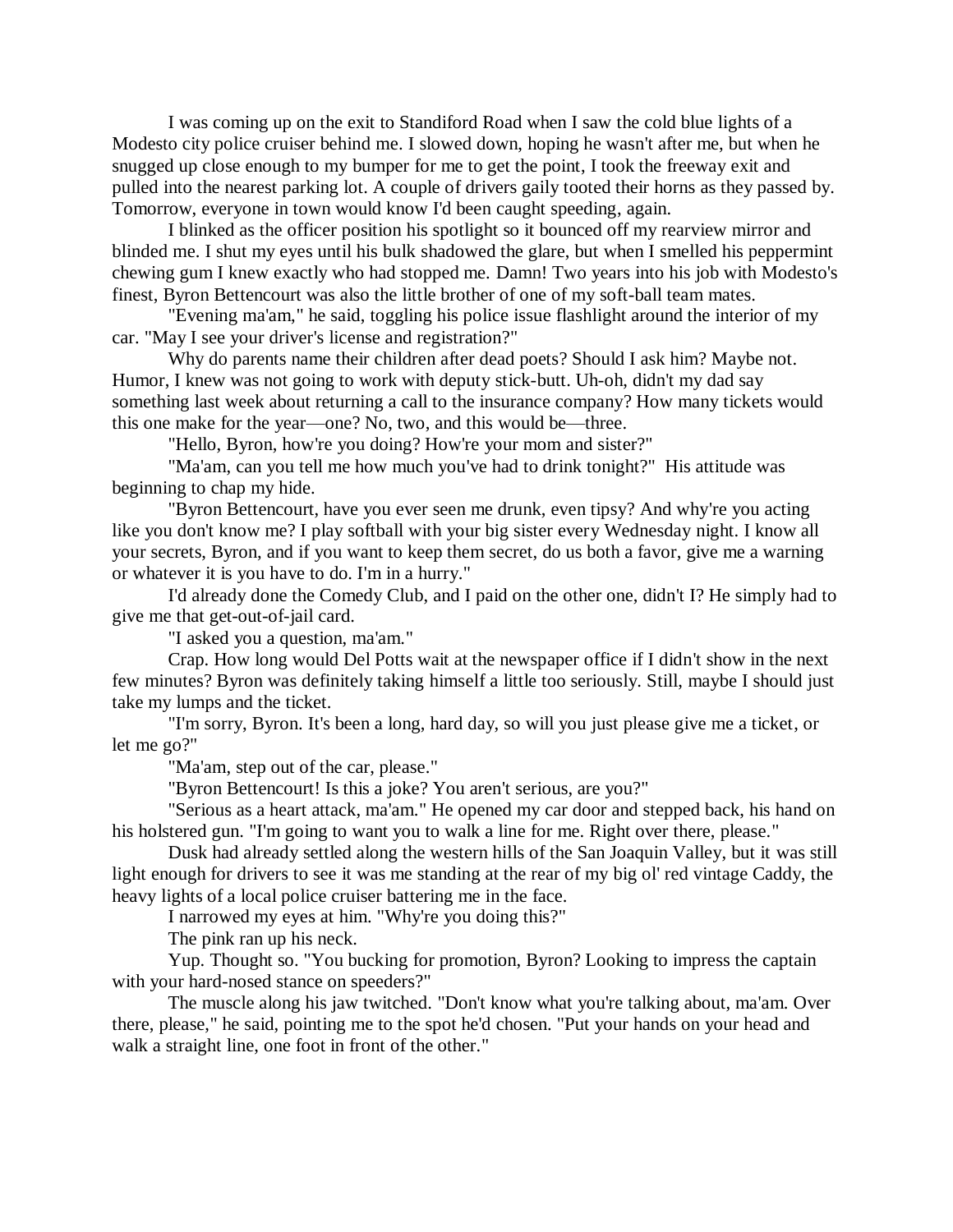I was coming up on the exit to Standiford Road when I saw the cold blue lights of a Modesto city police cruiser behind me. I slowed down, hoping he wasn't after me, but when he snugged up close enough to my bumper for me to get the point, I took the freeway exit and pulled into the nearest parking lot. A couple of drivers gaily tooted their horns as they passed by. Tomorrow, everyone in town would know I'd been caught speeding, again.

I blinked as the officer position his spotlight so it bounced off my rearview mirror and blinded me. I shut my eyes until his bulk shadowed the glare, but when I smelled his peppermint chewing gum I knew exactly who had stopped me. Damn! Two years into his job with Modesto's finest, Byron Bettencourt was also the little brother of one of my soft-ball team mates.

"Evening ma'am," he said, toggling his police issue flashlight around the interior of my car. "May I see your driver's license and registration?"

Why do parents name their children after dead poets? Should I ask him? Maybe not. Humor, I knew was not going to work with deputy stick-butt. Uh-oh, didn't my dad say something last week about returning a call to the insurance company? How many tickets would this one make for the year—one? No, two, and this would be—three.

"Hello, Byron, how're you doing? How're your mom and sister?"

"Ma'am, can you tell me how much you've had to drink tonight?" His attitude was beginning to chap my hide.

"Byron Bettencourt, have you ever seen me drunk, even tipsy? And why're you acting like you don't know me? I play softball with your big sister every Wednesday night. I know all your secrets, Byron, and if you want to keep them secret, do us both a favor, give me a warning or whatever it is you have to do. I'm in a hurry."

I'd already done the Comedy Club, and I paid on the other one, didn't I? He simply had to give me that get-out-of-jail card.

"I asked you a question, ma'am."

Crap. How long would Del Potts wait at the newspaper office if I didn't show in the next few minutes? Byron was definitely taking himself a little too seriously. Still, maybe I should just take my lumps and the ticket.

"I'm sorry, Byron. It's been a long, hard day, so will you just please give me a ticket, or let me go?"

"Ma'am, step out of the car, please."

"Byron Bettencourt! Is this a joke? You aren't serious, are you?"

"Serious as a heart attack, ma'am." He opened my car door and stepped back, his hand on his holstered gun. "I'm going to want you to walk a line for me. Right over there, please."

Dusk had already settled along the western hills of the San Joaquin Valley, but it was still light enough for drivers to see it was me standing at the rear of my big ol' red vintage Caddy, the heavy lights of a local police cruiser battering me in the face.

I narrowed my eyes at him. "Why're you doing this?"

The pink ran up his neck.

Yup. Thought so. "You bucking for promotion, Byron? Looking to impress the captain with your hard-nosed stance on speeders?"

The muscle along his jaw twitched. "Don't know what you're talking about, ma'am. Over there, please," he said, pointing me to the spot he'd chosen. "Put your hands on your head and walk a straight line, one foot in front of the other."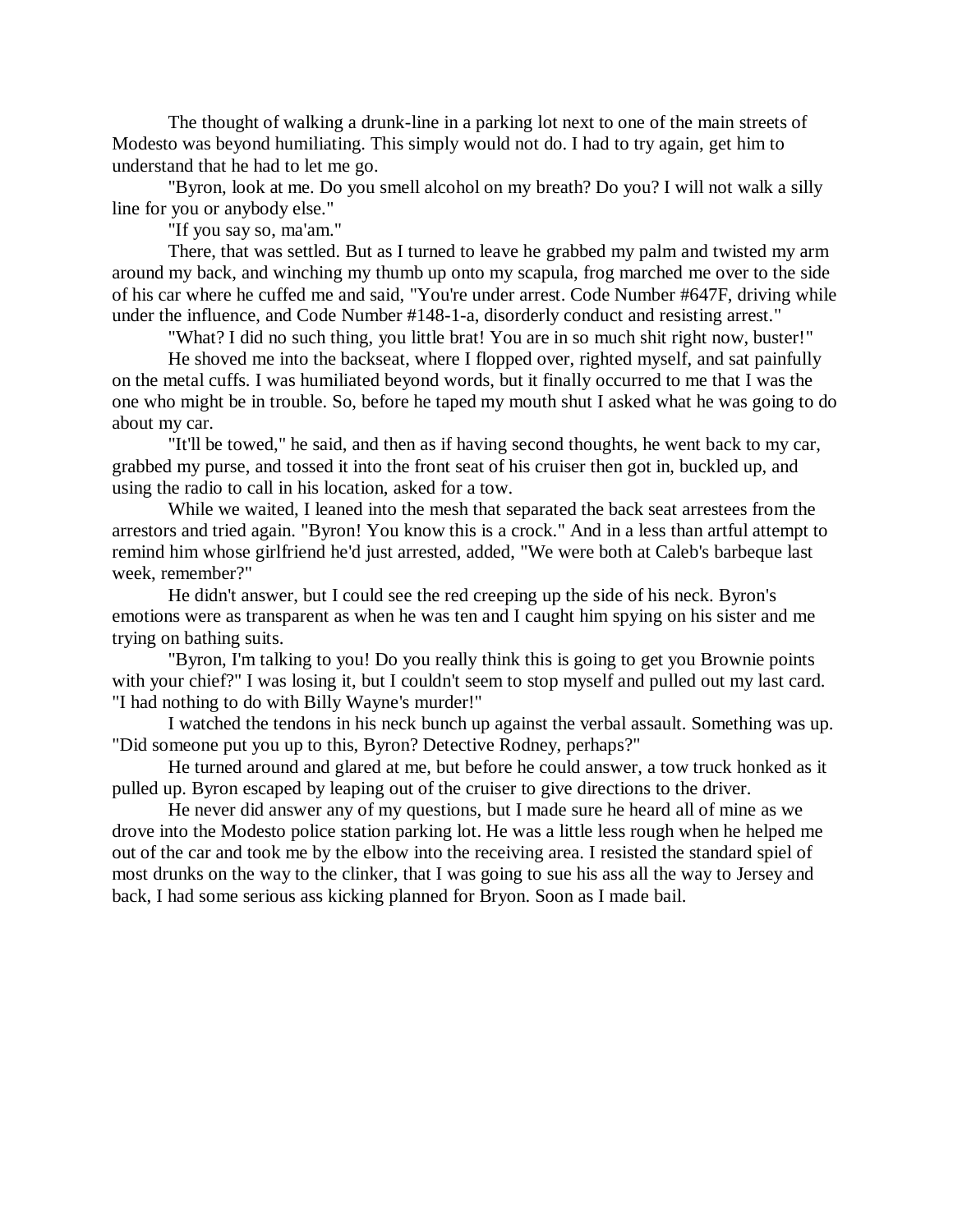The thought of walking a drunk-line in a parking lot next to one of the main streets of Modesto was beyond humiliating. This simply would not do. I had to try again, get him to understand that he had to let me go.

"Byron, look at me. Do you smell alcohol on my breath? Do you? I will not walk a silly line for you or anybody else."

"If you say so, ma'am."

There, that was settled. But as I turned to leave he grabbed my palm and twisted my arm around my back, and winching my thumb up onto my scapula, frog marched me over to the side of his car where he cuffed me and said, "You're under arrest. Code Number #647F, driving while under the influence, and Code Number #148-1-a, disorderly conduct and resisting arrest."

"What? I did no such thing, you little brat! You are in so much shit right now, buster!"

He shoved me into the backseat, where I flopped over, righted myself, and sat painfully on the metal cuffs. I was humiliated beyond words, but it finally occurred to me that I was the one who might be in trouble. So, before he taped my mouth shut I asked what he was going to do about my car.

"It'll be towed," he said, and then as if having second thoughts, he went back to my car, grabbed my purse, and tossed it into the front seat of his cruiser then got in, buckled up, and using the radio to call in his location, asked for a tow.

While we waited, I leaned into the mesh that separated the back seat arrestees from the arrestors and tried again. "Byron! You know this is a crock." And in a less than artful attempt to remind him whose girlfriend he'd just arrested, added, "We were both at Caleb's barbeque last week, remember?"

He didn't answer, but I could see the red creeping up the side of his neck. Byron's emotions were as transparent as when he was ten and I caught him spying on his sister and me trying on bathing suits.

"Byron, I'm talking to you! Do you really think this is going to get you Brownie points with your chief?" I was losing it, but I couldn't seem to stop myself and pulled out my last card. "I had nothing to do with Billy Wayne's murder!"

I watched the tendons in his neck bunch up against the verbal assault. Something was up. "Did someone put you up to this, Byron? Detective Rodney, perhaps?"

He turned around and glared at me, but before he could answer, a tow truck honked as it pulled up. Byron escaped by leaping out of the cruiser to give directions to the driver.

He never did answer any of my questions, but I made sure he heard all of mine as we drove into the Modesto police station parking lot. He was a little less rough when he helped me out of the car and took me by the elbow into the receiving area. I resisted the standard spiel of most drunks on the way to the clinker, that I was going to sue his ass all the way to Jersey and back, I had some serious ass kicking planned for Bryon. Soon as I made bail.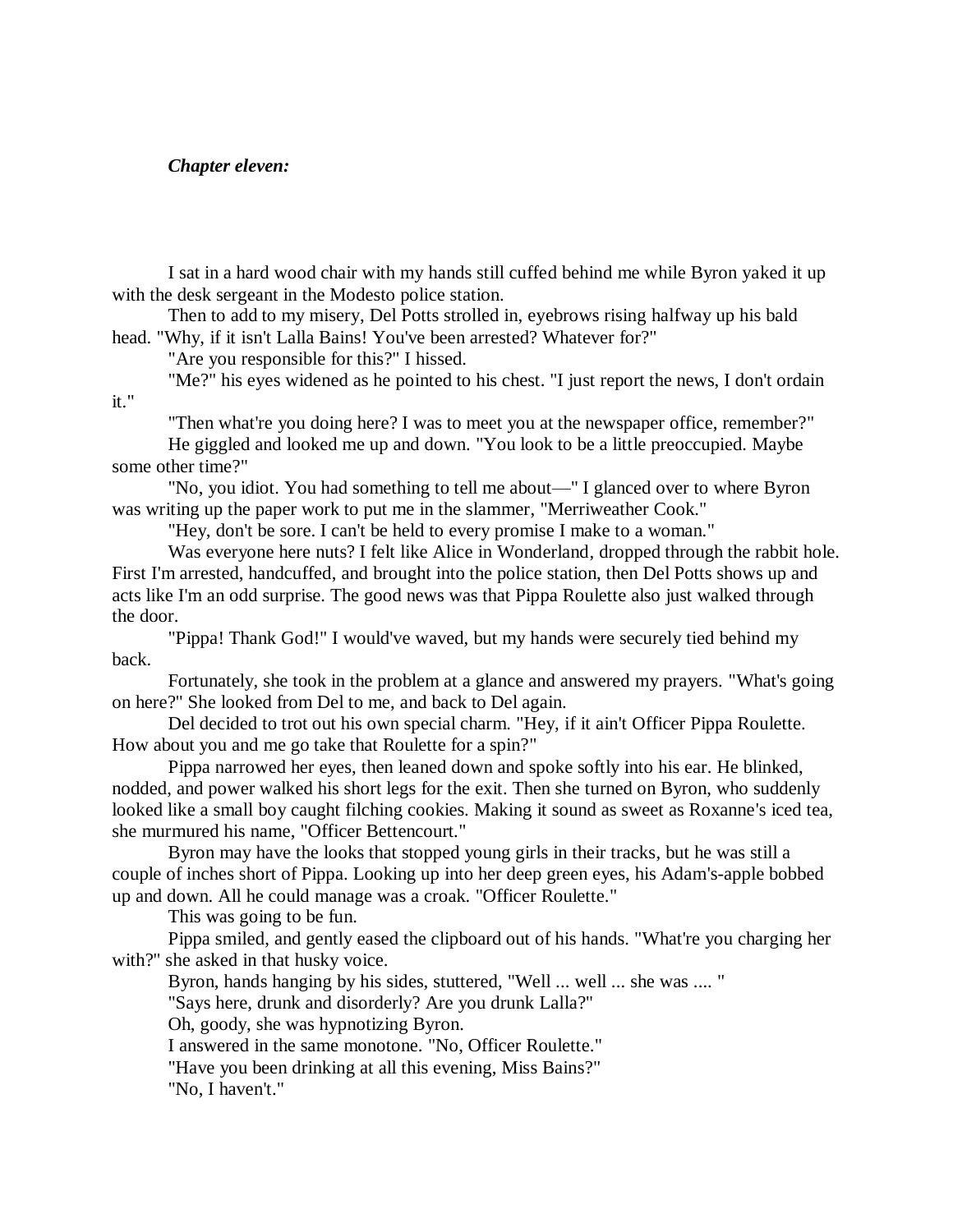# *Chapter eleven:*

I sat in a hard wood chair with my hands still cuffed behind me while Byron yaked it up with the desk sergeant in the Modesto police station.

Then to add to my misery, Del Potts strolled in, eyebrows rising halfway up his bald head. "Why, if it isn't Lalla Bains! You've been arrested? Whatever for?"

"Are you responsible for this?" I hissed.

"Me?" his eyes widened as he pointed to his chest. "I just report the news, I don't ordain it."

"Then what're you doing here? I was to meet you at the newspaper office, remember?"

He giggled and looked me up and down. "You look to be a little preoccupied. Maybe some other time?"

"No, you idiot. You had something to tell me about—" I glanced over to where Byron was writing up the paper work to put me in the slammer, "Merriweather Cook."

"Hey, don't be sore. I can't be held to every promise I make to a woman."

Was everyone here nuts? I felt like Alice in Wonderland, dropped through the rabbit hole. First I'm arrested, handcuffed, and brought into the police station, then Del Potts shows up and acts like I'm an odd surprise. The good news was that Pippa Roulette also just walked through the door.

"Pippa! Thank God!" I would've waved, but my hands were securely tied behind my back.

Fortunately, she took in the problem at a glance and answered my prayers. "What's going on here?" She looked from Del to me, and back to Del again.

Del decided to trot out his own special charm. "Hey, if it ain't Officer Pippa Roulette. How about you and me go take that Roulette for a spin?"

Pippa narrowed her eyes, then leaned down and spoke softly into his ear. He blinked, nodded, and power walked his short legs for the exit. Then she turned on Byron, who suddenly looked like a small boy caught filching cookies. Making it sound as sweet as Roxanne's iced tea, she murmured his name, "Officer Bettencourt."

Byron may have the looks that stopped young girls in their tracks, but he was still a couple of inches short of Pippa. Looking up into her deep green eyes, his Adam's-apple bobbed up and down. All he could manage was a croak. "Officer Roulette."

This was going to be fun.

Pippa smiled, and gently eased the clipboard out of his hands. "What're you charging her with?" she asked in that husky voice.

Byron, hands hanging by his sides, stuttered, "Well ... well ... she was .... "

"Says here, drunk and disorderly? Are you drunk Lalla?"

Oh, goody, she was hypnotizing Byron.

I answered in the same monotone. "No, Officer Roulette."

"Have you been drinking at all this evening, Miss Bains?"

"No, I haven't."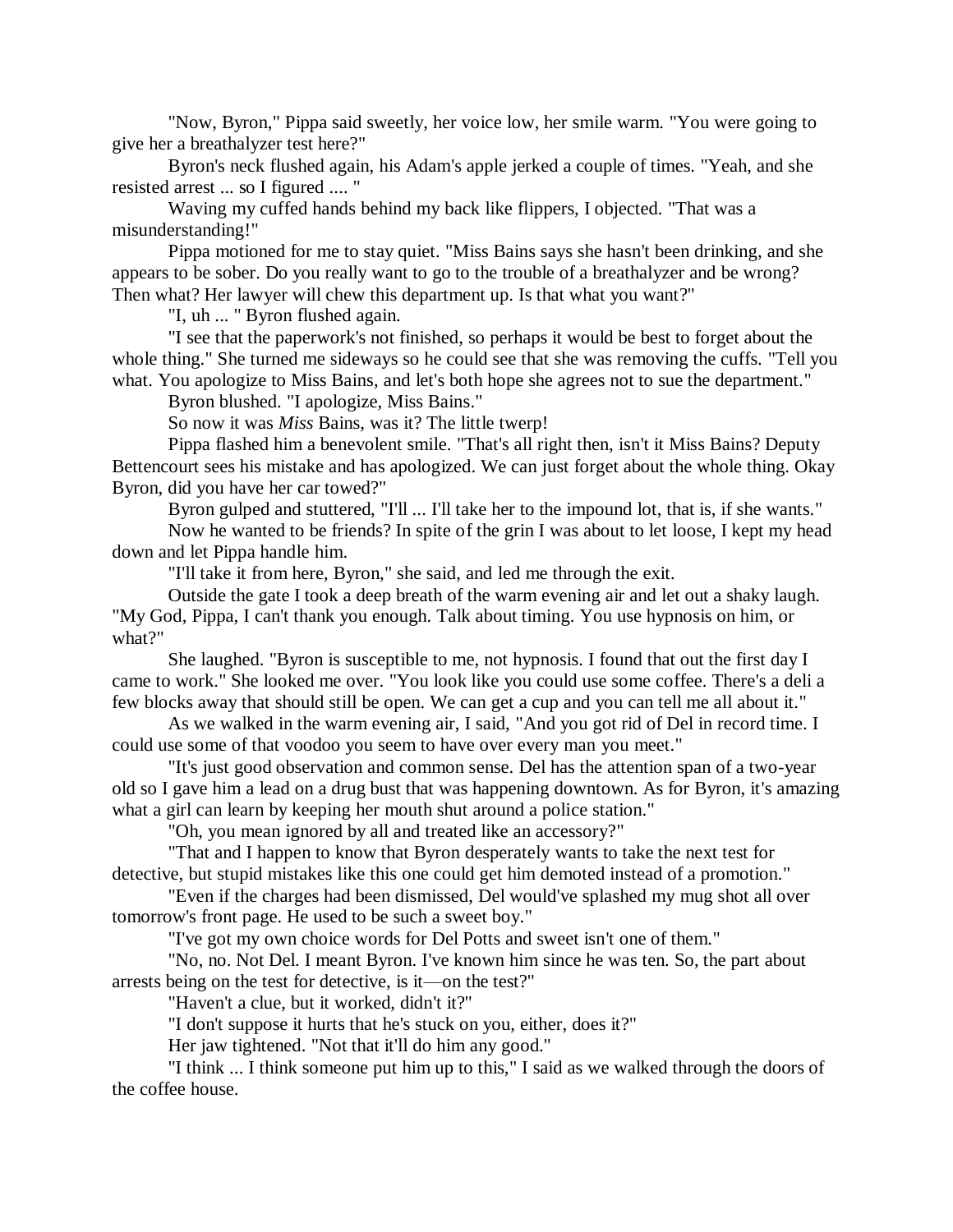"Now, Byron," Pippa said sweetly, her voice low, her smile warm. "You were going to give her a breathalyzer test here?"

Byron's neck flushed again, his Adam's apple jerked a couple of times. "Yeah, and she resisted arrest ... so I figured .... "

Waving my cuffed hands behind my back like flippers, I objected. "That was a misunderstanding!"

Pippa motioned for me to stay quiet. "Miss Bains says she hasn't been drinking, and she appears to be sober. Do you really want to go to the trouble of a breathalyzer and be wrong? Then what? Her lawyer will chew this department up. Is that what you want?"

"I, uh ... " Byron flushed again.

"I see that the paperwork's not finished, so perhaps it would be best to forget about the whole thing." She turned me sideways so he could see that she was removing the cuffs. "Tell you what. You apologize to Miss Bains, and let's both hope she agrees not to sue the department."

Byron blushed. "I apologize, Miss Bains."

So now it was *Miss* Bains, was it? The little twerp!

Pippa flashed him a benevolent smile. "That's all right then, isn't it Miss Bains? Deputy Bettencourt sees his mistake and has apologized. We can just forget about the whole thing. Okay Byron, did you have her car towed?"

Byron gulped and stuttered, "I'll ... I'll take her to the impound lot, that is, if she wants."

Now he wanted to be friends? In spite of the grin I was about to let loose, I kept my head down and let Pippa handle him.

"I'll take it from here, Byron," she said, and led me through the exit.

Outside the gate I took a deep breath of the warm evening air and let out a shaky laugh. "My God, Pippa, I can't thank you enough. Talk about timing. You use hypnosis on him, or what?"

She laughed. "Byron is susceptible to me, not hypnosis. I found that out the first day I came to work." She looked me over. "You look like you could use some coffee. There's a deli a few blocks away that should still be open. We can get a cup and you can tell me all about it."

As we walked in the warm evening air, I said, "And you got rid of Del in record time. I could use some of that voodoo you seem to have over every man you meet."

"It's just good observation and common sense. Del has the attention span of a two-year old so I gave him a lead on a drug bust that was happening downtown. As for Byron, it's amazing what a girl can learn by keeping her mouth shut around a police station."

"Oh, you mean ignored by all and treated like an accessory?"

"That and I happen to know that Byron desperately wants to take the next test for detective, but stupid mistakes like this one could get him demoted instead of a promotion."

"Even if the charges had been dismissed, Del would've splashed my mug shot all over tomorrow's front page. He used to be such a sweet boy."

"I've got my own choice words for Del Potts and sweet isn't one of them."

"No, no. Not Del. I meant Byron. I've known him since he was ten. So, the part about arrests being on the test for detective, is it—on the test?"

"Haven't a clue, but it worked, didn't it?"

"I don't suppose it hurts that he's stuck on you, either, does it?"

Her jaw tightened. "Not that it'll do him any good."

"I think ... I think someone put him up to this," I said as we walked through the doors of the coffee house.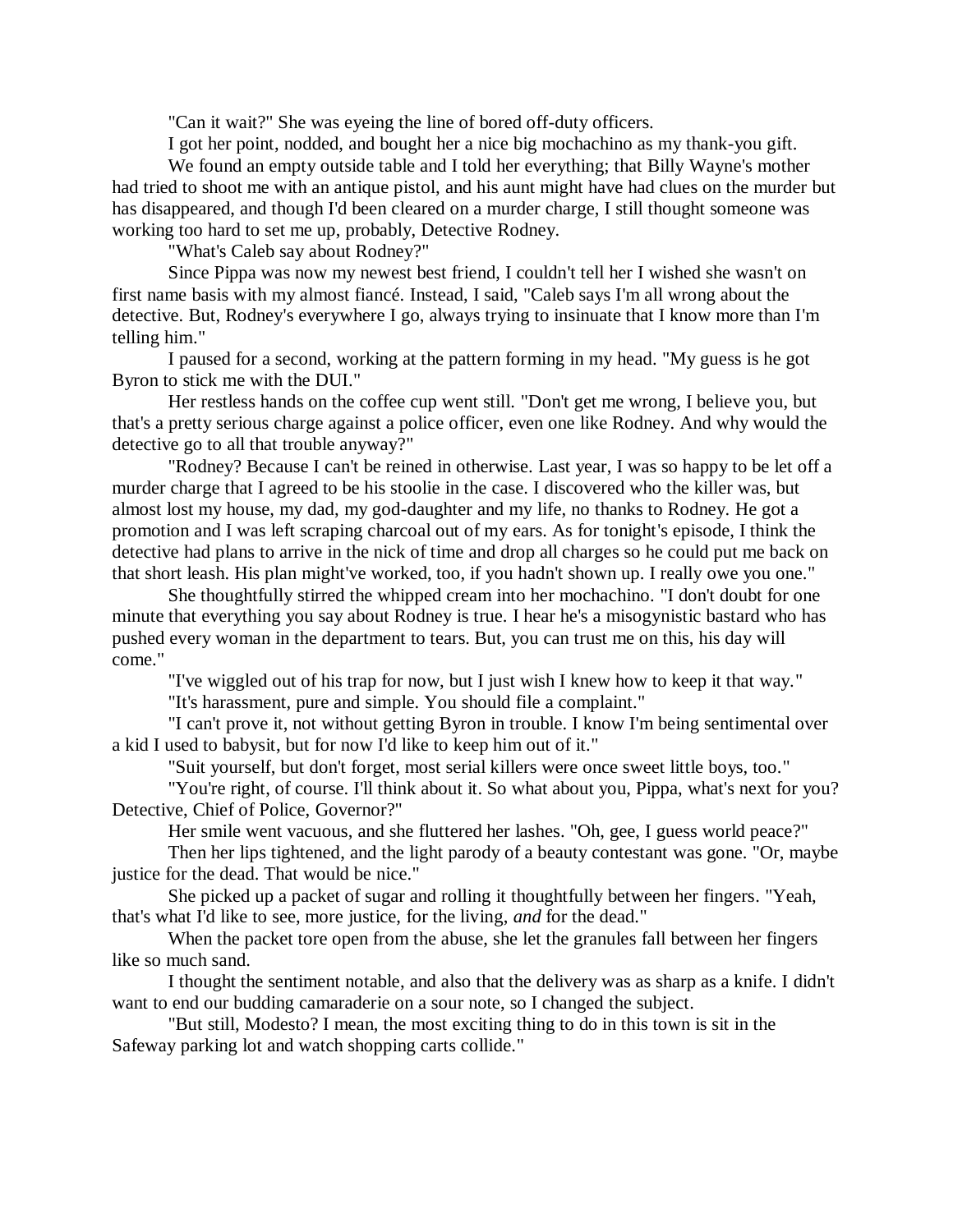"Can it wait?" She was eyeing the line of bored off-duty officers.

I got her point, nodded, and bought her a nice big mochachino as my thank-you gift.

We found an empty outside table and I told her everything; that Billy Wayne's mother had tried to shoot me with an antique pistol, and his aunt might have had clues on the murder but has disappeared, and though I'd been cleared on a murder charge, I still thought someone was working too hard to set me up, probably, Detective Rodney.

"What's Caleb say about Rodney?"

Since Pippa was now my newest best friend, I couldn't tell her I wished she wasn't on first name basis with my almost fiancé. Instead, I said, "Caleb says I'm all wrong about the detective. But, Rodney's everywhere I go, always trying to insinuate that I know more than I'm telling him."

I paused for a second, working at the pattern forming in my head. "My guess is he got Byron to stick me with the DUI."

Her restless hands on the coffee cup went still. "Don't get me wrong, I believe you, but that's a pretty serious charge against a police officer, even one like Rodney. And why would the detective go to all that trouble anyway?"

"Rodney? Because I can't be reined in otherwise. Last year, I was so happy to be let off a murder charge that I agreed to be his stoolie in the case. I discovered who the killer was, but almost lost my house, my dad, my god-daughter and my life, no thanks to Rodney. He got a promotion and I was left scraping charcoal out of my ears. As for tonight's episode, I think the detective had plans to arrive in the nick of time and drop all charges so he could put me back on that short leash. His plan might've worked, too, if you hadn't shown up. I really owe you one."

She thoughtfully stirred the whipped cream into her mochachino. "I don't doubt for one minute that everything you say about Rodney is true. I hear he's a misogynistic bastard who has pushed every woman in the department to tears. But, you can trust me on this, his day will come."

"I've wiggled out of his trap for now, but I just wish I knew how to keep it that way."

"It's harassment, pure and simple. You should file a complaint."

"I can't prove it, not without getting Byron in trouble. I know I'm being sentimental over a kid I used to babysit, but for now I'd like to keep him out of it."

"Suit yourself, but don't forget, most serial killers were once sweet little boys, too."

"You're right, of course. I'll think about it. So what about you, Pippa, what's next for you? Detective, Chief of Police, Governor?"

Her smile went vacuous, and she fluttered her lashes. "Oh, gee, I guess world peace?"

Then her lips tightened, and the light parody of a beauty contestant was gone. "Or, maybe justice for the dead. That would be nice."

She picked up a packet of sugar and rolling it thoughtfully between her fingers. "Yeah, that's what I'd like to see, more justice, for the living, *and* for the dead."

When the packet tore open from the abuse, she let the granules fall between her fingers like so much sand.

I thought the sentiment notable, and also that the delivery was as sharp as a knife. I didn't want to end our budding camaraderie on a sour note, so I changed the subject.

"But still, Modesto? I mean, the most exciting thing to do in this town is sit in the Safeway parking lot and watch shopping carts collide."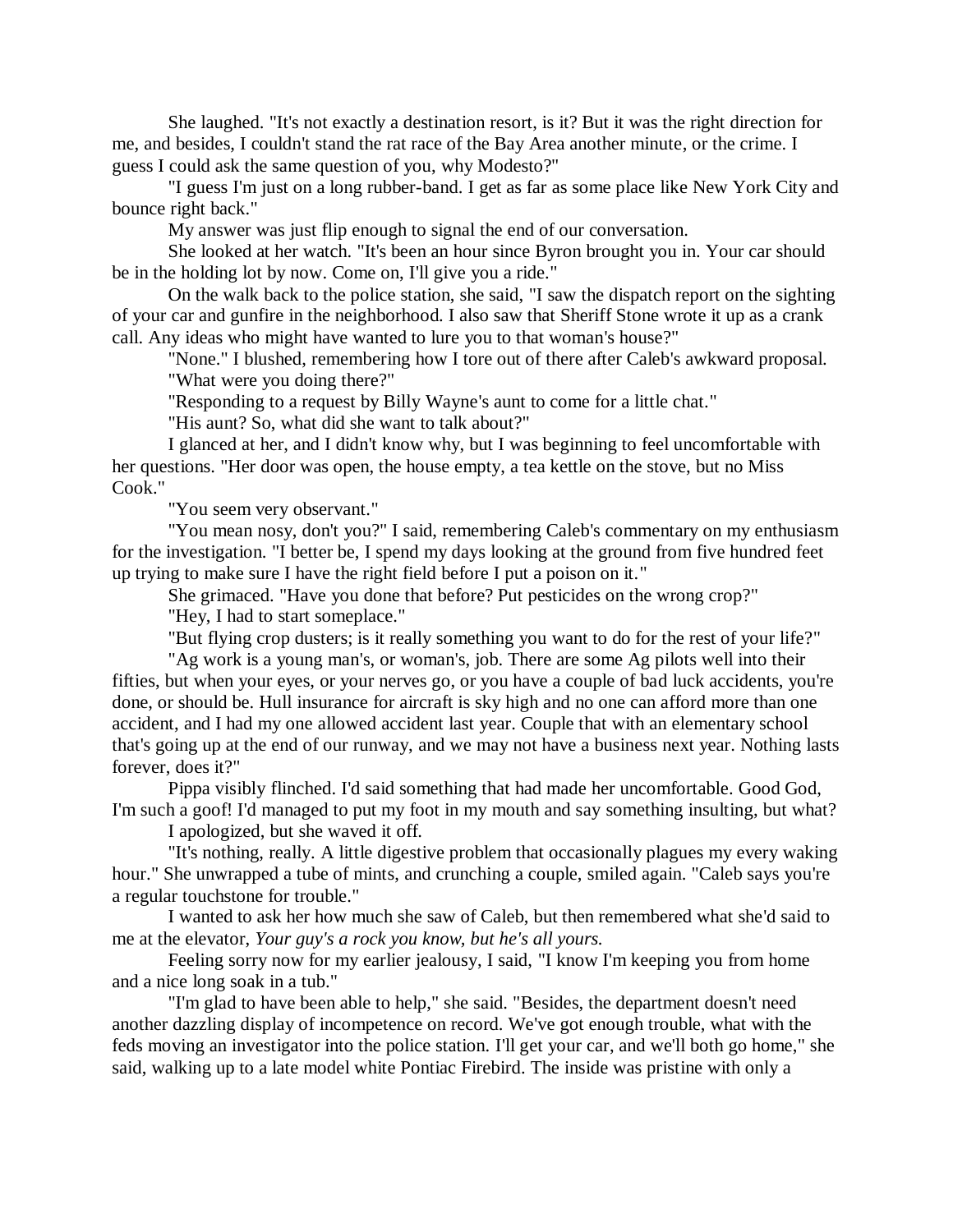She laughed. "It's not exactly a destination resort, is it? But it was the right direction for me, and besides, I couldn't stand the rat race of the Bay Area another minute, or the crime. I guess I could ask the same question of you, why Modesto?"

"I guess I'm just on a long rubber-band. I get as far as some place like New York City and bounce right back."

My answer was just flip enough to signal the end of our conversation.

She looked at her watch. "It's been an hour since Byron brought you in. Your car should be in the holding lot by now. Come on, I'll give you a ride."

On the walk back to the police station, she said, "I saw the dispatch report on the sighting of your car and gunfire in the neighborhood. I also saw that Sheriff Stone wrote it up as a crank call. Any ideas who might have wanted to lure you to that woman's house?"

"None." I blushed, remembering how I tore out of there after Caleb's awkward proposal. "What were you doing there?"

"Responding to a request by Billy Wayne's aunt to come for a little chat."

"His aunt? So, what did she want to talk about?"

I glanced at her, and I didn't know why, but I was beginning to feel uncomfortable with her questions. "Her door was open, the house empty, a tea kettle on the stove, but no Miss Cook."

"You seem very observant."

"You mean nosy, don't you?" I said, remembering Caleb's commentary on my enthusiasm for the investigation. "I better be, I spend my days looking at the ground from five hundred feet up trying to make sure I have the right field before I put a poison on it."

She grimaced. "Have you done that before? Put pesticides on the wrong crop?"

"Hey, I had to start someplace."

"But flying crop dusters; is it really something you want to do for the rest of your life?"

"Ag work is a young man's, or woman's, job. There are some Ag pilots well into their fifties, but when your eyes, or your nerves go, or you have a couple of bad luck accidents, you're done, or should be. Hull insurance for aircraft is sky high and no one can afford more than one accident, and I had my one allowed accident last year. Couple that with an elementary school that's going up at the end of our runway, and we may not have a business next year. Nothing lasts forever, does it?"

Pippa visibly flinched. I'd said something that had made her uncomfortable. Good God, I'm such a goof! I'd managed to put my foot in my mouth and say something insulting, but what?

I apologized, but she waved it off.

"It's nothing, really. A little digestive problem that occasionally plagues my every waking hour." She unwrapped a tube of mints, and crunching a couple, smiled again. "Caleb says you're a regular touchstone for trouble."

I wanted to ask her how much she saw of Caleb, but then remembered what she'd said to me at the elevator, *Your guy's a rock you know, but he's all yours.*

Feeling sorry now for my earlier jealousy, I said, "I know I'm keeping you from home and a nice long soak in a tub."

"I'm glad to have been able to help," she said. "Besides, the department doesn't need another dazzling display of incompetence on record. We've got enough trouble, what with the feds moving an investigator into the police station. I'll get your car, and we'll both go home," she said, walking up to a late model white Pontiac Firebird. The inside was pristine with only a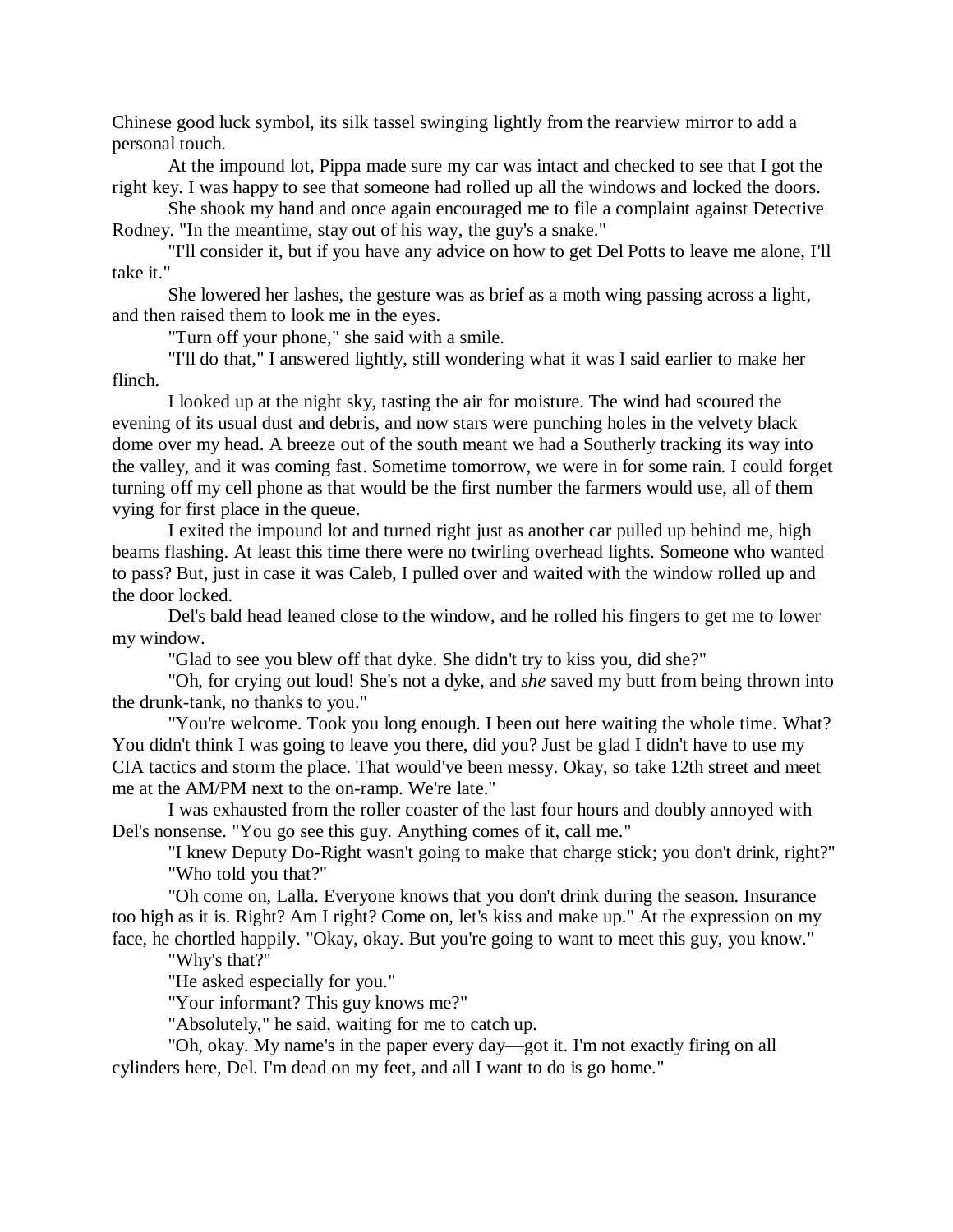Chinese good luck symbol, its silk tassel swinging lightly from the rearview mirror to add a personal touch.

At the impound lot, Pippa made sure my car was intact and checked to see that I got the right key. I was happy to see that someone had rolled up all the windows and locked the doors.

She shook my hand and once again encouraged me to file a complaint against Detective Rodney. "In the meantime, stay out of his way, the guy's a snake."

"I'll consider it, but if you have any advice on how to get Del Potts to leave me alone, I'll take it."

She lowered her lashes, the gesture was as brief as a moth wing passing across a light, and then raised them to look me in the eyes.

"Turn off your phone," she said with a smile.

"I'll do that," I answered lightly, still wondering what it was I said earlier to make her flinch.

I looked up at the night sky, tasting the air for moisture. The wind had scoured the evening of its usual dust and debris, and now stars were punching holes in the velvety black dome over my head. A breeze out of the south meant we had a Southerly tracking its way into the valley, and it was coming fast. Sometime tomorrow, we were in for some rain. I could forget turning off my cell phone as that would be the first number the farmers would use, all of them vying for first place in the queue.

I exited the impound lot and turned right just as another car pulled up behind me, high beams flashing. At least this time there were no twirling overhead lights. Someone who wanted to pass? But, just in case it was Caleb, I pulled over and waited with the window rolled up and the door locked.

Del's bald head leaned close to the window, and he rolled his fingers to get me to lower my window.

"Glad to see you blew off that dyke. She didn't try to kiss you, did she?"

"Oh, for crying out loud! She's not a dyke, and *she* saved my butt from being thrown into the drunk-tank, no thanks to you."

"You're welcome. Took you long enough. I been out here waiting the whole time. What? You didn't think I was going to leave you there, did you? Just be glad I didn't have to use my CIA tactics and storm the place. That would've been messy. Okay, so take 12th street and meet me at the AM/PM next to the on-ramp. We're late."

I was exhausted from the roller coaster of the last four hours and doubly annoyed with Del's nonsense. "You go see this guy. Anything comes of it, call me."

"I knew Deputy Do-Right wasn't going to make that charge stick; you don't drink, right?" "Who told you that?"

"Oh come on, Lalla. Everyone knows that you don't drink during the season. Insurance too high as it is. Right? Am I right? Come on, let's kiss and make up." At the expression on my face, he chortled happily. "Okay, okay. But you're going to want to meet this guy, you know."

"Why's that?"

"He asked especially for you."

"Your informant? This guy knows me?"

"Absolutely," he said, waiting for me to catch up.

"Oh, okay. My name's in the paper every day—got it. I'm not exactly firing on all cylinders here, Del. I'm dead on my feet, and all I want to do is go home."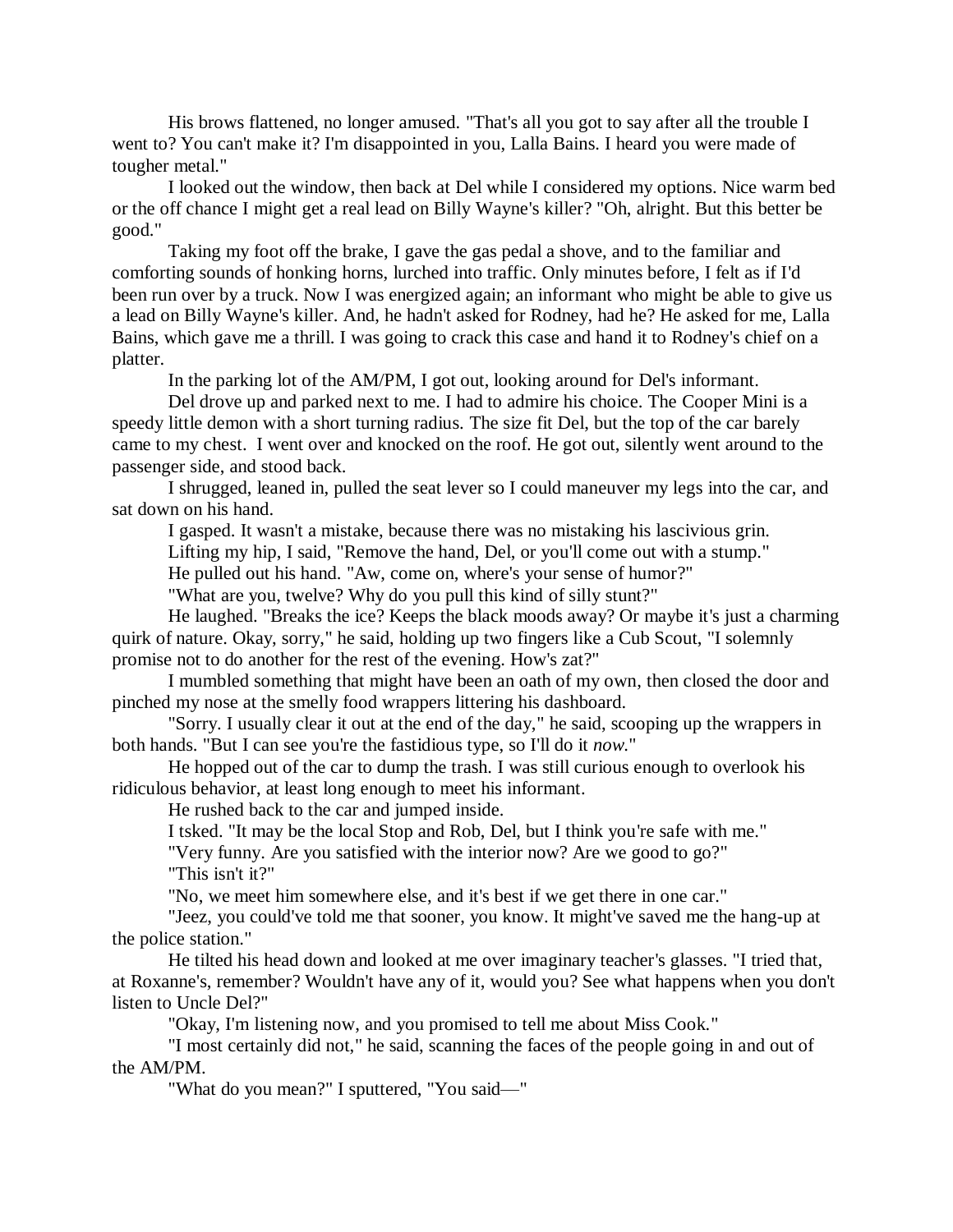His brows flattened, no longer amused. "That's all you got to say after all the trouble I went to? You can't make it? I'm disappointed in you, Lalla Bains. I heard you were made of tougher metal."

I looked out the window, then back at Del while I considered my options. Nice warm bed or the off chance I might get a real lead on Billy Wayne's killer? "Oh, alright. But this better be good."

Taking my foot off the brake, I gave the gas pedal a shove, and to the familiar and comforting sounds of honking horns, lurched into traffic. Only minutes before, I felt as if I'd been run over by a truck. Now I was energized again; an informant who might be able to give us a lead on Billy Wayne's killer. And, he hadn't asked for Rodney, had he? He asked for me, Lalla Bains, which gave me a thrill. I was going to crack this case and hand it to Rodney's chief on a platter.

In the parking lot of the AM/PM, I got out, looking around for Del's informant.

Del drove up and parked next to me. I had to admire his choice. The Cooper Mini is a speedy little demon with a short turning radius. The size fit Del, but the top of the car barely came to my chest. I went over and knocked on the roof. He got out, silently went around to the passenger side, and stood back.

I shrugged, leaned in, pulled the seat lever so I could maneuver my legs into the car, and sat down on his hand.

I gasped. It wasn't a mistake, because there was no mistaking his lascivious grin.

Lifting my hip, I said, "Remove the hand, Del, or you'll come out with a stump."

He pulled out his hand. "Aw, come on, where's your sense of humor?"

"What are you, twelve? Why do you pull this kind of silly stunt?"

He laughed. "Breaks the ice? Keeps the black moods away? Or maybe it's just a charming quirk of nature. Okay, sorry," he said, holding up two fingers like a Cub Scout, "I solemnly promise not to do another for the rest of the evening. How's zat?"

I mumbled something that might have been an oath of my own, then closed the door and pinched my nose at the smelly food wrappers littering his dashboard.

"Sorry. I usually clear it out at the end of the day," he said, scooping up the wrappers in both hands. "But I can see you're the fastidious type, so I'll do it *now*."

He hopped out of the car to dump the trash. I was still curious enough to overlook his ridiculous behavior, at least long enough to meet his informant.

He rushed back to the car and jumped inside.

I tsked. "It may be the local Stop and Rob, Del, but I think you're safe with me."

"Very funny. Are you satisfied with the interior now? Are we good to go?" "This isn't it?"

"No, we meet him somewhere else, and it's best if we get there in one car."

"Jeez, you could've told me that sooner, you know. It might've saved me the hang-up at the police station."

He tilted his head down and looked at me over imaginary teacher's glasses. "I tried that, at Roxanne's, remember? Wouldn't have any of it, would you? See what happens when you don't listen to Uncle Del?"

"Okay, I'm listening now, and you promised to tell me about Miss Cook."

"I most certainly did not," he said, scanning the faces of the people going in and out of the AM/PM.

"What do you mean?" I sputtered, "You said—"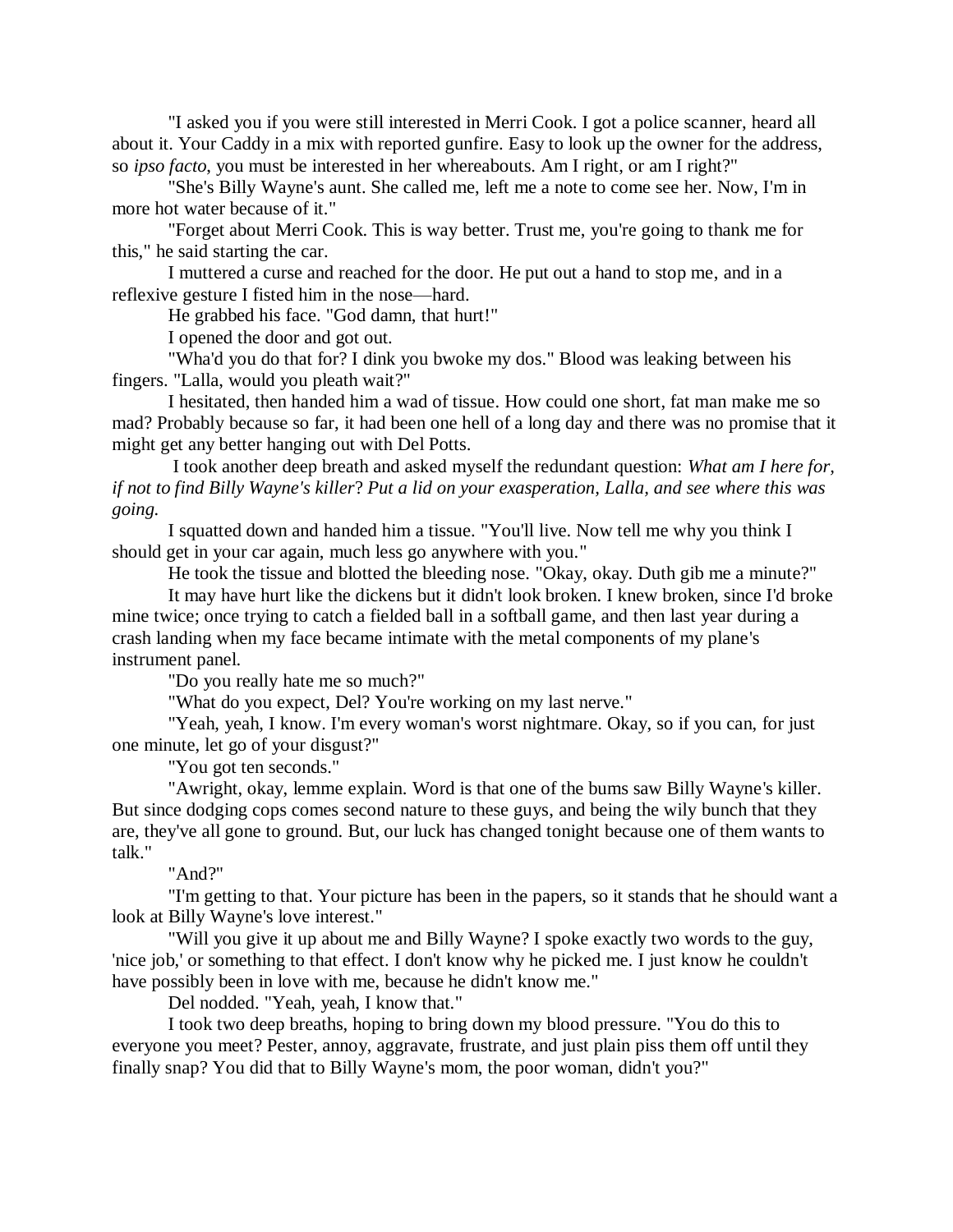"I asked you if you were still interested in Merri Cook. I got a police scanner, heard all about it. Your Caddy in a mix with reported gunfire. Easy to look up the owner for the address, so *ipso facto*, you must be interested in her whereabouts. Am I right, or am I right?"

"She's Billy Wayne's aunt. She called me, left me a note to come see her. Now, I'm in more hot water because of it."

"Forget about Merri Cook. This is way better. Trust me, you're going to thank me for this," he said starting the car.

I muttered a curse and reached for the door. He put out a hand to stop me, and in a reflexive gesture I fisted him in the nose—hard.

He grabbed his face. "God damn, that hurt!"

I opened the door and got out.

"Wha'd you do that for? I dink you bwoke my dos." Blood was leaking between his fingers. "Lalla, would you pleath wait?"

I hesitated, then handed him a wad of tissue. How could one short, fat man make me so mad? Probably because so far, it had been one hell of a long day and there was no promise that it might get any better hanging out with Del Potts.

I took another deep breath and asked myself the redundant question: *What am I here for, if not to find Billy Wayne's killer*? *Put a lid on your exasperation, Lalla, and see where this was going.*

I squatted down and handed him a tissue. "You'll live. Now tell me why you think I should get in your car again, much less go anywhere with you."

He took the tissue and blotted the bleeding nose. "Okay, okay. Duth gib me a minute?"

It may have hurt like the dickens but it didn't look broken. I knew broken, since I'd broke mine twice; once trying to catch a fielded ball in a softball game, and then last year during a crash landing when my face became intimate with the metal components of my plane's instrument panel.

"Do you really hate me so much?"

"What do you expect, Del? You're working on my last nerve."

"Yeah, yeah, I know. I'm every woman's worst nightmare. Okay, so if you can, for just one minute, let go of your disgust?"

"You got ten seconds."

"Awright, okay, lemme explain. Word is that one of the bums saw Billy Wayne's killer. But since dodging cops comes second nature to these guys, and being the wily bunch that they are, they've all gone to ground. But, our luck has changed tonight because one of them wants to talk."

"And?"

"I'm getting to that. Your picture has been in the papers, so it stands that he should want a look at Billy Wayne's love interest."

"Will you give it up about me and Billy Wayne? I spoke exactly two words to the guy, 'nice job,' or something to that effect. I don't know why he picked me. I just know he couldn't have possibly been in love with me, because he didn't know me."

Del nodded. "Yeah, yeah, I know that."

I took two deep breaths, hoping to bring down my blood pressure. "You do this to everyone you meet? Pester, annoy, aggravate, frustrate, and just plain piss them off until they finally snap? You did that to Billy Wayne's mom, the poor woman, didn't you?"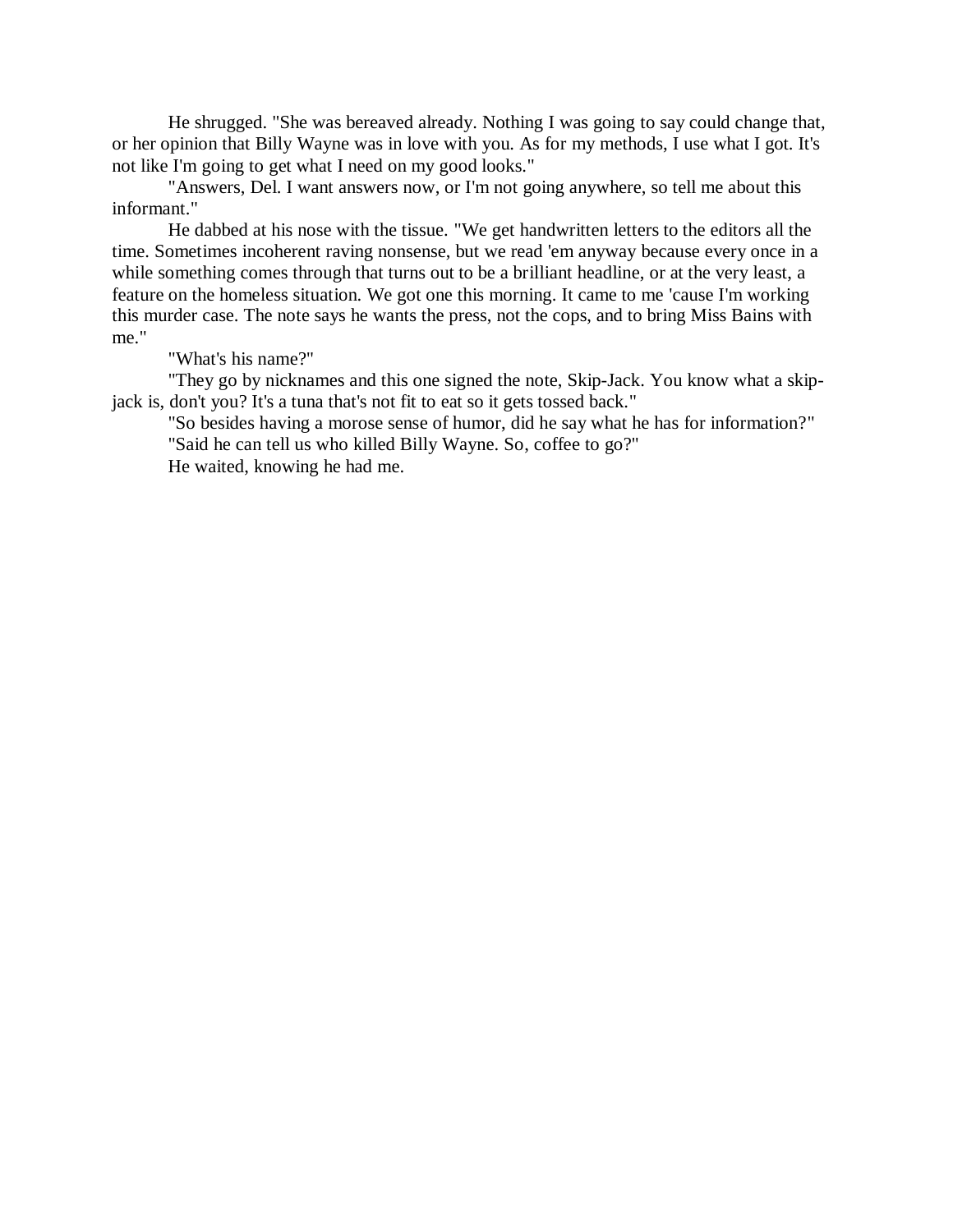He shrugged. "She was bereaved already. Nothing I was going to say could change that, or her opinion that Billy Wayne was in love with you. As for my methods, I use what I got. It's not like I'm going to get what I need on my good looks."

"Answers, Del. I want answers now, or I'm not going anywhere, so tell me about this informant."

He dabbed at his nose with the tissue. "We get handwritten letters to the editors all the time. Sometimes incoherent raving nonsense, but we read 'em anyway because every once in a while something comes through that turns out to be a brilliant headline, or at the very least, a feature on the homeless situation. We got one this morning. It came to me 'cause I'm working this murder case. The note says he wants the press, not the cops, and to bring Miss Bains with me."

"What's his name?"

"They go by nicknames and this one signed the note, Skip-Jack. You know what a skipjack is, don't you? It's a tuna that's not fit to eat so it gets tossed back."

"So besides having a morose sense of humor, did he say what he has for information?" "Said he can tell us who killed Billy Wayne. So, coffee to go?"

He waited, knowing he had me.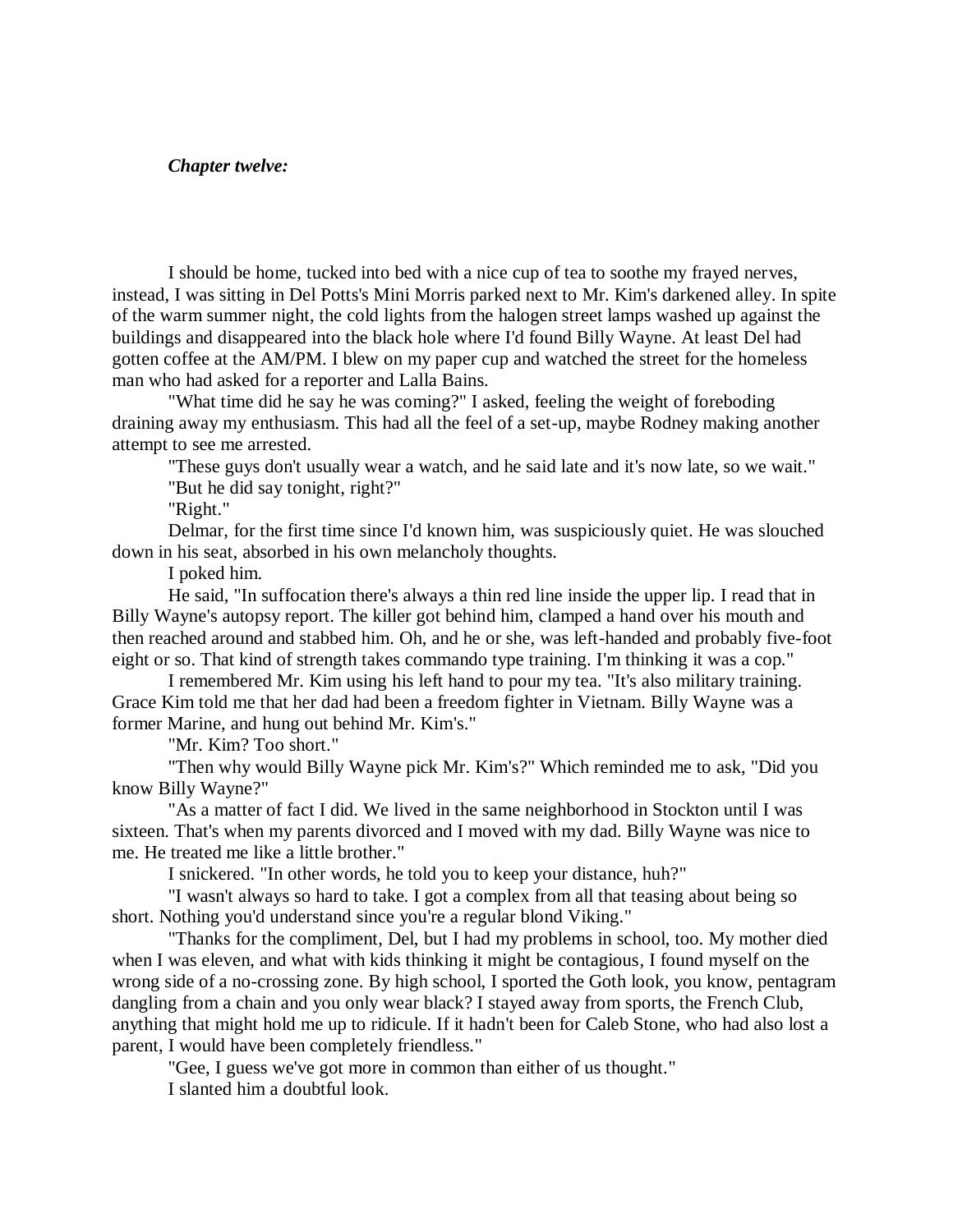### *Chapter twelve:*

I should be home, tucked into bed with a nice cup of tea to soothe my frayed nerves, instead, I was sitting in Del Potts's Mini Morris parked next to Mr. Kim's darkened alley. In spite of the warm summer night, the cold lights from the halogen street lamps washed up against the buildings and disappeared into the black hole where I'd found Billy Wayne. At least Del had gotten coffee at the AM/PM. I blew on my paper cup and watched the street for the homeless man who had asked for a reporter and Lalla Bains.

"What time did he say he was coming?" I asked, feeling the weight of foreboding draining away my enthusiasm. This had all the feel of a set-up, maybe Rodney making another attempt to see me arrested.

"These guys don't usually wear a watch, and he said late and it's now late, so we wait." "But he did say tonight, right?"

"Right."

Delmar, for the first time since I'd known him, was suspiciously quiet. He was slouched down in his seat, absorbed in his own melancholy thoughts.

I poked him.

He said, "In suffocation there's always a thin red line inside the upper lip. I read that in Billy Wayne's autopsy report. The killer got behind him, clamped a hand over his mouth and then reached around and stabbed him. Oh, and he or she, was left-handed and probably five-foot eight or so. That kind of strength takes commando type training. I'm thinking it was a cop."

I remembered Mr. Kim using his left hand to pour my tea. "It's also military training. Grace Kim told me that her dad had been a freedom fighter in Vietnam. Billy Wayne was a former Marine, and hung out behind Mr. Kim's."

"Mr. Kim? Too short."

"Then why would Billy Wayne pick Mr. Kim's?" Which reminded me to ask, "Did you know Billy Wayne?"

"As a matter of fact I did. We lived in the same neighborhood in Stockton until I was sixteen. That's when my parents divorced and I moved with my dad. Billy Wayne was nice to me. He treated me like a little brother."

I snickered. "In other words, he told you to keep your distance, huh?"

"I wasn't always so hard to take. I got a complex from all that teasing about being so short. Nothing you'd understand since you're a regular blond Viking."

"Thanks for the compliment, Del, but I had my problems in school, too. My mother died when I was eleven, and what with kids thinking it might be contagious, I found myself on the wrong side of a no-crossing zone. By high school, I sported the Goth look, you know, pentagram dangling from a chain and you only wear black? I stayed away from sports, the French Club, anything that might hold me up to ridicule. If it hadn't been for Caleb Stone, who had also lost a parent, I would have been completely friendless."

"Gee, I guess we've got more in common than either of us thought."

I slanted him a doubtful look.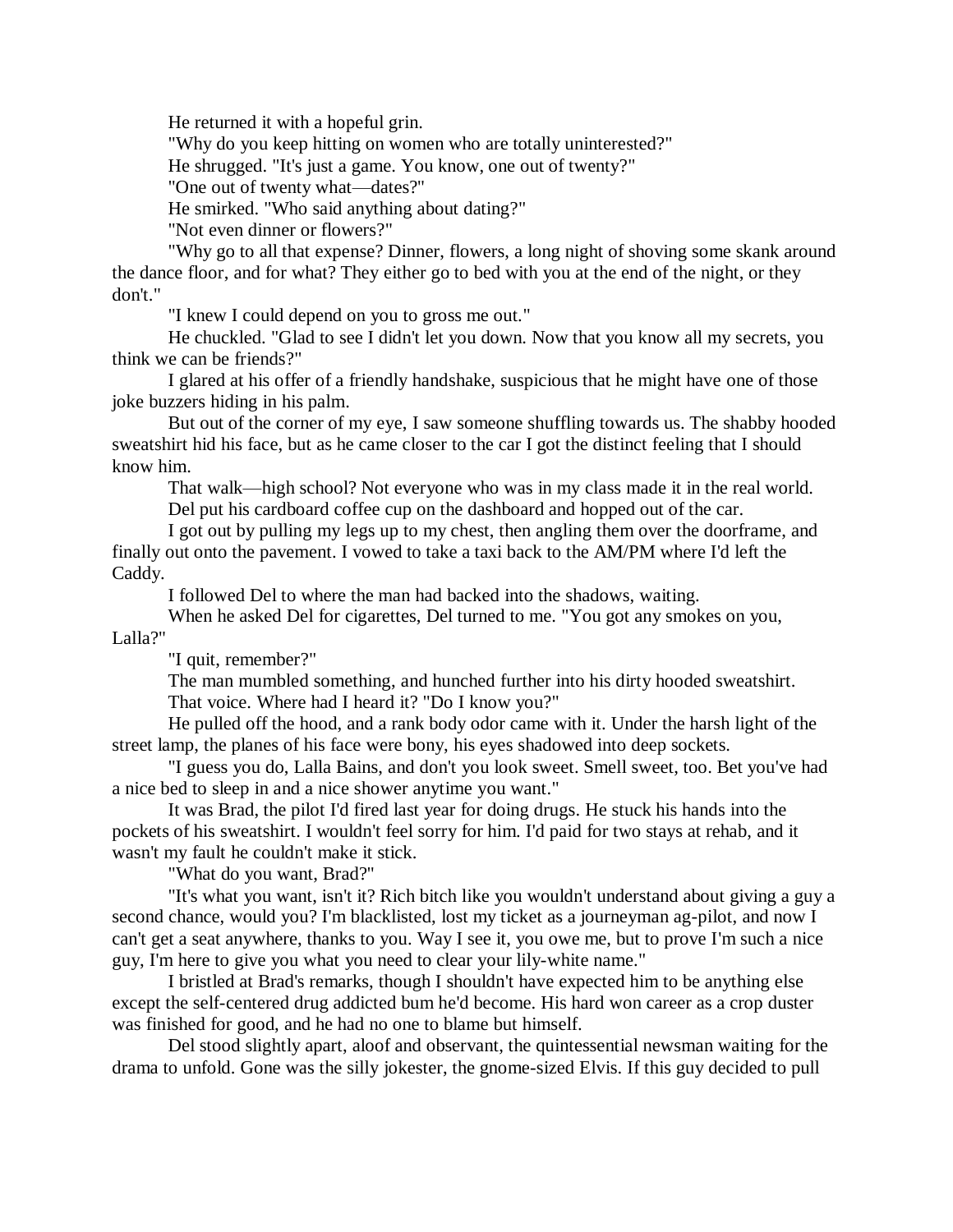He returned it with a hopeful grin.

"Why do you keep hitting on women who are totally uninterested?"

He shrugged. "It's just a game. You know, one out of twenty?"

"One out of twenty what—dates?"

He smirked. "Who said anything about dating?"

"Not even dinner or flowers?"

"Why go to all that expense? Dinner, flowers, a long night of shoving some skank around the dance floor, and for what? They either go to bed with you at the end of the night, or they don't."

"I knew I could depend on you to gross me out."

He chuckled. "Glad to see I didn't let you down. Now that you know all my secrets, you think we can be friends?"

I glared at his offer of a friendly handshake, suspicious that he might have one of those joke buzzers hiding in his palm.

But out of the corner of my eye, I saw someone shuffling towards us. The shabby hooded sweatshirt hid his face, but as he came closer to the car I got the distinct feeling that I should know him.

That walk—high school? Not everyone who was in my class made it in the real world. Del put his cardboard coffee cup on the dashboard and hopped out of the car.

I got out by pulling my legs up to my chest, then angling them over the doorframe, and finally out onto the pavement. I vowed to take a taxi back to the AM/PM where I'd left the Caddy.

I followed Del to where the man had backed into the shadows, waiting.

When he asked Del for cigarettes, Del turned to me. "You got any smokes on you, Lalla?"

"I quit, remember?"

The man mumbled something, and hunched further into his dirty hooded sweatshirt. That voice. Where had I heard it? "Do I know you?"

He pulled off the hood, and a rank body odor came with it. Under the harsh light of the street lamp, the planes of his face were bony, his eyes shadowed into deep sockets.

"I guess you do, Lalla Bains, and don't you look sweet. Smell sweet, too. Bet you've had a nice bed to sleep in and a nice shower anytime you want."

It was Brad, the pilot I'd fired last year for doing drugs. He stuck his hands into the pockets of his sweatshirt. I wouldn't feel sorry for him. I'd paid for two stays at rehab, and it wasn't my fault he couldn't make it stick.

"What do you want, Brad?"

"It's what you want, isn't it? Rich bitch like you wouldn't understand about giving a guy a second chance, would you? I'm blacklisted, lost my ticket as a journeyman ag-pilot, and now I can't get a seat anywhere, thanks to you. Way I see it, you owe me, but to prove I'm such a nice guy, I'm here to give you what you need to clear your lily-white name."

I bristled at Brad's remarks, though I shouldn't have expected him to be anything else except the self-centered drug addicted bum he'd become. His hard won career as a crop duster was finished for good, and he had no one to blame but himself.

Del stood slightly apart, aloof and observant, the quintessential newsman waiting for the drama to unfold. Gone was the silly jokester, the gnome-sized Elvis. If this guy decided to pull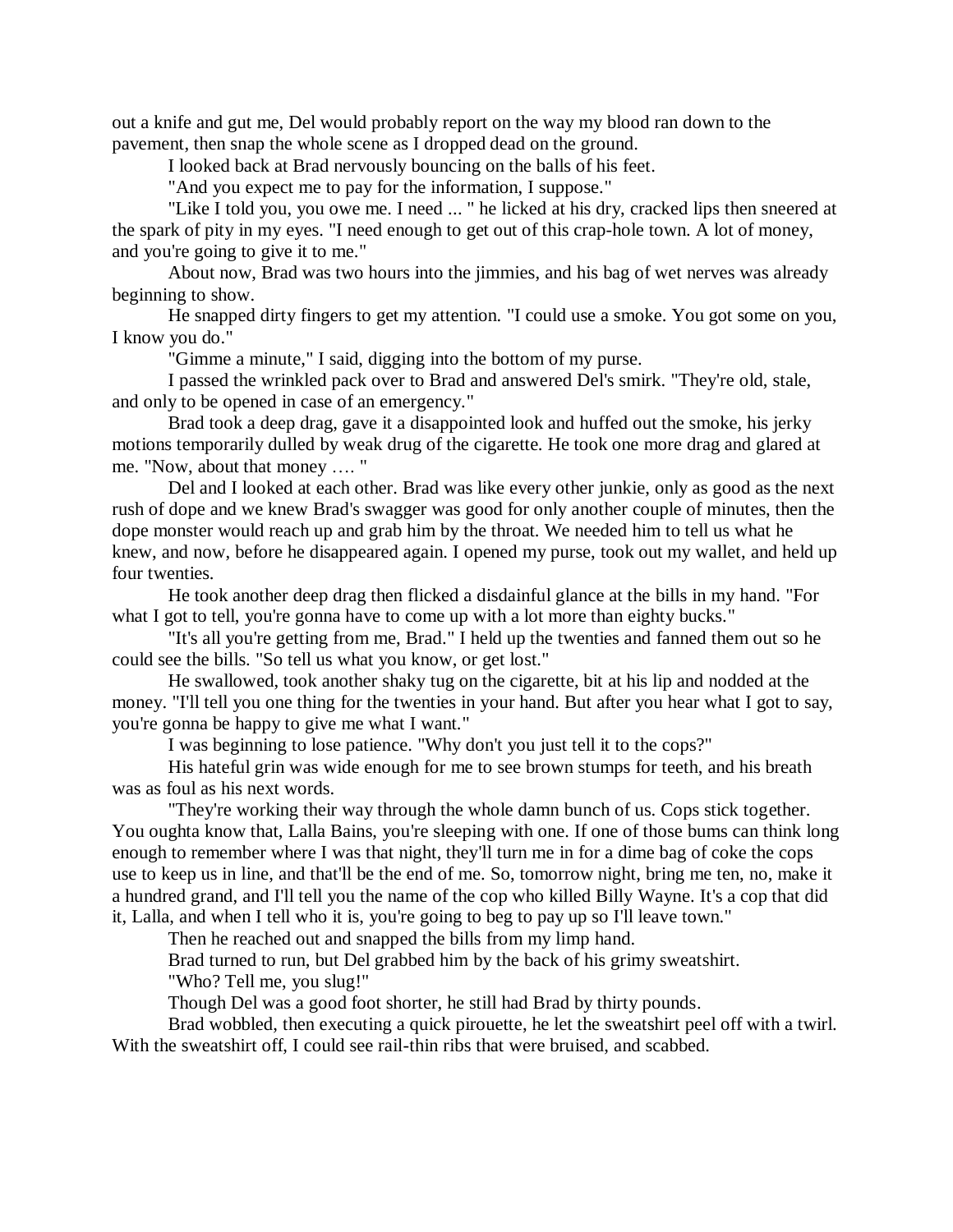out a knife and gut me, Del would probably report on the way my blood ran down to the pavement, then snap the whole scene as I dropped dead on the ground.

I looked back at Brad nervously bouncing on the balls of his feet.

"And you expect me to pay for the information, I suppose."

"Like I told you, you owe me. I need ... " he licked at his dry, cracked lips then sneered at the spark of pity in my eyes. "I need enough to get out of this crap-hole town. A lot of money, and you're going to give it to me."

About now, Brad was two hours into the jimmies, and his bag of wet nerves was already beginning to show.

He snapped dirty fingers to get my attention. "I could use a smoke. You got some on you, I know you do."

"Gimme a minute," I said, digging into the bottom of my purse.

I passed the wrinkled pack over to Brad and answered Del's smirk. "They're old, stale, and only to be opened in case of an emergency."

Brad took a deep drag, gave it a disappointed look and huffed out the smoke, his jerky motions temporarily dulled by weak drug of the cigarette. He took one more drag and glared at me. "Now, about that money …. "

Del and I looked at each other. Brad was like every other junkie, only as good as the next rush of dope and we knew Brad's swagger was good for only another couple of minutes, then the dope monster would reach up and grab him by the throat. We needed him to tell us what he knew, and now, before he disappeared again. I opened my purse, took out my wallet, and held up four twenties.

He took another deep drag then flicked a disdainful glance at the bills in my hand. "For what I got to tell, you're gonna have to come up with a lot more than eighty bucks."

"It's all you're getting from me, Brad." I held up the twenties and fanned them out so he could see the bills. "So tell us what you know, or get lost."

He swallowed, took another shaky tug on the cigarette, bit at his lip and nodded at the money. "I'll tell you one thing for the twenties in your hand. But after you hear what I got to say, you're gonna be happy to give me what I want."

I was beginning to lose patience. "Why don't you just tell it to the cops?"

His hateful grin was wide enough for me to see brown stumps for teeth, and his breath was as foul as his next words.

"They're working their way through the whole damn bunch of us. Cops stick together. You oughta know that, Lalla Bains, you're sleeping with one. If one of those bums can think long enough to remember where I was that night, they'll turn me in for a dime bag of coke the cops use to keep us in line, and that'll be the end of me. So, tomorrow night, bring me ten, no, make it a hundred grand, and I'll tell you the name of the cop who killed Billy Wayne. It's a cop that did it, Lalla, and when I tell who it is, you're going to beg to pay up so I'll leave town."

Then he reached out and snapped the bills from my limp hand.

Brad turned to run, but Del grabbed him by the back of his grimy sweatshirt.

"Who? Tell me, you slug!"

Though Del was a good foot shorter, he still had Brad by thirty pounds.

Brad wobbled, then executing a quick pirouette, he let the sweatshirt peel off with a twirl. With the sweatshirt off, I could see rail-thin ribs that were bruised, and scabbed.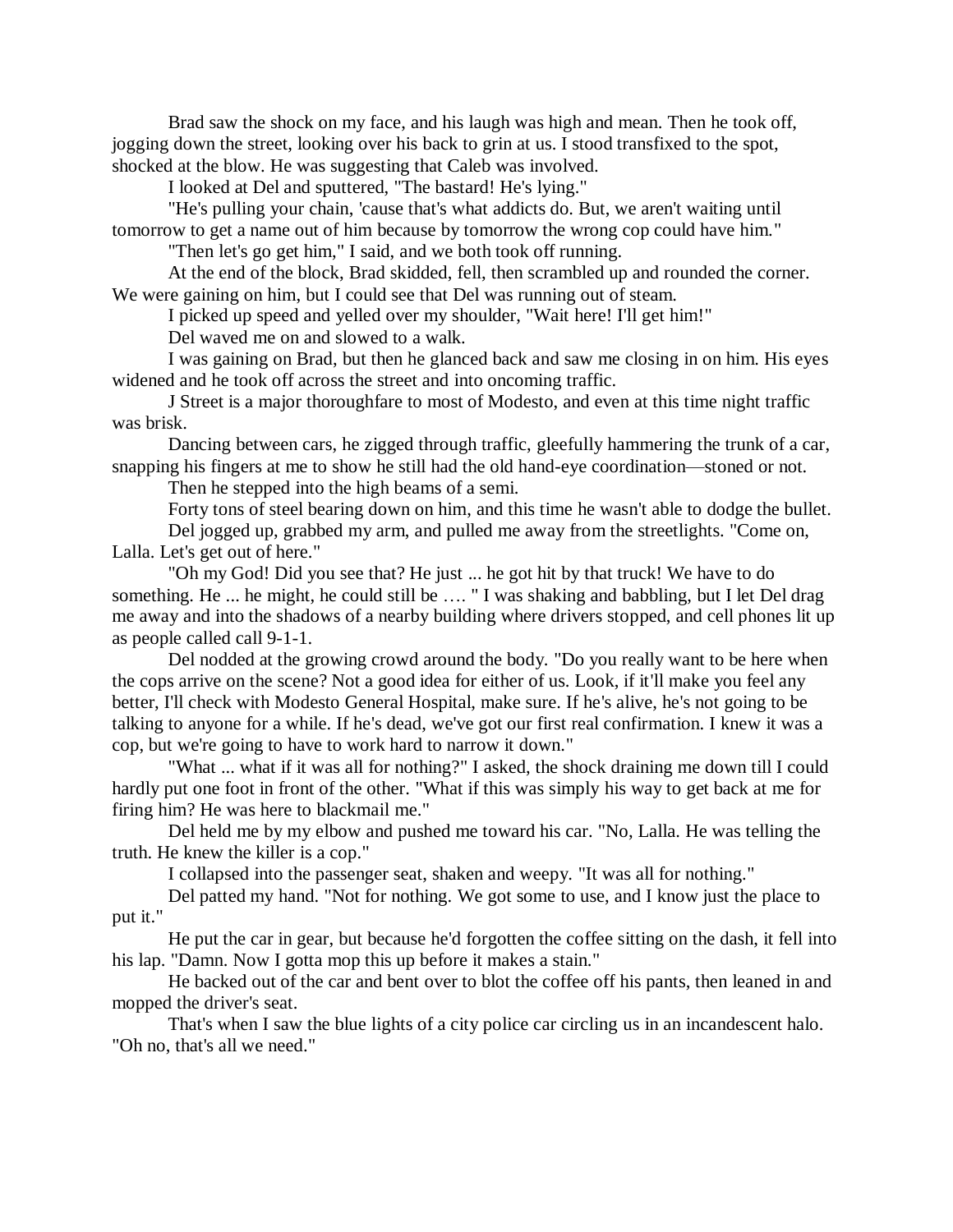Brad saw the shock on my face, and his laugh was high and mean. Then he took off, jogging down the street, looking over his back to grin at us. I stood transfixed to the spot, shocked at the blow. He was suggesting that Caleb was involved.

I looked at Del and sputtered, "The bastard! He's lying."

"He's pulling your chain, 'cause that's what addicts do. But, we aren't waiting until tomorrow to get a name out of him because by tomorrow the wrong cop could have him."

"Then let's go get him," I said, and we both took off running.

At the end of the block, Brad skidded, fell, then scrambled up and rounded the corner. We were gaining on him, but I could see that Del was running out of steam.

I picked up speed and yelled over my shoulder, "Wait here! I'll get him!"

Del waved me on and slowed to a walk.

I was gaining on Brad, but then he glanced back and saw me closing in on him. His eyes widened and he took off across the street and into oncoming traffic.

J Street is a major thoroughfare to most of Modesto, and even at this time night traffic was brisk.

Dancing between cars, he zigged through traffic, gleefully hammering the trunk of a car, snapping his fingers at me to show he still had the old hand-eye coordination—stoned or not.

Then he stepped into the high beams of a semi.

Forty tons of steel bearing down on him, and this time he wasn't able to dodge the bullet.

Del jogged up, grabbed my arm, and pulled me away from the streetlights. "Come on, Lalla. Let's get out of here."

"Oh my God! Did you see that? He just ... he got hit by that truck! We have to do something. He ... he might, he could still be …. " I was shaking and babbling, but I let Del drag me away and into the shadows of a nearby building where drivers stopped, and cell phones lit up as people called call 9-1-1.

Del nodded at the growing crowd around the body. "Do you really want to be here when the cops arrive on the scene? Not a good idea for either of us. Look, if it'll make you feel any better, I'll check with Modesto General Hospital, make sure. If he's alive, he's not going to be talking to anyone for a while. If he's dead, we've got our first real confirmation. I knew it was a cop, but we're going to have to work hard to narrow it down."

"What ... what if it was all for nothing?" I asked, the shock draining me down till I could hardly put one foot in front of the other. "What if this was simply his way to get back at me for firing him? He was here to blackmail me."

Del held me by my elbow and pushed me toward his car. "No, Lalla. He was telling the truth. He knew the killer is a cop."

I collapsed into the passenger seat, shaken and weepy. "It was all for nothing."

Del patted my hand. "Not for nothing. We got some to use, and I know just the place to put it."

He put the car in gear, but because he'd forgotten the coffee sitting on the dash, it fell into his lap. "Damn. Now I gotta mop this up before it makes a stain."

He backed out of the car and bent over to blot the coffee off his pants, then leaned in and mopped the driver's seat.

That's when I saw the blue lights of a city police car circling us in an incandescent halo. "Oh no, that's all we need."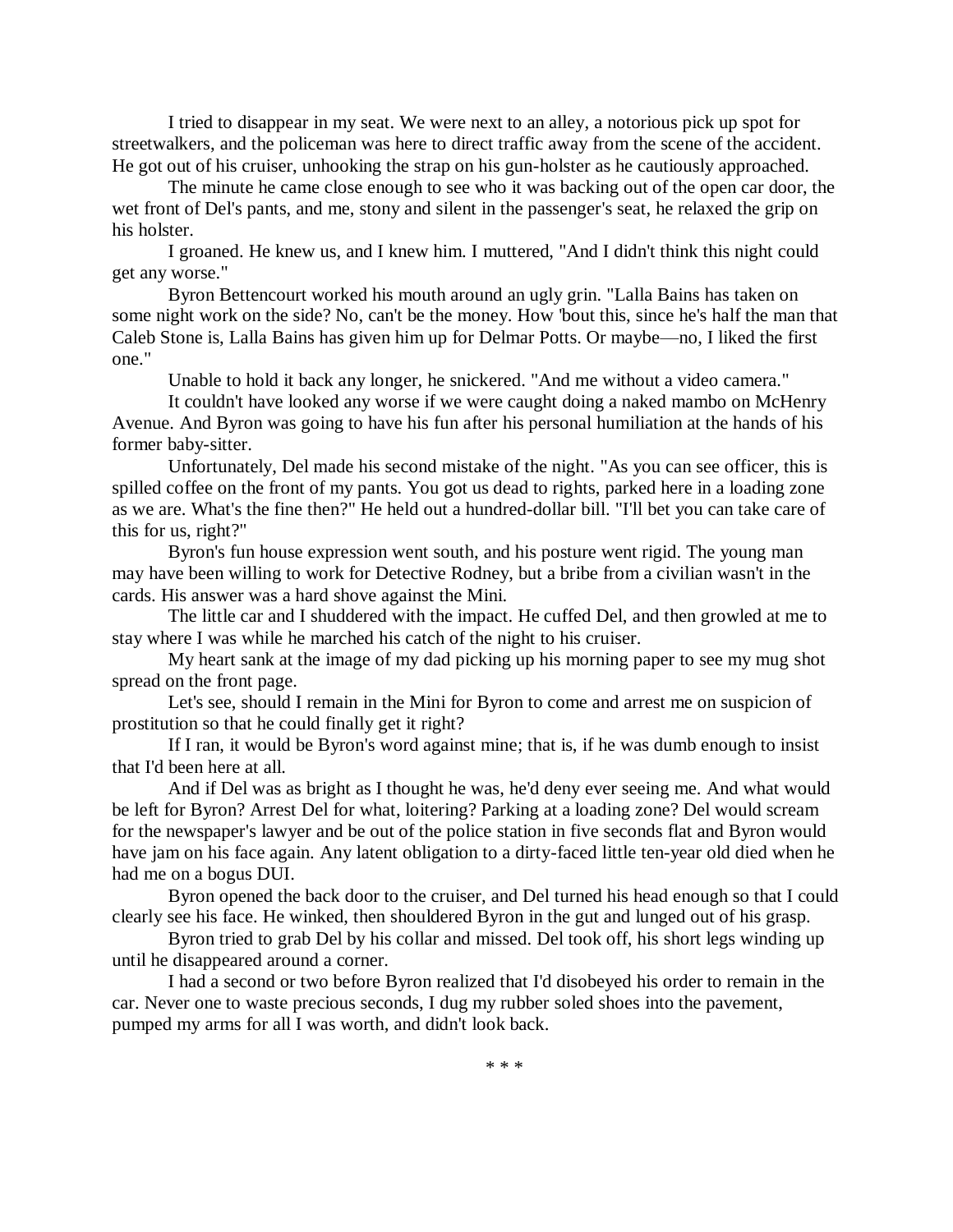I tried to disappear in my seat. We were next to an alley, a notorious pick up spot for streetwalkers, and the policeman was here to direct traffic away from the scene of the accident. He got out of his cruiser, unhooking the strap on his gun-holster as he cautiously approached.

The minute he came close enough to see who it was backing out of the open car door, the wet front of Del's pants, and me, stony and silent in the passenger's seat, he relaxed the grip on his holster.

I groaned. He knew us, and I knew him. I muttered, "And I didn't think this night could get any worse."

Byron Bettencourt worked his mouth around an ugly grin. "Lalla Bains has taken on some night work on the side? No, can't be the money. How 'bout this, since he's half the man that Caleb Stone is, Lalla Bains has given him up for Delmar Potts. Or maybe—no, I liked the first one."

Unable to hold it back any longer, he snickered. "And me without a video camera."

It couldn't have looked any worse if we were caught doing a naked mambo on McHenry Avenue. And Byron was going to have his fun after his personal humiliation at the hands of his former baby-sitter.

Unfortunately, Del made his second mistake of the night. "As you can see officer, this is spilled coffee on the front of my pants. You got us dead to rights, parked here in a loading zone as we are. What's the fine then?" He held out a hundred-dollar bill. "I'll bet you can take care of this for us, right?"

Byron's fun house expression went south, and his posture went rigid. The young man may have been willing to work for Detective Rodney, but a bribe from a civilian wasn't in the cards. His answer was a hard shove against the Mini.

The little car and I shuddered with the impact. He cuffed Del, and then growled at me to stay where I was while he marched his catch of the night to his cruiser.

My heart sank at the image of my dad picking up his morning paper to see my mug shot spread on the front page.

Let's see, should I remain in the Mini for Byron to come and arrest me on suspicion of prostitution so that he could finally get it right?

If I ran, it would be Byron's word against mine; that is, if he was dumb enough to insist that I'd been here at all.

And if Del was as bright as I thought he was, he'd deny ever seeing me. And what would be left for Byron? Arrest Del for what, loitering? Parking at a loading zone? Del would scream for the newspaper's lawyer and be out of the police station in five seconds flat and Byron would have jam on his face again. Any latent obligation to a dirty-faced little ten-year old died when he had me on a bogus DUI.

Byron opened the back door to the cruiser, and Del turned his head enough so that I could clearly see his face. He winked, then shouldered Byron in the gut and lunged out of his grasp.

Byron tried to grab Del by his collar and missed. Del took off, his short legs winding up until he disappeared around a corner.

I had a second or two before Byron realized that I'd disobeyed his order to remain in the car. Never one to waste precious seconds, I dug my rubber soled shoes into the pavement, pumped my arms for all I was worth, and didn't look back.

\* \* \*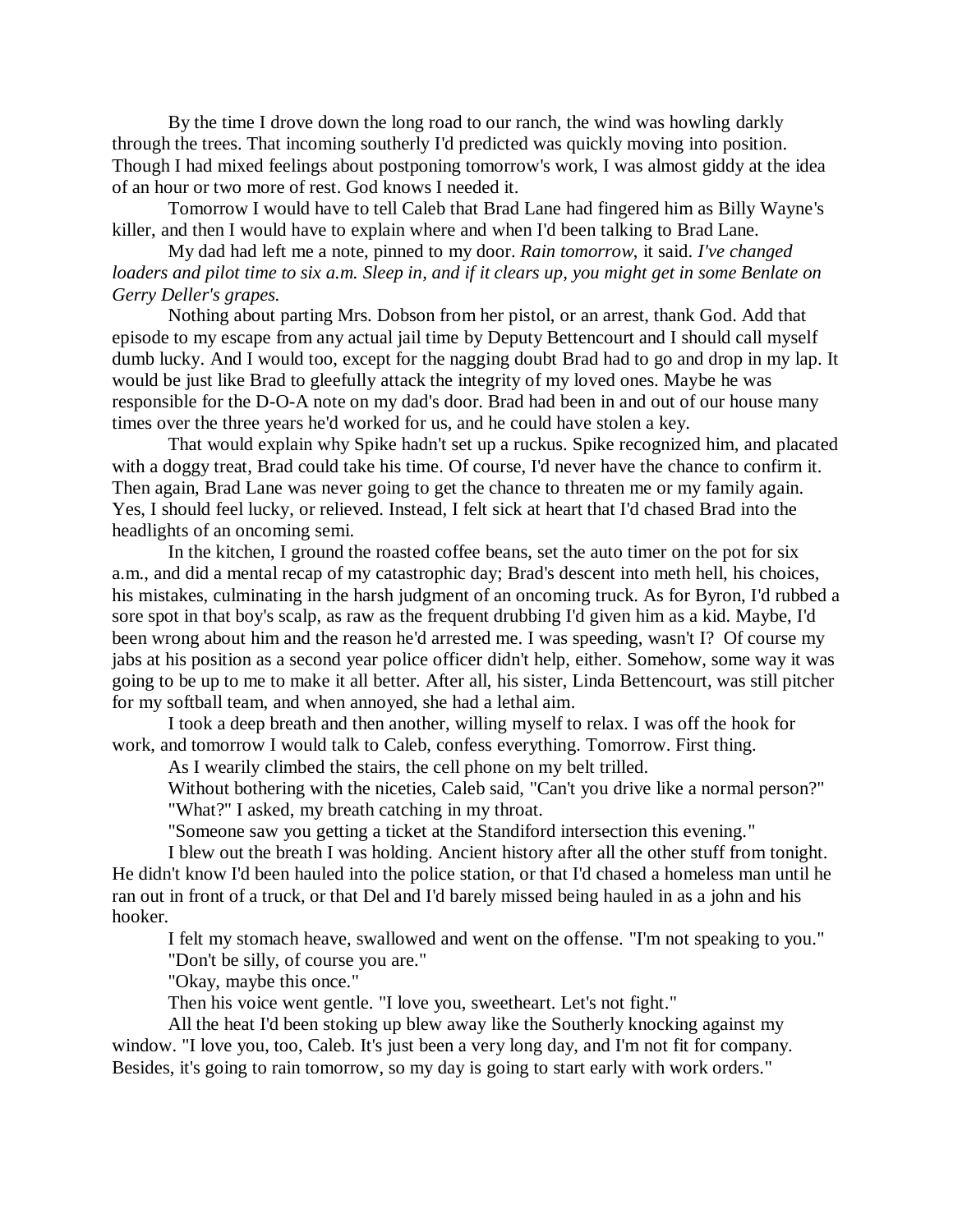By the time I drove down the long road to our ranch, the wind was howling darkly through the trees. That incoming southerly I'd predicted was quickly moving into position. Though I had mixed feelings about postponing tomorrow's work, I was almost giddy at the idea of an hour or two more of rest. God knows I needed it.

Tomorrow I would have to tell Caleb that Brad Lane had fingered him as Billy Wayne's killer, and then I would have to explain where and when I'd been talking to Brad Lane.

My dad had left me a note, pinned to my door. *Rain tomorrow*, it said. *I've changed loaders and pilot time to six a.m. Sleep in, and if it clears up, you might get in some Benlate on Gerry Deller's grapes.*

Nothing about parting Mrs. Dobson from her pistol, or an arrest, thank God. Add that episode to my escape from any actual jail time by Deputy Bettencourt and I should call myself dumb lucky. And I would too, except for the nagging doubt Brad had to go and drop in my lap. It would be just like Brad to gleefully attack the integrity of my loved ones. Maybe he was responsible for the D-O-A note on my dad's door. Brad had been in and out of our house many times over the three years he'd worked for us, and he could have stolen a key.

That would explain why Spike hadn't set up a ruckus. Spike recognized him, and placated with a doggy treat, Brad could take his time. Of course, I'd never have the chance to confirm it. Then again, Brad Lane was never going to get the chance to threaten me or my family again. Yes, I should feel lucky, or relieved. Instead, I felt sick at heart that I'd chased Brad into the headlights of an oncoming semi.

In the kitchen, I ground the roasted coffee beans, set the auto timer on the pot for six a.m., and did a mental recap of my catastrophic day; Brad's descent into meth hell, his choices, his mistakes, culminating in the harsh judgment of an oncoming truck. As for Byron, I'd rubbed a sore spot in that boy's scalp, as raw as the frequent drubbing I'd given him as a kid. Maybe, I'd been wrong about him and the reason he'd arrested me. I was speeding, wasn't I? Of course my jabs at his position as a second year police officer didn't help, either. Somehow, some way it was going to be up to me to make it all better. After all, his sister, Linda Bettencourt, was still pitcher for my softball team, and when annoyed, she had a lethal aim.

I took a deep breath and then another, willing myself to relax. I was off the hook for work, and tomorrow I would talk to Caleb, confess everything. Tomorrow. First thing.

As I wearily climbed the stairs, the cell phone on my belt trilled.

Without bothering with the niceties, Caleb said, "Can't you drive like a normal person?" "What?" I asked, my breath catching in my throat.

"Someone saw you getting a ticket at the Standiford intersection this evening."

I blew out the breath I was holding. Ancient history after all the other stuff from tonight. He didn't know I'd been hauled into the police station, or that I'd chased a homeless man until he ran out in front of a truck, or that Del and I'd barely missed being hauled in as a john and his hooker.

I felt my stomach heave, swallowed and went on the offense. "I'm not speaking to you."

"Don't be silly, of course you are."

"Okay, maybe this once."

Then his voice went gentle. "I love you, sweetheart. Let's not fight."

All the heat I'd been stoking up blew away like the Southerly knocking against my window. "I love you, too, Caleb. It's just been a very long day, and I'm not fit for company. Besides, it's going to rain tomorrow, so my day is going to start early with work orders."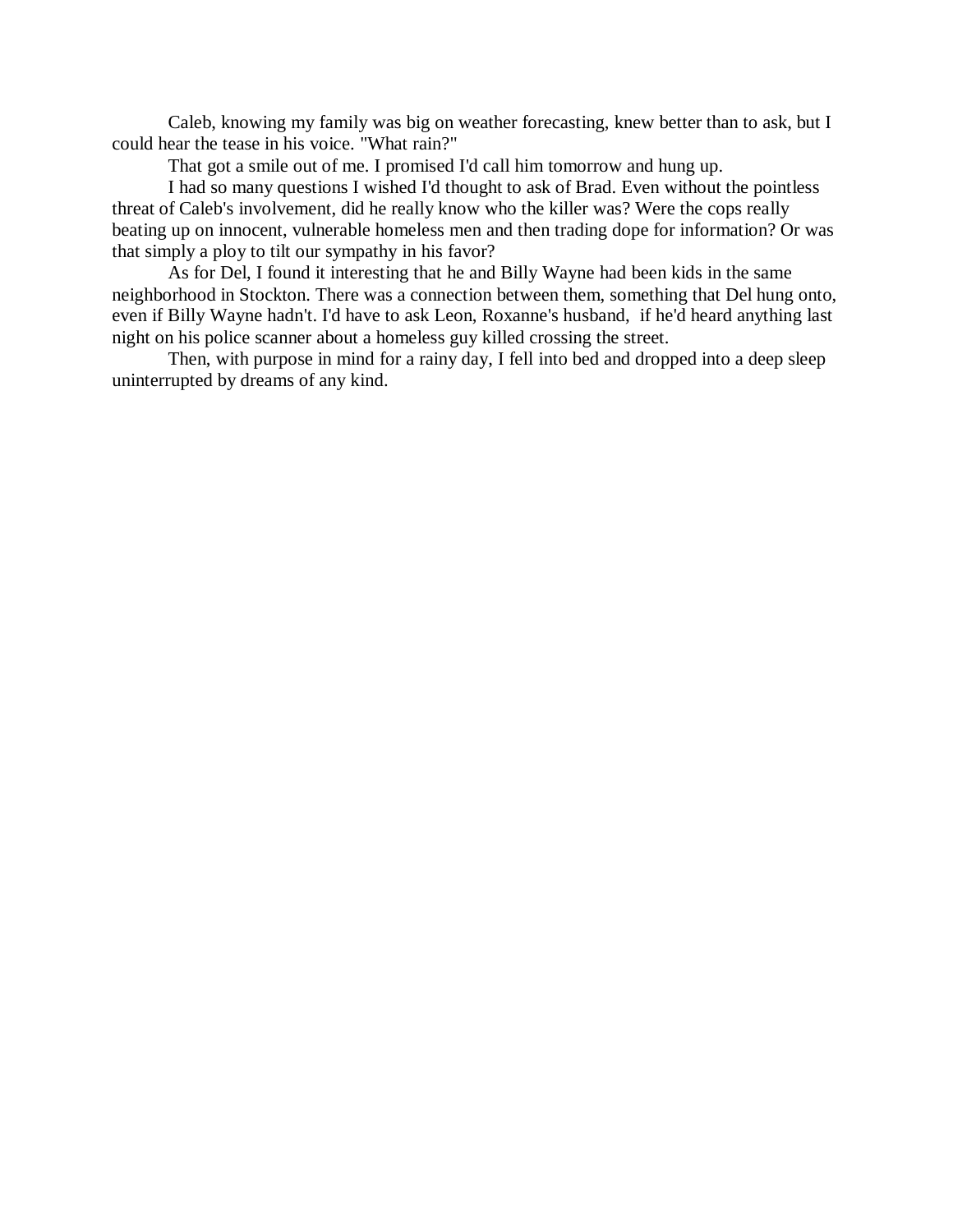Caleb, knowing my family was big on weather forecasting, knew better than to ask, but I could hear the tease in his voice. "What rain?"

That got a smile out of me. I promised I'd call him tomorrow and hung up.

I had so many questions I wished I'd thought to ask of Brad. Even without the pointless threat of Caleb's involvement, did he really know who the killer was? Were the cops really beating up on innocent, vulnerable homeless men and then trading dope for information? Or was that simply a ploy to tilt our sympathy in his favor?

As for Del, I found it interesting that he and Billy Wayne had been kids in the same neighborhood in Stockton. There was a connection between them, something that Del hung onto, even if Billy Wayne hadn't. I'd have to ask Leon, Roxanne's husband, if he'd heard anything last night on his police scanner about a homeless guy killed crossing the street.

Then, with purpose in mind for a rainy day, I fell into bed and dropped into a deep sleep uninterrupted by dreams of any kind.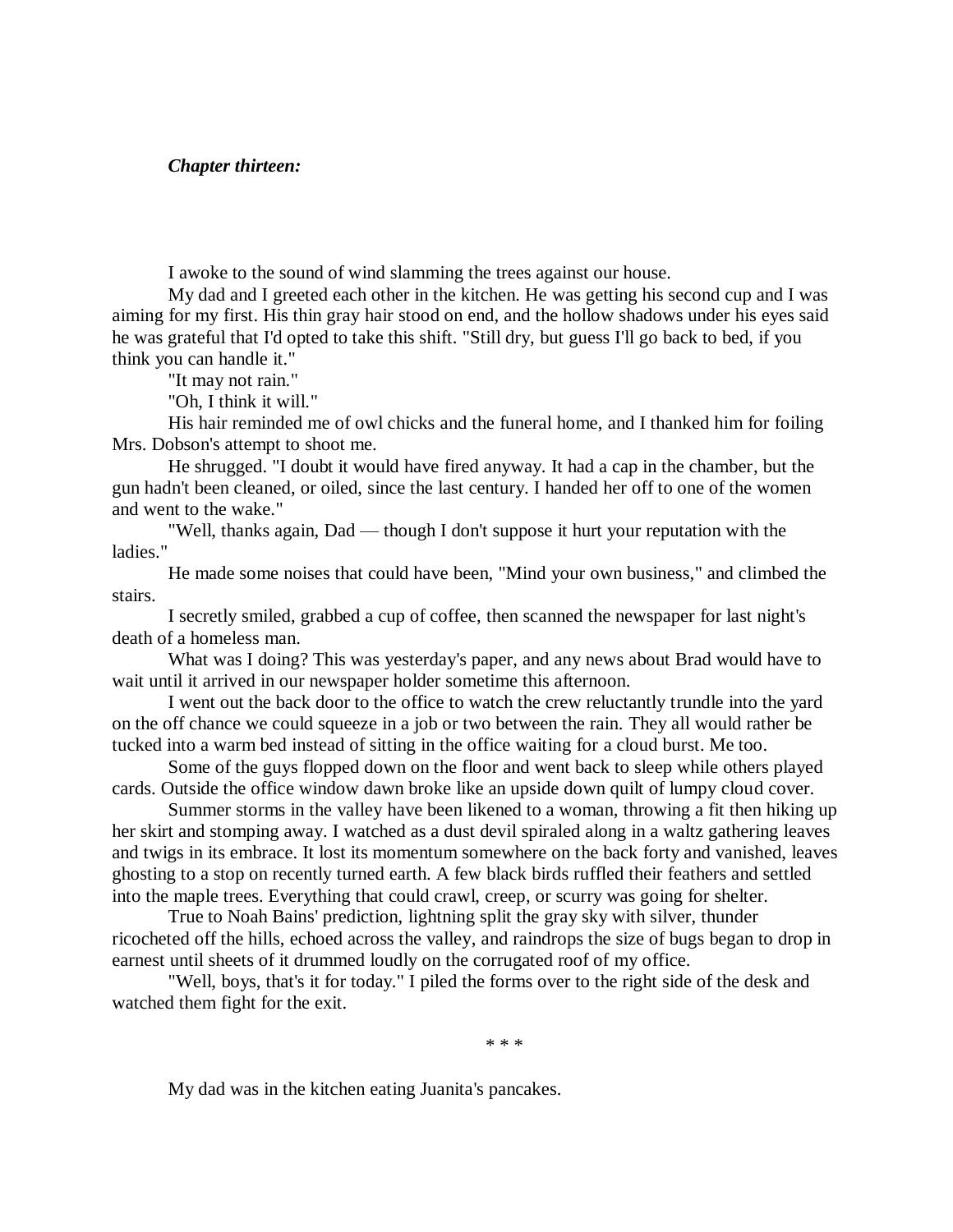### *Chapter thirteen:*

I awoke to the sound of wind slamming the trees against our house.

My dad and I greeted each other in the kitchen. He was getting his second cup and I was aiming for my first. His thin gray hair stood on end, and the hollow shadows under his eyes said he was grateful that I'd opted to take this shift. "Still dry, but guess I'll go back to bed, if you think you can handle it."

"It may not rain."

"Oh, I think it will."

His hair reminded me of owl chicks and the funeral home, and I thanked him for foiling Mrs. Dobson's attempt to shoot me.

He shrugged. "I doubt it would have fired anyway. It had a cap in the chamber, but the gun hadn't been cleaned, or oiled, since the last century. I handed her off to one of the women and went to the wake."

"Well, thanks again, Dad — though I don't suppose it hurt your reputation with the ladies."

He made some noises that could have been, "Mind your own business," and climbed the stairs.

I secretly smiled, grabbed a cup of coffee, then scanned the newspaper for last night's death of a homeless man.

What was I doing? This was yesterday's paper, and any news about Brad would have to wait until it arrived in our newspaper holder sometime this afternoon.

I went out the back door to the office to watch the crew reluctantly trundle into the yard on the off chance we could squeeze in a job or two between the rain. They all would rather be tucked into a warm bed instead of sitting in the office waiting for a cloud burst. Me too.

Some of the guys flopped down on the floor and went back to sleep while others played cards. Outside the office window dawn broke like an upside down quilt of lumpy cloud cover.

Summer storms in the valley have been likened to a woman, throwing a fit then hiking up her skirt and stomping away. I watched as a dust devil spiraled along in a waltz gathering leaves and twigs in its embrace. It lost its momentum somewhere on the back forty and vanished, leaves ghosting to a stop on recently turned earth. A few black birds ruffled their feathers and settled into the maple trees. Everything that could crawl, creep, or scurry was going for shelter.

True to Noah Bains' prediction, lightning split the gray sky with silver, thunder ricocheted off the hills, echoed across the valley, and raindrops the size of bugs began to drop in earnest until sheets of it drummed loudly on the corrugated roof of my office.

"Well, boys, that's it for today." I piled the forms over to the right side of the desk and watched them fight for the exit.

\* \* \*

My dad was in the kitchen eating Juanita's pancakes.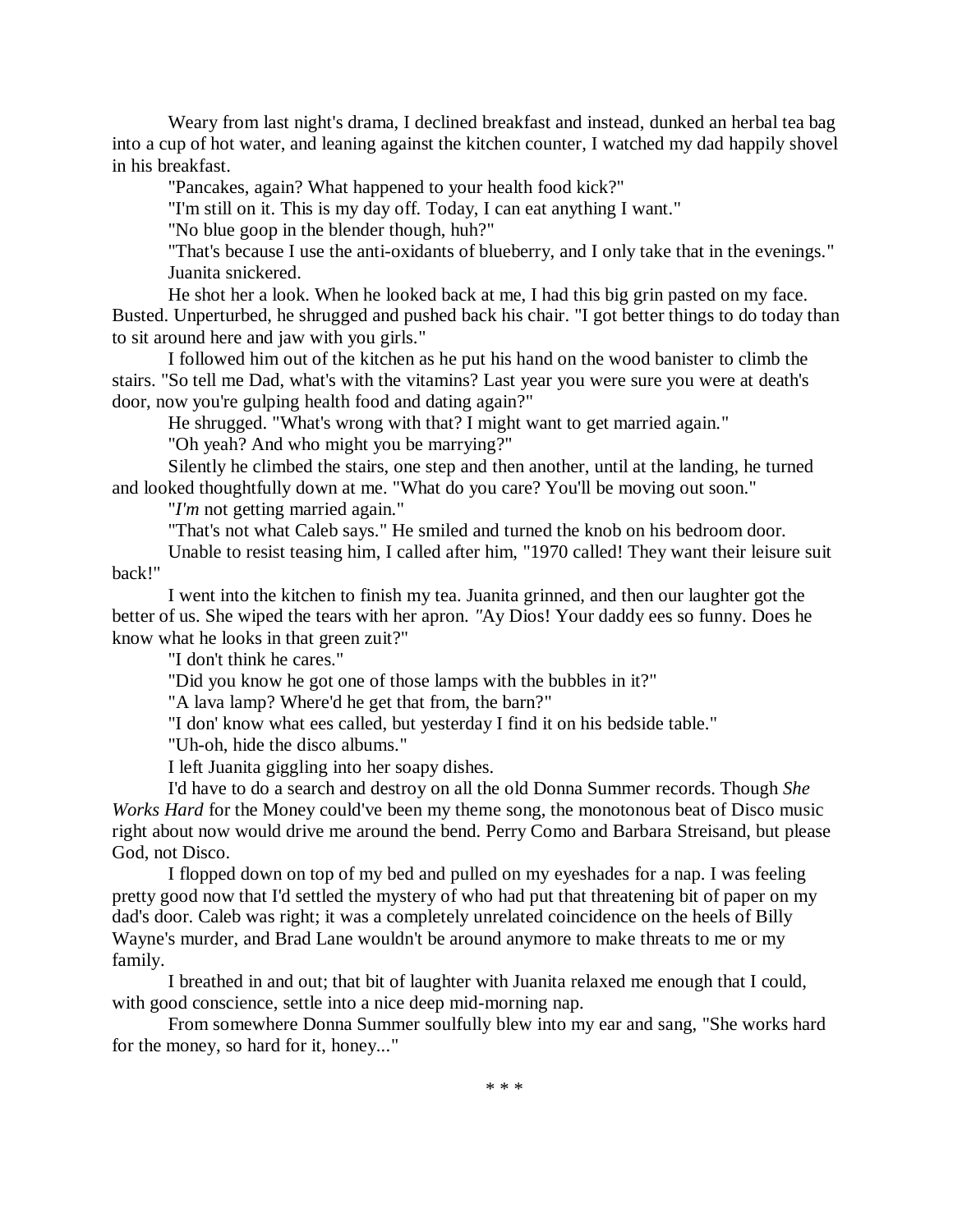Weary from last night's drama, I declined breakfast and instead, dunked an herbal tea bag into a cup of hot water, and leaning against the kitchen counter, I watched my dad happily shovel in his breakfast.

"Pancakes, again? What happened to your health food kick?"

"I'm still on it. This is my day off. Today, I can eat anything I want."

"No blue goop in the blender though, huh?"

"That's because I use the anti-oxidants of blueberry, and I only take that in the evenings." Juanita snickered.

He shot her a look. When he looked back at me, I had this big grin pasted on my face. Busted. Unperturbed, he shrugged and pushed back his chair. "I got better things to do today than to sit around here and jaw with you girls."

I followed him out of the kitchen as he put his hand on the wood banister to climb the stairs. "So tell me Dad, what's with the vitamins? Last year you were sure you were at death's door, now you're gulping health food and dating again?"

He shrugged. "What's wrong with that? I might want to get married again."

"Oh yeah? And who might you be marrying?"

Silently he climbed the stairs, one step and then another, until at the landing, he turned and looked thoughtfully down at me. "What do you care? You'll be moving out soon."

"*I'm* not getting married again."

"That's not what Caleb says." He smiled and turned the knob on his bedroom door.

Unable to resist teasing him, I called after him, "1970 called! They want their leisure suit back!"

I went into the kitchen to finish my tea. Juanita grinned, and then our laughter got the better of us. She wiped the tears with her apron. *"*Ay Dios! Your daddy ees so funny. Does he

know what he looks in that green zuit?"

"I don't think he cares."

"Did you know he got one of those lamps with the bubbles in it?"

"A lava lamp? Where'd he get that from, the barn?"

"I don' know what ees called, but yesterday I find it on his bedside table."

"Uh-oh, hide the disco albums."

I left Juanita giggling into her soapy dishes.

I'd have to do a search and destroy on all the old Donna Summer records. Though *She Works Hard* for the Money could've been my theme song, the monotonous beat of Disco music right about now would drive me around the bend. Perry Como and Barbara Streisand, but please God, not Disco.

I flopped down on top of my bed and pulled on my eyeshades for a nap. I was feeling pretty good now that I'd settled the mystery of who had put that threatening bit of paper on my dad's door. Caleb was right; it was a completely unrelated coincidence on the heels of Billy Wayne's murder, and Brad Lane wouldn't be around anymore to make threats to me or my family.

I breathed in and out; that bit of laughter with Juanita relaxed me enough that I could, with good conscience, settle into a nice deep mid-morning nap.

From somewhere Donna Summer soulfully blew into my ear and sang, "She works hard for the money, so hard for it, honey..."

\* \* \*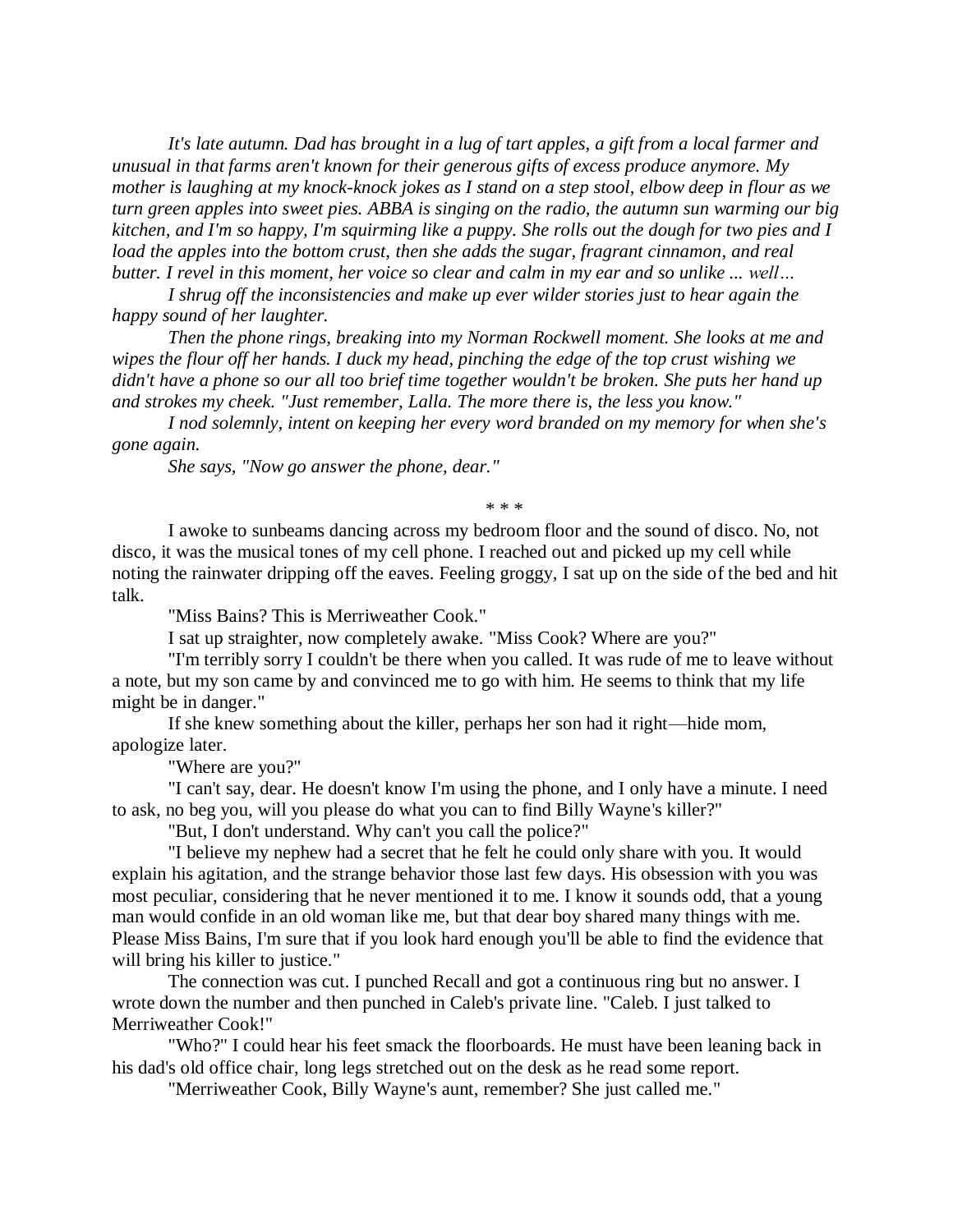*It's late autumn. Dad has brought in a lug of tart apples, a gift from a local farmer and unusual in that farms aren't known for their generous gifts of excess produce anymore. My mother is laughing at my knock-knock jokes as I stand on a step stool, elbow deep in flour as we turn green apples into sweet pies. ABBA is singing on the radio, the autumn sun warming our big kitchen, and I'm so happy, I'm squirming like a puppy. She rolls out the dough for two pies and I load the apples into the bottom crust, then she adds the sugar, fragrant cinnamon, and real butter. I revel in this moment, her voice so clear and calm in my ear and so unlike ... well…*

*I shrug off the inconsistencies and make up ever wilder stories just to hear again the happy sound of her laughter.*

*Then the phone rings, breaking into my Norman Rockwell moment. She looks at me and wipes the flour off her hands. I duck my head, pinching the edge of the top crust wishing we didn't have a phone so our all too brief time together wouldn't be broken. She puts her hand up and strokes my cheek. "Just remember, Lalla. The more there is, the less you know."*

*I nod solemnly, intent on keeping her every word branded on my memory for when she's gone again.*

*She says, "Now go answer the phone, dear."*

\* \* \*

I awoke to sunbeams dancing across my bedroom floor and the sound of disco. No, not disco, it was the musical tones of my cell phone. I reached out and picked up my cell while noting the rainwater dripping off the eaves. Feeling groggy, I sat up on the side of the bed and hit talk.

"Miss Bains? This is Merriweather Cook."

I sat up straighter, now completely awake. "Miss Cook? Where are you?"

"I'm terribly sorry I couldn't be there when you called. It was rude of me to leave without a note, but my son came by and convinced me to go with him. He seems to think that my life might be in danger."

If she knew something about the killer, perhaps her son had it right—hide mom, apologize later.

"Where are you?"

"I can't say, dear. He doesn't know I'm using the phone, and I only have a minute. I need to ask, no beg you, will you please do what you can to find Billy Wayne's killer?"

"But, I don't understand. Why can't you call the police?"

"I believe my nephew had a secret that he felt he could only share with you. It would explain his agitation, and the strange behavior those last few days. His obsession with you was most peculiar, considering that he never mentioned it to me. I know it sounds odd, that a young man would confide in an old woman like me, but that dear boy shared many things with me. Please Miss Bains, I'm sure that if you look hard enough you'll be able to find the evidence that will bring his killer to justice."

The connection was cut. I punched Recall and got a continuous ring but no answer. I wrote down the number and then punched in Caleb's private line. "Caleb. I just talked to Merriweather Cook!"

"Who?" I could hear his feet smack the floorboards. He must have been leaning back in his dad's old office chair, long legs stretched out on the desk as he read some report.

"Merriweather Cook, Billy Wayne's aunt, remember? She just called me."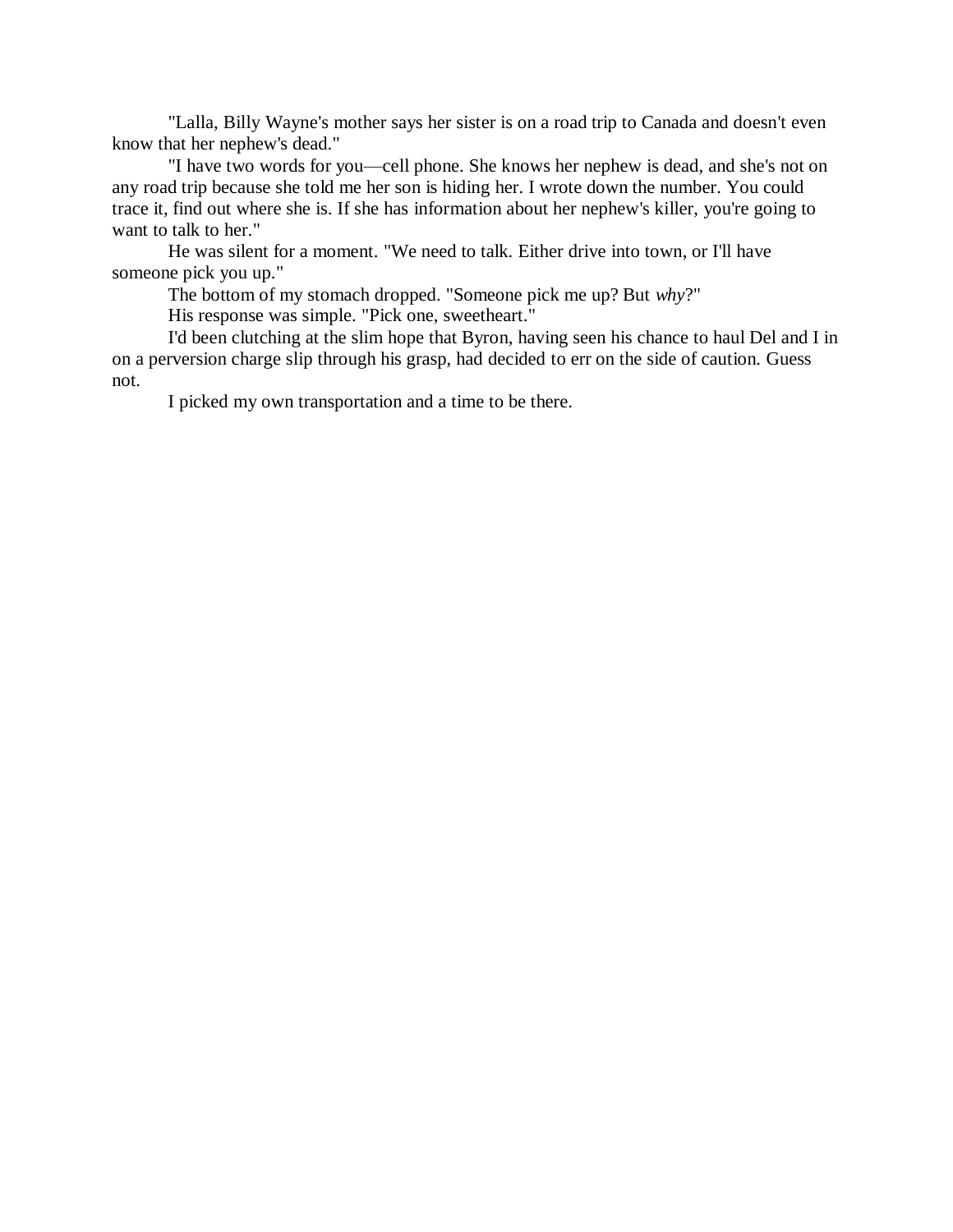"Lalla, Billy Wayne's mother says her sister is on a road trip to Canada and doesn't even know that her nephew's dead."

"I have two words for you—cell phone. She knows her nephew is dead, and she's not on any road trip because she told me her son is hiding her. I wrote down the number. You could trace it, find out where she is. If she has information about her nephew's killer, you're going to want to talk to her."

He was silent for a moment. "We need to talk. Either drive into town, or I'll have someone pick you up."

The bottom of my stomach dropped. "Someone pick me up? But *why*?"

His response was simple. "Pick one, sweetheart."

I'd been clutching at the slim hope that Byron, having seen his chance to haul Del and I in on a perversion charge slip through his grasp, had decided to err on the side of caution. Guess not.

I picked my own transportation and a time to be there.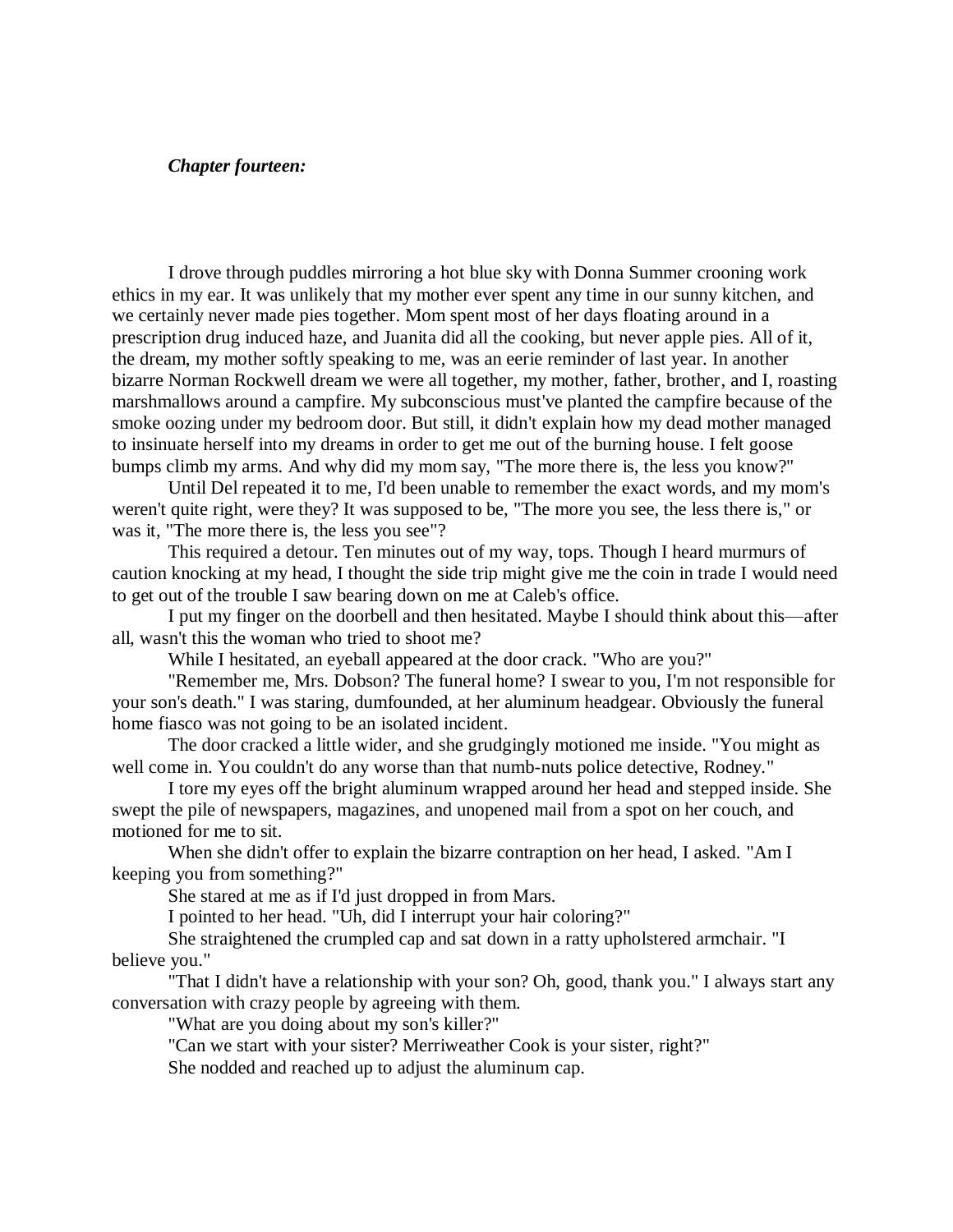# *Chapter fourteen:*

I drove through puddles mirroring a hot blue sky with Donna Summer crooning work ethics in my ear. It was unlikely that my mother ever spent any time in our sunny kitchen, and we certainly never made pies together. Mom spent most of her days floating around in a prescription drug induced haze, and Juanita did all the cooking, but never apple pies. All of it, the dream, my mother softly speaking to me, was an eerie reminder of last year. In another bizarre Norman Rockwell dream we were all together, my mother, father, brother, and I, roasting marshmallows around a campfire. My subconscious must've planted the campfire because of the smoke oozing under my bedroom door. But still, it didn't explain how my dead mother managed to insinuate herself into my dreams in order to get me out of the burning house. I felt goose bumps climb my arms. And why did my mom say, "The more there is, the less you know?"

Until Del repeated it to me, I'd been unable to remember the exact words, and my mom's weren't quite right, were they? It was supposed to be, "The more you see, the less there is," or was it, "The more there is, the less you see"?

This required a detour. Ten minutes out of my way, tops. Though I heard murmurs of caution knocking at my head, I thought the side trip might give me the coin in trade I would need to get out of the trouble I saw bearing down on me at Caleb's office.

I put my finger on the doorbell and then hesitated. Maybe I should think about this—after all, wasn't this the woman who tried to shoot me?

While I hesitated, an eyeball appeared at the door crack. "Who are you?"

"Remember me, Mrs. Dobson? The funeral home? I swear to you, I'm not responsible for your son's death." I was staring, dumfounded, at her aluminum headgear. Obviously the funeral home fiasco was not going to be an isolated incident.

The door cracked a little wider, and she grudgingly motioned me inside. "You might as well come in. You couldn't do any worse than that numb-nuts police detective, Rodney."

I tore my eyes off the bright aluminum wrapped around her head and stepped inside. She swept the pile of newspapers, magazines, and unopened mail from a spot on her couch, and motioned for me to sit.

When she didn't offer to explain the bizarre contraption on her head, I asked. "Am I keeping you from something?"

She stared at me as if I'd just dropped in from Mars.

I pointed to her head. "Uh, did I interrupt your hair coloring?"

She straightened the crumpled cap and sat down in a ratty upholstered armchair. "I believe you."

"That I didn't have a relationship with your son? Oh, good, thank you." I always start any conversation with crazy people by agreeing with them.

"What are you doing about my son's killer?"

"Can we start with your sister? Merriweather Cook is your sister, right?"

She nodded and reached up to adjust the aluminum cap.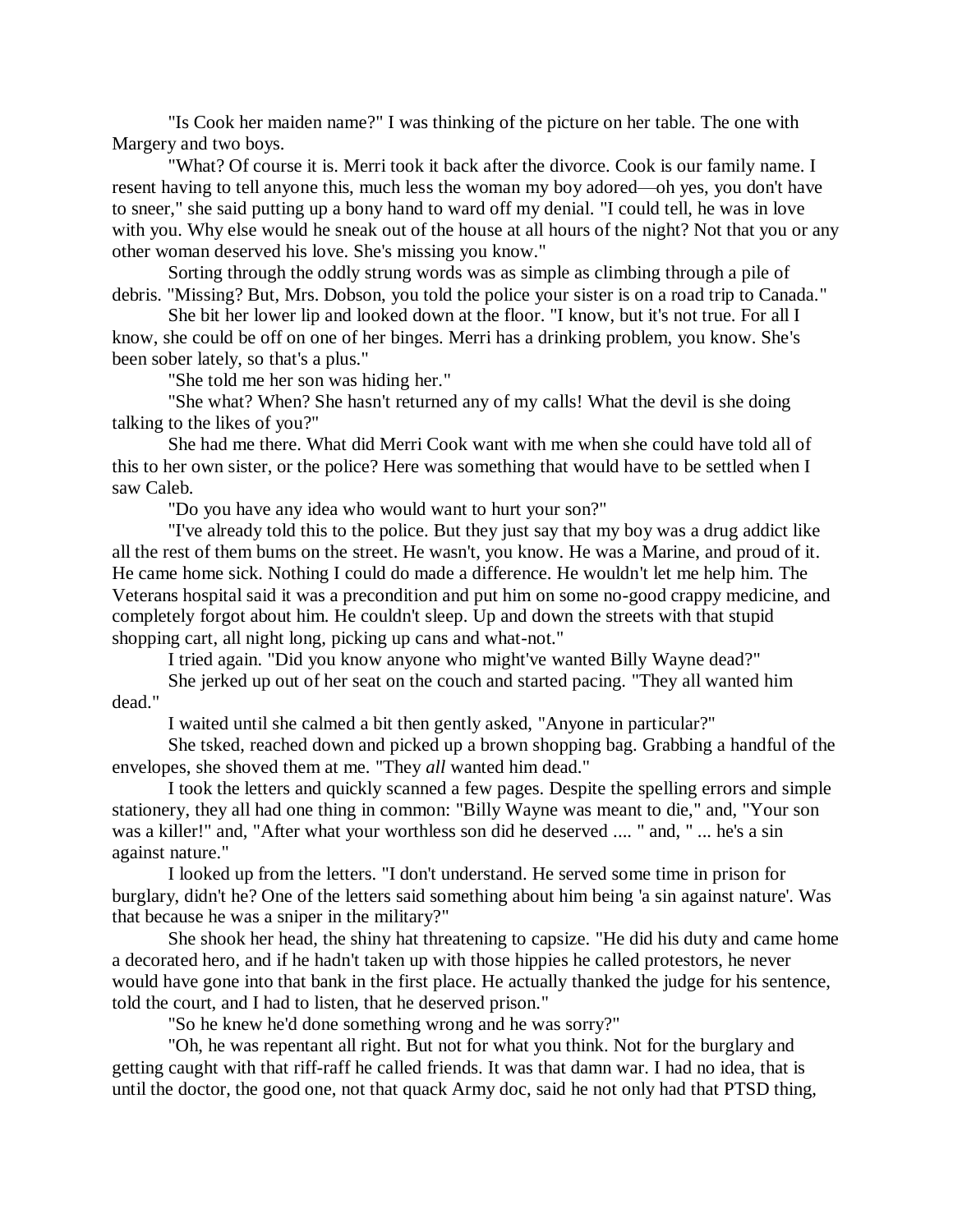"Is Cook her maiden name?" I was thinking of the picture on her table. The one with Margery and two boys.

"What? Of course it is. Merri took it back after the divorce. Cook is our family name. I resent having to tell anyone this, much less the woman my boy adored—oh yes, you don't have to sneer," she said putting up a bony hand to ward off my denial. "I could tell, he was in love with you. Why else would he sneak out of the house at all hours of the night? Not that you or any other woman deserved his love. She's missing you know."

Sorting through the oddly strung words was as simple as climbing through a pile of debris. "Missing? But, Mrs. Dobson, you told the police your sister is on a road trip to Canada."

She bit her lower lip and looked down at the floor. "I know, but it's not true. For all I know, she could be off on one of her binges. Merri has a drinking problem, you know. She's been sober lately, so that's a plus."

"She told me her son was hiding her."

"She what? When? She hasn't returned any of my calls! What the devil is she doing talking to the likes of you?"

She had me there. What did Merri Cook want with me when she could have told all of this to her own sister, or the police? Here was something that would have to be settled when I saw Caleb.

"Do you have any idea who would want to hurt your son?"

"I've already told this to the police. But they just say that my boy was a drug addict like all the rest of them bums on the street. He wasn't, you know. He was a Marine, and proud of it. He came home sick. Nothing I could do made a difference. He wouldn't let me help him. The Veterans hospital said it was a precondition and put him on some no-good crappy medicine, and completely forgot about him. He couldn't sleep. Up and down the streets with that stupid shopping cart, all night long, picking up cans and what-not."

I tried again. "Did you know anyone who might've wanted Billy Wayne dead?"

She jerked up out of her seat on the couch and started pacing. "They all wanted him dead."

I waited until she calmed a bit then gently asked, "Anyone in particular?"

She tsked, reached down and picked up a brown shopping bag. Grabbing a handful of the envelopes, she shoved them at me. "They *all* wanted him dead."

I took the letters and quickly scanned a few pages. Despite the spelling errors and simple stationery, they all had one thing in common: "Billy Wayne was meant to die," and, "Your son was a killer!" and, "After what your worthless son did he deserved .... " and, " ... he's a sin against nature."

I looked up from the letters. "I don't understand. He served some time in prison for burglary, didn't he? One of the letters said something about him being 'a sin against nature'. Was that because he was a sniper in the military?"

She shook her head, the shiny hat threatening to capsize. "He did his duty and came home a decorated hero, and if he hadn't taken up with those hippies he called protestors, he never would have gone into that bank in the first place. He actually thanked the judge for his sentence, told the court, and I had to listen, that he deserved prison."

"So he knew he'd done something wrong and he was sorry?"

"Oh, he was repentant all right. But not for what you think. Not for the burglary and getting caught with that riff-raff he called friends. It was that damn war. I had no idea, that is until the doctor, the good one, not that quack Army doc, said he not only had that PTSD thing,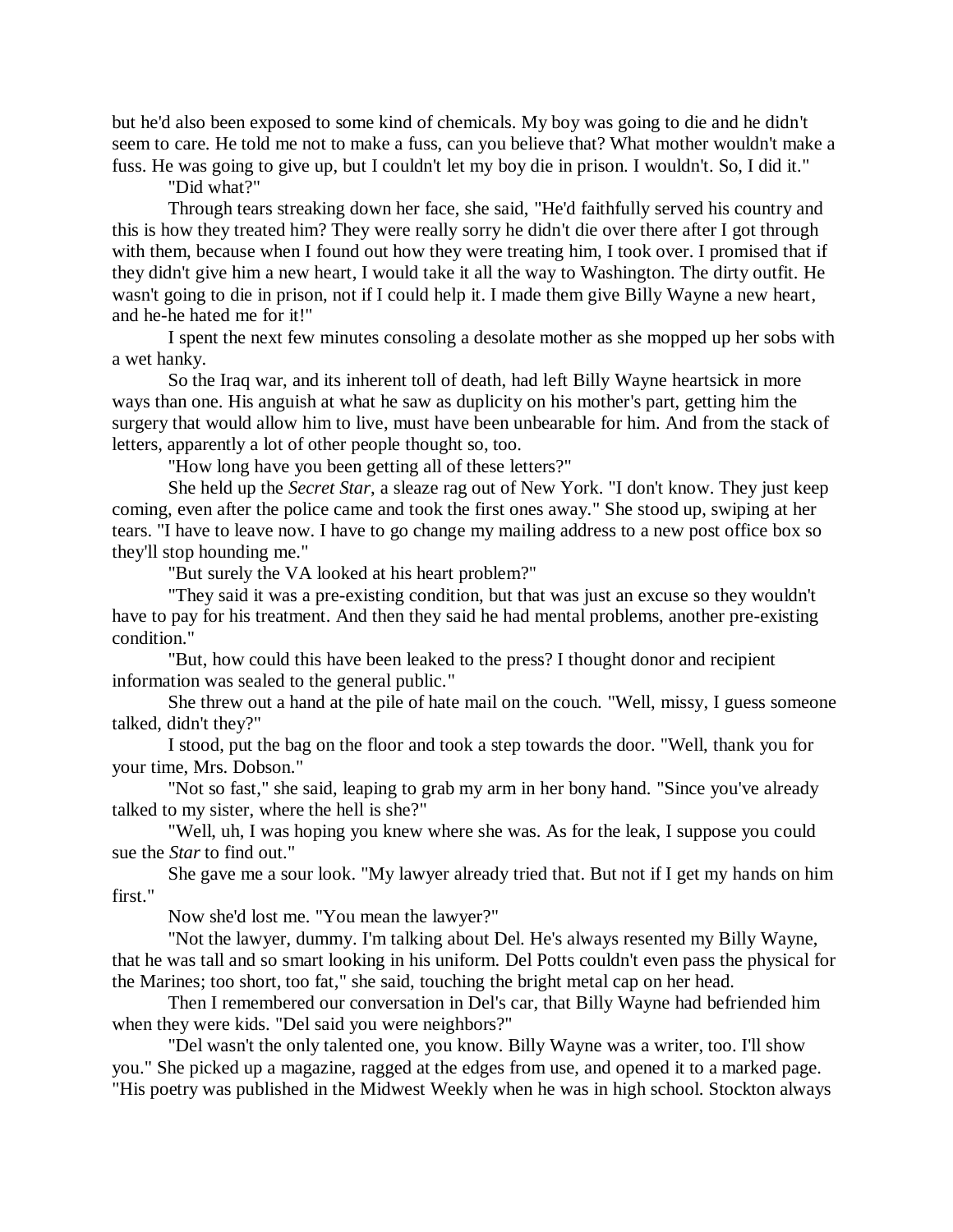but he'd also been exposed to some kind of chemicals. My boy was going to die and he didn't seem to care. He told me not to make a fuss, can you believe that? What mother wouldn't make a fuss. He was going to give up, but I couldn't let my boy die in prison. I wouldn't. So, I did it."

"Did what?"

Through tears streaking down her face, she said, "He'd faithfully served his country and this is how they treated him? They were really sorry he didn't die over there after I got through with them, because when I found out how they were treating him, I took over. I promised that if they didn't give him a new heart, I would take it all the way to Washington. The dirty outfit. He wasn't going to die in prison, not if I could help it. I made them give Billy Wayne a new heart, and he-he hated me for it!"

I spent the next few minutes consoling a desolate mother as she mopped up her sobs with a wet hanky.

So the Iraq war, and its inherent toll of death, had left Billy Wayne heartsick in more ways than one. His anguish at what he saw as duplicity on his mother's part, getting him the surgery that would allow him to live, must have been unbearable for him. And from the stack of letters, apparently a lot of other people thought so, too.

"How long have you been getting all of these letters?"

She held up the *Secret Star*, a sleaze rag out of New York. "I don't know. They just keep coming, even after the police came and took the first ones away." She stood up, swiping at her tears. "I have to leave now. I have to go change my mailing address to a new post office box so they'll stop hounding me."

"But surely the VA looked at his heart problem?"

"They said it was a pre-existing condition, but that was just an excuse so they wouldn't have to pay for his treatment. And then they said he had mental problems, another pre-existing condition."

"But, how could this have been leaked to the press? I thought donor and recipient information was sealed to the general public."

She threw out a hand at the pile of hate mail on the couch. "Well, missy, I guess someone talked, didn't they?"

I stood, put the bag on the floor and took a step towards the door. "Well, thank you for your time, Mrs. Dobson."

"Not so fast," she said, leaping to grab my arm in her bony hand. "Since you've already talked to my sister, where the hell is she?"

"Well, uh, I was hoping you knew where she was. As for the leak, I suppose you could sue the *Star* to find out."

She gave me a sour look. "My lawyer already tried that. But not if I get my hands on him first."

Now she'd lost me. "You mean the lawyer?"

"Not the lawyer, dummy. I'm talking about Del. He's always resented my Billy Wayne, that he was tall and so smart looking in his uniform. Del Potts couldn't even pass the physical for the Marines; too short, too fat," she said, touching the bright metal cap on her head.

Then I remembered our conversation in Del's car, that Billy Wayne had befriended him when they were kids. "Del said you were neighbors?"

"Del wasn't the only talented one, you know. Billy Wayne was a writer, too. I'll show you." She picked up a magazine, ragged at the edges from use, and opened it to a marked page. "His poetry was published in the Midwest Weekly when he was in high school. Stockton always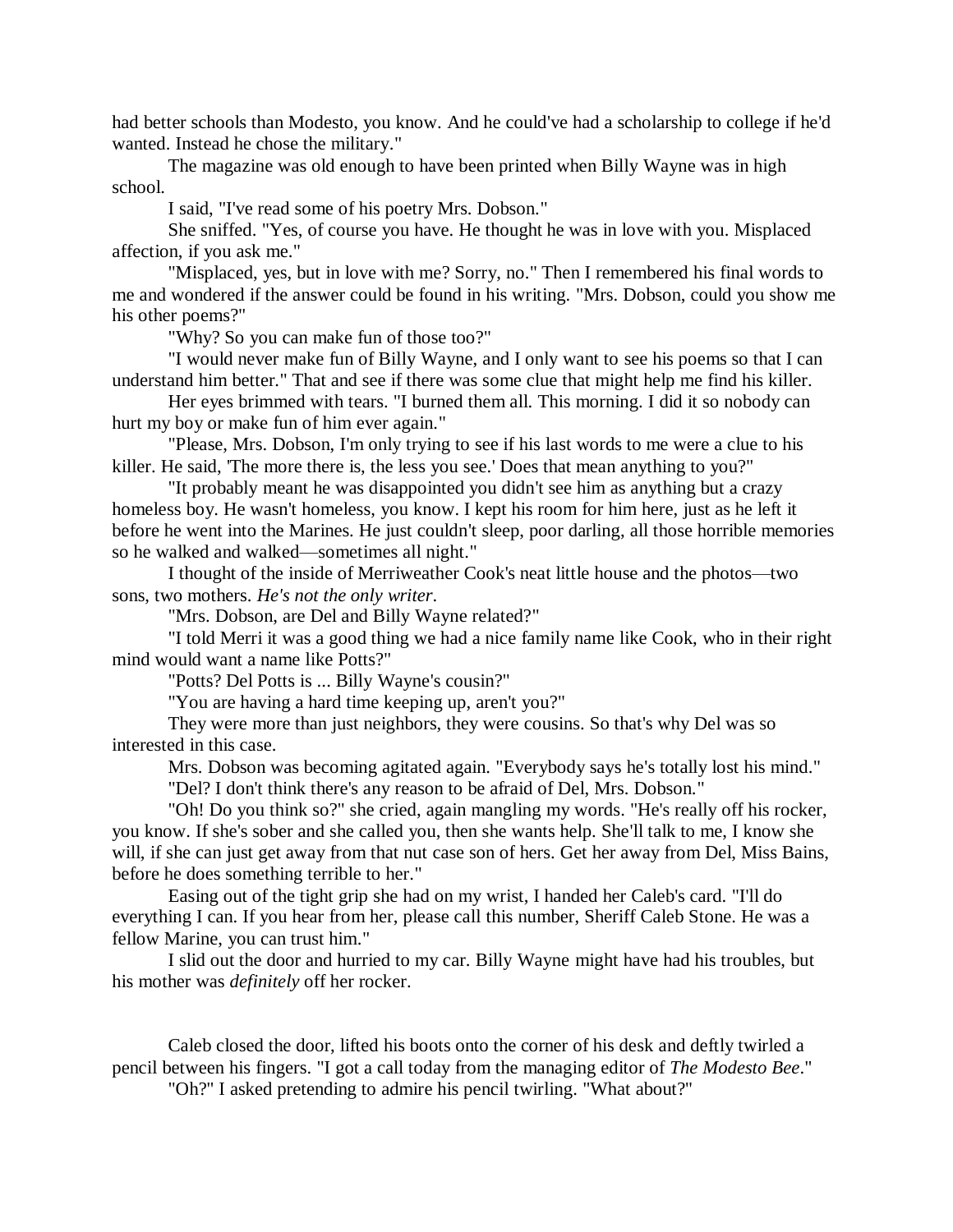had better schools than Modesto, you know. And he could've had a scholarship to college if he'd wanted. Instead he chose the military."

The magazine was old enough to have been printed when Billy Wayne was in high school.

I said, "I've read some of his poetry Mrs. Dobson."

She sniffed. "Yes, of course you have. He thought he was in love with you. Misplaced affection, if you ask me."

"Misplaced, yes, but in love with me? Sorry, no." Then I remembered his final words to me and wondered if the answer could be found in his writing. "Mrs. Dobson, could you show me his other poems?"

"Why? So you can make fun of those too?"

"I would never make fun of Billy Wayne, and I only want to see his poems so that I can understand him better." That and see if there was some clue that might help me find his killer.

Her eyes brimmed with tears. "I burned them all. This morning. I did it so nobody can hurt my boy or make fun of him ever again."

"Please, Mrs. Dobson, I'm only trying to see if his last words to me were a clue to his killer. He said, 'The more there is, the less you see.' Does that mean anything to you?"

"It probably meant he was disappointed you didn't see him as anything but a crazy homeless boy. He wasn't homeless, you know. I kept his room for him here, just as he left it before he went into the Marines. He just couldn't sleep, poor darling, all those horrible memories so he walked and walked—sometimes all night."

I thought of the inside of Merriweather Cook's neat little house and the photos—two sons, two mothers. *He's not the only writer*.

"Mrs. Dobson, are Del and Billy Wayne related?"

"I told Merri it was a good thing we had a nice family name like Cook, who in their right mind would want a name like Potts?"

"Potts? Del Potts is ... Billy Wayne's cousin?"

"You are having a hard time keeping up, aren't you?"

They were more than just neighbors, they were cousins. So that's why Del was so interested in this case.

Mrs. Dobson was becoming agitated again. "Everybody says he's totally lost his mind." "Del? I don't think there's any reason to be afraid of Del, Mrs. Dobson."

"Oh! Do you think so?" she cried, again mangling my words. "He's really off his rocker, you know. If she's sober and she called you, then she wants help. She'll talk to me, I know she will, if she can just get away from that nut case son of hers. Get her away from Del, Miss Bains, before he does something terrible to her."

Easing out of the tight grip she had on my wrist, I handed her Caleb's card. "I'll do everything I can. If you hear from her, please call this number, Sheriff Caleb Stone. He was a fellow Marine, you can trust him."

I slid out the door and hurried to my car. Billy Wayne might have had his troubles, but his mother was *definitely* off her rocker.

Caleb closed the door, lifted his boots onto the corner of his desk and deftly twirled a pencil between his fingers. "I got a call today from the managing editor of *The Modesto Bee*."

"Oh?" I asked pretending to admire his pencil twirling. "What about?"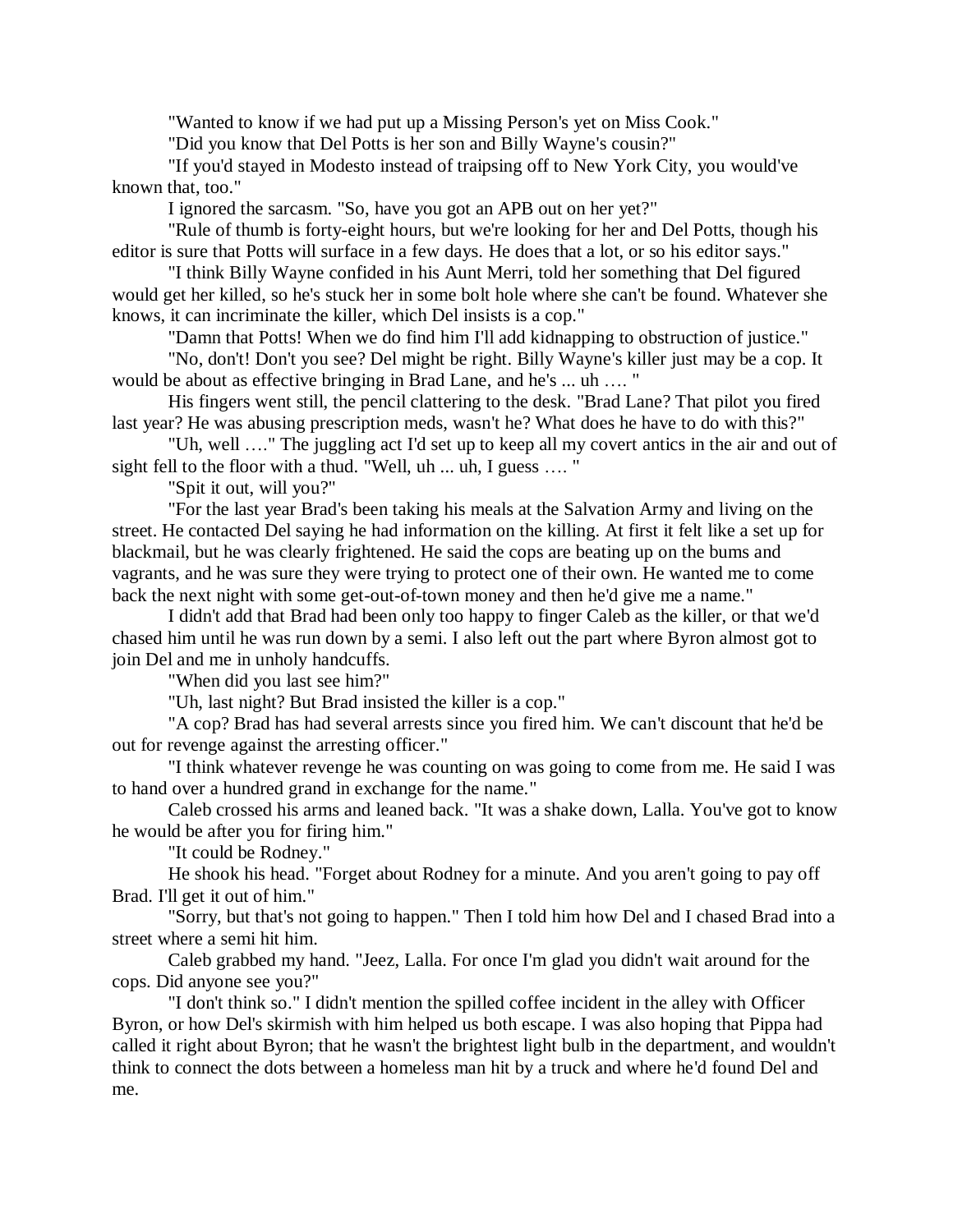"Wanted to know if we had put up a Missing Person's yet on Miss Cook."

"Did you know that Del Potts is her son and Billy Wayne's cousin?"

"If you'd stayed in Modesto instead of traipsing off to New York City, you would've known that, too."

I ignored the sarcasm. "So, have you got an APB out on her yet?"

"Rule of thumb is forty-eight hours, but we're looking for her and Del Potts, though his editor is sure that Potts will surface in a few days. He does that a lot, or so his editor says."

"I think Billy Wayne confided in his Aunt Merri, told her something that Del figured would get her killed, so he's stuck her in some bolt hole where she can't be found. Whatever she knows, it can incriminate the killer, which Del insists is a cop."

"Damn that Potts! When we do find him I'll add kidnapping to obstruction of justice."

"No, don't! Don't you see? Del might be right. Billy Wayne's killer just may be a cop. It would be about as effective bringing in Brad Lane, and he's ... uh …. "

His fingers went still, the pencil clattering to the desk. "Brad Lane? That pilot you fired last year? He was abusing prescription meds, wasn't he? What does he have to do with this?"

"Uh, well …." The juggling act I'd set up to keep all my covert antics in the air and out of sight fell to the floor with a thud. "Well, uh ... uh, I guess .... "

"Spit it out, will you?"

"For the last year Brad's been taking his meals at the Salvation Army and living on the street. He contacted Del saying he had information on the killing. At first it felt like a set up for blackmail, but he was clearly frightened. He said the cops are beating up on the bums and vagrants, and he was sure they were trying to protect one of their own. He wanted me to come back the next night with some get-out-of-town money and then he'd give me a name."

I didn't add that Brad had been only too happy to finger Caleb as the killer, or that we'd chased him until he was run down by a semi. I also left out the part where Byron almost got to join Del and me in unholy handcuffs.

"When did you last see him?"

"Uh, last night? But Brad insisted the killer is a cop."

"A cop? Brad has had several arrests since you fired him. We can't discount that he'd be out for revenge against the arresting officer."

"I think whatever revenge he was counting on was going to come from me. He said I was to hand over a hundred grand in exchange for the name."

Caleb crossed his arms and leaned back. "It was a shake down, Lalla. You've got to know he would be after you for firing him."

"It could be Rodney."

He shook his head. "Forget about Rodney for a minute. And you aren't going to pay off Brad. I'll get it out of him."

"Sorry, but that's not going to happen." Then I told him how Del and I chased Brad into a street where a semi hit him.

Caleb grabbed my hand. "Jeez, Lalla. For once I'm glad you didn't wait around for the cops. Did anyone see you?"

"I don't think so." I didn't mention the spilled coffee incident in the alley with Officer Byron, or how Del's skirmish with him helped us both escape. I was also hoping that Pippa had called it right about Byron; that he wasn't the brightest light bulb in the department, and wouldn't think to connect the dots between a homeless man hit by a truck and where he'd found Del and me.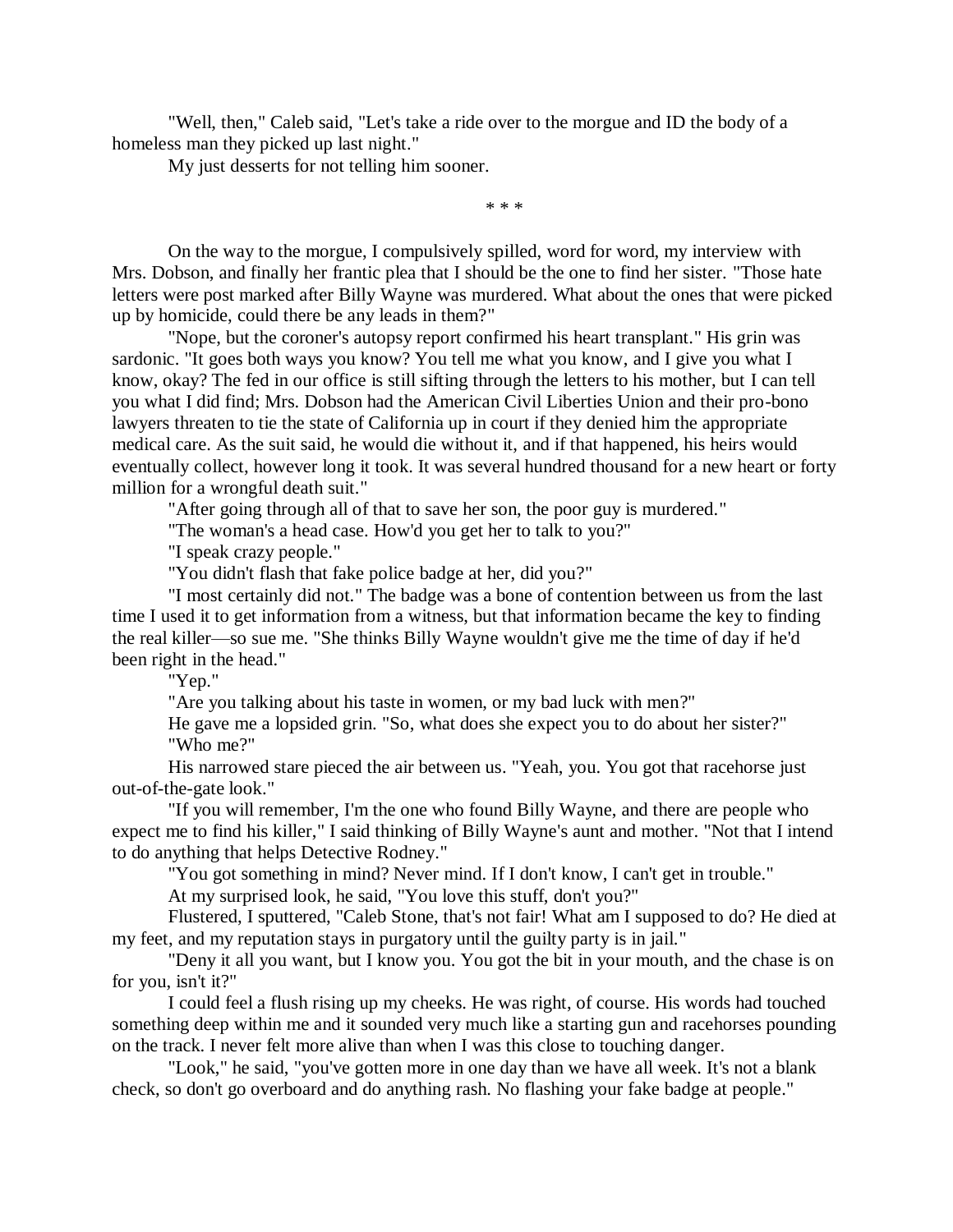"Well, then," Caleb said, "Let's take a ride over to the morgue and ID the body of a homeless man they picked up last night."

My just desserts for not telling him sooner.

\* \* \*

On the way to the morgue, I compulsively spilled, word for word, my interview with Mrs. Dobson, and finally her frantic plea that I should be the one to find her sister. "Those hate letters were post marked after Billy Wayne was murdered. What about the ones that were picked up by homicide, could there be any leads in them?"

"Nope, but the coroner's autopsy report confirmed his heart transplant." His grin was sardonic. "It goes both ways you know? You tell me what you know, and I give you what I know, okay? The fed in our office is still sifting through the letters to his mother, but I can tell you what I did find; Mrs. Dobson had the American Civil Liberties Union and their pro-bono lawyers threaten to tie the state of California up in court if they denied him the appropriate medical care. As the suit said, he would die without it, and if that happened, his heirs would eventually collect, however long it took. It was several hundred thousand for a new heart or forty million for a wrongful death suit."

"After going through all of that to save her son, the poor guy is murdered."

"The woman's a head case. How'd you get her to talk to you?"

"I speak crazy people."

"You didn't flash that fake police badge at her, did you?"

"I most certainly did not." The badge was a bone of contention between us from the last time I used it to get information from a witness, but that information became the key to finding the real killer—so sue me. "She thinks Billy Wayne wouldn't give me the time of day if he'd been right in the head."

"Yep."

"Are you talking about his taste in women, or my bad luck with men?"

He gave me a lopsided grin. "So, what does she expect you to do about her sister?" "Who me?"

His narrowed stare pieced the air between us. "Yeah, you. You got that racehorse just out-of-the-gate look."

"If you will remember, I'm the one who found Billy Wayne, and there are people who expect me to find his killer," I said thinking of Billy Wayne's aunt and mother. "Not that I intend to do anything that helps Detective Rodney."

"You got something in mind? Never mind. If I don't know, I can't get in trouble."

At my surprised look, he said, "You love this stuff, don't you?"

Flustered, I sputtered, "Caleb Stone, that's not fair! What am I supposed to do? He died at my feet, and my reputation stays in purgatory until the guilty party is in jail."

"Deny it all you want, but I know you. You got the bit in your mouth, and the chase is on for you, isn't it?"

I could feel a flush rising up my cheeks. He was right, of course. His words had touched something deep within me and it sounded very much like a starting gun and racehorses pounding on the track. I never felt more alive than when I was this close to touching danger.

"Look," he said, "you've gotten more in one day than we have all week. It's not a blank check, so don't go overboard and do anything rash. No flashing your fake badge at people."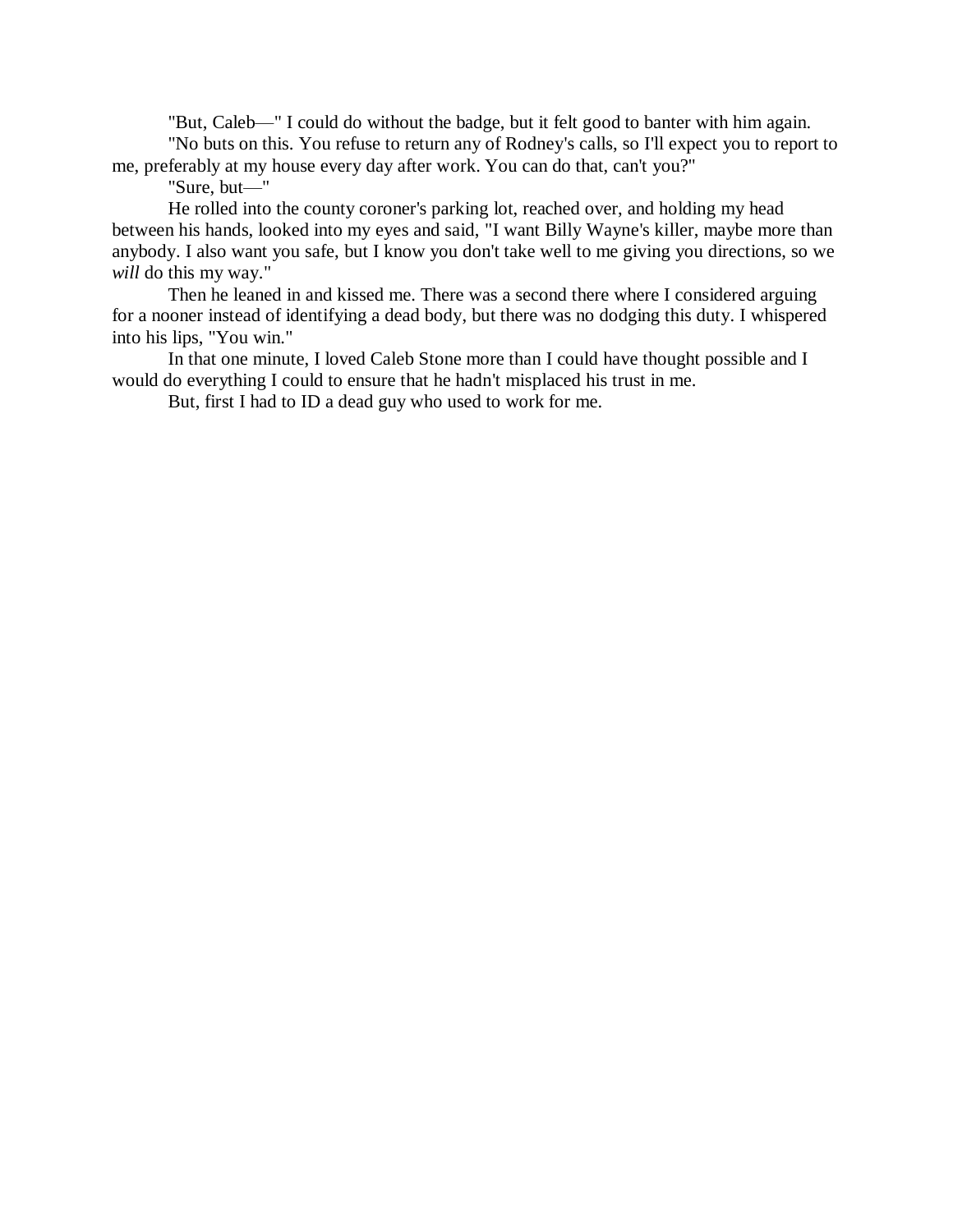"But, Caleb—" I could do without the badge, but it felt good to banter with him again.

"No buts on this. You refuse to return any of Rodney's calls, so I'll expect you to report to me, preferably at my house every day after work. You can do that, can't you?"

"Sure, but—"

He rolled into the county coroner's parking lot, reached over, and holding my head between his hands, looked into my eyes and said, "I want Billy Wayne's killer, maybe more than anybody. I also want you safe, but I know you don't take well to me giving you directions, so we will do this my way."

Then he leaned in and kissed me. There was a second there where I considered arguing for a nooner instead of identifying a dead body, but there was no dodging this duty. I whispered into his lips, "You win."

In that one minute, I loved Caleb Stone more than I could have thought possible and I would do everything I could to ensure that he hadn't misplaced his trust in me.

But, first I had to ID a dead guy who used to work for me.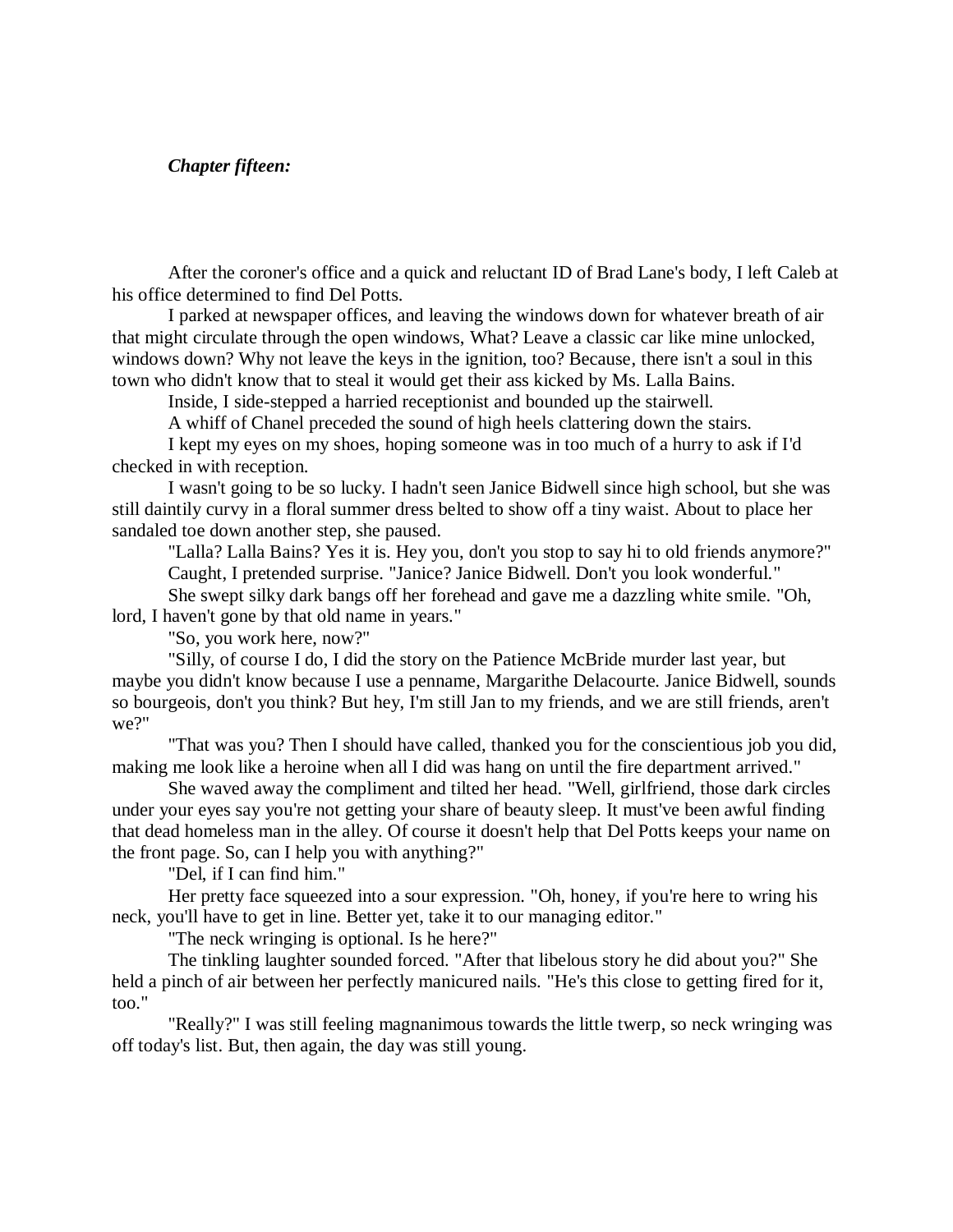# *Chapter fifteen:*

After the coroner's office and a quick and reluctant ID of Brad Lane's body, I left Caleb at his office determined to find Del Potts.

I parked at newspaper offices, and leaving the windows down for whatever breath of air that might circulate through the open windows, What? Leave a classic car like mine unlocked, windows down? Why not leave the keys in the ignition, too? Because, there isn't a soul in this town who didn't know that to steal it would get their ass kicked by Ms. Lalla Bains.

Inside, I side-stepped a harried receptionist and bounded up the stairwell.

A whiff of Chanel preceded the sound of high heels clattering down the stairs.

I kept my eyes on my shoes, hoping someone was in too much of a hurry to ask if I'd checked in with reception.

I wasn't going to be so lucky. I hadn't seen Janice Bidwell since high school, but she was still daintily curvy in a floral summer dress belted to show off a tiny waist. About to place her sandaled toe down another step, she paused.

"Lalla? Lalla Bains? Yes it is. Hey you, don't you stop to say hi to old friends anymore?" Caught, I pretended surprise. "Janice? Janice Bidwell. Don't you look wonderful."

She swept silky dark bangs off her forehead and gave me a dazzling white smile. "Oh, lord, I haven't gone by that old name in years."

"So, you work here, now?"

"Silly, of course I do, I did the story on the Patience McBride murder last year, but maybe you didn't know because I use a penname, Margarithe Delacourte. Janice Bidwell, sounds so bourgeois, don't you think? But hey, I'm still Jan to my friends, and we are still friends, aren't we?"

"That was you? Then I should have called, thanked you for the conscientious job you did, making me look like a heroine when all I did was hang on until the fire department arrived."

She waved away the compliment and tilted her head. "Well, girlfriend, those dark circles under your eyes say you're not getting your share of beauty sleep. It must've been awful finding that dead homeless man in the alley. Of course it doesn't help that Del Potts keeps your name on the front page. So, can I help you with anything?"

"Del, if I can find him."

Her pretty face squeezed into a sour expression. "Oh, honey, if you're here to wring his neck, you'll have to get in line. Better yet, take it to our managing editor."

"The neck wringing is optional. Is he here?"

The tinkling laughter sounded forced. "After that libelous story he did about you?" She held a pinch of air between her perfectly manicured nails. "He's this close to getting fired for it, too."

"Really?" I was still feeling magnanimous towards the little twerp, so neck wringing was off today's list. But, then again, the day was still young.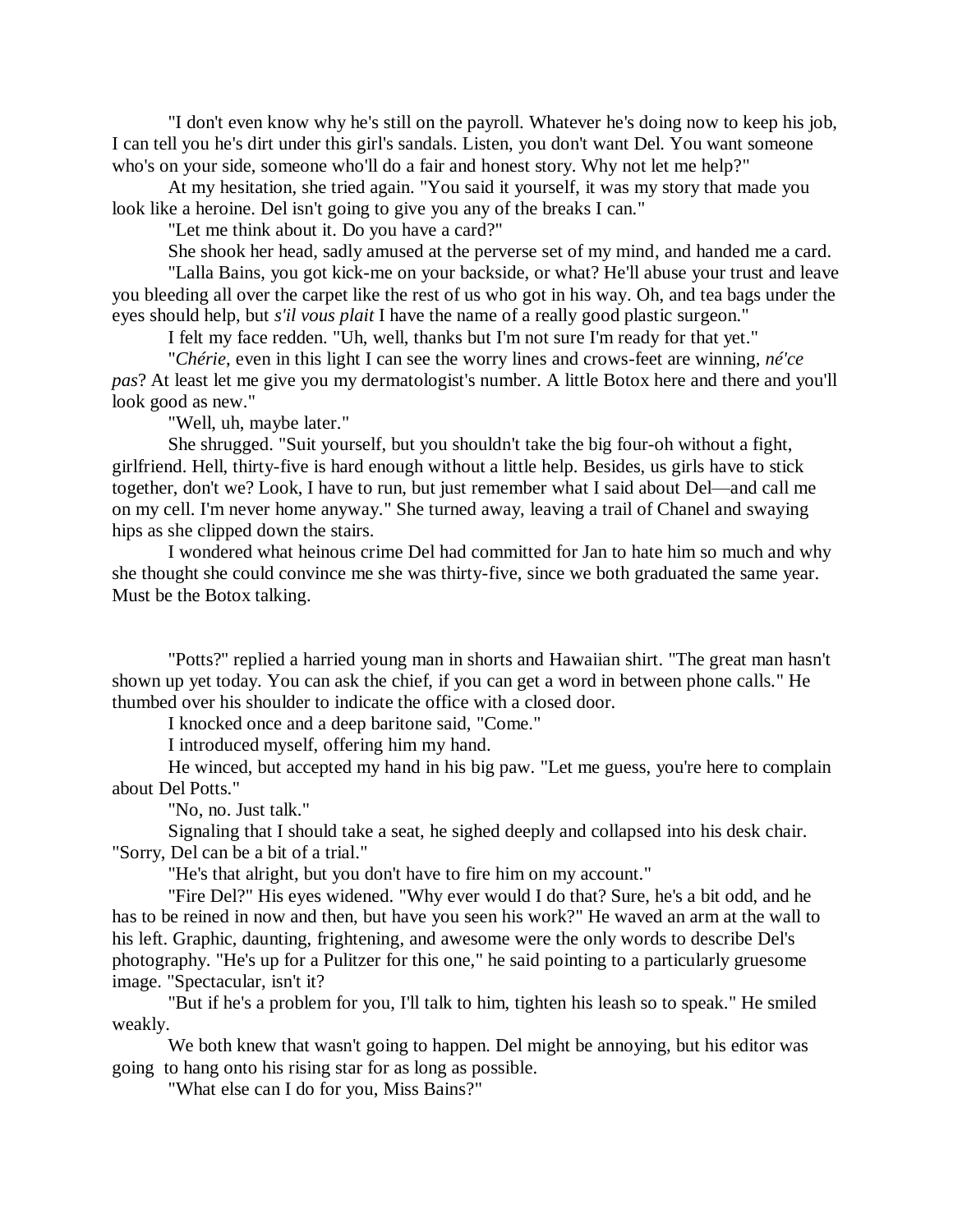"I don't even know why he's still on the payroll. Whatever he's doing now to keep his job, I can tell you he's dirt under this girl's sandals. Listen, you don't want Del. You want someone who's on your side, someone who'll do a fair and honest story. Why not let me help?"

At my hesitation, she tried again. "You said it yourself, it was my story that made you look like a heroine. Del isn't going to give you any of the breaks I can."

"Let me think about it. Do you have a card?"

She shook her head, sadly amused at the perverse set of my mind, and handed me a card. "Lalla Bains, you got kick-me on your backside, or what? He'll abuse your trust and leave you bleeding all over the carpet like the rest of us who got in his way. Oh, and tea bags under the

eyes should help, but *s'il vous plait* I have the name of a really good plastic surgeon." I felt my face redden. "Uh, well, thanks but I'm not sure I'm ready for that yet."

"*Chérie*, even in this light I can see the worry lines and crows-feet are winning, *né'ce pas*? At least let me give you my dermatologist's number. A little Botox here and there and you'll look good as new."

"Well, uh, maybe later."

She shrugged. "Suit yourself, but you shouldn't take the big four-oh without a fight, girlfriend. Hell, thirty-five is hard enough without a little help. Besides, us girls have to stick together, don't we? Look, I have to run, but just remember what I said about Del—and call me on my cell. I'm never home anyway." She turned away, leaving a trail of Chanel and swaying hips as she clipped down the stairs.

I wondered what heinous crime Del had committed for Jan to hate him so much and why she thought she could convince me she was thirty-five, since we both graduated the same year. Must be the Botox talking.

"Potts?" replied a harried young man in shorts and Hawaiian shirt. "The great man hasn't shown up yet today. You can ask the chief, if you can get a word in between phone calls." He thumbed over his shoulder to indicate the office with a closed door.

I knocked once and a deep baritone said, "Come."

I introduced myself, offering him my hand.

He winced, but accepted my hand in his big paw. "Let me guess, you're here to complain about Del Potts."

"No, no. Just talk."

Signaling that I should take a seat, he sighed deeply and collapsed into his desk chair. "Sorry, Del can be a bit of a trial."

"He's that alright, but you don't have to fire him on my account."

"Fire Del?" His eyes widened. "Why ever would I do that? Sure, he's a bit odd, and he has to be reined in now and then, but have you seen his work?" He waved an arm at the wall to his left. Graphic, daunting, frightening, and awesome were the only words to describe Del's photography. "He's up for a Pulitzer for this one," he said pointing to a particularly gruesome image. "Spectacular, isn't it?

"But if he's a problem for you, I'll talk to him, tighten his leash so to speak." He smiled weakly.

We both knew that wasn't going to happen. Del might be annoying, but his editor was going to hang onto his rising star for as long as possible.

"What else can I do for you, Miss Bains?"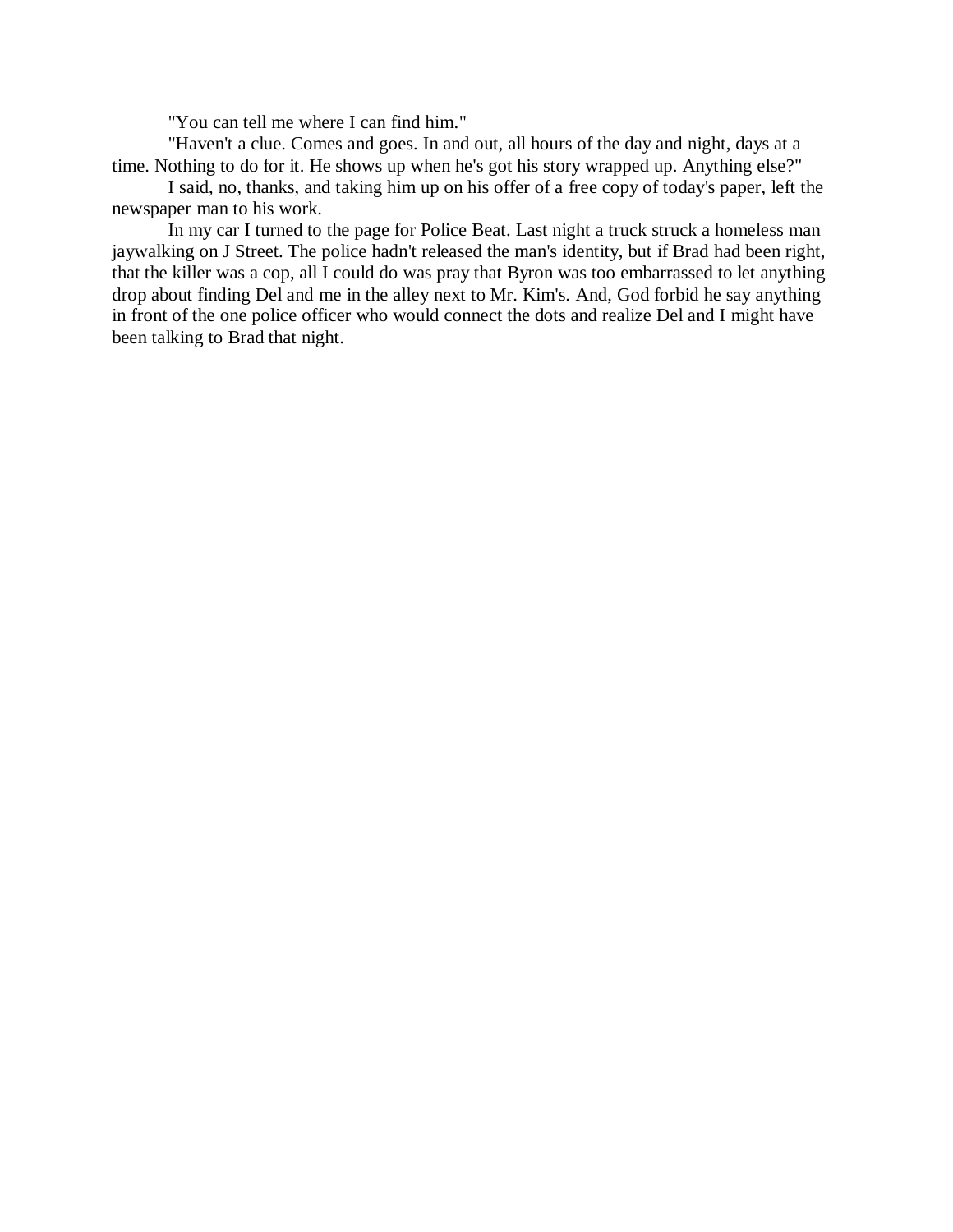"You can tell me where I can find him."

"Haven't a clue. Comes and goes. In and out, all hours of the day and night, days at a time. Nothing to do for it. He shows up when he's got his story wrapped up. Anything else?"

I said, no, thanks, and taking him up on his offer of a free copy of today's paper, left the newspaper man to his work.

In my car I turned to the page for Police Beat. Last night a truck struck a homeless man jaywalking on J Street. The police hadn't released the man's identity, but if Brad had been right, that the killer was a cop, all I could do was pray that Byron was too embarrassed to let anything drop about finding Del and me in the alley next to Mr. Kim's. And, God forbid he say anything in front of the one police officer who would connect the dots and realize Del and I might have been talking to Brad that night.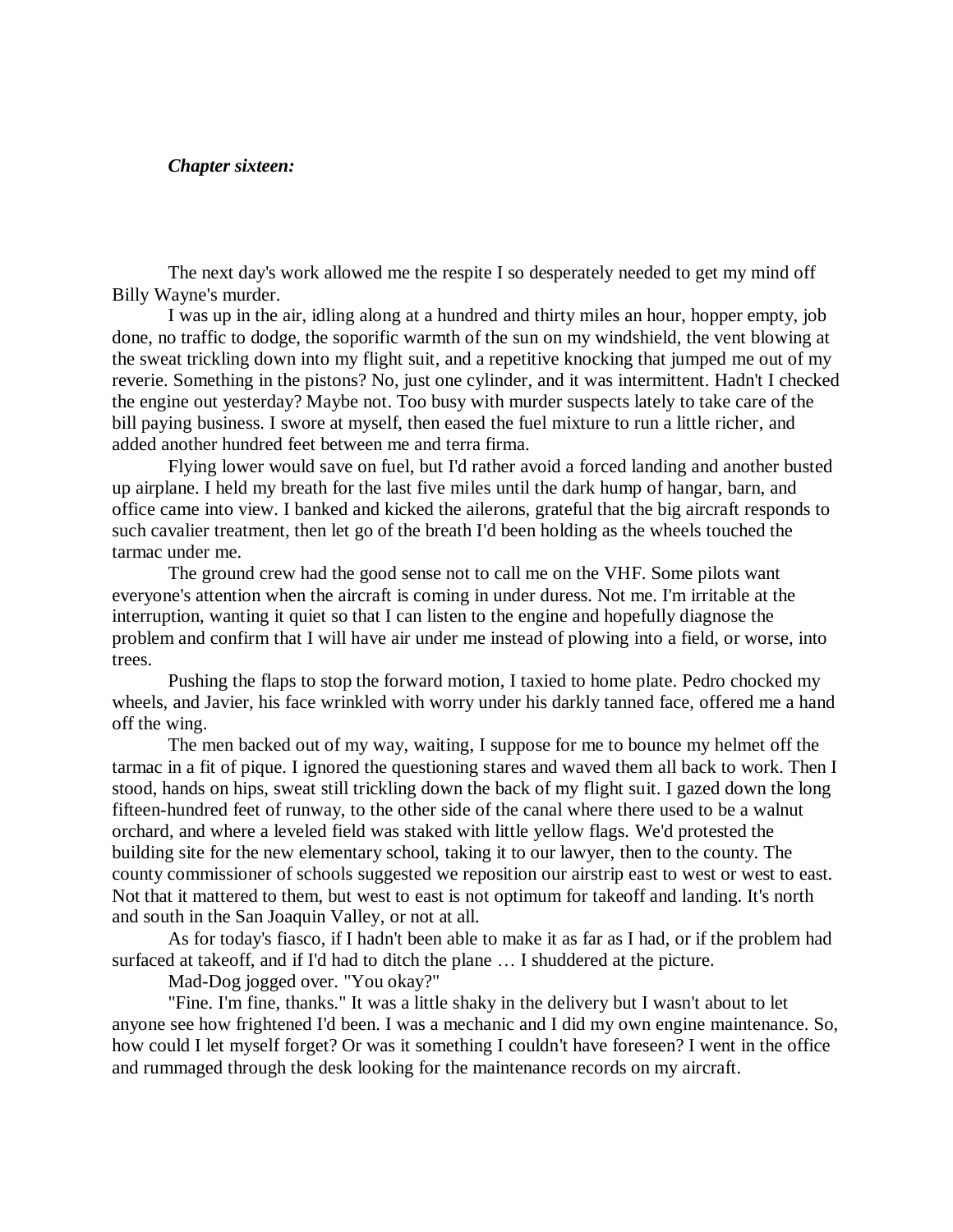## *Chapter sixteen:*

The next day's work allowed me the respite I so desperately needed to get my mind off Billy Wayne's murder.

I was up in the air, idling along at a hundred and thirty miles an hour, hopper empty, job done, no traffic to dodge, the soporific warmth of the sun on my windshield, the vent blowing at the sweat trickling down into my flight suit, and a repetitive knocking that jumped me out of my reverie. Something in the pistons? No, just one cylinder, and it was intermittent. Hadn't I checked the engine out yesterday? Maybe not. Too busy with murder suspects lately to take care of the bill paying business. I swore at myself, then eased the fuel mixture to run a little richer, and added another hundred feet between me and terra firma.

Flying lower would save on fuel, but I'd rather avoid a forced landing and another busted up airplane. I held my breath for the last five miles until the dark hump of hangar, barn, and office came into view. I banked and kicked the ailerons, grateful that the big aircraft responds to such cavalier treatment, then let go of the breath I'd been holding as the wheels touched the tarmac under me.

The ground crew had the good sense not to call me on the VHF. Some pilots want everyone's attention when the aircraft is coming in under duress. Not me. I'm irritable at the interruption, wanting it quiet so that I can listen to the engine and hopefully diagnose the problem and confirm that I will have air under me instead of plowing into a field, or worse, into trees.

Pushing the flaps to stop the forward motion, I taxied to home plate. Pedro chocked my wheels, and Javier, his face wrinkled with worry under his darkly tanned face, offered me a hand off the wing.

The men backed out of my way, waiting, I suppose for me to bounce my helmet off the tarmac in a fit of pique. I ignored the questioning stares and waved them all back to work. Then I stood, hands on hips, sweat still trickling down the back of my flight suit. I gazed down the long fifteen-hundred feet of runway, to the other side of the canal where there used to be a walnut orchard, and where a leveled field was staked with little yellow flags. We'd protested the building site for the new elementary school, taking it to our lawyer, then to the county. The county commissioner of schools suggested we reposition our airstrip east to west or west to east. Not that it mattered to them, but west to east is not optimum for takeoff and landing. It's north and south in the San Joaquin Valley, or not at all.

As for today's fiasco, if I hadn't been able to make it as far as I had, or if the problem had surfaced at takeoff, and if I'd had to ditch the plane … I shuddered at the picture.

Mad-Dog jogged over. "You okay?"

"Fine. I'm fine, thanks." It was a little shaky in the delivery but I wasn't about to let anyone see how frightened I'd been. I was a mechanic and I did my own engine maintenance. So, how could I let myself forget? Or was it something I couldn't have foreseen? I went in the office and rummaged through the desk looking for the maintenance records on my aircraft.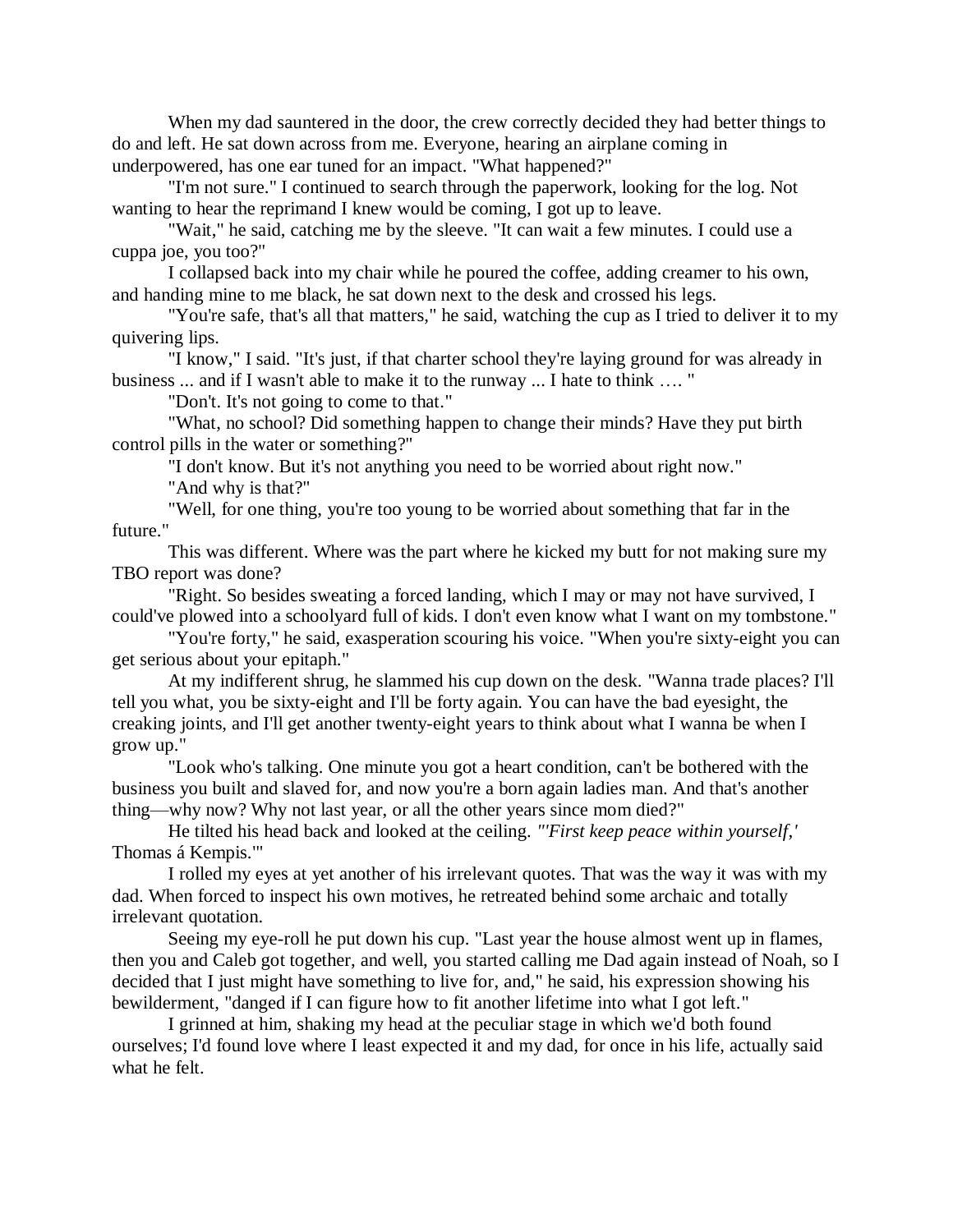When my dad sauntered in the door, the crew correctly decided they had better things to do and left. He sat down across from me. Everyone, hearing an airplane coming in underpowered, has one ear tuned for an impact. "What happened?"

"I'm not sure." I continued to search through the paperwork, looking for the log. Not wanting to hear the reprimand I knew would be coming, I got up to leave.

"Wait," he said, catching me by the sleeve. "It can wait a few minutes. I could use a cuppa joe, you too?"

I collapsed back into my chair while he poured the coffee, adding creamer to his own, and handing mine to me black, he sat down next to the desk and crossed his legs.

"You're safe, that's all that matters," he said, watching the cup as I tried to deliver it to my quivering lips.

"I know," I said. "It's just, if that charter school they're laying ground for was already in business ... and if I wasn't able to make it to the runway ... I hate to think …. "

"Don't. It's not going to come to that."

"What, no school? Did something happen to change their minds? Have they put birth control pills in the water or something?"

"I don't know. But it's not anything you need to be worried about right now."

"And why is that?"

"Well, for one thing, you're too young to be worried about something that far in the future."

This was different. Where was the part where he kicked my butt for not making sure my TBO report was done?

"Right. So besides sweating a forced landing, which I may or may not have survived, I could've plowed into a schoolyard full of kids. I don't even know what I want on my tombstone."

"You're forty," he said, exasperation scouring his voice. "When you're sixty-eight you can get serious about your epitaph."

At my indifferent shrug, he slammed his cup down on the desk. "Wanna trade places? I'll tell you what, you be sixty-eight and I'll be forty again. You can have the bad eyesight, the creaking joints, and I'll get another twenty-eight years to think about what I wanna be when I grow up."

"Look who's talking. One minute you got a heart condition, can't be bothered with the business you built and slaved for, and now you're a born again ladies man. And that's another thing—why now? Why not last year, or all the other years since mom died?"

He tilted his head back and looked at the ceiling. *"'First keep peace within yourself,'* Thomas á Kempis.'"

I rolled my eyes at yet another of his irrelevant quotes. That was the way it was with my dad. When forced to inspect his own motives, he retreated behind some archaic and totally irrelevant quotation.

Seeing my eye-roll he put down his cup. "Last year the house almost went up in flames, then you and Caleb got together, and well, you started calling me Dad again instead of Noah, so I decided that I just might have something to live for, and," he said, his expression showing his bewilderment, "danged if I can figure how to fit another lifetime into what I got left."

I grinned at him, shaking my head at the peculiar stage in which we'd both found ourselves; I'd found love where I least expected it and my dad, for once in his life, actually said what he felt.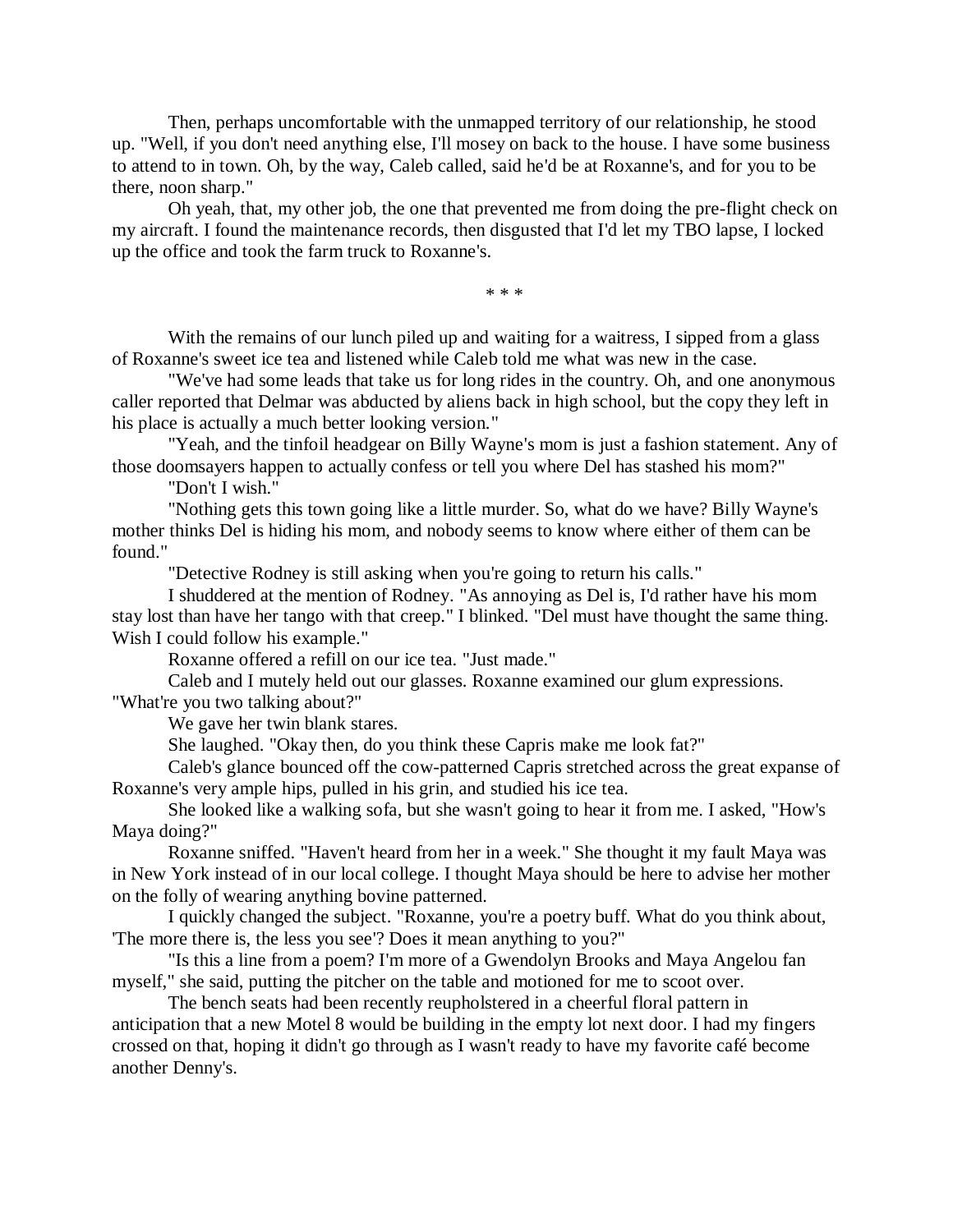Then, perhaps uncomfortable with the unmapped territory of our relationship, he stood up. "Well, if you don't need anything else, I'll mosey on back to the house. I have some business to attend to in town. Oh, by the way, Caleb called, said he'd be at Roxanne's, and for you to be there, noon sharp."

Oh yeah, that, my other job, the one that prevented me from doing the pre-flight check on my aircraft. I found the maintenance records, then disgusted that I'd let my TBO lapse, I locked up the office and took the farm truck to Roxanne's.

\* \* \*

With the remains of our lunch piled up and waiting for a waitress, I sipped from a glass of Roxanne's sweet ice tea and listened while Caleb told me what was new in the case.

"We've had some leads that take us for long rides in the country. Oh, and one anonymous caller reported that Delmar was abducted by aliens back in high school, but the copy they left in his place is actually a much better looking version."

"Yeah, and the tinfoil headgear on Billy Wayne's mom is just a fashion statement. Any of those doomsayers happen to actually confess or tell you where Del has stashed his mom?"

"Don't I wish."

"Nothing gets this town going like a little murder. So, what do we have? Billy Wayne's mother thinks Del is hiding his mom, and nobody seems to know where either of them can be found."

"Detective Rodney is still asking when you're going to return his calls."

I shuddered at the mention of Rodney. "As annoying as Del is, I'd rather have his mom stay lost than have her tango with that creep." I blinked. "Del must have thought the same thing. Wish I could follow his example."

Roxanne offered a refill on our ice tea. "Just made."

Caleb and I mutely held out our glasses. Roxanne examined our glum expressions. "What're you two talking about?"

We gave her twin blank stares.

She laughed. "Okay then, do you think these Capris make me look fat?"

Caleb's glance bounced off the cow-patterned Capris stretched across the great expanse of Roxanne's very ample hips, pulled in his grin, and studied his ice tea.

She looked like a walking sofa, but she wasn't going to hear it from me. I asked, "How's Maya doing?"

Roxanne sniffed. "Haven't heard from her in a week." She thought it my fault Maya was in New York instead of in our local college. I thought Maya should be here to advise her mother on the folly of wearing anything bovine patterned.

I quickly changed the subject. "Roxanne, you're a poetry buff. What do you think about, 'The more there is, the less you see'? Does it mean anything to you?"

"Is this a line from a poem? I'm more of a Gwendolyn Brooks and Maya Angelou fan myself," she said, putting the pitcher on the table and motioned for me to scoot over.

The bench seats had been recently reupholstered in a cheerful floral pattern in anticipation that a new Motel 8 would be building in the empty lot next door. I had my fingers crossed on that, hoping it didn't go through as I wasn't ready to have my favorite café become another Denny's.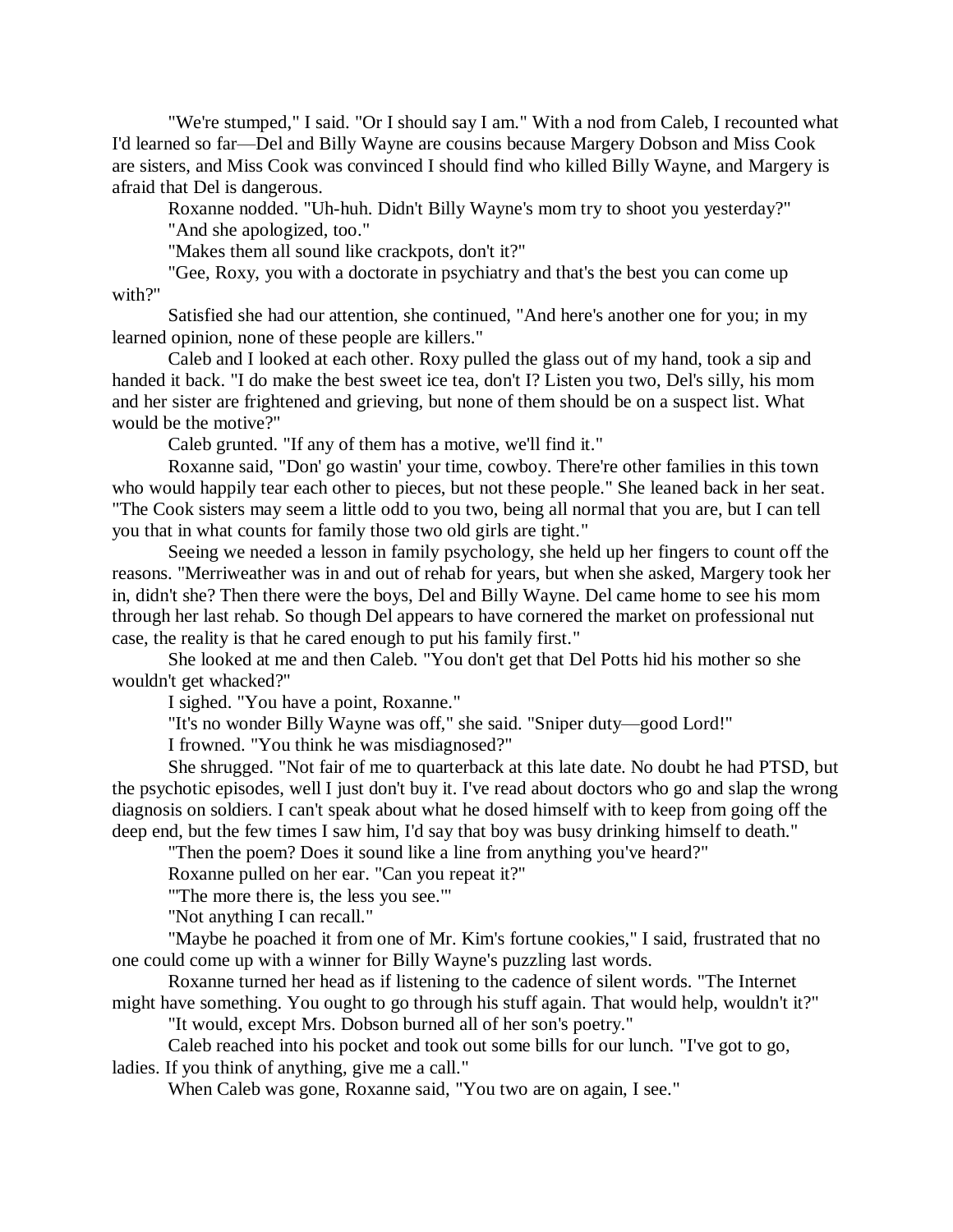"We're stumped," I said. "Or I should say I am." With a nod from Caleb, I recounted what I'd learned so far—Del and Billy Wayne are cousins because Margery Dobson and Miss Cook are sisters, and Miss Cook was convinced I should find who killed Billy Wayne, and Margery is afraid that Del is dangerous.

Roxanne nodded. "Uh-huh. Didn't Billy Wayne's mom try to shoot you yesterday?" "And she apologized, too."

"Makes them all sound like crackpots, don't it?"

"Gee, Roxy, you with a doctorate in psychiatry and that's the best you can come up with?"

Satisfied she had our attention, she continued, "And here's another one for you; in my learned opinion, none of these people are killers."

Caleb and I looked at each other. Roxy pulled the glass out of my hand, took a sip and handed it back. "I do make the best sweet ice tea, don't I? Listen you two, Del's silly, his mom and her sister are frightened and grieving, but none of them should be on a suspect list. What would be the motive?"

Caleb grunted. "If any of them has a motive, we'll find it."

Roxanne said, "Don' go wastin' your time, cowboy. There're other families in this town who would happily tear each other to pieces, but not these people." She leaned back in her seat. "The Cook sisters may seem a little odd to you two, being all normal that you are, but I can tell you that in what counts for family those two old girls are tight."

Seeing we needed a lesson in family psychology, she held up her fingers to count off the reasons. "Merriweather was in and out of rehab for years, but when she asked, Margery took her in, didn't she? Then there were the boys, Del and Billy Wayne. Del came home to see his mom through her last rehab. So though Del appears to have cornered the market on professional nut case, the reality is that he cared enough to put his family first."

She looked at me and then Caleb. "You don't get that Del Potts hid his mother so she wouldn't get whacked?"

I sighed. "You have a point, Roxanne."

"It's no wonder Billy Wayne was off," she said. "Sniper duty—good Lord!"

I frowned. "You think he was misdiagnosed?"

She shrugged. "Not fair of me to quarterback at this late date. No doubt he had PTSD, but the psychotic episodes, well I just don't buy it. I've read about doctors who go and slap the wrong diagnosis on soldiers. I can't speak about what he dosed himself with to keep from going off the deep end, but the few times I saw him, I'd say that boy was busy drinking himself to death."

"Then the poem? Does it sound like a line from anything you've heard?"

Roxanne pulled on her ear. "Can you repeat it?"

"'The more there is, the less you see.'"

"Not anything I can recall."

"Maybe he poached it from one of Mr. Kim's fortune cookies," I said, frustrated that no one could come up with a winner for Billy Wayne's puzzling last words.

Roxanne turned her head as if listening to the cadence of silent words. "The Internet might have something. You ought to go through his stuff again. That would help, wouldn't it?"

"It would, except Mrs. Dobson burned all of her son's poetry."

Caleb reached into his pocket and took out some bills for our lunch. "I've got to go, ladies. If you think of anything, give me a call."

When Caleb was gone, Roxanne said, "You two are on again, I see."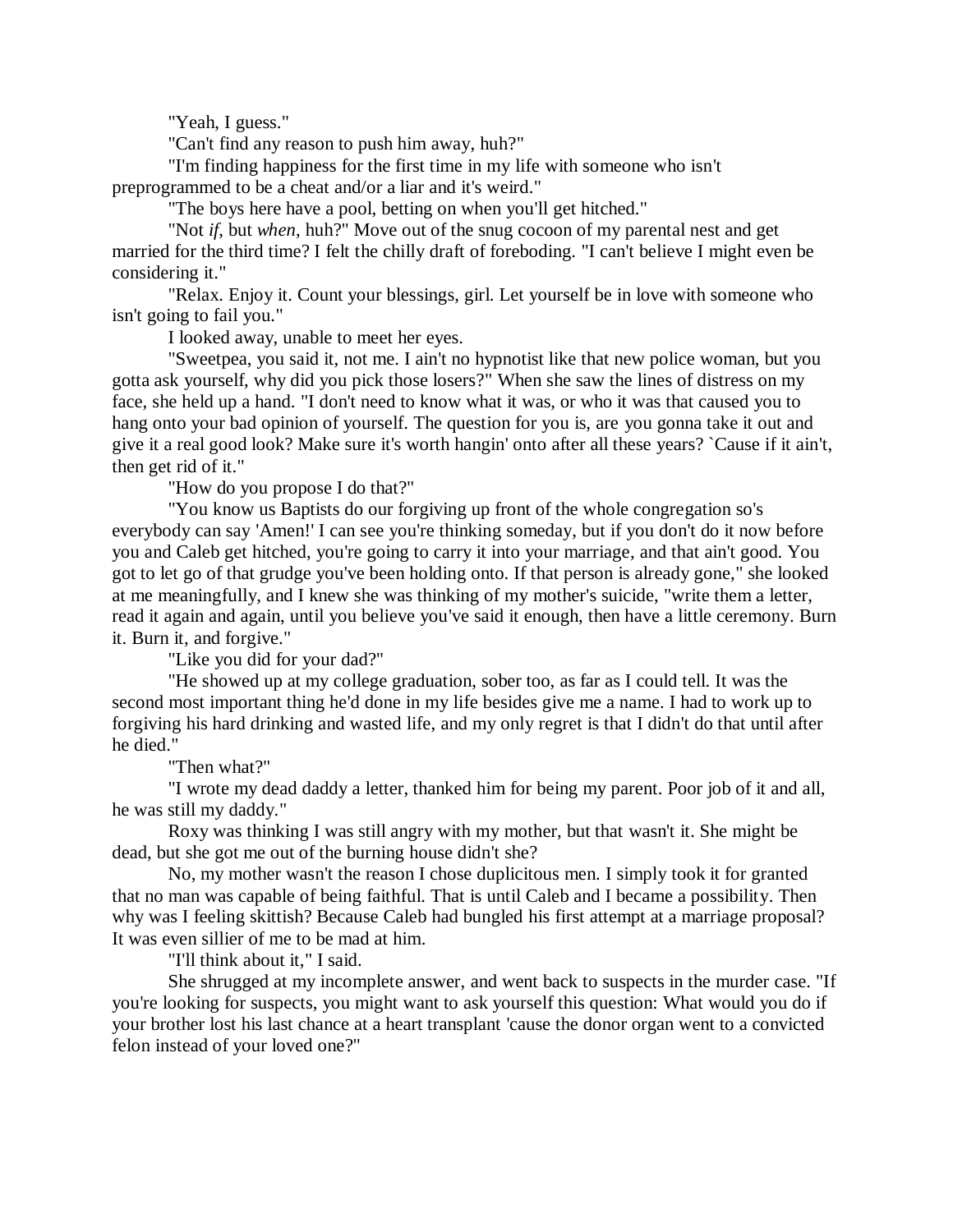"Yeah, I guess."

"Can't find any reason to push him away, huh?"

"I'm finding happiness for the first time in my life with someone who isn't preprogrammed to be a cheat and/or a liar and it's weird."

"The boys here have a pool, betting on when you'll get hitched."

"Not *if*, but *when*, huh?" Move out of the snug cocoon of my parental nest and get married for the third time? I felt the chilly draft of foreboding. "I can't believe I might even be considering it."

"Relax. Enjoy it. Count your blessings, girl. Let yourself be in love with someone who isn't going to fail you."

I looked away, unable to meet her eyes.

"Sweetpea, you said it, not me. I ain't no hypnotist like that new police woman, but you gotta ask yourself, why did you pick those losers?" When she saw the lines of distress on my face, she held up a hand. "I don't need to know what it was, or who it was that caused you to hang onto your bad opinion of yourself. The question for you is, are you gonna take it out and give it a real good look? Make sure it's worth hangin' onto after all these years? `Cause if it ain't, then get rid of it."

"How do you propose I do that?"

"You know us Baptists do our forgiving up front of the whole congregation so's everybody can say 'Amen!' I can see you're thinking someday, but if you don't do it now before you and Caleb get hitched, you're going to carry it into your marriage, and that ain't good. You got to let go of that grudge you've been holding onto. If that person is already gone," she looked at me meaningfully, and I knew she was thinking of my mother's suicide, "write them a letter, read it again and again, until you believe you've said it enough, then have a little ceremony. Burn it. Burn it, and forgive."

"Like you did for your dad?"

"He showed up at my college graduation, sober too, as far as I could tell. It was the second most important thing he'd done in my life besides give me a name. I had to work up to forgiving his hard drinking and wasted life, and my only regret is that I didn't do that until after he died."

"Then what?"

"I wrote my dead daddy a letter, thanked him for being my parent. Poor job of it and all, he was still my daddy."

Roxy was thinking I was still angry with my mother, but that wasn't it. She might be dead, but she got me out of the burning house didn't she?

No, my mother wasn't the reason I chose duplicitous men. I simply took it for granted that no man was capable of being faithful. That is until Caleb and I became a possibility. Then why was I feeling skittish? Because Caleb had bungled his first attempt at a marriage proposal? It was even sillier of me to be mad at him.

"I'll think about it," I said.

She shrugged at my incomplete answer, and went back to suspects in the murder case. "If you're looking for suspects, you might want to ask yourself this question: What would you do if your brother lost his last chance at a heart transplant 'cause the donor organ went to a convicted felon instead of your loved one?"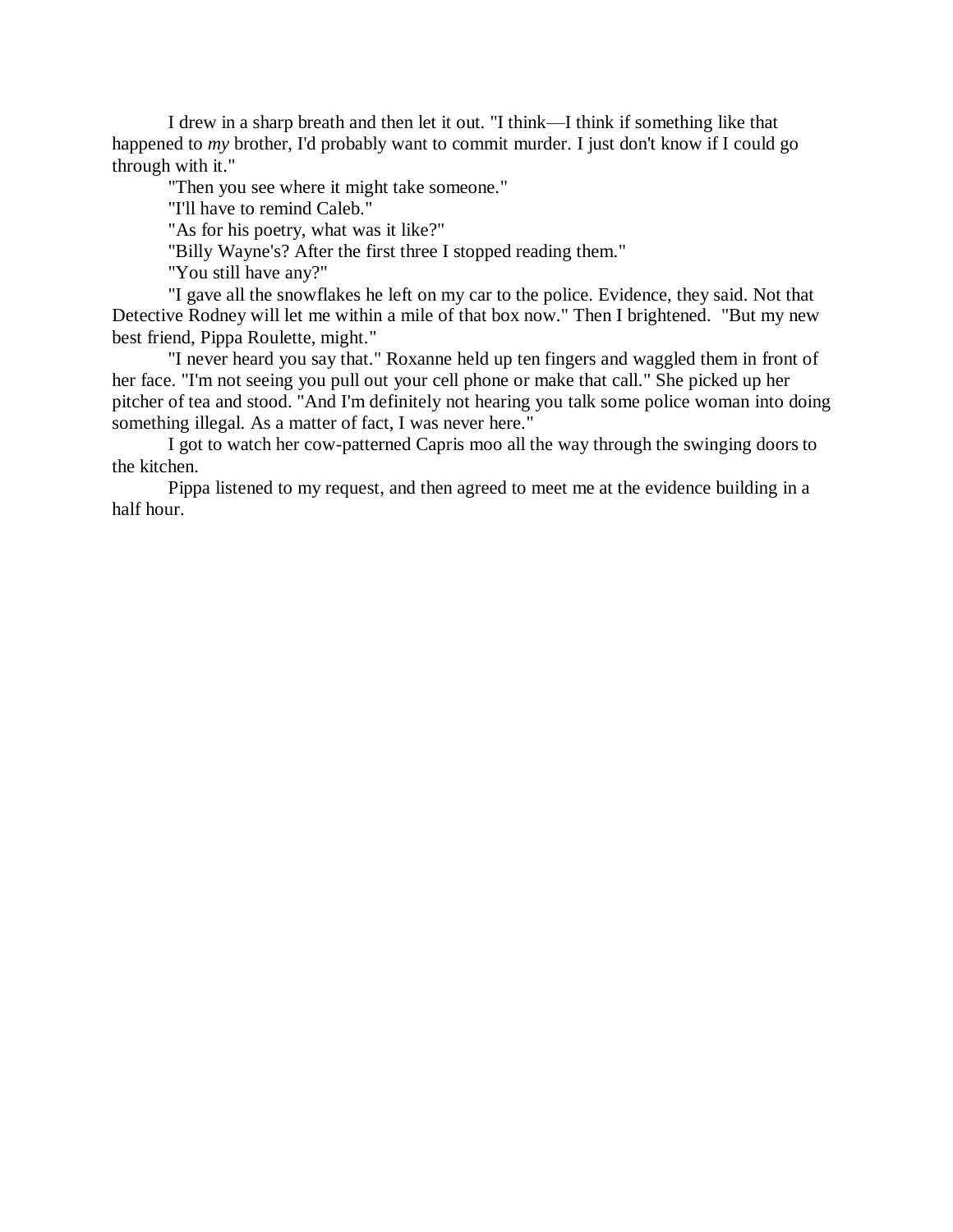I drew in a sharp breath and then let it out. "I think—I think if something like that happened to *my* brother, I'd probably want to commit murder. I just don't know if I could go through with it."

"Then you see where it might take someone."

"I'll have to remind Caleb."

"As for his poetry, what was it like?"

"Billy Wayne's? After the first three I stopped reading them."

"You still have any?"

"I gave all the snowflakes he left on my car to the police. Evidence, they said. Not that Detective Rodney will let me within a mile of that box now." Then I brightened. "But my new best friend, Pippa Roulette, might."

"I never heard you say that." Roxanne held up ten fingers and waggled them in front of her face. "I'm not seeing you pull out your cell phone or make that call." She picked up her pitcher of tea and stood. "And I'm definitely not hearing you talk some police woman into doing something illegal. As a matter of fact, I was never here."

I got to watch her cow-patterned Capris moo all the way through the swinging doors to the kitchen.

Pippa listened to my request, and then agreed to meet me at the evidence building in a half hour.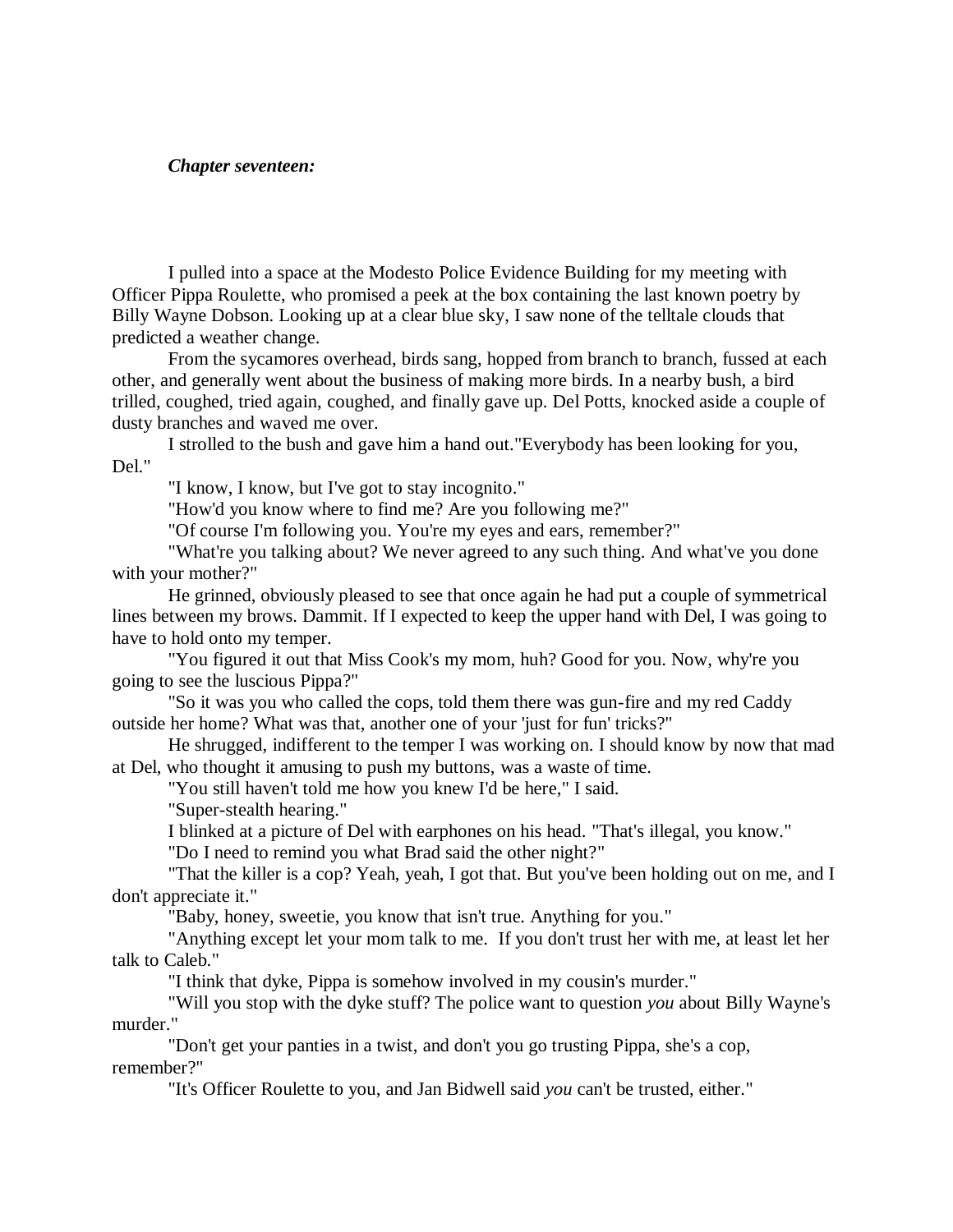## *Chapter seventeen:*

I pulled into a space at the Modesto Police Evidence Building for my meeting with Officer Pippa Roulette, who promised a peek at the box containing the last known poetry by Billy Wayne Dobson. Looking up at a clear blue sky, I saw none of the telltale clouds that predicted a weather change.

From the sycamores overhead, birds sang, hopped from branch to branch, fussed at each other, and generally went about the business of making more birds. In a nearby bush, a bird trilled, coughed, tried again, coughed, and finally gave up. Del Potts, knocked aside a couple of dusty branches and waved me over.

I strolled to the bush and gave him a hand out."Everybody has been looking for you, Del."

"I know, I know, but I've got to stay incognito."

"How'd you know where to find me? Are you following me?"

"Of course I'm following you. You're my eyes and ears, remember?"

"What're you talking about? We never agreed to any such thing. And what've you done with your mother?"

He grinned, obviously pleased to see that once again he had put a couple of symmetrical lines between my brows. Dammit. If I expected to keep the upper hand with Del, I was going to have to hold onto my temper.

"You figured it out that Miss Cook's my mom, huh? Good for you. Now, why're you going to see the luscious Pippa?"

"So it was you who called the cops, told them there was gun-fire and my red Caddy outside her home? What was that, another one of your 'just for fun' tricks?"

He shrugged, indifferent to the temper I was working on. I should know by now that mad at Del, who thought it amusing to push my buttons, was a waste of time.

"You still haven't told me how you knew I'd be here," I said.

"Super-stealth hearing."

I blinked at a picture of Del with earphones on his head. "That's illegal, you know."

"Do I need to remind you what Brad said the other night?"

"That the killer is a cop? Yeah, yeah, I got that. But you've been holding out on me, and I don't appreciate it."

"Baby, honey, sweetie, you know that isn't true. Anything for you."

"Anything except let your mom talk to me. If you don't trust her with me, at least let her talk to Caleb."

"I think that dyke, Pippa is somehow involved in my cousin's murder."

"Will you stop with the dyke stuff? The police want to question *you* about Billy Wayne's murder."

"Don't get your panties in a twist, and don't you go trusting Pippa, she's a cop, remember?"

"It's Officer Roulette to you, and Jan Bidwell said *you* can't be trusted, either."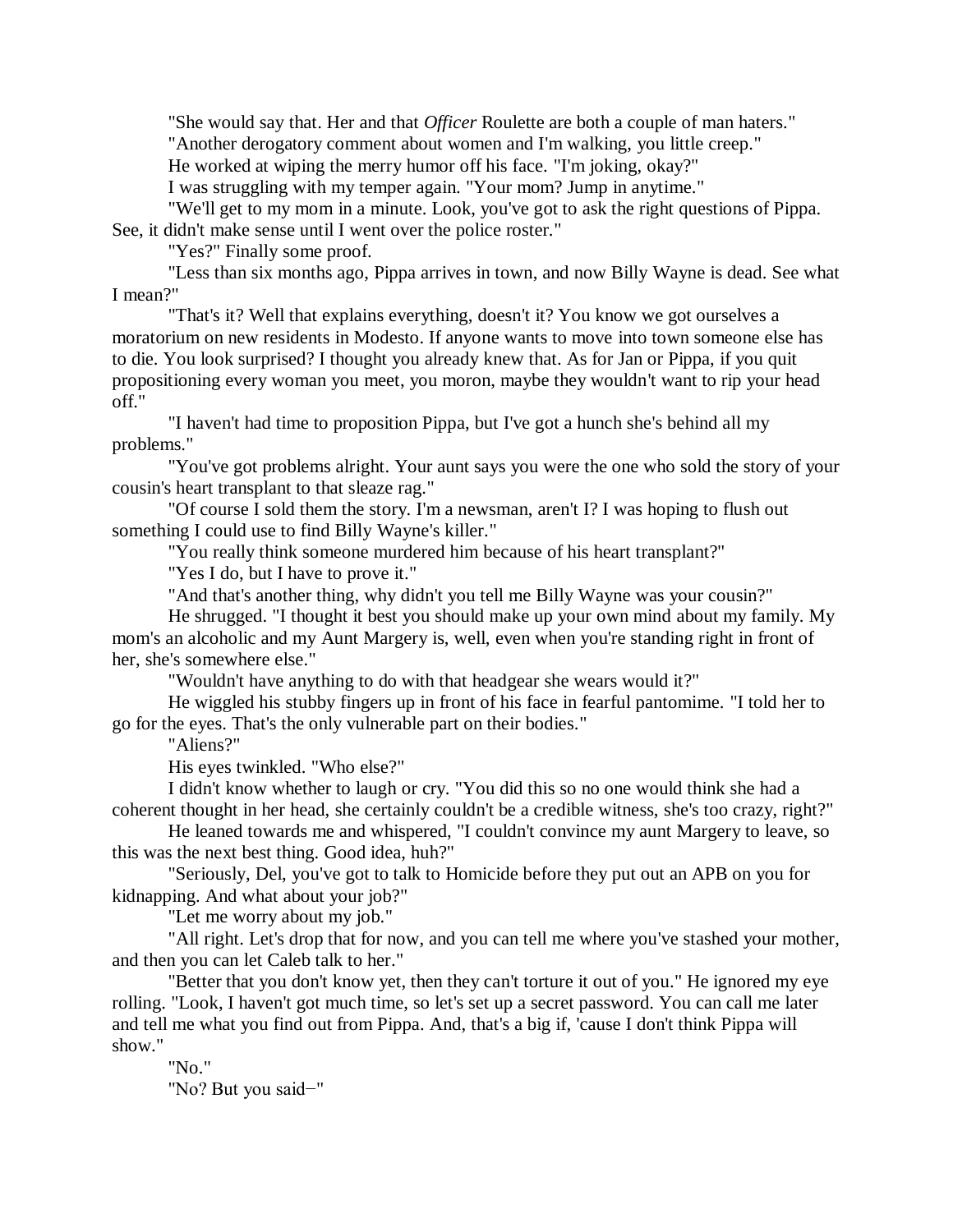"She would say that. Her and that *Officer* Roulette are both a couple of man haters." "Another derogatory comment about women and I'm walking, you little creep."

He worked at wiping the merry humor off his face. "I'm joking, okay?"

I was struggling with my temper again. "Your mom? Jump in anytime."

"We'll get to my mom in a minute. Look, you've got to ask the right questions of Pippa. See, it didn't make sense until I went over the police roster."

"Yes?" Finally some proof.

"Less than six months ago, Pippa arrives in town, and now Billy Wayne is dead. See what I mean?"

"That's it? Well that explains everything, doesn't it? You know we got ourselves a moratorium on new residents in Modesto. If anyone wants to move into town someone else has to die. You look surprised? I thought you already knew that. As for Jan or Pippa, if you quit propositioning every woman you meet, you moron, maybe they wouldn't want to rip your head off."

"I haven't had time to proposition Pippa, but I've got a hunch she's behind all my problems."

"You've got problems alright. Your aunt says you were the one who sold the story of your cousin's heart transplant to that sleaze rag."

"Of course I sold them the story. I'm a newsman, aren't I? I was hoping to flush out something I could use to find Billy Wayne's killer."

"You really think someone murdered him because of his heart transplant?"

"Yes I do, but I have to prove it."

"And that's another thing, why didn't you tell me Billy Wayne was your cousin?"

He shrugged. "I thought it best you should make up your own mind about my family. My mom's an alcoholic and my Aunt Margery is, well, even when you're standing right in front of her, she's somewhere else."

"Wouldn't have anything to do with that headgear she wears would it?"

He wiggled his stubby fingers up in front of his face in fearful pantomime. "I told her to go for the eyes. That's the only vulnerable part on their bodies."

"Aliens?"

His eyes twinkled. "Who else?"

I didn't know whether to laugh or cry. "You did this so no one would think she had a coherent thought in her head, she certainly couldn't be a credible witness, she's too crazy, right?"

He leaned towards me and whispered, "I couldn't convince my aunt Margery to leave, so this was the next best thing. Good idea, huh?"

"Seriously, Del, you've got to talk to Homicide before they put out an APB on you for kidnapping. And what about your job?"

"Let me worry about my job."

"All right. Let's drop that for now, and you can tell me where you've stashed your mother, and then you can let Caleb talk to her."

"Better that you don't know yet, then they can't torture it out of you." He ignored my eye rolling. "Look, I haven't got much time, so let's set up a secret password. You can call me later and tell me what you find out from Pippa. And, that's a big if, 'cause I don't think Pippa will show."

"No."

"No? But you said−"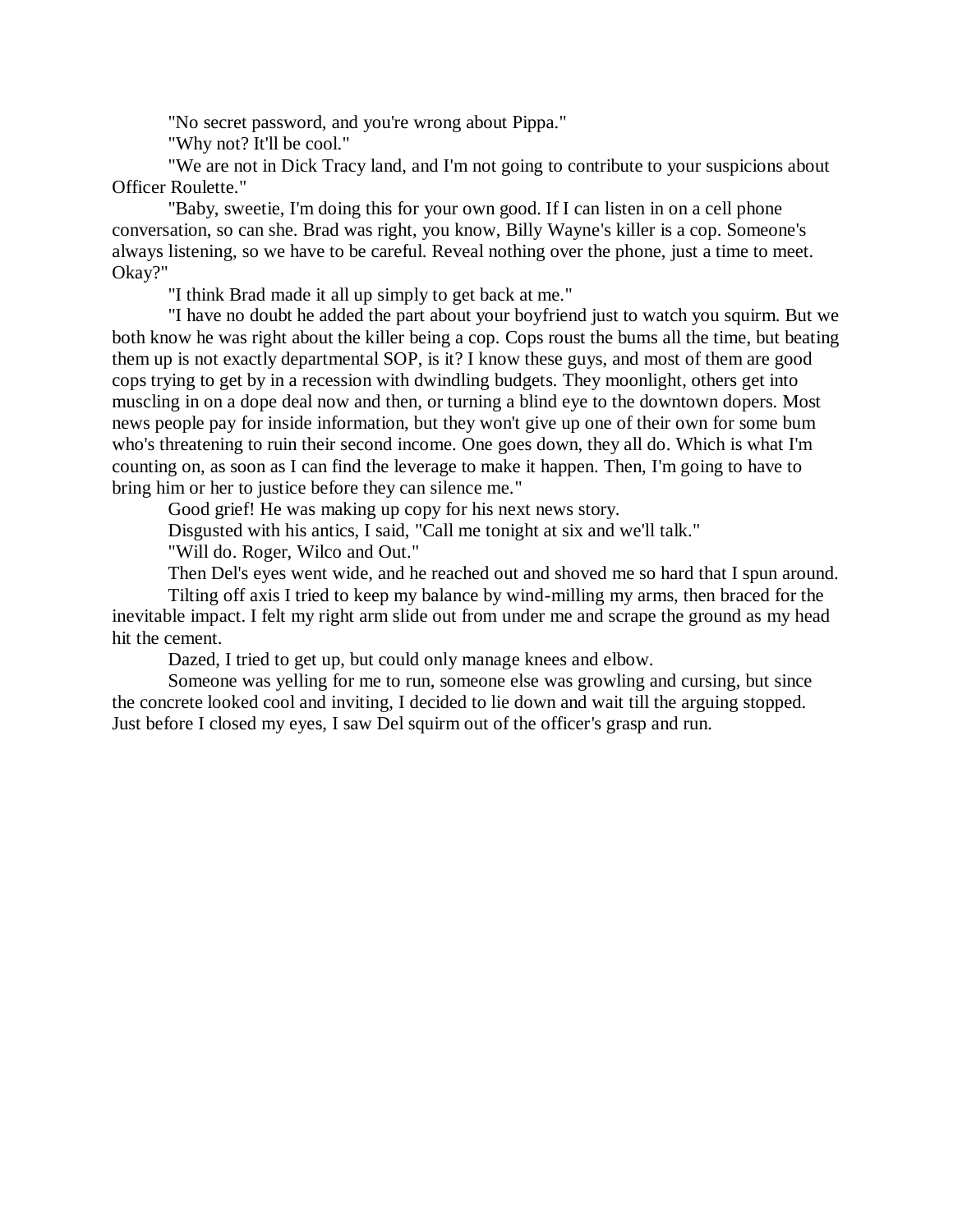"No secret password, and you're wrong about Pippa."

"Why not? It'll be cool."

"We are not in Dick Tracy land, and I'm not going to contribute to your suspicions about Officer Roulette."

"Baby, sweetie, I'm doing this for your own good. If I can listen in on a cell phone conversation, so can she. Brad was right, you know, Billy Wayne's killer is a cop. Someone's always listening, so we have to be careful. Reveal nothing over the phone, just a time to meet. Okay?"

"I think Brad made it all up simply to get back at me."

"I have no doubt he added the part about your boyfriend just to watch you squirm. But we both know he was right about the killer being a cop. Cops roust the bums all the time, but beating them up is not exactly departmental SOP, is it? I know these guys, and most of them are good cops trying to get by in a recession with dwindling budgets. They moonlight, others get into muscling in on a dope deal now and then, or turning a blind eye to the downtown dopers. Most news people pay for inside information, but they won't give up one of their own for some bum who's threatening to ruin their second income. One goes down, they all do. Which is what I'm counting on, as soon as I can find the leverage to make it happen. Then, I'm going to have to bring him or her to justice before they can silence me."

Good grief! He was making up copy for his next news story.

Disgusted with his antics, I said, "Call me tonight at six and we'll talk."

"Will do. Roger, Wilco and Out."

Then Del's eyes went wide, and he reached out and shoved me so hard that I spun around.

Tilting off axis I tried to keep my balance by wind-milling my arms, then braced for the inevitable impact. I felt my right arm slide out from under me and scrape the ground as my head hit the cement.

Dazed, I tried to get up, but could only manage knees and elbow.

Someone was yelling for me to run, someone else was growling and cursing, but since the concrete looked cool and inviting, I decided to lie down and wait till the arguing stopped. Just before I closed my eyes, I saw Del squirm out of the officer's grasp and run.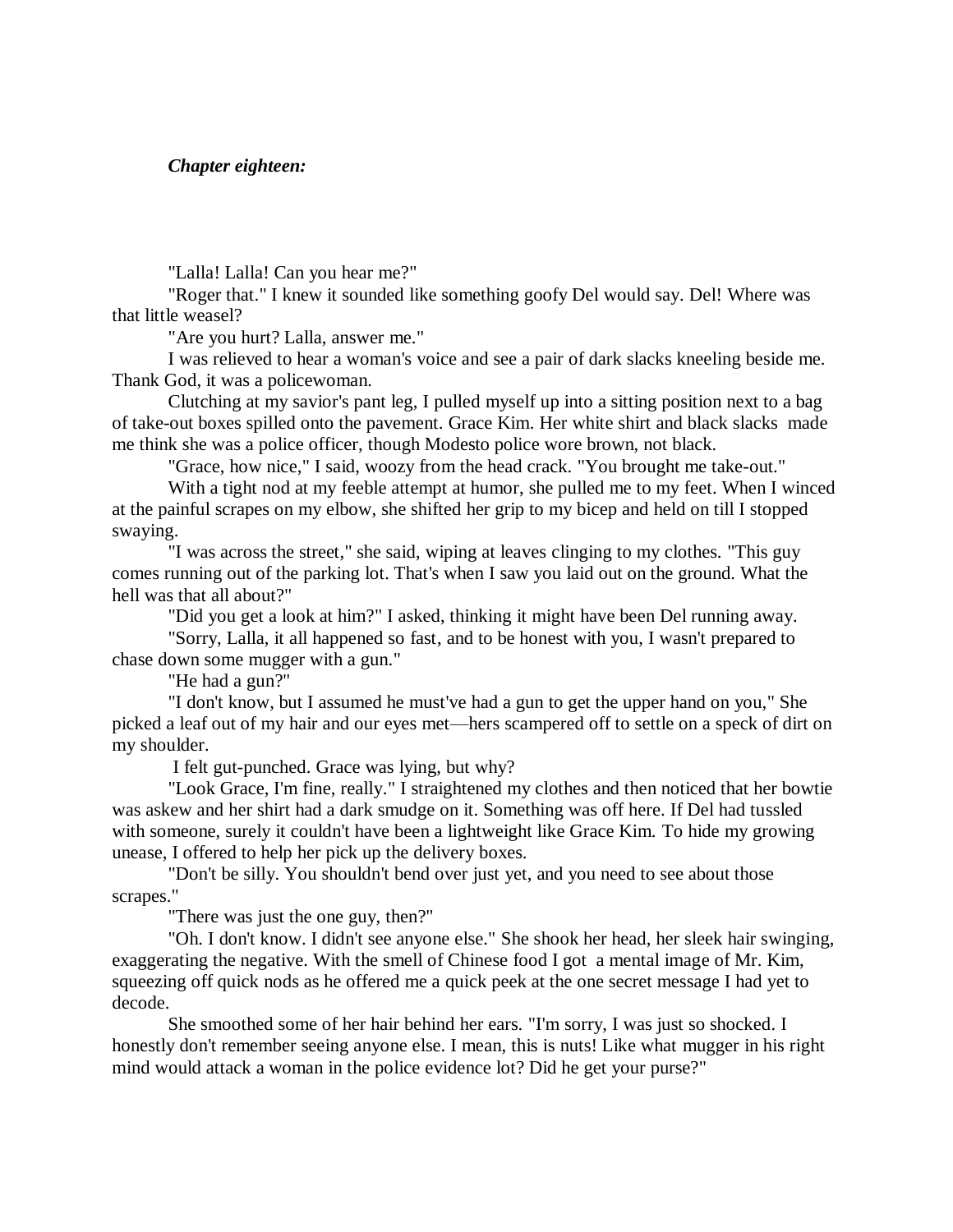*Chapter eighteen:*

"Lalla! Lalla! Can you hear me?"

"Roger that." I knew it sounded like something goofy Del would say. Del! Where was that little weasel?

"Are you hurt? Lalla, answer me."

I was relieved to hear a woman's voice and see a pair of dark slacks kneeling beside me. Thank God, it was a policewoman.

Clutching at my savior's pant leg, I pulled myself up into a sitting position next to a bag of take-out boxes spilled onto the pavement. Grace Kim. Her white shirt and black slacks made me think she was a police officer, though Modesto police wore brown, not black.

"Grace, how nice," I said, woozy from the head crack. "You brought me take-out."

With a tight nod at my feeble attempt at humor, she pulled me to my feet. When I winced at the painful scrapes on my elbow, she shifted her grip to my bicep and held on till I stopped swaying.

"I was across the street," she said, wiping at leaves clinging to my clothes. "This guy comes running out of the parking lot. That's when I saw you laid out on the ground. What the hell was that all about?"

"Did you get a look at him?" I asked, thinking it might have been Del running away.

"Sorry, Lalla, it all happened so fast, and to be honest with you, I wasn't prepared to chase down some mugger with a gun."

"He had a gun?"

"I don't know, but I assumed he must've had a gun to get the upper hand on you," She picked a leaf out of my hair and our eyes met—hers scampered off to settle on a speck of dirt on my shoulder.

I felt gut-punched. Grace was lying, but why?

"Look Grace, I'm fine, really." I straightened my clothes and then noticed that her bowtie was askew and her shirt had a dark smudge on it. Something was off here. If Del had tussled with someone, surely it couldn't have been a lightweight like Grace Kim. To hide my growing unease, I offered to help her pick up the delivery boxes.

"Don't be silly. You shouldn't bend over just yet, and you need to see about those scrapes."

"There was just the one guy, then?"

"Oh. I don't know. I didn't see anyone else." She shook her head, her sleek hair swinging, exaggerating the negative. With the smell of Chinese food I got a mental image of Mr. Kim, squeezing off quick nods as he offered me a quick peek at the one secret message I had yet to decode.

She smoothed some of her hair behind her ears. "I'm sorry, I was just so shocked. I honestly don't remember seeing anyone else. I mean, this is nuts! Like what mugger in his right mind would attack a woman in the police evidence lot? Did he get your purse?"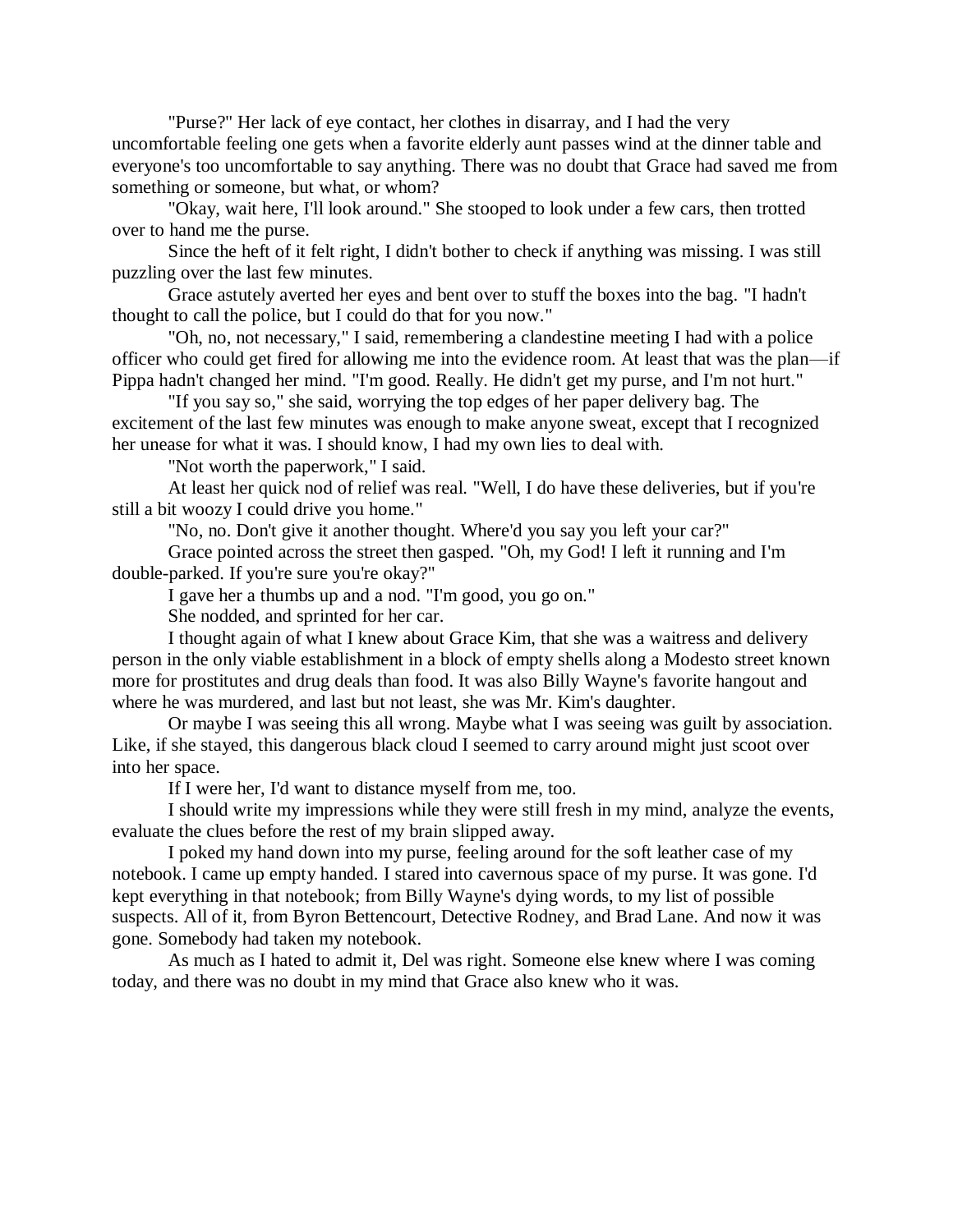"Purse?" Her lack of eye contact, her clothes in disarray, and I had the very uncomfortable feeling one gets when a favorite elderly aunt passes wind at the dinner table and everyone's too uncomfortable to say anything. There was no doubt that Grace had saved me from something or someone, but what, or whom?

"Okay, wait here, I'll look around." She stooped to look under a few cars, then trotted over to hand me the purse.

Since the heft of it felt right, I didn't bother to check if anything was missing. I was still puzzling over the last few minutes.

Grace astutely averted her eyes and bent over to stuff the boxes into the bag. "I hadn't thought to call the police, but I could do that for you now."

"Oh, no, not necessary," I said, remembering a clandestine meeting I had with a police officer who could get fired for allowing me into the evidence room. At least that was the plan—if Pippa hadn't changed her mind. "I'm good. Really. He didn't get my purse, and I'm not hurt."

"If you say so," she said, worrying the top edges of her paper delivery bag. The excitement of the last few minutes was enough to make anyone sweat, except that I recognized her unease for what it was. I should know, I had my own lies to deal with.

"Not worth the paperwork," I said.

At least her quick nod of relief was real. "Well, I do have these deliveries, but if you're still a bit woozy I could drive you home."

"No, no. Don't give it another thought. Where'd you say you left your car?"

Grace pointed across the street then gasped. "Oh, my God! I left it running and I'm double-parked. If you're sure you're okay?"

I gave her a thumbs up and a nod. "I'm good, you go on."

She nodded, and sprinted for her car.

I thought again of what I knew about Grace Kim, that she was a waitress and delivery person in the only viable establishment in a block of empty shells along a Modesto street known more for prostitutes and drug deals than food. It was also Billy Wayne's favorite hangout and where he was murdered, and last but not least, she was Mr. Kim's daughter.

Or maybe I was seeing this all wrong. Maybe what I was seeing was guilt by association. Like, if she stayed, this dangerous black cloud I seemed to carry around might just scoot over into her space.

If I were her, I'd want to distance myself from me, too.

I should write my impressions while they were still fresh in my mind, analyze the events, evaluate the clues before the rest of my brain slipped away.

I poked my hand down into my purse, feeling around for the soft leather case of my notebook. I came up empty handed. I stared into cavernous space of my purse. It was gone. I'd kept everything in that notebook; from Billy Wayne's dying words, to my list of possible suspects. All of it, from Byron Bettencourt, Detective Rodney, and Brad Lane. And now it was gone. Somebody had taken my notebook.

As much as I hated to admit it, Del was right. Someone else knew where I was coming today, and there was no doubt in my mind that Grace also knew who it was.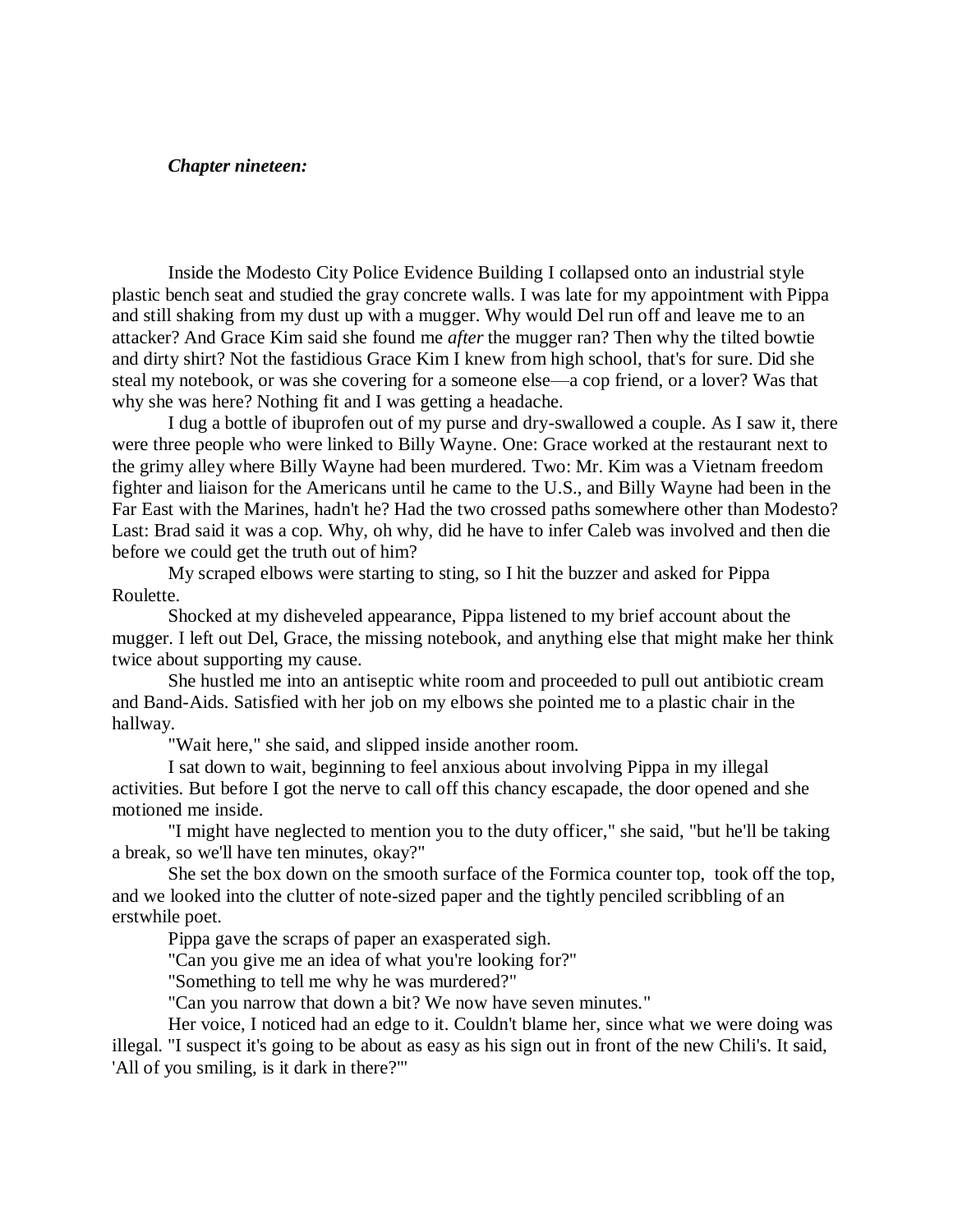## *Chapter nineteen:*

Inside the Modesto City Police Evidence Building I collapsed onto an industrial style plastic bench seat and studied the gray concrete walls. I was late for my appointment with Pippa and still shaking from my dust up with a mugger. Why would Del run off and leave me to an attacker? And Grace Kim said she found me *after* the mugger ran? Then why the tilted bowtie and dirty shirt? Not the fastidious Grace Kim I knew from high school, that's for sure. Did she steal my notebook, or was she covering for a someone else—a cop friend, or a lover? Was that why she was here? Nothing fit and I was getting a headache.

I dug a bottle of ibuprofen out of my purse and dry-swallowed a couple. As I saw it, there were three people who were linked to Billy Wayne. One: Grace worked at the restaurant next to the grimy alley where Billy Wayne had been murdered. Two: Mr. Kim was a Vietnam freedom fighter and liaison for the Americans until he came to the U.S., and Billy Wayne had been in the Far East with the Marines, hadn't he? Had the two crossed paths somewhere other than Modesto? Last: Brad said it was a cop. Why, oh why, did he have to infer Caleb was involved and then die before we could get the truth out of him?

My scraped elbows were starting to sting, so I hit the buzzer and asked for Pippa Roulette.

Shocked at my disheveled appearance, Pippa listened to my brief account about the mugger. I left out Del, Grace, the missing notebook, and anything else that might make her think twice about supporting my cause.

She hustled me into an antiseptic white room and proceeded to pull out antibiotic cream and Band-Aids. Satisfied with her job on my elbows she pointed me to a plastic chair in the hallway.

"Wait here," she said, and slipped inside another room.

I sat down to wait, beginning to feel anxious about involving Pippa in my illegal activities. But before I got the nerve to call off this chancy escapade, the door opened and she motioned me inside.

"I might have neglected to mention you to the duty officer," she said, "but he'll be taking a break, so we'll have ten minutes, okay?"

She set the box down on the smooth surface of the Formica counter top, took off the top, and we looked into the clutter of note-sized paper and the tightly penciled scribbling of an erstwhile poet.

Pippa gave the scraps of paper an exasperated sigh.

"Can you give me an idea of what you're looking for?"

"Something to tell me why he was murdered?"

"Can you narrow that down a bit? We now have seven minutes."

Her voice, I noticed had an edge to it. Couldn't blame her, since what we were doing was illegal. "I suspect it's going to be about as easy as his sign out in front of the new Chili's. It said, 'All of you smiling, is it dark in there?'"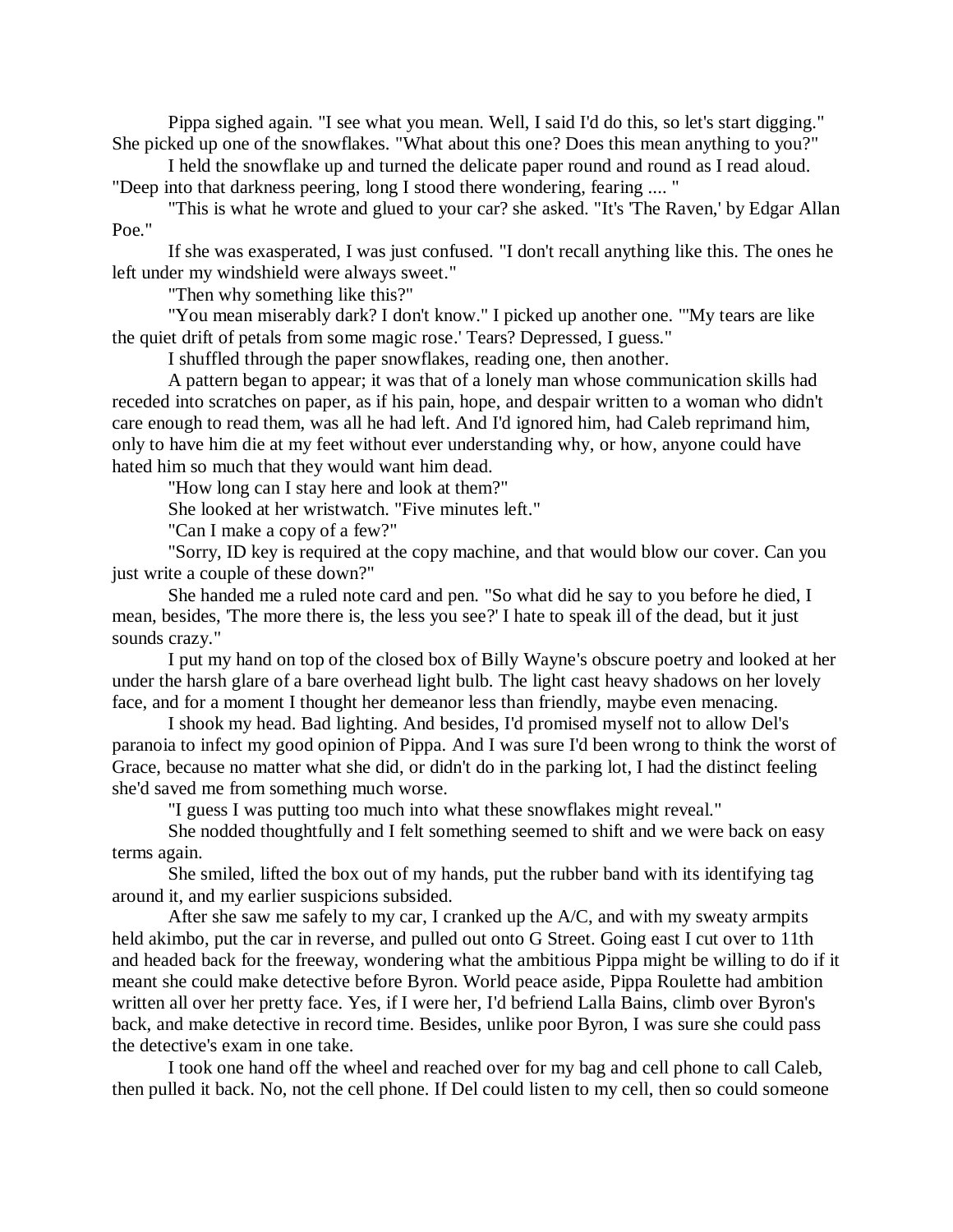Pippa sighed again. "I see what you mean. Well, I said I'd do this, so let's start digging." She picked up one of the snowflakes. "What about this one? Does this mean anything to you?"

I held the snowflake up and turned the delicate paper round and round as I read aloud. "Deep into that darkness peering, long I stood there wondering, fearing .... "

"This is what he wrote and glued to your car? she asked. "It's 'The Raven,' by Edgar Allan Poe."

If she was exasperated, I was just confused. "I don't recall anything like this. The ones he left under my windshield were always sweet."

"Then why something like this?"

"You mean miserably dark? I don't know." I picked up another one. "'My tears are like the quiet drift of petals from some magic rose.' Tears? Depressed, I guess."

I shuffled through the paper snowflakes, reading one, then another.

A pattern began to appear; it was that of a lonely man whose communication skills had receded into scratches on paper, as if his pain, hope, and despair written to a woman who didn't care enough to read them, was all he had left. And I'd ignored him, had Caleb reprimand him, only to have him die at my feet without ever understanding why, or how, anyone could have hated him so much that they would want him dead.

"How long can I stay here and look at them?"

She looked at her wristwatch. "Five minutes left."

"Can I make a copy of a few?"

"Sorry, ID key is required at the copy machine, and that would blow our cover. Can you just write a couple of these down?"

She handed me a ruled note card and pen. "So what did he say to you before he died, I mean, besides, 'The more there is, the less you see?' I hate to speak ill of the dead, but it just sounds crazy."

I put my hand on top of the closed box of Billy Wayne's obscure poetry and looked at her under the harsh glare of a bare overhead light bulb. The light cast heavy shadows on her lovely face, and for a moment I thought her demeanor less than friendly, maybe even menacing.

I shook my head. Bad lighting. And besides, I'd promised myself not to allow Del's paranoia to infect my good opinion of Pippa. And I was sure I'd been wrong to think the worst of Grace, because no matter what she did, or didn't do in the parking lot, I had the distinct feeling she'd saved me from something much worse.

"I guess I was putting too much into what these snowflakes might reveal."

She nodded thoughtfully and I felt something seemed to shift and we were back on easy terms again.

She smiled, lifted the box out of my hands, put the rubber band with its identifying tag around it, and my earlier suspicions subsided.

After she saw me safely to my car, I cranked up the A/C, and with my sweaty armpits held akimbo, put the car in reverse, and pulled out onto G Street. Going east I cut over to 11th and headed back for the freeway, wondering what the ambitious Pippa might be willing to do if it meant she could make detective before Byron. World peace aside, Pippa Roulette had ambition written all over her pretty face. Yes, if I were her, I'd befriend Lalla Bains, climb over Byron's back, and make detective in record time. Besides, unlike poor Byron, I was sure she could pass the detective's exam in one take.

I took one hand off the wheel and reached over for my bag and cell phone to call Caleb, then pulled it back. No, not the cell phone. If Del could listen to my cell, then so could someone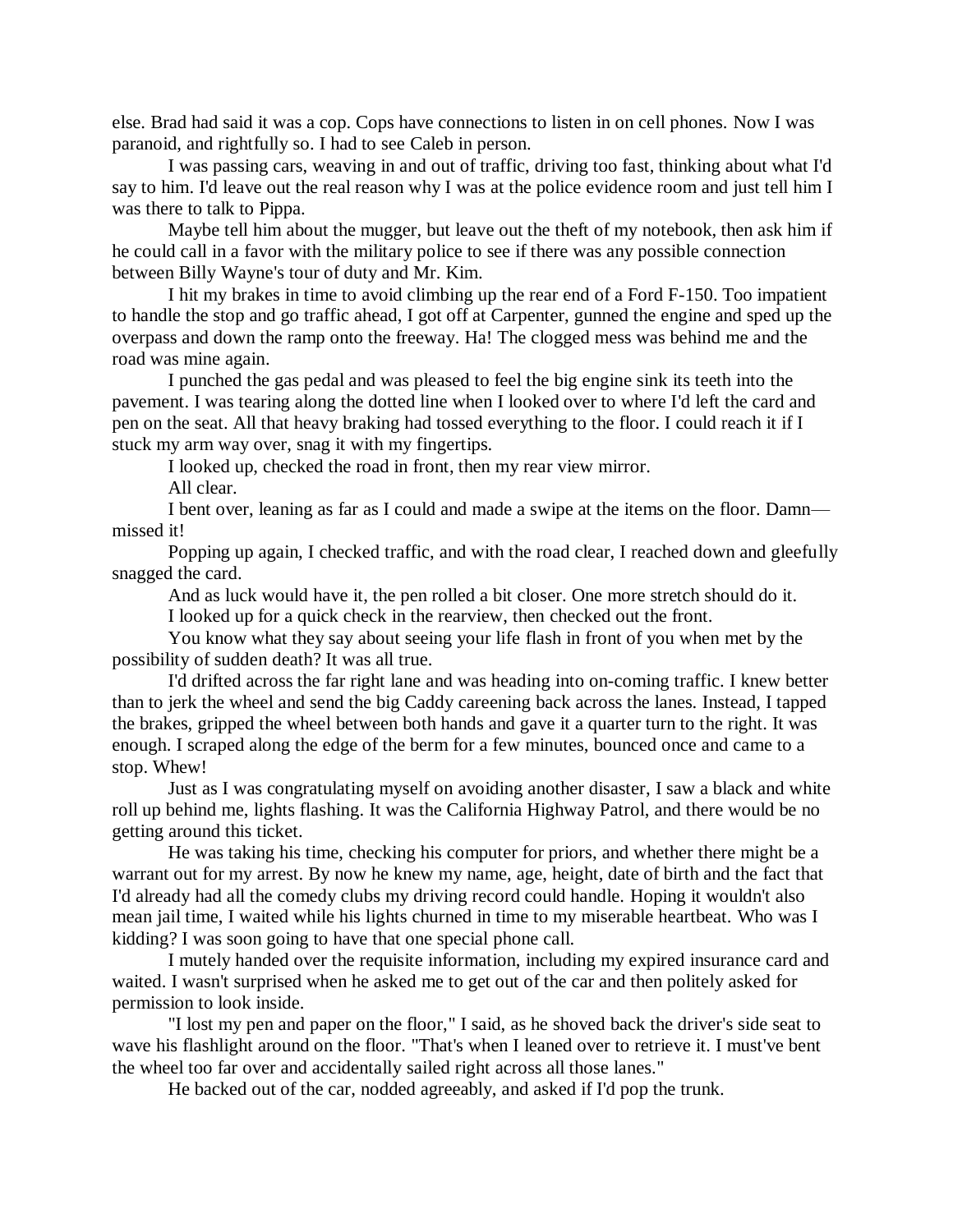else. Brad had said it was a cop. Cops have connections to listen in on cell phones. Now I was paranoid, and rightfully so. I had to see Caleb in person.

I was passing cars, weaving in and out of traffic, driving too fast, thinking about what I'd say to him. I'd leave out the real reason why I was at the police evidence room and just tell him I was there to talk to Pippa.

Maybe tell him about the mugger, but leave out the theft of my notebook, then ask him if he could call in a favor with the military police to see if there was any possible connection between Billy Wayne's tour of duty and Mr. Kim.

I hit my brakes in time to avoid climbing up the rear end of a Ford F-150. Too impatient to handle the stop and go traffic ahead, I got off at Carpenter, gunned the engine and sped up the overpass and down the ramp onto the freeway. Ha! The clogged mess was behind me and the road was mine again.

I punched the gas pedal and was pleased to feel the big engine sink its teeth into the pavement. I was tearing along the dotted line when I looked over to where I'd left the card and pen on the seat. All that heavy braking had tossed everything to the floor. I could reach it if I stuck my arm way over, snag it with my fingertips.

I looked up, checked the road in front, then my rear view mirror.

All clear.

I bent over, leaning as far as I could and made a swipe at the items on the floor. Damn missed it!

Popping up again, I checked traffic, and with the road clear, I reached down and gleefully snagged the card.

And as luck would have it, the pen rolled a bit closer. One more stretch should do it.

I looked up for a quick check in the rearview, then checked out the front.

You know what they say about seeing your life flash in front of you when met by the possibility of sudden death? It was all true.

I'd drifted across the far right lane and was heading into on-coming traffic. I knew better than to jerk the wheel and send the big Caddy careening back across the lanes. Instead, I tapped the brakes, gripped the wheel between both hands and gave it a quarter turn to the right. It was enough. I scraped along the edge of the berm for a few minutes, bounced once and came to a stop. Whew!

Just as I was congratulating myself on avoiding another disaster, I saw a black and white roll up behind me, lights flashing. It was the California Highway Patrol, and there would be no getting around this ticket.

He was taking his time, checking his computer for priors, and whether there might be a warrant out for my arrest. By now he knew my name, age, height, date of birth and the fact that I'd already had all the comedy clubs my driving record could handle. Hoping it wouldn't also mean jail time, I waited while his lights churned in time to my miserable heartbeat. Who was I kidding? I was soon going to have that one special phone call.

I mutely handed over the requisite information, including my expired insurance card and waited. I wasn't surprised when he asked me to get out of the car and then politely asked for permission to look inside.

"I lost my pen and paper on the floor," I said, as he shoved back the driver's side seat to wave his flashlight around on the floor. "That's when I leaned over to retrieve it. I must've bent the wheel too far over and accidentally sailed right across all those lanes."

He backed out of the car, nodded agreeably, and asked if I'd pop the trunk.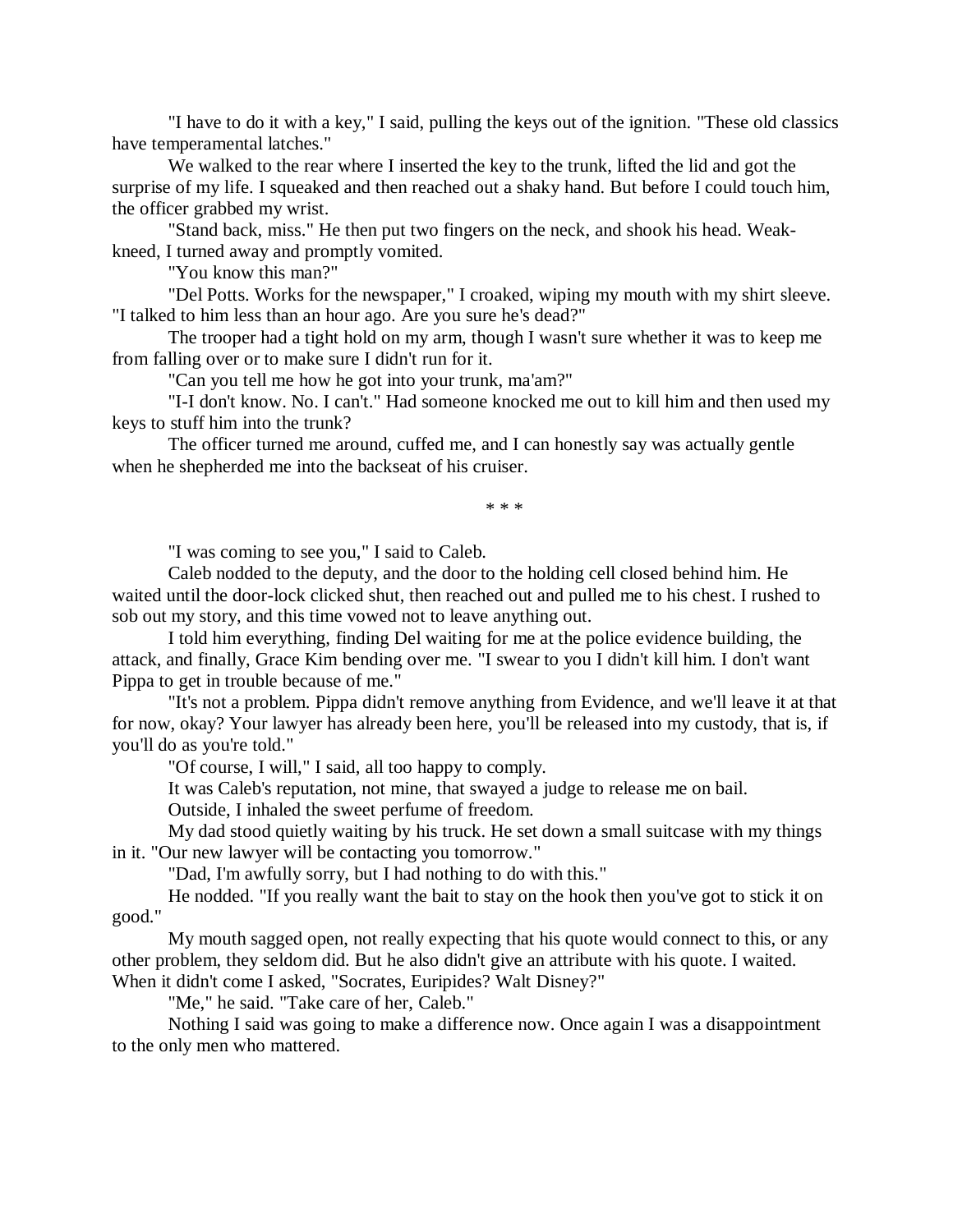"I have to do it with a key," I said, pulling the keys out of the ignition. "These old classics have temperamental latches."

We walked to the rear where I inserted the key to the trunk, lifted the lid and got the surprise of my life. I squeaked and then reached out a shaky hand. But before I could touch him, the officer grabbed my wrist.

"Stand back, miss." He then put two fingers on the neck, and shook his head. Weakkneed, I turned away and promptly vomited.

"You know this man?"

"Del Potts. Works for the newspaper," I croaked, wiping my mouth with my shirt sleeve. "I talked to him less than an hour ago. Are you sure he's dead?"

The trooper had a tight hold on my arm, though I wasn't sure whether it was to keep me from falling over or to make sure I didn't run for it.

"Can you tell me how he got into your trunk, ma'am?"

"I-I don't know. No. I can't." Had someone knocked me out to kill him and then used my keys to stuff him into the trunk?

The officer turned me around, cuffed me, and I can honestly say was actually gentle when he shepherded me into the backseat of his cruiser.

\* \* \*

"I was coming to see you," I said to Caleb.

Caleb nodded to the deputy, and the door to the holding cell closed behind him. He waited until the door-lock clicked shut, then reached out and pulled me to his chest. I rushed to sob out my story, and this time vowed not to leave anything out.

I told him everything, finding Del waiting for me at the police evidence building, the attack, and finally, Grace Kim bending over me. "I swear to you I didn't kill him. I don't want Pippa to get in trouble because of me."

"It's not a problem. Pippa didn't remove anything from Evidence, and we'll leave it at that for now, okay? Your lawyer has already been here, you'll be released into my custody, that is, if you'll do as you're told."

"Of course, I will," I said, all too happy to comply.

It was Caleb's reputation, not mine, that swayed a judge to release me on bail.

Outside, I inhaled the sweet perfume of freedom.

My dad stood quietly waiting by his truck. He set down a small suitcase with my things in it. "Our new lawyer will be contacting you tomorrow."

"Dad, I'm awfully sorry, but I had nothing to do with this."

He nodded. "If you really want the bait to stay on the hook then you've got to stick it on good."

My mouth sagged open, not really expecting that his quote would connect to this, or any other problem, they seldom did. But he also didn't give an attribute with his quote. I waited. When it didn't come I asked, "Socrates, Euripides? Walt Disney?"

"Me," he said. "Take care of her, Caleb."

Nothing I said was going to make a difference now. Once again I was a disappointment to the only men who mattered.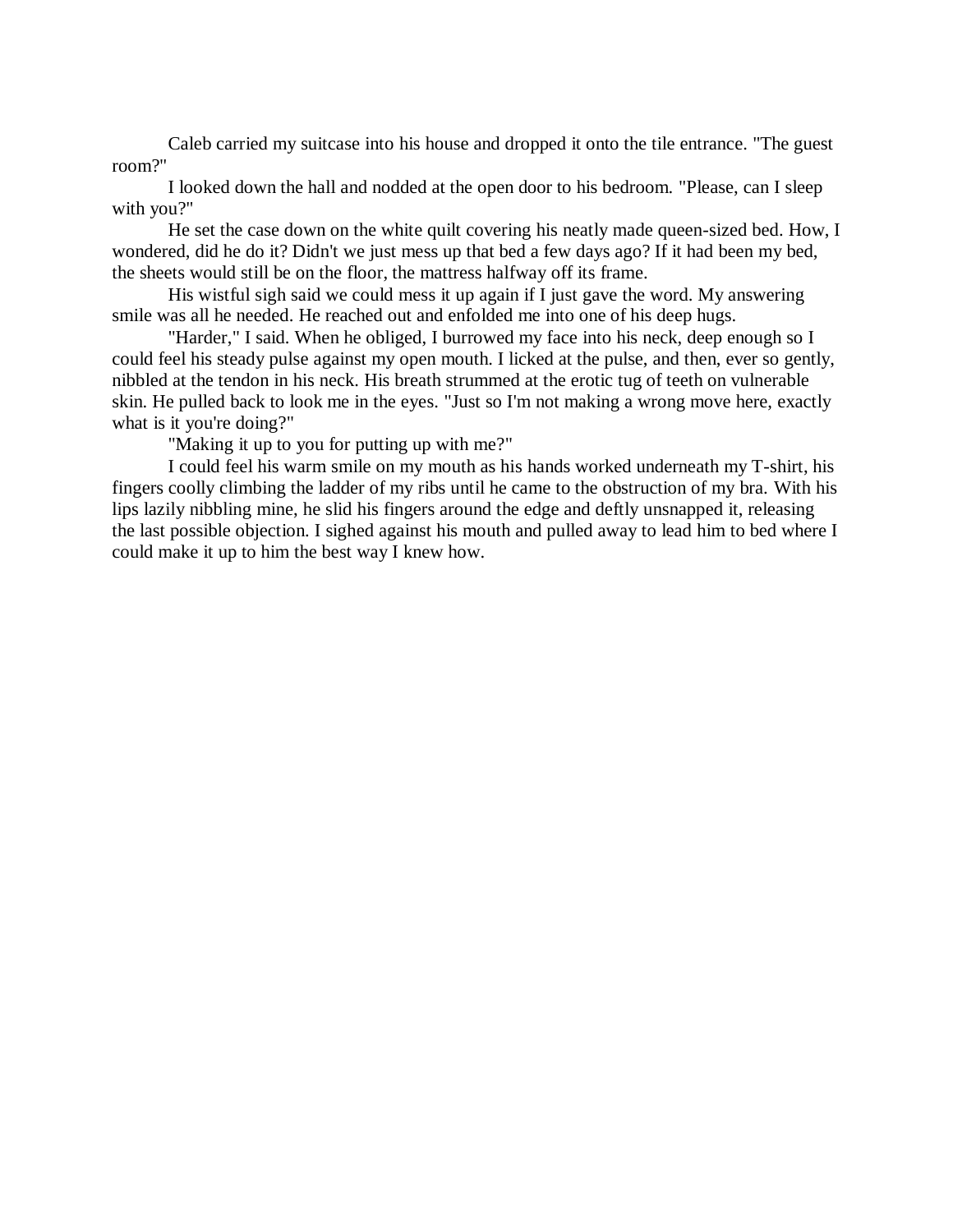Caleb carried my suitcase into his house and dropped it onto the tile entrance. "The guest room?"

I looked down the hall and nodded at the open door to his bedroom. "Please, can I sleep with you?"

He set the case down on the white quilt covering his neatly made queen-sized bed. How, I wondered, did he do it? Didn't we just mess up that bed a few days ago? If it had been my bed, the sheets would still be on the floor, the mattress halfway off its frame.

His wistful sigh said we could mess it up again if I just gave the word. My answering smile was all he needed. He reached out and enfolded me into one of his deep hugs.

"Harder," I said. When he obliged, I burrowed my face into his neck, deep enough so I could feel his steady pulse against my open mouth. I licked at the pulse, and then, ever so gently, nibbled at the tendon in his neck. His breath strummed at the erotic tug of teeth on vulnerable skin. He pulled back to look me in the eyes. "Just so I'm not making a wrong move here, exactly what is it you're doing?"

"Making it up to you for putting up with me?"

I could feel his warm smile on my mouth as his hands worked underneath my T-shirt, his fingers coolly climbing the ladder of my ribs until he came to the obstruction of my bra. With his lips lazily nibbling mine, he slid his fingers around the edge and deftly unsnapped it, releasing the last possible objection. I sighed against his mouth and pulled away to lead him to bed where I could make it up to him the best way I knew how.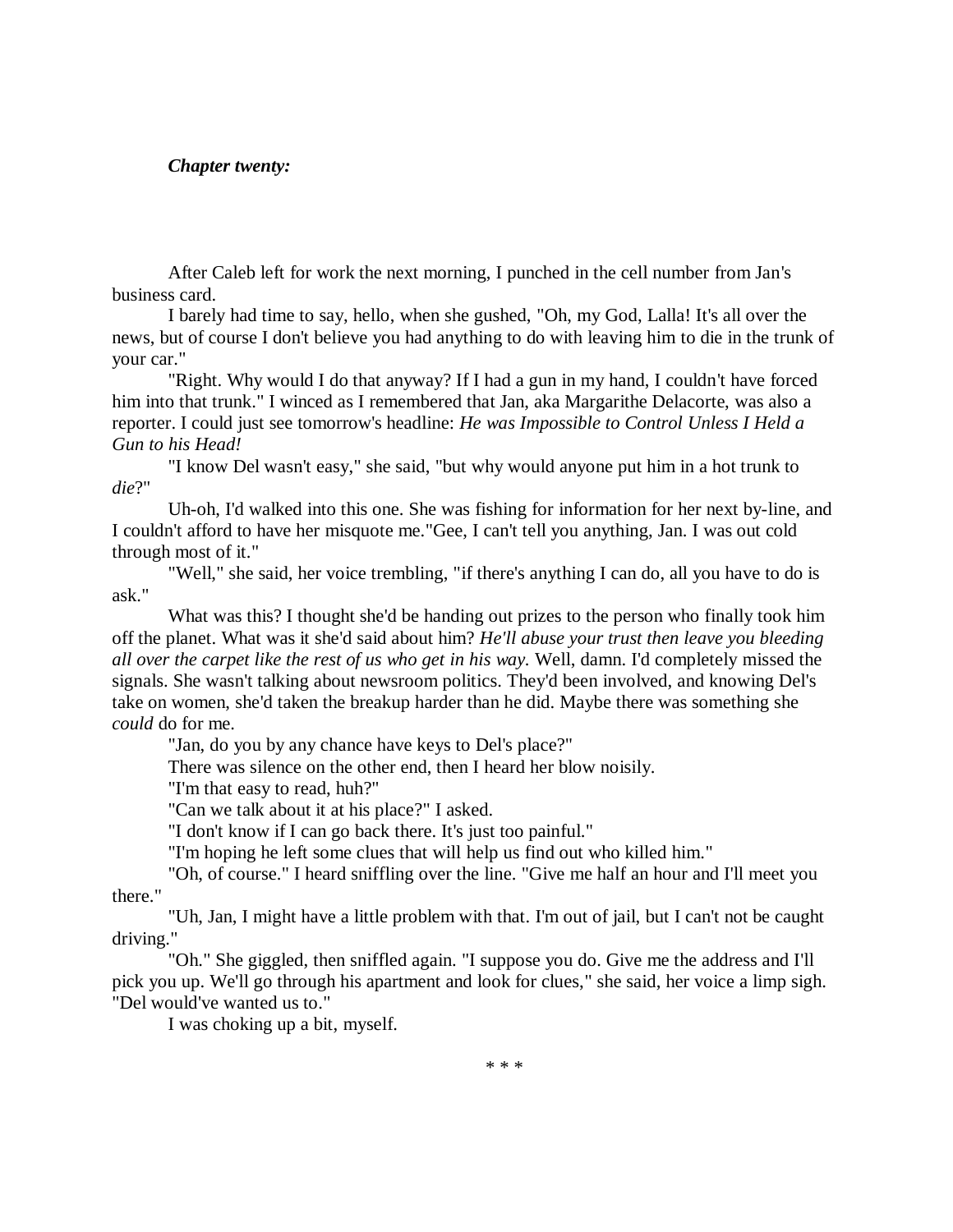# *Chapter twenty:*

After Caleb left for work the next morning, I punched in the cell number from Jan's business card.

I barely had time to say, hello, when she gushed, "Oh, my God, Lalla! It's all over the news, but of course I don't believe you had anything to do with leaving him to die in the trunk of your car."

"Right. Why would I do that anyway? If I had a gun in my hand, I couldn't have forced him into that trunk." I winced as I remembered that Jan, aka Margarithe Delacorte, was also a reporter. I could just see tomorrow's headline: *He was Impossible to Control Unless I Held a Gun to his Head!*

"I know Del wasn't easy," she said, "but why would anyone put him in a hot trunk to *die*?"

Uh-oh, I'd walked into this one. She was fishing for information for her next by-line, and I couldn't afford to have her misquote me."Gee, I can't tell you anything, Jan. I was out cold through most of it."

"Well," she said, her voice trembling, "if there's anything I can do, all you have to do is ask."

What was this? I thought she'd be handing out prizes to the person who finally took him off the planet. What was it she'd said about him? *He'll abuse your trust then leave you bleeding all over the carpet like the rest of us who get in his way.* Well, damn. I'd completely missed the signals. She wasn't talking about newsroom politics. They'd been involved, and knowing Del's take on women, she'd taken the breakup harder than he did. Maybe there was something she *could* do for me.

"Jan, do you by any chance have keys to Del's place?"

There was silence on the other end, then I heard her blow noisily.

"I'm that easy to read, huh?"

"Can we talk about it at his place?" I asked.

"I don't know if I can go back there. It's just too painful."

"I'm hoping he left some clues that will help us find out who killed him."

"Oh, of course." I heard sniffling over the line. "Give me half an hour and I'll meet you there."

"Uh, Jan, I might have a little problem with that. I'm out of jail, but I can't not be caught driving."

"Oh." She giggled, then sniffled again. "I suppose you do. Give me the address and I'll pick you up. We'll go through his apartment and look for clues," she said, her voice a limp sigh. "Del would've wanted us to."

I was choking up a bit, myself.

\* \* \*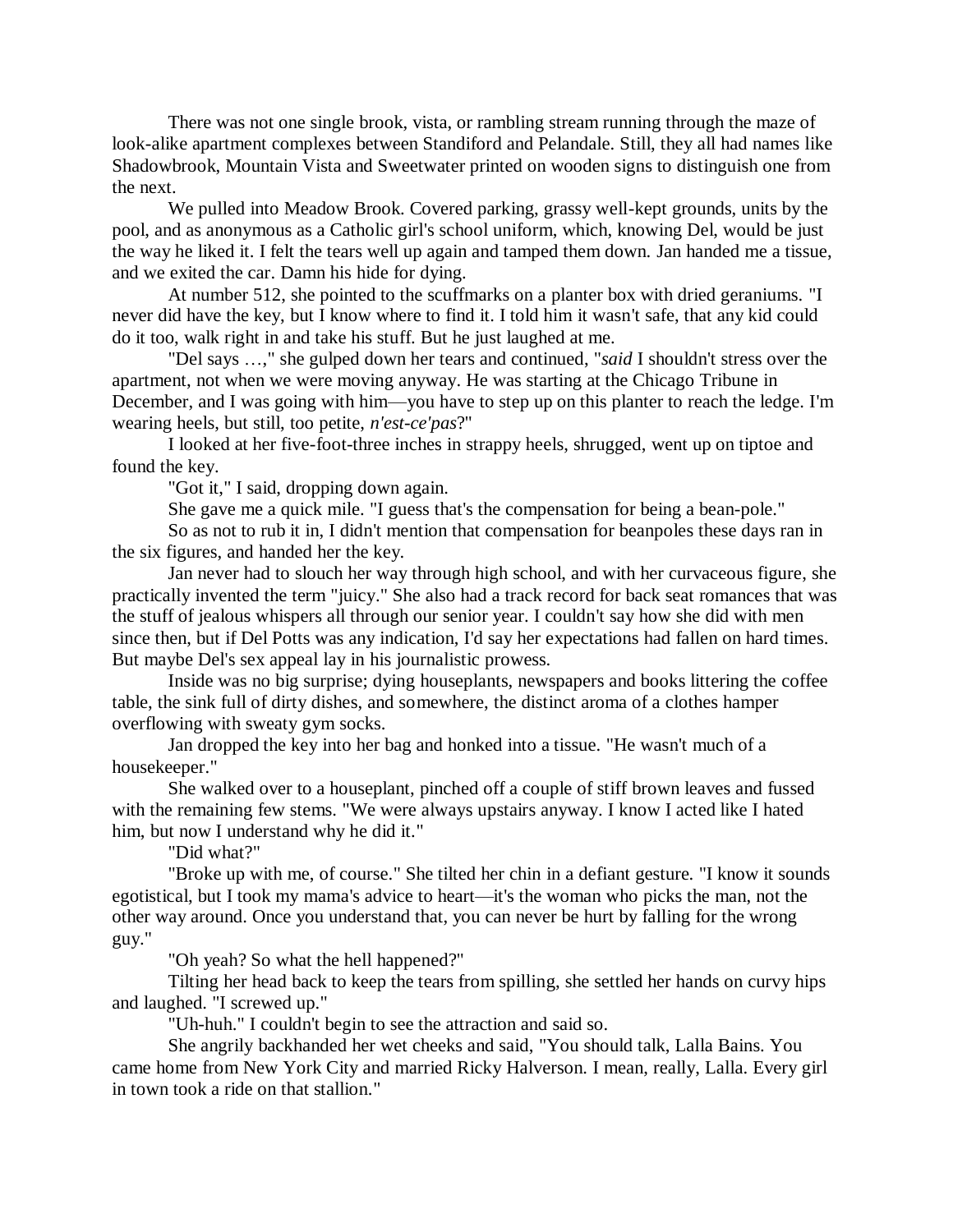There was not one single brook, vista, or rambling stream running through the maze of look-alike apartment complexes between Standiford and Pelandale. Still, they all had names like Shadowbrook, Mountain Vista and Sweetwater printed on wooden signs to distinguish one from the next.

We pulled into Meadow Brook. Covered parking, grassy well-kept grounds, units by the pool, and as anonymous as a Catholic girl's school uniform, which, knowing Del, would be just the way he liked it. I felt the tears well up again and tamped them down. Jan handed me a tissue, and we exited the car. Damn his hide for dying.

At number 512, she pointed to the scuffmarks on a planter box with dried geraniums. "I never did have the key, but I know where to find it. I told him it wasn't safe, that any kid could do it too, walk right in and take his stuff. But he just laughed at me.

"Del says …," she gulped down her tears and continued, "*said* I shouldn't stress over the apartment, not when we were moving anyway. He was starting at the Chicago Tribune in December, and I was going with him—you have to step up on this planter to reach the ledge. I'm wearing heels, but still, too petite, *n'est-ce'pas*?"

I looked at her five-foot-three inches in strappy heels, shrugged, went up on tiptoe and found the key.

"Got it," I said, dropping down again.

She gave me a quick mile. "I guess that's the compensation for being a bean-pole."

So as not to rub it in, I didn't mention that compensation for beanpoles these days ran in the six figures, and handed her the key.

Jan never had to slouch her way through high school, and with her curvaceous figure, she practically invented the term "juicy." She also had a track record for back seat romances that was the stuff of jealous whispers all through our senior year. I couldn't say how she did with men since then, but if Del Potts was any indication, I'd say her expectations had fallen on hard times. But maybe Del's sex appeal lay in his journalistic prowess.

Inside was no big surprise; dying houseplants, newspapers and books littering the coffee table, the sink full of dirty dishes, and somewhere, the distinct aroma of a clothes hamper overflowing with sweaty gym socks.

Jan dropped the key into her bag and honked into a tissue. "He wasn't much of a housekeeper."

She walked over to a houseplant, pinched off a couple of stiff brown leaves and fussed with the remaining few stems. "We were always upstairs anyway. I know I acted like I hated him, but now I understand why he did it."

"Did what?"

"Broke up with me, of course." She tilted her chin in a defiant gesture. "I know it sounds egotistical, but I took my mama's advice to heart—it's the woman who picks the man, not the other way around. Once you understand that, you can never be hurt by falling for the wrong guy."

"Oh yeah? So what the hell happened?"

Tilting her head back to keep the tears from spilling, she settled her hands on curvy hips and laughed. "I screwed up."

"Uh-huh." I couldn't begin to see the attraction and said so.

She angrily backhanded her wet cheeks and said, "You should talk, Lalla Bains. You came home from New York City and married Ricky Halverson. I mean, really, Lalla. Every girl in town took a ride on that stallion."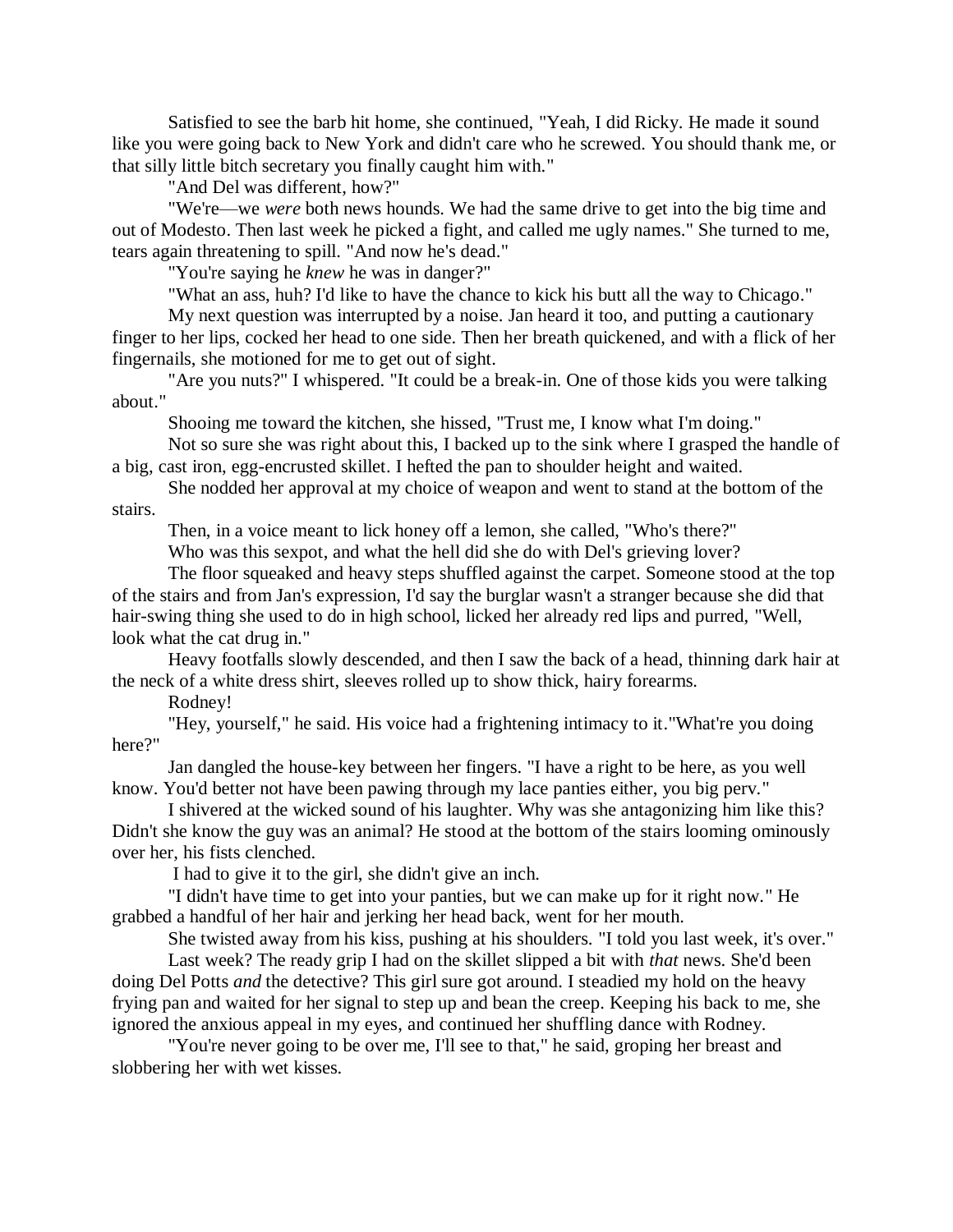Satisfied to see the barb hit home, she continued, "Yeah, I did Ricky. He made it sound like you were going back to New York and didn't care who he screwed. You should thank me, or that silly little bitch secretary you finally caught him with."

"And Del was different, how?"

"We're—we *were* both news hounds. We had the same drive to get into the big time and out of Modesto. Then last week he picked a fight, and called me ugly names." She turned to me, tears again threatening to spill. "And now he's dead."

"You're saying he *knew* he was in danger?"

"What an ass, huh? I'd like to have the chance to kick his butt all the way to Chicago."

My next question was interrupted by a noise. Jan heard it too, and putting a cautionary finger to her lips, cocked her head to one side. Then her breath quickened, and with a flick of her fingernails, she motioned for me to get out of sight.

"Are you nuts?" I whispered. "It could be a break-in. One of those kids you were talking about."

Shooing me toward the kitchen, she hissed, "Trust me, I know what I'm doing."

Not so sure she was right about this, I backed up to the sink where I grasped the handle of a big, cast iron, egg-encrusted skillet. I hefted the pan to shoulder height and waited.

She nodded her approval at my choice of weapon and went to stand at the bottom of the stairs.

Then, in a voice meant to lick honey off a lemon, she called, "Who's there?"

Who was this sexpot, and what the hell did she do with Del's grieving lover?

The floor squeaked and heavy steps shuffled against the carpet. Someone stood at the top of the stairs and from Jan's expression, I'd say the burglar wasn't a stranger because she did that hair-swing thing she used to do in high school, licked her already red lips and purred, "Well, look what the cat drug in."

Heavy footfalls slowly descended, and then I saw the back of a head, thinning dark hair at the neck of a white dress shirt, sleeves rolled up to show thick, hairy forearms.

Rodney!

"Hey, yourself," he said. His voice had a frightening intimacy to it."What're you doing here?"

Jan dangled the house-key between her fingers. "I have a right to be here, as you well know. You'd better not have been pawing through my lace panties either, you big perv."

I shivered at the wicked sound of his laughter. Why was she antagonizing him like this? Didn't she know the guy was an animal? He stood at the bottom of the stairs looming ominously over her, his fists clenched.

I had to give it to the girl, she didn't give an inch.

"I didn't have time to get into your panties, but we can make up for it right now." He grabbed a handful of her hair and jerking her head back, went for her mouth.

She twisted away from his kiss, pushing at his shoulders. "I told you last week, it's over."

Last week? The ready grip I had on the skillet slipped a bit with *that* news. She'd been doing Del Potts *and* the detective? This girl sure got around. I steadied my hold on the heavy frying pan and waited for her signal to step up and bean the creep. Keeping his back to me, she ignored the anxious appeal in my eyes, and continued her shuffling dance with Rodney.

"You're never going to be over me, I'll see to that," he said, groping her breast and slobbering her with wet kisses.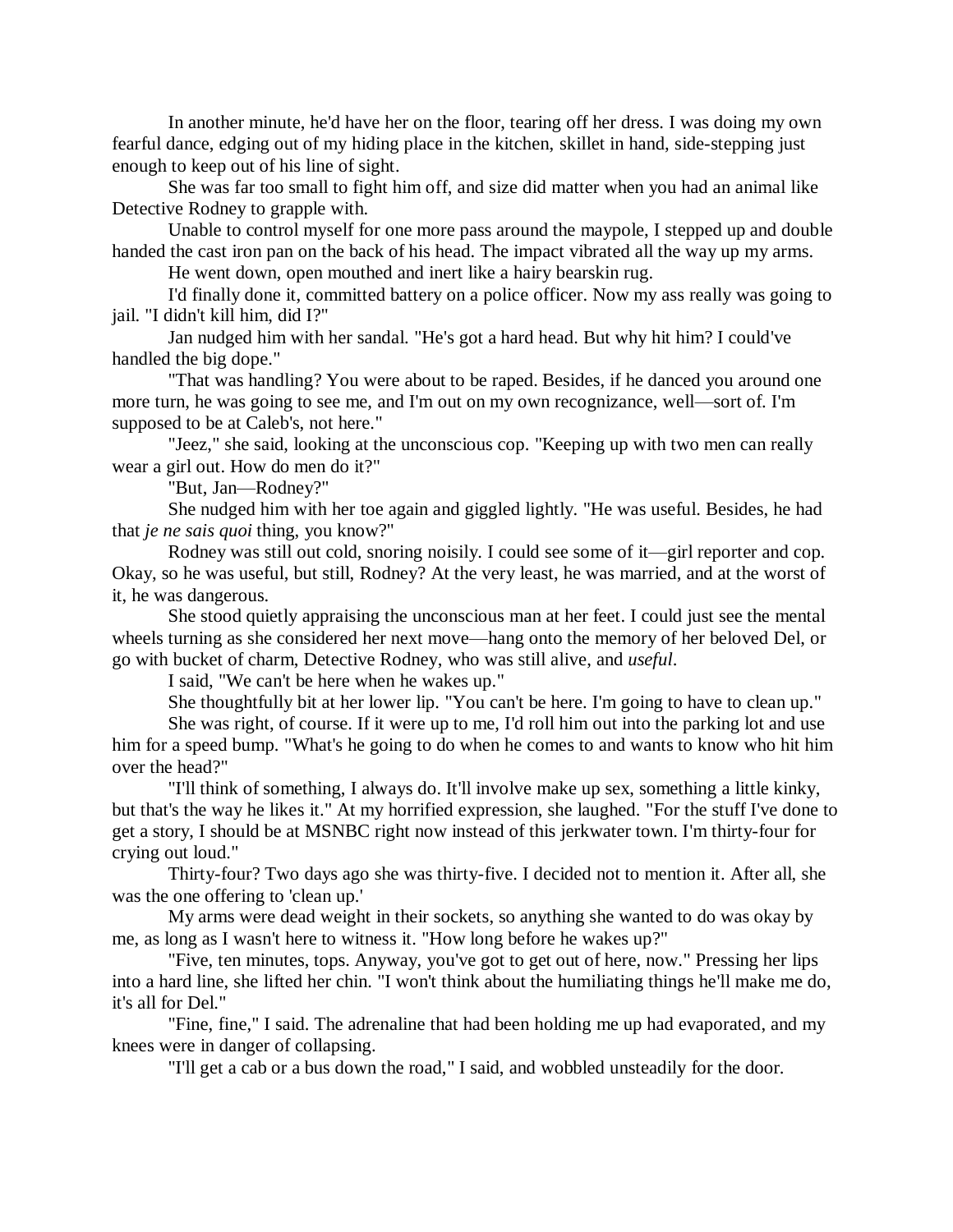In another minute, he'd have her on the floor, tearing off her dress. I was doing my own fearful dance, edging out of my hiding place in the kitchen, skillet in hand, side-stepping just enough to keep out of his line of sight.

She was far too small to fight him off, and size did matter when you had an animal like Detective Rodney to grapple with.

Unable to control myself for one more pass around the maypole, I stepped up and double handed the cast iron pan on the back of his head. The impact vibrated all the way up my arms.

He went down, open mouthed and inert like a hairy bearskin rug.

I'd finally done it, committed battery on a police officer. Now my ass really was going to jail. "I didn't kill him, did I?"

Jan nudged him with her sandal. "He's got a hard head. But why hit him? I could've handled the big dope."

"That was handling? You were about to be raped. Besides, if he danced you around one more turn, he was going to see me, and I'm out on my own recognizance, well—sort of. I'm supposed to be at Caleb's, not here."

"Jeez," she said, looking at the unconscious cop. "Keeping up with two men can really wear a girl out. How do men do it?"

"But, Jan—Rodney?"

She nudged him with her toe again and giggled lightly. "He was useful. Besides, he had that *je ne sais quoi* thing, you know?"

Rodney was still out cold, snoring noisily. I could see some of it—girl reporter and cop. Okay, so he was useful, but still, Rodney? At the very least, he was married, and at the worst of it, he was dangerous.

She stood quietly appraising the unconscious man at her feet. I could just see the mental wheels turning as she considered her next move—hang onto the memory of her beloved Del, or go with bucket of charm, Detective Rodney, who was still alive, and *useful*.

I said, "We can't be here when he wakes up."

She thoughtfully bit at her lower lip. "You can't be here. I'm going to have to clean up."

She was right, of course. If it were up to me, I'd roll him out into the parking lot and use him for a speed bump. "What's he going to do when he comes to and wants to know who hit him over the head?"

"I'll think of something, I always do. It'll involve make up sex, something a little kinky, but that's the way he likes it." At my horrified expression, she laughed. "For the stuff I've done to get a story, I should be at MSNBC right now instead of this jerkwater town. I'm thirty-four for crying out loud."

Thirty-four? Two days ago she was thirty-five. I decided not to mention it. After all, she was the one offering to 'clean up.'

My arms were dead weight in their sockets, so anything she wanted to do was okay by me, as long as I wasn't here to witness it. "How long before he wakes up?"

"Five, ten minutes, tops. Anyway, you've got to get out of here, now." Pressing her lips into a hard line, she lifted her chin. "I won't think about the humiliating things he'll make me do, it's all for Del."

"Fine, fine," I said. The adrenaline that had been holding me up had evaporated, and my knees were in danger of collapsing.

"I'll get a cab or a bus down the road," I said, and wobbled unsteadily for the door.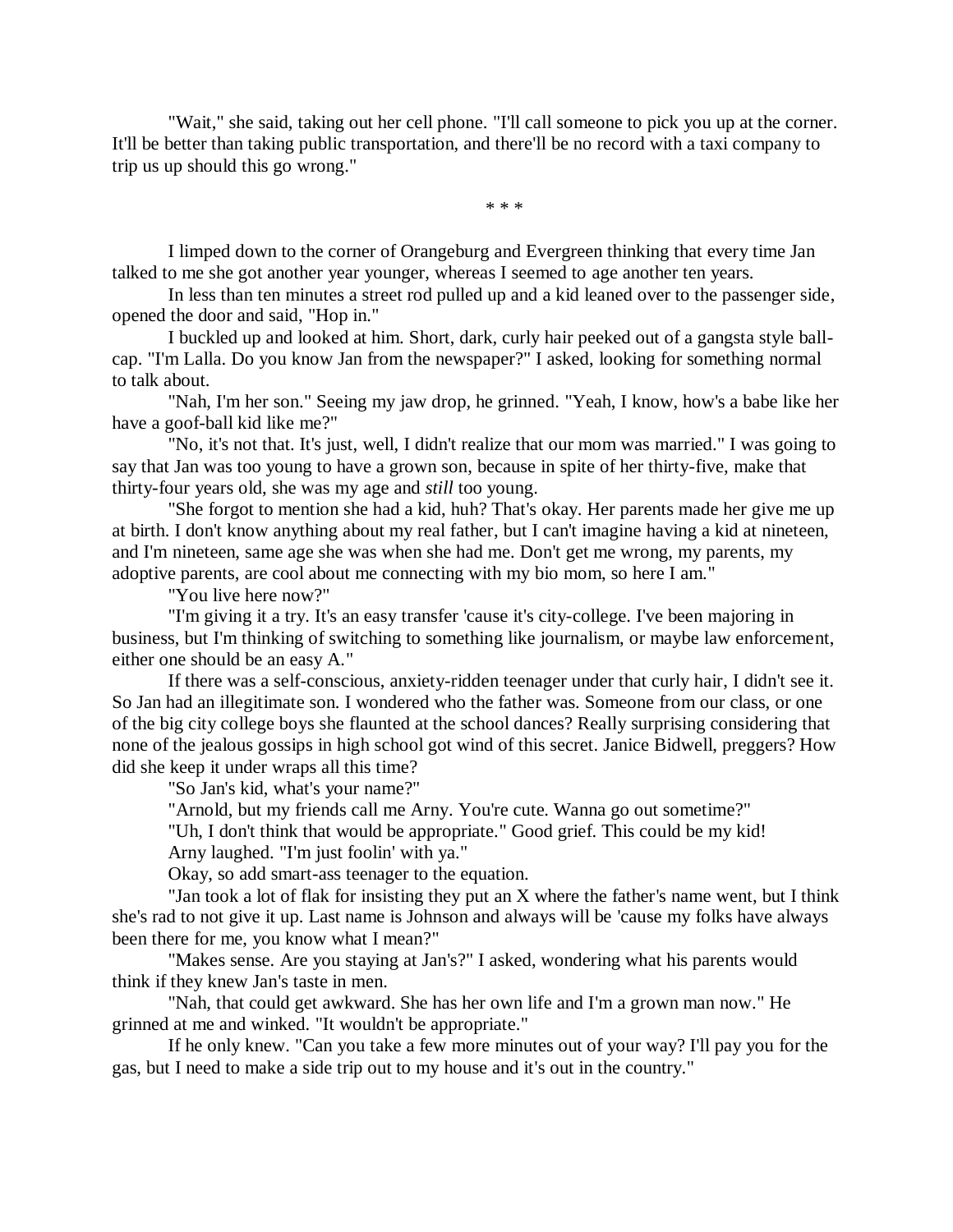"Wait," she said, taking out her cell phone. "I'll call someone to pick you up at the corner. It'll be better than taking public transportation, and there'll be no record with a taxi company to trip us up should this go wrong."

\* \* \*

I limped down to the corner of Orangeburg and Evergreen thinking that every time Jan talked to me she got another year younger, whereas I seemed to age another ten years.

In less than ten minutes a street rod pulled up and a kid leaned over to the passenger side, opened the door and said, "Hop in."

I buckled up and looked at him. Short, dark, curly hair peeked out of a gangsta style ballcap. "I'm Lalla. Do you know Jan from the newspaper?" I asked, looking for something normal to talk about.

"Nah, I'm her son." Seeing my jaw drop, he grinned. "Yeah, I know, how's a babe like her have a goof-ball kid like me?"

"No, it's not that. It's just, well, I didn't realize that our mom was married." I was going to say that Jan was too young to have a grown son, because in spite of her thirty-five, make that thirty-four years old, she was my age and *still* too young.

"She forgot to mention she had a kid, huh? That's okay. Her parents made her give me up at birth. I don't know anything about my real father, but I can't imagine having a kid at nineteen, and I'm nineteen, same age she was when she had me. Don't get me wrong, my parents, my adoptive parents, are cool about me connecting with my bio mom, so here I am."

"You live here now?"

"I'm giving it a try. It's an easy transfer 'cause it's city-college. I've been majoring in business, but I'm thinking of switching to something like journalism, or maybe law enforcement, either one should be an easy A."

If there was a self-conscious, anxiety-ridden teenager under that curly hair, I didn't see it. So Jan had an illegitimate son. I wondered who the father was. Someone from our class, or one of the big city college boys she flaunted at the school dances? Really surprising considering that none of the jealous gossips in high school got wind of this secret. Janice Bidwell, preggers? How did she keep it under wraps all this time?

"So Jan's kid, what's your name?"

"Arnold, but my friends call me Arny. You're cute. Wanna go out sometime?"

"Uh, I don't think that would be appropriate." Good grief. This could be my kid!

Arny laughed. "I'm just foolin' with ya."

Okay, so add smart-ass teenager to the equation.

"Jan took a lot of flak for insisting they put an X where the father's name went, but I think she's rad to not give it up. Last name is Johnson and always will be 'cause my folks have always been there for me, you know what I mean?"

"Makes sense. Are you staying at Jan's?" I asked, wondering what his parents would think if they knew Jan's taste in men.

"Nah, that could get awkward. She has her own life and I'm a grown man now." He grinned at me and winked. "It wouldn't be appropriate."

If he only knew. "Can you take a few more minutes out of your way? I'll pay you for the gas, but I need to make a side trip out to my house and it's out in the country."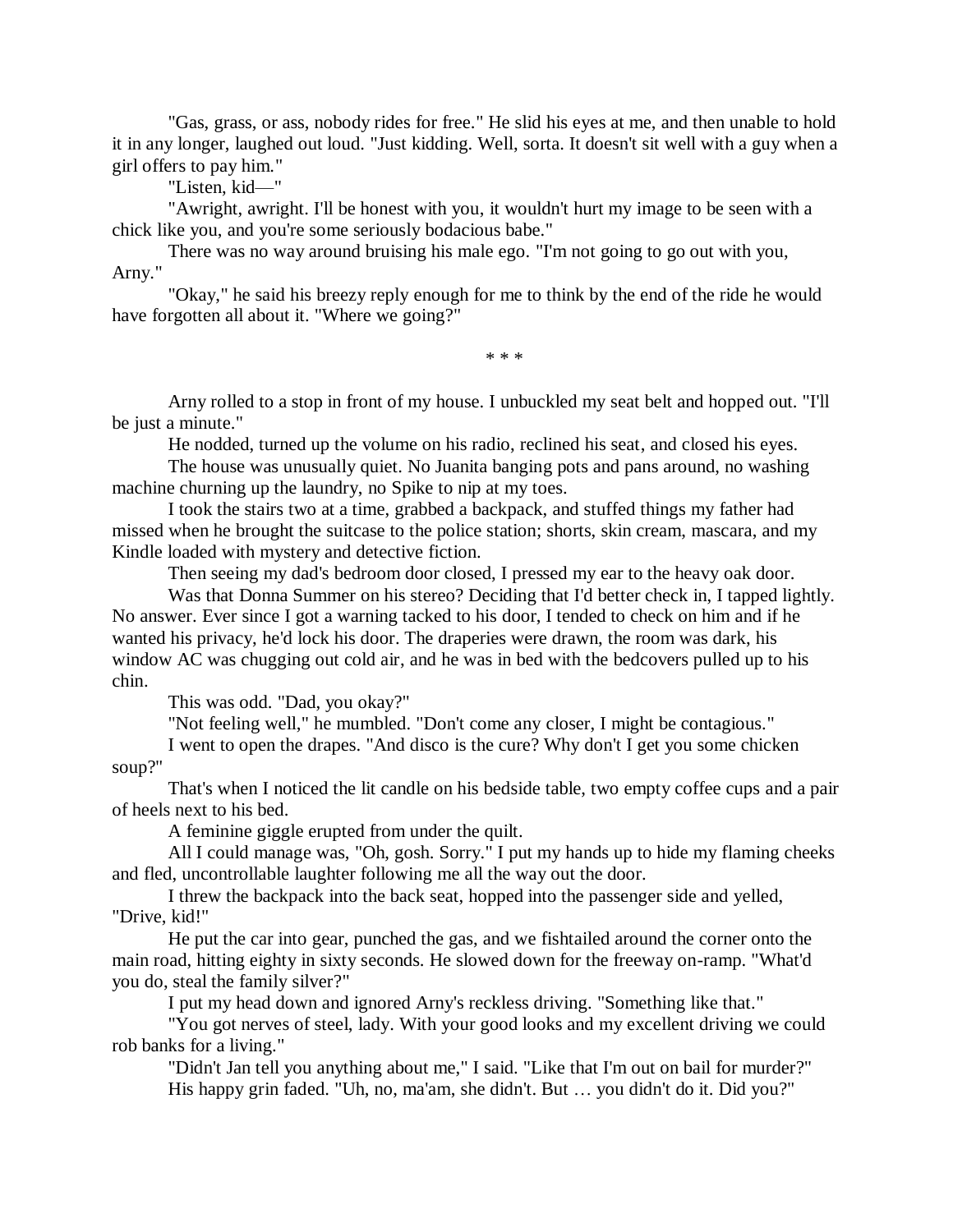"Gas, grass, or ass, nobody rides for free." He slid his eyes at me, and then unable to hold it in any longer, laughed out loud. "Just kidding. Well, sorta. It doesn't sit well with a guy when a girl offers to pay him."

"Listen, kid—"

"Awright, awright. I'll be honest with you, it wouldn't hurt my image to be seen with a chick like you, and you're some seriously bodacious babe."

There was no way around bruising his male ego. "I'm not going to go out with you, Arny."

"Okay," he said his breezy reply enough for me to think by the end of the ride he would have forgotten all about it. "Where we going?"

\* \* \*

Arny rolled to a stop in front of my house. I unbuckled my seat belt and hopped out. "I'll be just a minute."

He nodded, turned up the volume on his radio, reclined his seat, and closed his eyes.

The house was unusually quiet. No Juanita banging pots and pans around, no washing machine churning up the laundry, no Spike to nip at my toes.

I took the stairs two at a time, grabbed a backpack, and stuffed things my father had missed when he brought the suitcase to the police station; shorts, skin cream, mascara, and my Kindle loaded with mystery and detective fiction.

Then seeing my dad's bedroom door closed, I pressed my ear to the heavy oak door.

Was that Donna Summer on his stereo? Deciding that I'd better check in, I tapped lightly. No answer. Ever since I got a warning tacked to his door, I tended to check on him and if he wanted his privacy, he'd lock his door. The draperies were drawn, the room was dark, his window AC was chugging out cold air, and he was in bed with the bedcovers pulled up to his chin.

This was odd. "Dad, you okay?"

"Not feeling well," he mumbled. "Don't come any closer, I might be contagious."

I went to open the drapes. "And disco is the cure? Why don't I get you some chicken soup?"

That's when I noticed the lit candle on his bedside table, two empty coffee cups and a pair of heels next to his bed.

A feminine giggle erupted from under the quilt.

All I could manage was, "Oh, gosh. Sorry." I put my hands up to hide my flaming cheeks and fled, uncontrollable laughter following me all the way out the door.

I threw the backpack into the back seat, hopped into the passenger side and yelled, "Drive, kid!"

He put the car into gear, punched the gas, and we fishtailed around the corner onto the main road, hitting eighty in sixty seconds. He slowed down for the freeway on-ramp. "What'd you do, steal the family silver?"

I put my head down and ignored Arny's reckless driving. "Something like that."

"You got nerves of steel, lady. With your good looks and my excellent driving we could rob banks for a living."

"Didn't Jan tell you anything about me," I said. "Like that I'm out on bail for murder?" His happy grin faded. "Uh, no, ma'am, she didn't. But … you didn't do it. Did you?"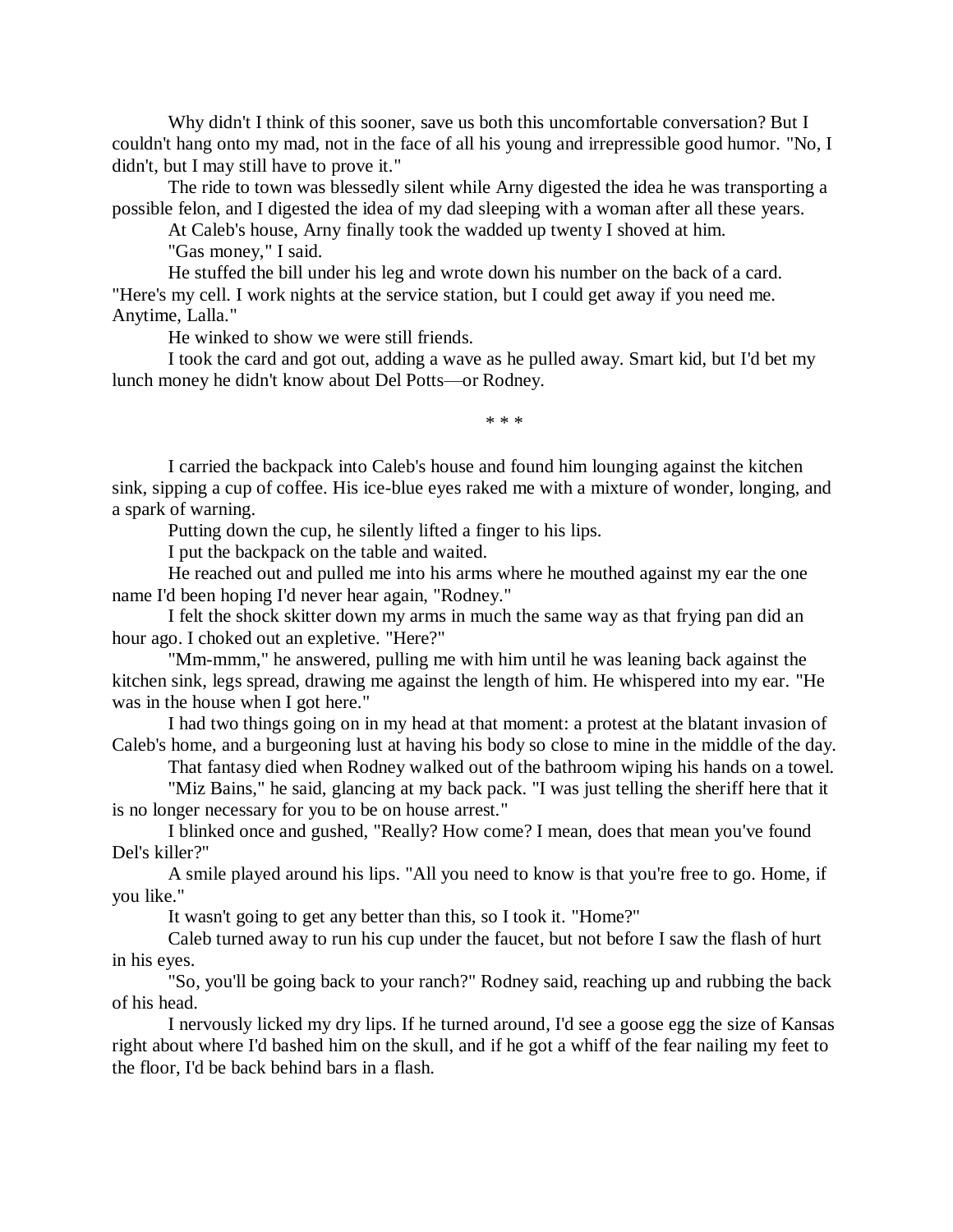Why didn't I think of this sooner, save us both this uncomfortable conversation? But I couldn't hang onto my mad, not in the face of all his young and irrepressible good humor. "No, I didn't, but I may still have to prove it."

The ride to town was blessedly silent while Arny digested the idea he was transporting a possible felon, and I digested the idea of my dad sleeping with a woman after all these years.

At Caleb's house, Arny finally took the wadded up twenty I shoved at him.

"Gas money," I said.

He stuffed the bill under his leg and wrote down his number on the back of a card. "Here's my cell. I work nights at the service station, but I could get away if you need me. Anytime, Lalla."

He winked to show we were still friends.

I took the card and got out, adding a wave as he pulled away. Smart kid, but I'd bet my lunch money he didn't know about Del Potts—or Rodney.

\* \* \*

I carried the backpack into Caleb's house and found him lounging against the kitchen sink, sipping a cup of coffee. His ice-blue eyes raked me with a mixture of wonder, longing, and a spark of warning.

Putting down the cup, he silently lifted a finger to his lips.

I put the backpack on the table and waited.

He reached out and pulled me into his arms where he mouthed against my ear the one name I'd been hoping I'd never hear again, "Rodney."

I felt the shock skitter down my arms in much the same way as that frying pan did an hour ago. I choked out an expletive. "Here?"

"Mm-mmm," he answered, pulling me with him until he was leaning back against the kitchen sink, legs spread, drawing me against the length of him. He whispered into my ear. "He was in the house when I got here."

I had two things going on in my head at that moment: a protest at the blatant invasion of Caleb's home, and a burgeoning lust at having his body so close to mine in the middle of the day.

That fantasy died when Rodney walked out of the bathroom wiping his hands on a towel.

"Miz Bains," he said, glancing at my back pack. "I was just telling the sheriff here that it is no longer necessary for you to be on house arrest."

I blinked once and gushed, "Really? How come? I mean, does that mean you've found Del's killer?"

A smile played around his lips. "All you need to know is that you're free to go. Home, if you like."

It wasn't going to get any better than this, so I took it. "Home?"

Caleb turned away to run his cup under the faucet, but not before I saw the flash of hurt in his eyes.

"So, you'll be going back to your ranch?" Rodney said, reaching up and rubbing the back of his head.

I nervously licked my dry lips. If he turned around, I'd see a goose egg the size of Kansas right about where I'd bashed him on the skull, and if he got a whiff of the fear nailing my feet to the floor, I'd be back behind bars in a flash.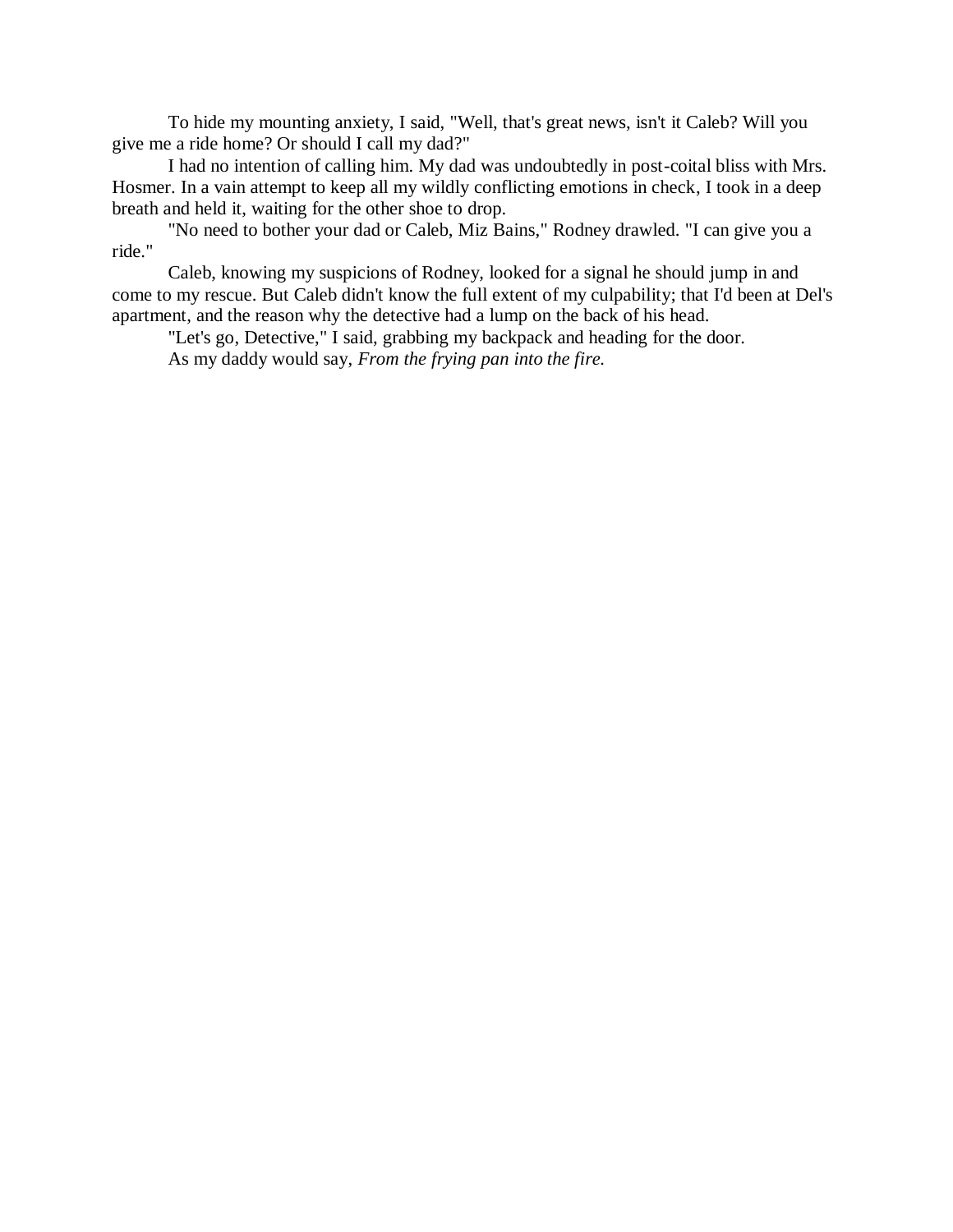To hide my mounting anxiety, I said, "Well, that's great news, isn't it Caleb? Will you give me a ride home? Or should I call my dad?"

I had no intention of calling him. My dad was undoubtedly in post-coital bliss with Mrs. Hosmer. In a vain attempt to keep all my wildly conflicting emotions in check, I took in a deep breath and held it, waiting for the other shoe to drop.

"No need to bother your dad or Caleb, Miz Bains," Rodney drawled. "I can give you a ride."

Caleb, knowing my suspicions of Rodney, looked for a signal he should jump in and come to my rescue. But Caleb didn't know the full extent of my culpability; that I'd been at Del's apartment, and the reason why the detective had a lump on the back of his head.

"Let's go, Detective," I said, grabbing my backpack and heading for the door. As my daddy would say, *From the frying pan into the fire.*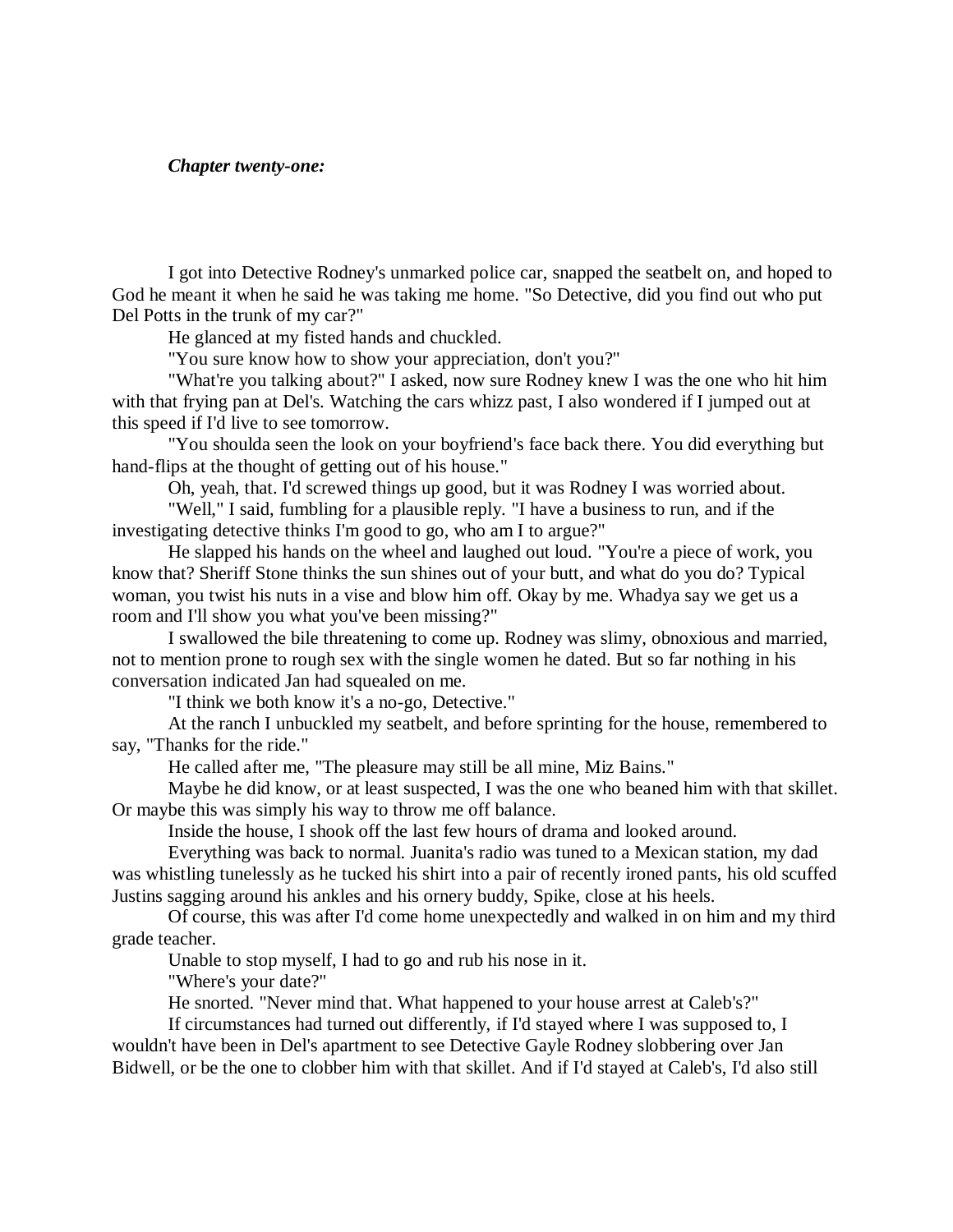## *Chapter twenty-one:*

I got into Detective Rodney's unmarked police car, snapped the seatbelt on, and hoped to God he meant it when he said he was taking me home. "So Detective, did you find out who put Del Potts in the trunk of my car?"

He glanced at my fisted hands and chuckled.

"You sure know how to show your appreciation, don't you?"

"What're you talking about?" I asked, now sure Rodney knew I was the one who hit him with that frying pan at Del's. Watching the cars whizz past, I also wondered if I jumped out at this speed if I'd live to see tomorrow.

"You shoulda seen the look on your boyfriend's face back there. You did everything but hand-flips at the thought of getting out of his house."

Oh, yeah, that. I'd screwed things up good, but it was Rodney I was worried about.

"Well," I said, fumbling for a plausible reply. "I have a business to run, and if the investigating detective thinks I'm good to go, who am I to argue?"

He slapped his hands on the wheel and laughed out loud. "You're a piece of work, you know that? Sheriff Stone thinks the sun shines out of your butt, and what do you do? Typical woman, you twist his nuts in a vise and blow him off. Okay by me. Whadya say we get us a room and I'll show you what you've been missing?"

I swallowed the bile threatening to come up. Rodney was slimy, obnoxious and married, not to mention prone to rough sex with the single women he dated. But so far nothing in his conversation indicated Jan had squealed on me.

"I think we both know it's a no-go, Detective."

At the ranch I unbuckled my seatbelt, and before sprinting for the house, remembered to say, "Thanks for the ride."

He called after me, "The pleasure may still be all mine, Miz Bains."

Maybe he did know, or at least suspected, I was the one who beaned him with that skillet. Or maybe this was simply his way to throw me off balance.

Inside the house, I shook off the last few hours of drama and looked around.

Everything was back to normal. Juanita's radio was tuned to a Mexican station, my dad was whistling tunelessly as he tucked his shirt into a pair of recently ironed pants, his old scuffed Justins sagging around his ankles and his ornery buddy, Spike, close at his heels.

Of course, this was after I'd come home unexpectedly and walked in on him and my third grade teacher.

Unable to stop myself, I had to go and rub his nose in it.

"Where's your date?"

He snorted. "Never mind that. What happened to your house arrest at Caleb's?"

If circumstances had turned out differently, if I'd stayed where I was supposed to, I wouldn't have been in Del's apartment to see Detective Gayle Rodney slobbering over Jan Bidwell, or be the one to clobber him with that skillet. And if I'd stayed at Caleb's, I'd also still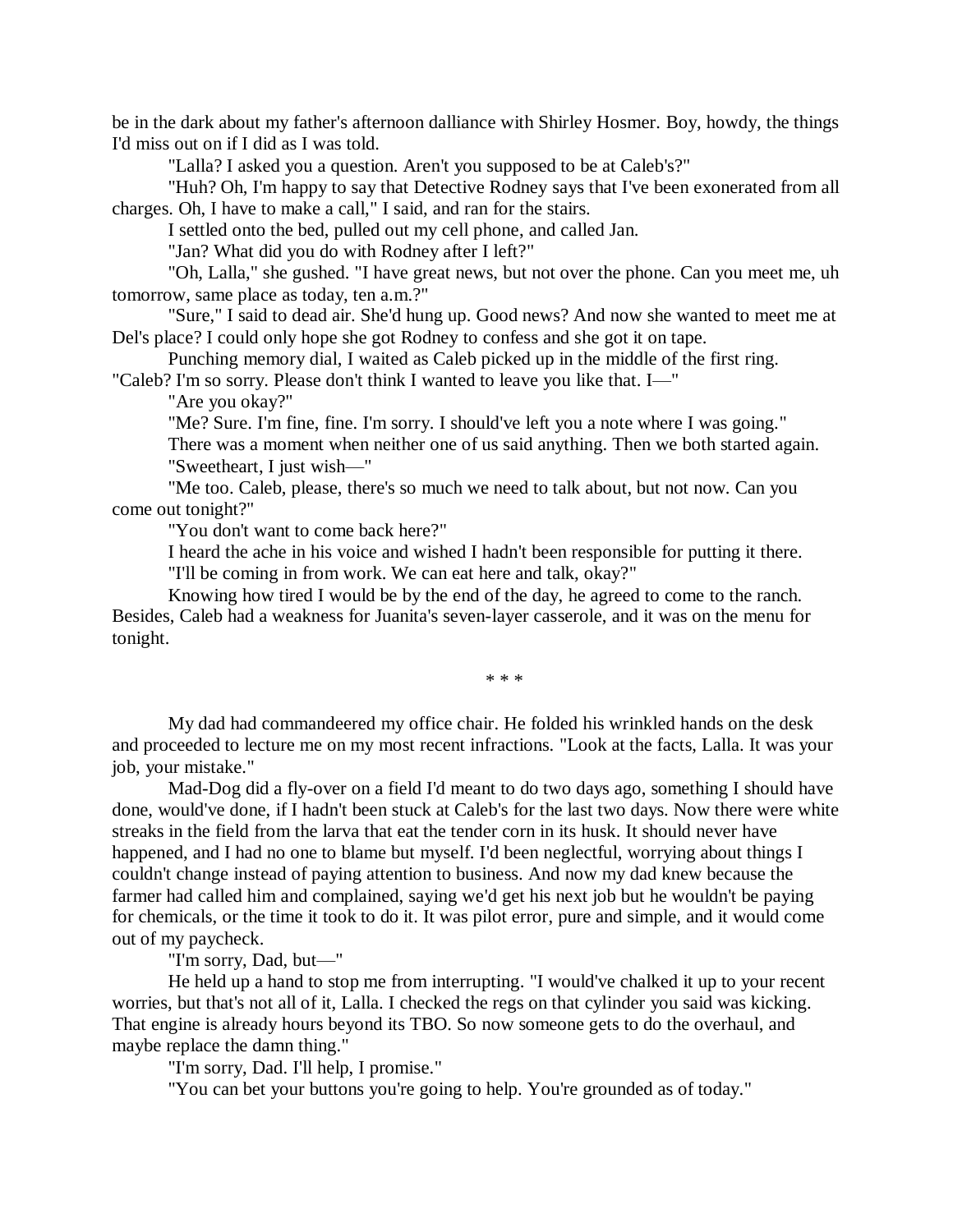be in the dark about my father's afternoon dalliance with Shirley Hosmer. Boy, howdy, the things I'd miss out on if I did as I was told.

"Lalla? I asked you a question. Aren't you supposed to be at Caleb's?"

"Huh? Oh, I'm happy to say that Detective Rodney says that I've been exonerated from all charges. Oh, I have to make a call," I said, and ran for the stairs.

I settled onto the bed, pulled out my cell phone, and called Jan.

"Jan? What did you do with Rodney after I left?"

"Oh, Lalla," she gushed. "I have great news, but not over the phone. Can you meet me, uh tomorrow, same place as today, ten a.m.?"

"Sure," I said to dead air. She'd hung up. Good news? And now she wanted to meet me at Del's place? I could only hope she got Rodney to confess and she got it on tape.

Punching memory dial, I waited as Caleb picked up in the middle of the first ring.

"Caleb? I'm so sorry. Please don't think I wanted to leave you like that. I—"

"Are you okay?"

"Me? Sure. I'm fine, fine. I'm sorry. I should've left you a note where I was going." There was a moment when neither one of us said anything. Then we both started again. "Sweetheart, I just wish—"

"Me too. Caleb, please, there's so much we need to talk about, but not now. Can you come out tonight?"

"You don't want to come back here?"

I heard the ache in his voice and wished I hadn't been responsible for putting it there.

"I'll be coming in from work. We can eat here and talk, okay?"

Knowing how tired I would be by the end of the day, he agreed to come to the ranch. Besides, Caleb had a weakness for Juanita's seven-layer casserole, and it was on the menu for tonight.

\* \* \*

My dad had commandeered my office chair. He folded his wrinkled hands on the desk and proceeded to lecture me on my most recent infractions. "Look at the facts, Lalla. It was your job, your mistake."

Mad-Dog did a fly-over on a field I'd meant to do two days ago, something I should have done, would've done, if I hadn't been stuck at Caleb's for the last two days. Now there were white streaks in the field from the larva that eat the tender corn in its husk. It should never have happened, and I had no one to blame but myself. I'd been neglectful, worrying about things I couldn't change instead of paying attention to business. And now my dad knew because the farmer had called him and complained, saying we'd get his next job but he wouldn't be paying for chemicals, or the time it took to do it. It was pilot error, pure and simple, and it would come out of my paycheck.

"I'm sorry, Dad, but—"

He held up a hand to stop me from interrupting. "I would've chalked it up to your recent worries, but that's not all of it, Lalla. I checked the regs on that cylinder you said was kicking. That engine is already hours beyond its TBO. So now someone gets to do the overhaul, and maybe replace the damn thing."

"I'm sorry, Dad. I'll help, I promise."

"You can bet your buttons you're going to help. You're grounded as of today."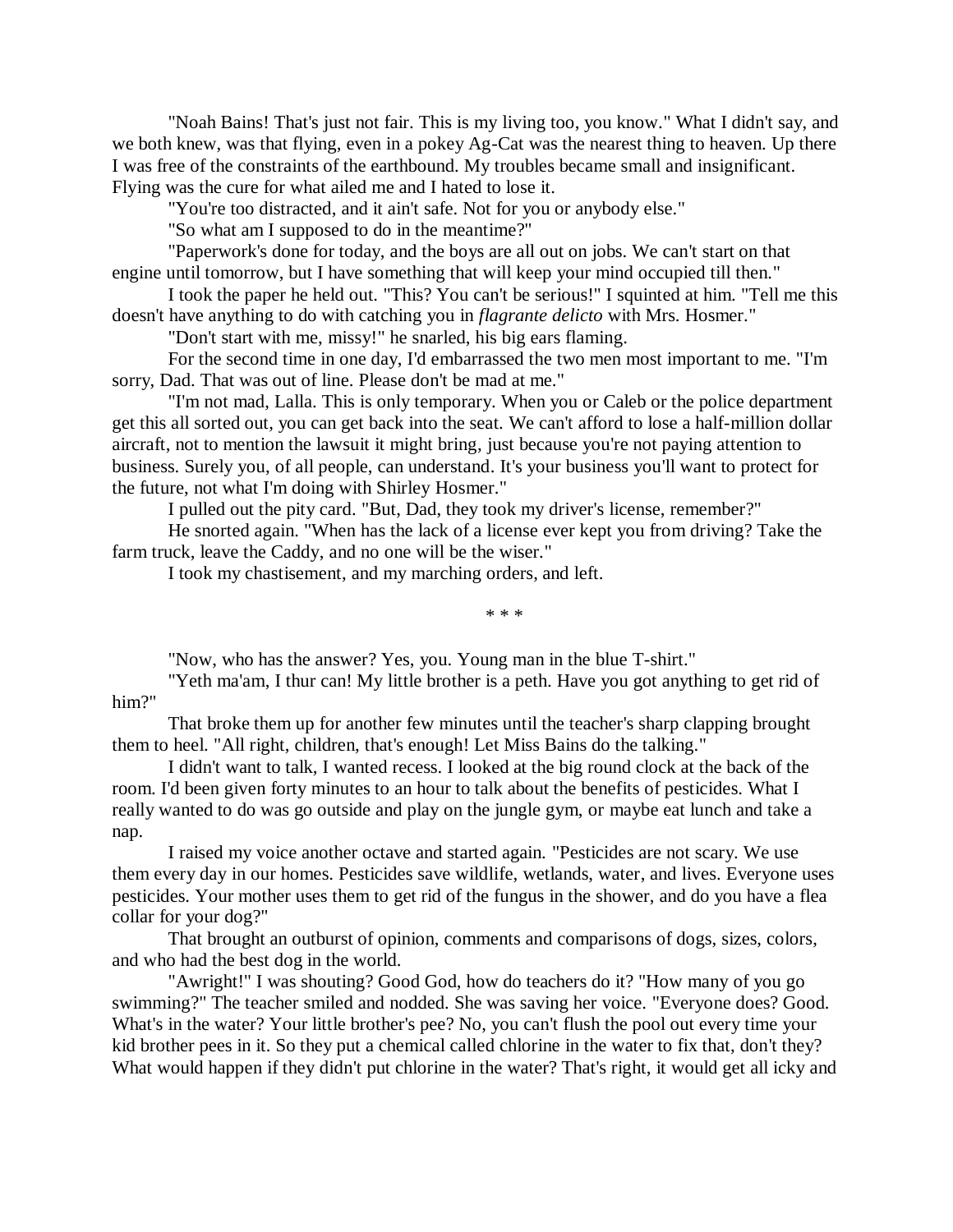"Noah Bains! That's just not fair. This is my living too, you know." What I didn't say, and we both knew, was that flying, even in a pokey Ag-Cat was the nearest thing to heaven. Up there I was free of the constraints of the earthbound. My troubles became small and insignificant. Flying was the cure for what ailed me and I hated to lose it.

"You're too distracted, and it ain't safe. Not for you or anybody else."

"So what am I supposed to do in the meantime?"

"Paperwork's done for today, and the boys are all out on jobs. We can't start on that engine until tomorrow, but I have something that will keep your mind occupied till then."

I took the paper he held out. "This? You can't be serious!" I squinted at him. "Tell me this doesn't have anything to do with catching you in *flagrante delicto* with Mrs. Hosmer."

"Don't start with me, missy!" he snarled, his big ears flaming.

For the second time in one day, I'd embarrassed the two men most important to me. "I'm sorry, Dad. That was out of line. Please don't be mad at me."

"I'm not mad, Lalla. This is only temporary. When you or Caleb or the police department get this all sorted out, you can get back into the seat. We can't afford to lose a half-million dollar aircraft, not to mention the lawsuit it might bring, just because you're not paying attention to business. Surely you, of all people, can understand. It's your business you'll want to protect for the future, not what I'm doing with Shirley Hosmer."

I pulled out the pity card. "But, Dad, they took my driver's license, remember?"

He snorted again. "When has the lack of a license ever kept you from driving? Take the farm truck, leave the Caddy, and no one will be the wiser."

I took my chastisement, and my marching orders, and left.

\* \* \*

"Now, who has the answer? Yes, you. Young man in the blue T-shirt."

"Yeth ma'am, I thur can! My little brother is a peth. Have you got anything to get rid of him?"

That broke them up for another few minutes until the teacher's sharp clapping brought them to heel. "All right, children, that's enough! Let Miss Bains do the talking."

I didn't want to talk, I wanted recess. I looked at the big round clock at the back of the room. I'd been given forty minutes to an hour to talk about the benefits of pesticides. What I really wanted to do was go outside and play on the jungle gym, or maybe eat lunch and take a nap.

I raised my voice another octave and started again. "Pesticides are not scary. We use them every day in our homes. Pesticides save wildlife, wetlands, water, and lives. Everyone uses pesticides. Your mother uses them to get rid of the fungus in the shower, and do you have a flea collar for your dog?"

That brought an outburst of opinion, comments and comparisons of dogs, sizes, colors, and who had the best dog in the world.

"Awright!" I was shouting? Good God, how do teachers do it? "How many of you go swimming?" The teacher smiled and nodded. She was saving her voice. "Everyone does? Good. What's in the water? Your little brother's pee? No, you can't flush the pool out every time your kid brother pees in it. So they put a chemical called chlorine in the water to fix that, don't they? What would happen if they didn't put chlorine in the water? That's right, it would get all icky and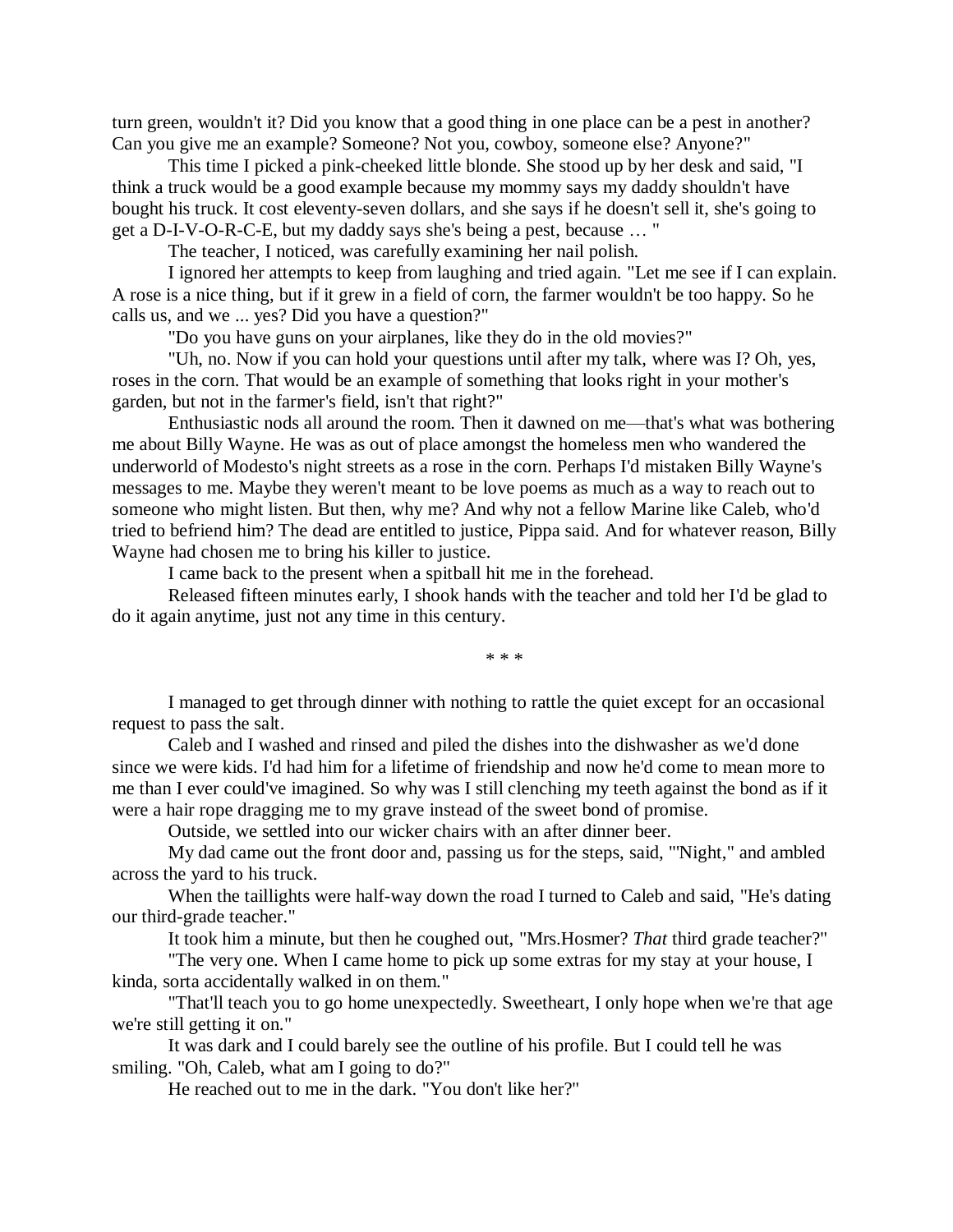turn green, wouldn't it? Did you know that a good thing in one place can be a pest in another? Can you give me an example? Someone? Not you, cowboy, someone else? Anyone?"

This time I picked a pink-cheeked little blonde. She stood up by her desk and said, "I think a truck would be a good example because my mommy says my daddy shouldn't have bought his truck. It cost eleventy-seven dollars, and she says if he doesn't sell it, she's going to get a D-I-V-O-R-C-E, but my daddy says she's being a pest, because … "

The teacher, I noticed, was carefully examining her nail polish.

I ignored her attempts to keep from laughing and tried again. "Let me see if I can explain. A rose is a nice thing, but if it grew in a field of corn, the farmer wouldn't be too happy. So he calls us, and we ... yes? Did you have a question?"

"Do you have guns on your airplanes, like they do in the old movies?"

"Uh, no. Now if you can hold your questions until after my talk, where was I? Oh, yes, roses in the corn. That would be an example of something that looks right in your mother's garden, but not in the farmer's field, isn't that right?"

Enthusiastic nods all around the room. Then it dawned on me—that's what was bothering me about Billy Wayne. He was as out of place amongst the homeless men who wandered the underworld of Modesto's night streets as a rose in the corn. Perhaps I'd mistaken Billy Wayne's messages to me. Maybe they weren't meant to be love poems as much as a way to reach out to someone who might listen. But then, why me? And why not a fellow Marine like Caleb, who'd tried to befriend him? The dead are entitled to justice, Pippa said. And for whatever reason, Billy Wayne had chosen me to bring his killer to justice.

I came back to the present when a spitball hit me in the forehead.

Released fifteen minutes early, I shook hands with the teacher and told her I'd be glad to do it again anytime, just not any time in this century.

\* \* \*

I managed to get through dinner with nothing to rattle the quiet except for an occasional request to pass the salt.

Caleb and I washed and rinsed and piled the dishes into the dishwasher as we'd done since we were kids. I'd had him for a lifetime of friendship and now he'd come to mean more to me than I ever could've imagined. So why was I still clenching my teeth against the bond as if it were a hair rope dragging me to my grave instead of the sweet bond of promise.

Outside, we settled into our wicker chairs with an after dinner beer.

My dad came out the front door and, passing us for the steps, said, "'Night," and ambled across the yard to his truck.

When the taillights were half-way down the road I turned to Caleb and said, "He's dating our third-grade teacher."

It took him a minute, but then he coughed out, "Mrs.Hosmer? *That* third grade teacher?"

"The very one. When I came home to pick up some extras for my stay at your house, I kinda, sorta accidentally walked in on them."

"That'll teach you to go home unexpectedly. Sweetheart, I only hope when we're that age we're still getting it on."

It was dark and I could barely see the outline of his profile. But I could tell he was smiling. "Oh, Caleb, what am I going to do?"

He reached out to me in the dark. "You don't like her?"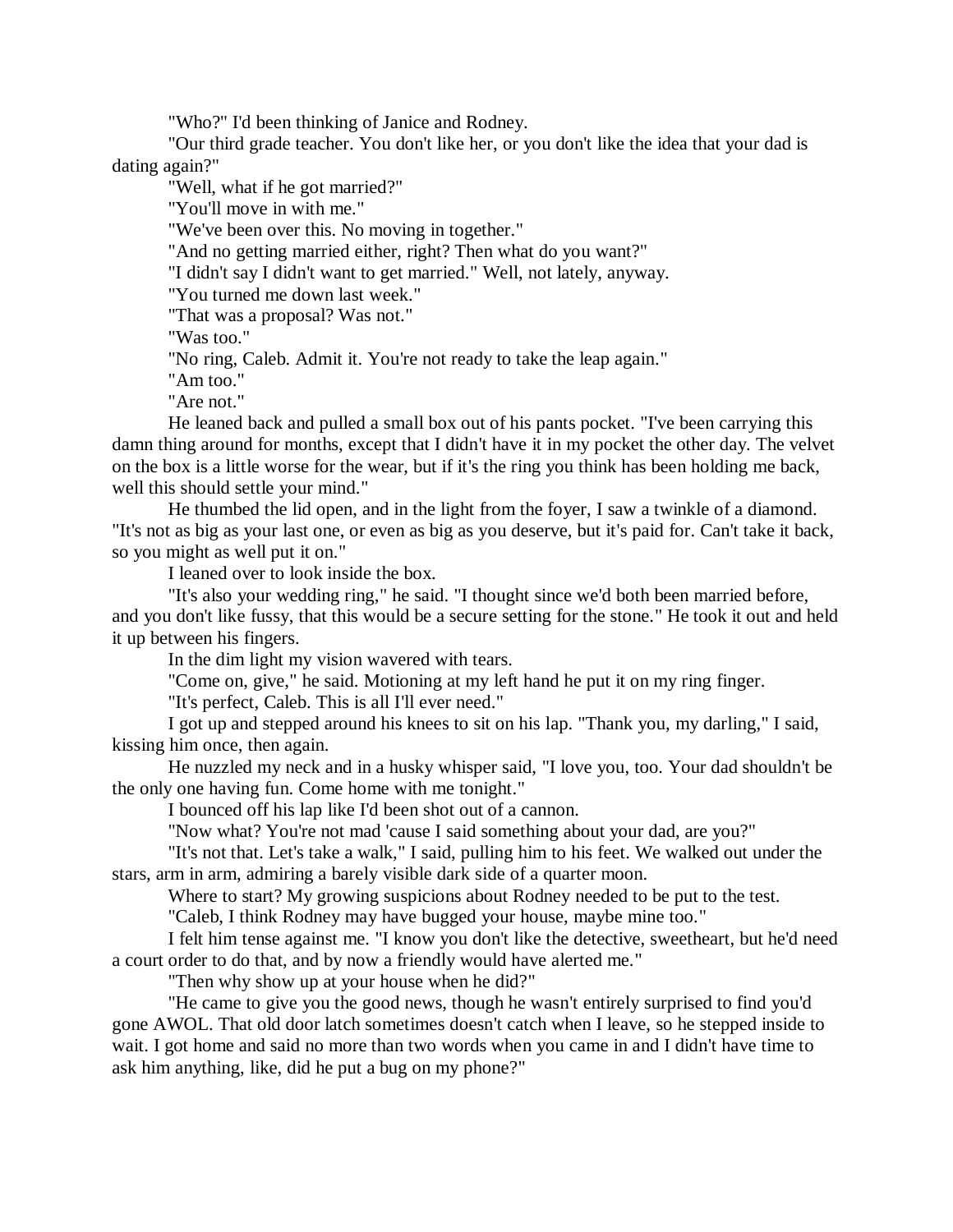"Who?" I'd been thinking of Janice and Rodney.

"Our third grade teacher. You don't like her, or you don't like the idea that your dad is dating again?"

"Well, what if he got married?"

"You'll move in with me."

"We've been over this. No moving in together."

"And no getting married either, right? Then what do you want?"

"I didn't say I didn't want to get married." Well, not lately, anyway.

"You turned me down last week."

"That was a proposal? Was not."

"Was too."

"No ring, Caleb. Admit it. You're not ready to take the leap again."

"Am too."

"Are not."

He leaned back and pulled a small box out of his pants pocket. "I've been carrying this damn thing around for months, except that I didn't have it in my pocket the other day. The velvet on the box is a little worse for the wear, but if it's the ring you think has been holding me back, well this should settle your mind."

He thumbed the lid open, and in the light from the foyer, I saw a twinkle of a diamond. "It's not as big as your last one, or even as big as you deserve, but it's paid for. Can't take it back, so you might as well put it on."

I leaned over to look inside the box.

"It's also your wedding ring," he said. "I thought since we'd both been married before, and you don't like fussy, that this would be a secure setting for the stone." He took it out and held it up between his fingers.

In the dim light my vision wavered with tears.

"Come on, give," he said. Motioning at my left hand he put it on my ring finger.

"It's perfect, Caleb. This is all I'll ever need."

I got up and stepped around his knees to sit on his lap. "Thank you, my darling," I said, kissing him once, then again.

He nuzzled my neck and in a husky whisper said, "I love you, too. Your dad shouldn't be the only one having fun. Come home with me tonight."

I bounced off his lap like I'd been shot out of a cannon.

"Now what? You're not mad 'cause I said something about your dad, are you?"

"It's not that. Let's take a walk," I said, pulling him to his feet. We walked out under the stars, arm in arm, admiring a barely visible dark side of a quarter moon.

Where to start? My growing suspicions about Rodney needed to be put to the test.

"Caleb, I think Rodney may have bugged your house, maybe mine too."

I felt him tense against me. "I know you don't like the detective, sweetheart, but he'd need a court order to do that, and by now a friendly would have alerted me."

"Then why show up at your house when he did?"

"He came to give you the good news, though he wasn't entirely surprised to find you'd gone AWOL. That old door latch sometimes doesn't catch when I leave, so he stepped inside to wait. I got home and said no more than two words when you came in and I didn't have time to ask him anything, like, did he put a bug on my phone?"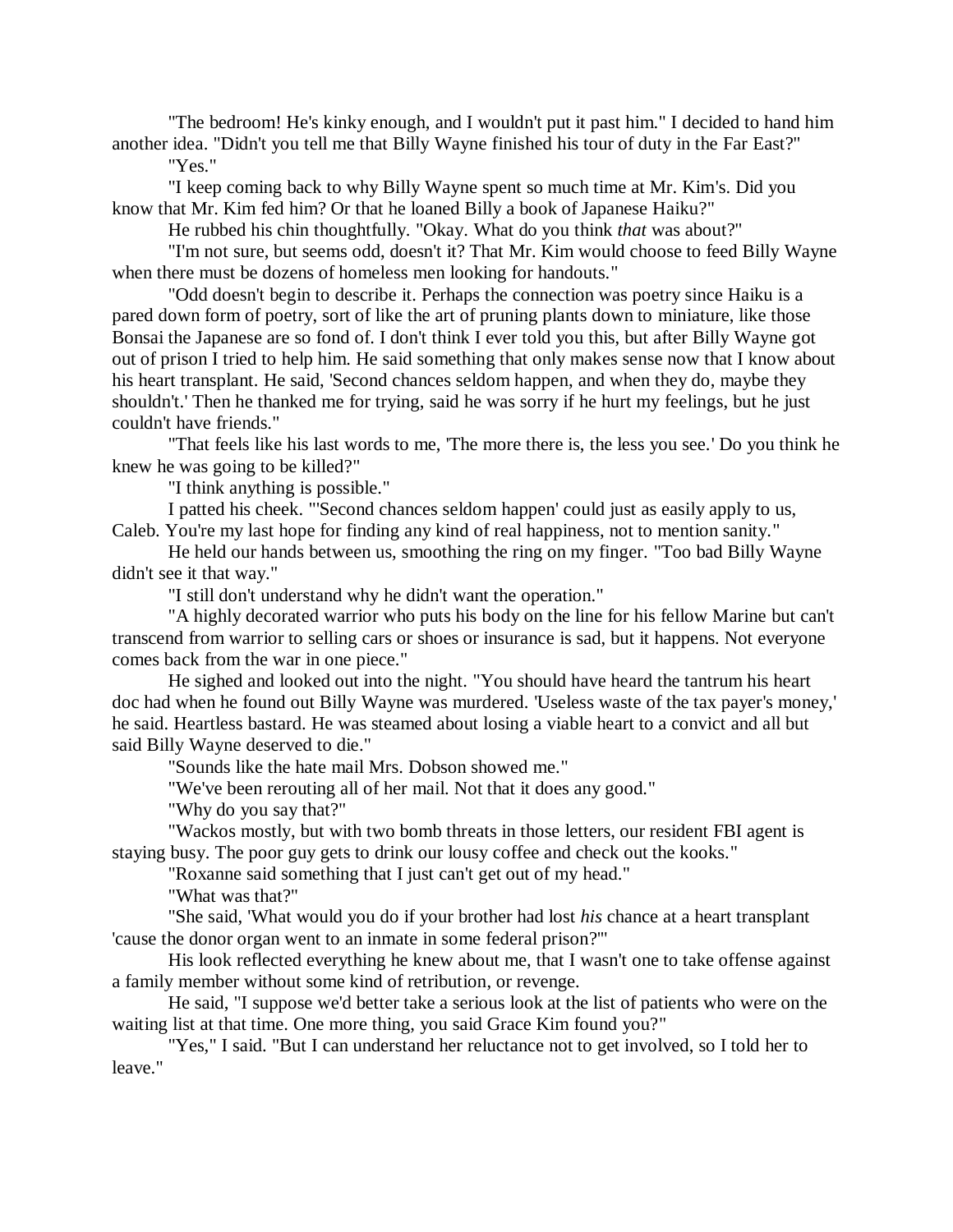"The bedroom! He's kinky enough, and I wouldn't put it past him." I decided to hand him another idea. "Didn't you tell me that Billy Wayne finished his tour of duty in the Far East?"

"Yes."

"I keep coming back to why Billy Wayne spent so much time at Mr. Kim's. Did you know that Mr. Kim fed him? Or that he loaned Billy a book of Japanese Haiku?"

He rubbed his chin thoughtfully. "Okay. What do you think *that* was about?"

"I'm not sure, but seems odd, doesn't it? That Mr. Kim would choose to feed Billy Wayne when there must be dozens of homeless men looking for handouts."

"Odd doesn't begin to describe it. Perhaps the connection was poetry since Haiku is a pared down form of poetry, sort of like the art of pruning plants down to miniature, like those Bonsai the Japanese are so fond of. I don't think I ever told you this, but after Billy Wayne got out of prison I tried to help him. He said something that only makes sense now that I know about his heart transplant. He said, 'Second chances seldom happen, and when they do, maybe they shouldn't.' Then he thanked me for trying, said he was sorry if he hurt my feelings, but he just couldn't have friends."

"That feels like his last words to me, 'The more there is, the less you see.' Do you think he knew he was going to be killed?"

"I think anything is possible."

I patted his cheek. "'Second chances seldom happen' could just as easily apply to us, Caleb. You're my last hope for finding any kind of real happiness, not to mention sanity."

He held our hands between us, smoothing the ring on my finger. "Too bad Billy Wayne didn't see it that way."

"I still don't understand why he didn't want the operation."

"A highly decorated warrior who puts his body on the line for his fellow Marine but can't transcend from warrior to selling cars or shoes or insurance is sad, but it happens. Not everyone comes back from the war in one piece."

He sighed and looked out into the night. "You should have heard the tantrum his heart doc had when he found out Billy Wayne was murdered. 'Useless waste of the tax payer's money,' he said. Heartless bastard. He was steamed about losing a viable heart to a convict and all but said Billy Wayne deserved to die."

"Sounds like the hate mail Mrs. Dobson showed me."

"We've been rerouting all of her mail. Not that it does any good."

"Why do you say that?"

"Wackos mostly, but with two bomb threats in those letters, our resident FBI agent is staying busy. The poor guy gets to drink our lousy coffee and check out the kooks."

"Roxanne said something that I just can't get out of my head."

"What was that?"

"She said, 'What would you do if your brother had lost *his* chance at a heart transplant 'cause the donor organ went to an inmate in some federal prison?'"

His look reflected everything he knew about me, that I wasn't one to take offense against a family member without some kind of retribution, or revenge.

He said, "I suppose we'd better take a serious look at the list of patients who were on the waiting list at that time. One more thing, you said Grace Kim found you?"

"Yes," I said. "But I can understand her reluctance not to get involved, so I told her to leave."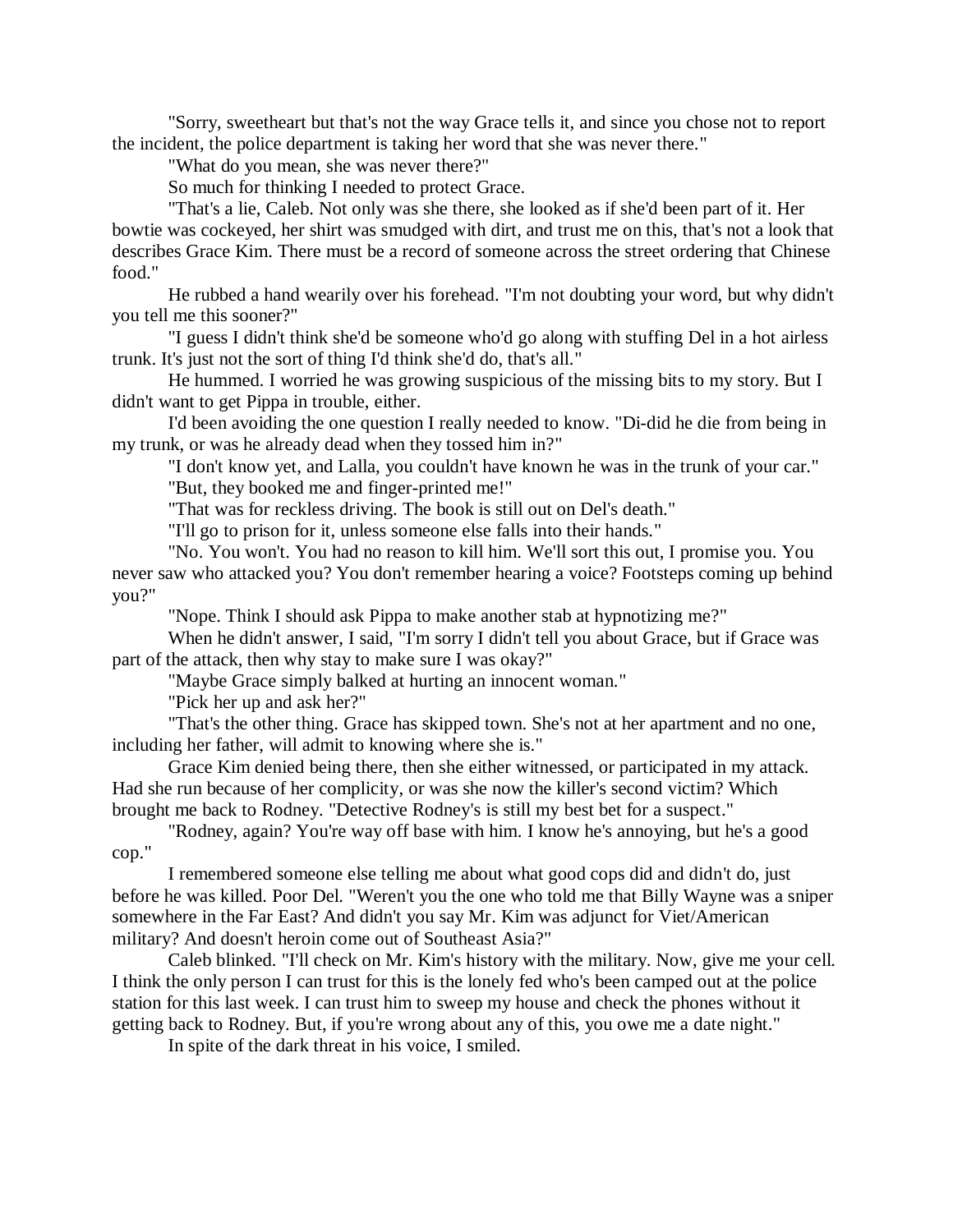"Sorry, sweetheart but that's not the way Grace tells it, and since you chose not to report the incident, the police department is taking her word that she was never there."

"What do you mean, she was never there?"

So much for thinking I needed to protect Grace.

"That's a lie, Caleb. Not only was she there, she looked as if she'd been part of it. Her bowtie was cockeyed, her shirt was smudged with dirt, and trust me on this, that's not a look that describes Grace Kim. There must be a record of someone across the street ordering that Chinese food."

He rubbed a hand wearily over his forehead. "I'm not doubting your word, but why didn't you tell me this sooner?"

"I guess I didn't think she'd be someone who'd go along with stuffing Del in a hot airless trunk. It's just not the sort of thing I'd think she'd do, that's all."

He hummed. I worried he was growing suspicious of the missing bits to my story. But I didn't want to get Pippa in trouble, either.

I'd been avoiding the one question I really needed to know. "Di-did he die from being in my trunk, or was he already dead when they tossed him in?"

"I don't know yet, and Lalla, you couldn't have known he was in the trunk of your car." "But, they booked me and finger-printed me!"

"That was for reckless driving. The book is still out on Del's death."

"I'll go to prison for it, unless someone else falls into their hands."

"No. You won't. You had no reason to kill him. We'll sort this out, I promise you. You never saw who attacked you? You don't remember hearing a voice? Footsteps coming up behind you?"

"Nope. Think I should ask Pippa to make another stab at hypnotizing me?"

When he didn't answer, I said, "I'm sorry I didn't tell you about Grace, but if Grace was part of the attack, then why stay to make sure I was okay?"

"Maybe Grace simply balked at hurting an innocent woman."

"Pick her up and ask her?"

"That's the other thing. Grace has skipped town. She's not at her apartment and no one, including her father, will admit to knowing where she is."

Grace Kim denied being there, then she either witnessed, or participated in my attack. Had she run because of her complicity, or was she now the killer's second victim? Which brought me back to Rodney. "Detective Rodney's is still my best bet for a suspect."

"Rodney, again? You're way off base with him. I know he's annoying, but he's a good cop."

I remembered someone else telling me about what good cops did and didn't do, just before he was killed. Poor Del. "Weren't you the one who told me that Billy Wayne was a sniper somewhere in the Far East? And didn't you say Mr. Kim was adjunct for Viet/American military? And doesn't heroin come out of Southeast Asia?"

Caleb blinked. "I'll check on Mr. Kim's history with the military. Now, give me your cell. I think the only person I can trust for this is the lonely fed who's been camped out at the police station for this last week. I can trust him to sweep my house and check the phones without it getting back to Rodney. But, if you're wrong about any of this, you owe me a date night."

In spite of the dark threat in his voice, I smiled.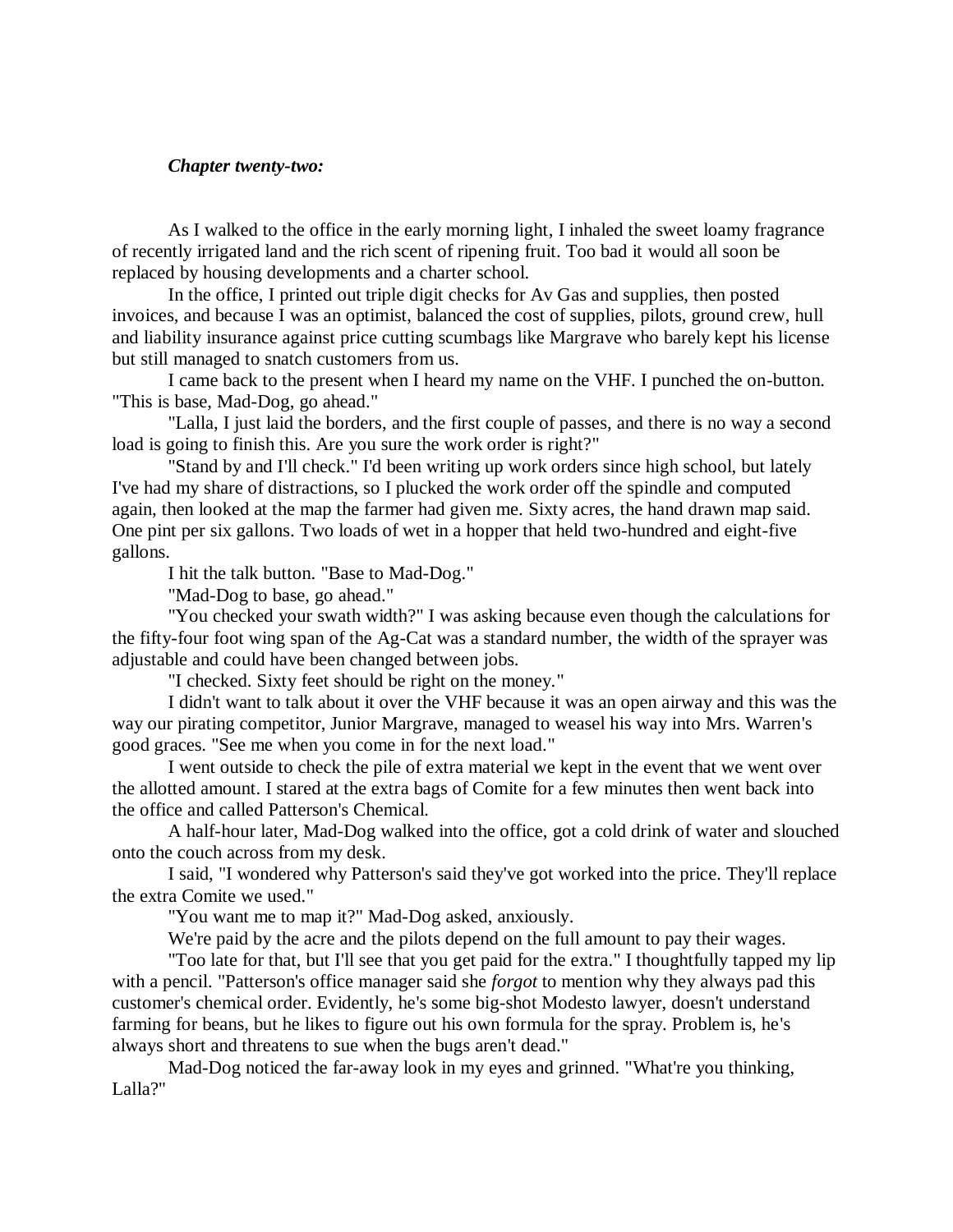## *Chapter twenty-two:*

As I walked to the office in the early morning light, I inhaled the sweet loamy fragrance of recently irrigated land and the rich scent of ripening fruit. Too bad it would all soon be replaced by housing developments and a charter school.

In the office, I printed out triple digit checks for Av Gas and supplies, then posted invoices, and because I was an optimist, balanced the cost of supplies, pilots, ground crew, hull and liability insurance against price cutting scumbags like Margrave who barely kept his license but still managed to snatch customers from us.

I came back to the present when I heard my name on the VHF. I punched the on-button. "This is base, Mad-Dog, go ahead."

"Lalla, I just laid the borders, and the first couple of passes, and there is no way a second load is going to finish this. Are you sure the work order is right?"

"Stand by and I'll check." I'd been writing up work orders since high school, but lately I've had my share of distractions, so I plucked the work order off the spindle and computed again, then looked at the map the farmer had given me. Sixty acres, the hand drawn map said. One pint per six gallons. Two loads of wet in a hopper that held two-hundred and eight-five gallons.

I hit the talk button. "Base to Mad-Dog."

"Mad-Dog to base, go ahead."

"You checked your swath width?" I was asking because even though the calculations for the fifty-four foot wing span of the Ag-Cat was a standard number, the width of the sprayer was adjustable and could have been changed between jobs.

"I checked. Sixty feet should be right on the money."

I didn't want to talk about it over the VHF because it was an open airway and this was the way our pirating competitor, Junior Margrave, managed to weasel his way into Mrs. Warren's good graces. "See me when you come in for the next load."

I went outside to check the pile of extra material we kept in the event that we went over the allotted amount. I stared at the extra bags of Comite for a few minutes then went back into the office and called Patterson's Chemical.

A half-hour later, Mad-Dog walked into the office, got a cold drink of water and slouched onto the couch across from my desk.

I said, "I wondered why Patterson's said they've got worked into the price. They'll replace the extra Comite we used."

"You want me to map it?" Mad-Dog asked, anxiously.

We're paid by the acre and the pilots depend on the full amount to pay their wages.

"Too late for that, but I'll see that you get paid for the extra." I thoughtfully tapped my lip with a pencil. "Patterson's office manager said she *forgot* to mention why they always pad this customer's chemical order. Evidently, he's some big-shot Modesto lawyer, doesn't understand farming for beans, but he likes to figure out his own formula for the spray. Problem is, he's always short and threatens to sue when the bugs aren't dead."

Mad-Dog noticed the far-away look in my eyes and grinned. "What're you thinking, Lalla?"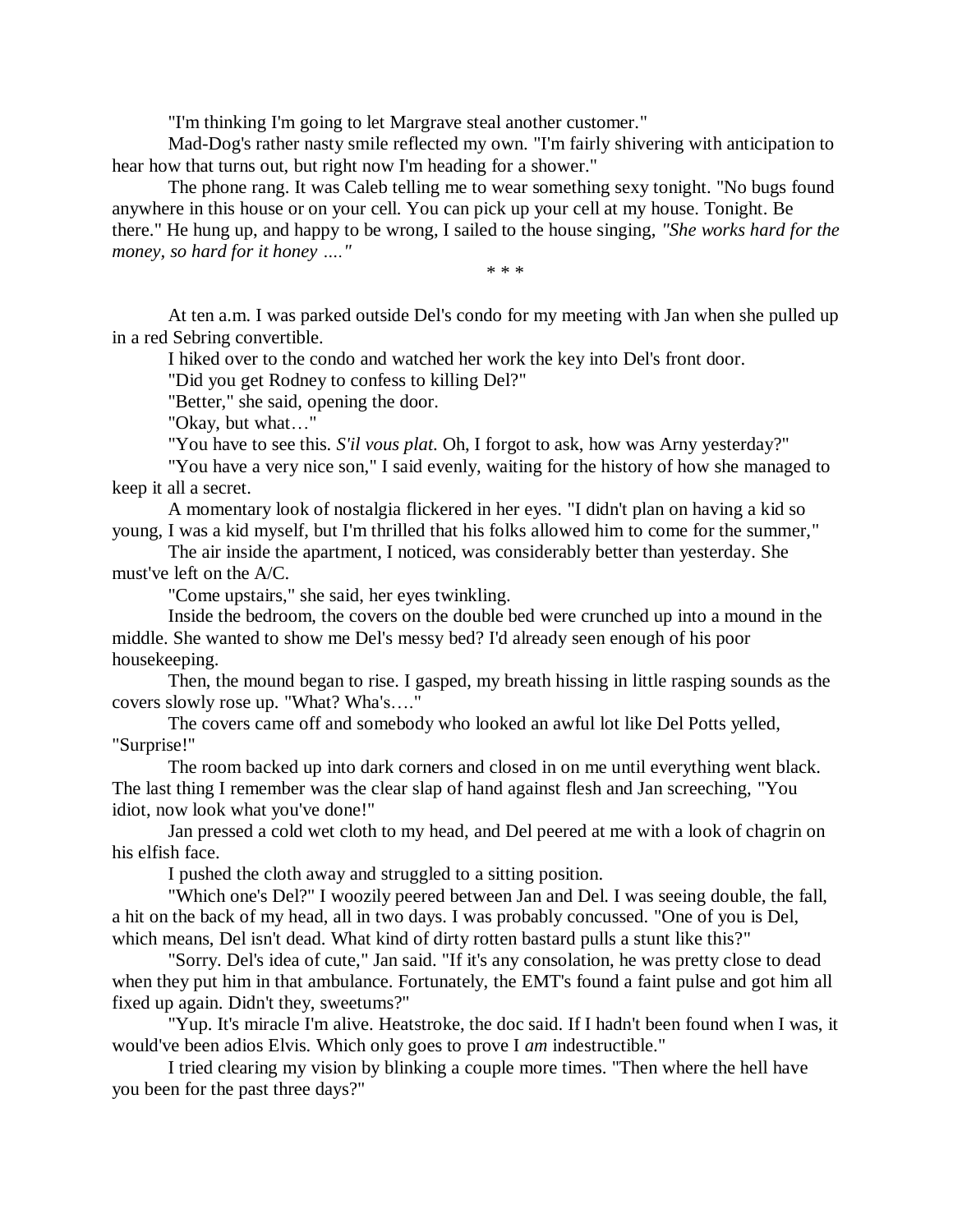"I'm thinking I'm going to let Margrave steal another customer."

Mad-Dog's rather nasty smile reflected my own. "I'm fairly shivering with anticipation to hear how that turns out, but right now I'm heading for a shower."

The phone rang. It was Caleb telling me to wear something sexy tonight. "No bugs found anywhere in this house or on your cell. You can pick up your cell at my house. Tonight. Be there." He hung up, and happy to be wrong, I sailed to the house singing, *"She works hard for the money, so hard for it honey …."*

*\* \* \**

At ten a.m. I was parked outside Del's condo for my meeting with Jan when she pulled up in a red Sebring convertible.

I hiked over to the condo and watched her work the key into Del's front door.

"Did you get Rodney to confess to killing Del?"

"Better," she said, opening the door.

"Okay, but what…"

"You have to see this. *S'il vous plat*. Oh, I forgot to ask, how was Arny yesterday?"

"You have a very nice son," I said evenly, waiting for the history of how she managed to keep it all a secret.

A momentary look of nostalgia flickered in her eyes. "I didn't plan on having a kid so young, I was a kid myself, but I'm thrilled that his folks allowed him to come for the summer,"

The air inside the apartment, I noticed, was considerably better than yesterday. She must've left on the A/C.

"Come upstairs," she said, her eyes twinkling.

Inside the bedroom, the covers on the double bed were crunched up into a mound in the middle. She wanted to show me Del's messy bed? I'd already seen enough of his poor housekeeping.

Then, the mound began to rise. I gasped, my breath hissing in little rasping sounds as the covers slowly rose up. "What? Wha's…."

The covers came off and somebody who looked an awful lot like Del Potts yelled, "Surprise!"

The room backed up into dark corners and closed in on me until everything went black. The last thing I remember was the clear slap of hand against flesh and Jan screeching, "You idiot, now look what you've done!"

Jan pressed a cold wet cloth to my head, and Del peered at me with a look of chagrin on his elfish face.

I pushed the cloth away and struggled to a sitting position.

"Which one's Del?" I woozily peered between Jan and Del. I was seeing double, the fall, a hit on the back of my head, all in two days. I was probably concussed. "One of you is Del, which means, Del isn't dead. What kind of dirty rotten bastard pulls a stunt like this?"

"Sorry. Del's idea of cute," Jan said. "If it's any consolation, he was pretty close to dead when they put him in that ambulance. Fortunately, the EMT's found a faint pulse and got him all fixed up again. Didn't they, sweetums?"

"Yup. It's miracle I'm alive. Heatstroke, the doc said. If I hadn't been found when I was, it would've been adios Elvis. Which only goes to prove I *am* indestructible."

I tried clearing my vision by blinking a couple more times. "Then where the hell have you been for the past three days?"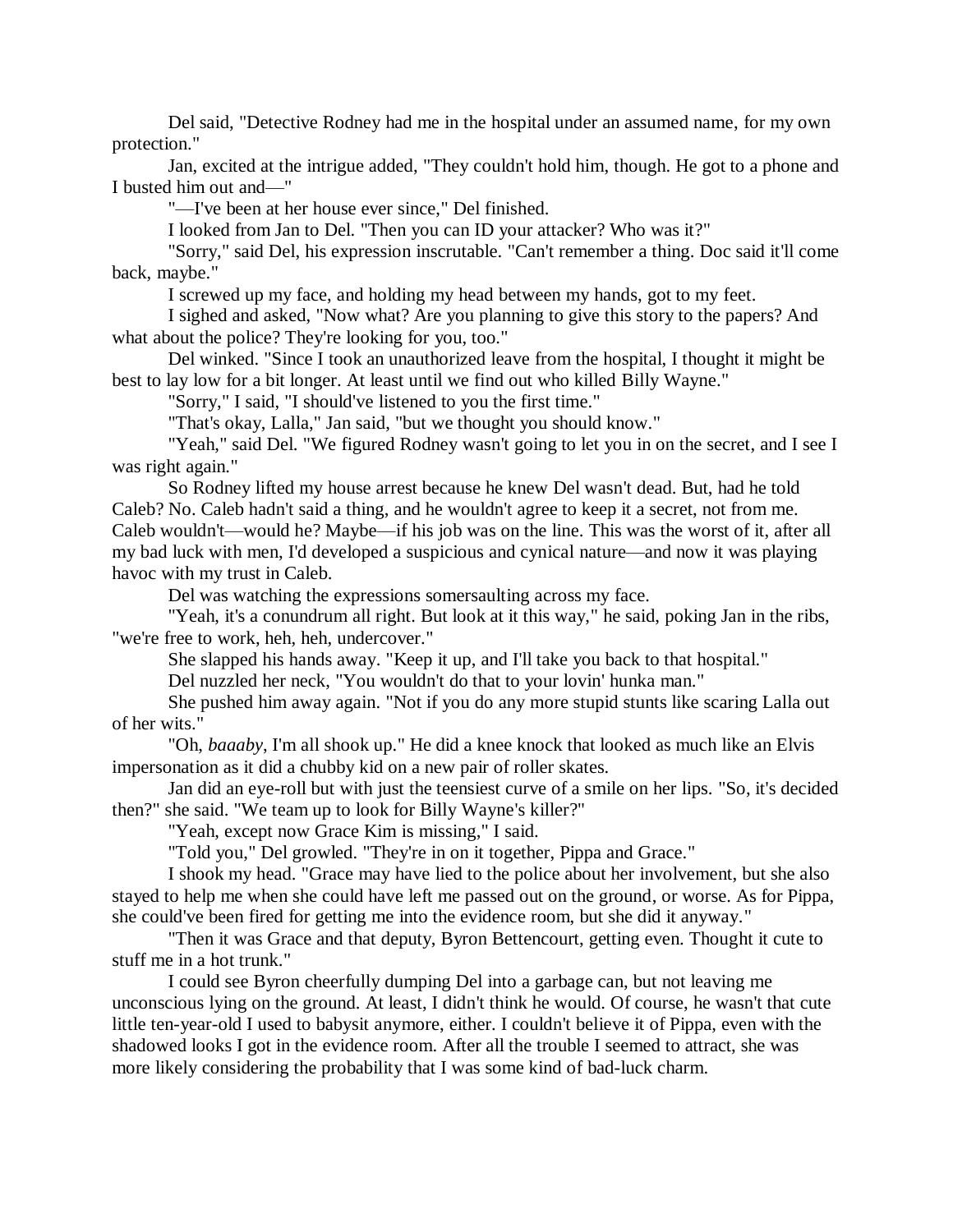Del said, "Detective Rodney had me in the hospital under an assumed name, for my own protection."

Jan, excited at the intrigue added, "They couldn't hold him, though. He got to a phone and I busted him out and—"

"—I've been at her house ever since," Del finished.

I looked from Jan to Del. "Then you can ID your attacker? Who was it?"

"Sorry," said Del, his expression inscrutable. "Can't remember a thing. Doc said it'll come back, maybe."

I screwed up my face, and holding my head between my hands, got to my feet.

I sighed and asked, "Now what? Are you planning to give this story to the papers? And what about the police? They're looking for you, too."

Del winked. "Since I took an unauthorized leave from the hospital, I thought it might be best to lay low for a bit longer. At least until we find out who killed Billy Wayne."

"Sorry," I said, "I should've listened to you the first time."

"That's okay, Lalla," Jan said, "but we thought you should know."

"Yeah," said Del. "We figured Rodney wasn't going to let you in on the secret, and I see I was right again."

So Rodney lifted my house arrest because he knew Del wasn't dead. But, had he told Caleb? No. Caleb hadn't said a thing, and he wouldn't agree to keep it a secret, not from me. Caleb wouldn't—would he? Maybe—if his job was on the line. This was the worst of it, after all my bad luck with men, I'd developed a suspicious and cynical nature—and now it was playing havoc with my trust in Caleb.

Del was watching the expressions somersaulting across my face.

"Yeah, it's a conundrum all right. But look at it this way," he said, poking Jan in the ribs, "we're free to work, heh, heh, undercover."

She slapped his hands away. "Keep it up, and I'll take you back to that hospital."

Del nuzzled her neck, "You wouldn't do that to your lovin' hunka man."

She pushed him away again. "Not if you do any more stupid stunts like scaring Lalla out of her wits."

"Oh, *baaaby*, I'm all shook up." He did a knee knock that looked as much like an Elvis impersonation as it did a chubby kid on a new pair of roller skates.

Jan did an eye-roll but with just the teensiest curve of a smile on her lips. "So, it's decided then?" she said. "We team up to look for Billy Wayne's killer?"

"Yeah, except now Grace Kim is missing," I said.

"Told you," Del growled. "They're in on it together, Pippa and Grace."

I shook my head. "Grace may have lied to the police about her involvement, but she also stayed to help me when she could have left me passed out on the ground, or worse. As for Pippa, she could've been fired for getting me into the evidence room, but she did it anyway."

"Then it was Grace and that deputy, Byron Bettencourt, getting even. Thought it cute to stuff me in a hot trunk."

I could see Byron cheerfully dumping Del into a garbage can, but not leaving me unconscious lying on the ground. At least, I didn't think he would. Of course, he wasn't that cute little ten-year-old I used to babysit anymore, either. I couldn't believe it of Pippa, even with the shadowed looks I got in the evidence room. After all the trouble I seemed to attract, she was more likely considering the probability that I was some kind of bad-luck charm.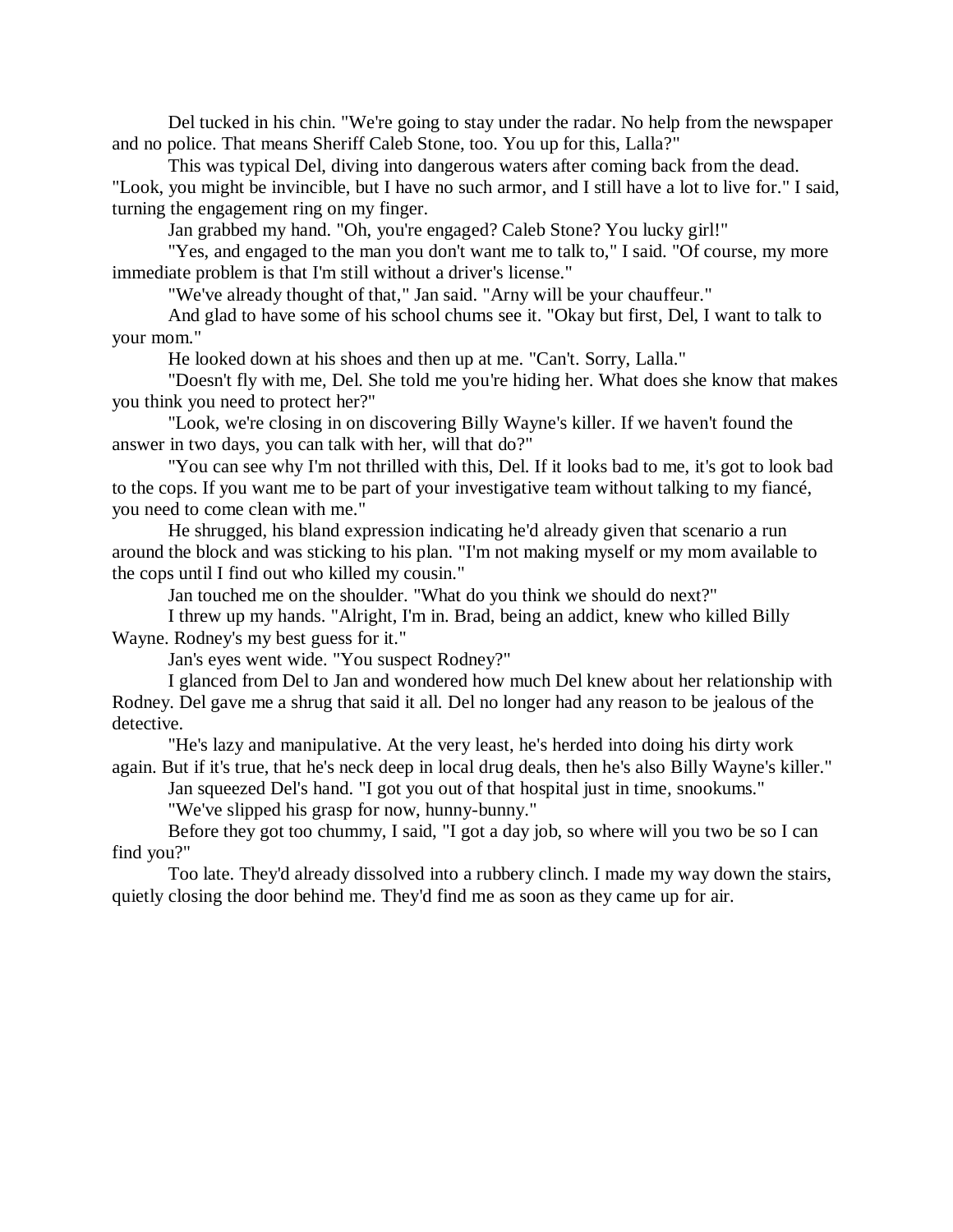Del tucked in his chin. "We're going to stay under the radar. No help from the newspaper and no police. That means Sheriff Caleb Stone, too. You up for this, Lalla?"

This was typical Del, diving into dangerous waters after coming back from the dead. "Look, you might be invincible, but I have no such armor, and I still have a lot to live for." I said, turning the engagement ring on my finger.

Jan grabbed my hand. "Oh, you're engaged? Caleb Stone? You lucky girl!"

"Yes, and engaged to the man you don't want me to talk to," I said. "Of course, my more immediate problem is that I'm still without a driver's license."

"We've already thought of that," Jan said. "Arny will be your chauffeur."

And glad to have some of his school chums see it. "Okay but first, Del, I want to talk to your mom."

He looked down at his shoes and then up at me. "Can't. Sorry, Lalla."

"Doesn't fly with me, Del. She told me you're hiding her. What does she know that makes you think you need to protect her?"

"Look, we're closing in on discovering Billy Wayne's killer. If we haven't found the answer in two days, you can talk with her, will that do?"

"You can see why I'm not thrilled with this, Del. If it looks bad to me, it's got to look bad to the cops. If you want me to be part of your investigative team without talking to my fiancé, you need to come clean with me."

He shrugged, his bland expression indicating he'd already given that scenario a run around the block and was sticking to his plan. "I'm not making myself or my mom available to the cops until I find out who killed my cousin."

Jan touched me on the shoulder. "What do you think we should do next?"

I threw up my hands. "Alright, I'm in. Brad, being an addict, knew who killed Billy Wayne. Rodney's my best guess for it."

Jan's eyes went wide. "You suspect Rodney?"

I glanced from Del to Jan and wondered how much Del knew about her relationship with Rodney. Del gave me a shrug that said it all. Del no longer had any reason to be jealous of the detective.

"He's lazy and manipulative. At the very least, he's herded into doing his dirty work again. But if it's true, that he's neck deep in local drug deals, then he's also Billy Wayne's killer."

Jan squeezed Del's hand. "I got you out of that hospital just in time*,* snookums." "We've slipped his grasp for now, hunny-bunny."

Before they got too chummy, I said, "I got a day job, so where will you two be so I can find you?"

Too late. They'd already dissolved into a rubbery clinch. I made my way down the stairs, quietly closing the door behind me. They'd find me as soon as they came up for air.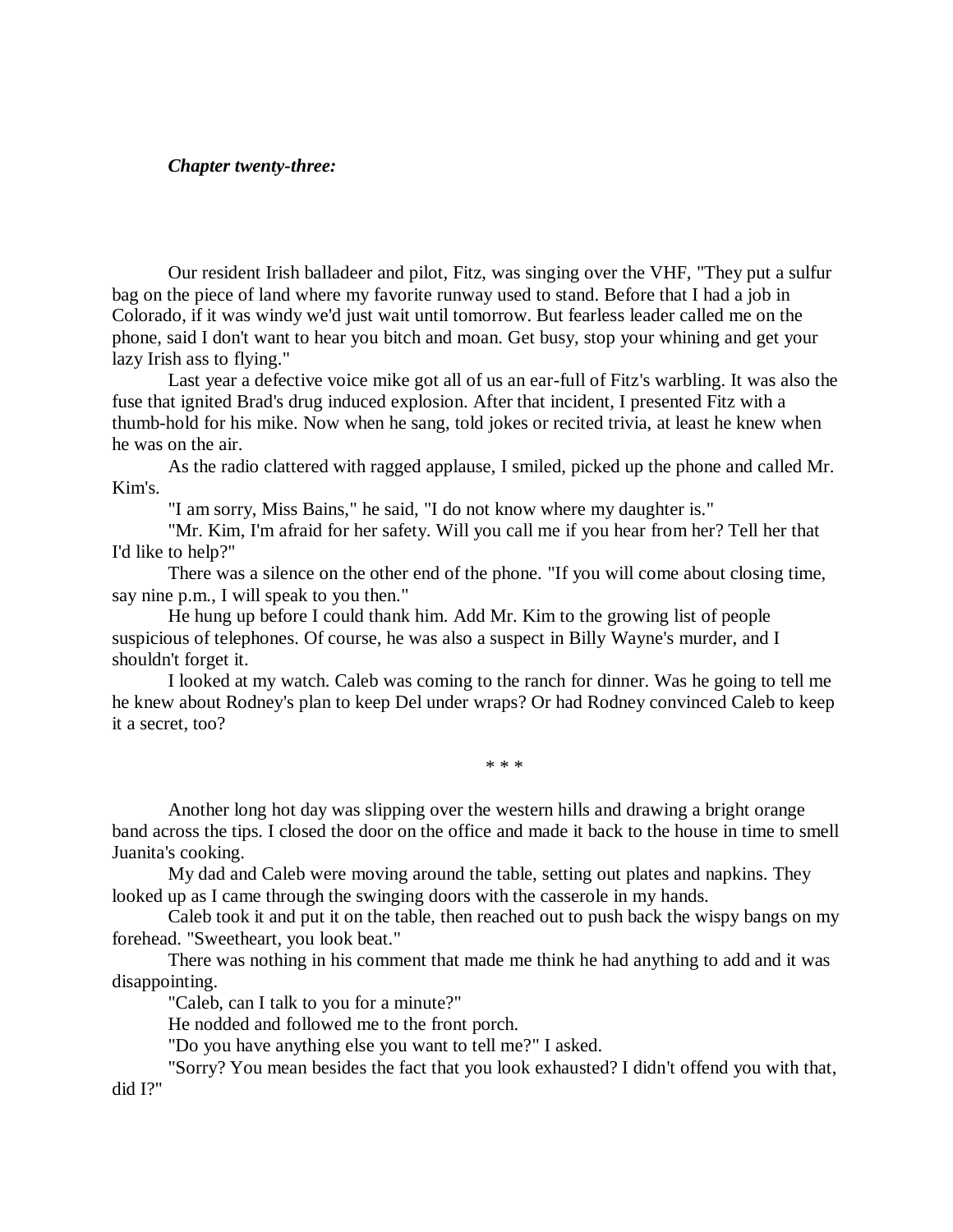## *Chapter twenty-three:*

Our resident Irish balladeer and pilot, Fitz, was singing over the VHF, "They put a sulfur bag on the piece of land where my favorite runway used to stand. Before that I had a job in Colorado, if it was windy we'd just wait until tomorrow. But fearless leader called me on the phone, said I don't want to hear you bitch and moan. Get busy, stop your whining and get your lazy Irish ass to flying."

Last year a defective voice mike got all of us an ear-full of Fitz's warbling. It was also the fuse that ignited Brad's drug induced explosion. After that incident, I presented Fitz with a thumb-hold for his mike. Now when he sang, told jokes or recited trivia, at least he knew when he was on the air.

As the radio clattered with ragged applause, I smiled, picked up the phone and called Mr. Kim's.

"I am sorry, Miss Bains," he said, "I do not know where my daughter is."

"Mr. Kim, I'm afraid for her safety. Will you call me if you hear from her? Tell her that I'd like to help?"

There was a silence on the other end of the phone. "If you will come about closing time, say nine p.m., I will speak to you then."

He hung up before I could thank him. Add Mr. Kim to the growing list of people suspicious of telephones. Of course, he was also a suspect in Billy Wayne's murder, and I shouldn't forget it.

I looked at my watch. Caleb was coming to the ranch for dinner. Was he going to tell me he knew about Rodney's plan to keep Del under wraps? Or had Rodney convinced Caleb to keep it a secret, too?

\* \* \*

Another long hot day was slipping over the western hills and drawing a bright orange band across the tips. I closed the door on the office and made it back to the house in time to smell Juanita's cooking.

My dad and Caleb were moving around the table, setting out plates and napkins. They looked up as I came through the swinging doors with the casserole in my hands.

Caleb took it and put it on the table, then reached out to push back the wispy bangs on my forehead. "Sweetheart, you look beat."

There was nothing in his comment that made me think he had anything to add and it was disappointing.

"Caleb, can I talk to you for a minute?"

He nodded and followed me to the front porch.

"Do you have anything else you want to tell me?" I asked.

"Sorry? You mean besides the fact that you look exhausted? I didn't offend you with that, did I?"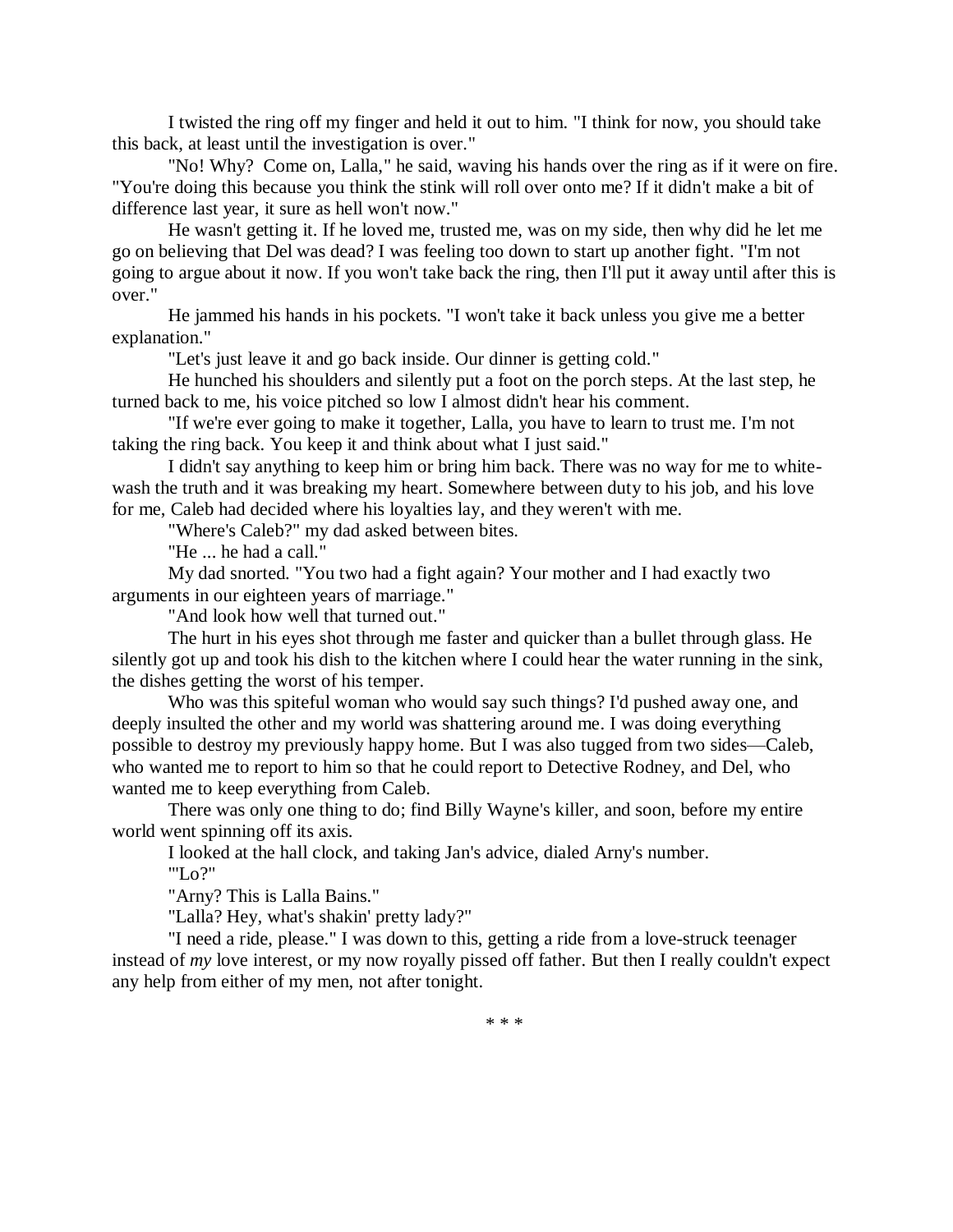I twisted the ring off my finger and held it out to him. "I think for now, you should take this back, at least until the investigation is over."

"No! Why? Come on, Lalla," he said, waving his hands over the ring as if it were on fire. "You're doing this because you think the stink will roll over onto me? If it didn't make a bit of difference last year, it sure as hell won't now."

He wasn't getting it. If he loved me, trusted me, was on my side, then why did he let me go on believing that Del was dead? I was feeling too down to start up another fight. "I'm not going to argue about it now. If you won't take back the ring, then I'll put it away until after this is over."

He jammed his hands in his pockets. "I won't take it back unless you give me a better explanation."

"Let's just leave it and go back inside. Our dinner is getting cold."

He hunched his shoulders and silently put a foot on the porch steps. At the last step, he turned back to me, his voice pitched so low I almost didn't hear his comment.

"If we're ever going to make it together, Lalla, you have to learn to trust me. I'm not taking the ring back. You keep it and think about what I just said."

I didn't say anything to keep him or bring him back. There was no way for me to whitewash the truth and it was breaking my heart. Somewhere between duty to his job, and his love for me, Caleb had decided where his loyalties lay, and they weren't with me.

"Where's Caleb?" my dad asked between bites.

"He ... he had a call."

My dad snorted. "You two had a fight again? Your mother and I had exactly two arguments in our eighteen years of marriage."

"And look how well that turned out."

The hurt in his eyes shot through me faster and quicker than a bullet through glass. He silently got up and took his dish to the kitchen where I could hear the water running in the sink, the dishes getting the worst of his temper.

Who was this spiteful woman who would say such things? I'd pushed away one, and deeply insulted the other and my world was shattering around me. I was doing everything possible to destroy my previously happy home. But I was also tugged from two sides—Caleb, who wanted me to report to him so that he could report to Detective Rodney, and Del, who wanted me to keep everything from Caleb.

There was only one thing to do; find Billy Wayne's killer, and soon, before my entire world went spinning off its axis.

I looked at the hall clock, and taking Jan's advice, dialed Arny's number. "'Lo?"

"Arny? This is Lalla Bains."

"Lalla? Hey, what's shakin' pretty lady?"

"I need a ride, please." I was down to this, getting a ride from a love-struck teenager instead of *my* love interest, or my now royally pissed off father. But then I really couldn't expect any help from either of my men, not after tonight.

\* \* \*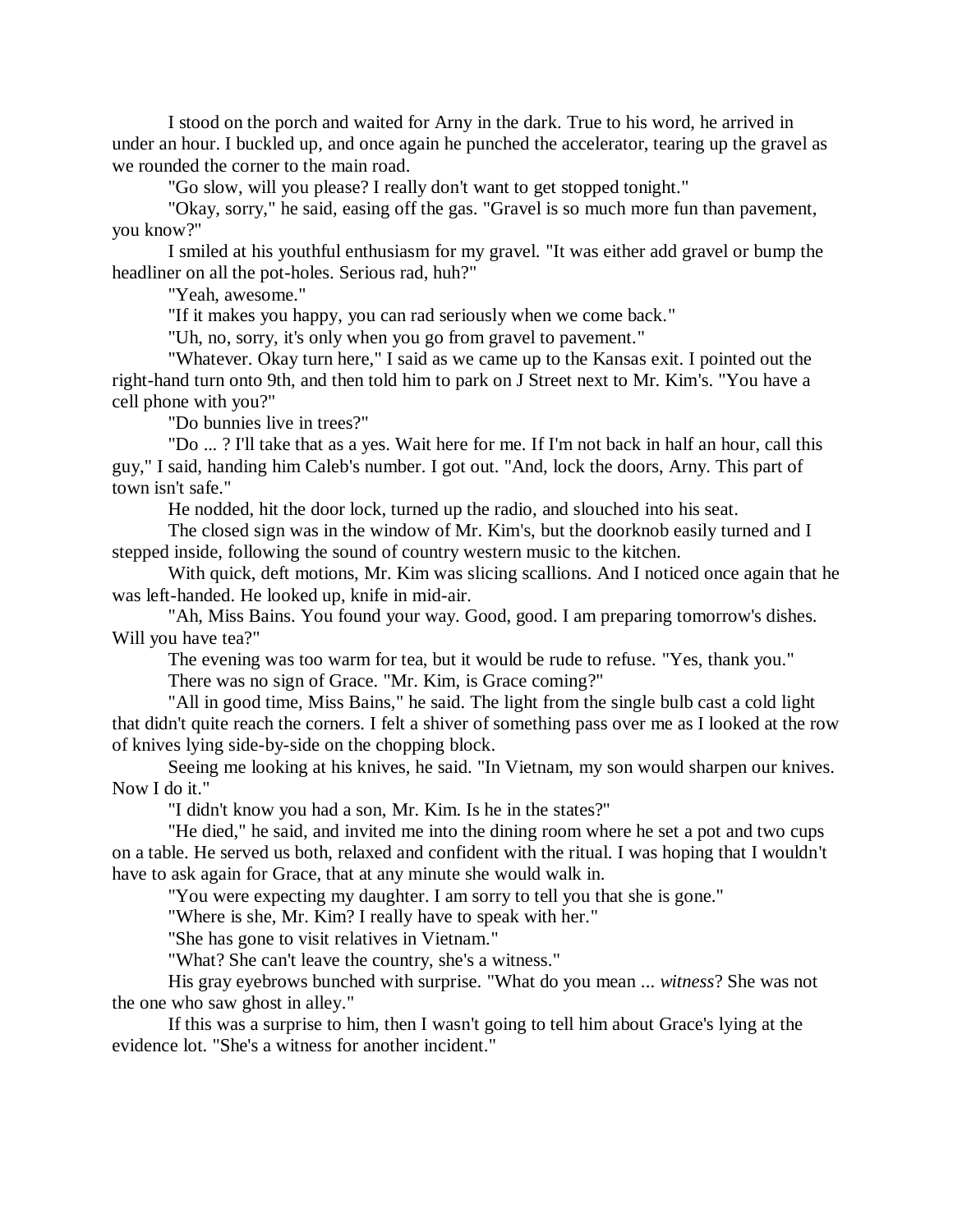I stood on the porch and waited for Arny in the dark. True to his word, he arrived in under an hour. I buckled up, and once again he punched the accelerator, tearing up the gravel as we rounded the corner to the main road.

"Go slow, will you please? I really don't want to get stopped tonight."

"Okay, sorry," he said, easing off the gas. "Gravel is so much more fun than pavement, you know?"

I smiled at his youthful enthusiasm for my gravel. "It was either add gravel or bump the headliner on all the pot-holes. Serious rad, huh?"

"Yeah, awesome."

"If it makes you happy, you can rad seriously when we come back."

"Uh, no, sorry, it's only when you go from gravel to pavement."

"Whatever. Okay turn here," I said as we came up to the Kansas exit. I pointed out the right-hand turn onto 9th, and then told him to park on J Street next to Mr. Kim's. "You have a cell phone with you?"

"Do bunnies live in trees?"

"Do ... ? I'll take that as a yes. Wait here for me. If I'm not back in half an hour, call this guy," I said, handing him Caleb's number. I got out. "And, lock the doors, Arny. This part of town isn't safe."

He nodded, hit the door lock, turned up the radio, and slouched into his seat.

The closed sign was in the window of Mr. Kim's, but the doorknob easily turned and I stepped inside, following the sound of country western music to the kitchen.

With quick, deft motions, Mr. Kim was slicing scallions. And I noticed once again that he was left-handed. He looked up, knife in mid-air.

"Ah, Miss Bains. You found your way. Good, good. I am preparing tomorrow's dishes. Will you have tea?"

The evening was too warm for tea, but it would be rude to refuse. "Yes, thank you." There was no sign of Grace. "Mr. Kim, is Grace coming?"

"All in good time, Miss Bains," he said. The light from the single bulb cast a cold light that didn't quite reach the corners. I felt a shiver of something pass over me as I looked at the row of knives lying side-by-side on the chopping block.

Seeing me looking at his knives, he said. "In Vietnam, my son would sharpen our knives. Now I do it."

"I didn't know you had a son, Mr. Kim. Is he in the states?"

"He died," he said, and invited me into the dining room where he set a pot and two cups on a table. He served us both, relaxed and confident with the ritual. I was hoping that I wouldn't have to ask again for Grace, that at any minute she would walk in.

"You were expecting my daughter. I am sorry to tell you that she is gone."

"Where is she, Mr. Kim? I really have to speak with her."

"She has gone to visit relatives in Vietnam."

"What? She can't leave the country, she's a witness."

His gray eyebrows bunched with surprise. "What do you mean ... *witness*? She was not the one who saw ghost in alley."

If this was a surprise to him, then I wasn't going to tell him about Grace's lying at the evidence lot. "She's a witness for another incident."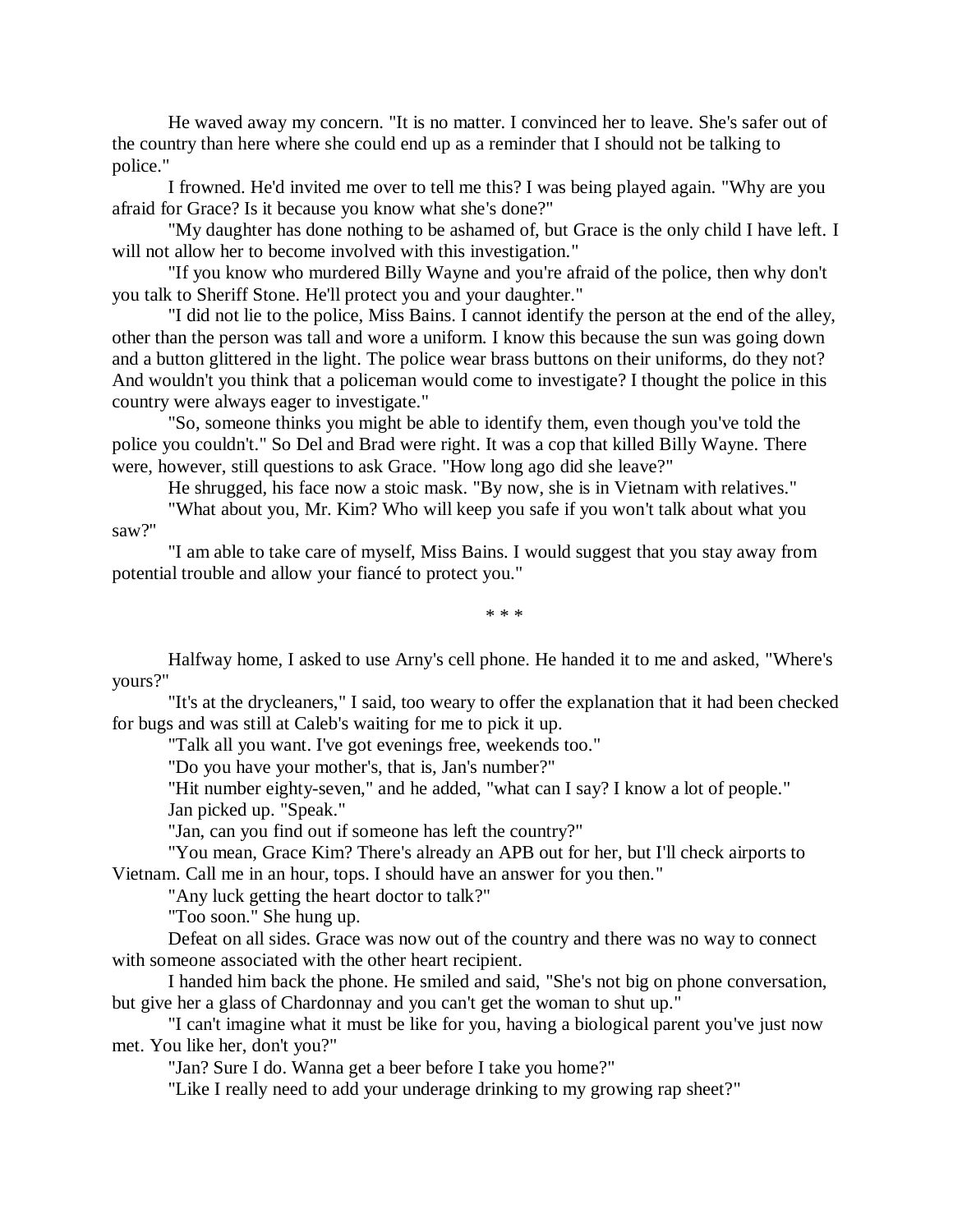He waved away my concern. "It is no matter. I convinced her to leave. She's safer out of the country than here where she could end up as a reminder that I should not be talking to police."

I frowned. He'd invited me over to tell me this? I was being played again. "Why are you afraid for Grace? Is it because you know what she's done?"

"My daughter has done nothing to be ashamed of, but Grace is the only child I have left. I will not allow her to become involved with this investigation."

"If you know who murdered Billy Wayne and you're afraid of the police, then why don't you talk to Sheriff Stone. He'll protect you and your daughter."

"I did not lie to the police, Miss Bains. I cannot identify the person at the end of the alley, other than the person was tall and wore a uniform. I know this because the sun was going down and a button glittered in the light. The police wear brass buttons on their uniforms, do they not? And wouldn't you think that a policeman would come to investigate? I thought the police in this country were always eager to investigate."

"So, someone thinks you might be able to identify them, even though you've told the police you couldn't." So Del and Brad were right. It was a cop that killed Billy Wayne. There were, however, still questions to ask Grace. "How long ago did she leave?"

He shrugged, his face now a stoic mask. "By now, she is in Vietnam with relatives."

"What about you, Mr. Kim? Who will keep you safe if you won't talk about what you saw?"

"I am able to take care of myself, Miss Bains. I would suggest that you stay away from potential trouble and allow your fiancé to protect you."

\* \* \*

Halfway home, I asked to use Arny's cell phone. He handed it to me and asked, "Where's yours?"

"It's at the drycleaners," I said, too weary to offer the explanation that it had been checked for bugs and was still at Caleb's waiting for me to pick it up.

"Talk all you want. I've got evenings free, weekends too."

"Do you have your mother's, that is, Jan's number?"

"Hit number eighty-seven," and he added, "what can I say? I know a lot of people." Jan picked up. "Speak."

"Jan, can you find out if someone has left the country?"

"You mean, Grace Kim? There's already an APB out for her, but I'll check airports to Vietnam. Call me in an hour, tops. I should have an answer for you then."

"Any luck getting the heart doctor to talk?"

"Too soon." She hung up.

Defeat on all sides. Grace was now out of the country and there was no way to connect with someone associated with the other heart recipient.

I handed him back the phone. He smiled and said, "She's not big on phone conversation, but give her a glass of Chardonnay and you can't get the woman to shut up."

"I can't imagine what it must be like for you, having a biological parent you've just now met. You like her, don't you?"

"Jan? Sure I do. Wanna get a beer before I take you home?"

"Like I really need to add your underage drinking to my growing rap sheet?"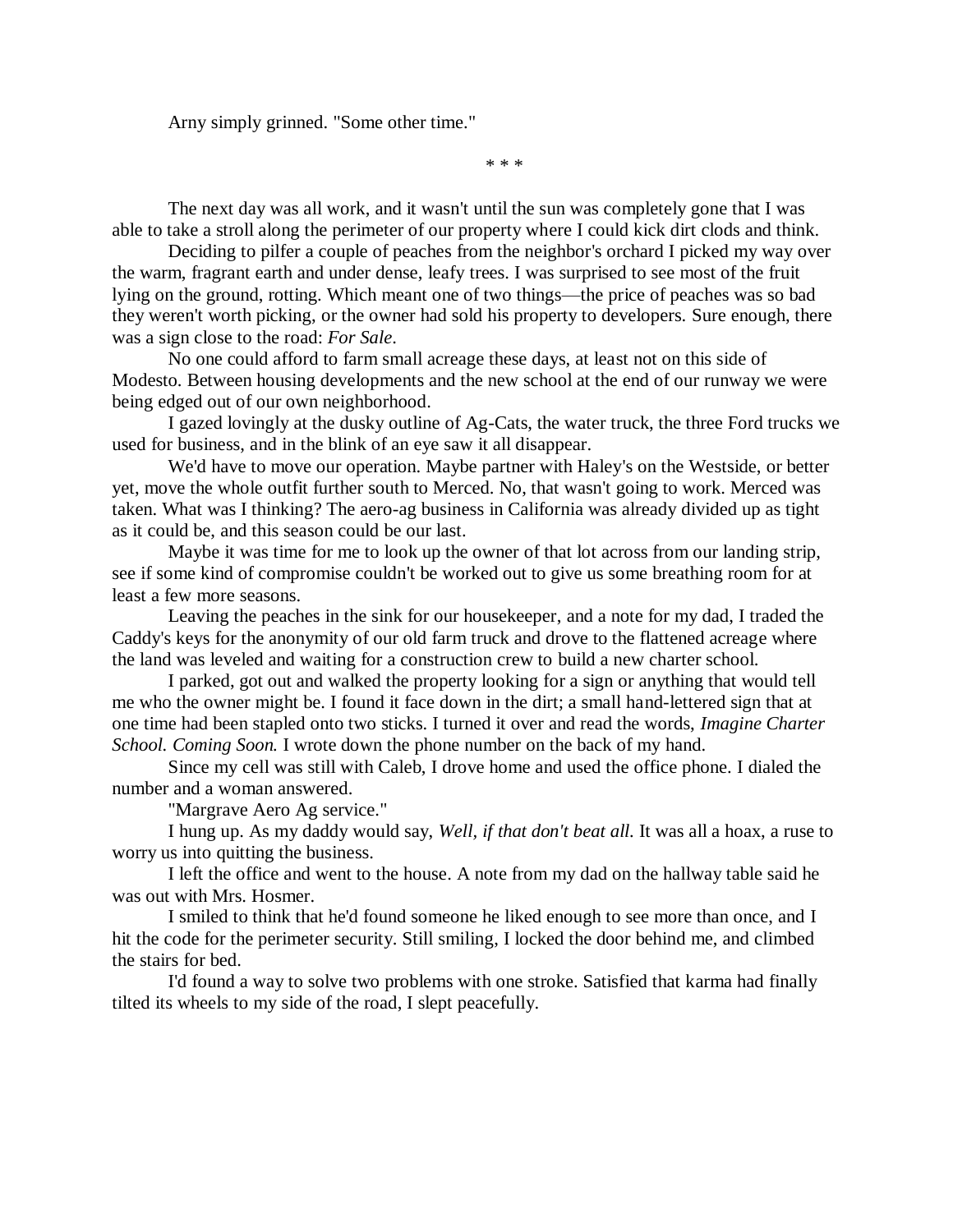Arny simply grinned. "Some other time."

\* \* \*

The next day was all work, and it wasn't until the sun was completely gone that I was able to take a stroll along the perimeter of our property where I could kick dirt clods and think.

Deciding to pilfer a couple of peaches from the neighbor's orchard I picked my way over the warm, fragrant earth and under dense, leafy trees. I was surprised to see most of the fruit lying on the ground, rotting. Which meant one of two things—the price of peaches was so bad they weren't worth picking, or the owner had sold his property to developers. Sure enough, there was a sign close to the road: *For Sale*.

No one could afford to farm small acreage these days, at least not on this side of Modesto. Between housing developments and the new school at the end of our runway we were being edged out of our own neighborhood.

I gazed lovingly at the dusky outline of Ag-Cats, the water truck, the three Ford trucks we used for business, and in the blink of an eye saw it all disappear.

We'd have to move our operation. Maybe partner with Haley's on the Westside, or better yet, move the whole outfit further south to Merced. No, that wasn't going to work. Merced was taken. What was I thinking? The aero-ag business in California was already divided up as tight as it could be, and this season could be our last.

Maybe it was time for me to look up the owner of that lot across from our landing strip, see if some kind of compromise couldn't be worked out to give us some breathing room for at least a few more seasons.

Leaving the peaches in the sink for our housekeeper, and a note for my dad, I traded the Caddy's keys for the anonymity of our old farm truck and drove to the flattened acreage where the land was leveled and waiting for a construction crew to build a new charter school.

I parked, got out and walked the property looking for a sign or anything that would tell me who the owner might be. I found it face down in the dirt; a small hand-lettered sign that at one time had been stapled onto two sticks. I turned it over and read the words, *Imagine Charter School. Coming Soon.* I wrote down the phone number on the back of my hand.

Since my cell was still with Caleb, I drove home and used the office phone. I dialed the number and a woman answered.

"Margrave Aero Ag service."

I hung up. As my daddy would say, *Well, if that don't beat all.* It was all a hoax, a ruse to worry us into quitting the business.

I left the office and went to the house. A note from my dad on the hallway table said he was out with Mrs. Hosmer.

I smiled to think that he'd found someone he liked enough to see more than once, and I hit the code for the perimeter security. Still smiling, I locked the door behind me, and climbed the stairs for bed.

I'd found a way to solve two problems with one stroke. Satisfied that karma had finally tilted its wheels to my side of the road, I slept peacefully.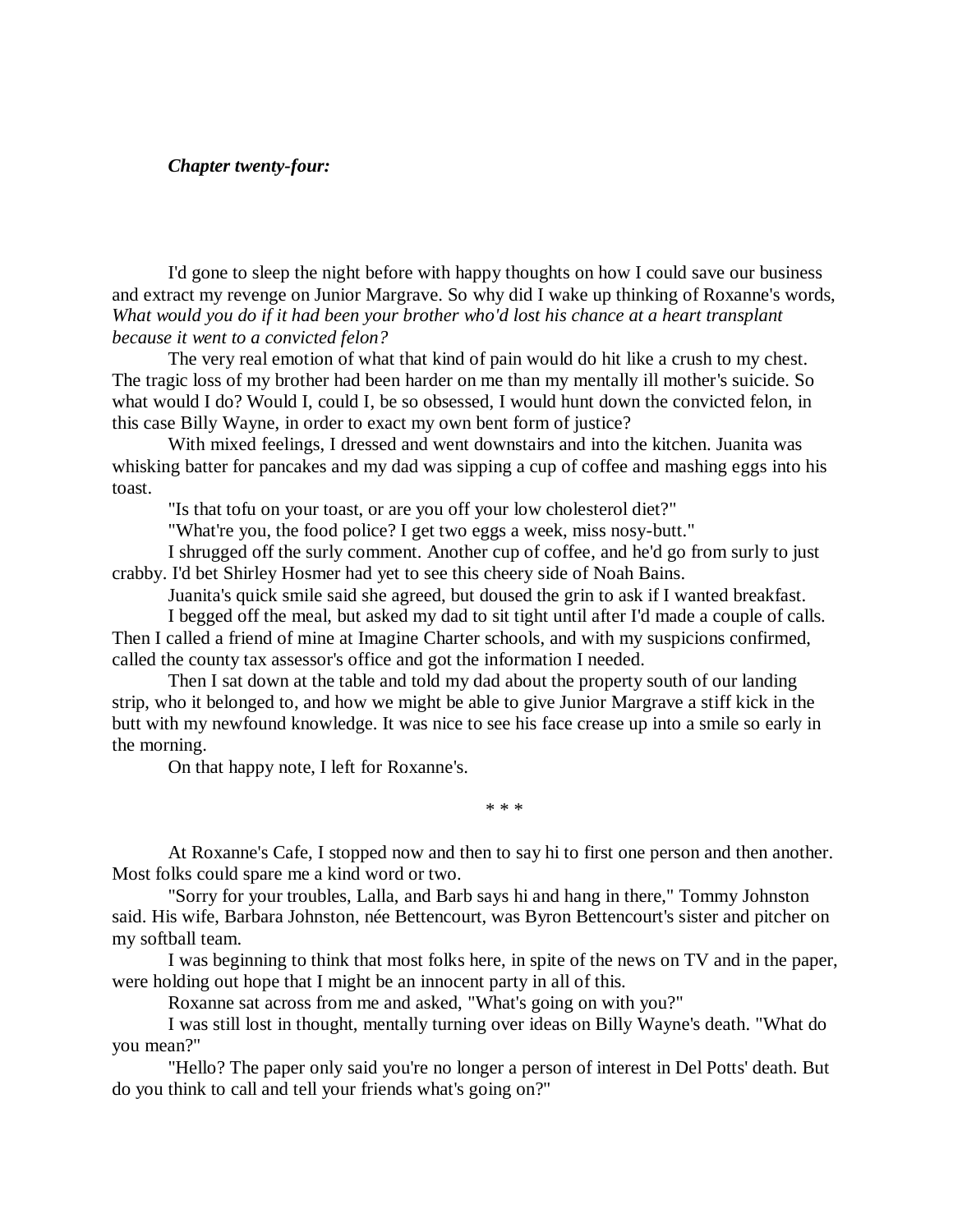## *Chapter twenty-four:*

I'd gone to sleep the night before with happy thoughts on how I could save our business and extract my revenge on Junior Margrave. So why did I wake up thinking of Roxanne's words, *What would you do if it had been your brother who'd lost his chance at a heart transplant because it went to a convicted felon?*

The very real emotion of what that kind of pain would do hit like a crush to my chest. The tragic loss of my brother had been harder on me than my mentally ill mother's suicide. So what would I do? Would I, could I, be so obsessed, I would hunt down the convicted felon, in this case Billy Wayne, in order to exact my own bent form of justice?

With mixed feelings, I dressed and went downstairs and into the kitchen. Juanita was whisking batter for pancakes and my dad was sipping a cup of coffee and mashing eggs into his toast.

"Is that tofu on your toast, or are you off your low cholesterol diet?"

"What're you, the food police? I get two eggs a week, miss nosy-butt."

I shrugged off the surly comment. Another cup of coffee, and he'd go from surly to just crabby. I'd bet Shirley Hosmer had yet to see this cheery side of Noah Bains.

Juanita's quick smile said she agreed, but doused the grin to ask if I wanted breakfast.

I begged off the meal, but asked my dad to sit tight until after I'd made a couple of calls. Then I called a friend of mine at Imagine Charter schools, and with my suspicions confirmed, called the county tax assessor's office and got the information I needed.

Then I sat down at the table and told my dad about the property south of our landing strip, who it belonged to, and how we might be able to give Junior Margrave a stiff kick in the butt with my newfound knowledge. It was nice to see his face crease up into a smile so early in the morning.

On that happy note, I left for Roxanne's.

\* \* \*

At Roxanne's Cafe, I stopped now and then to say hi to first one person and then another. Most folks could spare me a kind word or two.

"Sorry for your troubles, Lalla, and Barb says hi and hang in there," Tommy Johnston said. His wife, Barbara Johnston, née Bettencourt, was Byron Bettencourt's sister and pitcher on my softball team.

I was beginning to think that most folks here, in spite of the news on TV and in the paper, were holding out hope that I might be an innocent party in all of this.

Roxanne sat across from me and asked, "What's going on with you?"

I was still lost in thought, mentally turning over ideas on Billy Wayne's death. "What do you mean?"

"Hello? The paper only said you're no longer a person of interest in Del Potts' death. But do you think to call and tell your friends what's going on?"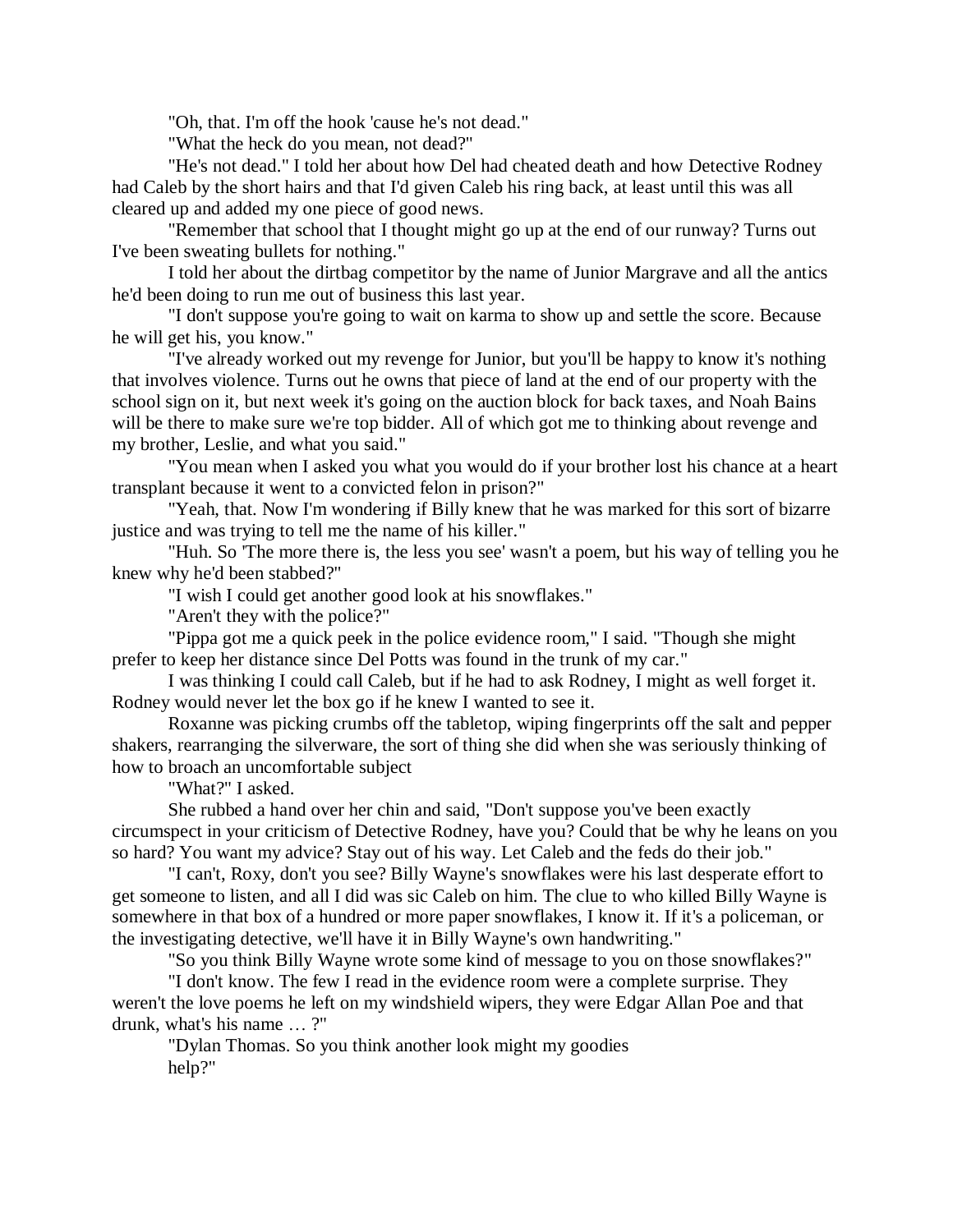"Oh, that. I'm off the hook 'cause he's not dead."

"What the heck do you mean, not dead?"

"He's not dead." I told her about how Del had cheated death and how Detective Rodney had Caleb by the short hairs and that I'd given Caleb his ring back, at least until this was all cleared up and added my one piece of good news.

"Remember that school that I thought might go up at the end of our runway? Turns out I've been sweating bullets for nothing."

I told her about the dirtbag competitor by the name of Junior Margrave and all the antics he'd been doing to run me out of business this last year.

"I don't suppose you're going to wait on karma to show up and settle the score. Because he will get his, you know."

"I've already worked out my revenge for Junior, but you'll be happy to know it's nothing that involves violence. Turns out he owns that piece of land at the end of our property with the school sign on it, but next week it's going on the auction block for back taxes, and Noah Bains will be there to make sure we're top bidder. All of which got me to thinking about revenge and my brother, Leslie, and what you said."

"You mean when I asked you what you would do if your brother lost his chance at a heart transplant because it went to a convicted felon in prison?"

"Yeah, that. Now I'm wondering if Billy knew that he was marked for this sort of bizarre justice and was trying to tell me the name of his killer."

"Huh. So 'The more there is, the less you see' wasn't a poem, but his way of telling you he knew why he'd been stabbed?"

"I wish I could get another good look at his snowflakes."

"Aren't they with the police?"

"Pippa got me a quick peek in the police evidence room," I said. "Though she might prefer to keep her distance since Del Potts was found in the trunk of my car."

I was thinking I could call Caleb, but if he had to ask Rodney, I might as well forget it. Rodney would never let the box go if he knew I wanted to see it.

Roxanne was picking crumbs off the tabletop, wiping fingerprints off the salt and pepper shakers, rearranging the silverware, the sort of thing she did when she was seriously thinking of how to broach an uncomfortable subject

"What?" I asked.

She rubbed a hand over her chin and said, "Don't suppose you've been exactly circumspect in your criticism of Detective Rodney, have you? Could that be why he leans on you so hard? You want my advice? Stay out of his way. Let Caleb and the feds do their job."

"I can't, Roxy, don't you see? Billy Wayne's snowflakes were his last desperate effort to get someone to listen, and all I did was sic Caleb on him. The clue to who killed Billy Wayne is somewhere in that box of a hundred or more paper snowflakes, I know it. If it's a policeman, or the investigating detective, we'll have it in Billy Wayne's own handwriting."

"So you think Billy Wayne wrote some kind of message to you on those snowflakes?"

"I don't know. The few I read in the evidence room were a complete surprise. They weren't the love poems he left on my windshield wipers, they were Edgar Allan Poe and that drunk, what's his name … ?"

"Dylan Thomas. So you think another look might my goodies help?"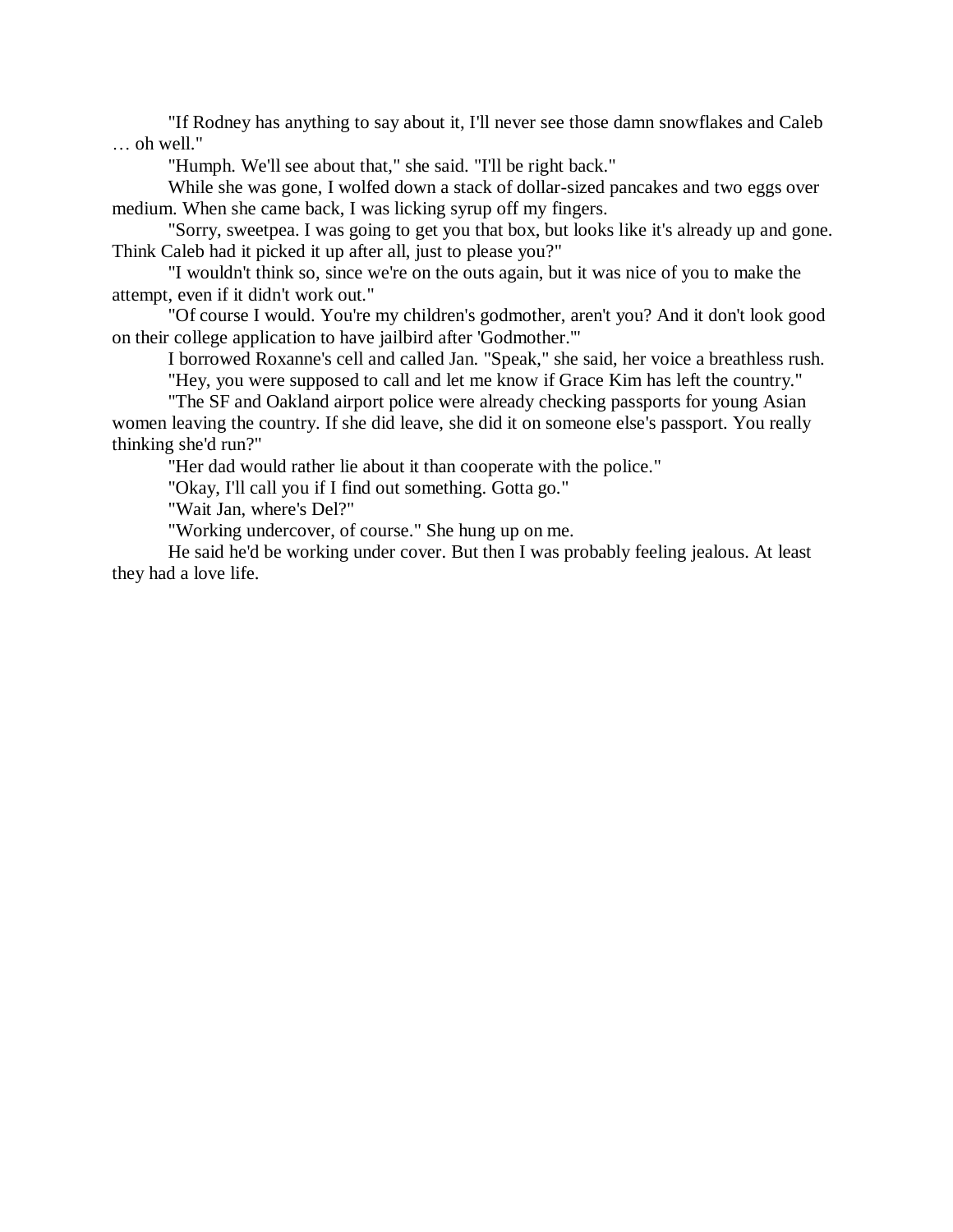"If Rodney has anything to say about it, I'll never see those damn snowflakes and Caleb … oh well."

"Humph. We'll see about that," she said. "I'll be right back."

While she was gone, I wolfed down a stack of dollar-sized pancakes and two eggs over medium. When she came back, I was licking syrup off my fingers.

"Sorry, sweetpea. I was going to get you that box, but looks like it's already up and gone. Think Caleb had it picked it up after all, just to please you?"

"I wouldn't think so, since we're on the outs again, but it was nice of you to make the attempt, even if it didn't work out."

"Of course I would. You're my children's godmother, aren't you? And it don't look good on their college application to have jailbird after 'Godmother.'"

I borrowed Roxanne's cell and called Jan. "Speak," she said, her voice a breathless rush. "Hey, you were supposed to call and let me know if Grace Kim has left the country."

"The SF and Oakland airport police were already checking passports for young Asian women leaving the country. If she did leave, she did it on someone else's passport. You really thinking she'd run?"

"Her dad would rather lie about it than cooperate with the police."

"Okay, I'll call you if I find out something. Gotta go."

"Wait Jan, where's Del?"

"Working undercover, of course." She hung up on me.

He said he'd be working under cover. But then I was probably feeling jealous. At least they had a love life.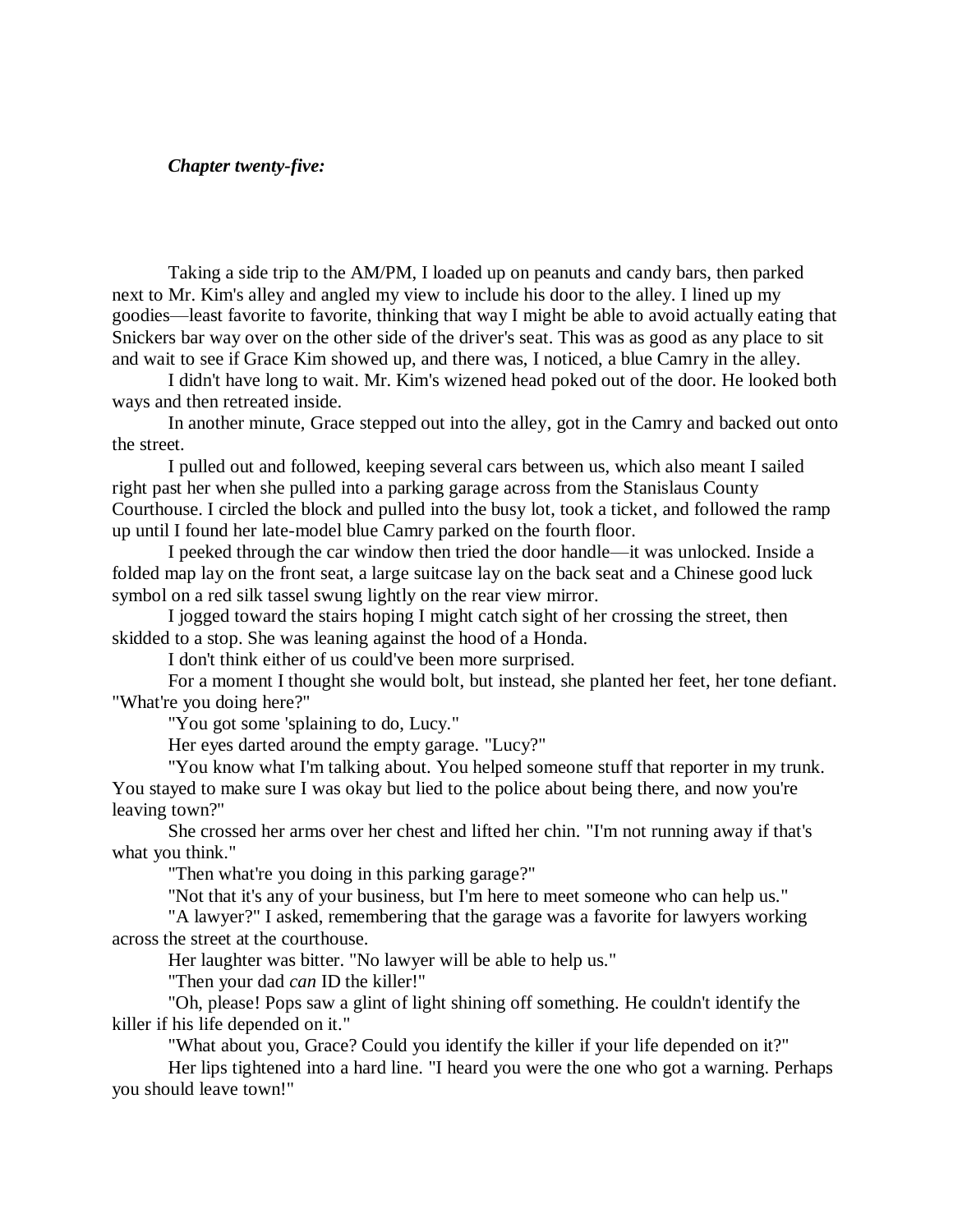# *Chapter twenty-five:*

Taking a side trip to the AM/PM, I loaded up on peanuts and candy bars, then parked next to Mr. Kim's alley and angled my view to include his door to the alley. I lined up my goodies—least favorite to favorite, thinking that way I might be able to avoid actually eating that Snickers bar way over on the other side of the driver's seat. This was as good as any place to sit and wait to see if Grace Kim showed up, and there was, I noticed, a blue Camry in the alley.

I didn't have long to wait. Mr. Kim's wizened head poked out of the door. He looked both ways and then retreated inside.

In another minute, Grace stepped out into the alley, got in the Camry and backed out onto the street.

I pulled out and followed, keeping several cars between us, which also meant I sailed right past her when she pulled into a parking garage across from the Stanislaus County Courthouse. I circled the block and pulled into the busy lot, took a ticket, and followed the ramp up until I found her late-model blue Camry parked on the fourth floor.

I peeked through the car window then tried the door handle—it was unlocked. Inside a folded map lay on the front seat, a large suitcase lay on the back seat and a Chinese good luck symbol on a red silk tassel swung lightly on the rear view mirror.

I jogged toward the stairs hoping I might catch sight of her crossing the street, then skidded to a stop. She was leaning against the hood of a Honda.

I don't think either of us could've been more surprised.

For a moment I thought she would bolt, but instead, she planted her feet, her tone defiant. "What're you doing here?"

"You got some 'splaining to do, Lucy."

Her eyes darted around the empty garage. "Lucy?"

"You know what I'm talking about. You helped someone stuff that reporter in my trunk. You stayed to make sure I was okay but lied to the police about being there, and now you're leaving town?"

She crossed her arms over her chest and lifted her chin. "I'm not running away if that's what you think."

"Then what're you doing in this parking garage?"

"Not that it's any of your business, but I'm here to meet someone who can help us."

"A lawyer?" I asked, remembering that the garage was a favorite for lawyers working across the street at the courthouse.

Her laughter was bitter. "No lawyer will be able to help us."

"Then your dad *can* ID the killer!"

"Oh, please! Pops saw a glint of light shining off something. He couldn't identify the killer if his life depended on it."

"What about you, Grace? Could you identify the killer if your life depended on it?"

Her lips tightened into a hard line. "I heard you were the one who got a warning. Perhaps you should leave town!"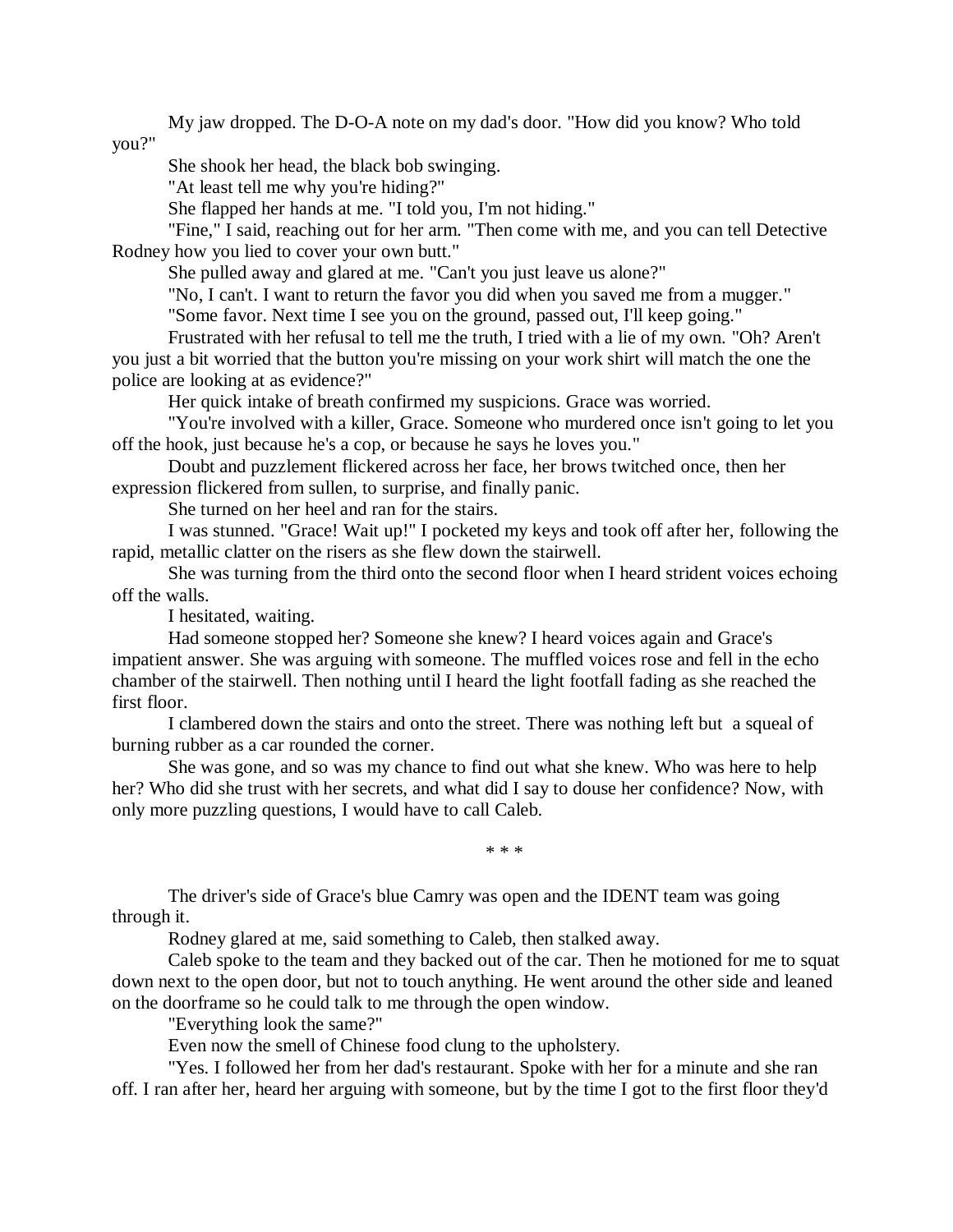My jaw dropped. The D-O-A note on my dad's door. "How did you know? Who told you?"

She shook her head, the black bob swinging.

"At least tell me why you're hiding?"

She flapped her hands at me. "I told you, I'm not hiding."

"Fine," I said, reaching out for her arm. "Then come with me, and you can tell Detective Rodney how you lied to cover your own butt."

She pulled away and glared at me. "Can't you just leave us alone?"

"No, I can't. I want to return the favor you did when you saved me from a mugger."

"Some favor. Next time I see you on the ground, passed out, I'll keep going."

Frustrated with her refusal to tell me the truth, I tried with a lie of my own. "Oh? Aren't you just a bit worried that the button you're missing on your work shirt will match the one the police are looking at as evidence?"

Her quick intake of breath confirmed my suspicions. Grace was worried.

"You're involved with a killer, Grace. Someone who murdered once isn't going to let you off the hook, just because he's a cop, or because he says he loves you."

Doubt and puzzlement flickered across her face, her brows twitched once, then her expression flickered from sullen, to surprise, and finally panic.

She turned on her heel and ran for the stairs.

I was stunned. "Grace! Wait up!" I pocketed my keys and took off after her, following the rapid, metallic clatter on the risers as she flew down the stairwell.

She was turning from the third onto the second floor when I heard strident voices echoing off the walls.

I hesitated, waiting.

Had someone stopped her? Someone she knew? I heard voices again and Grace's impatient answer. She was arguing with someone. The muffled voices rose and fell in the echo chamber of the stairwell. Then nothing until I heard the light footfall fading as she reached the first floor.

I clambered down the stairs and onto the street. There was nothing left but a squeal of burning rubber as a car rounded the corner.

She was gone, and so was my chance to find out what she knew. Who was here to help her? Who did she trust with her secrets, and what did I say to douse her confidence? Now, with only more puzzling questions, I would have to call Caleb.

\* \* \*

The driver's side of Grace's blue Camry was open and the IDENT team was going through it.

Rodney glared at me, said something to Caleb, then stalked away.

Caleb spoke to the team and they backed out of the car. Then he motioned for me to squat down next to the open door, but not to touch anything. He went around the other side and leaned on the doorframe so he could talk to me through the open window.

"Everything look the same?"

Even now the smell of Chinese food clung to the upholstery.

"Yes. I followed her from her dad's restaurant. Spoke with her for a minute and she ran off. I ran after her, heard her arguing with someone, but by the time I got to the first floor they'd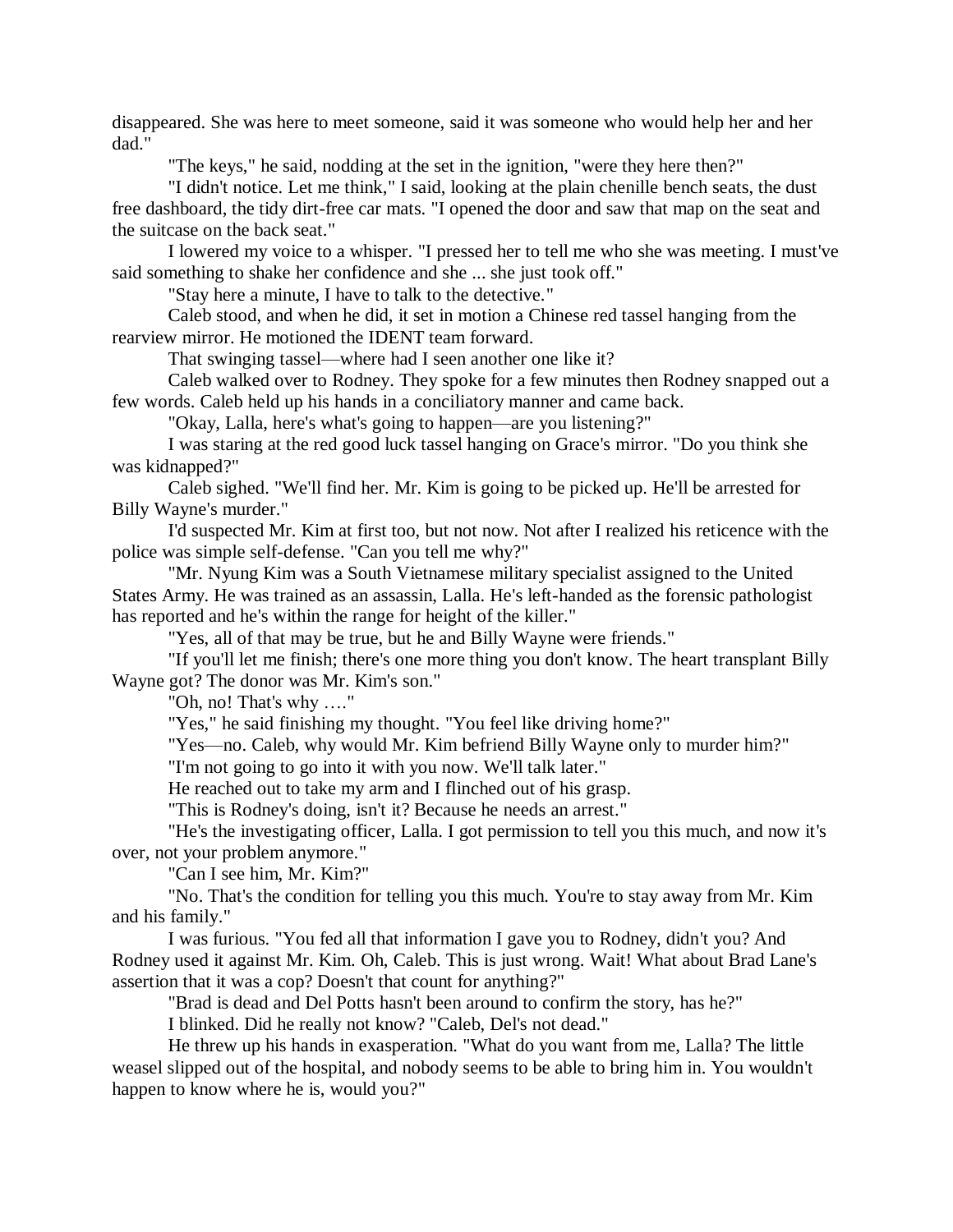disappeared. She was here to meet someone, said it was someone who would help her and her dad."

"The keys," he said, nodding at the set in the ignition, "were they here then?"

"I didn't notice. Let me think," I said, looking at the plain chenille bench seats, the dust free dashboard, the tidy dirt-free car mats. "I opened the door and saw that map on the seat and the suitcase on the back seat."

I lowered my voice to a whisper. "I pressed her to tell me who she was meeting. I must've said something to shake her confidence and she ... she just took off."

"Stay here a minute, I have to talk to the detective."

Caleb stood, and when he did, it set in motion a Chinese red tassel hanging from the rearview mirror. He motioned the IDENT team forward.

That swinging tassel—where had I seen another one like it?

Caleb walked over to Rodney. They spoke for a few minutes then Rodney snapped out a few words. Caleb held up his hands in a conciliatory manner and came back.

"Okay, Lalla, here's what's going to happen—are you listening?"

I was staring at the red good luck tassel hanging on Grace's mirror. "Do you think she was kidnapped?"

Caleb sighed. "We'll find her. Mr. Kim is going to be picked up. He'll be arrested for Billy Wayne's murder."

I'd suspected Mr. Kim at first too, but not now. Not after I realized his reticence with the police was simple self-defense. "Can you tell me why?"

"Mr. Nyung Kim was a South Vietnamese military specialist assigned to the United States Army. He was trained as an assassin, Lalla. He's left-handed as the forensic pathologist has reported and he's within the range for height of the killer."

"Yes, all of that may be true, but he and Billy Wayne were friends."

"If you'll let me finish; there's one more thing you don't know. The heart transplant Billy Wayne got? The donor was Mr. Kim's son."

"Oh, no! That's why …."

"Yes," he said finishing my thought. "You feel like driving home?"

"Yes—no. Caleb, why would Mr. Kim befriend Billy Wayne only to murder him?"

"I'm not going to go into it with you now. We'll talk later."

He reached out to take my arm and I flinched out of his grasp.

"This is Rodney's doing, isn't it? Because he needs an arrest."

"He's the investigating officer, Lalla. I got permission to tell you this much, and now it's over, not your problem anymore."

"Can I see him, Mr. Kim?"

"No. That's the condition for telling you this much. You're to stay away from Mr. Kim and his family."

I was furious. "You fed all that information I gave you to Rodney, didn't you? And Rodney used it against Mr. Kim. Oh, Caleb. This is just wrong. Wait! What about Brad Lane's assertion that it was a cop? Doesn't that count for anything?"

"Brad is dead and Del Potts hasn't been around to confirm the story, has he?"

I blinked. Did he really not know? "Caleb, Del's not dead."

He threw up his hands in exasperation. "What do you want from me, Lalla? The little weasel slipped out of the hospital, and nobody seems to be able to bring him in. You wouldn't happen to know where he is, would you?"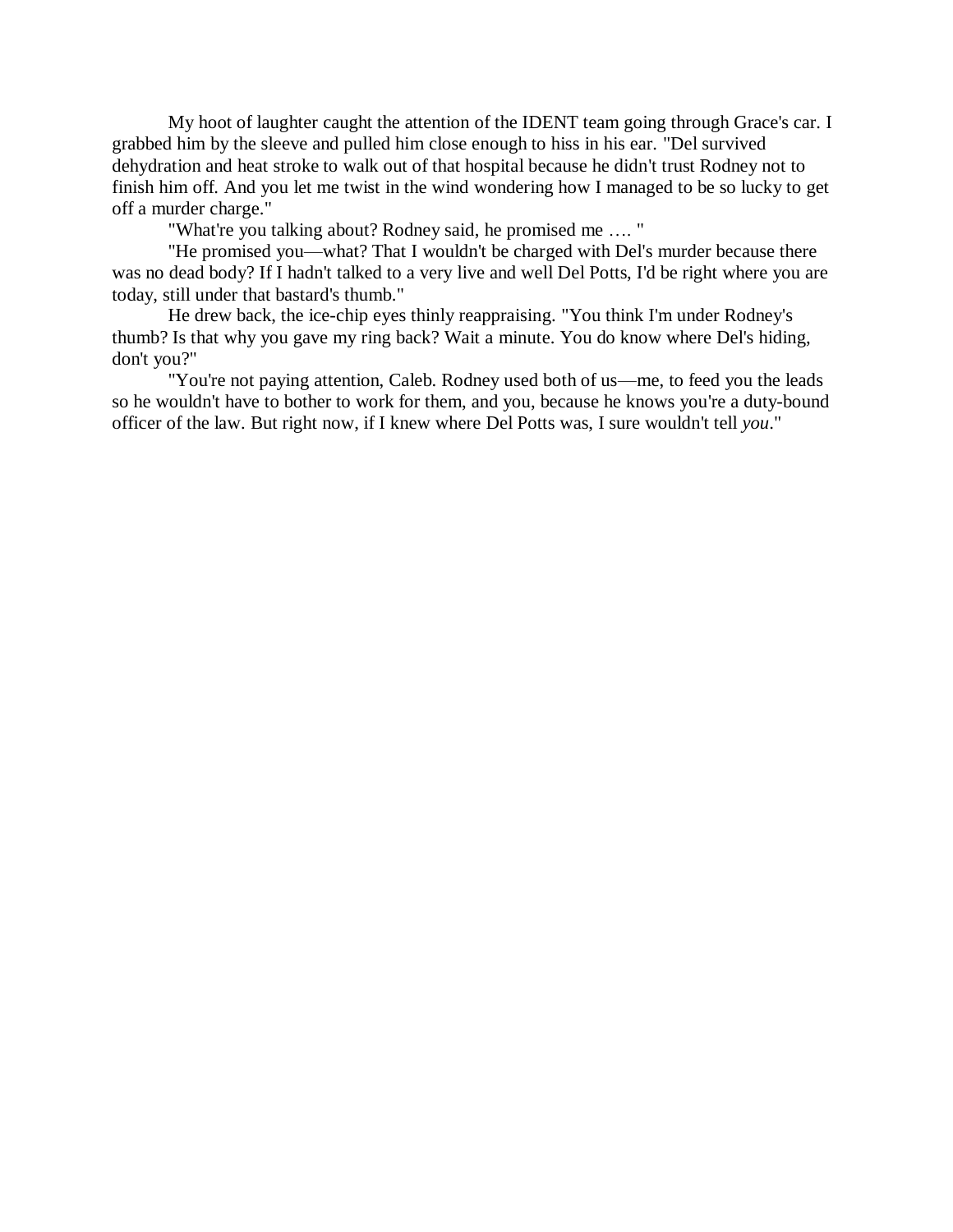My hoot of laughter caught the attention of the IDENT team going through Grace's car. I grabbed him by the sleeve and pulled him close enough to hiss in his ear. "Del survived dehydration and heat stroke to walk out of that hospital because he didn't trust Rodney not to finish him off. And you let me twist in the wind wondering how I managed to be so lucky to get off a murder charge."

"What're you talking about? Rodney said, he promised me …. "

"He promised you—what? That I wouldn't be charged with Del's murder because there was no dead body? If I hadn't talked to a very live and well Del Potts, I'd be right where you are today, still under that bastard's thumb."

He drew back, the ice-chip eyes thinly reappraising. "You think I'm under Rodney's thumb? Is that why you gave my ring back? Wait a minute. You do know where Del's hiding, don't you?"

"You're not paying attention, Caleb. Rodney used both of us—me, to feed you the leads so he wouldn't have to bother to work for them, and you, because he knows you're a duty-bound officer of the law. But right now, if I knew where Del Potts was, I sure wouldn't tell *you*."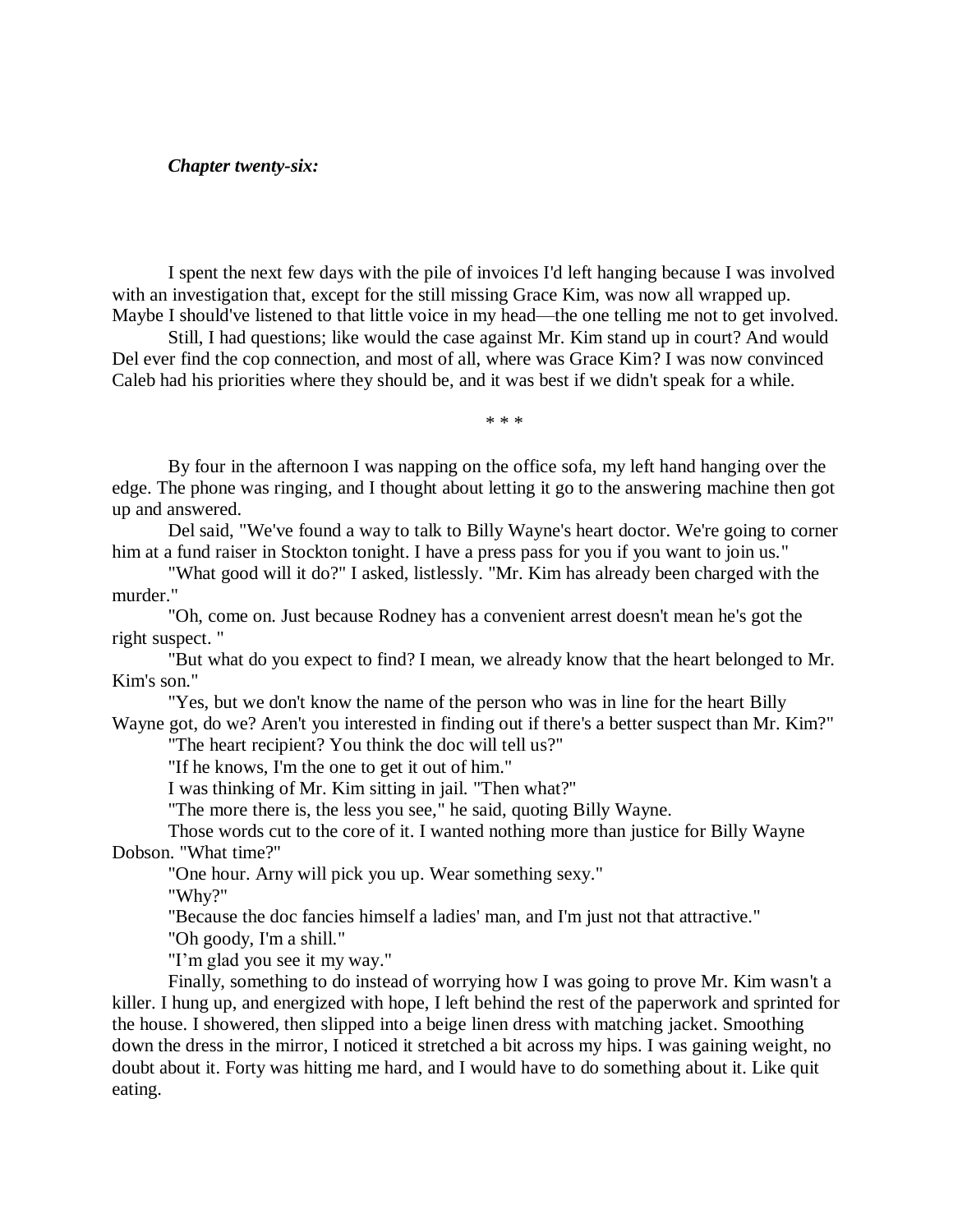#### *Chapter twenty-six:*

I spent the next few days with the pile of invoices I'd left hanging because I was involved with an investigation that, except for the still missing Grace Kim, was now all wrapped up. Maybe I should've listened to that little voice in my head—the one telling me not to get involved.

Still, I had questions; like would the case against Mr. Kim stand up in court? And would Del ever find the cop connection, and most of all, where was Grace Kim? I was now convinced Caleb had his priorities where they should be, and it was best if we didn't speak for a while.

\* \* \*

By four in the afternoon I was napping on the office sofa, my left hand hanging over the edge. The phone was ringing, and I thought about letting it go to the answering machine then got up and answered.

Del said, "We've found a way to talk to Billy Wayne's heart doctor. We're going to corner him at a fund raiser in Stockton tonight. I have a press pass for you if you want to join us."

"What good will it do?" I asked, listlessly. "Mr. Kim has already been charged with the murder."

"Oh, come on. Just because Rodney has a convenient arrest doesn't mean he's got the right suspect. "

"But what do you expect to find? I mean, we already know that the heart belonged to Mr. Kim's son."

"Yes, but we don't know the name of the person who was in line for the heart Billy Wayne got, do we? Aren't you interested in finding out if there's a better suspect than Mr. Kim?"

"The heart recipient? You think the doc will tell us?"

"If he knows, I'm the one to get it out of him."

I was thinking of Mr. Kim sitting in jail. "Then what?"

"The more there is, the less you see," he said, quoting Billy Wayne.

Those words cut to the core of it. I wanted nothing more than justice for Billy Wayne Dobson. "What time?"

"One hour. Arny will pick you up. Wear something sexy."

"Why?"

"Because the doc fancies himself a ladies' man, and I'm just not that attractive."

"Oh goody, I'm a shill."

"I'm glad you see it my way."

Finally, something to do instead of worrying how I was going to prove Mr. Kim wasn't a killer. I hung up, and energized with hope, I left behind the rest of the paperwork and sprinted for the house. I showered, then slipped into a beige linen dress with matching jacket. Smoothing down the dress in the mirror, I noticed it stretched a bit across my hips. I was gaining weight, no doubt about it. Forty was hitting me hard, and I would have to do something about it. Like quit eating.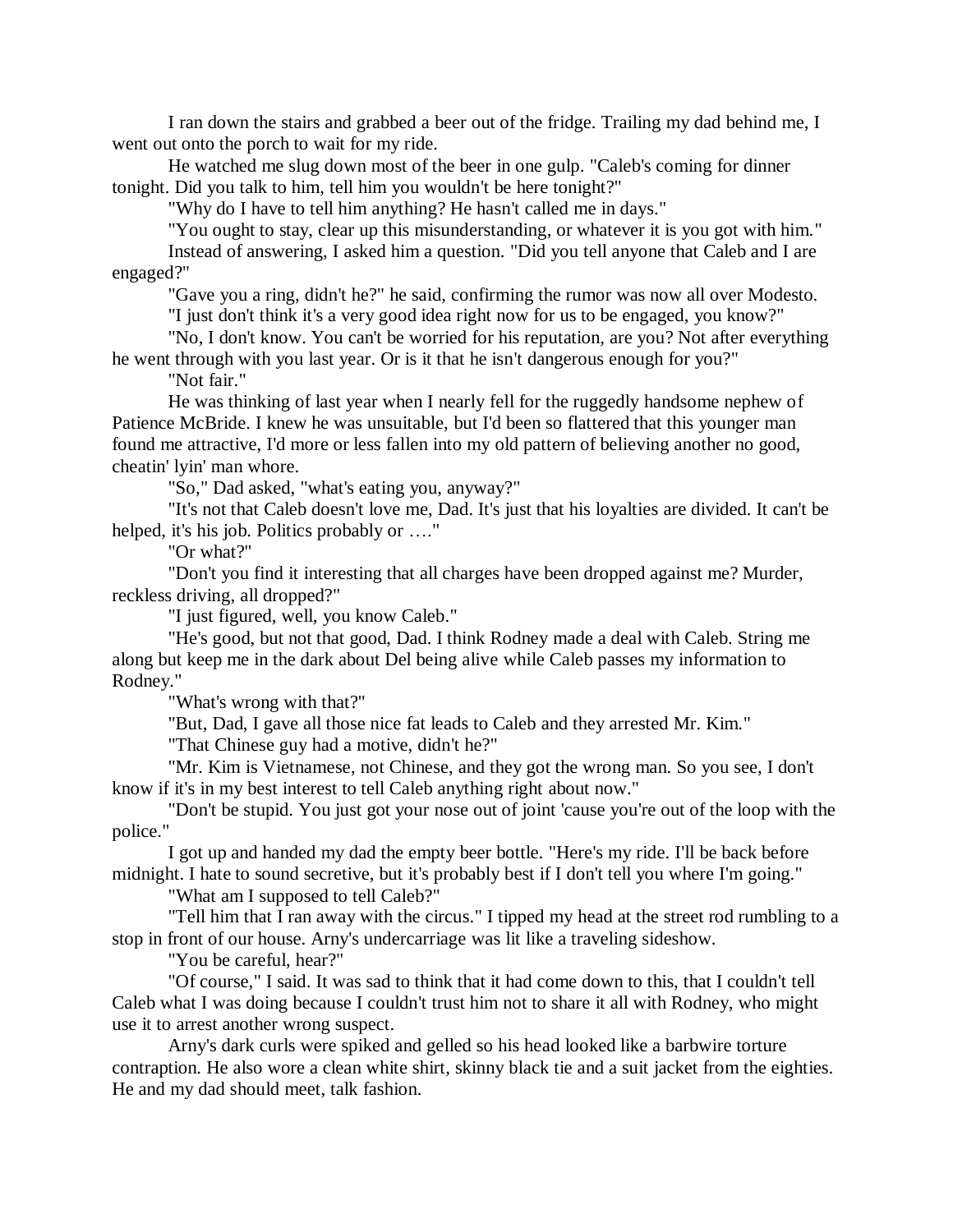I ran down the stairs and grabbed a beer out of the fridge. Trailing my dad behind me, I went out onto the porch to wait for my ride.

He watched me slug down most of the beer in one gulp. "Caleb's coming for dinner tonight. Did you talk to him, tell him you wouldn't be here tonight?"

"Why do I have to tell him anything? He hasn't called me in days."

"You ought to stay, clear up this misunderstanding, or whatever it is you got with him."

Instead of answering, I asked him a question. "Did you tell anyone that Caleb and I are engaged?"

"Gave you a ring, didn't he?" he said, confirming the rumor was now all over Modesto.

"I just don't think it's a very good idea right now for us to be engaged, you know?"

"No, I don't know. You can't be worried for his reputation, are you? Not after everything he went through with you last year. Or is it that he isn't dangerous enough for you?"

"Not fair."

He was thinking of last year when I nearly fell for the ruggedly handsome nephew of Patience McBride. I knew he was unsuitable, but I'd been so flattered that this younger man found me attractive, I'd more or less fallen into my old pattern of believing another no good, cheatin' lyin' man whore.

"So," Dad asked, "what's eating you, anyway?"

"It's not that Caleb doesn't love me, Dad. It's just that his loyalties are divided. It can't be helped, it's his job. Politics probably or …."

"Or what?"

"Don't you find it interesting that all charges have been dropped against me? Murder, reckless driving, all dropped?"

"I just figured, well, you know Caleb."

"He's good, but not that good, Dad. I think Rodney made a deal with Caleb. String me along but keep me in the dark about Del being alive while Caleb passes my information to Rodney."

"What's wrong with that?"

"But, Dad, I gave all those nice fat leads to Caleb and they arrested Mr. Kim."

"That Chinese guy had a motive, didn't he?"

"Mr. Kim is Vietnamese, not Chinese, and they got the wrong man. So you see, I don't know if it's in my best interest to tell Caleb anything right about now."

"Don't be stupid. You just got your nose out of joint 'cause you're out of the loop with the police."

I got up and handed my dad the empty beer bottle. "Here's my ride. I'll be back before midnight. I hate to sound secretive, but it's probably best if I don't tell you where I'm going."

"What am I supposed to tell Caleb?"

"Tell him that I ran away with the circus." I tipped my head at the street rod rumbling to a stop in front of our house. Arny's undercarriage was lit like a traveling sideshow.

"You be careful, hear?"

"Of course," I said. It was sad to think that it had come down to this, that I couldn't tell Caleb what I was doing because I couldn't trust him not to share it all with Rodney, who might use it to arrest another wrong suspect.

Arny's dark curls were spiked and gelled so his head looked like a barbwire torture contraption. He also wore a clean white shirt, skinny black tie and a suit jacket from the eighties. He and my dad should meet, talk fashion.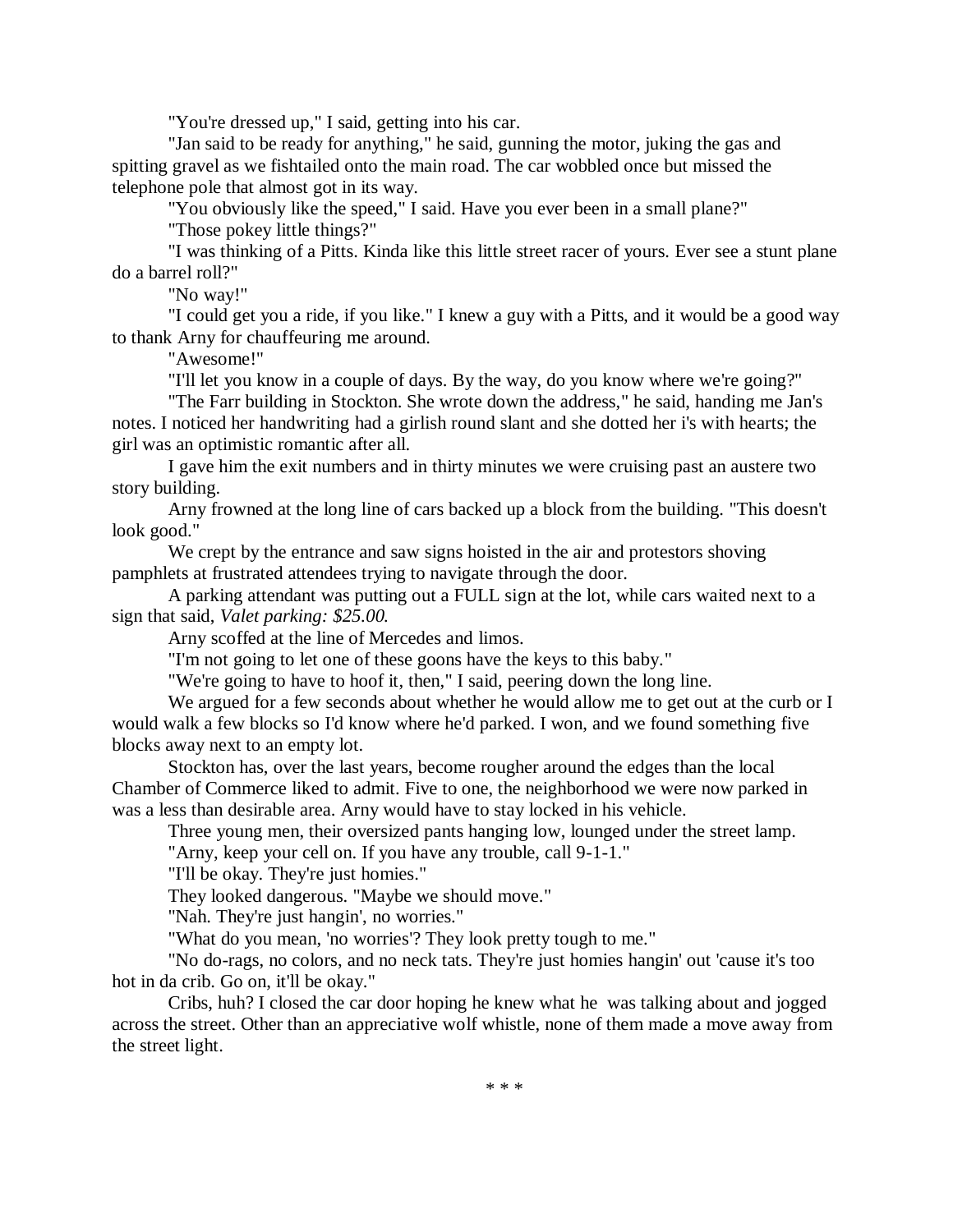"You're dressed up," I said, getting into his car.

"Jan said to be ready for anything," he said, gunning the motor, juking the gas and spitting gravel as we fishtailed onto the main road. The car wobbled once but missed the telephone pole that almost got in its way.

"You obviously like the speed," I said. Have you ever been in a small plane?"

"Those pokey little things?"

"I was thinking of a Pitts. Kinda like this little street racer of yours. Ever see a stunt plane do a barrel roll?"

"No way!"

"I could get you a ride, if you like." I knew a guy with a Pitts, and it would be a good way to thank Arny for chauffeuring me around.

"Awesome!"

"I'll let you know in a couple of days. By the way, do you know where we're going?"

"The Farr building in Stockton. She wrote down the address," he said, handing me Jan's notes. I noticed her handwriting had a girlish round slant and she dotted her i's with hearts; the girl was an optimistic romantic after all.

I gave him the exit numbers and in thirty minutes we were cruising past an austere two story building.

Arny frowned at the long line of cars backed up a block from the building. "This doesn't look good."

We crept by the entrance and saw signs hoisted in the air and protestors shoving pamphlets at frustrated attendees trying to navigate through the door.

A parking attendant was putting out a FULL sign at the lot, while cars waited next to a sign that said, *Valet parking: \$25.00.*

Arny scoffed at the line of Mercedes and limos.

"I'm not going to let one of these goons have the keys to this baby."

"We're going to have to hoof it, then," I said, peering down the long line.

We argued for a few seconds about whether he would allow me to get out at the curb or I would walk a few blocks so I'd know where he'd parked. I won, and we found something five blocks away next to an empty lot.

Stockton has, over the last years, become rougher around the edges than the local Chamber of Commerce liked to admit. Five to one, the neighborhood we were now parked in was a less than desirable area. Arny would have to stay locked in his vehicle.

Three young men, their oversized pants hanging low, lounged under the street lamp.

"Arny, keep your cell on. If you have any trouble, call 9-1-1."

"I'll be okay. They're just homies."

They looked dangerous. "Maybe we should move."

"Nah. They're just hangin', no worries."

"What do you mean, 'no worries'? They look pretty tough to me."

"No do-rags, no colors, and no neck tats. They're just homies hangin' out 'cause it's too hot in da crib. Go on, it'll be okay."

Cribs, huh? I closed the car door hoping he knew what he was talking about and jogged across the street. Other than an appreciative wolf whistle, none of them made a move away from the street light.

\* \* \*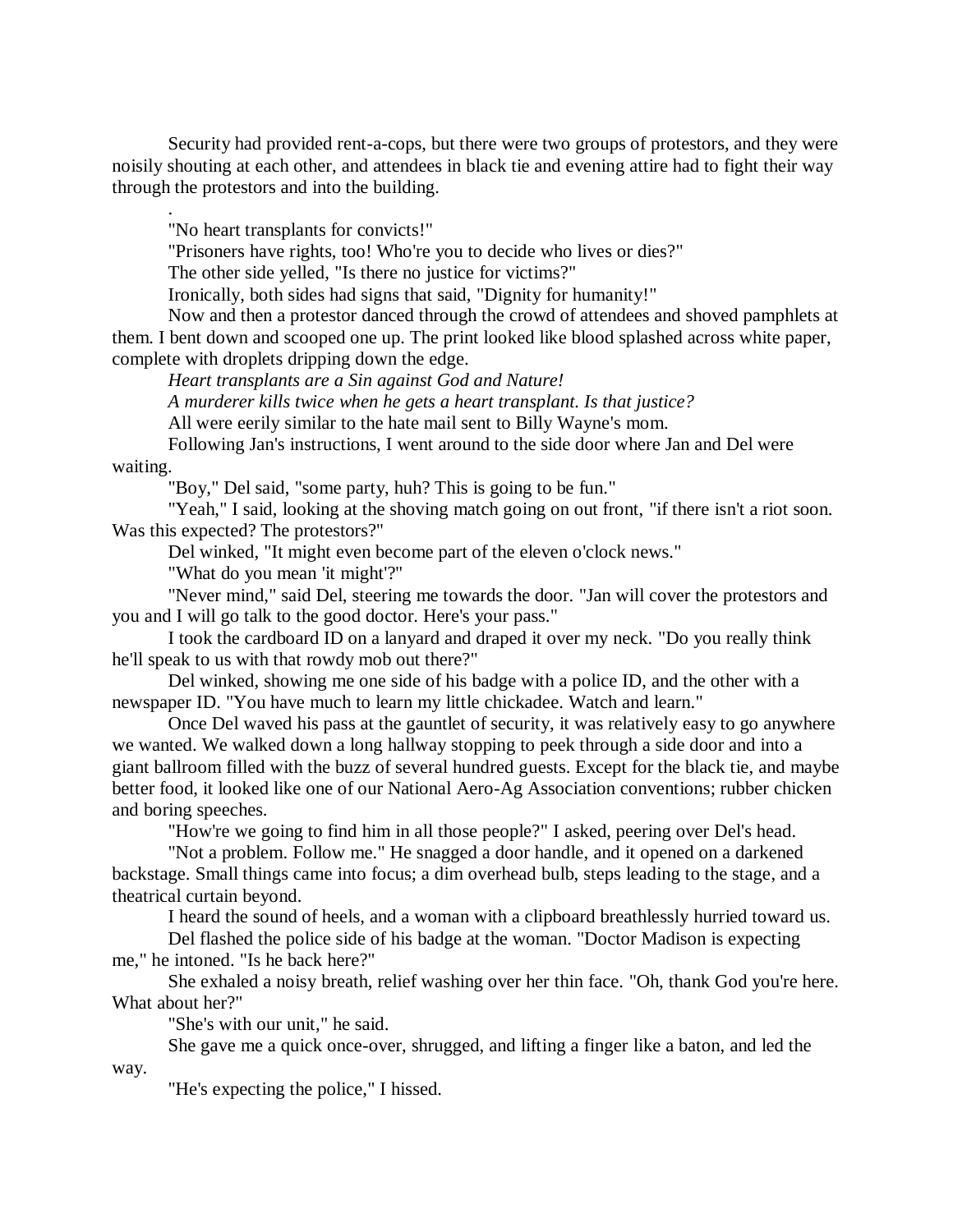Security had provided rent-a-cops, but there were two groups of protestors, and they were noisily shouting at each other, and attendees in black tie and evening attire had to fight their way through the protestors and into the building.

"No heart transplants for convicts!"

"Prisoners have rights, too! Who're you to decide who lives or dies?"

The other side yelled, "Is there no justice for victims?"

Ironically, both sides had signs that said, "Dignity for humanity!"

Now and then a protestor danced through the crowd of attendees and shoved pamphlets at them. I bent down and scooped one up. The print looked like blood splashed across white paper, complete with droplets dripping down the edge.

*Heart transplants are a Sin against God and Nature!*

*A murderer kills twice when he gets a heart transplant. Is that justice?*

All were eerily similar to the hate mail sent to Billy Wayne's mom.

Following Jan's instructions, I went around to the side door where Jan and Del were waiting.

.

"Boy," Del said, "some party, huh? This is going to be fun."

"Yeah," I said, looking at the shoving match going on out front, "if there isn't a riot soon. Was this expected? The protestors?"

Del winked, "It might even become part of the eleven o'clock news."

"What do you mean 'it might'?"

"Never mind," said Del, steering me towards the door. "Jan will cover the protestors and you and I will go talk to the good doctor. Here's your pass."

I took the cardboard ID on a lanyard and draped it over my neck. "Do you really think he'll speak to us with that rowdy mob out there?"

Del winked, showing me one side of his badge with a police ID, and the other with a newspaper ID. "You have much to learn my little chickadee. Watch and learn."

Once Del waved his pass at the gauntlet of security, it was relatively easy to go anywhere we wanted. We walked down a long hallway stopping to peek through a side door and into a giant ballroom filled with the buzz of several hundred guests. Except for the black tie, and maybe better food, it looked like one of our National Aero-Ag Association conventions; rubber chicken and boring speeches.

"How're we going to find him in all those people?" I asked, peering over Del's head.

"Not a problem. Follow me." He snagged a door handle, and it opened on a darkened backstage. Small things came into focus; a dim overhead bulb, steps leading to the stage, and a theatrical curtain beyond.

I heard the sound of heels, and a woman with a clipboard breathlessly hurried toward us.

Del flashed the police side of his badge at the woman. "Doctor Madison is expecting me," he intoned. "Is he back here?"

She exhaled a noisy breath, relief washing over her thin face. "Oh, thank God you're here. What about her?"

"She's with our unit," he said.

She gave me a quick once-over, shrugged, and lifting a finger like a baton, and led the way.

"He's expecting the police," I hissed.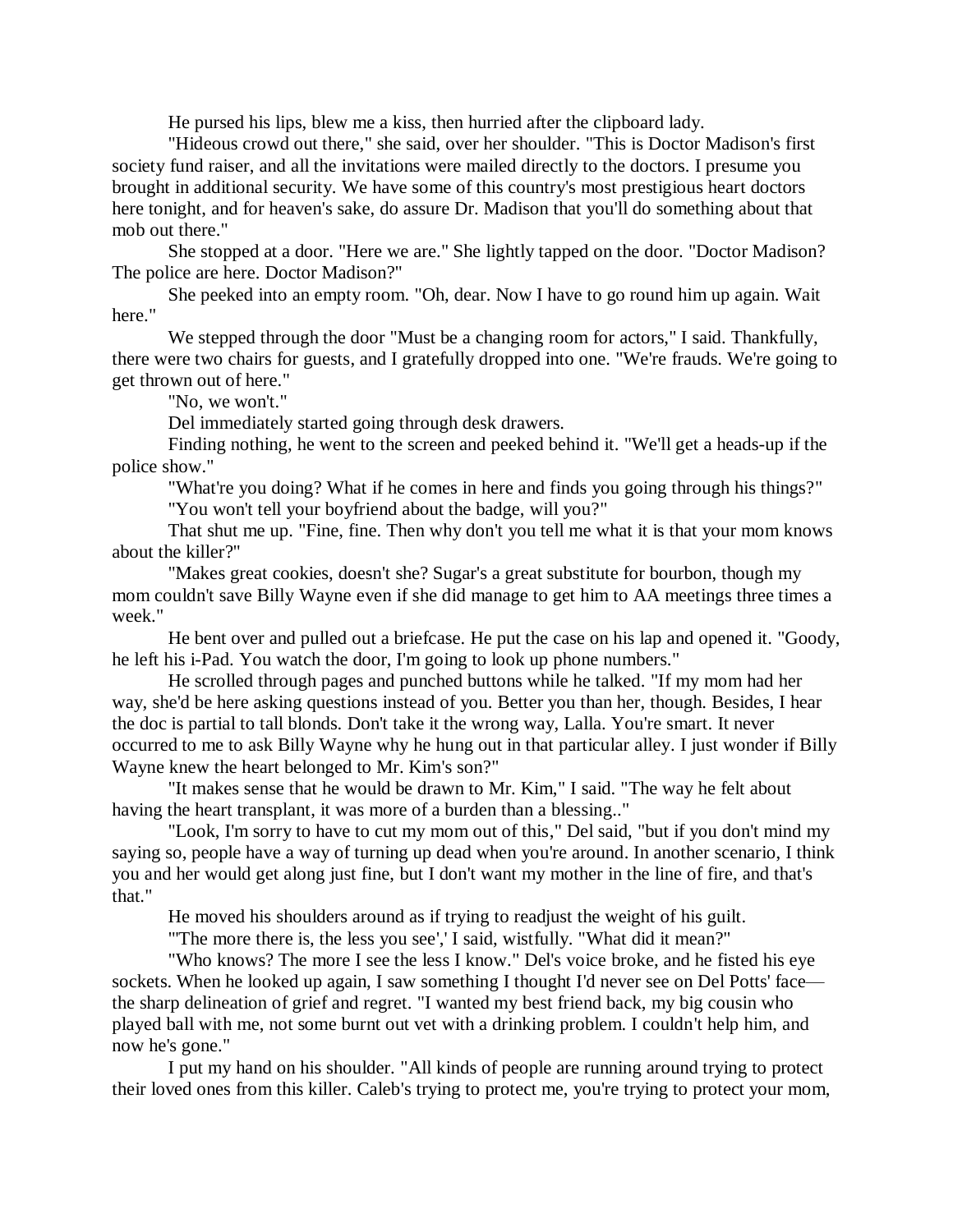He pursed his lips, blew me a kiss, then hurried after the clipboard lady.

"Hideous crowd out there," she said, over her shoulder. "This is Doctor Madison's first society fund raiser, and all the invitations were mailed directly to the doctors. I presume you brought in additional security. We have some of this country's most prestigious heart doctors here tonight, and for heaven's sake, do assure Dr. Madison that you'll do something about that mob out there."

She stopped at a door. "Here we are." She lightly tapped on the door. "Doctor Madison? The police are here. Doctor Madison?"

She peeked into an empty room. "Oh, dear. Now I have to go round him up again. Wait here."

We stepped through the door "Must be a changing room for actors," I said. Thankfully, there were two chairs for guests, and I gratefully dropped into one. "We're frauds. We're going to get thrown out of here."

"No, we won't."

Del immediately started going through desk drawers.

Finding nothing, he went to the screen and peeked behind it. "We'll get a heads-up if the police show."

"What're you doing? What if he comes in here and finds you going through his things?"

"You won't tell your boyfriend about the badge, will you?"

That shut me up. "Fine, fine. Then why don't you tell me what it is that your mom knows about the killer?"

"Makes great cookies, doesn't she? Sugar's a great substitute for bourbon, though my mom couldn't save Billy Wayne even if she did manage to get him to AA meetings three times a week."

He bent over and pulled out a briefcase. He put the case on his lap and opened it. "Goody, he left his i-Pad. You watch the door, I'm going to look up phone numbers."

He scrolled through pages and punched buttons while he talked. "If my mom had her way, she'd be here asking questions instead of you. Better you than her, though. Besides, I hear the doc is partial to tall blonds. Don't take it the wrong way, Lalla. You're smart. It never occurred to me to ask Billy Wayne why he hung out in that particular alley. I just wonder if Billy Wayne knew the heart belonged to Mr. Kim's son?"

"It makes sense that he would be drawn to Mr. Kim," I said. "The way he felt about having the heart transplant, it was more of a burden than a blessing.."

"Look, I'm sorry to have to cut my mom out of this," Del said, "but if you don't mind my saying so, people have a way of turning up dead when you're around. In another scenario, I think you and her would get along just fine, but I don't want my mother in the line of fire, and that's that."

He moved his shoulders around as if trying to readjust the weight of his guilt.

"The more there is, the less you see',' I said, wistfully. "What did it mean?"

"Who knows? The more I see the less I know." Del's voice broke, and he fisted his eye sockets. When he looked up again, I saw something I thought I'd never see on Del Potts' face the sharp delineation of grief and regret. "I wanted my best friend back, my big cousin who played ball with me, not some burnt out vet with a drinking problem. I couldn't help him, and now he's gone."

I put my hand on his shoulder. "All kinds of people are running around trying to protect their loved ones from this killer. Caleb's trying to protect me, you're trying to protect your mom,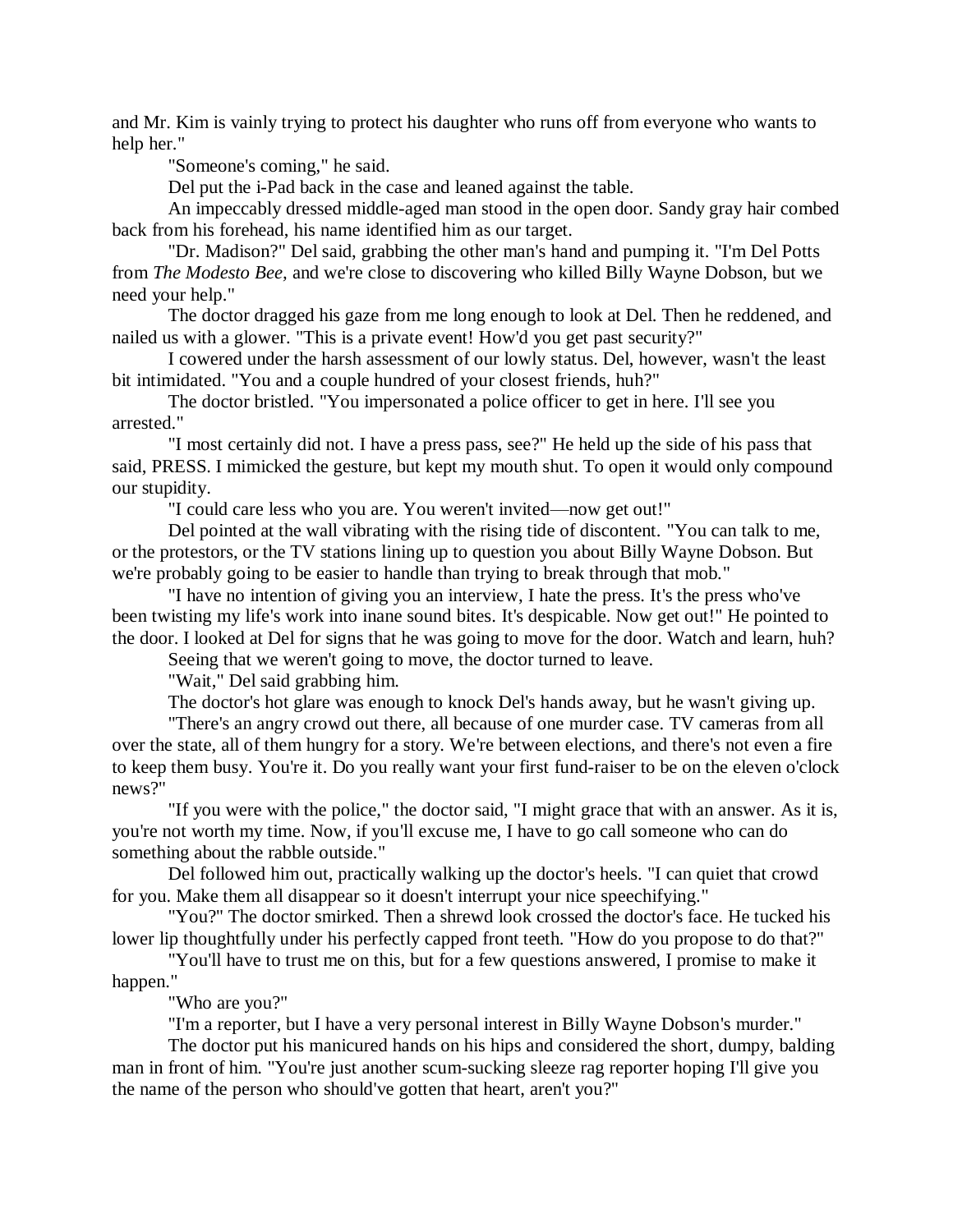and Mr. Kim is vainly trying to protect his daughter who runs off from everyone who wants to help her."

"Someone's coming," he said.

Del put the i-Pad back in the case and leaned against the table.

An impeccably dressed middle-aged man stood in the open door. Sandy gray hair combed back from his forehead, his name identified him as our target.

"Dr. Madison?" Del said, grabbing the other man's hand and pumping it. "I'm Del Potts from *The Modesto Bee,* and we're close to discovering who killed Billy Wayne Dobson, but we need your help."

The doctor dragged his gaze from me long enough to look at Del. Then he reddened, and nailed us with a glower. "This is a private event! How'd you get past security?"

I cowered under the harsh assessment of our lowly status. Del, however, wasn't the least bit intimidated. "You and a couple hundred of your closest friends, huh?"

The doctor bristled. "You impersonated a police officer to get in here. I'll see you arrested."

"I most certainly did not. I have a press pass, see?" He held up the side of his pass that said, PRESS. I mimicked the gesture, but kept my mouth shut. To open it would only compound our stupidity.

"I could care less who you are. You weren't invited—now get out!"

Del pointed at the wall vibrating with the rising tide of discontent. "You can talk to me, or the protestors, or the TV stations lining up to question you about Billy Wayne Dobson. But we're probably going to be easier to handle than trying to break through that mob."

"I have no intention of giving you an interview, I hate the press. It's the press who've been twisting my life's work into inane sound bites. It's despicable. Now get out!" He pointed to the door. I looked at Del for signs that he was going to move for the door. Watch and learn, huh?

Seeing that we weren't going to move, the doctor turned to leave.

"Wait," Del said grabbing him.

The doctor's hot glare was enough to knock Del's hands away, but he wasn't giving up.

"There's an angry crowd out there, all because of one murder case. TV cameras from all over the state, all of them hungry for a story. We're between elections, and there's not even a fire to keep them busy. You're it. Do you really want your first fund-raiser to be on the eleven o'clock news?"

"If you were with the police," the doctor said, "I might grace that with an answer. As it is, you're not worth my time. Now, if you'll excuse me, I have to go call someone who can do something about the rabble outside."

Del followed him out, practically walking up the doctor's heels. "I can quiet that crowd for you. Make them all disappear so it doesn't interrupt your nice speechifying."

"You?" The doctor smirked. Then a shrewd look crossed the doctor's face. He tucked his lower lip thoughtfully under his perfectly capped front teeth. "How do you propose to do that?"

"You'll have to trust me on this, but for a few questions answered, I promise to make it happen."

"Who are you?"

"I'm a reporter, but I have a very personal interest in Billy Wayne Dobson's murder."

The doctor put his manicured hands on his hips and considered the short, dumpy, balding man in front of him. "You're just another scum-sucking sleeze rag reporter hoping I'll give you the name of the person who should've gotten that heart, aren't you?"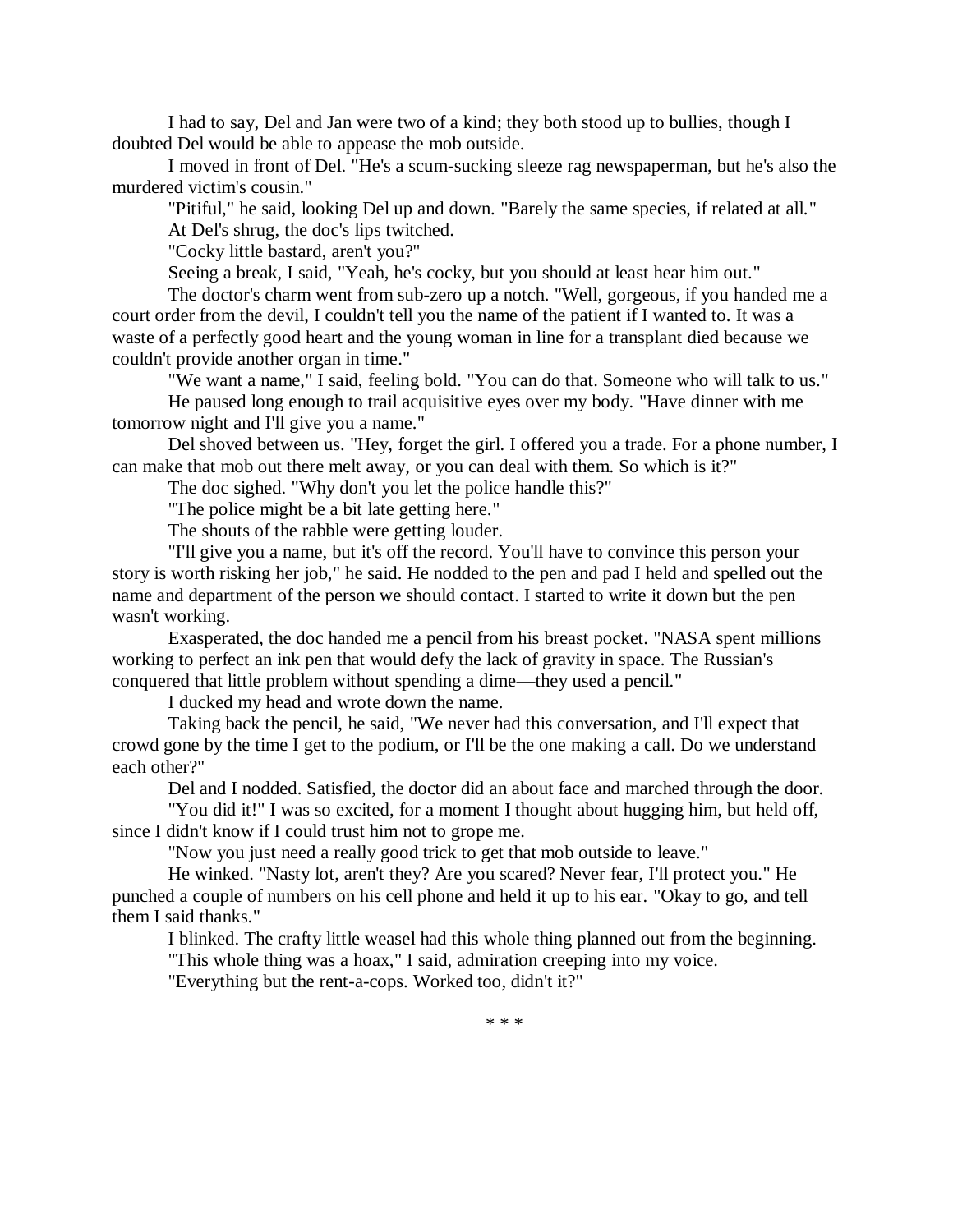I had to say, Del and Jan were two of a kind; they both stood up to bullies, though I doubted Del would be able to appease the mob outside.

I moved in front of Del. "He's a scum-sucking sleeze rag newspaperman, but he's also the murdered victim's cousin."

"Pitiful," he said, looking Del up and down. "Barely the same species, if related at all."

At Del's shrug, the doc's lips twitched.

"Cocky little bastard, aren't you?"

Seeing a break, I said, "Yeah, he's cocky, but you should at least hear him out."

The doctor's charm went from sub-zero up a notch. "Well, gorgeous, if you handed me a court order from the devil, I couldn't tell you the name of the patient if I wanted to. It was a waste of a perfectly good heart and the young woman in line for a transplant died because we couldn't provide another organ in time."

"We want a name," I said, feeling bold. "You can do that. Someone who will talk to us."

He paused long enough to trail acquisitive eyes over my body. "Have dinner with me tomorrow night and I'll give you a name."

Del shoved between us. "Hey, forget the girl. I offered you a trade. For a phone number, I can make that mob out there melt away, or you can deal with them. So which is it?"

The doc sighed. "Why don't you let the police handle this?"

"The police might be a bit late getting here."

The shouts of the rabble were getting louder.

"I'll give you a name, but it's off the record. You'll have to convince this person your story is worth risking her job," he said. He nodded to the pen and pad I held and spelled out the name and department of the person we should contact. I started to write it down but the pen wasn't working.

Exasperated, the doc handed me a pencil from his breast pocket. "NASA spent millions working to perfect an ink pen that would defy the lack of gravity in space. The Russian's conquered that little problem without spending a dime—they used a pencil."

I ducked my head and wrote down the name.

Taking back the pencil, he said, "We never had this conversation, and I'll expect that crowd gone by the time I get to the podium, or I'll be the one making a call. Do we understand each other?"

Del and I nodded. Satisfied, the doctor did an about face and marched through the door.

"You did it!" I was so excited, for a moment I thought about hugging him, but held off, since I didn't know if I could trust him not to grope me.

"Now you just need a really good trick to get that mob outside to leave."

He winked. "Nasty lot, aren't they? Are you scared? Never fear, I'll protect you." He punched a couple of numbers on his cell phone and held it up to his ear. "Okay to go, and tell them I said thanks."

I blinked. The crafty little weasel had this whole thing planned out from the beginning. "This whole thing was a hoax," I said, admiration creeping into my voice.

"Everything but the rent-a-cops. Worked too, didn't it?"

\* \* \*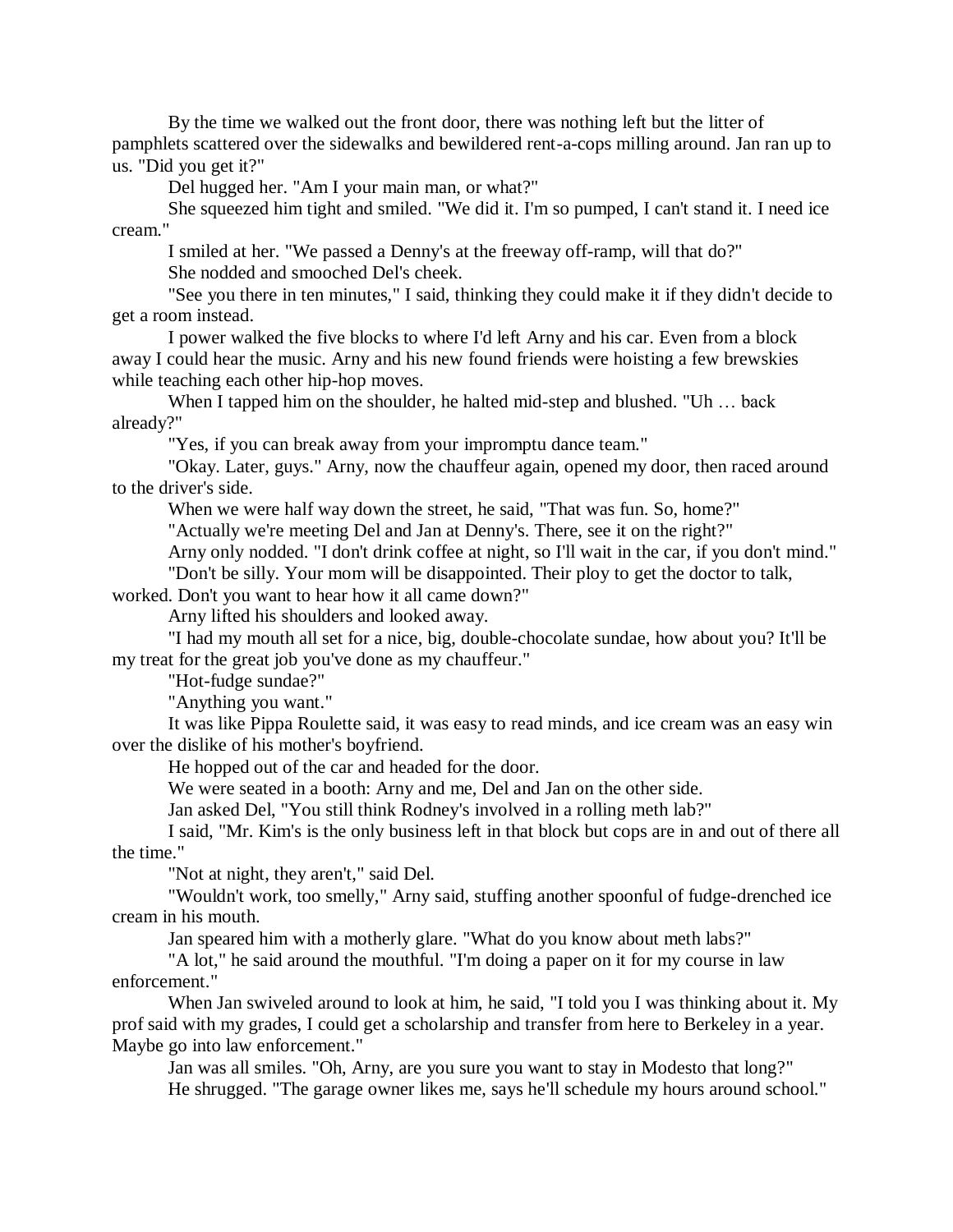By the time we walked out the front door, there was nothing left but the litter of pamphlets scattered over the sidewalks and bewildered rent-a-cops milling around. Jan ran up to us. "Did you get it?"

Del hugged her. "Am I your main man, or what?"

She squeezed him tight and smiled. "We did it. I'm so pumped, I can't stand it. I need ice cream."

I smiled at her. "We passed a Denny's at the freeway off-ramp, will that do?" She nodded and smooched Del's cheek.

"See you there in ten minutes," I said, thinking they could make it if they didn't decide to get a room instead.

I power walked the five blocks to where I'd left Arny and his car. Even from a block away I could hear the music. Arny and his new found friends were hoisting a few brewskies while teaching each other hip-hop moves.

When I tapped him on the shoulder, he halted mid-step and blushed. "Uh … back already?"

"Yes, if you can break away from your impromptu dance team."

"Okay. Later, guys." Arny, now the chauffeur again, opened my door, then raced around to the driver's side.

When we were half way down the street, he said, "That was fun. So, home?"

"Actually we're meeting Del and Jan at Denny's. There, see it on the right?"

Arny only nodded. "I don't drink coffee at night, so I'll wait in the car, if you don't mind."

"Don't be silly. Your mom will be disappointed. Their ploy to get the doctor to talk,

worked. Don't you want to hear how it all came down?"

Arny lifted his shoulders and looked away.

"I had my mouth all set for a nice, big, double-chocolate sundae, how about you? It'll be my treat for the great job you've done as my chauffeur."

"Hot-fudge sundae?"

"Anything you want."

It was like Pippa Roulette said, it was easy to read minds, and ice cream was an easy win over the dislike of his mother's boyfriend.

He hopped out of the car and headed for the door.

We were seated in a booth: Arny and me, Del and Jan on the other side.

Jan asked Del, "You still think Rodney's involved in a rolling meth lab?"

I said, "Mr. Kim's is the only business left in that block but cops are in and out of there all the time."

"Not at night, they aren't," said Del.

"Wouldn't work, too smelly," Arny said, stuffing another spoonful of fudge-drenched ice cream in his mouth.

Jan speared him with a motherly glare. "What do you know about meth labs?"

"A lot," he said around the mouthful. "I'm doing a paper on it for my course in law enforcement."

When Jan swiveled around to look at him, he said, "I told you I was thinking about it. My prof said with my grades, I could get a scholarship and transfer from here to Berkeley in a year. Maybe go into law enforcement."

Jan was all smiles. "Oh, Arny, are you sure you want to stay in Modesto that long?" He shrugged. "The garage owner likes me, says he'll schedule my hours around school."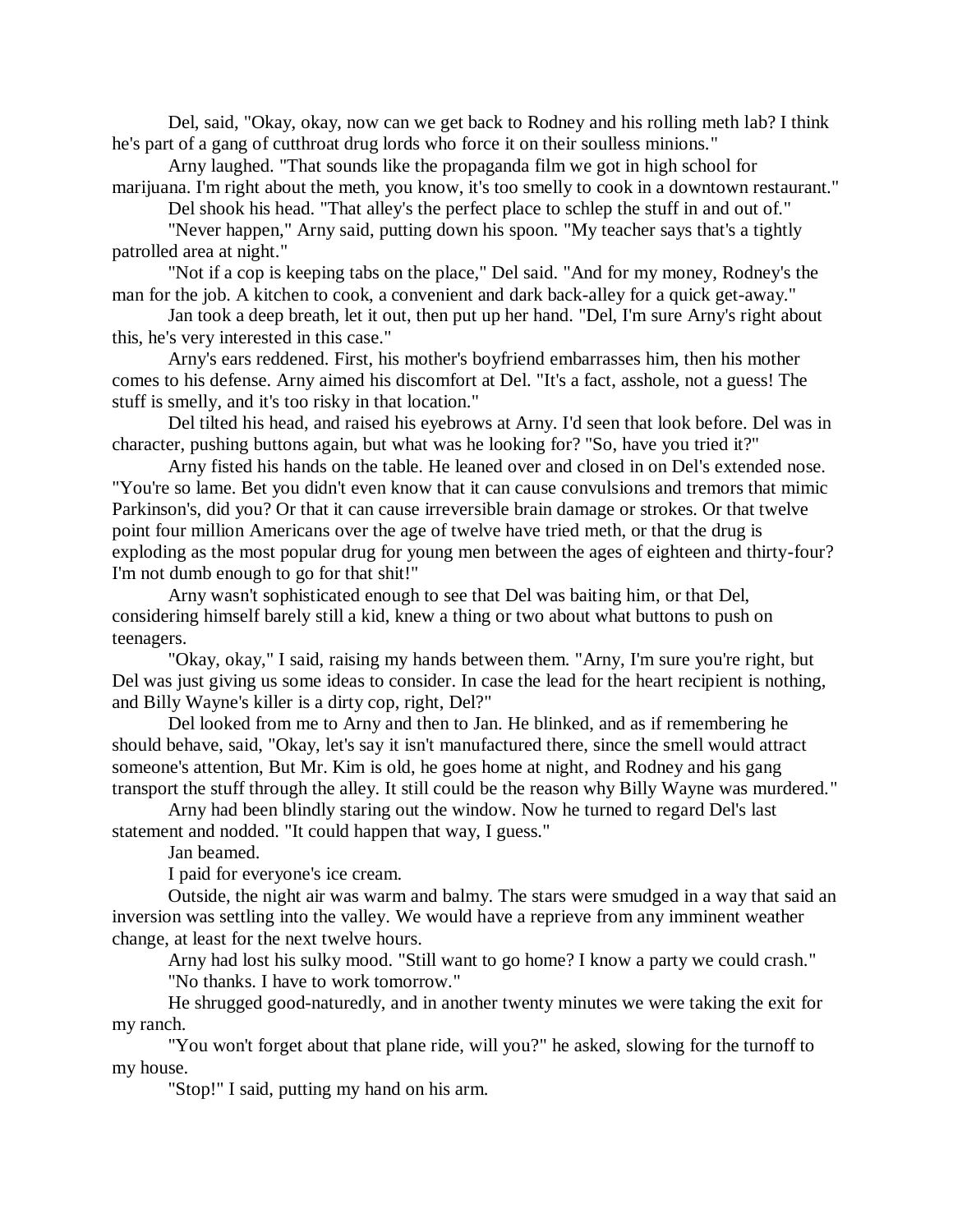Del, said, "Okay, okay, now can we get back to Rodney and his rolling meth lab? I think he's part of a gang of cutthroat drug lords who force it on their soulless minions."

Arny laughed. "That sounds like the propaganda film we got in high school for marijuana. I'm right about the meth, you know, it's too smelly to cook in a downtown restaurant."

Del shook his head. "That alley's the perfect place to schlep the stuff in and out of."

"Never happen," Arny said, putting down his spoon. "My teacher says that's a tightly patrolled area at night."

"Not if a cop is keeping tabs on the place," Del said. "And for my money, Rodney's the man for the job. A kitchen to cook, a convenient and dark back-alley for a quick get-away."

Jan took a deep breath, let it out, then put up her hand. "Del, I'm sure Arny's right about this, he's very interested in this case."

Arny's ears reddened. First, his mother's boyfriend embarrasses him, then his mother comes to his defense. Arny aimed his discomfort at Del. "It's a fact, asshole, not a guess! The stuff is smelly, and it's too risky in that location."

Del tilted his head, and raised his eyebrows at Arny. I'd seen that look before. Del was in character, pushing buttons again, but what was he looking for? "So, have you tried it?"

Arny fisted his hands on the table. He leaned over and closed in on Del's extended nose. "You're so lame. Bet you didn't even know that it can cause convulsions and tremors that mimic Parkinson's, did you? Or that it can cause irreversible brain damage or strokes. Or that twelve point four million Americans over the age of twelve have tried meth, or that the drug is exploding as the most popular drug for young men between the ages of eighteen and thirty-four? I'm not dumb enough to go for that shit!"

Arny wasn't sophisticated enough to see that Del was baiting him, or that Del, considering himself barely still a kid, knew a thing or two about what buttons to push on teenagers.

"Okay, okay," I said, raising my hands between them. "Arny, I'm sure you're right, but Del was just giving us some ideas to consider. In case the lead for the heart recipient is nothing, and Billy Wayne's killer is a dirty cop, right, Del?"

Del looked from me to Arny and then to Jan. He blinked, and as if remembering he should behave, said, "Okay, let's say it isn't manufactured there, since the smell would attract someone's attention, But Mr. Kim is old, he goes home at night, and Rodney and his gang transport the stuff through the alley. It still could be the reason why Billy Wayne was murdered."

Arny had been blindly staring out the window. Now he turned to regard Del's last statement and nodded. "It could happen that way, I guess."

Jan beamed.

I paid for everyone's ice cream.

Outside, the night air was warm and balmy. The stars were smudged in a way that said an inversion was settling into the valley. We would have a reprieve from any imminent weather change, at least for the next twelve hours.

Arny had lost his sulky mood. "Still want to go home? I know a party we could crash." "No thanks. I have to work tomorrow."

He shrugged good-naturedly, and in another twenty minutes we were taking the exit for my ranch.

"You won't forget about that plane ride, will you?" he asked, slowing for the turnoff to my house.

"Stop!" I said, putting my hand on his arm.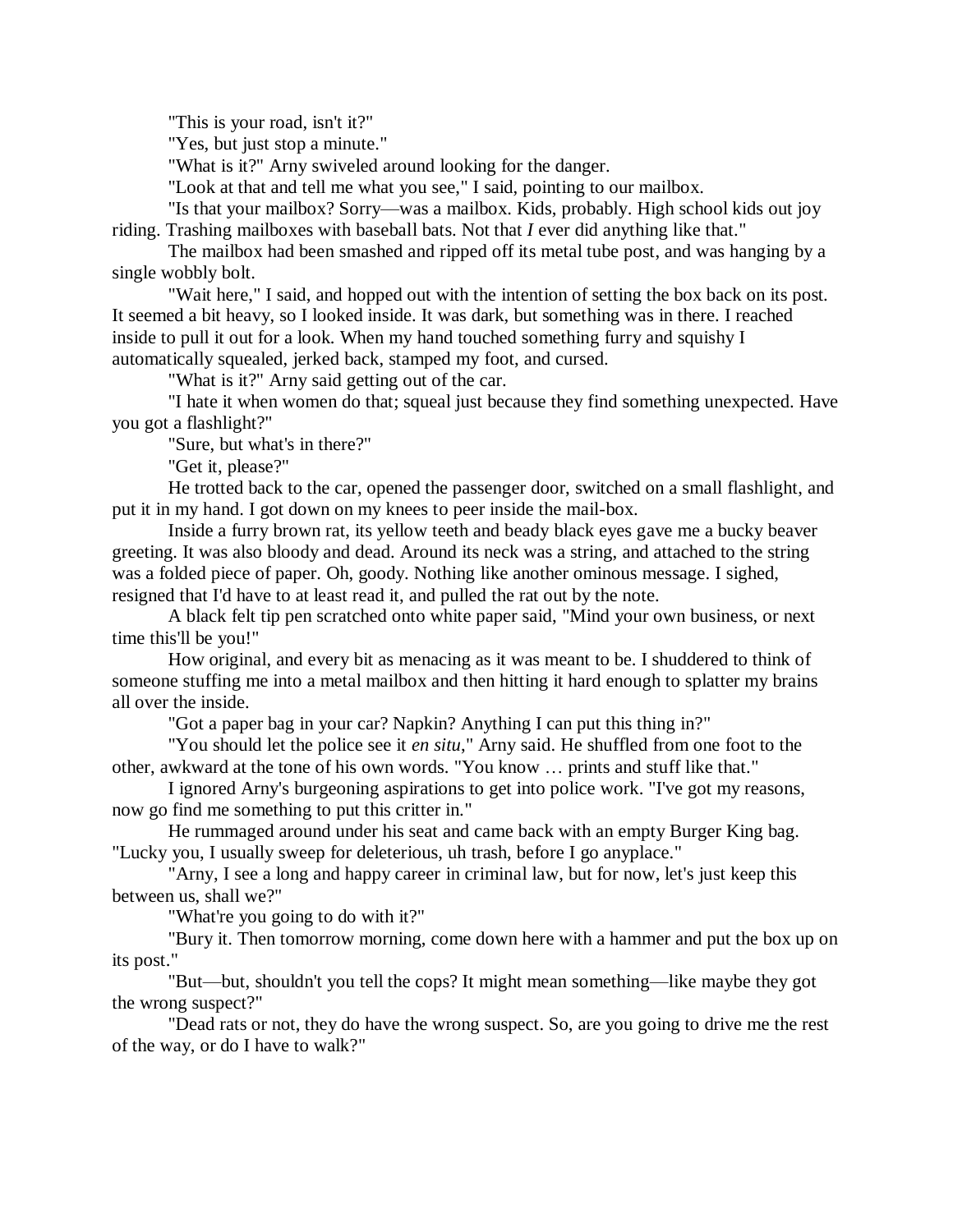"This is your road, isn't it?"

"Yes, but just stop a minute."

"What is it?" Arny swiveled around looking for the danger.

"Look at that and tell me what you see," I said, pointing to our mailbox.

"Is that your mailbox? Sorry—was a mailbox. Kids, probably. High school kids out joy riding. Trashing mailboxes with baseball bats. Not that *I* ever did anything like that."

The mailbox had been smashed and ripped off its metal tube post, and was hanging by a single wobbly bolt.

"Wait here," I said, and hopped out with the intention of setting the box back on its post. It seemed a bit heavy, so I looked inside. It was dark, but something was in there. I reached inside to pull it out for a look. When my hand touched something furry and squishy I automatically squealed, jerked back, stamped my foot, and cursed.

"What is it?" Arny said getting out of the car.

"I hate it when women do that; squeal just because they find something unexpected. Have you got a flashlight?"

"Sure, but what's in there?"

"Get it, please?"

He trotted back to the car, opened the passenger door, switched on a small flashlight, and put it in my hand. I got down on my knees to peer inside the mail-box.

Inside a furry brown rat, its yellow teeth and beady black eyes gave me a bucky beaver greeting. It was also bloody and dead. Around its neck was a string, and attached to the string was a folded piece of paper. Oh, goody. Nothing like another ominous message. I sighed, resigned that I'd have to at least read it, and pulled the rat out by the note.

A black felt tip pen scratched onto white paper said, "Mind your own business, or next time this'll be you!"

How original, and every bit as menacing as it was meant to be. I shuddered to think of someone stuffing me into a metal mailbox and then hitting it hard enough to splatter my brains all over the inside.

"Got a paper bag in your car? Napkin? Anything I can put this thing in?"

"You should let the police see it *en situ*," Arny said. He shuffled from one foot to the other, awkward at the tone of his own words. "You know … prints and stuff like that."

I ignored Arny's burgeoning aspirations to get into police work. "I've got my reasons, now go find me something to put this critter in."

He rummaged around under his seat and came back with an empty Burger King bag. "Lucky you, I usually sweep for deleterious, uh trash, before I go anyplace."

"Arny, I see a long and happy career in criminal law, but for now, let's just keep this between us, shall we?"

"What're you going to do with it?"

"Bury it. Then tomorrow morning, come down here with a hammer and put the box up on its post."

"But—but, shouldn't you tell the cops? It might mean something—like maybe they got the wrong suspect?"

"Dead rats or not, they do have the wrong suspect. So, are you going to drive me the rest of the way, or do I have to walk?"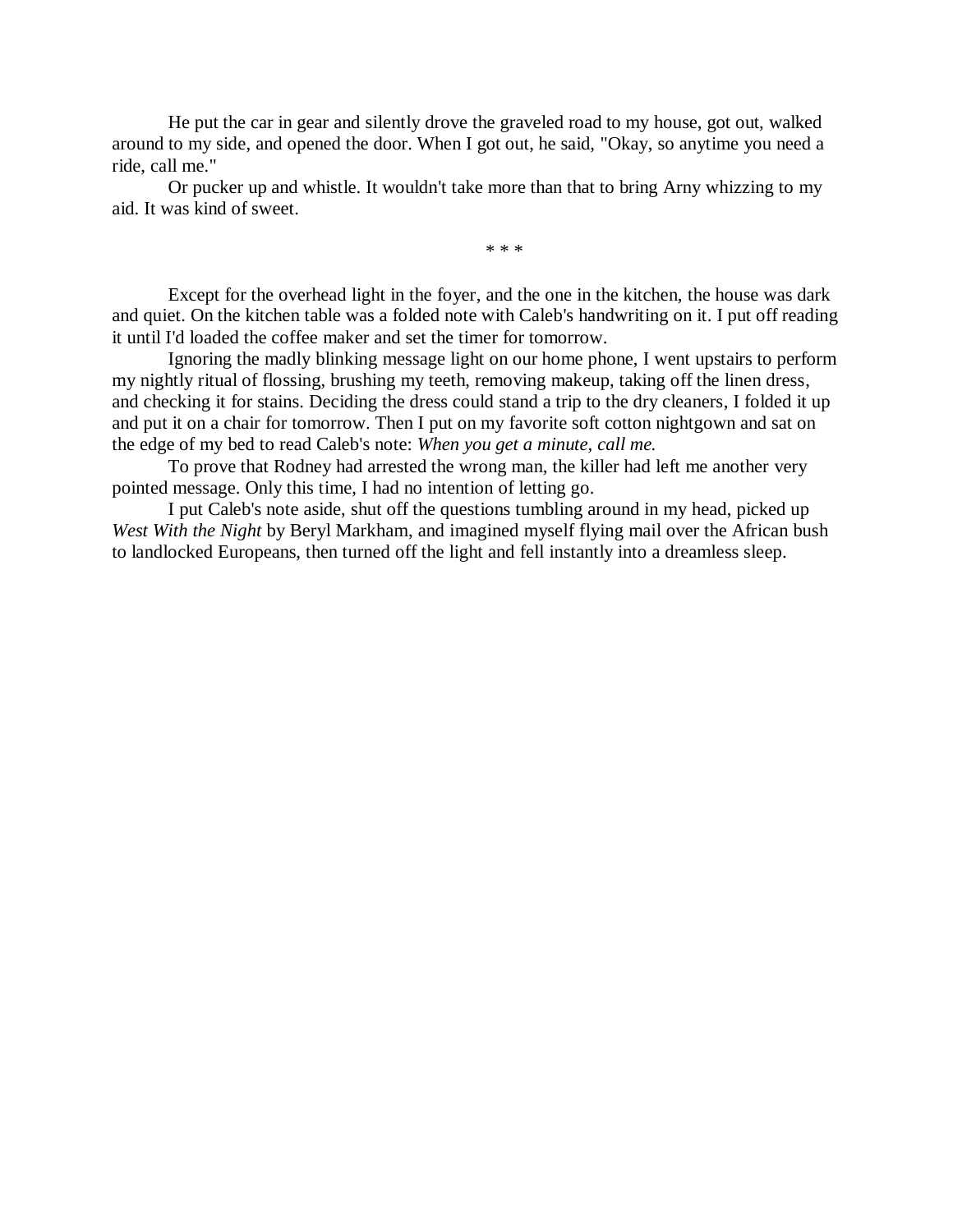He put the car in gear and silently drove the graveled road to my house, got out, walked around to my side, and opened the door. When I got out, he said, "Okay, so anytime you need a ride, call me."

Or pucker up and whistle. It wouldn't take more than that to bring Arny whizzing to my aid. It was kind of sweet.

\* \* \*

Except for the overhead light in the foyer, and the one in the kitchen, the house was dark and quiet. On the kitchen table was a folded note with Caleb's handwriting on it. I put off reading it until I'd loaded the coffee maker and set the timer for tomorrow.

Ignoring the madly blinking message light on our home phone, I went upstairs to perform my nightly ritual of flossing, brushing my teeth, removing makeup, taking off the linen dress, and checking it for stains. Deciding the dress could stand a trip to the dry cleaners, I folded it up and put it on a chair for tomorrow. Then I put on my favorite soft cotton nightgown and sat on the edge of my bed to read Caleb's note: *When you get a minute, call me.*

To prove that Rodney had arrested the wrong man, the killer had left me another very pointed message. Only this time, I had no intention of letting go.

I put Caleb's note aside, shut off the questions tumbling around in my head, picked up *West With the Night* by Beryl Markham, and imagined myself flying mail over the African bush to landlocked Europeans, then turned off the light and fell instantly into a dreamless sleep.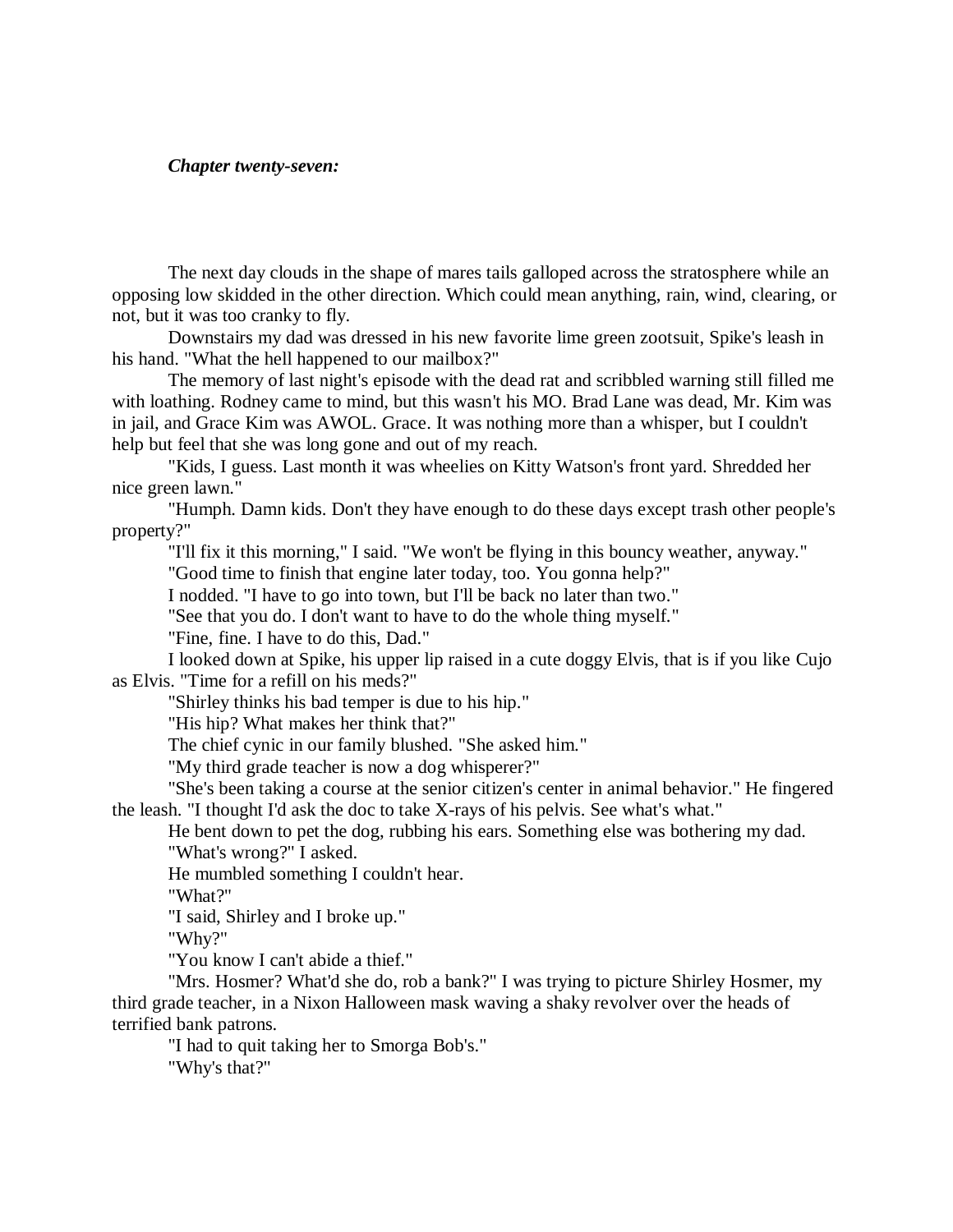#### *Chapter twenty-seven:*

The next day clouds in the shape of mares tails galloped across the stratosphere while an opposing low skidded in the other direction. Which could mean anything, rain, wind, clearing, or not, but it was too cranky to fly.

Downstairs my dad was dressed in his new favorite lime green zootsuit, Spike's leash in his hand. "What the hell happened to our mailbox?"

The memory of last night's episode with the dead rat and scribbled warning still filled me with loathing. Rodney came to mind, but this wasn't his MO. Brad Lane was dead, Mr. Kim was in jail, and Grace Kim was AWOL. Grace. It was nothing more than a whisper, but I couldn't help but feel that she was long gone and out of my reach.

"Kids, I guess. Last month it was wheelies on Kitty Watson's front yard. Shredded her nice green lawn."

"Humph. Damn kids. Don't they have enough to do these days except trash other people's property?"

"I'll fix it this morning," I said. "We won't be flying in this bouncy weather, anyway."

"Good time to finish that engine later today, too. You gonna help?"

I nodded. "I have to go into town, but I'll be back no later than two."

"See that you do. I don't want to have to do the whole thing myself."

"Fine, fine. I have to do this, Dad."

I looked down at Spike, his upper lip raised in a cute doggy Elvis, that is if you like Cujo as Elvis. "Time for a refill on his meds?"

"Shirley thinks his bad temper is due to his hip."

"His hip? What makes her think that?"

The chief cynic in our family blushed. "She asked him."

"My third grade teacher is now a dog whisperer?"

"She's been taking a course at the senior citizen's center in animal behavior." He fingered the leash. "I thought I'd ask the doc to take X-rays of his pelvis. See what's what."

He bent down to pet the dog, rubbing his ears. Something else was bothering my dad. "What's wrong?" I asked.

He mumbled something I couldn't hear.

"What?"

"I said, Shirley and I broke up."

"Why?"

"You know I can't abide a thief."

"Mrs. Hosmer? What'd she do, rob a bank?" I was trying to picture Shirley Hosmer, my third grade teacher, in a Nixon Halloween mask waving a shaky revolver over the heads of terrified bank patrons.

"I had to quit taking her to Smorga Bob's." "Why's that?"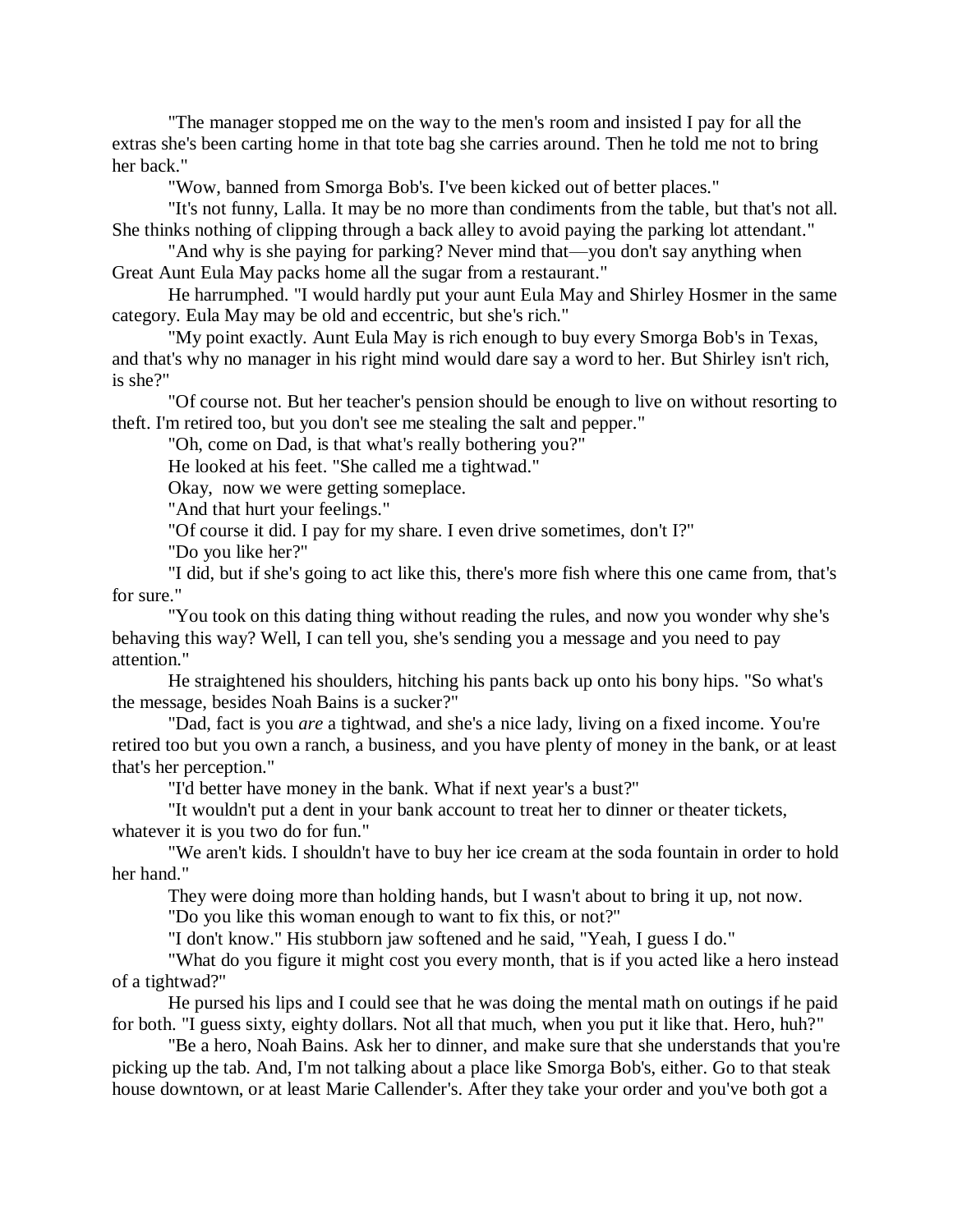"The manager stopped me on the way to the men's room and insisted I pay for all the extras she's been carting home in that tote bag she carries around. Then he told me not to bring her back."

"Wow, banned from Smorga Bob's. I've been kicked out of better places."

"It's not funny, Lalla. It may be no more than condiments from the table, but that's not all. She thinks nothing of clipping through a back alley to avoid paying the parking lot attendant."

"And why is she paying for parking? Never mind that—you don't say anything when Great Aunt Eula May packs home all the sugar from a restaurant."

He harrumphed. "I would hardly put your aunt Eula May and Shirley Hosmer in the same category. Eula May may be old and eccentric, but she's rich."

"My point exactly. Aunt Eula May is rich enough to buy every Smorga Bob's in Texas, and that's why no manager in his right mind would dare say a word to her. But Shirley isn't rich, is she?"

"Of course not. But her teacher's pension should be enough to live on without resorting to theft. I'm retired too, but you don't see me stealing the salt and pepper."

"Oh, come on Dad, is that what's really bothering you?"

He looked at his feet. "She called me a tightwad."

Okay, now we were getting someplace.

"And that hurt your feelings."

"Of course it did. I pay for my share. I even drive sometimes, don't I?"

"Do you like her?"

"I did, but if she's going to act like this, there's more fish where this one came from, that's for sure."

"You took on this dating thing without reading the rules, and now you wonder why she's behaving this way? Well, I can tell you, she's sending you a message and you need to pay attention."

He straightened his shoulders, hitching his pants back up onto his bony hips. "So what's the message, besides Noah Bains is a sucker?"

"Dad, fact is you *are* a tightwad, and she's a nice lady, living on a fixed income. You're retired too but you own a ranch, a business, and you have plenty of money in the bank, or at least that's her perception."

"I'd better have money in the bank. What if next year's a bust?"

"It wouldn't put a dent in your bank account to treat her to dinner or theater tickets, whatever it is you two do for fun."

"We aren't kids. I shouldn't have to buy her ice cream at the soda fountain in order to hold her hand."

They were doing more than holding hands, but I wasn't about to bring it up, not now.

"Do you like this woman enough to want to fix this, or not?"

"I don't know." His stubborn jaw softened and he said, "Yeah, I guess I do."

"What do you figure it might cost you every month, that is if you acted like a hero instead of a tightwad?"

He pursed his lips and I could see that he was doing the mental math on outings if he paid for both. "I guess sixty, eighty dollars. Not all that much, when you put it like that. Hero, huh?"

"Be a hero, Noah Bains. Ask her to dinner, and make sure that she understands that you're picking up the tab. And, I'm not talking about a place like Smorga Bob's, either. Go to that steak house downtown, or at least Marie Callender's. After they take your order and you've both got a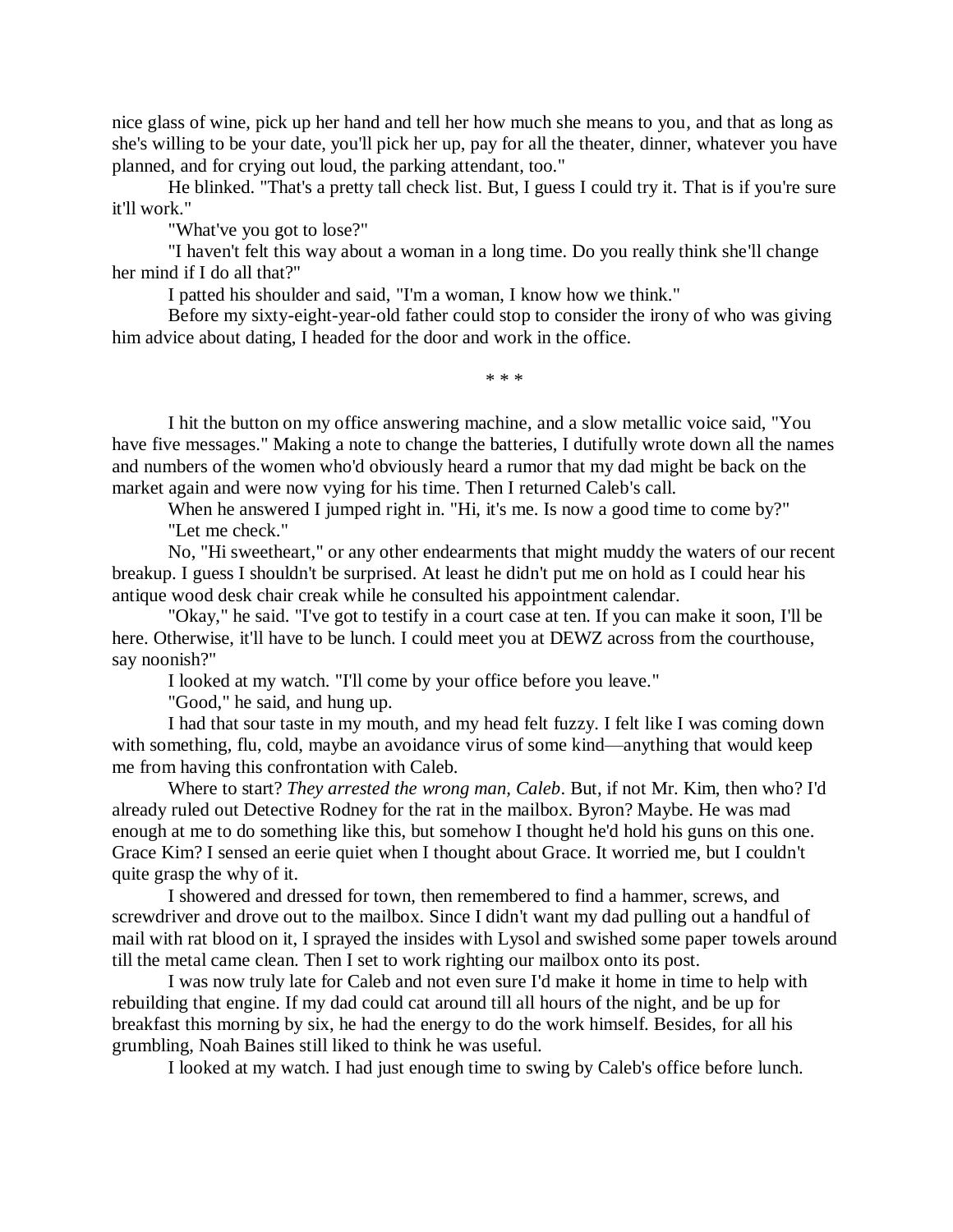nice glass of wine, pick up her hand and tell her how much she means to you, and that as long as she's willing to be your date, you'll pick her up, pay for all the theater, dinner, whatever you have planned, and for crying out loud, the parking attendant, too."

He blinked. "That's a pretty tall check list. But, I guess I could try it. That is if you're sure it'll work."

"What've you got to lose?"

"I haven't felt this way about a woman in a long time. Do you really think she'll change her mind if I do all that?"

I patted his shoulder and said, "I'm a woman, I know how we think."

Before my sixty-eight-year-old father could stop to consider the irony of who was giving him advice about dating, I headed for the door and work in the office.

\* \* \*

I hit the button on my office answering machine, and a slow metallic voice said, "You have five messages." Making a note to change the batteries, I dutifully wrote down all the names and numbers of the women who'd obviously heard a rumor that my dad might be back on the market again and were now vying for his time. Then I returned Caleb's call.

When he answered I jumped right in. "Hi, it's me. Is now a good time to come by?" "Let me check."

No, "Hi sweetheart," or any other endearments that might muddy the waters of our recent breakup. I guess I shouldn't be surprised. At least he didn't put me on hold as I could hear his antique wood desk chair creak while he consulted his appointment calendar.

"Okay," he said. "I've got to testify in a court case at ten. If you can make it soon, I'll be here. Otherwise, it'll have to be lunch. I could meet you at DEWZ across from the courthouse, say noonish?"

I looked at my watch. "I'll come by your office before you leave."

"Good," he said, and hung up.

I had that sour taste in my mouth, and my head felt fuzzy. I felt like I was coming down with something, flu, cold, maybe an avoidance virus of some kind—anything that would keep me from having this confrontation with Caleb.

Where to start? *They arrested the wrong man, Caleb*. But, if not Mr. Kim, then who? I'd already ruled out Detective Rodney for the rat in the mailbox. Byron? Maybe. He was mad enough at me to do something like this, but somehow I thought he'd hold his guns on this one. Grace Kim? I sensed an eerie quiet when I thought about Grace. It worried me, but I couldn't quite grasp the why of it.

I showered and dressed for town, then remembered to find a hammer, screws, and screwdriver and drove out to the mailbox. Since I didn't want my dad pulling out a handful of mail with rat blood on it, I sprayed the insides with Lysol and swished some paper towels around till the metal came clean. Then I set to work righting our mailbox onto its post.

I was now truly late for Caleb and not even sure I'd make it home in time to help with rebuilding that engine. If my dad could cat around till all hours of the night, and be up for breakfast this morning by six, he had the energy to do the work himself. Besides, for all his grumbling, Noah Baines still liked to think he was useful.

I looked at my watch. I had just enough time to swing by Caleb's office before lunch.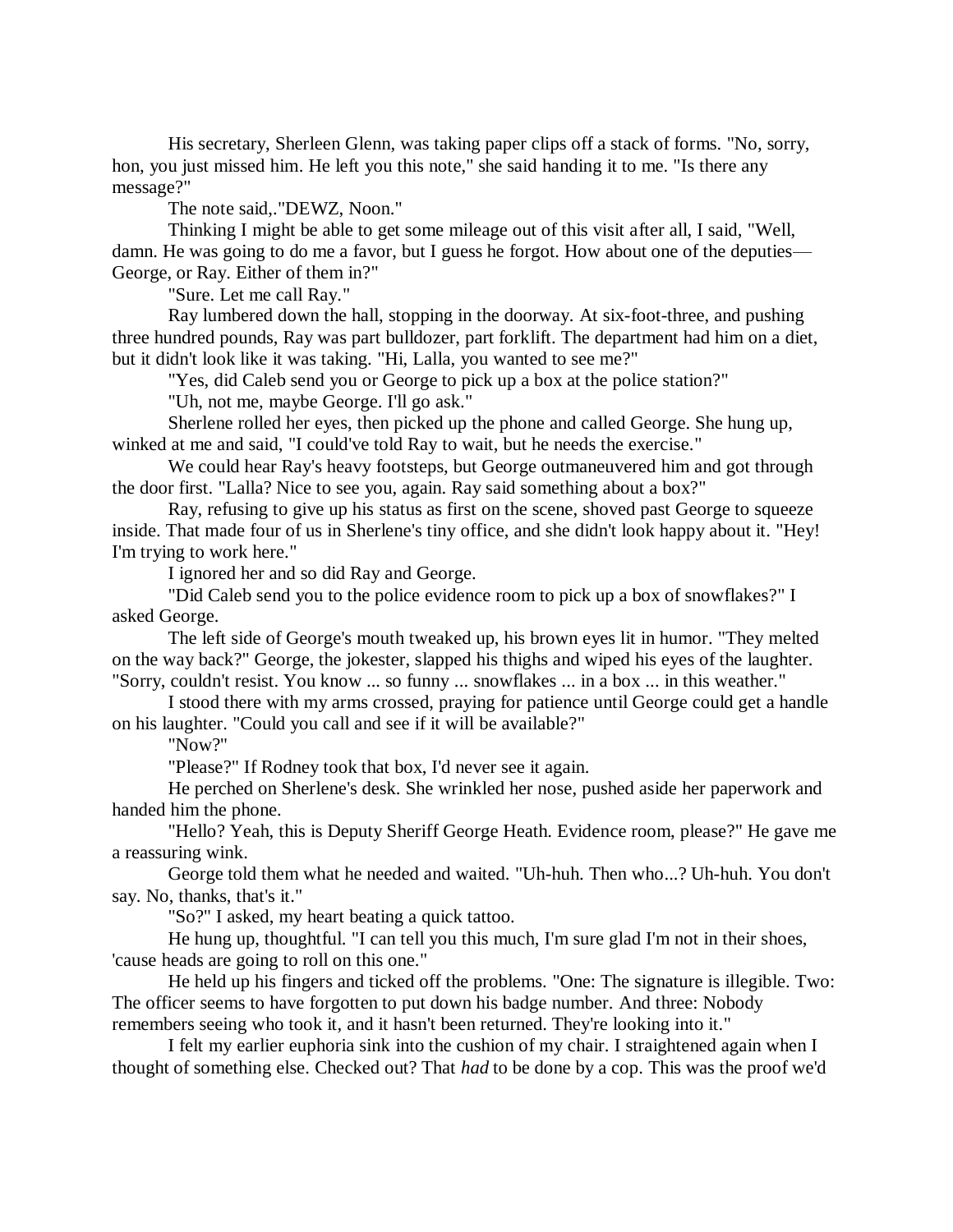His secretary, Sherleen Glenn, was taking paper clips off a stack of forms. "No, sorry, hon, you just missed him. He left you this note," she said handing it to me. "Is there any message?"

The note said,."DEWZ, Noon."

Thinking I might be able to get some mileage out of this visit after all, I said, "Well, damn. He was going to do me a favor, but I guess he forgot. How about one of the deputies— George, or Ray. Either of them in?"

"Sure. Let me call Ray."

Ray lumbered down the hall, stopping in the doorway. At six-foot-three, and pushing three hundred pounds, Ray was part bulldozer, part forklift. The department had him on a diet, but it didn't look like it was taking. "Hi, Lalla, you wanted to see me?"

"Yes, did Caleb send you or George to pick up a box at the police station?"

"Uh, not me, maybe George. I'll go ask."

Sherlene rolled her eyes, then picked up the phone and called George. She hung up, winked at me and said, "I could've told Ray to wait, but he needs the exercise."

We could hear Ray's heavy footsteps, but George outmaneuvered him and got through the door first. "Lalla? Nice to see you, again. Ray said something about a box?"

Ray, refusing to give up his status as first on the scene, shoved past George to squeeze inside. That made four of us in Sherlene's tiny office, and she didn't look happy about it. "Hey! I'm trying to work here."

I ignored her and so did Ray and George.

"Did Caleb send you to the police evidence room to pick up a box of snowflakes?" I asked George.

The left side of George's mouth tweaked up, his brown eyes lit in humor. "They melted on the way back?" George, the jokester, slapped his thighs and wiped his eyes of the laughter. "Sorry, couldn't resist. You know ... so funny ... snowflakes ... in a box ... in this weather."

I stood there with my arms crossed, praying for patience until George could get a handle on his laughter. "Could you call and see if it will be available?"

"Now?"

"Please?" If Rodney took that box, I'd never see it again.

He perched on Sherlene's desk. She wrinkled her nose, pushed aside her paperwork and handed him the phone.

"Hello? Yeah, this is Deputy Sheriff George Heath. Evidence room, please?" He gave me a reassuring wink.

George told them what he needed and waited. "Uh-huh. Then who...? Uh-huh. You don't say. No, thanks, that's it."

"So?" I asked, my heart beating a quick tattoo.

He hung up, thoughtful. "I can tell you this much, I'm sure glad I'm not in their shoes, 'cause heads are going to roll on this one."

He held up his fingers and ticked off the problems. "One: The signature is illegible. Two: The officer seems to have forgotten to put down his badge number. And three: Nobody remembers seeing who took it, and it hasn't been returned. They're looking into it."

I felt my earlier euphoria sink into the cushion of my chair. I straightened again when I thought of something else. Checked out? That *had* to be done by a cop. This was the proof we'd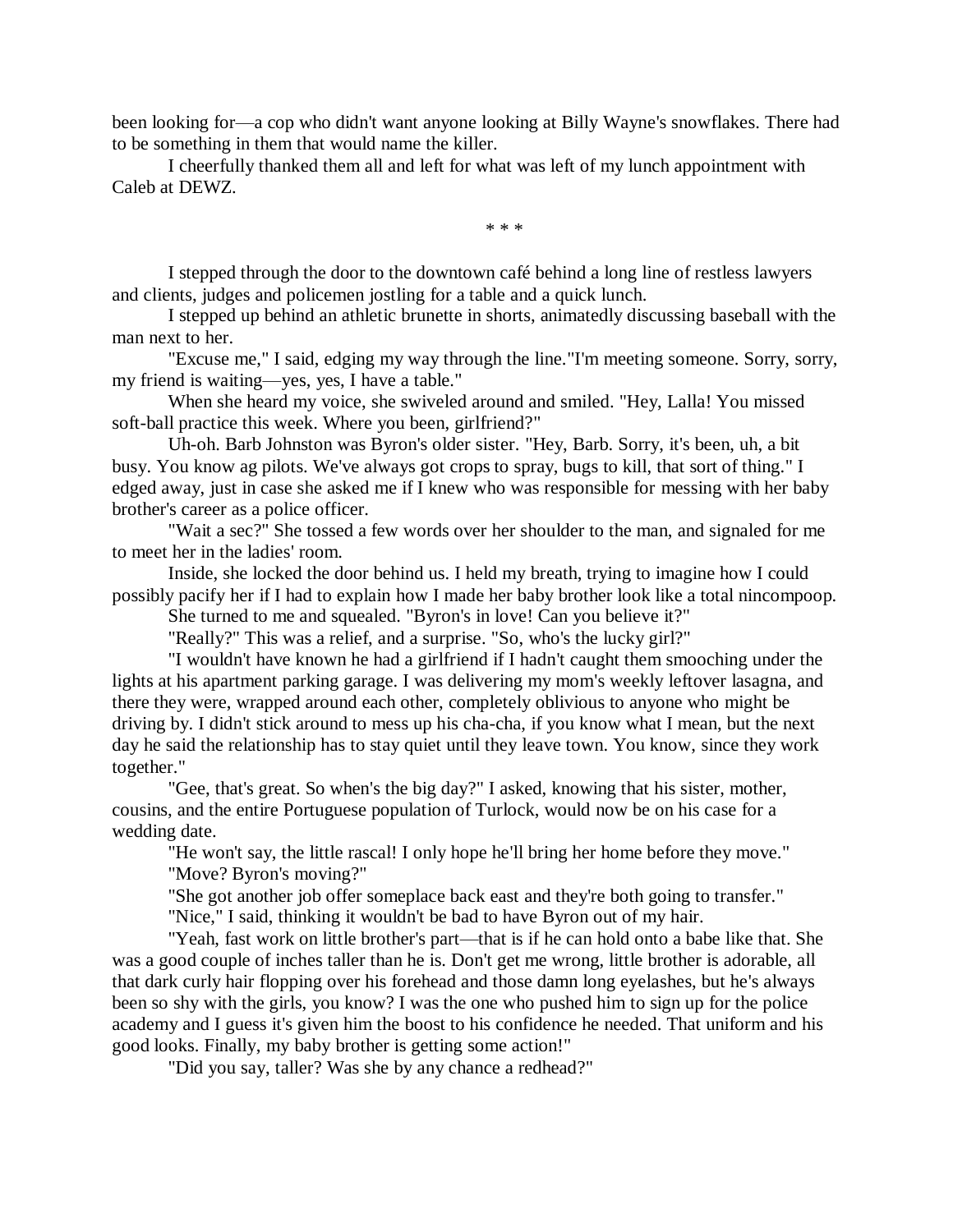been looking for—a cop who didn't want anyone looking at Billy Wayne's snowflakes. There had to be something in them that would name the killer.

I cheerfully thanked them all and left for what was left of my lunch appointment with Caleb at DEWZ.

\* \* \*

I stepped through the door to the downtown café behind a long line of restless lawyers and clients, judges and policemen jostling for a table and a quick lunch.

I stepped up behind an athletic brunette in shorts, animatedly discussing baseball with the man next to her.

"Excuse me," I said, edging my way through the line."I'm meeting someone. Sorry, sorry, my friend is waiting—yes, yes, I have a table."

When she heard my voice, she swiveled around and smiled. "Hey, Lalla! You missed soft-ball practice this week. Where you been, girlfriend?"

Uh-oh. Barb Johnston was Byron's older sister. "Hey, Barb. Sorry, it's been, uh, a bit busy. You know ag pilots. We've always got crops to spray, bugs to kill, that sort of thing." I edged away, just in case she asked me if I knew who was responsible for messing with her baby brother's career as a police officer.

"Wait a sec?" She tossed a few words over her shoulder to the man, and signaled for me to meet her in the ladies' room.

Inside, she locked the door behind us. I held my breath, trying to imagine how I could possibly pacify her if I had to explain how I made her baby brother look like a total nincompoop.

She turned to me and squealed. "Byron's in love! Can you believe it?"

"Really?" This was a relief, and a surprise. "So, who's the lucky girl?"

"I wouldn't have known he had a girlfriend if I hadn't caught them smooching under the lights at his apartment parking garage. I was delivering my mom's weekly leftover lasagna, and there they were, wrapped around each other, completely oblivious to anyone who might be driving by. I didn't stick around to mess up his cha-cha, if you know what I mean, but the next day he said the relationship has to stay quiet until they leave town. You know, since they work together."

"Gee, that's great. So when's the big day?" I asked, knowing that his sister, mother, cousins, and the entire Portuguese population of Turlock, would now be on his case for a wedding date.

"He won't say, the little rascal! I only hope he'll bring her home before they move." "Move? Byron's moving?"

"She got another job offer someplace back east and they're both going to transfer."

"Nice," I said, thinking it wouldn't be bad to have Byron out of my hair.

"Yeah, fast work on little brother's part—that is if he can hold onto a babe like that. She was a good couple of inches taller than he is. Don't get me wrong, little brother is adorable, all that dark curly hair flopping over his forehead and those damn long eyelashes, but he's always been so shy with the girls, you know? I was the one who pushed him to sign up for the police academy and I guess it's given him the boost to his confidence he needed. That uniform and his good looks. Finally, my baby brother is getting some action!"

"Did you say, taller? Was she by any chance a redhead?"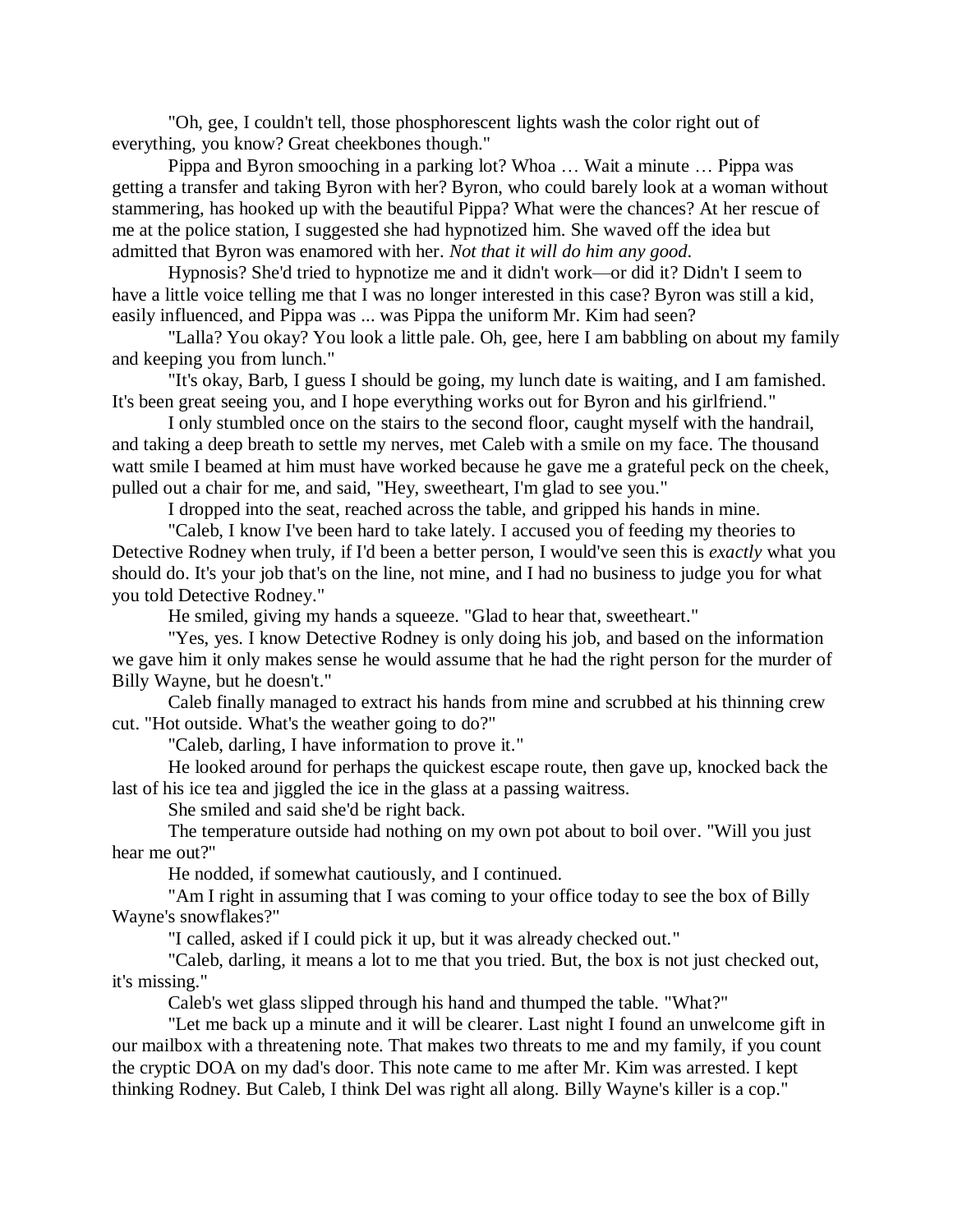"Oh, gee, I couldn't tell, those phosphorescent lights wash the color right out of everything, you know? Great cheekbones though."

Pippa and Byron smooching in a parking lot? Whoa … Wait a minute … Pippa was getting a transfer and taking Byron with her? Byron, who could barely look at a woman without stammering, has hooked up with the beautiful Pippa? What were the chances? At her rescue of me at the police station, I suggested she had hypnotized him. She waved off the idea but admitted that Byron was enamored with her. *Not that it will do him any good*.

Hypnosis? She'd tried to hypnotize me and it didn't work—or did it? Didn't I seem to have a little voice telling me that I was no longer interested in this case? Byron was still a kid, easily influenced, and Pippa was ... was Pippa the uniform Mr. Kim had seen?

"Lalla? You okay? You look a little pale. Oh, gee, here I am babbling on about my family and keeping you from lunch."

"It's okay, Barb, I guess I should be going, my lunch date is waiting, and I am famished. It's been great seeing you, and I hope everything works out for Byron and his girlfriend."

I only stumbled once on the stairs to the second floor, caught myself with the handrail, and taking a deep breath to settle my nerves, met Caleb with a smile on my face. The thousand watt smile I beamed at him must have worked because he gave me a grateful peck on the cheek, pulled out a chair for me, and said, "Hey, sweetheart, I'm glad to see you."

I dropped into the seat, reached across the table, and gripped his hands in mine.

"Caleb, I know I've been hard to take lately. I accused you of feeding my theories to Detective Rodney when truly, if I'd been a better person, I would've seen this is *exactly* what you should do. It's your job that's on the line, not mine, and I had no business to judge you for what you told Detective Rodney."

He smiled, giving my hands a squeeze. "Glad to hear that, sweetheart."

"Yes, yes. I know Detective Rodney is only doing his job, and based on the information we gave him it only makes sense he would assume that he had the right person for the murder of Billy Wayne, but he doesn't."

Caleb finally managed to extract his hands from mine and scrubbed at his thinning crew cut. "Hot outside. What's the weather going to do?"

"Caleb, darling, I have information to prove it."

He looked around for perhaps the quickest escape route, then gave up, knocked back the last of his ice tea and jiggled the ice in the glass at a passing waitress.

She smiled and said she'd be right back.

The temperature outside had nothing on my own pot about to boil over. "Will you just hear me out?"

He nodded, if somewhat cautiously, and I continued.

"Am I right in assuming that I was coming to your office today to see the box of Billy Wayne's snowflakes?"

"I called, asked if I could pick it up, but it was already checked out."

"Caleb, darling, it means a lot to me that you tried. But, the box is not just checked out, it's missing."

Caleb's wet glass slipped through his hand and thumped the table. "What?"

"Let me back up a minute and it will be clearer. Last night I found an unwelcome gift in our mailbox with a threatening note. That makes two threats to me and my family, if you count the cryptic DOA on my dad's door. This note came to me after Mr. Kim was arrested. I kept thinking Rodney. But Caleb, I think Del was right all along. Billy Wayne's killer is a cop."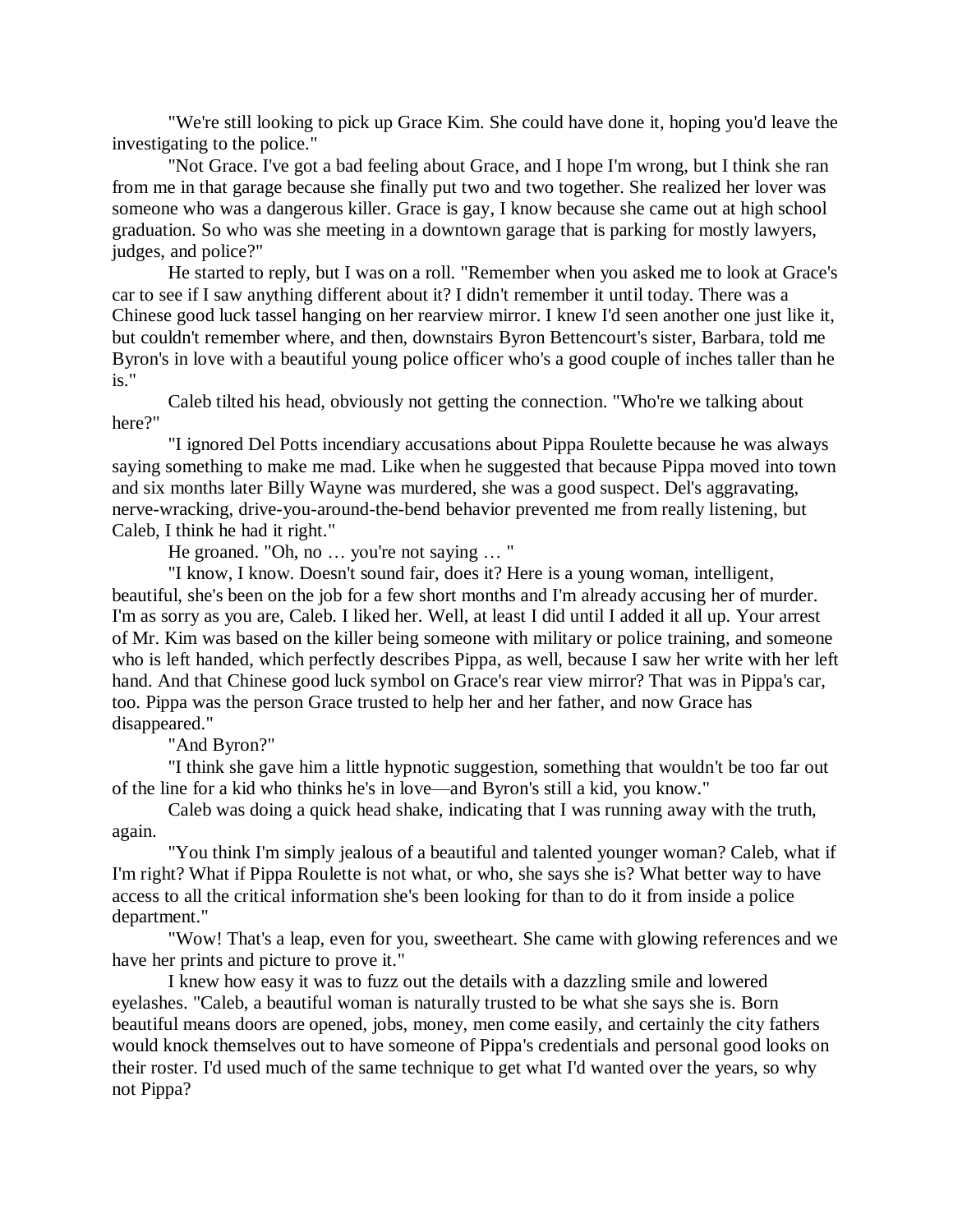"We're still looking to pick up Grace Kim. She could have done it, hoping you'd leave the investigating to the police."

"Not Grace. I've got a bad feeling about Grace, and I hope I'm wrong, but I think she ran from me in that garage because she finally put two and two together. She realized her lover was someone who was a dangerous killer. Grace is gay, I know because she came out at high school graduation. So who was she meeting in a downtown garage that is parking for mostly lawyers, judges, and police?"

He started to reply, but I was on a roll. "Remember when you asked me to look at Grace's car to see if I saw anything different about it? I didn't remember it until today. There was a Chinese good luck tassel hanging on her rearview mirror. I knew I'd seen another one just like it, but couldn't remember where, and then, downstairs Byron Bettencourt's sister, Barbara, told me Byron's in love with a beautiful young police officer who's a good couple of inches taller than he is."

Caleb tilted his head, obviously not getting the connection. "Who're we talking about here?"

"I ignored Del Potts incendiary accusations about Pippa Roulette because he was always saying something to make me mad. Like when he suggested that because Pippa moved into town and six months later Billy Wayne was murdered, she was a good suspect. Del's aggravating, nerve-wracking, drive-you-around-the-bend behavior prevented me from really listening, but Caleb, I think he had it right."

He groaned. "Oh, no ... you're not saying ... "

"I know, I know. Doesn't sound fair, does it? Here is a young woman, intelligent, beautiful, she's been on the job for a few short months and I'm already accusing her of murder. I'm as sorry as you are, Caleb. I liked her. Well, at least I did until I added it all up. Your arrest of Mr. Kim was based on the killer being someone with military or police training, and someone who is left handed, which perfectly describes Pippa, as well, because I saw her write with her left hand. And that Chinese good luck symbol on Grace's rear view mirror? That was in Pippa's car, too. Pippa was the person Grace trusted to help her and her father, and now Grace has disappeared."

"And Byron?"

"I think she gave him a little hypnotic suggestion, something that wouldn't be too far out of the line for a kid who thinks he's in love—and Byron's still a kid, you know."

Caleb was doing a quick head shake, indicating that I was running away with the truth, again.

"You think I'm simply jealous of a beautiful and talented younger woman? Caleb, what if I'm right? What if Pippa Roulette is not what, or who, she says she is? What better way to have access to all the critical information she's been looking for than to do it from inside a police department."

"Wow! That's a leap, even for you, sweetheart. She came with glowing references and we have her prints and picture to prove it."

I knew how easy it was to fuzz out the details with a dazzling smile and lowered eyelashes. "Caleb, a beautiful woman is naturally trusted to be what she says she is. Born beautiful means doors are opened, jobs, money, men come easily, and certainly the city fathers would knock themselves out to have someone of Pippa's credentials and personal good looks on their roster. I'd used much of the same technique to get what I'd wanted over the years, so why not Pippa?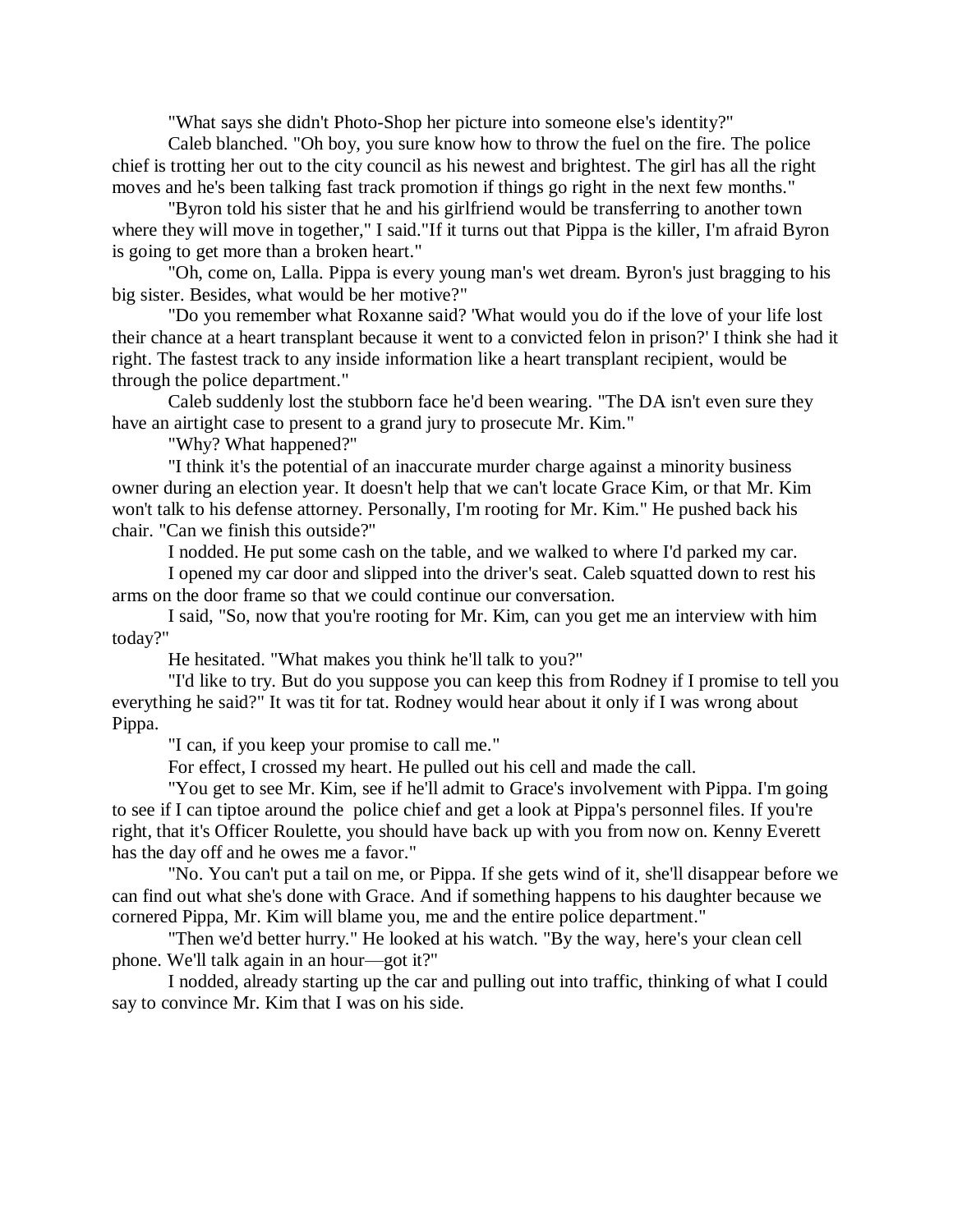"What says she didn't Photo-Shop her picture into someone else's identity?"

Caleb blanched. "Oh boy, you sure know how to throw the fuel on the fire. The police chief is trotting her out to the city council as his newest and brightest. The girl has all the right moves and he's been talking fast track promotion if things go right in the next few months."

"Byron told his sister that he and his girlfriend would be transferring to another town where they will move in together," I said."If it turns out that Pippa is the killer, I'm afraid Byron is going to get more than a broken heart."

"Oh, come on, Lalla. Pippa is every young man's wet dream. Byron's just bragging to his big sister. Besides, what would be her motive?"

"Do you remember what Roxanne said? 'What would you do if the love of your life lost their chance at a heart transplant because it went to a convicted felon in prison?' I think she had it right. The fastest track to any inside information like a heart transplant recipient, would be through the police department."

Caleb suddenly lost the stubborn face he'd been wearing. "The DA isn't even sure they have an airtight case to present to a grand jury to prosecute Mr. Kim."

"Why? What happened?"

"I think it's the potential of an inaccurate murder charge against a minority business owner during an election year. It doesn't help that we can't locate Grace Kim, or that Mr. Kim won't talk to his defense attorney. Personally, I'm rooting for Mr. Kim." He pushed back his chair. "Can we finish this outside?"

I nodded. He put some cash on the table, and we walked to where I'd parked my car.

I opened my car door and slipped into the driver's seat. Caleb squatted down to rest his arms on the door frame so that we could continue our conversation.

I said, "So, now that you're rooting for Mr. Kim, can you get me an interview with him today?"

He hesitated. "What makes you think he'll talk to you?"

"I'd like to try. But do you suppose you can keep this from Rodney if I promise to tell you everything he said?" It was tit for tat. Rodney would hear about it only if I was wrong about Pippa.

"I can, if you keep your promise to call me."

For effect, I crossed my heart. He pulled out his cell and made the call.

"You get to see Mr. Kim, see if he'll admit to Grace's involvement with Pippa. I'm going to see if I can tiptoe around the police chief and get a look at Pippa's personnel files. If you're right, that it's Officer Roulette, you should have back up with you from now on. Kenny Everett has the day off and he owes me a favor."

"No. You can't put a tail on me, or Pippa. If she gets wind of it, she'll disappear before we can find out what she's done with Grace. And if something happens to his daughter because we cornered Pippa, Mr. Kim will blame you, me and the entire police department."

"Then we'd better hurry." He looked at his watch. "By the way, here's your clean cell phone. We'll talk again in an hour—got it?"

I nodded, already starting up the car and pulling out into traffic, thinking of what I could say to convince Mr. Kim that I was on his side.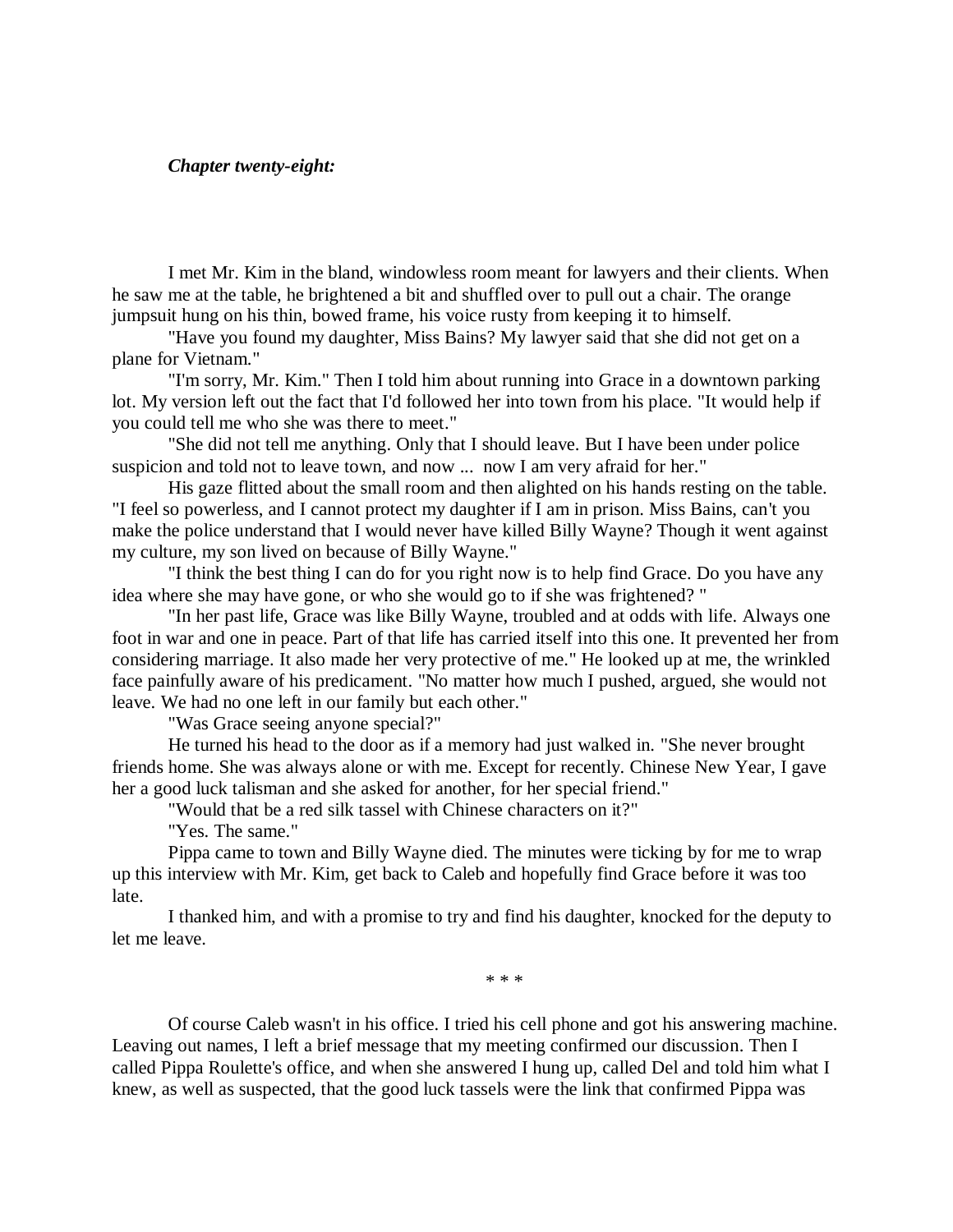# *Chapter twenty-eight:*

I met Mr. Kim in the bland, windowless room meant for lawyers and their clients. When he saw me at the table, he brightened a bit and shuffled over to pull out a chair. The orange jumpsuit hung on his thin, bowed frame, his voice rusty from keeping it to himself.

"Have you found my daughter, Miss Bains? My lawyer said that she did not get on a plane for Vietnam."

"I'm sorry, Mr. Kim." Then I told him about running into Grace in a downtown parking lot. My version left out the fact that I'd followed her into town from his place. "It would help if you could tell me who she was there to meet."

"She did not tell me anything. Only that I should leave. But I have been under police suspicion and told not to leave town, and now ... now I am very afraid for her."

His gaze flitted about the small room and then alighted on his hands resting on the table. "I feel so powerless, and I cannot protect my daughter if I am in prison. Miss Bains, can't you make the police understand that I would never have killed Billy Wayne? Though it went against my culture, my son lived on because of Billy Wayne."

"I think the best thing I can do for you right now is to help find Grace. Do you have any idea where she may have gone, or who she would go to if she was frightened? "

"In her past life, Grace was like Billy Wayne, troubled and at odds with life. Always one foot in war and one in peace. Part of that life has carried itself into this one. It prevented her from considering marriage. It also made her very protective of me." He looked up at me, the wrinkled face painfully aware of his predicament. "No matter how much I pushed, argued, she would not leave. We had no one left in our family but each other."

"Was Grace seeing anyone special?"

He turned his head to the door as if a memory had just walked in. "She never brought friends home. She was always alone or with me. Except for recently. Chinese New Year, I gave her a good luck talisman and she asked for another, for her special friend."

"Would that be a red silk tassel with Chinese characters on it?"

"Yes. The same."

Pippa came to town and Billy Wayne died. The minutes were ticking by for me to wrap up this interview with Mr. Kim, get back to Caleb and hopefully find Grace before it was too late.

I thanked him, and with a promise to try and find his daughter, knocked for the deputy to let me leave.

\* \* \*

Of course Caleb wasn't in his office. I tried his cell phone and got his answering machine. Leaving out names, I left a brief message that my meeting confirmed our discussion. Then I called Pippa Roulette's office, and when she answered I hung up, called Del and told him what I knew, as well as suspected, that the good luck tassels were the link that confirmed Pippa was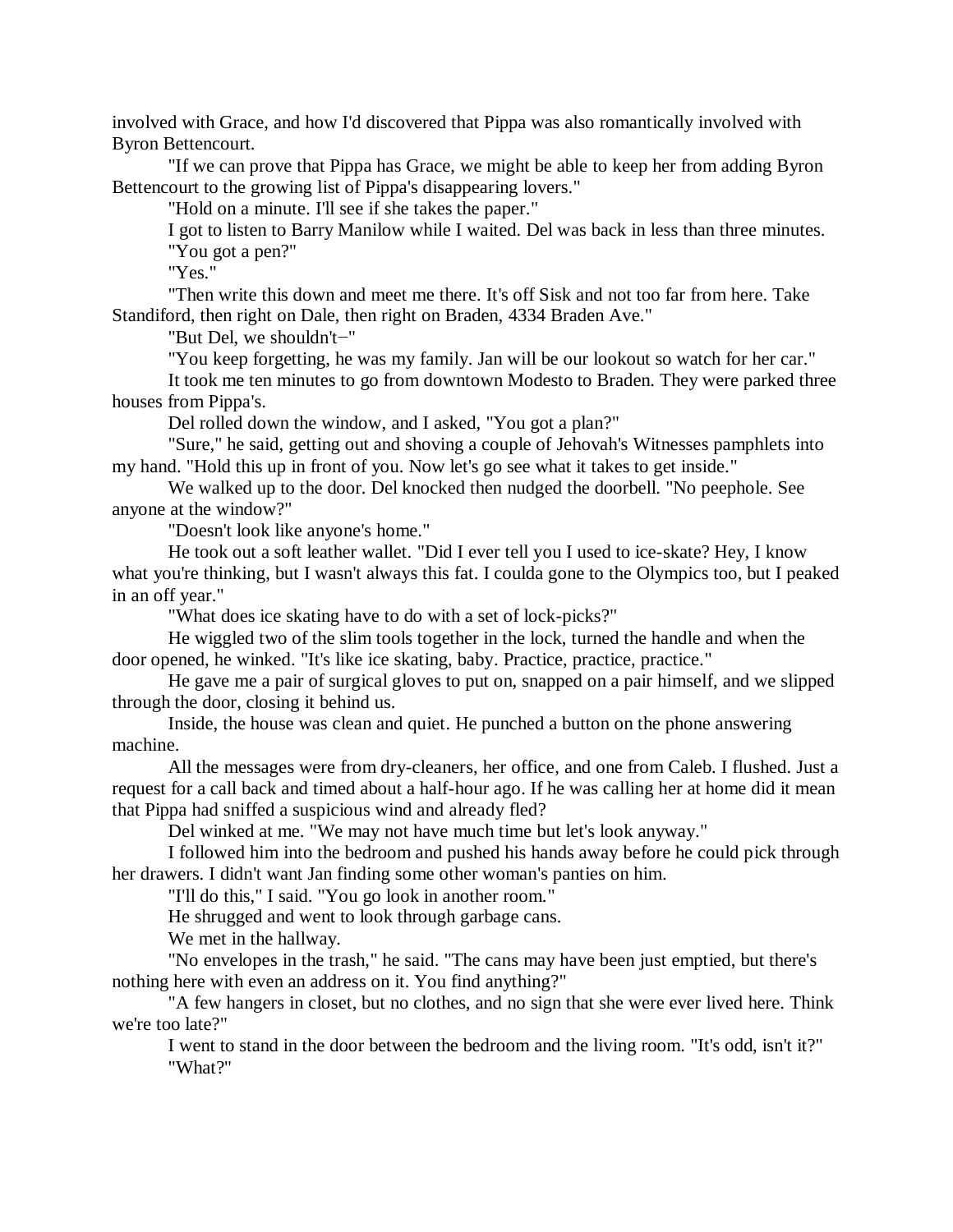involved with Grace, and how I'd discovered that Pippa was also romantically involved with Byron Bettencourt.

"If we can prove that Pippa has Grace, we might be able to keep her from adding Byron Bettencourt to the growing list of Pippa's disappearing lovers."

"Hold on a minute. I'll see if she takes the paper."

I got to listen to Barry Manilow while I waited. Del was back in less than three minutes. "You got a pen?"

"Yes."

"Then write this down and meet me there. It's off Sisk and not too far from here. Take Standiford, then right on Dale, then right on Braden, 4334 Braden Ave."

"But Del, we shouldn't−"

"You keep forgetting, he was my family. Jan will be our lookout so watch for her car." It took me ten minutes to go from downtown Modesto to Braden. They were parked three

houses from Pippa's.

Del rolled down the window, and I asked, "You got a plan?"

"Sure," he said, getting out and shoving a couple of Jehovah's Witnesses pamphlets into my hand. "Hold this up in front of you. Now let's go see what it takes to get inside."

We walked up to the door. Del knocked then nudged the doorbell. "No peephole. See anyone at the window?"

"Doesn't look like anyone's home."

He took out a soft leather wallet. "Did I ever tell you I used to ice-skate? Hey, I know what you're thinking, but I wasn't always this fat. I coulda gone to the Olympics too, but I peaked in an off year."

"What does ice skating have to do with a set of lock-picks?"

He wiggled two of the slim tools together in the lock, turned the handle and when the door opened, he winked. "It's like ice skating, baby. Practice, practice, practice."

He gave me a pair of surgical gloves to put on, snapped on a pair himself, and we slipped through the door, closing it behind us.

Inside, the house was clean and quiet. He punched a button on the phone answering machine.

All the messages were from dry-cleaners, her office, and one from Caleb. I flushed. Just a request for a call back and timed about a half-hour ago. If he was calling her at home did it mean that Pippa had sniffed a suspicious wind and already fled?

Del winked at me. "We may not have much time but let's look anyway."

I followed him into the bedroom and pushed his hands away before he could pick through her drawers. I didn't want Jan finding some other woman's panties on him.

"I'll do this," I said. "You go look in another room."

He shrugged and went to look through garbage cans.

We met in the hallway.

"No envelopes in the trash," he said. "The cans may have been just emptied, but there's nothing here with even an address on it. You find anything?"

"A few hangers in closet, but no clothes, and no sign that she were ever lived here. Think we're too late?"

I went to stand in the door between the bedroom and the living room. "It's odd, isn't it?" "What?"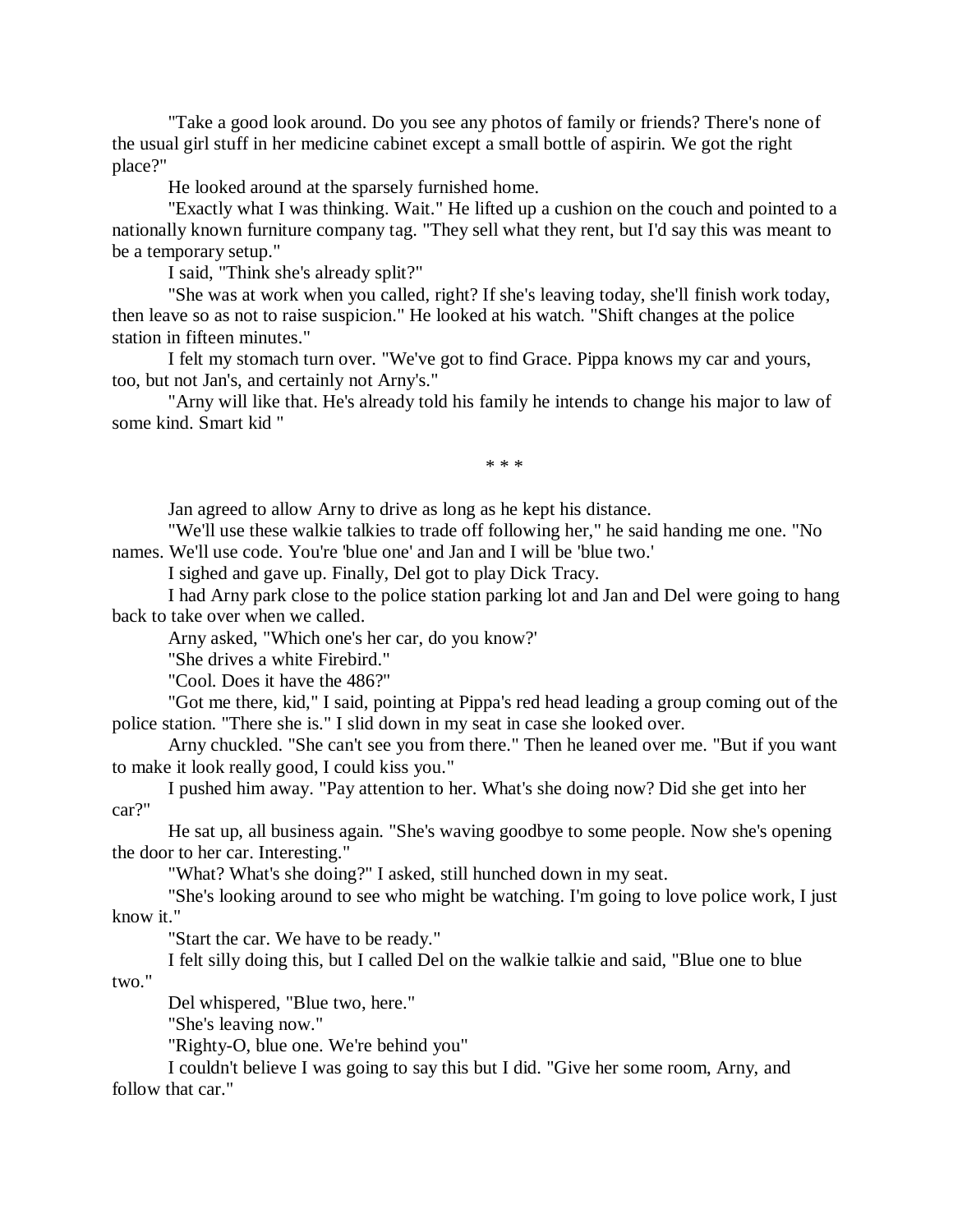"Take a good look around. Do you see any photos of family or friends? There's none of the usual girl stuff in her medicine cabinet except a small bottle of aspirin. We got the right place?"

He looked around at the sparsely furnished home.

"Exactly what I was thinking. Wait." He lifted up a cushion on the couch and pointed to a nationally known furniture company tag. "They sell what they rent, but I'd say this was meant to be a temporary setup."

I said, "Think she's already split?"

"She was at work when you called, right? If she's leaving today, she'll finish work today, then leave so as not to raise suspicion." He looked at his watch. "Shift changes at the police station in fifteen minutes."

I felt my stomach turn over. "We've got to find Grace. Pippa knows my car and yours, too, but not Jan's, and certainly not Arny's."

"Arny will like that. He's already told his family he intends to change his major to law of some kind. Smart kid "

\* \* \*

Jan agreed to allow Arny to drive as long as he kept his distance.

"We'll use these walkie talkies to trade off following her," he said handing me one. "No names. We'll use code. You're 'blue one' and Jan and I will be 'blue two.'

I sighed and gave up. Finally, Del got to play Dick Tracy.

I had Arny park close to the police station parking lot and Jan and Del were going to hang back to take over when we called.

Arny asked, "Which one's her car, do you know?'

"She drives a white Firebird."

"Cool. Does it have the 486?"

"Got me there, kid," I said, pointing at Pippa's red head leading a group coming out of the police station. "There she is." I slid down in my seat in case she looked over.

Arny chuckled. "She can't see you from there." Then he leaned over me. "But if you want to make it look really good, I could kiss you."

I pushed him away. "Pay attention to her. What's she doing now? Did she get into her car?"

He sat up, all business again. "She's waving goodbye to some people. Now she's opening the door to her car. Interesting."

"What? What's she doing?" I asked, still hunched down in my seat.

"She's looking around to see who might be watching. I'm going to love police work, I just know it."

"Start the car. We have to be ready."

I felt silly doing this, but I called Del on the walkie talkie and said, "Blue one to blue

two."

Del whispered, "Blue two, here."

"She's leaving now."

"Righty-O, blue one. We're behind you"

I couldn't believe I was going to say this but I did. "Give her some room, Arny, and follow that car."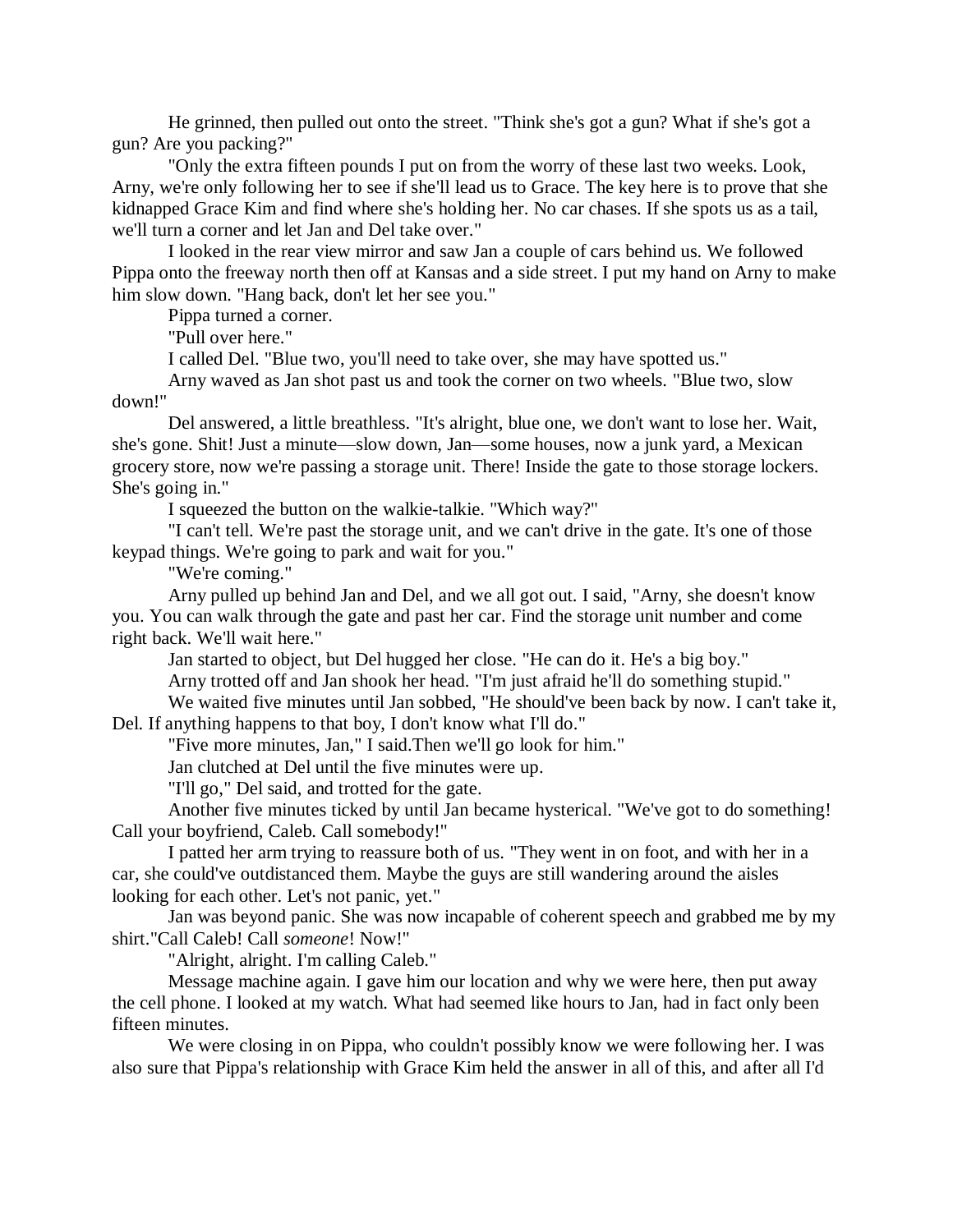He grinned, then pulled out onto the street. "Think she's got a gun? What if she's got a gun? Are you packing?"

"Only the extra fifteen pounds I put on from the worry of these last two weeks. Look, Arny, we're only following her to see if she'll lead us to Grace. The key here is to prove that she kidnapped Grace Kim and find where she's holding her. No car chases. If she spots us as a tail, we'll turn a corner and let Jan and Del take over."

I looked in the rear view mirror and saw Jan a couple of cars behind us. We followed Pippa onto the freeway north then off at Kansas and a side street. I put my hand on Arny to make him slow down. "Hang back, don't let her see you."

Pippa turned a corner.

"Pull over here."

I called Del. "Blue two, you'll need to take over, she may have spotted us."

Arny waved as Jan shot past us and took the corner on two wheels. "Blue two, slow down!"

Del answered, a little breathless. "It's alright, blue one, we don't want to lose her. Wait, she's gone. Shit! Just a minute—slow down, Jan—some houses, now a junk yard, a Mexican grocery store, now we're passing a storage unit. There! Inside the gate to those storage lockers. She's going in."

I squeezed the button on the walkie-talkie. "Which way?"

"I can't tell. We're past the storage unit, and we can't drive in the gate. It's one of those keypad things. We're going to park and wait for you."

"We're coming."

Arny pulled up behind Jan and Del, and we all got out. I said, "Arny, she doesn't know you. You can walk through the gate and past her car. Find the storage unit number and come right back. We'll wait here."

Jan started to object, but Del hugged her close. "He can do it. He's a big boy." Arny trotted off and Jan shook her head. "I'm just afraid he'll do something stupid."

We waited five minutes until Jan sobbed, "He should've been back by now. I can't take it, Del. If anything happens to that boy, I don't know what I'll do."

"Five more minutes, Jan," I said.Then we'll go look for him."

Jan clutched at Del until the five minutes were up.

"I'll go," Del said, and trotted for the gate.

Another five minutes ticked by until Jan became hysterical. "We've got to do something! Call your boyfriend, Caleb. Call somebody!"

I patted her arm trying to reassure both of us. "They went in on foot, and with her in a car, she could've outdistanced them. Maybe the guys are still wandering around the aisles looking for each other. Let's not panic, yet."

Jan was beyond panic. She was now incapable of coherent speech and grabbed me by my shirt."Call Caleb! Call *someone*! Now!"

"Alright, alright. I'm calling Caleb."

Message machine again. I gave him our location and why we were here, then put away the cell phone. I looked at my watch. What had seemed like hours to Jan, had in fact only been fifteen minutes.

We were closing in on Pippa, who couldn't possibly know we were following her. I was also sure that Pippa's relationship with Grace Kim held the answer in all of this, and after all I'd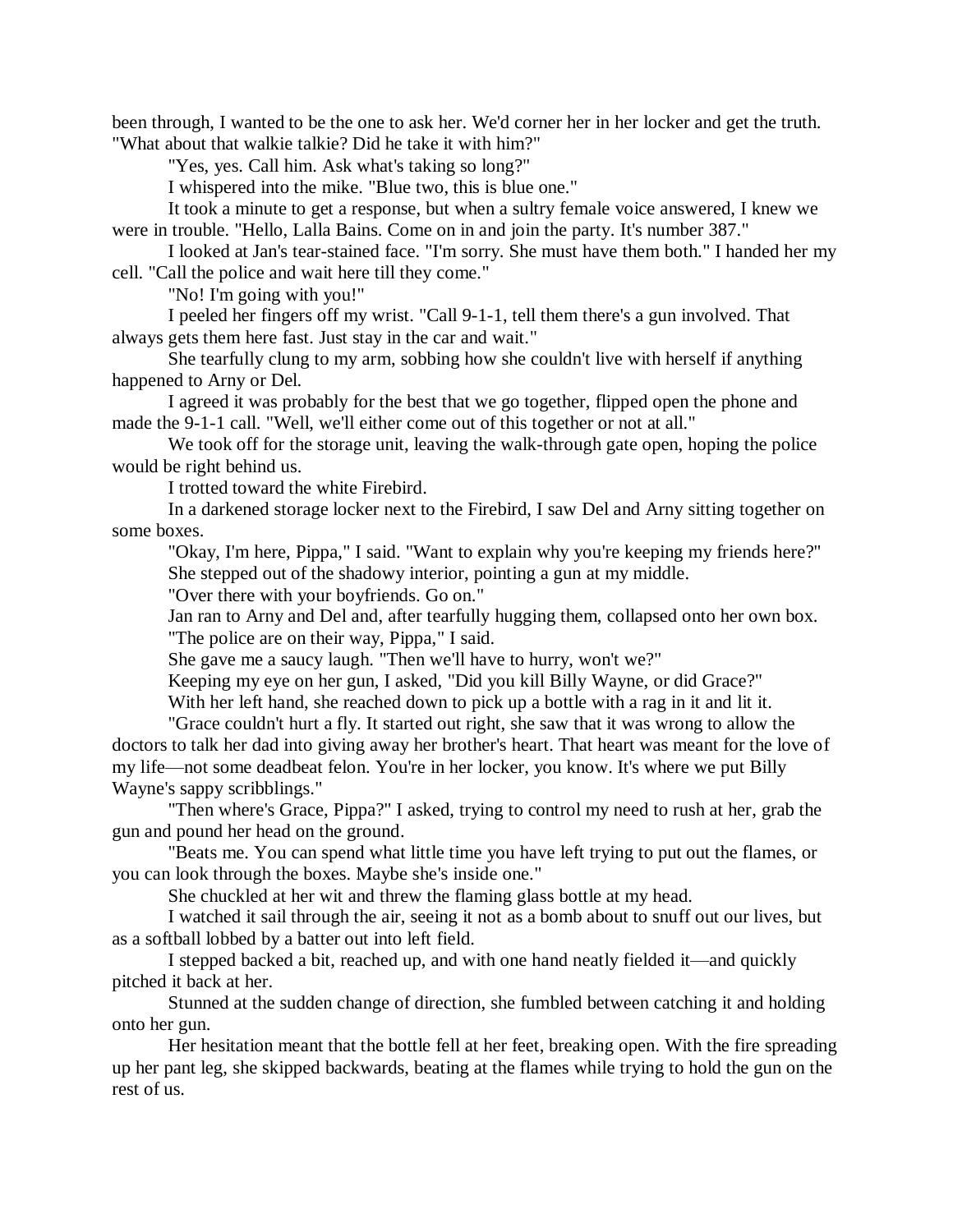been through, I wanted to be the one to ask her. We'd corner her in her locker and get the truth. "What about that walkie talkie? Did he take it with him?"

"Yes, yes. Call him. Ask what's taking so long?"

I whispered into the mike. "Blue two, this is blue one."

It took a minute to get a response, but when a sultry female voice answered, I knew we were in trouble. "Hello, Lalla Bains. Come on in and join the party. It's number 387."

I looked at Jan's tear-stained face. "I'm sorry. She must have them both." I handed her my cell. "Call the police and wait here till they come."

"No! I'm going with you!"

I peeled her fingers off my wrist. "Call 9-1-1, tell them there's a gun involved. That always gets them here fast. Just stay in the car and wait."

She tearfully clung to my arm, sobbing how she couldn't live with herself if anything happened to Arny or Del.

I agreed it was probably for the best that we go together, flipped open the phone and made the 9-1-1 call. "Well, we'll either come out of this together or not at all."

We took off for the storage unit, leaving the walk-through gate open, hoping the police would be right behind us.

I trotted toward the white Firebird.

In a darkened storage locker next to the Firebird, I saw Del and Arny sitting together on some boxes.

"Okay, I'm here, Pippa," I said. "Want to explain why you're keeping my friends here?" She stepped out of the shadowy interior, pointing a gun at my middle.

"Over there with your boyfriends. Go on."

Jan ran to Arny and Del and, after tearfully hugging them, collapsed onto her own box. "The police are on their way, Pippa," I said.

She gave me a saucy laugh. "Then we'll have to hurry, won't we?"

Keeping my eye on her gun, I asked, "Did you kill Billy Wayne, or did Grace?"

With her left hand, she reached down to pick up a bottle with a rag in it and lit it.

"Grace couldn't hurt a fly. It started out right, she saw that it was wrong to allow the doctors to talk her dad into giving away her brother's heart. That heart was meant for the love of my life—not some deadbeat felon. You're in her locker, you know. It's where we put Billy Wayne's sappy scribblings."

"Then where's Grace, Pippa?" I asked, trying to control my need to rush at her, grab the gun and pound her head on the ground.

"Beats me. You can spend what little time you have left trying to put out the flames, or you can look through the boxes. Maybe she's inside one."

She chuckled at her wit and threw the flaming glass bottle at my head.

I watched it sail through the air, seeing it not as a bomb about to snuff out our lives, but as a softball lobbed by a batter out into left field.

I stepped backed a bit, reached up, and with one hand neatly fielded it—and quickly pitched it back at her.

Stunned at the sudden change of direction, she fumbled between catching it and holding onto her gun.

Her hesitation meant that the bottle fell at her feet, breaking open. With the fire spreading up her pant leg, she skipped backwards, beating at the flames while trying to hold the gun on the rest of us.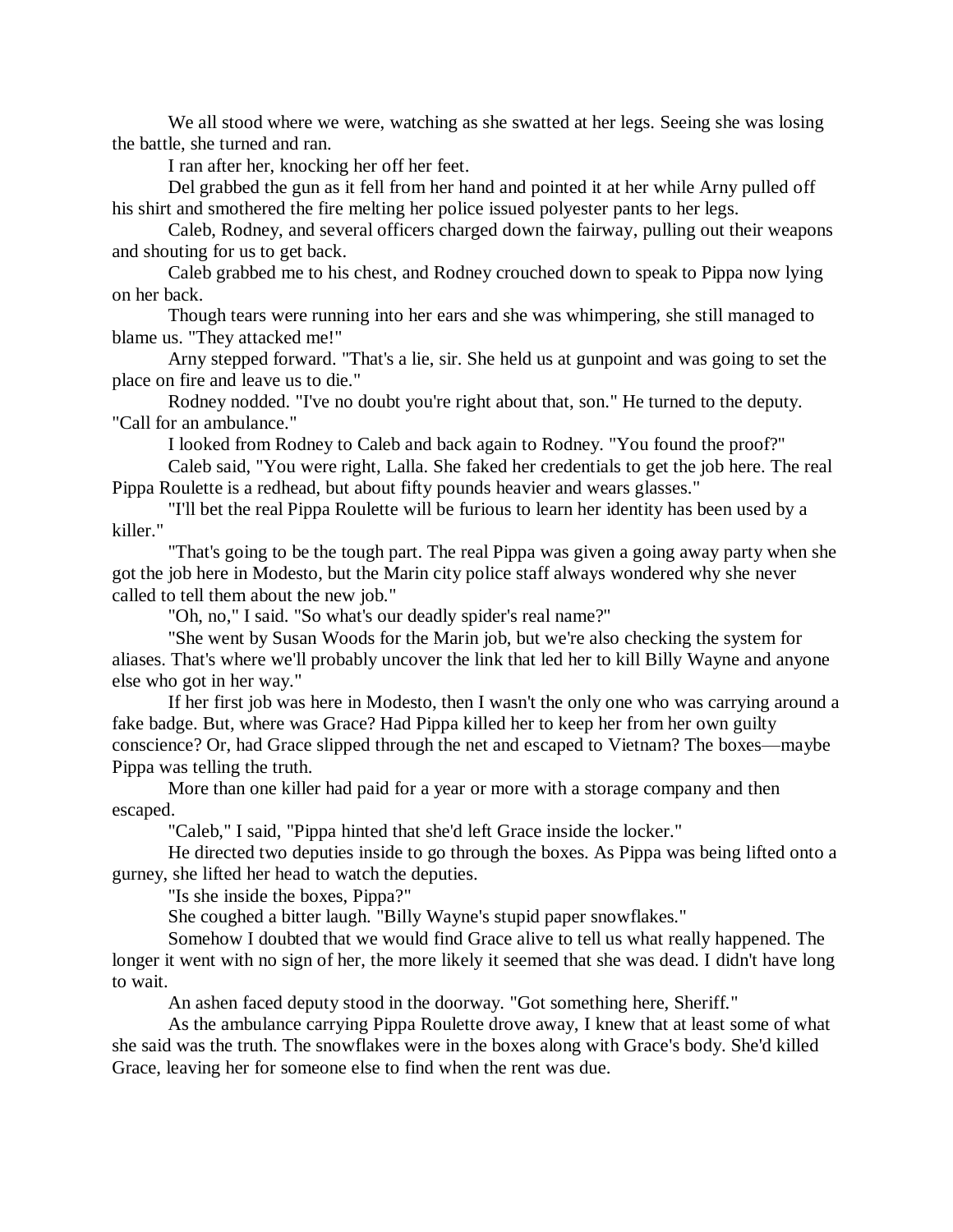We all stood where we were, watching as she swatted at her legs. Seeing she was losing the battle, she turned and ran.

I ran after her, knocking her off her feet.

Del grabbed the gun as it fell from her hand and pointed it at her while Arny pulled off his shirt and smothered the fire melting her police issued polyester pants to her legs.

Caleb, Rodney, and several officers charged down the fairway, pulling out their weapons and shouting for us to get back.

Caleb grabbed me to his chest, and Rodney crouched down to speak to Pippa now lying on her back.

Though tears were running into her ears and she was whimpering, she still managed to blame us. "They attacked me!"

Arny stepped forward. "That's a lie, sir. She held us at gunpoint and was going to set the place on fire and leave us to die."

Rodney nodded. "I've no doubt you're right about that, son." He turned to the deputy. "Call for an ambulance."

I looked from Rodney to Caleb and back again to Rodney. "You found the proof?"

Caleb said, "You were right, Lalla. She faked her credentials to get the job here. The real Pippa Roulette is a redhead, but about fifty pounds heavier and wears glasses."

"I'll bet the real Pippa Roulette will be furious to learn her identity has been used by a killer."

"That's going to be the tough part. The real Pippa was given a going away party when she got the job here in Modesto, but the Marin city police staff always wondered why she never called to tell them about the new job."

"Oh, no," I said. "So what's our deadly spider's real name?"

"She went by Susan Woods for the Marin job, but we're also checking the system for aliases. That's where we'll probably uncover the link that led her to kill Billy Wayne and anyone else who got in her way."

If her first job was here in Modesto, then I wasn't the only one who was carrying around a fake badge. But, where was Grace? Had Pippa killed her to keep her from her own guilty conscience? Or, had Grace slipped through the net and escaped to Vietnam? The boxes—maybe Pippa was telling the truth.

More than one killer had paid for a year or more with a storage company and then escaped.

"Caleb," I said, "Pippa hinted that she'd left Grace inside the locker."

He directed two deputies inside to go through the boxes. As Pippa was being lifted onto a gurney, she lifted her head to watch the deputies.

"Is she inside the boxes, Pippa?"

She coughed a bitter laugh. "Billy Wayne's stupid paper snowflakes."

Somehow I doubted that we would find Grace alive to tell us what really happened. The longer it went with no sign of her, the more likely it seemed that she was dead. I didn't have long to wait.

An ashen faced deputy stood in the doorway. "Got something here, Sheriff."

As the ambulance carrying Pippa Roulette drove away, I knew that at least some of what she said was the truth. The snowflakes were in the boxes along with Grace's body. She'd killed Grace, leaving her for someone else to find when the rent was due.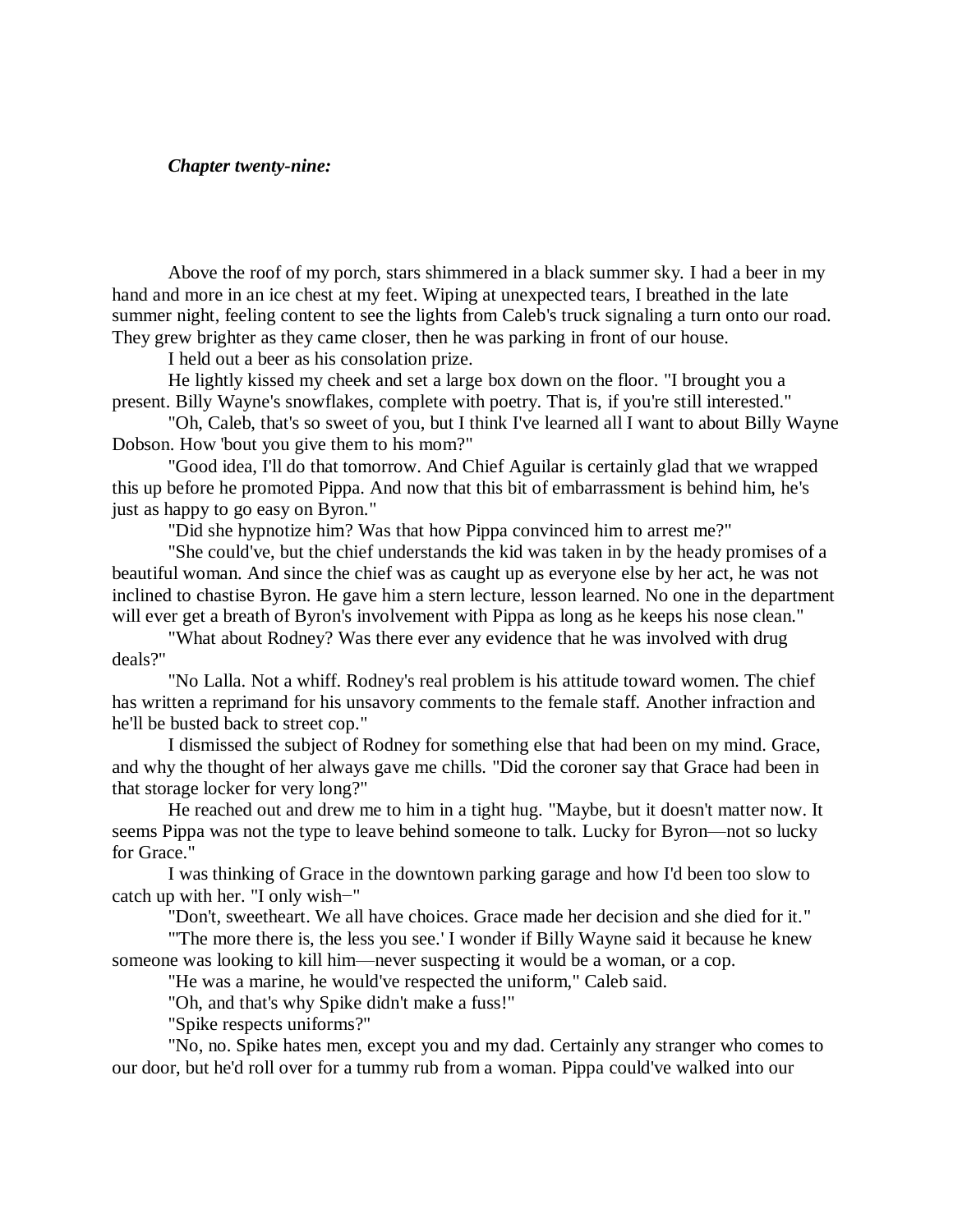## *Chapter twenty-nine:*

Above the roof of my porch, stars shimmered in a black summer sky. I had a beer in my hand and more in an ice chest at my feet. Wiping at unexpected tears, I breathed in the late summer night, feeling content to see the lights from Caleb's truck signaling a turn onto our road. They grew brighter as they came closer, then he was parking in front of our house.

I held out a beer as his consolation prize.

He lightly kissed my cheek and set a large box down on the floor. "I brought you a present. Billy Wayne's snowflakes, complete with poetry. That is, if you're still interested."

"Oh, Caleb, that's so sweet of you, but I think I've learned all I want to about Billy Wayne Dobson. How 'bout you give them to his mom?"

"Good idea, I'll do that tomorrow. And Chief Aguilar is certainly glad that we wrapped this up before he promoted Pippa. And now that this bit of embarrassment is behind him, he's just as happy to go easy on Byron."

"Did she hypnotize him? Was that how Pippa convinced him to arrest me?"

"She could've, but the chief understands the kid was taken in by the heady promises of a beautiful woman. And since the chief was as caught up as everyone else by her act, he was not inclined to chastise Byron. He gave him a stern lecture, lesson learned. No one in the department will ever get a breath of Byron's involvement with Pippa as long as he keeps his nose clean."

"What about Rodney? Was there ever any evidence that he was involved with drug deals?"

"No Lalla. Not a whiff. Rodney's real problem is his attitude toward women. The chief has written a reprimand for his unsavory comments to the female staff. Another infraction and he'll be busted back to street cop."

I dismissed the subject of Rodney for something else that had been on my mind. Grace, and why the thought of her always gave me chills. "Did the coroner say that Grace had been in that storage locker for very long?"

He reached out and drew me to him in a tight hug. "Maybe, but it doesn't matter now. It seems Pippa was not the type to leave behind someone to talk. Lucky for Byron—not so lucky for Grace."

I was thinking of Grace in the downtown parking garage and how I'd been too slow to catch up with her. "I only wish−"

"Don't, sweetheart. We all have choices. Grace made her decision and she died for it."

"'The more there is, the less you see.' I wonder if Billy Wayne said it because he knew someone was looking to kill him—never suspecting it would be a woman, or a cop.

"He was a marine, he would've respected the uniform," Caleb said.

"Oh, and that's why Spike didn't make a fuss!"

"Spike respects uniforms?"

"No, no. Spike hates men, except you and my dad. Certainly any stranger who comes to our door, but he'd roll over for a tummy rub from a woman. Pippa could've walked into our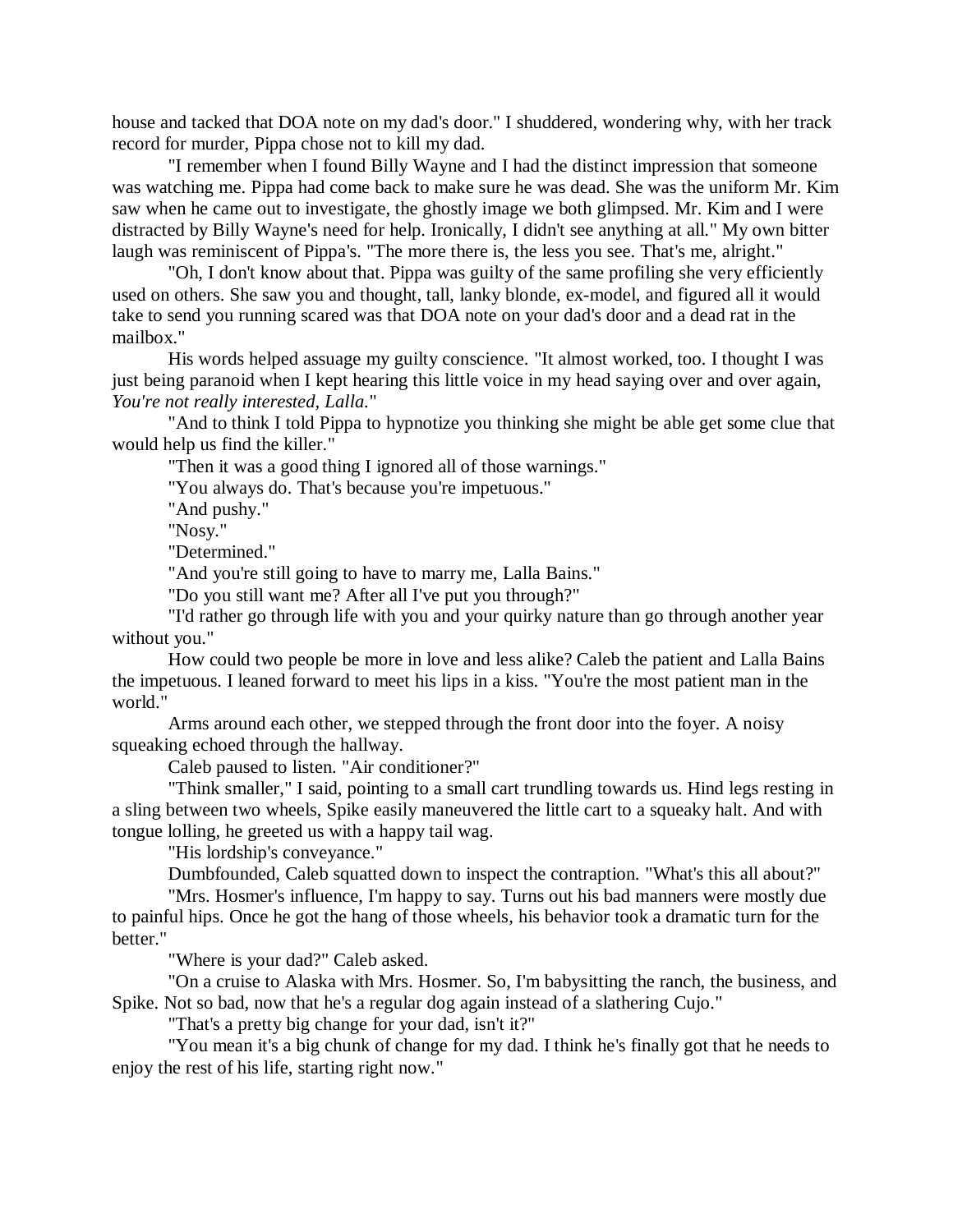house and tacked that DOA note on my dad's door." I shuddered, wondering why, with her track record for murder, Pippa chose not to kill my dad.

"I remember when I found Billy Wayne and I had the distinct impression that someone was watching me. Pippa had come back to make sure he was dead. She was the uniform Mr. Kim saw when he came out to investigate, the ghostly image we both glimpsed. Mr. Kim and I were distracted by Billy Wayne's need for help. Ironically, I didn't see anything at all." My own bitter laugh was reminiscent of Pippa's. "The more there is, the less you see. That's me, alright."

"Oh, I don't know about that. Pippa was guilty of the same profiling she very efficiently used on others. She saw you and thought, tall, lanky blonde, ex-model, and figured all it would take to send you running scared was that DOA note on your dad's door and a dead rat in the mailbox."

His words helped assuage my guilty conscience. "It almost worked, too. I thought I was just being paranoid when I kept hearing this little voice in my head saying over and over again, *You're not really interested, Lalla.*"

"And to think I told Pippa to hypnotize you thinking she might be able get some clue that would help us find the killer."

"Then it was a good thing I ignored all of those warnings."

"You always do. That's because you're impetuous."

"And pushy."

"Nosy."

"Determined."

"And you're still going to have to marry me, Lalla Bains."

"Do you still want me? After all I've put you through?"

"I'd rather go through life with you and your quirky nature than go through another year without you."

How could two people be more in love and less alike? Caleb the patient and Lalla Bains the impetuous. I leaned forward to meet his lips in a kiss. "You're the most patient man in the world."

Arms around each other, we stepped through the front door into the foyer. A noisy squeaking echoed through the hallway.

Caleb paused to listen. "Air conditioner?"

"Think smaller," I said, pointing to a small cart trundling towards us. Hind legs resting in a sling between two wheels, Spike easily maneuvered the little cart to a squeaky halt. And with tongue lolling, he greeted us with a happy tail wag.

"His lordship's conveyance."

Dumbfounded, Caleb squatted down to inspect the contraption. "What's this all about?"

"Mrs. Hosmer's influence, I'm happy to say. Turns out his bad manners were mostly due to painful hips. Once he got the hang of those wheels, his behavior took a dramatic turn for the better."

"Where is your dad?" Caleb asked.

"On a cruise to Alaska with Mrs. Hosmer. So, I'm babysitting the ranch, the business, and Spike. Not so bad, now that he's a regular dog again instead of a slathering Cujo."

"That's a pretty big change for your dad, isn't it?"

"You mean it's a big chunk of change for my dad. I think he's finally got that he needs to enjoy the rest of his life, starting right now."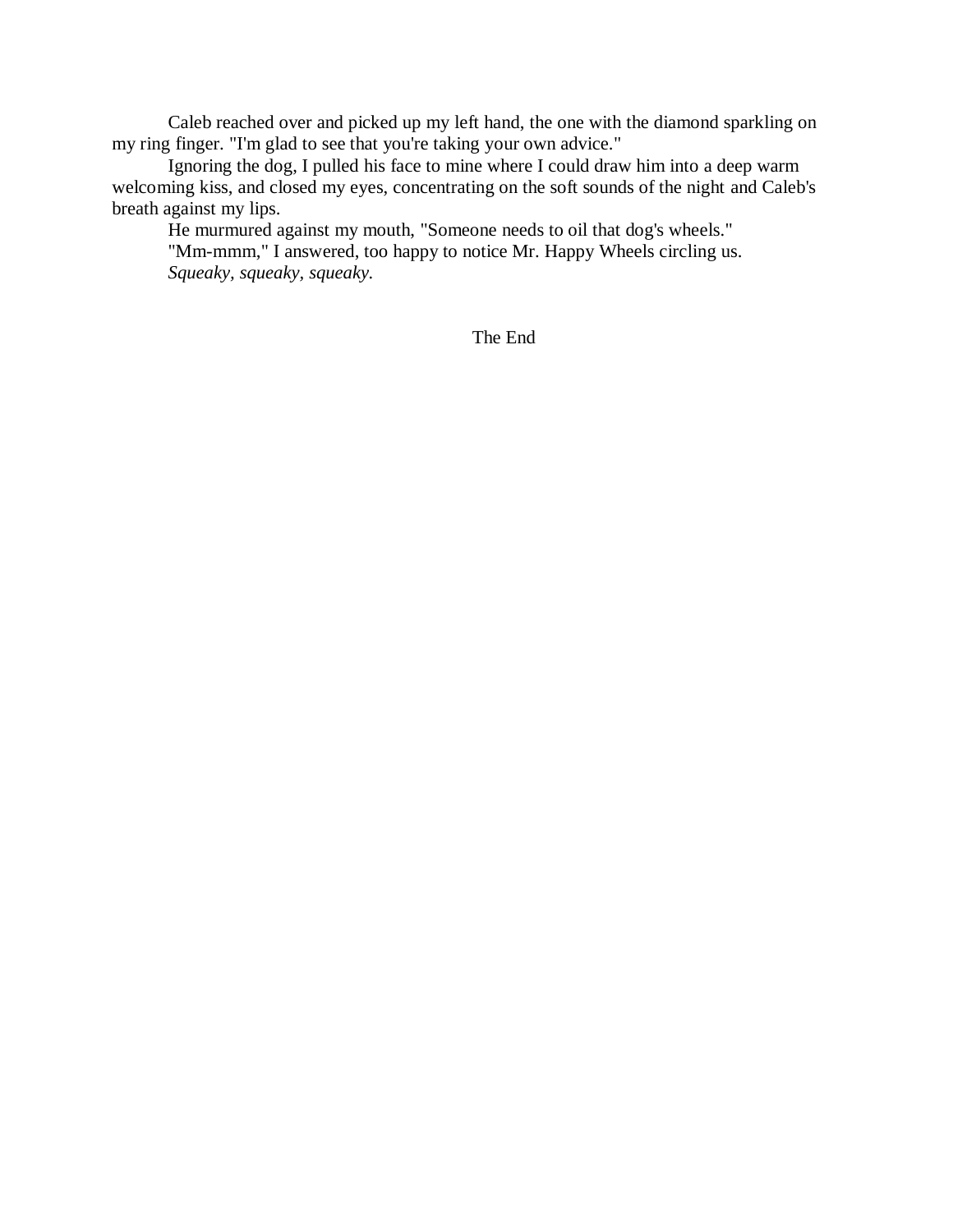Caleb reached over and picked up my left hand, the one with the diamond sparkling on my ring finger. "I'm glad to see that you're taking your own advice."

Ignoring the dog, I pulled his face to mine where I could draw him into a deep warm welcoming kiss, and closed my eyes, concentrating on the soft sounds of the night and Caleb's breath against my lips.

He murmured against my mouth, "Someone needs to oil that dog's wheels."

"Mm-mmm," I answered, too happy to notice Mr. Happy Wheels circling us. *Squeaky, squeaky, squeaky.*

The End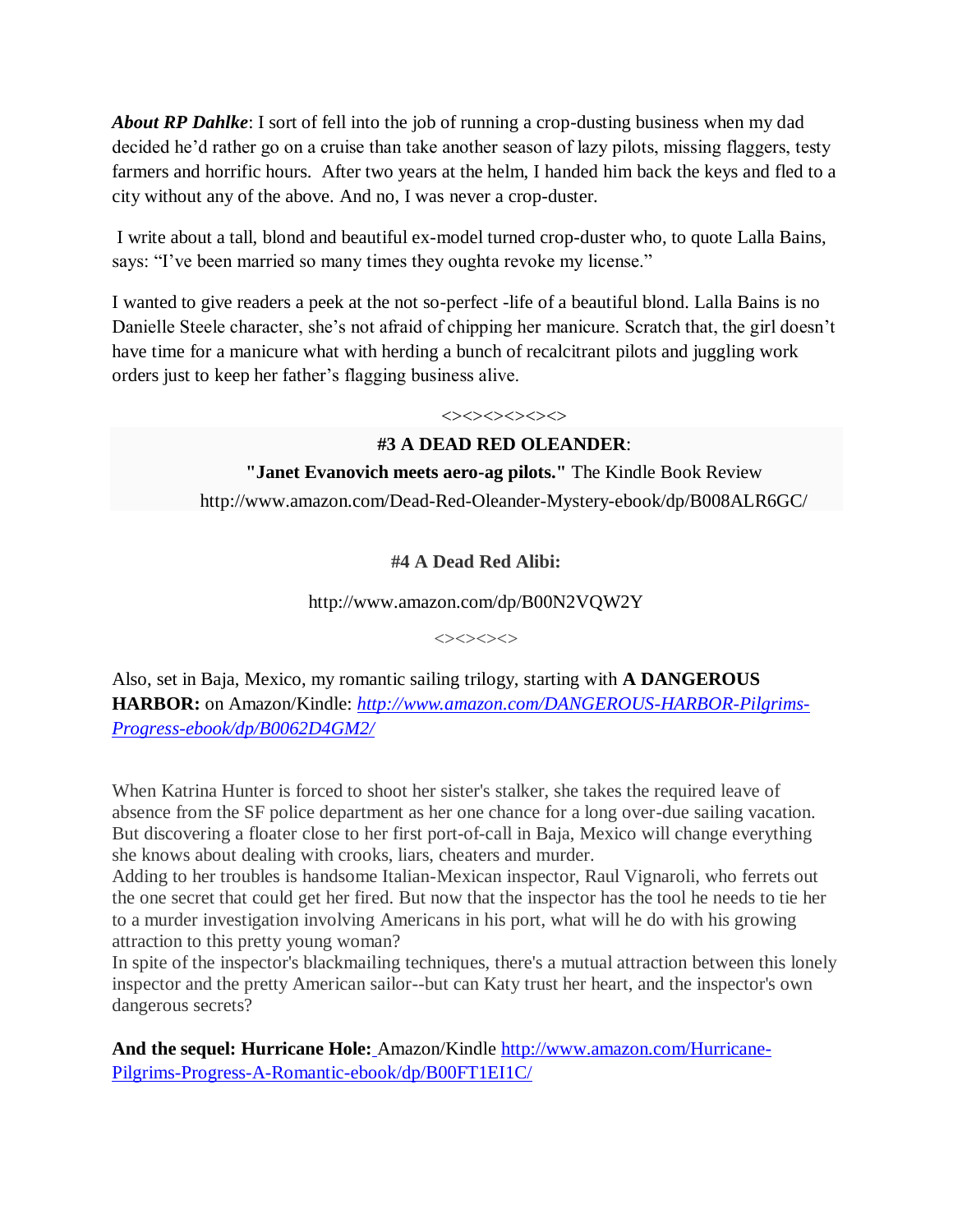*About RP Dahlke*: I sort of fell into the job of running a crop-dusting business when my dad decided he'd rather go on a cruise than take another season of lazy pilots, missing flaggers, testy farmers and horrific hours. After two years at the helm, I handed him back the keys and fled to a city without any of the above. And no, I was never a crop-duster.

I write about a tall, blond and beautiful ex-model turned crop-duster who, to quote Lalla Bains, says: "I've been married so many times they oughta revoke my license."

I wanted to give readers a peek at the not so-perfect -life of a beautiful blond. Lalla Bains is no Danielle Steele character, she's not afraid of chipping her manicure. Scratch that, the girl doesn't have time for a manicure what with herding a bunch of recalcitrant pilots and juggling work orders just to keep her father's flagging business alive.

## $\iff$ **#3 A DEAD RED OLEANDER**:

**"Janet Evanovich meets aero-ag pilots."** The Kindle Book Review http://www.amazon.com/Dead-Red-Oleander-Mystery-ebook/dp/B008ALR6GC/

## **#4 A Dead Red Alibi:**

http://www.amazon.com/dp/B00N2VQW2Y

 $\Leftrightarrow$ 

Also, set in Baja, Mexico, my romantic sailing trilogy, starting with **A DANGEROUS HARBOR:** on Amazon/Kindle: *[http://www.amazon.com/DANGEROUS-HARBOR-Pilgrims-](harborhttp://www.amazon.com/DANGEROUS-HARBOR-Pilgrims-Progress-ebook/dp/B0062D4GM2/)[Progress-ebook/dp/B0062D4GM2/](harborhttp://www.amazon.com/DANGEROUS-HARBOR-Pilgrims-Progress-ebook/dp/B0062D4GM2/)*

When Katrina Hunter is forced to shoot her sister's stalker, she takes the required leave of absence from the SF police department as her one chance for a long over-due sailing vacation. But discovering a floater close to her first port-of-call in Baja, Mexico will change everything she knows about dealing with crooks, liars, cheaters and murder.

Adding to her troubles is handsome Italian-Mexican inspector, Raul Vignaroli, who ferrets out the one secret that could get her fired. But now that the inspector has the tool he needs to tie her to a murder investigation involving Americans in his port, what will he do with his growing attraction to this pretty young woman?

In spite of the inspector's blackmailing techniques, there's a mutual attraction between this lonely inspector and the pretty American sailor--but can Katy trust her heart, and the inspector's own dangerous secrets?

**And the sequel: Hurricane Hole:** Amazon/Kindle [http://www.amazon.com/Hurricane-](http://www.amazon.com/Hurricane-Pilgrims-Progress-A-Romantic-ebook/dp/B00FT1EI1C/)[Pilgrims-Progress-A-Romantic-ebook/dp/B00FT1EI1C/](http://www.amazon.com/Hurricane-Pilgrims-Progress-A-Romantic-ebook/dp/B00FT1EI1C/)